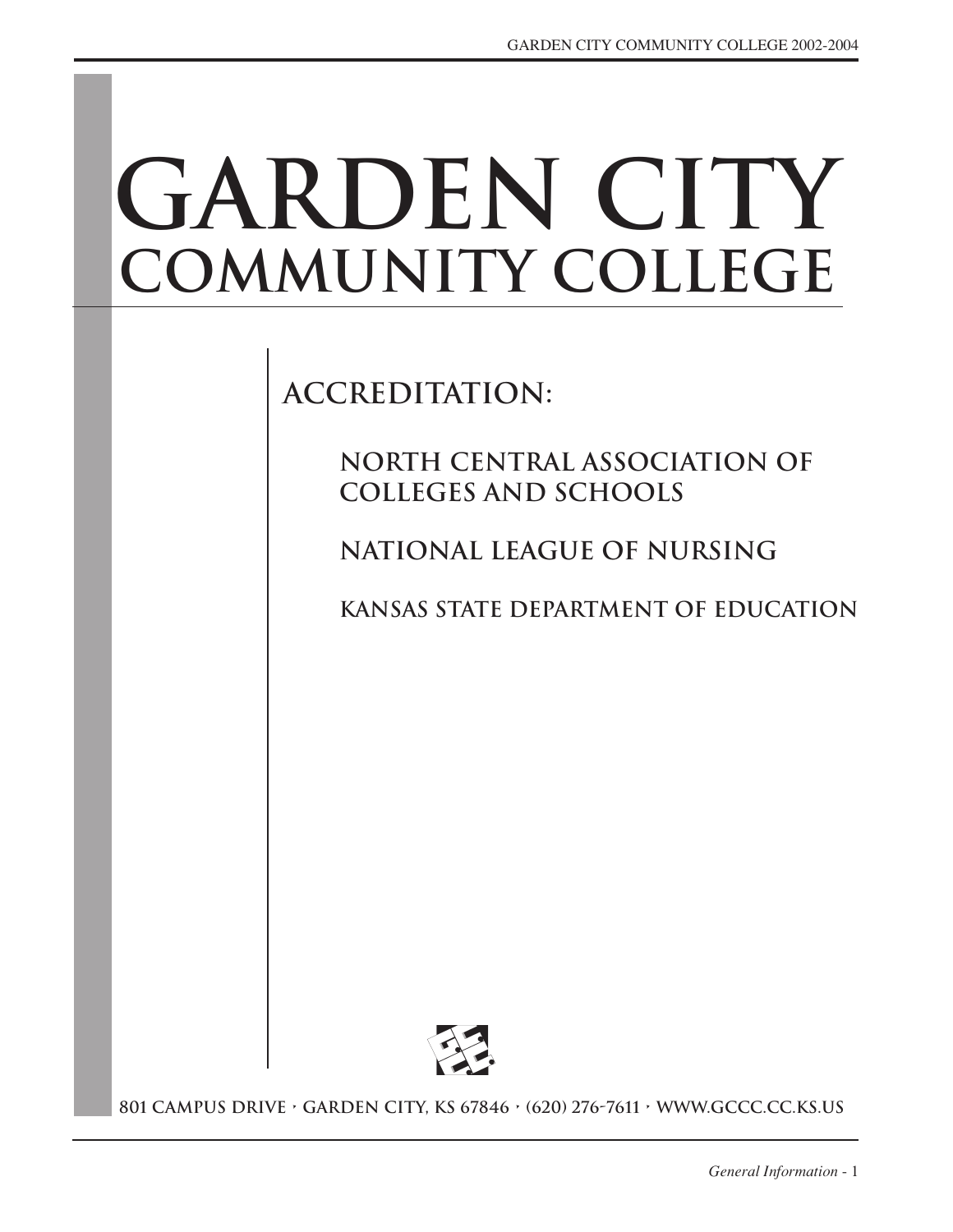## GARDEN CITY **Community College**

**Accreditation:**

**North Central Association of Colleges and Schools**

**National League of Nursing**

**KANSAS STATE DEPARTMENT OF EDUCATION**



**801 Campus Drive • Garden City, KS 67846 • (620) 276-7611 • www.gccc.cc.ks.us**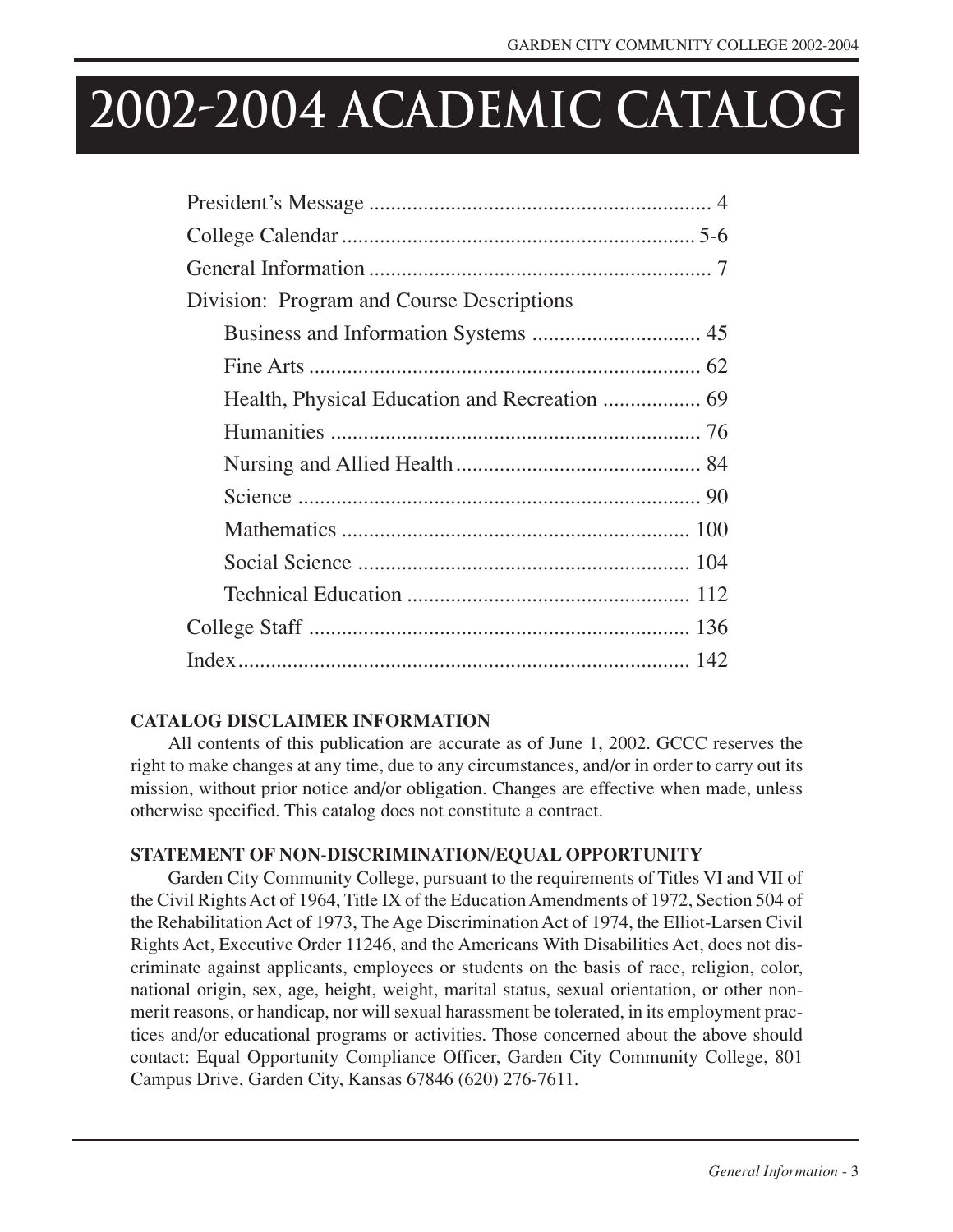## **2002-2004 Academic Catalog**

| Division: Program and Course Descriptions |
|-------------------------------------------|
|                                           |
|                                           |
|                                           |
|                                           |
|                                           |
|                                           |
|                                           |
|                                           |
|                                           |
|                                           |
|                                           |

#### **CATALOG DISCLAIMER INFORMATION**

All contents of this publication are accurate as of June 1, 2002. GCCC reserves the right to make changes at any time, due to any circumstances, and/or in order to carry out its mission, without prior notice and/or obligation. Changes are effective when made, unless otherwise specified. This catalog does not constitute a contract.

#### **STATEMENT OF NON-DISCRIMINATION/EQUAL OPPORTUNITY**

Garden City Community College, pursuant to the requirements of Titles VI and VII of the Civil Rights Act of 1964, Title IX of the Education Amendments of 1972, Section 504 of the Rehabilitation Act of 1973, The Age Discrimination Act of 1974, the Elliot-Larsen Civil Rights Act, Executive Order 11246, and the Americans With Disabilities Act, does not discriminate against applicants, employees or students on the basis of race, religion, color, national origin, sex, age, height, weight, marital status, sexual orientation, or other nonmerit reasons, or handicap, nor will sexual harassment be tolerated, in its employment practices and/or educational programs or activities. Those concerned about the above should contact: Equal Opportunity Compliance Officer, Garden City Community College, 801 Campus Drive, Garden City, Kansas 67846 (620) 276-7611.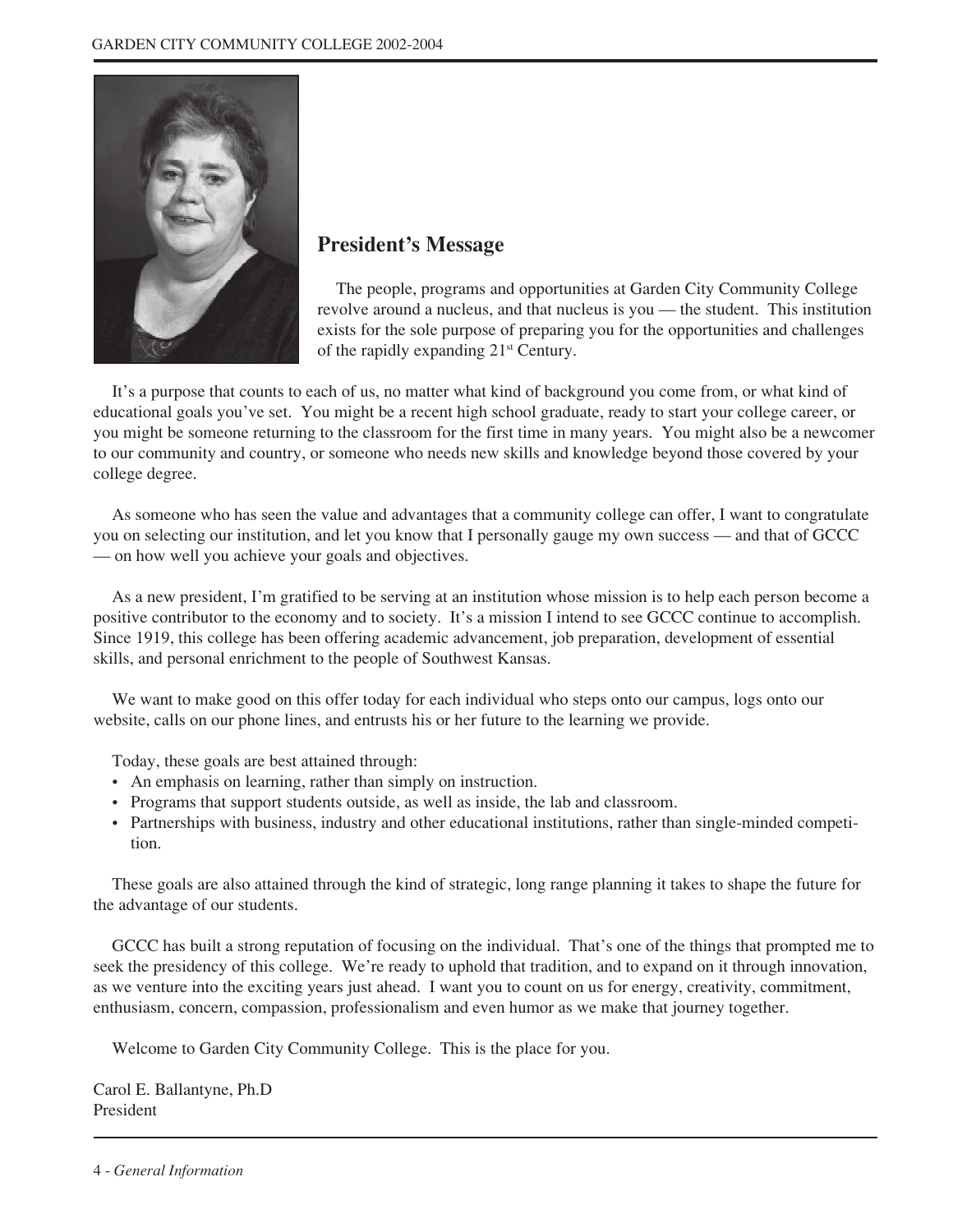

#### **President's Message**

The people, programs and opportunities at Garden City Community College revolve around a nucleus, and that nucleus is you — the student. This institution exists for the sole purpose of preparing you for the opportunities and challenges of the rapidly expanding 21<sup>st</sup> Century.

It's a purpose that counts to each of us, no matter what kind of background you come from, or what kind of educational goals you've set. You might be a recent high school graduate, ready to start your college career, or you might be someone returning to the classroom for the first time in many years. You might also be a newcomer to our community and country, or someone who needs new skills and knowledge beyond those covered by your college degree.

As someone who has seen the value and advantages that a community college can offer, I want to congratulate you on selecting our institution, and let you know that I personally gauge my own success — and that of GCCC — on how well you achieve your goals and objectives.

As a new president, I'm gratified to be serving at an institution whose mission is to help each person become a positive contributor to the economy and to society. It's a mission I intend to see GCCC continue to accomplish. Since 1919, this college has been offering academic advancement, job preparation, development of essential skills, and personal enrichment to the people of Southwest Kansas.

We want to make good on this offer today for each individual who steps onto our campus, logs onto our website, calls on our phone lines, and entrusts his or her future to the learning we provide.

Today, these goals are best attained through:

- An emphasis on learning, rather than simply on instruction.
- Programs that support students outside, as well as inside, the lab and classroom.
- Partnerships with business, industry and other educational institutions, rather than single-minded competition.

These goals are also attained through the kind of strategic, long range planning it takes to shape the future for the advantage of our students.

GCCC has built a strong reputation of focusing on the individual. That's one of the things that prompted me to seek the presidency of this college. We're ready to uphold that tradition, and to expand on it through innovation, as we venture into the exciting years just ahead. I want you to count on us for energy, creativity, commitment, enthusiasm, concern, compassion, professionalism and even humor as we make that journey together.

Welcome to Garden City Community College. This is the place for you.

Carol E. Ballantyne, Ph.D President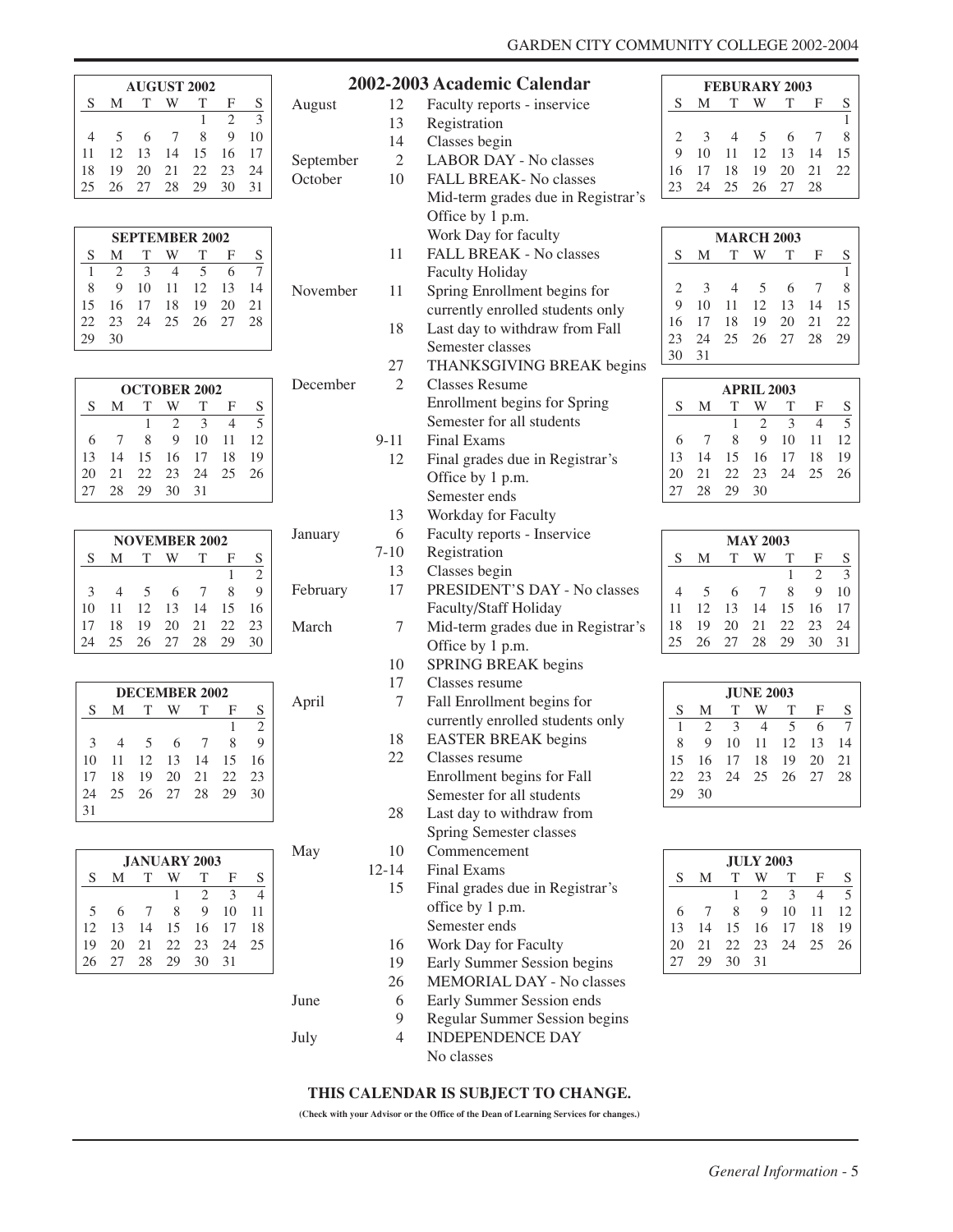|  |  | GARDEN CITY COMMUNITY COLLEGE 2002-2004 |
|--|--|-----------------------------------------|
|--|--|-----------------------------------------|

| <b>AUGUST 2002</b> |                          |    |     |    |    |               |  |  |  |  |
|--------------------|--------------------------|----|-----|----|----|---------------|--|--|--|--|
| S                  | М                        | т  |     | т  | F  | S             |  |  |  |  |
|                    |                          |    |     |    | 2  | $\mathcal{R}$ |  |  |  |  |
| $\overline{4}$     | $\overline{\mathcal{L}}$ | 6  |     | 8  | 9  | 10            |  |  |  |  |
| 11                 | 12                       | 13 | -14 | 15 | 16 | 17            |  |  |  |  |
| 18                 | 19                       | 20 | 21  | 22 | 23 | 24            |  |  |  |  |
| 25                 | 26                       | 27 | 28  | 29 | 30 | 31            |  |  |  |  |

| <b>SEPTEMBER 2002</b> |               |    |     |          |    |    |  |  |  |  |
|-----------------------|---------------|----|-----|----------|----|----|--|--|--|--|
| S                     | M             | т  |     |          | F  | S  |  |  |  |  |
|                       | $\mathcal{L}$ | 3  |     | 5        | 6  |    |  |  |  |  |
| $\mathbf{R}$          | 9             | 10 | 11  | 12       | 13 | 14 |  |  |  |  |
| 15                    | 16            | 17 | -18 | 19       | 20 | 21 |  |  |  |  |
| 22                    | 23            | 24 |     | 25 26 27 |    | 28 |  |  |  |  |
|                       | 30            |    |     |          |    |    |  |  |  |  |

| <b>OCTOBER 2002</b> |    |       |                             |               |    |    |  |  |  |  |  |
|---------------------|----|-------|-----------------------------|---------------|----|----|--|--|--|--|--|
| S                   | M  |       |                             |               | F  | S  |  |  |  |  |  |
|                     |    |       | $\mathcal{D}_{\mathcal{L}}$ | $\mathcal{R}$ |    | 5  |  |  |  |  |  |
| 6                   |    | 8     | 9                           | 10            | 11 | 12 |  |  |  |  |  |
| 13                  | 14 |       |                             | 15 16 17 18   |    | 19 |  |  |  |  |  |
| 20                  | 21 | 22 23 |                             | 24            | 25 | 26 |  |  |  |  |  |
|                     | 28 | 29    | 30                          | 31            |    |    |  |  |  |  |  |

| <b>NOVEMBER 2002</b> |    |       |      |     |    |                                                                                                                                                                 |  |  |  |  |  |
|----------------------|----|-------|------|-----|----|-----------------------------------------------------------------------------------------------------------------------------------------------------------------|--|--|--|--|--|
| S                    | М  | T     |      |     | F  | S                                                                                                                                                               |  |  |  |  |  |
|                      |    |       |      |     |    | $\mathcal{D}_{\mathcal{L}}^{\mathcal{L}}(\mathcal{L})=\mathcal{L}_{\mathcal{L}}^{\mathcal{L}}(\mathcal{L})\mathcal{L}_{\mathcal{L}}^{\mathcal{L}}(\mathcal{L})$ |  |  |  |  |  |
| $\mathcal{R}$        |    | -5    | 6    |     | 8  | Q                                                                                                                                                               |  |  |  |  |  |
| 10                   | 11 | 12    | - 13 | -14 | 15 | 16                                                                                                                                                              |  |  |  |  |  |
|                      | 18 | 19    | -20  | -21 | 22 | 23                                                                                                                                                              |  |  |  |  |  |
|                      | 25 | 26 27 |      | 28  | 29 | 30                                                                                                                                                              |  |  |  |  |  |

| <b>DECEMBER 2002</b> |    |          |       |      |    |                          |  |  |  |  |  |
|----------------------|----|----------|-------|------|----|--------------------------|--|--|--|--|--|
| S                    | М  | T        |       | т    | F  | S                        |  |  |  |  |  |
|                      |    |          |       |      |    | $\mathfrak{D}_{1}^{(1)}$ |  |  |  |  |  |
| $\mathcal{R}$        |    | -5       | 6     | - 7  | 8  | 9                        |  |  |  |  |  |
| 10                   | 11 |          | 12 13 | - 14 | 15 | 16                       |  |  |  |  |  |
|                      | 18 | 19       | - 20  | 21   | 22 | 23                       |  |  |  |  |  |
| 24                   | 25 | 26 27 28 |       |      | 29 | 30                       |  |  |  |  |  |
| 31                   |    |          |       |      |    |                          |  |  |  |  |  |

|                          |       |     | <b>JANUARY 2003</b> |                               |               |     |
|--------------------------|-------|-----|---------------------|-------------------------------|---------------|-----|
|                          |       |     |                     |                               |               |     |
| S                        | М     | Т   |                     | Т                             | F             | S   |
|                          |       |     |                     | $\mathfrak{D}_{\mathfrak{p}}$ | $\mathcal{R}$ |     |
| $\overline{\mathcal{L}}$ | 6     |     | 8                   | $\mathbf Q$                   | 10            | 11  |
| 12                       | 13    | -14 | 15                  | 16 17                         |               | 18  |
| 19                       | 20    |     | 21 22 23            |                               | -24           | -25 |
|                          | 27 28 |     | 29                  | 30                            | 31            |     |

| 2002-2003 Academic Calendar |  |
|-----------------------------|--|
|                             |  |

- August 12 Faculty reports inservice 13 Registration
	- 14 Classes begin
- September 2 LABOR DAY No classes
	-
- October 10 FALL BREAK- No classes Mid-term grades due in Registrar's Office by 1 p.m.
	- Work Day for faculty 11 FALL BREAK - No classes
	- Faculty Holiday
- November 11 Spring Enrollment begins for currently enrolled students only 18 Last day to withdraw from Fall
	- Semester classes 27 THANKSGIVING BREAK begins
- December 2 Classes Resume Enrollment begins for Spring
	- Semester for all students 9-11 Final Exams
		- 12 Final grades due in Registrar's Office by 1 p.m. Semester ends
	- 13 Workday for Faculty
- January 6 Faculty reports Inservice
	- 7-10 Registration
		- 13 Classes begin
- February 17 PRESIDENT'S DAY No classes Faculty/Staff Holiday
- March 7 Mid-term grades due in Registrar's Office by 1 p.m.
	- 10 SPRING BREAK begins
	- 17 Classes resume
- April 7 Fall Enrollment begins for currently enrolled students only
	- 18 EASTER BREAK begins 22 Classes resume Enrollment begins for Fall Semester for all students
	- 28 Last day to withdraw from Spring Semester classes
- May 10 Commencement
	- 12-14 Final Exams
		- 15 Final grades due in Registrar's office by 1 p.m. Semester ends
		- 16 Work Day for Faculty
		- 19 Early Summer Session begins
		- 26 MEMORIAL DAY No classes
- June 6 Early Summer Session ends
	- 9 Regular Summer Session begins
- July 4 INDEPENDENCE DAY No classes

#### **THIS CALENDAR IS SUBJECT TO CHANGE.**

**(Check with your Advisor or the Office of the Dean of Learning Services for changes.)**

| <b>FEBURARY 2003</b>          |                |                |            |                      |               |    |  |  |  |  |
|-------------------------------|----------------|----------------|------------|----------------------|---------------|----|--|--|--|--|
| S                             | M              | T              |            | т                    | F             | S  |  |  |  |  |
|                               |                |                |            |                      |               |    |  |  |  |  |
| $\mathfrak{D}_{\mathfrak{p}}$ | $\overline{3}$ | $\overline{4}$ | $\sqrt{5}$ | 6                    | $\mathcal{I}$ | 8  |  |  |  |  |
| <b>Q</b>                      |                |                |            | 10 11 12 13 14       |               | 15 |  |  |  |  |
|                               |                |                |            | 16 17 18 19 20 21 22 |               |    |  |  |  |  |
| 23.                           |                |                |            | 24 25 26 27          | -28           |    |  |  |  |  |

| <b>MARCH 2003</b> |               |                   |   |         |     |      |  |  |  |  |  |
|-------------------|---------------|-------------------|---|---------|-----|------|--|--|--|--|--|
| S                 |               | M T               | W | T       | - F | S    |  |  |  |  |  |
|                   |               |                   |   |         |     | 1    |  |  |  |  |  |
| 2                 | $\mathcal{E}$ |                   |   | 4 5 6 7 |     | 8    |  |  |  |  |  |
| $\mathbf Q$       | 10            | 11 12 13 14       |   |         |     | - 15 |  |  |  |  |  |
| 16                |               | 17 18 19 20 21    |   |         |     | 22   |  |  |  |  |  |
| 23                |               | 24 25 26 27 28 29 |   |         |     |      |  |  |  |  |  |
| 30                | -31           |                   |   |         |     |      |  |  |  |  |  |
|                   |               |                   |   |         |     |      |  |  |  |  |  |

|                 | <b>APRIL 2003</b> |                |    |             |       |                          |  |  |  |  |  |  |
|-----------------|-------------------|----------------|----|-------------|-------|--------------------------|--|--|--|--|--|--|
| S               | М                 | т              | W  | $\mathbf T$ | F     | S                        |  |  |  |  |  |  |
|                 |                   | 1              |    | $2^3$       | 4     | $\overline{\mathcal{L}}$ |  |  |  |  |  |  |
| 6               | - 7               | 8              | 9  | 10          | $-11$ | $-12$                    |  |  |  |  |  |  |
| 13 <sup>7</sup> | 14                |                |    | 15 16 17 18 |       | 19                       |  |  |  |  |  |  |
| 20              |                   | 21 22 23 24 25 |    |             |       | 26                       |  |  |  |  |  |  |
| 27              | 28                | 29             | 30 |             |       |                          |  |  |  |  |  |  |

| <b>MAY 2003</b> |    |    |     |    |                             |               |  |  |  |
|-----------------|----|----|-----|----|-----------------------------|---------------|--|--|--|
| S               | M  | т  |     | т  | F                           | S             |  |  |  |
|                 |    |    |     |    | $\mathcal{D}_{\mathcal{A}}$ | $\mathcal{R}$ |  |  |  |
|                 | -5 | 6  | -7  | 8  | $\mathbf Q$                 | 10            |  |  |  |
| 11              | 12 | 13 | -14 | 15 | 16                          | 17            |  |  |  |
| 18              | 19 | 20 | 21  | 22 | 23                          | 24            |  |  |  |
|                 | 26 | 27 | 28  | 29 | 30                          | 31            |  |  |  |

| <b>JUNE 2003</b> |                             |               |                |    |    |                   |  |  |  |
|------------------|-----------------------------|---------------|----------------|----|----|-------------------|--|--|--|
| S                | М                           | T             | W              | T  | F  | S                 |  |  |  |
| 1                | $\mathcal{D}_{\mathcal{L}}$ | $\mathcal{R}$ | $\overline{4}$ | -5 | 6  |                   |  |  |  |
| 8                | 9                           | 10            | -11-           |    |    | -14               |  |  |  |
| 15               | 16                          | 17            | -18            | 19 | 20 | $-21$             |  |  |  |
| 22.              | 23                          | 24            |                |    |    | 28                |  |  |  |
| 29               | 30                          |               |                |    |    |                   |  |  |  |
|                  |                             |               |                |    |    | 12 13<br>25 26 27 |  |  |  |

| <b>JULY 2003</b> |    |    |                               |       |                |                |  |  |  |
|------------------|----|----|-------------------------------|-------|----------------|----------------|--|--|--|
| S                | M  | Т  |                               | T     | F              | S              |  |  |  |
|                  |    | 1  | $\mathfrak{D}_{\mathfrak{p}}$ | 3     | $\overline{A}$ | $\overline{5}$ |  |  |  |
| 6                | 7  | 8  | 9                             | 10    | 11             | 12             |  |  |  |
| 13               | 14 | 15 |                               | 16 17 | 18             | 19             |  |  |  |
| 20               | 21 | 22 | -23                           | -24   | 25             | 26             |  |  |  |
| 27               | 29 | 30 | 31                            |       |                |                |  |  |  |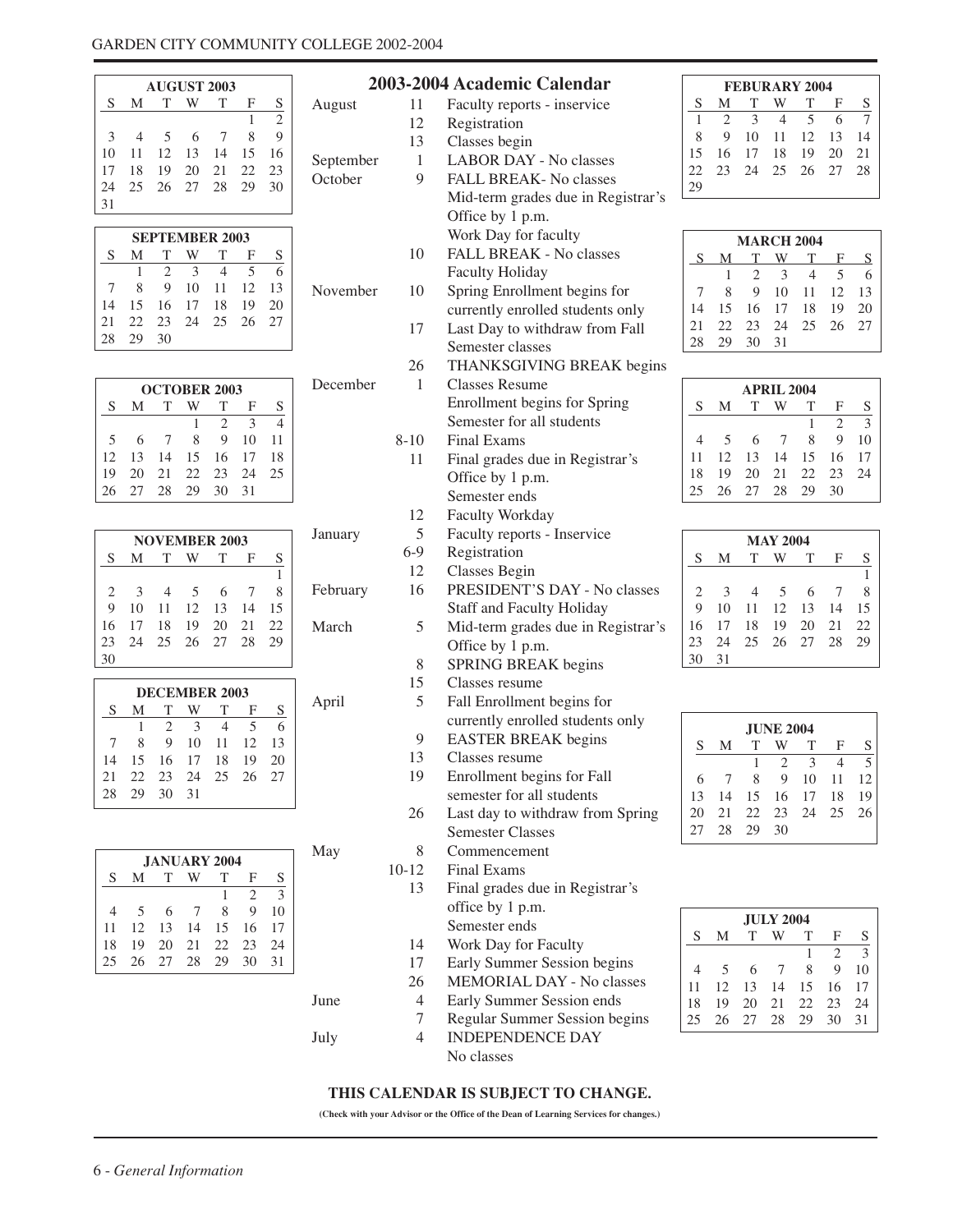#### GARDEN CITY COMMUNITY COLLEGE 2002-2004

|               | <b>AUGUST 2003</b> |                |    |    |    |                |  |  |  |
|---------------|--------------------|----------------|----|----|----|----------------|--|--|--|
| S             | M                  | T              | W  | T  | F  | S              |  |  |  |
|               |                    |                |    |    |    | $\overline{2}$ |  |  |  |
| $\mathcal{E}$ | $\overline{A}$     | $\overline{5}$ | 6  | 7  | 8  | 9              |  |  |  |
| 10            | 11                 | 12             | 13 | 14 | 15 | 16             |  |  |  |
| 17            | 18                 | 19             | 20 | 21 | 22 | 23             |  |  |  |
| 24            | 25                 | 26             | 27 | 28 | 29 | 30             |  |  |  |
| 31            |                    |                |    |    |    |                |  |  |  |

| <b>SEPTEMBER 2003</b> |    |                               |               |                   |      |     |  |  |  |
|-----------------------|----|-------------------------------|---------------|-------------------|------|-----|--|--|--|
| S                     | М  | T                             |               | Т                 | F    | S   |  |  |  |
|                       | 1  | $\mathfrak{D}_{\mathfrak{p}}$ | $\mathcal{R}$ |                   | 5    | 6   |  |  |  |
|                       | 8  | 9                             | 10            | -11-              | 12   | -13 |  |  |  |
| 14                    |    | 15 16 17 18                   |               |                   | - 19 | 20  |  |  |  |
| 21                    |    |                               |               | 22 23 24 25 26 27 |      |     |  |  |  |
|                       | 29 | 30                            |               |                   |      |     |  |  |  |

| <b>OCTOBER 2003</b>      |       |             |    |             |     |    |  |  |
|--------------------------|-------|-------------|----|-------------|-----|----|--|--|
| S                        | M     | Т           |    |             | F   | S  |  |  |
|                          |       |             |    | 2           | κ   |    |  |  |
| $\overline{\mathcal{L}}$ | 6     |             | 8  | $\mathbf Q$ | 10  |    |  |  |
| 12                       | 13    | 14 15 16 17 |    |             |     | 18 |  |  |
| 19                       | 20    | 21 22 23 24 |    |             |     | 25 |  |  |
| 26                       | 27 28 |             | 29 | 30          | -31 |    |  |  |

| <b>NOVEMBER 2003</b> |               |             |     |               |     |     |  |  |  |
|----------------------|---------------|-------------|-----|---------------|-----|-----|--|--|--|
| S                    | M             | T           |     | т             | F   | S   |  |  |  |
|                      |               |             |     |               |     |     |  |  |  |
| 2                    | $\mathcal{F}$ |             | - 5 | 6             |     | 8   |  |  |  |
| 9                    | 10            | 11          |     | $12 \quad 13$ | -14 | 15  |  |  |  |
| 16                   | 17            | 18          | 19  | 20            | 21  | 22. |  |  |  |
| 23                   | 24            | 25 26 27 28 |     |               |     | 29  |  |  |  |
|                      |               |             |     |               |     |     |  |  |  |

| <b>DECEMBER 2003</b> |    |               |                |          |    |    |  |  |  |
|----------------------|----|---------------|----------------|----------|----|----|--|--|--|
| S                    |    | т             |                | т        | н  | S  |  |  |  |
|                      |    | $\mathcal{L}$ | $\mathcal{E}$  |          | 5  |    |  |  |  |
|                      | 8  | 9             |                | 10 11 12 |    | 13 |  |  |  |
| 14                   |    |               | 15 16 17 18    |          | 19 | 20 |  |  |  |
| 21                   |    |               | 22 23 24 25 26 |          |    | 27 |  |  |  |
| 28                   | 29 | -30           | -31            |          |    |    |  |  |  |

|    | <b>JANUARY 2004</b> |    |     |    |                             |               |  |  |  |  |
|----|---------------------|----|-----|----|-----------------------------|---------------|--|--|--|--|
| S  | М                   | т  |     |    | F                           | S             |  |  |  |  |
|    |                     |    |     |    | $\mathcal{D}_{\mathcal{L}}$ | $\mathcal{R}$ |  |  |  |  |
|    | 5                   | 6  | -7  | 8  | 9                           | 10            |  |  |  |  |
| 11 | 12                  | 13 | -14 | 15 | 16                          | 17            |  |  |  |  |
| 18 | 19                  | 20 | 21  | 22 | 23                          | 24            |  |  |  |  |
|    | 26                  | 27 | 28  | 29 | 30                          | 31            |  |  |  |  |

#### **2003-2004 Academic Calendar**

- August 11 Faculty reports inservice
	- 12 Registration
	- 13 Classes begin

September 1 LABOR DAY - No classes

- October 9 FALL BREAK- No classes Mid-term grades due in Registrar's Office by 1 p.m. Work Day for faculty
	- 10 FALL BREAK No classes
- Faculty Holiday November 10 Spring Enrollment begins for currently enrolled students only 17 Last Day to withdraw from Fall
- Semester classes 26 THANKSGIVING BREAK begins December 1 Classes Resume Enrollment begins for Spring
	- Semester for all students 8-10 Final Exams
		- 11 Final grades due in Registrar's Office by 1 p.m. Semester ends
		- 12 Faculty Workday
- January 5 Faculty reports Inservice
	- 6-9 Registration
		- 12 Classes Begin
- February 16 PRESIDENT'S DAY No classes Staff and Faculty Holiday March 5 Mid-term grades due in Registrar's Office by 1 p.m.
	- 8 SPRING BREAK begins
	- 15 Classes resume
- April 5 Fall Enrollment begins for currently enrolled students only
	- 9 EASTER BREAK begins
	- 13 Classes resume
	- 19 Enrollment begins for Fall semester for all students
	- 26 Last day to withdraw from Spring Semester Classes
- May 8 Commencement
	- 10-12 Final Exams
		- 13 Final grades due in Registrar's office by 1 p.m. Semester ends
		- 14 Work Day for Faculty
		- 17 Early Summer Session begins
		- 26 MEMORIAL DAY No classes
- June 4 Early Summer Session ends
- 7 Regular Summer Session begins July 4 INDEPENDENCE DAY
	- No classes

| <b>FEBURARY 2004</b> |                             |               |                |                                 |   |       |  |  |  |
|----------------------|-----------------------------|---------------|----------------|---------------------------------|---|-------|--|--|--|
| S                    | M                           | T             | W              | T                               | F | S     |  |  |  |
| 1                    | $\mathcal{D}_{\mathcal{L}}$ | $\mathcal{E}$ | $\overline{4}$ | .5                              | 6 |       |  |  |  |
| 8                    | $\mathbf Q$                 |               |                | $10 \quad 11 \quad 12 \quad 13$ |   | 14    |  |  |  |
| 15                   |                             |               |                | 16 17 18 19 20                  |   | $-21$ |  |  |  |
| 22.                  |                             |               |                | 23 24 25 26 27                  |   | 28    |  |  |  |
| 29                   |                             |               |                |                                 |   |       |  |  |  |

| <b>MARCH 2004</b> |       |                      |               |  |  |   |  |  |  |
|-------------------|-------|----------------------|---------------|--|--|---|--|--|--|
| $S_{-}$           |       | M T W T F            |               |  |  | S |  |  |  |
|                   |       | $1 \t2 \t3 \t4 \t5$  |               |  |  | 6 |  |  |  |
|                   | 8     |                      | 9 10 11 12 13 |  |  |   |  |  |  |
|                   |       | 14 15 16 17 18 19 20 |               |  |  |   |  |  |  |
|                   |       | 21 22 23 24 25 26 27 |               |  |  |   |  |  |  |
| 28                | 29 30 |                      | $-31$         |  |  |   |  |  |  |

| <b>APRIL 2004</b> |                          |       |                |    |                |               |  |  |  |
|-------------------|--------------------------|-------|----------------|----|----------------|---------------|--|--|--|
| S                 | M                        | T     |                | т  | F              | S             |  |  |  |
|                   |                          |       |                |    | $\overline{2}$ | $\mathcal{R}$ |  |  |  |
| 4                 | $\overline{\mathcal{L}}$ | 6     | $\overline{7}$ | 8  | $\mathbf Q$    | 10            |  |  |  |
| 11                | 12                       | 13    | - 14           | 15 | - 16           | 17            |  |  |  |
| 18                | 19                       | -20   | 21 22          |    | - 23           | 24            |  |  |  |
| 25                |                          | 26 27 | -28            | 29 | 30             |               |  |  |  |

| <b>MAY 2004</b> |    |    |            |    |     |    |
|-----------------|----|----|------------|----|-----|----|
| S               | M  | T  |            | Т  | F   | S  |
|                 |    |    |            |    |     |    |
| 2               | 3  |    | $\sqrt{5}$ | 6  |     | 8  |
| $\mathbf Q$     | 10 | 11 | 12         | 13 | 14  | 15 |
| 16              | 17 | 18 | 19         | 20 | 21  | 22 |
| 23              | 24 |    | 25 26 27   |    | -28 | 29 |
|                 | 31 |    |            |    |     |    |

| <b>JUNE 2004</b> |    |    |                             |    |     |    |
|------------------|----|----|-----------------------------|----|-----|----|
| S                | M  | т  |                             | т  | F   |    |
|                  |    |    | $\mathcal{D}_{\mathcal{A}}$ | 3  |     |    |
| 6                |    | 8  | 9                           | 10 | 11  | 12 |
| 13               | 14 | 15 | 16                          | 17 | 18  | 19 |
| 20               | 21 | 22 | - 23                        | 24 | -25 | 26 |
|                  | 28 | 29 | 30                          |    |     |    |

| <b>JULY 2004</b> |    |             |    |          |                             |               |
|------------------|----|-------------|----|----------|-----------------------------|---------------|
| S                | M  | т           | W  | т        | F                           | S             |
|                  |    |             |    |          | $\mathcal{D}_{\mathcal{L}}$ | $\mathcal{R}$ |
| 4                | -5 | 6           | -7 | 8        | 9                           | 10            |
| 11               |    | 12 13 14 15 |    |          | 16                          | 17            |
| 18               | 19 | 20          |    | 21 22 23 |                             | 24            |
| 25               | 26 | 27          | 28 | 29       | 30                          | 31            |

#### **THIS CALENDAR IS SUBJECT TO CHANGE.**

**(Check with your Advisor or the Office of the Dean of Learning Services for changes.)**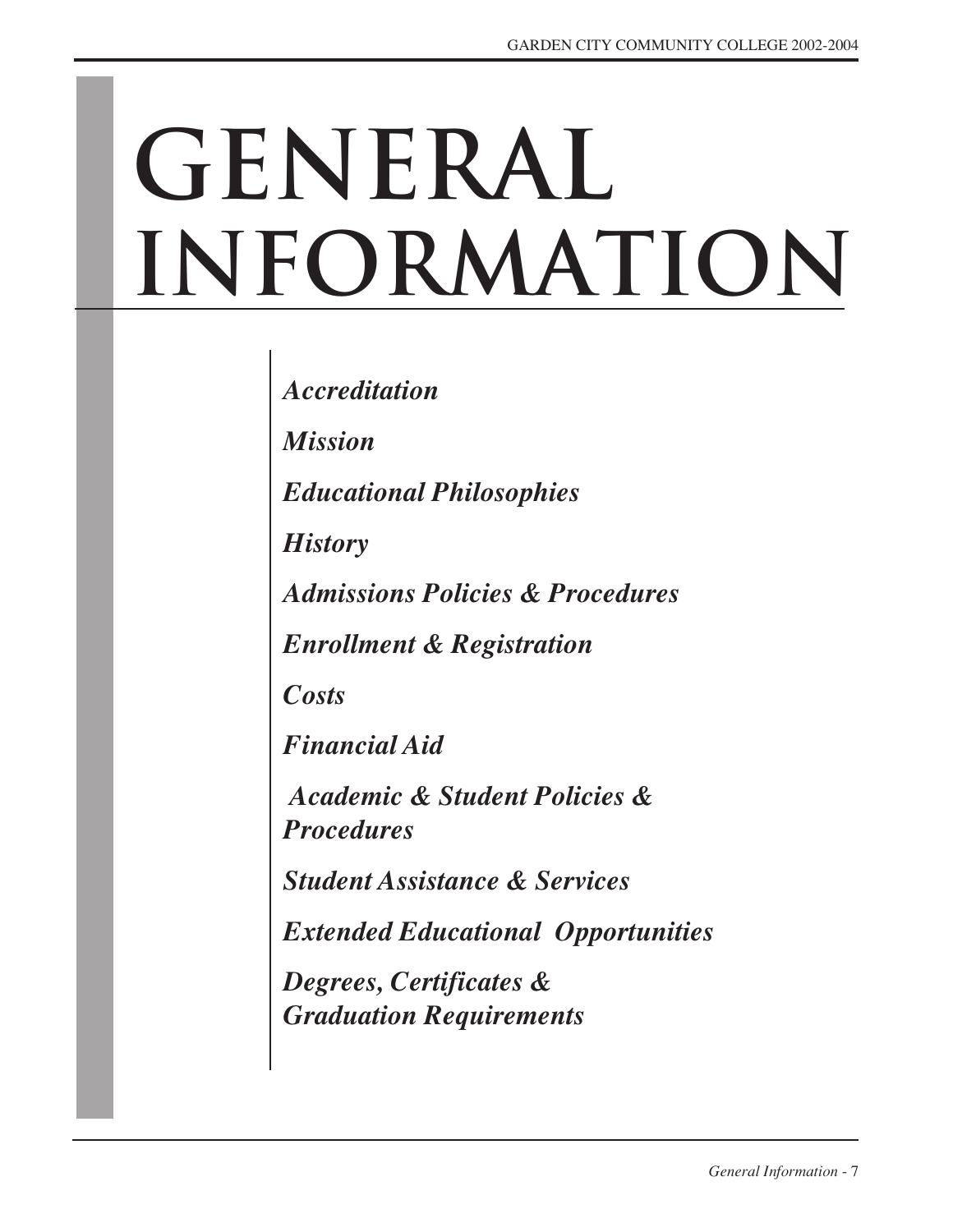# **GENERAL Information**

*Accreditation Mission Educational Philosophies History Admissions Policies & Procedures Enrollment & Registration Costs Financial Aid Academic & Student Policies & Procedures Student Assistance & Services Extended Educational Opportunities Degrees, Certificates & Graduation Requirements*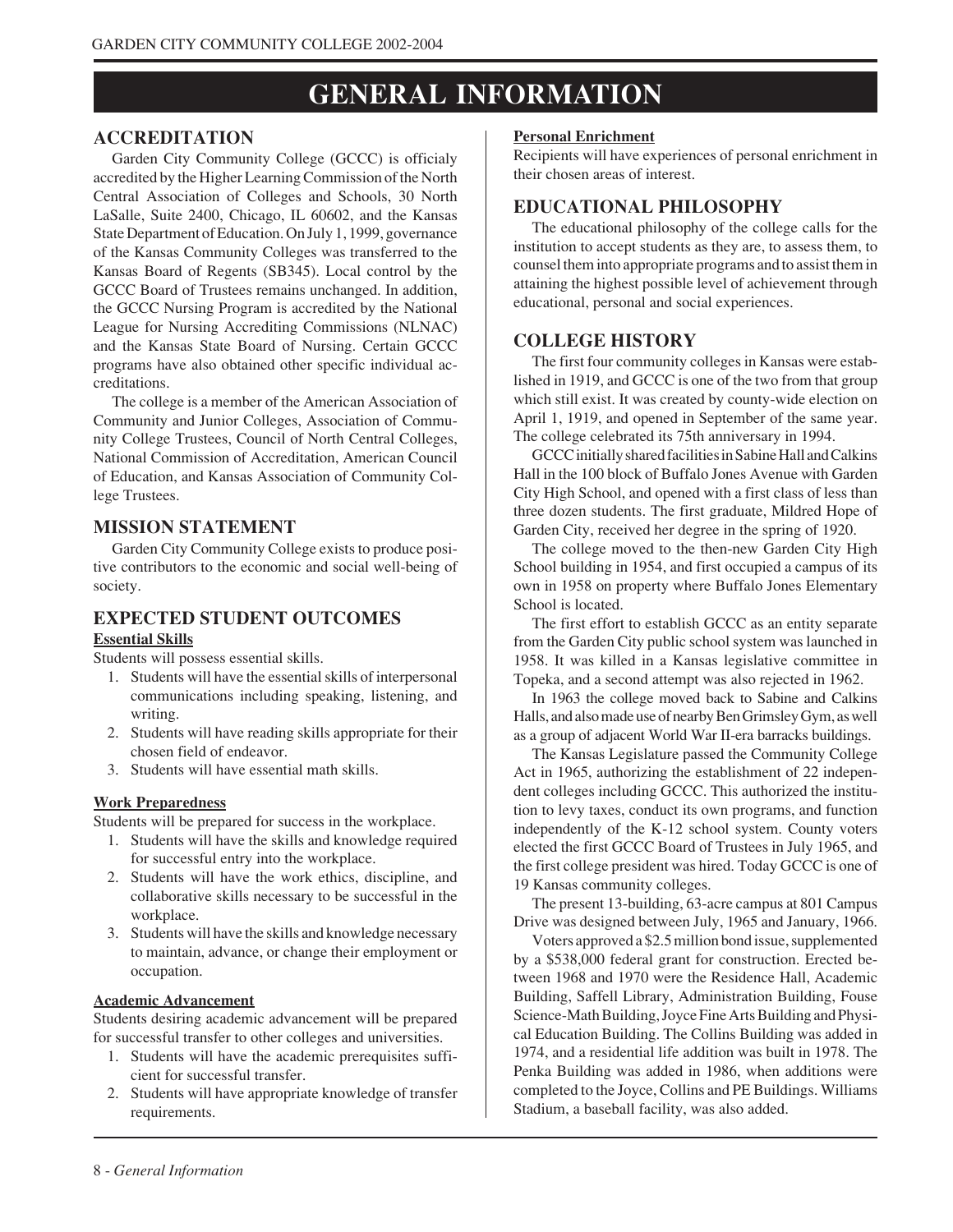## **GENERAL INFORMATION**

#### **ACCREDITATION**

Garden City Community College (GCCC) is officialy accredited by the Higher Learning Commission of the North Central Association of Colleges and Schools, 30 North LaSalle, Suite 2400, Chicago, IL 60602, and the Kansas State Department of Education. On July 1, 1999, governance of the Kansas Community Colleges was transferred to the Kansas Board of Regents (SB345). Local control by the GCCC Board of Trustees remains unchanged. In addition, the GCCC Nursing Program is accredited by the National League for Nursing Accrediting Commissions (NLNAC) and the Kansas State Board of Nursing. Certain GCCC programs have also obtained other specific individual accreditations.

The college is a member of the American Association of Community and Junior Colleges, Association of Community College Trustees, Council of North Central Colleges, National Commission of Accreditation, American Council of Education, and Kansas Association of Community College Trustees.

#### **MISSION STATEMENT**

Garden City Community College exists to produce positive contributors to the economic and social well-being of society.

#### **EXPECTED STUDENT OUTCOMES Essential Skills**

Students will possess essential skills.

- 1. Students will have the essential skills of interpersonal communications including speaking, listening, and writing.
- 2. Students will have reading skills appropriate for their chosen field of endeavor.
- 3. Students will have essential math skills.

#### **Work Preparedness**

Students will be prepared for success in the workplace.

- 1. Students will have the skills and knowledge required for successful entry into the workplace.
- 2. Students will have the work ethics, discipline, and collaborative skills necessary to be successful in the workplace.
- 3. Students will have the skills and knowledge necessary to maintain, advance, or change their employment or occupation.

#### **Academic Advancement**

Students desiring academic advancement will be prepared for successful transfer to other colleges and universities.

- 1. Students will have the academic prerequisites sufficient for successful transfer.
- 2. Students will have appropriate knowledge of transfer requirements.

#### **Personal Enrichment**

Recipients will have experiences of personal enrichment in their chosen areas of interest.

#### **EDUCATIONAL PHILOSOPHY**

The educational philosophy of the college calls for the institution to accept students as they are, to assess them, to counsel them into appropriate programs and to assist them in attaining the highest possible level of achievement through educational, personal and social experiences.

#### **COLLEGE HISTORY**

The first four community colleges in Kansas were established in 1919, and GCCC is one of the two from that group which still exist. It was created by county-wide election on April 1, 1919, and opened in September of the same year. The college celebrated its 75th anniversary in 1994.

GCCC initially shared facilities in Sabine Hall and Calkins Hall in the 100 block of Buffalo Jones Avenue with Garden City High School, and opened with a first class of less than three dozen students. The first graduate, Mildred Hope of Garden City, received her degree in the spring of 1920.

The college moved to the then-new Garden City High School building in 1954, and first occupied a campus of its own in 1958 on property where Buffalo Jones Elementary School is located.

The first effort to establish GCCC as an entity separate from the Garden City public school system was launched in 1958. It was killed in a Kansas legislative committee in Topeka, and a second attempt was also rejected in 1962.

In 1963 the college moved back to Sabine and Calkins Halls, and also made use of nearby Ben Grimsley Gym, as well as a group of adjacent World War II-era barracks buildings.

The Kansas Legislature passed the Community College Act in 1965, authorizing the establishment of 22 independent colleges including GCCC. This authorized the institution to levy taxes, conduct its own programs, and function independently of the K-12 school system. County voters elected the first GCCC Board of Trustees in July 1965, and the first college president was hired. Today GCCC is one of 19 Kansas community colleges.

The present 13-building, 63-acre campus at 801 Campus Drive was designed between July, 1965 and January, 1966.

Voters approved a \$2.5 million bond issue, supplemented by a \$538,000 federal grant for construction. Erected between 1968 and 1970 were the Residence Hall, Academic Building, Saffell Library, Administration Building, Fouse Science-Math Building, Joyce Fine Arts Building and Physical Education Building. The Collins Building was added in 1974, and a residential life addition was built in 1978. The Penka Building was added in 1986, when additions were completed to the Joyce, Collins and PE Buildings. Williams Stadium, a baseball facility, was also added.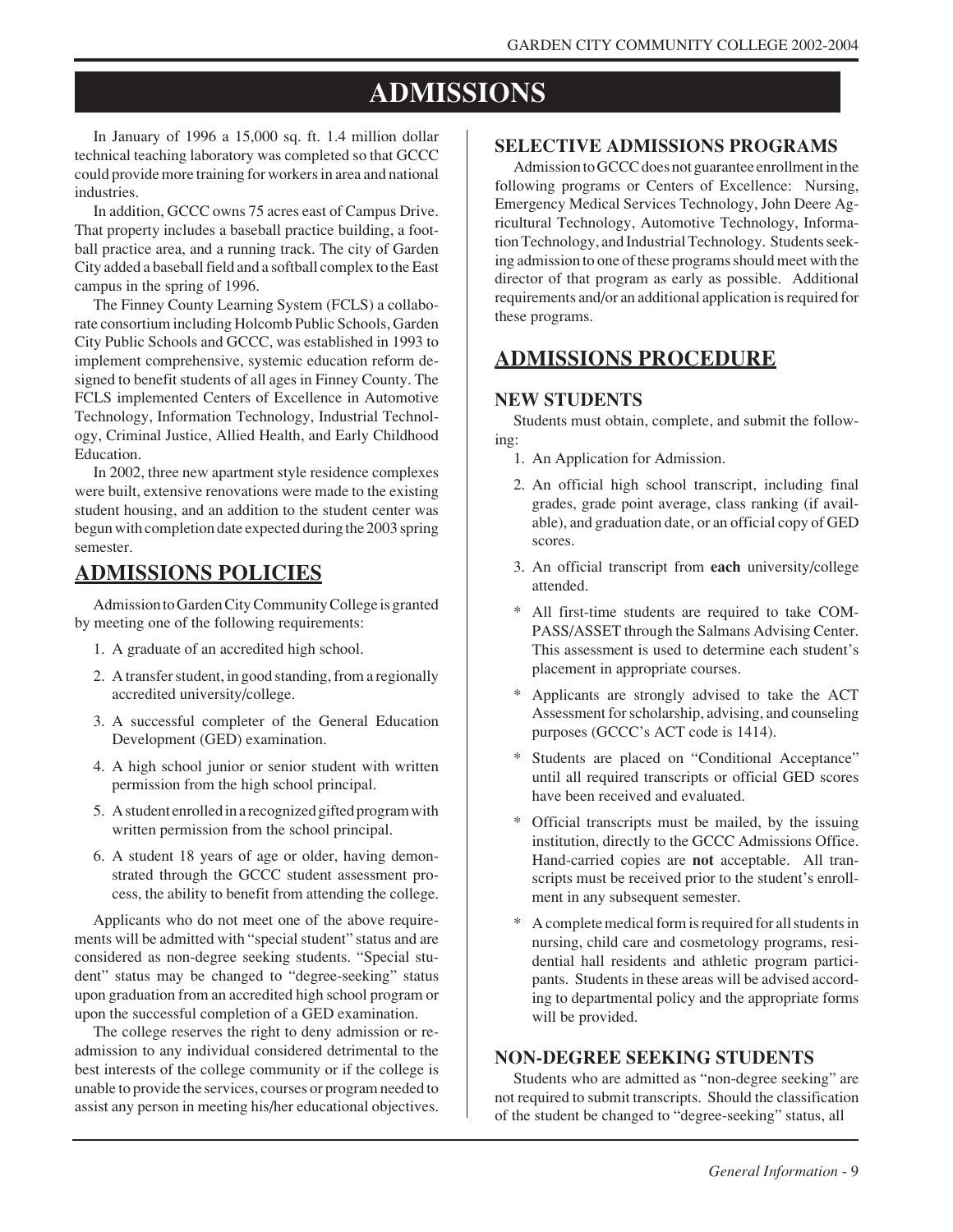## **ADMISSIONS**

In January of 1996 a 15,000 sq. ft. 1.4 million dollar technical teaching laboratory was completed so that GCCC could provide more training for workers in area and national industries.

In addition, GCCC owns 75 acres east of Campus Drive. That property includes a baseball practice building, a football practice area, and a running track. The city of Garden City added a baseball field and a softball complex to the East campus in the spring of 1996.

The Finney County Learning System (FCLS) a collaborate consortium including Holcomb Public Schools, Garden City Public Schools and GCCC, was established in 1993 to implement comprehensive, systemic education reform designed to benefit students of all ages in Finney County. The FCLS implemented Centers of Excellence in Automotive Technology, Information Technology, Industrial Technology, Criminal Justice, Allied Health, and Early Childhood Education.

In 2002, three new apartment style residence complexes were built, extensive renovations were made to the existing student housing, and an addition to the student center was begun with completion date expected during the 2003 spring semester.

#### **ADMISSIONS POLICIES**

Admission to Garden City Community College is granted by meeting one of the following requirements:

- 1. A graduate of an accredited high school.
- 2. A transfer student, in good standing, from a regionally accredited university/college.
- 3. A successful completer of the General Education Development (GED) examination.
- 4. A high school junior or senior student with written permission from the high school principal.
- 5. A student enrolled in a recognized gifted program with written permission from the school principal.
- 6. A student 18 years of age or older, having demonstrated through the GCCC student assessment process, the ability to benefit from attending the college.

Applicants who do not meet one of the above requirements will be admitted with "special student" status and are considered as non-degree seeking students. "Special student" status may be changed to "degree-seeking" status upon graduation from an accredited high school program or upon the successful completion of a GED examination.

The college reserves the right to deny admission or readmission to any individual considered detrimental to the best interests of the college community or if the college is unable to provide the services, courses or program needed to assist any person in meeting his/her educational objectives.

#### **SELECTIVE ADMISSIONS PROGRAMS**

Admission to GCCC does not guarantee enrollment in the following programs or Centers of Excellence: Nursing, Emergency Medical Services Technology, John Deere Agricultural Technology, Automotive Technology, Information Technology, and Industrial Technology. Students seeking admission to one of these programs should meet with the director of that program as early as possible. Additional requirements and/or an additional application is required for these programs.

#### **ADMISSIONS PROCEDURE**

#### **NEW STUDENTS**

Students must obtain, complete, and submit the following:

- 1. An Application for Admission.
- 2. An official high school transcript, including final grades, grade point average, class ranking (if available), and graduation date, or an official copy of GED scores.
- 3. An official transcript from **each** university/college attended.
- \* All first-time students are required to take COM-PASS/ASSET through the Salmans Advising Center. This assessment is used to determine each student's placement in appropriate courses.
- \* Applicants are strongly advised to take the ACT Assessment for scholarship, advising, and counseling purposes (GCCC's ACT code is 1414).
- Students are placed on "Conditional Acceptance" until all required transcripts or official GED scores have been received and evaluated.
- \* Official transcripts must be mailed, by the issuing institution, directly to the GCCC Admissions Office. Hand-carried copies are **not** acceptable. All transcripts must be received prior to the student's enrollment in any subsequent semester.
- \* A complete medical form is required for all students in nursing, child care and cosmetology programs, residential hall residents and athletic program participants. Students in these areas will be advised according to departmental policy and the appropriate forms will be provided.

#### **NON-DEGREE SEEKING STUDENTS**

Students who are admitted as "non-degree seeking" are not required to submit transcripts. Should the classification of the student be changed to "degree-seeking" status, all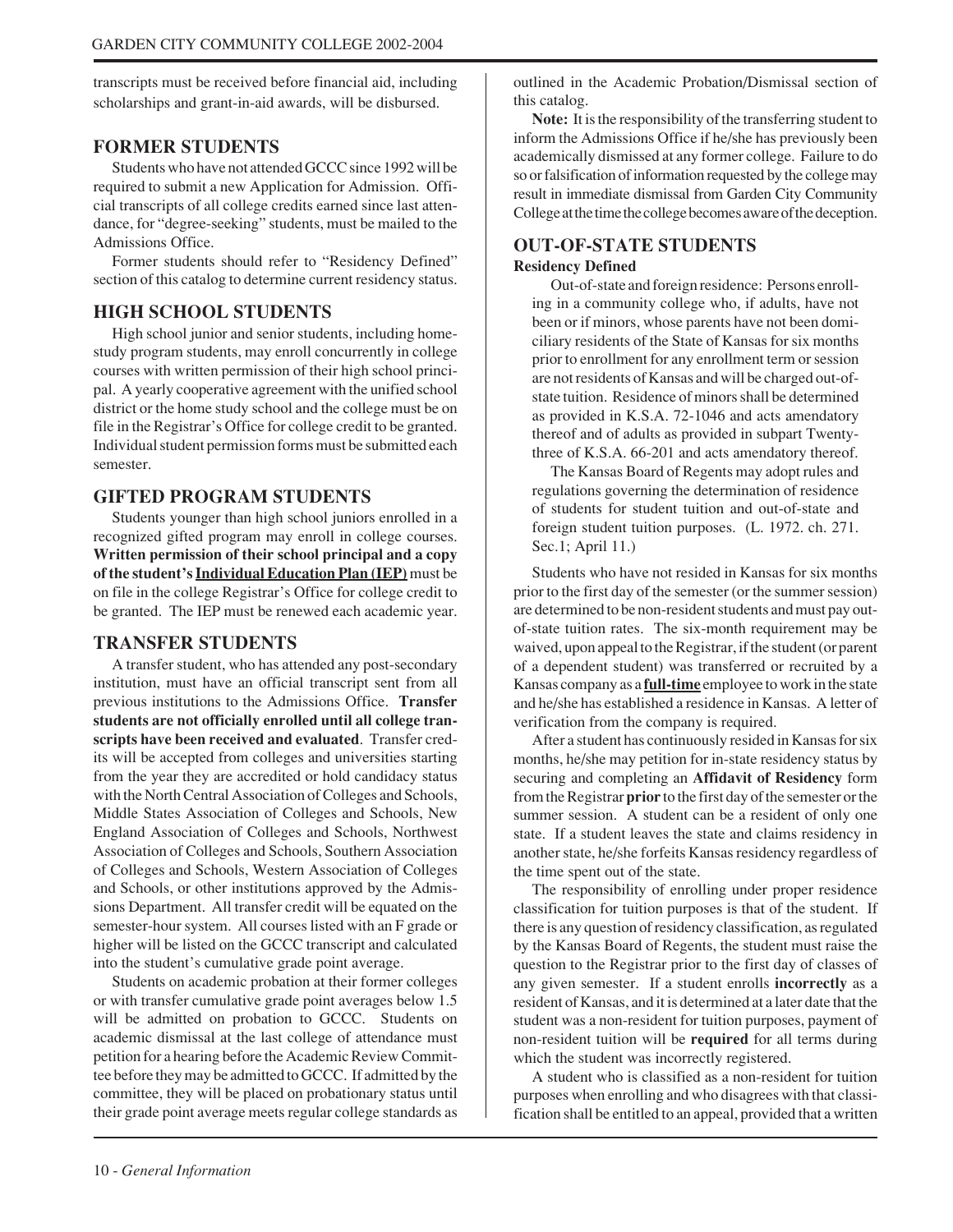transcripts must be received before financial aid, including scholarships and grant-in-aid awards, will be disbursed.

#### **FORMER STUDENTS**

Students who have not attended GCCC since 1992 will be required to submit a new Application for Admission. Official transcripts of all college credits earned since last attendance, for "degree-seeking" students, must be mailed to the Admissions Office.

Former students should refer to "Residency Defined" section of this catalog to determine current residency status.

#### **HIGH SCHOOL STUDENTS**

High school junior and senior students, including homestudy program students, may enroll concurrently in college courses with written permission of their high school principal. A yearly cooperative agreement with the unified school district or the home study school and the college must be on file in the Registrar's Office for college credit to be granted. Individual student permission forms must be submitted each semester.

#### **GIFTED PROGRAM STUDENTS**

Students younger than high school juniors enrolled in a recognized gifted program may enroll in college courses. **Written permission of their school principal and a copy of the student's Individual Education Plan (IEP)** must be on file in the college Registrar's Office for college credit to be granted. The IEP must be renewed each academic year.

#### **TRANSFER STUDENTS**

A transfer student, who has attended any post-secondary institution, must have an official transcript sent from all previous institutions to the Admissions Office. **Transfer students are not officially enrolled until all college transcripts have been received and evaluated**. Transfer credits will be accepted from colleges and universities starting from the year they are accredited or hold candidacy status with the North Central Association of Colleges and Schools, Middle States Association of Colleges and Schools, New England Association of Colleges and Schools, Northwest Association of Colleges and Schools, Southern Association of Colleges and Schools, Western Association of Colleges and Schools, or other institutions approved by the Admissions Department. All transfer credit will be equated on the semester-hour system. All courses listed with an F grade or higher will be listed on the GCCC transcript and calculated into the student's cumulative grade point average.

Students on academic probation at their former colleges or with transfer cumulative grade point averages below 1.5 will be admitted on probation to GCCC. Students on academic dismissal at the last college of attendance must petition for a hearing before the Academic Review Committee before they may be admitted to GCCC. If admitted by the committee, they will be placed on probationary status until their grade point average meets regular college standards as

outlined in the Academic Probation/Dismissal section of this catalog.

**Note:** It is the responsibility of the transferring student to inform the Admissions Office if he/she has previously been academically dismissed at any former college. Failure to do so or falsification of information requested by the college may result in immediate dismissal from Garden City Community College at the time the college becomes aware of the deception.

#### **OUT-OF-STATE STUDENTS Residency Defined**

Out-of-state and foreign residence: Persons enrolling in a community college who, if adults, have not been or if minors, whose parents have not been domiciliary residents of the State of Kansas for six months prior to enrollment for any enrollment term or session are not residents of Kansas and will be charged out-ofstate tuition. Residence of minors shall be determined as provided in K.S.A. 72-1046 and acts amendatory thereof and of adults as provided in subpart Twentythree of K.S.A. 66-201 and acts amendatory thereof.

The Kansas Board of Regents may adopt rules and regulations governing the determination of residence of students for student tuition and out-of-state and foreign student tuition purposes. (L. 1972. ch. 271. Sec.1; April 11.)

Students who have not resided in Kansas for six months prior to the first day of the semester (or the summer session) are determined to be non-resident students and must pay outof-state tuition rates. The six-month requirement may be waived, upon appeal to the Registrar, if the student (or parent of a dependent student) was transferred or recruited by a Kansas company as a **full-time** employee to work in the state and he/she has established a residence in Kansas. A letter of verification from the company is required.

After a student has continuously resided in Kansas for six months, he/she may petition for in-state residency status by securing and completing an **Affidavit of Residency** form from the Registrar **prior** to the first day of the semester or the summer session. A student can be a resident of only one state. If a student leaves the state and claims residency in another state, he/she forfeits Kansas residency regardless of the time spent out of the state.

The responsibility of enrolling under proper residence classification for tuition purposes is that of the student. If there is any question of residency classification, as regulated by the Kansas Board of Regents, the student must raise the question to the Registrar prior to the first day of classes of any given semester. If a student enrolls **incorrectly** as a resident of Kansas, and it is determined at a later date that the student was a non-resident for tuition purposes, payment of non-resident tuition will be **required** for all terms during which the student was incorrectly registered.

A student who is classified as a non-resident for tuition purposes when enrolling and who disagrees with that classification shall be entitled to an appeal, provided that a written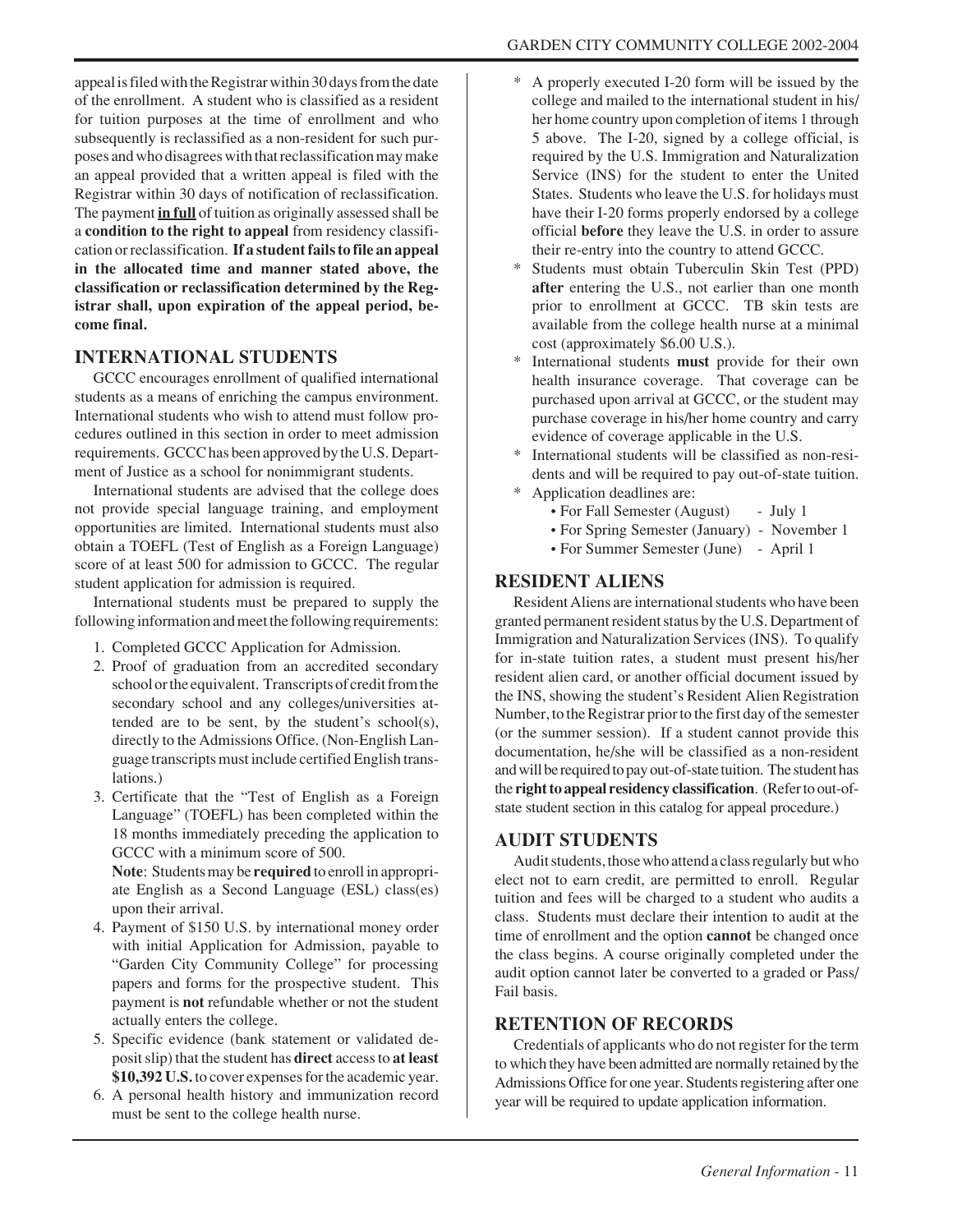appeal is filed with the Registrar within 30 days from the date of the enrollment. A student who is classified as a resident for tuition purposes at the time of enrollment and who subsequently is reclassified as a non-resident for such purposes and who disagrees with that reclassification may make an appeal provided that a written appeal is filed with the Registrar within 30 days of notification of reclassification. The payment **in full** of tuition as originally assessed shall be a **condition to the right to appeal** from residency classification or reclassification. **If a student fails to file an appeal in the allocated time and manner stated above, the classification or reclassification determined by the Registrar shall, upon expiration of the appeal period, become final.**

#### **INTERNATIONAL STUDENTS**

GCCC encourages enrollment of qualified international students as a means of enriching the campus environment. International students who wish to attend must follow procedures outlined in this section in order to meet admission requirements. GCCC has been approved by the U.S. Department of Justice as a school for nonimmigrant students.

International students are advised that the college does not provide special language training, and employment opportunities are limited. International students must also obtain a TOEFL (Test of English as a Foreign Language) score of at least 500 for admission to GCCC. The regular student application for admission is required.

International students must be prepared to supply the following information and meet the following requirements:

- 1. Completed GCCC Application for Admission.
- 2. Proof of graduation from an accredited secondary school or the equivalent. Transcripts of credit from the secondary school and any colleges/universities attended are to be sent, by the student's school(s), directly to the Admissions Office. (Non-English Language transcripts must include certified English translations.)
- 3. Certificate that the "Test of English as a Foreign Language" (TOEFL) has been completed within the 18 months immediately preceding the application to GCCC with a minimum score of 500.

**Note**: Students may be **required** to enroll in appropriate English as a Second Language (ESL) class(es) upon their arrival.

- 4. Payment of \$150 U.S. by international money order with initial Application for Admission, payable to "Garden City Community College" for processing papers and forms for the prospective student. This payment is **not** refundable whether or not the student actually enters the college.
- 5. Specific evidence (bank statement or validated deposit slip) that the student has **direct** access to **at least \$10,392 U.S.** to cover expenses for the academic year.
- 6. A personal health history and immunization record must be sent to the college health nurse.
- \* A properly executed I-20 form will be issued by the college and mailed to the international student in his/ her home country upon completion of items 1 through 5 above. The I-20, signed by a college official, is required by the U.S. Immigration and Naturalization Service (INS) for the student to enter the United States. Students who leave the U.S. for holidays must have their I-20 forms properly endorsed by a college official **before** they leave the U.S. in order to assure their re-entry into the country to attend GCCC.
- Students must obtain Tuberculin Skin Test (PPD) **after** entering the U.S., not earlier than one month prior to enrollment at GCCC. TB skin tests are available from the college health nurse at a minimal cost (approximately \$6.00 U.S.).
- International students **must** provide for their own health insurance coverage. That coverage can be purchased upon arrival at GCCC, or the student may purchase coverage in his/her home country and carry evidence of coverage applicable in the U.S.
- \* International students will be classified as non-residents and will be required to pay out-of-state tuition.
- \* Application deadlines are:
	- For Fall Semester (August) July 1
	- For Spring Semester (January) November 1
	- For Summer Semester (June) April 1

#### **RESIDENT ALIENS**

Resident Aliens are international students who have been granted permanent resident status by the U.S. Department of Immigration and Naturalization Services (INS). To qualify for in-state tuition rates, a student must present his/her resident alien card, or another official document issued by the INS, showing the student's Resident Alien Registration Number, to the Registrar prior to the first day of the semester (or the summer session). If a student cannot provide this documentation, he/she will be classified as a non-resident and will be required to pay out-of-state tuition. The student has the **right to appeal residency classification**. (Refer to out-ofstate student section in this catalog for appeal procedure.)

#### **AUDIT STUDENTS**

Audit students, those who attend a class regularly but who elect not to earn credit, are permitted to enroll. Regular tuition and fees will be charged to a student who audits a class. Students must declare their intention to audit at the time of enrollment and the option **cannot** be changed once the class begins. A course originally completed under the audit option cannot later be converted to a graded or Pass/ Fail basis.

#### **RETENTION OF RECORDS**

Credentials of applicants who do not register for the term to which they have been admitted are normally retained by the Admissions Office for one year. Students registering after one year will be required to update application information.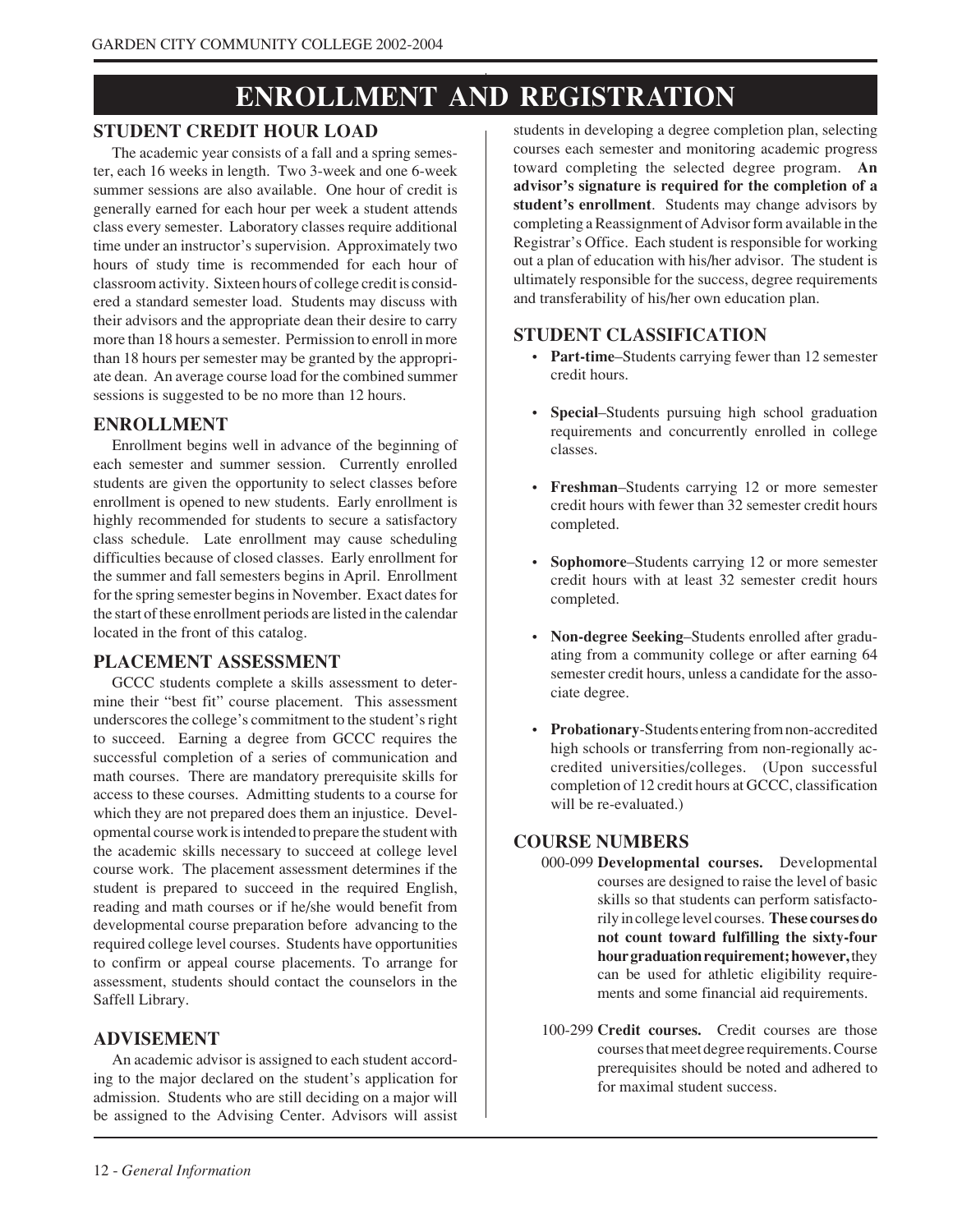## **ENROLLMENT AND REGISTRATION**

#### **STUDENT CREDIT HOUR LOAD**

The academic year consists of a fall and a spring semester, each 16 weeks in length. Two 3-week and one 6-week summer sessions are also available. One hour of credit is generally earned for each hour per week a student attends class every semester. Laboratory classes require additional time under an instructor's supervision. Approximately two hours of study time is recommended for each hour of classroom activity. Sixteen hours of college credit is considered a standard semester load. Students may discuss with their advisors and the appropriate dean their desire to carry more than 18 hours a semester. Permission to enroll in more than 18 hours per semester may be granted by the appropriate dean. An average course load for the combined summer sessions is suggested to be no more than 12 hours.

#### **ENROLLMENT**

Enrollment begins well in advance of the beginning of each semester and summer session. Currently enrolled students are given the opportunity to select classes before enrollment is opened to new students. Early enrollment is highly recommended for students to secure a satisfactory class schedule. Late enrollment may cause scheduling difficulties because of closed classes. Early enrollment for the summer and fall semesters begins in April. Enrollment for the spring semester begins in November. Exact dates for the start of these enrollment periods are listed in the calendar located in the front of this catalog.

#### **PLACEMENT ASSESSMENT**

GCCC students complete a skills assessment to determine their "best fit" course placement. This assessment underscores the college's commitment to the student's right to succeed. Earning a degree from GCCC requires the successful completion of a series of communication and math courses. There are mandatory prerequisite skills for access to these courses. Admitting students to a course for which they are not prepared does them an injustice. Developmental course work is intended to prepare the student with the academic skills necessary to succeed at college level course work. The placement assessment determines if the student is prepared to succeed in the required English, reading and math courses or if he/she would benefit from developmental course preparation before advancing to the required college level courses. Students have opportunities to confirm or appeal course placements. To arrange for assessment, students should contact the counselors in the Saffell Library.

#### **ADVISEMENT**

An academic advisor is assigned to each student according to the major declared on the student's application for admission. Students who are still deciding on a major will be assigned to the Advising Center. Advisors will assist students in developing a degree completion plan, selecting courses each semester and monitoring academic progress toward completing the selected degree program. **An advisor's signature is required for the completion of a student's enrollment**. Students may change advisors by completing a Reassignment of Advisor form available in the Registrar's Office. Each student is responsible for working out a plan of education with his/her advisor. The student is ultimately responsible for the success, degree requirements and transferability of his/her own education plan.

#### **STUDENT CLASSIFICATION**

- **Part-time**–Students carrying fewer than 12 semester credit hours.
- **Special**–Students pursuing high school graduation requirements and concurrently enrolled in college classes.
- **Freshman**–Students carrying 12 or more semester credit hours with fewer than 32 semester credit hours completed.
- **Sophomore**–Students carrying 12 or more semester credit hours with at least 32 semester credit hours completed.
- **Non-degree Seeking**–Students enrolled after graduating from a community college or after earning 64 semester credit hours, unless a candidate for the associate degree.
- **Probationary**-Students entering from non-accredited high schools or transferring from non-regionally accredited universities/colleges. (Upon successful completion of 12 credit hours at GCCC, classification will be re-evaluated.)

#### **COURSE NUMBERS**

- 000-099 **Developmental courses.** Developmental courses are designed to raise the level of basic skills so that students can perform satisfactorily in college level courses. **These courses do not count toward fulfilling the sixty-four hour graduation requirement; however,** they can be used for athletic eligibility requirements and some financial aid requirements.
- 100-299 **Credit courses.** Credit courses are those courses that meet degree requirements. Course prerequisites should be noted and adhered to for maximal student success.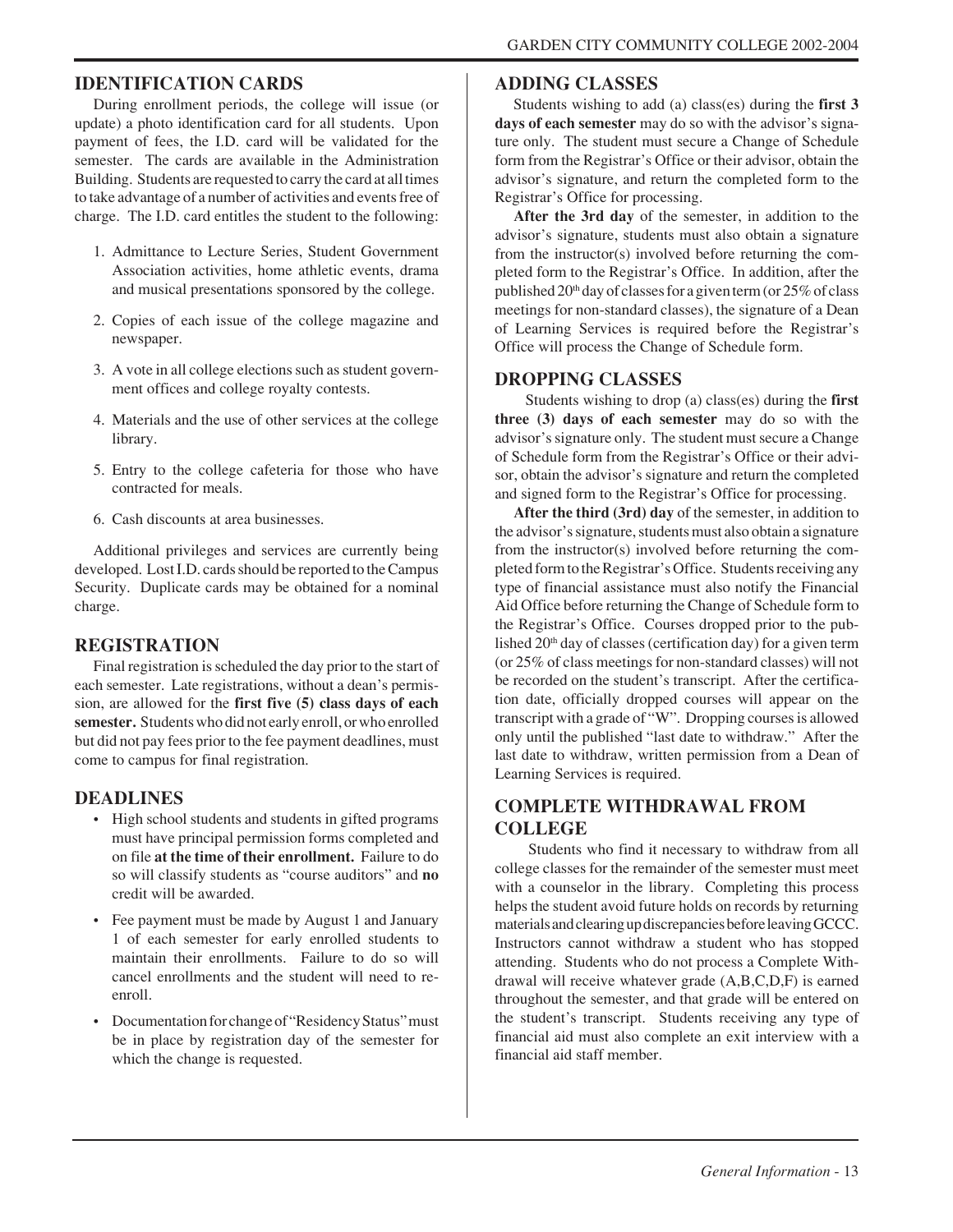#### **IDENTIFICATION CARDS**

During enrollment periods, the college will issue (or update) a photo identification card for all students. Upon payment of fees, the I.D. card will be validated for the semester. The cards are available in the Administration Building. Students are requested to carry the card at all times to take advantage of a number of activities and events free of charge. The I.D. card entitles the student to the following:

- 1. Admittance to Lecture Series, Student Government Association activities, home athletic events, drama and musical presentations sponsored by the college.
- 2. Copies of each issue of the college magazine and newspaper.
- 3. A vote in all college elections such as student government offices and college royalty contests.
- 4. Materials and the use of other services at the college library.
- 5. Entry to the college cafeteria for those who have contracted for meals.
- 6. Cash discounts at area businesses.

Additional privileges and services are currently being developed. Lost I.D. cards should be reported to the Campus Security. Duplicate cards may be obtained for a nominal charge.

#### **REGISTRATION**

Final registration is scheduled the day prior to the start of each semester. Late registrations, without a dean's permission, are allowed for the **first five (5) class days of each semester.** Students who did not early enroll, or who enrolled but did not pay fees prior to the fee payment deadlines, must come to campus for final registration.

#### **DEADLINES**

- High school students and students in gifted programs must have principal permission forms completed and on file **at the time of their enrollment.** Failure to do so will classify students as "course auditors" and **no** credit will be awarded.
- Fee payment must be made by August 1 and January 1 of each semester for early enrolled students to maintain their enrollments. Failure to do so will cancel enrollments and the student will need to reenroll.
- Documentation for change of "Residency Status" must be in place by registration day of the semester for which the change is requested.

#### **ADDING CLASSES**

Students wishing to add (a) class(es) during the **first 3 days of each semester** may do so with the advisor's signature only. The student must secure a Change of Schedule form from the Registrar's Office or their advisor, obtain the advisor's signature, and return the completed form to the Registrar's Office for processing.

**After the 3rd day** of the semester, in addition to the advisor's signature, students must also obtain a signature from the instructor(s) involved before returning the completed form to the Registrar's Office. In addition, after the published  $20<sup>th</sup>$  day of classes for a given term (or  $25\%$  of class meetings for non-standard classes), the signature of a Dean of Learning Services is required before the Registrar's Office will process the Change of Schedule form.

#### **DROPPING CLASSES**

 Students wishing to drop (a) class(es) during the **first three (3) days of each semester** may do so with the advisor's signature only. The student must secure a Change of Schedule form from the Registrar's Office or their advisor, obtain the advisor's signature and return the completed and signed form to the Registrar's Office for processing.

**After the third (3rd) day** of the semester, in addition to the advisor's signature, students must also obtain a signature from the instructor(s) involved before returning the completed form to the Registrar's Office. Students receiving any type of financial assistance must also notify the Financial Aid Office before returning the Change of Schedule form to the Registrar's Office. Courses dropped prior to the published  $20<sup>th</sup>$  day of classes (certification day) for a given term (or 25% of class meetings for non-standard classes) will not be recorded on the student's transcript. After the certification date, officially dropped courses will appear on the transcript with a grade of "W". Dropping courses is allowed only until the published "last date to withdraw." After the last date to withdraw, written permission from a Dean of Learning Services is required.

#### **COMPLETE WITHDRAWAL FROM COLLEGE**

 Students who find it necessary to withdraw from all college classes for the remainder of the semester must meet with a counselor in the library. Completing this process helps the student avoid future holds on records by returning materials and clearing up discrepancies before leaving GCCC. Instructors cannot withdraw a student who has stopped attending. Students who do not process a Complete Withdrawal will receive whatever grade (A,B,C,D,F) is earned throughout the semester, and that grade will be entered on the student's transcript. Students receiving any type of financial aid must also complete an exit interview with a financial aid staff member.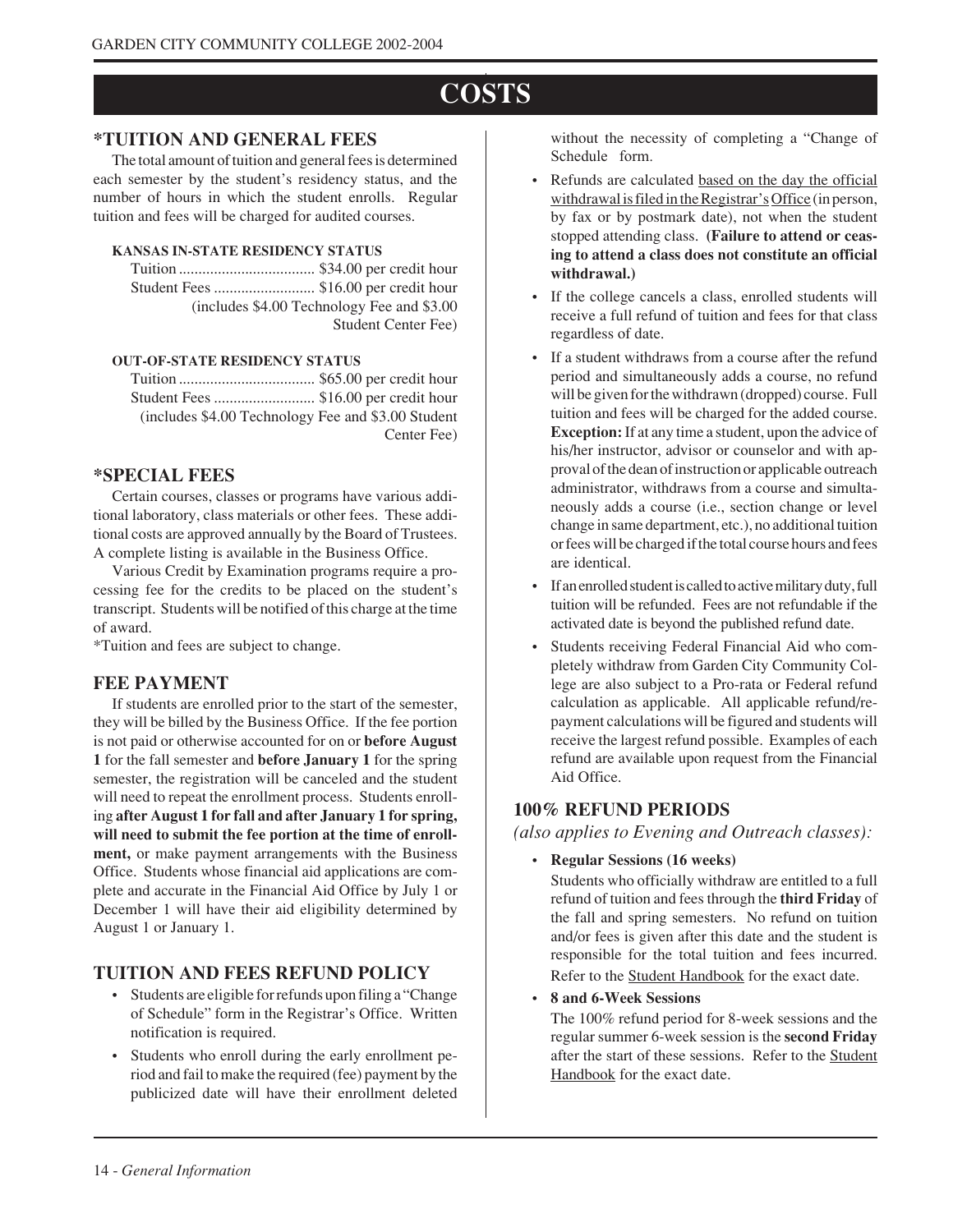## **COSTS**

#### **\*TUITION AND GENERAL FEES**

The total amount of tuition and general fees is determined each semester by the student's residency status, and the number of hours in which the student enrolls. Regular tuition and fees will be charged for audited courses.

#### **KANSAS IN-STATE RESIDENCY STATUS**

Tuition ................................... \$34.00 per credit hour Student Fees .......................... \$16.00 per credit hour (includes \$4.00 Technology Fee and \$3.00 Student Center Fee)

#### **OUT-OF-STATE RESIDENCY STATUS**

Tuition ................................... \$65.00 per credit hour Student Fees .......................... \$16.00 per credit hour (includes \$4.00 Technology Fee and \$3.00 Student Center Fee)

#### **\*SPECIAL FEES**

Certain courses, classes or programs have various additional laboratory, class materials or other fees. These additional costs are approved annually by the Board of Trustees. A complete listing is available in the Business Office.

Various Credit by Examination programs require a processing fee for the credits to be placed on the student's transcript. Students will be notified of this charge at the time of award.

\*Tuition and fees are subject to change.

#### **FEE PAYMENT**

If students are enrolled prior to the start of the semester, they will be billed by the Business Office. If the fee portion is not paid or otherwise accounted for on or **before August 1** for the fall semester and **before January 1** for the spring semester, the registration will be canceled and the student will need to repeat the enrollment process. Students enrolling **after August 1 for fall and after January 1 for spring, will need to submit the fee portion at the time of enrollment,** or make payment arrangements with the Business Office. Students whose financial aid applications are complete and accurate in the Financial Aid Office by July 1 or December 1 will have their aid eligibility determined by August 1 or January 1.

#### **TUITION AND FEES REFUND POLICY**

- Students are eligible for refunds upon filing a "Change of Schedule" form in the Registrar's Office. Written notification is required.
- Students who enroll during the early enrollment period and fail to make the required (fee) payment by the publicized date will have their enrollment deleted

without the necessity of completing a "Change of Schedule form.

- Refunds are calculated based on the day the official withdrawal is filed in the Registrar's Office (in person, by fax or by postmark date), not when the student stopped attending class. **(Failure to attend or ceasing to attend a class does not constitute an official withdrawal.)**
- If the college cancels a class, enrolled students will receive a full refund of tuition and fees for that class regardless of date.
- If a student withdraws from a course after the refund period and simultaneously adds a course, no refund will be given for the withdrawn (dropped) course. Full tuition and fees will be charged for the added course. **Exception:** If at any time a student, upon the advice of his/her instructor, advisor or counselor and with approval of the dean of instruction or applicable outreach administrator, withdraws from a course and simultaneously adds a course (i.e., section change or level change in same department, etc.), no additional tuition or fees will be charged if the total course hours and fees are identical.
- If an enrolled student is called to active military duty, full tuition will be refunded. Fees are not refundable if the activated date is beyond the published refund date.
- Students receiving Federal Financial Aid who completely withdraw from Garden City Community College are also subject to a Pro-rata or Federal refund calculation as applicable. All applicable refund/repayment calculations will be figured and students will receive the largest refund possible. Examples of each refund are available upon request from the Financial Aid Office.

#### **100% REFUND PERIODS**

*(also applies to Evening and Outreach classes):*

**• Regular Sessions (16 weeks)**

Students who officially withdraw are entitled to a full refund of tuition and fees through the **third Friday** of the fall and spring semesters. No refund on tuition and/or fees is given after this date and the student is responsible for the total tuition and fees incurred. Refer to the Student Handbook for the exact date.

**• 8 and 6-Week Sessions**

The 100% refund period for 8-week sessions and the regular summer 6-week session is the **second Friday** after the start of these sessions. Refer to the Student Handbook for the exact date.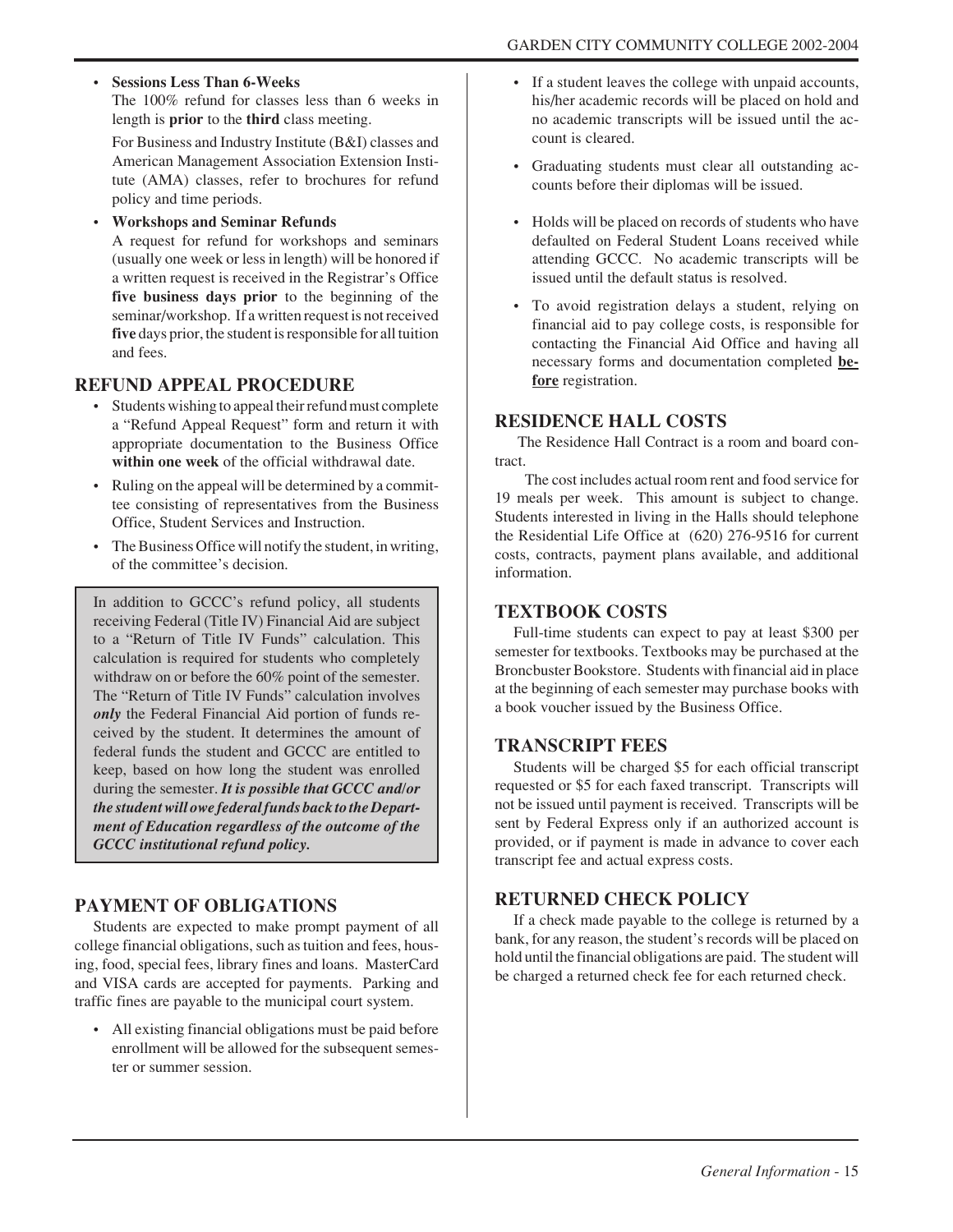#### **• Sessions Less Than 6-Weeks**

The 100% refund for classes less than 6 weeks in length is **prior** to the **third** class meeting.

For Business and Industry Institute (B&I) classes and American Management Association Extension Institute (AMA) classes, refer to brochures for refund policy and time periods.

#### **• Workshops and Seminar Refunds**

A request for refund for workshops and seminars (usually one week or less in length) will be honored if a written request is received in the Registrar's Office **five business days prior** to the beginning of the seminar/workshop. If a written request is not received **five** days prior, the student is responsible for all tuition and fees.

#### **REFUND APPEAL PROCEDURE**

- Students wishing to appeal their refund must complete a "Refund Appeal Request" form and return it with appropriate documentation to the Business Office **within one week** of the official withdrawal date.
- Ruling on the appeal will be determined by a committee consisting of representatives from the Business Office, Student Services and Instruction.
- The Business Office will notify the student, in writing, of the committee's decision.

In addition to GCCC's refund policy, all students receiving Federal (Title IV) Financial Aid are subject to a "Return of Title IV Funds" calculation. This calculation is required for students who completely withdraw on or before the 60% point of the semester. The "Return of Title IV Funds" calculation involves *only* the Federal Financial Aid portion of funds received by the student. It determines the amount of federal funds the student and GCCC are entitled to keep, based on how long the student was enrolled during the semester. *It is possible that GCCC and/or the student will owe federal funds back to the Department of Education regardless of the outcome of the GCCC institutional refund policy.*

#### **PAYMENT OF OBLIGATIONS**

Students are expected to make prompt payment of all college financial obligations, such as tuition and fees, housing, food, special fees, library fines and loans. MasterCard and VISA cards are accepted for payments. Parking and traffic fines are payable to the municipal court system.

• All existing financial obligations must be paid before enrollment will be allowed for the subsequent semester or summer session.

- If a student leaves the college with unpaid accounts, his/her academic records will be placed on hold and no academic transcripts will be issued until the account is cleared.
- Graduating students must clear all outstanding accounts before their diplomas will be issued.
- Holds will be placed on records of students who have defaulted on Federal Student Loans received while attending GCCC. No academic transcripts will be issued until the default status is resolved.
- To avoid registration delays a student, relying on financial aid to pay college costs, is responsible for contacting the Financial Aid Office and having all necessary forms and documentation completed **before** registration.

#### **RESIDENCE HALL COSTS**

 The Residence Hall Contract is a room and board contract.

 The cost includes actual room rent and food service for 19 meals per week. This amount is subject to change. Students interested in living in the Halls should telephone the Residential Life Office at (620) 276-9516 for current costs, contracts, payment plans available, and additional information.

#### **TEXTBOOK COSTS**

Full-time students can expect to pay at least \$300 per semester for textbooks. Textbooks may be purchased at the Broncbuster Bookstore. Students with financial aid in place at the beginning of each semester may purchase books with a book voucher issued by the Business Office.

#### **TRANSCRIPT FEES**

Students will be charged \$5 for each official transcript requested or \$5 for each faxed transcript. Transcripts will not be issued until payment is received. Transcripts will be sent by Federal Express only if an authorized account is provided, or if payment is made in advance to cover each transcript fee and actual express costs.

#### **RETURNED CHECK POLICY**

If a check made payable to the college is returned by a bank, for any reason, the student's records will be placed on hold until the financial obligations are paid. The student will be charged a returned check fee for each returned check.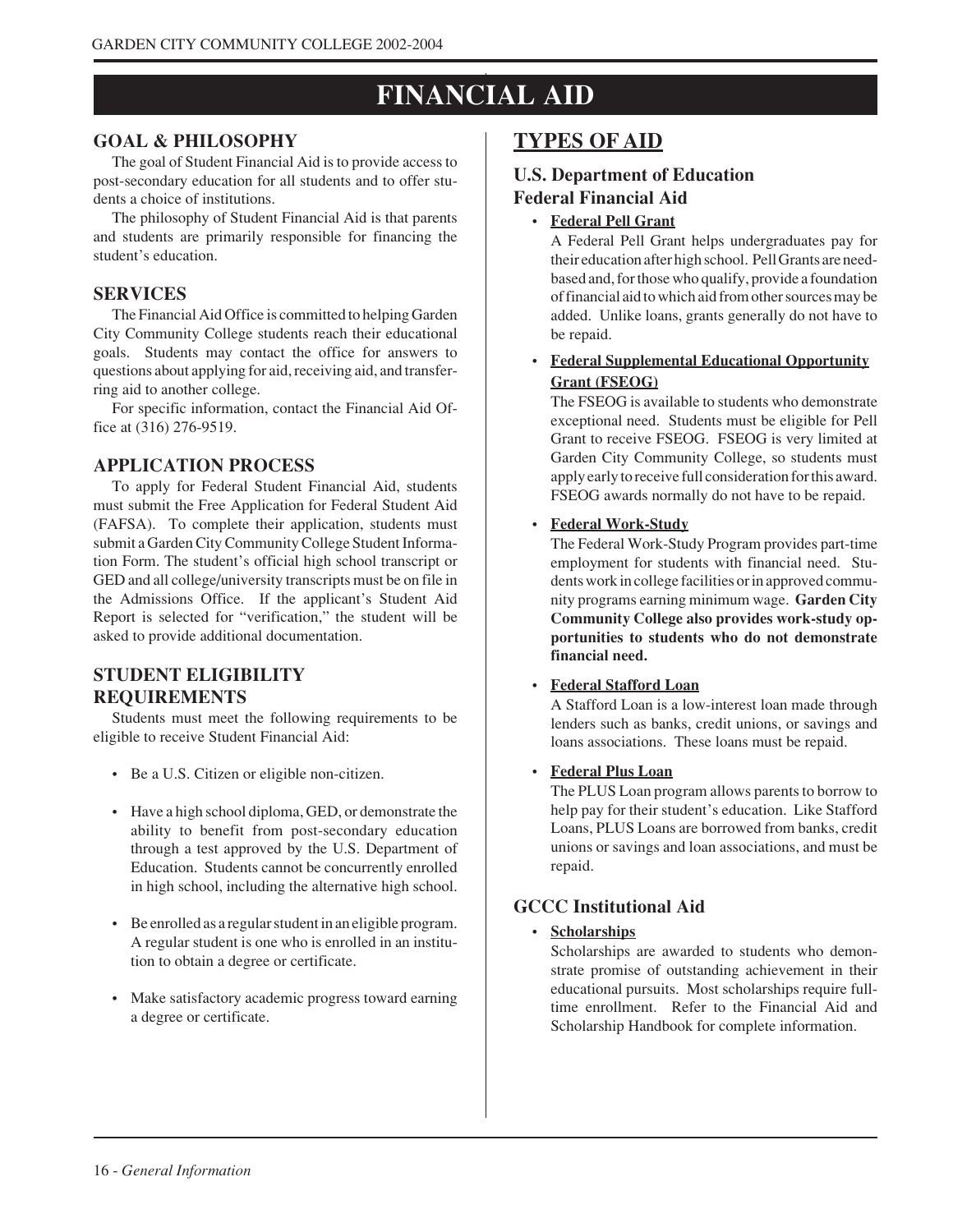## **FINANCIAL AID**

#### **GOAL & PHILOSOPHY**

The goal of Student Financial Aid is to provide access to post-secondary education for all students and to offer students a choice of institutions.

The philosophy of Student Financial Aid is that parents and students are primarily responsible for financing the student's education.

#### **SERVICES**

The Financial Aid Office is committed to helping Garden City Community College students reach their educational goals. Students may contact the office for answers to questions about applying for aid, receiving aid, and transferring aid to another college.

For specific information, contact the Financial Aid Office at (316) 276-9519.

#### **APPLICATION PROCESS**

To apply for Federal Student Financial Aid, students must submit the Free Application for Federal Student Aid (FAFSA). To complete their application, students must submit a Garden City Community College Student Information Form. The student's official high school transcript or GED and all college/university transcripts must be on file in the Admissions Office. If the applicant's Student Aid Report is selected for "verification," the student will be asked to provide additional documentation.

#### **STUDENT ELIGIBILITY REQUIREMENTS**

Students must meet the following requirements to be eligible to receive Student Financial Aid:

- Be a U.S. Citizen or eligible non-citizen.
- Have a high school diploma, GED, or demonstrate the ability to benefit from post-secondary education through a test approved by the U.S. Department of Education. Students cannot be concurrently enrolled in high school, including the alternative high school.
- Be enrolled as a regular student in an eligible program. A regular student is one who is enrolled in an institution to obtain a degree or certificate.
- Make satisfactory academic progress toward earning a degree or certificate.

#### **TYPES OF AID**

#### **U.S. Department of Education Federal Financial Aid**

#### **• Federal Pell Grant**

A Federal Pell Grant helps undergraduates pay for their education after high school. Pell Grants are needbased and, for those who qualify, provide a foundation of financial aid to which aid from other sources may be added. Unlike loans, grants generally do not have to be repaid.

**• Federal Supplemental Educational Opportunity Grant (FSEOG)**

The FSEOG is available to students who demonstrate exceptional need. Students must be eligible for Pell Grant to receive FSEOG. FSEOG is very limited at Garden City Community College, so students must apply early to receive full consideration for this award. FSEOG awards normally do not have to be repaid.

#### **• Federal Work-Study**

The Federal Work-Study Program provides part-time employment for students with financial need. Students work in college facilities or in approved community programs earning minimum wage. **Garden City Community College also provides work-study opportunities to students who do not demonstrate financial need.**

#### **• Federal Stafford Loan**

A Stafford Loan is a low-interest loan made through lenders such as banks, credit unions, or savings and loans associations. These loans must be repaid.

#### **• Federal Plus Loan**

The PLUS Loan program allows parents to borrow to help pay for their student's education. Like Stafford Loans, PLUS Loans are borrowed from banks, credit unions or savings and loan associations, and must be repaid.

#### **GCCC Institutional Aid**

#### **• Scholarships**

Scholarships are awarded to students who demonstrate promise of outstanding achievement in their educational pursuits. Most scholarships require fulltime enrollment. Refer to the Financial Aid and Scholarship Handbook for complete information.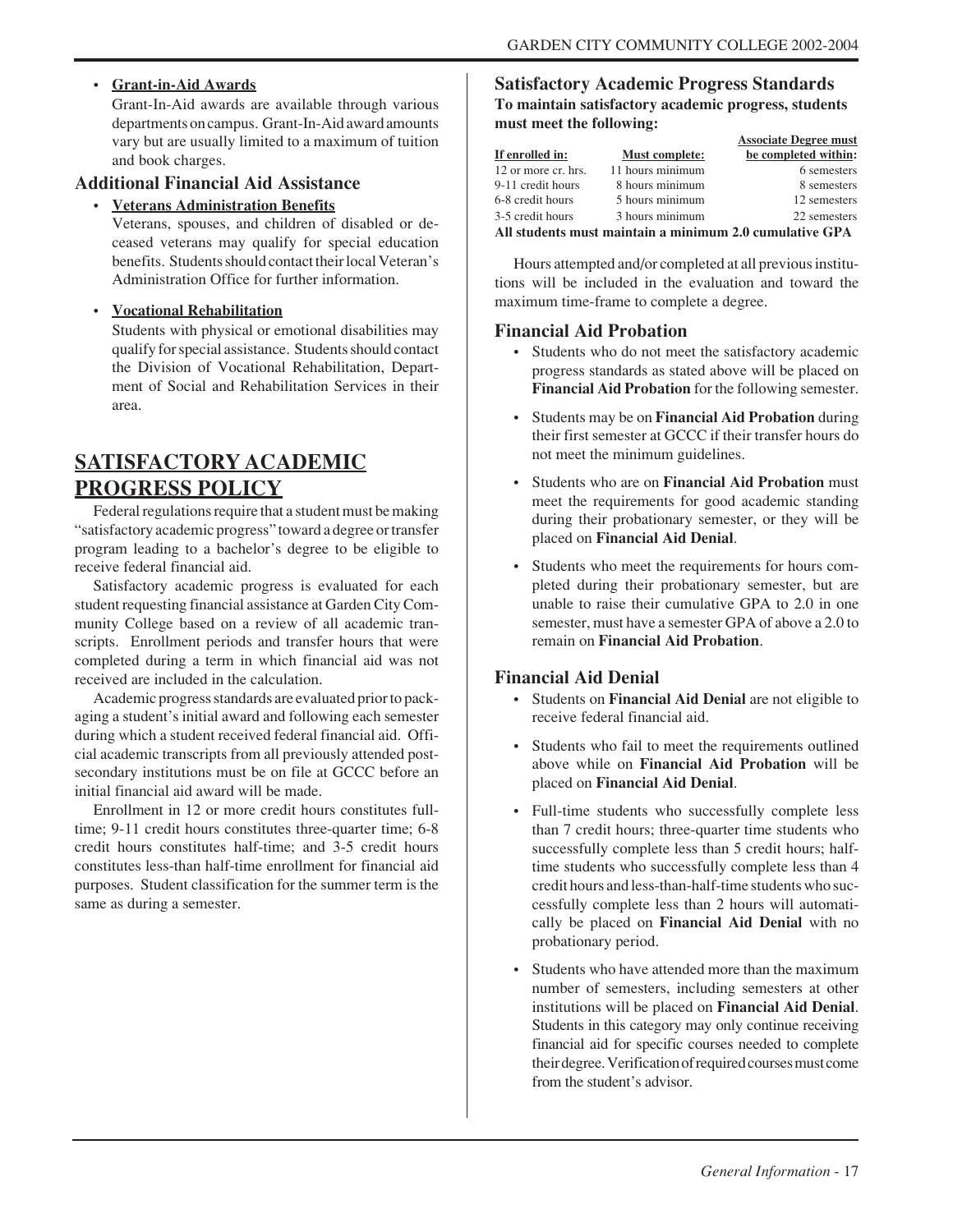#### **• Grant-in-Aid Awards**

Grant-In-Aid awards are available through various departments on campus. Grant-In-Aid award amounts vary but are usually limited to a maximum of tuition and book charges.

#### **Additional Financial Aid Assistance**

#### **• Veterans Administration Benefits**

Veterans, spouses, and children of disabled or deceased veterans may qualify for special education benefits. Students should contact their local Veteran's Administration Office for further information.

#### **• Vocational Rehabilitation**

Students with physical or emotional disabilities may qualify for special assistance. Students should contact the Division of Vocational Rehabilitation, Department of Social and Rehabilitation Services in their area.

#### **SATISFACTORY ACADEMIC PROGRESS POLICY**

Federal regulations require that a student must be making "satisfactory academic progress" toward a degree or transfer program leading to a bachelor's degree to be eligible to receive federal financial aid.

Satisfactory academic progress is evaluated for each student requesting financial assistance at Garden City Community College based on a review of all academic transcripts. Enrollment periods and transfer hours that were completed during a term in which financial aid was not received are included in the calculation.

Academic progress standards are evaluated prior to packaging a student's initial award and following each semester during which a student received federal financial aid. Official academic transcripts from all previously attended postsecondary institutions must be on file at GCCC before an initial financial aid award will be made.

Enrollment in 12 or more credit hours constitutes fulltime; 9-11 credit hours constitutes three-quarter time; 6-8 credit hours constitutes half-time; and 3-5 credit hours constitutes less-than half-time enrollment for financial aid purposes. Student classification for the summer term is the same as during a semester.

#### **Satisfactory Academic Progress Standards To maintain satisfactory academic progress, students must meet the following: Associate Degree must**

|                                                         |                       | <b>Associate Degree must</b> |  |
|---------------------------------------------------------|-----------------------|------------------------------|--|
| If enrolled in:                                         | <b>Must complete:</b> | be completed within:         |  |
| 12 or more cr. hrs.                                     | 11 hours minimum      | 6 semesters                  |  |
| 9-11 credit hours                                       | 8 hours minimum       | 8 semesters                  |  |
| 6-8 credit hours                                        | 5 hours minimum       | 12 semesters                 |  |
| 3-5 credit hours                                        | 3 hours minimum       | 22 semesters                 |  |
| All students must maintain a minimum 2 0 cumulative CPA |                       |                              |  |

**All students must maintain a minimum 2.0 cumulative GPA**

Hours attempted and/or completed at all previous institutions will be included in the evaluation and toward the maximum time-frame to complete a degree.

#### **Financial Aid Probation**

- Students who do not meet the satisfactory academic progress standards as stated above will be placed on **Financial Aid Probation** for the following semester.
- Students may be on **Financial Aid Probation** during their first semester at GCCC if their transfer hours do not meet the minimum guidelines.
- Students who are on **Financial Aid Probation** must meet the requirements for good academic standing during their probationary semester, or they will be placed on **Financial Aid Denial**.
- Students who meet the requirements for hours completed during their probationary semester, but are unable to raise their cumulative GPA to 2.0 in one semester, must have a semester GPA of above a 2.0 to remain on **Financial Aid Probation**.

#### **Financial Aid Denial**

- Students on **Financial Aid Denial** are not eligible to receive federal financial aid.
- Students who fail to meet the requirements outlined above while on **Financial Aid Probation** will be placed on **Financial Aid Denial**.
- Full-time students who successfully complete less than 7 credit hours; three-quarter time students who successfully complete less than 5 credit hours; halftime students who successfully complete less than 4 credit hours and less-than-half-time students who successfully complete less than 2 hours will automatically be placed on **Financial Aid Denial** with no probationary period.
- Students who have attended more than the maximum number of semesters, including semesters at other institutions will be placed on **Financial Aid Denial**. Students in this category may only continue receiving financial aid for specific courses needed to complete their degree. Verification of required courses must come from the student's advisor.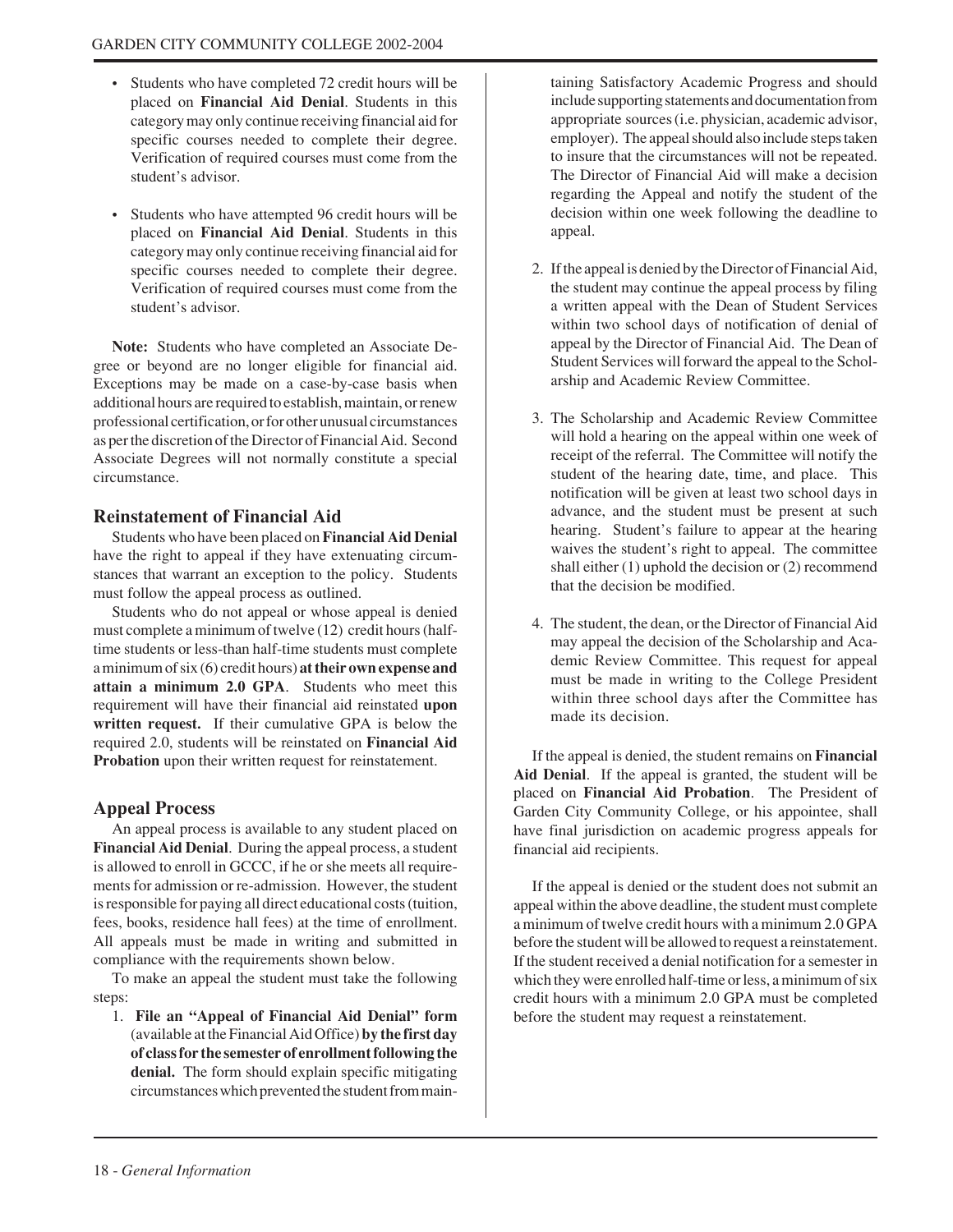- Students who have completed 72 credit hours will be placed on **Financial Aid Denial**. Students in this category may only continue receiving financial aid for specific courses needed to complete their degree. Verification of required courses must come from the student's advisor.
- Students who have attempted 96 credit hours will be placed on **Financial Aid Denial**. Students in this category may only continue receiving financial aid for specific courses needed to complete their degree. Verification of required courses must come from the student's advisor.

**Note:** Students who have completed an Associate Degree or beyond are no longer eligible for financial aid. Exceptions may be made on a case-by-case basis when additional hours are required to establish, maintain, or renew professional certification, or for other unusual circumstances as per the discretion of the Director of Financial Aid. Second Associate Degrees will not normally constitute a special circumstance.

#### **Reinstatement of Financial Aid**

Students who have been placed on **Financial Aid Denial** have the right to appeal if they have extenuating circumstances that warrant an exception to the policy. Students must follow the appeal process as outlined.

Students who do not appeal or whose appeal is denied must complete a minimum of twelve (12) credit hours (halftime students or less-than half-time students must complete a minimum of six (6) credit hours) **at their own expense and attain a minimum 2.0 GPA**. Students who meet this requirement will have their financial aid reinstated **upon written request.** If their cumulative GPA is below the required 2.0, students will be reinstated on **Financial Aid Probation** upon their written request for reinstatement.

#### **Appeal Process**

An appeal process is available to any student placed on **Financial Aid Denial**. During the appeal process, a student is allowed to enroll in GCCC, if he or she meets all requirements for admission or re-admission. However, the student is responsible for paying all direct educational costs (tuition, fees, books, residence hall fees) at the time of enrollment. All appeals must be made in writing and submitted in compliance with the requirements shown below.

To make an appeal the student must take the following steps:

1. **File an "Appeal of Financial Aid Denial" form** (available at the Financial Aid Office) **by the first day of class for the semester of enrollment following the denial.** The form should explain specific mitigating circumstances which prevented the student from maintaining Satisfactory Academic Progress and should include supporting statements and documentation from appropriate sources (i.e. physician, academic advisor, employer). The appeal should also include steps taken to insure that the circumstances will not be repeated. The Director of Financial Aid will make a decision regarding the Appeal and notify the student of the decision within one week following the deadline to appeal.

- 2. If the appeal is denied by the Director of Financial Aid, the student may continue the appeal process by filing a written appeal with the Dean of Student Services within two school days of notification of denial of appeal by the Director of Financial Aid. The Dean of Student Services will forward the appeal to the Scholarship and Academic Review Committee.
- 3. The Scholarship and Academic Review Committee will hold a hearing on the appeal within one week of receipt of the referral. The Committee will notify the student of the hearing date, time, and place. This notification will be given at least two school days in advance, and the student must be present at such hearing. Student's failure to appear at the hearing waives the student's right to appeal. The committee shall either (1) uphold the decision or (2) recommend that the decision be modified.
- 4. The student, the dean, or the Director of Financial Aid may appeal the decision of the Scholarship and Academic Review Committee. This request for appeal must be made in writing to the College President within three school days after the Committee has made its decision.

If the appeal is denied, the student remains on **Financial Aid Denial**. If the appeal is granted, the student will be placed on **Financial Aid Probation**. The President of Garden City Community College, or his appointee, shall have final jurisdiction on academic progress appeals for financial aid recipients.

If the appeal is denied or the student does not submit an appeal within the above deadline, the student must complete a minimum of twelve credit hours with a minimum 2.0 GPA before the student will be allowed to request a reinstatement. If the student received a denial notification for a semester in which they were enrolled half-time or less, a minimum of six credit hours with a minimum 2.0 GPA must be completed before the student may request a reinstatement.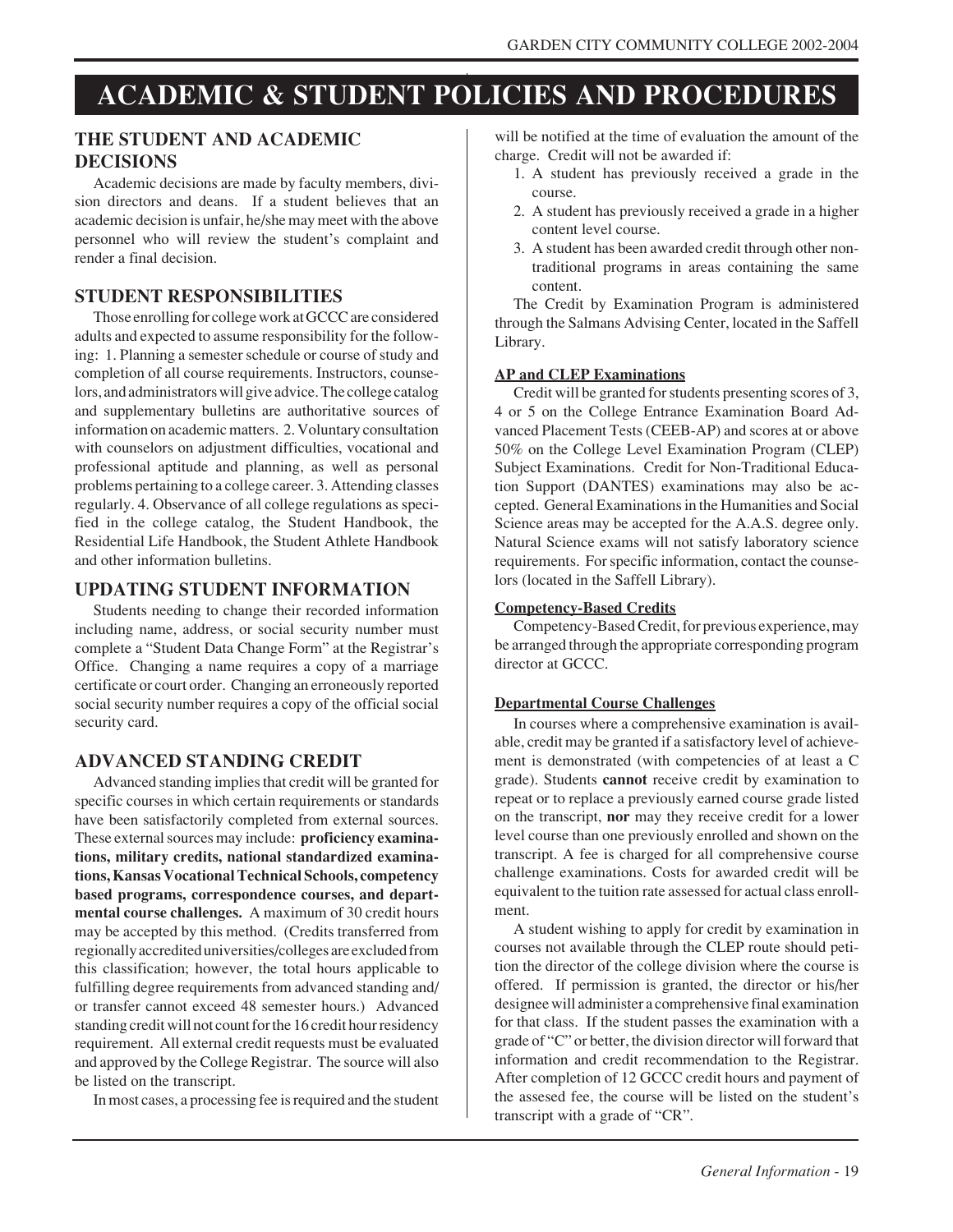## **ACADEMIC & STUDENT POLICIES AND PROCEDURES**

#### **THE STUDENT AND ACADEMIC DECISIONS**

Academic decisions are made by faculty members, division directors and deans. If a student believes that an academic decision is unfair, he/she may meet with the above personnel who will review the student's complaint and render a final decision.

#### **STUDENT RESPONSIBILITIES**

Those enrolling for college work at GCCC are considered adults and expected to assume responsibility for the following: 1. Planning a semester schedule or course of study and completion of all course requirements. Instructors, counselors, and administrators will give advice. The college catalog and supplementary bulletins are authoritative sources of information on academic matters. 2. Voluntary consultation with counselors on adjustment difficulties, vocational and professional aptitude and planning, as well as personal problems pertaining to a college career. 3. Attending classes regularly. 4. Observance of all college regulations as specified in the college catalog, the Student Handbook, the Residential Life Handbook, the Student Athlete Handbook and other information bulletins.

#### **UPDATING STUDENT INFORMATION**

Students needing to change their recorded information including name, address, or social security number must complete a "Student Data Change Form" at the Registrar's Office. Changing a name requires a copy of a marriage certificate or court order. Changing an erroneously reported social security number requires a copy of the official social security card.

#### **ADVANCED STANDING CREDIT**

Advanced standing implies that credit will be granted for specific courses in which certain requirements or standards have been satisfactorily completed from external sources. These external sources may include: **proficiency examinations, military credits, national standardized examinations, Kansas Vocational Technical Schools, competency based programs, correspondence courses, and departmental course challenges.** A maximum of 30 credit hours may be accepted by this method. (Credits transferred from regionally accredited universities/colleges are excluded from this classification; however, the total hours applicable to fulfilling degree requirements from advanced standing and/ or transfer cannot exceed 48 semester hours.) Advanced standing credit will not count for the 16 credit hour residency requirement. All external credit requests must be evaluated and approved by the College Registrar. The source will also be listed on the transcript.

In most cases, a processing fee is required and the student

will be notified at the time of evaluation the amount of the charge. Credit will not be awarded if:

- 1. A student has previously received a grade in the course.
- 2. A student has previously received a grade in a higher content level course.
- 3. A student has been awarded credit through other nontraditional programs in areas containing the same content.

The Credit by Examination Program is administered through the Salmans Advising Center, located in the Saffell Library.

#### **AP and CLEP Examinations**

Credit will be granted for students presenting scores of 3, 4 or 5 on the College Entrance Examination Board Advanced Placement Tests (CEEB-AP) and scores at or above 50% on the College Level Examination Program (CLEP) Subject Examinations. Credit for Non-Traditional Education Support (DANTES) examinations may also be accepted. General Examinations in the Humanities and Social Science areas may be accepted for the A.A.S. degree only. Natural Science exams will not satisfy laboratory science requirements. For specific information, contact the counselors (located in the Saffell Library).

#### **Competency-Based Credits**

Competency-Based Credit, for previous experience, may be arranged through the appropriate corresponding program director at GCCC.

#### **Departmental Course Challenges**

In courses where a comprehensive examination is available, credit may be granted if a satisfactory level of achievement is demonstrated (with competencies of at least a C grade). Students **cannot** receive credit by examination to repeat or to replace a previously earned course grade listed on the transcript, **nor** may they receive credit for a lower level course than one previously enrolled and shown on the transcript. A fee is charged for all comprehensive course challenge examinations. Costs for awarded credit will be equivalent to the tuition rate assessed for actual class enrollment.

A student wishing to apply for credit by examination in courses not available through the CLEP route should petition the director of the college division where the course is offered. If permission is granted, the director or his/her designee will administer a comprehensive final examination for that class. If the student passes the examination with a grade of "C" or better, the division director will forward that information and credit recommendation to the Registrar. After completion of 12 GCCC credit hours and payment of the assesed fee, the course will be listed on the student's transcript with a grade of "CR".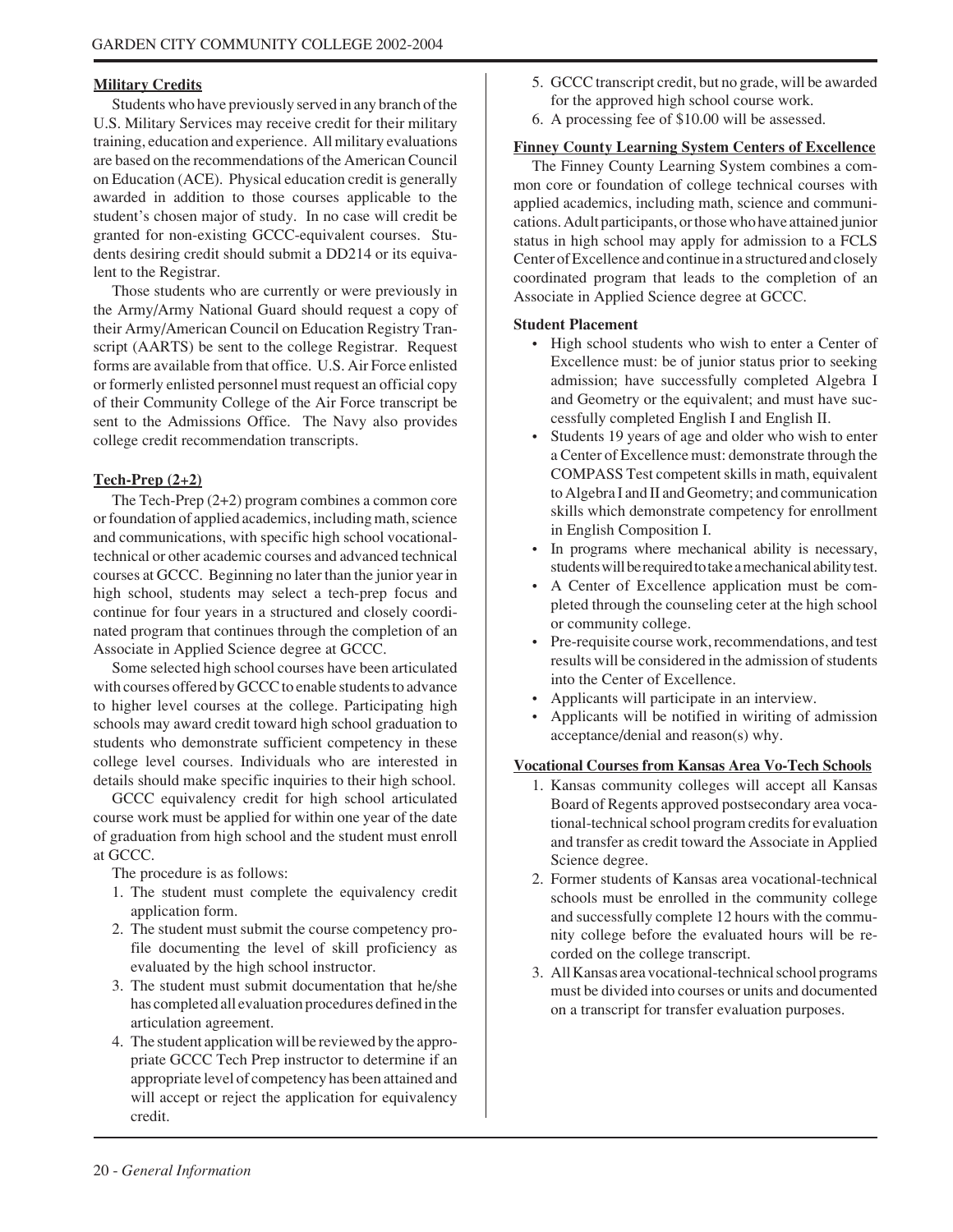#### **Military Credits**

Students who have previously served in any branch of the U.S. Military Services may receive credit for their military training, education and experience. All military evaluations are based on the recommendations of the American Council on Education (ACE). Physical education credit is generally awarded in addition to those courses applicable to the student's chosen major of study. In no case will credit be granted for non-existing GCCC-equivalent courses. Students desiring credit should submit a DD214 or its equivalent to the Registrar.

Those students who are currently or were previously in the Army/Army National Guard should request a copy of their Army/American Council on Education Registry Transcript (AARTS) be sent to the college Registrar. Request forms are available from that office. U.S. Air Force enlisted or formerly enlisted personnel must request an official copy of their Community College of the Air Force transcript be sent to the Admissions Office. The Navy also provides college credit recommendation transcripts.

#### **Tech-Prep (2+2)**

The Tech-Prep (2+2) program combines a common core or foundation of applied academics, including math, science and communications, with specific high school vocationaltechnical or other academic courses and advanced technical courses at GCCC. Beginning no later than the junior year in high school, students may select a tech-prep focus and continue for four years in a structured and closely coordinated program that continues through the completion of an Associate in Applied Science degree at GCCC.

Some selected high school courses have been articulated with courses offered by GCCC to enable students to advance to higher level courses at the college. Participating high schools may award credit toward high school graduation to students who demonstrate sufficient competency in these college level courses. Individuals who are interested in details should make specific inquiries to their high school.

GCCC equivalency credit for high school articulated course work must be applied for within one year of the date of graduation from high school and the student must enroll at GCCC.

The procedure is as follows:

- 1. The student must complete the equivalency credit application form.
- 2. The student must submit the course competency profile documenting the level of skill proficiency as evaluated by the high school instructor.
- 3. The student must submit documentation that he/she has completed all evaluation procedures defined in the articulation agreement.
- 4. The student application will be reviewed by the appropriate GCCC Tech Prep instructor to determine if an appropriate level of competency has been attained and will accept or reject the application for equivalency credit.
- 5. GCCC transcript credit, but no grade, will be awarded for the approved high school course work.
- 6. A processing fee of \$10.00 will be assessed.

#### **Finney County Learning System Centers of Excellence**

The Finney County Learning System combines a common core or foundation of college technical courses with applied academics, including math, science and communications. Adult participants, or those who have attained junior status in high school may apply for admission to a FCLS Center of Excellence and continue in a structured and closely coordinated program that leads to the completion of an Associate in Applied Science degree at GCCC.

#### **Student Placement**

- High school students who wish to enter a Center of Excellence must: be of junior status prior to seeking admission; have successfully completed Algebra I and Geometry or the equivalent; and must have successfully completed English I and English II.
- Students 19 years of age and older who wish to enter a Center of Excellence must: demonstrate through the COMPASS Test competent skills in math, equivalent to Algebra I and II and Geometry; and communication skills which demonstrate competency for enrollment in English Composition I.
- In programs where mechanical ability is necessary, students will be required to take a mechanical ability test.
- A Center of Excellence application must be completed through the counseling ceter at the high school or community college.
- Pre-requisite course work, recommendations, and test results will be considered in the admission of students into the Center of Excellence.
- Applicants will participate in an interview.
- Applicants will be notified in wiriting of admission acceptance/denial and reason(s) why.

#### **Vocational Courses from Kansas Area Vo-Tech Schools**

- 1. Kansas community colleges will accept all Kansas Board of Regents approved postsecondary area vocational-technical school program credits for evaluation and transfer as credit toward the Associate in Applied Science degree.
- 2. Former students of Kansas area vocational-technical schools must be enrolled in the community college and successfully complete 12 hours with the community college before the evaluated hours will be recorded on the college transcript.
- 3. All Kansas area vocational-technical school programs must be divided into courses or units and documented on a transcript for transfer evaluation purposes.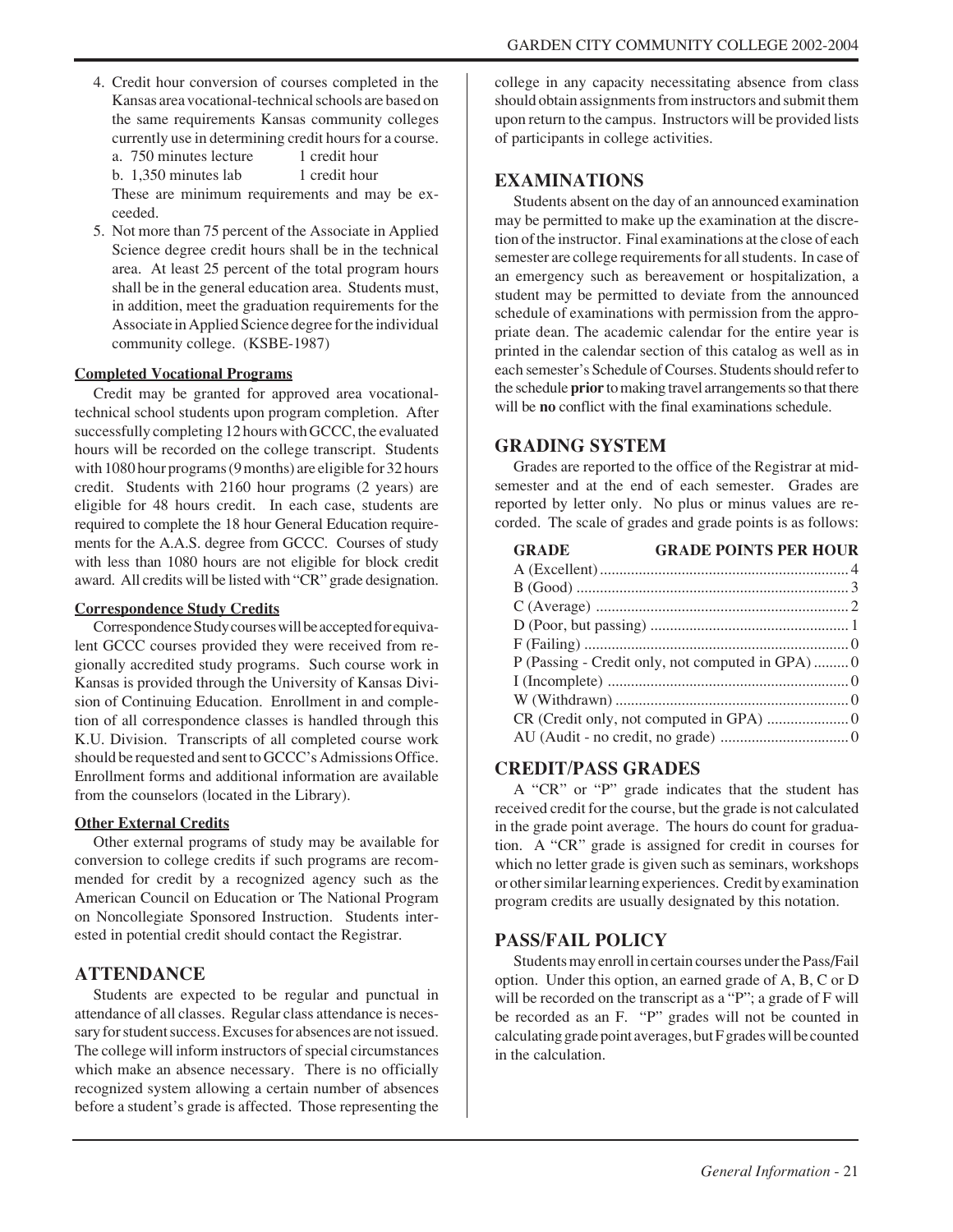4. Credit hour conversion of courses completed in the Kansas area vocational-technical schools are based on the same requirements Kansas community colleges currently use in determining credit hours for a course.

a. 750 minutes lecture 1 credit hour b. 1,350 minutes lab 1 credit hour

These are minimum requirements and may be exceeded.

5. Not more than 75 percent of the Associate in Applied Science degree credit hours shall be in the technical area. At least 25 percent of the total program hours shall be in the general education area. Students must, in addition, meet the graduation requirements for the Associate in Applied Science degree for the individual community college. (KSBE-1987)

#### **Completed Vocational Programs**

Credit may be granted for approved area vocationaltechnical school students upon program completion. After successfully completing 12 hours with GCCC, the evaluated hours will be recorded on the college transcript. Students with 1080 hour programs (9 months) are eligible for 32 hours credit. Students with 2160 hour programs (2 years) are eligible for 48 hours credit. In each case, students are required to complete the 18 hour General Education requirements for the A.A.S. degree from GCCC. Courses of study with less than 1080 hours are not eligible for block credit award. All credits will be listed with "CR" grade designation.

#### **Correspondence Study Credits**

Correspondence Study courses will be accepted for equivalent GCCC courses provided they were received from regionally accredited study programs. Such course work in Kansas is provided through the University of Kansas Division of Continuing Education. Enrollment in and completion of all correspondence classes is handled through this K.U. Division. Transcripts of all completed course work should be requested and sent to GCCC's Admissions Office. Enrollment forms and additional information are available from the counselors (located in the Library).

#### **Other External Credits**

Other external programs of study may be available for conversion to college credits if such programs are recommended for credit by a recognized agency such as the American Council on Education or The National Program on Noncollegiate Sponsored Instruction. Students interested in potential credit should contact the Registrar.

#### **ATTENDANCE**

Students are expected to be regular and punctual in attendance of all classes. Regular class attendance is necessary for student success. Excuses for absences are not issued. The college will inform instructors of special circumstances which make an absence necessary. There is no officially recognized system allowing a certain number of absences before a student's grade is affected. Those representing the college in any capacity necessitating absence from class should obtain assignments from instructors and submit them upon return to the campus. Instructors will be provided lists of participants in college activities.

#### **EXAMINATIONS**

Students absent on the day of an announced examination may be permitted to make up the examination at the discretion of the instructor. Final examinations at the close of each semester are college requirements for all students. In case of an emergency such as bereavement or hospitalization, a student may be permitted to deviate from the announced schedule of examinations with permission from the appropriate dean. The academic calendar for the entire year is printed in the calendar section of this catalog as well as in each semester's Schedule of Courses. Students should refer to the schedule **prior** to making travel arrangements so that there will be **no** conflict with the final examinations schedule.

#### **GRADING SYSTEM**

Grades are reported to the office of the Registrar at midsemester and at the end of each semester. Grades are reported by letter only. No plus or minus values are recorded. The scale of grades and grade points is as follows:

| <b>GRADE</b> | <b>GRADE POINTS PER HOUR</b>                    |
|--------------|-------------------------------------------------|
|              |                                                 |
|              |                                                 |
|              |                                                 |
|              |                                                 |
|              |                                                 |
|              | P (Passing - Credit only, not computed in GPA)0 |
|              |                                                 |
|              |                                                 |
|              |                                                 |
|              |                                                 |

#### **CREDIT/PASS GRADES**

A "CR" or "P" grade indicates that the student has received credit for the course, but the grade is not calculated in the grade point average. The hours do count for graduation. A "CR" grade is assigned for credit in courses for which no letter grade is given such as seminars, workshops or other similar learning experiences. Credit by examination program credits are usually designated by this notation.

#### **PASS/FAIL POLICY**

Students may enroll in certain courses under the Pass/Fail option. Under this option, an earned grade of A, B, C or D will be recorded on the transcript as a "P"; a grade of F will be recorded as an F. "P" grades will not be counted in calculating grade point averages, but F grades will be counted in the calculation.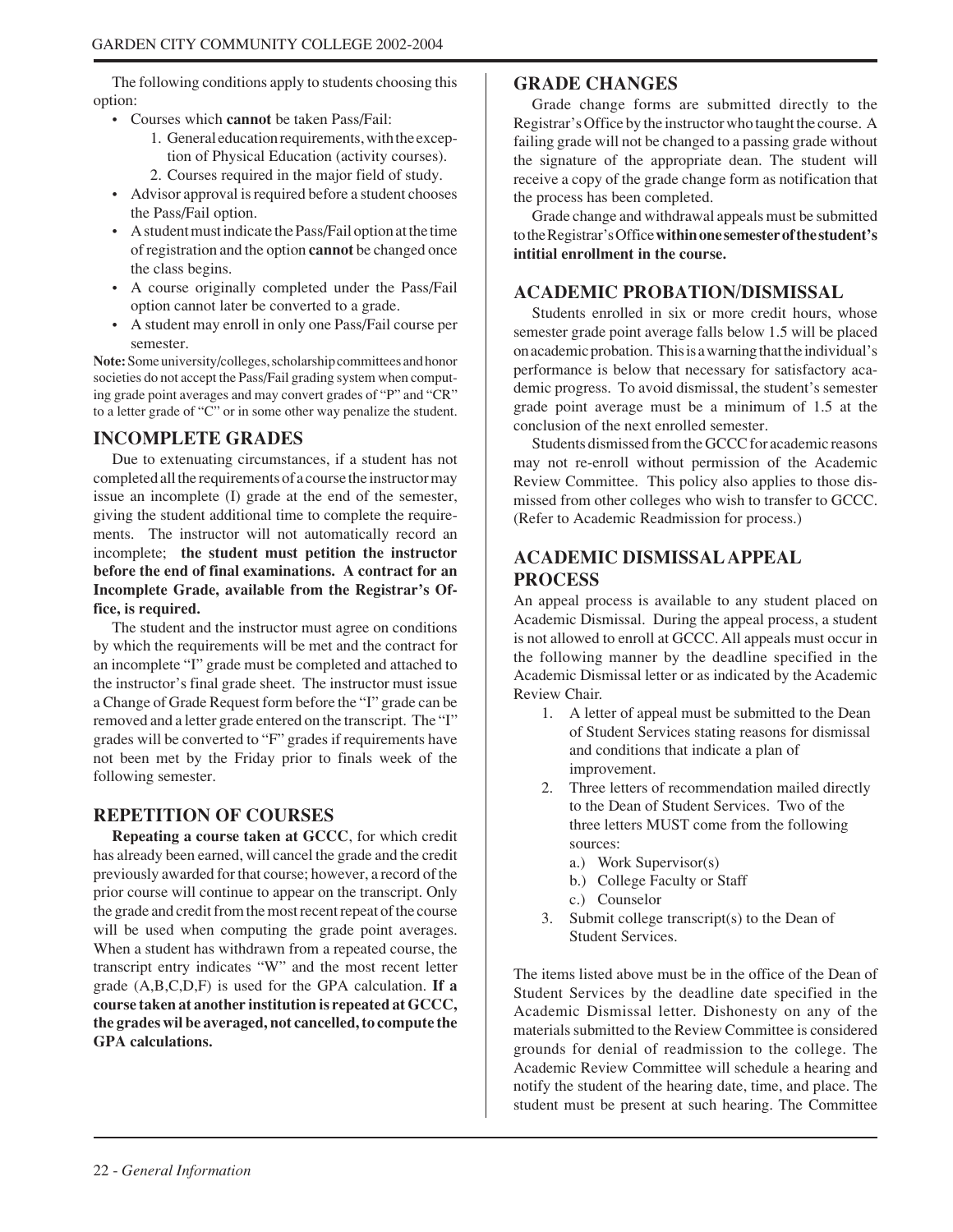The following conditions apply to students choosing this option:

- Courses which **cannot** be taken Pass/Fail:
	- 1. General education requirements, with the exception of Physical Education (activity courses).
	- 2. Courses required in the major field of study.
- Advisor approval is required before a student chooses the Pass/Fail option.
- A student must indicate the Pass/Fail option at the time of registration and the option **cannot** be changed once the class begins.
- A course originally completed under the Pass/Fail option cannot later be converted to a grade.
- A student may enroll in only one Pass/Fail course per semester.

**Note:** Some university/colleges, scholarship committees and honor societies do not accept the Pass/Fail grading system when computing grade point averages and may convert grades of "P" and "CR" to a letter grade of "C" or in some other way penalize the student.

#### **INCOMPLETE GRADES**

Due to extenuating circumstances, if a student has not completed all the requirements of a course the instructor may issue an incomplete (I) grade at the end of the semester, giving the student additional time to complete the requirements. The instructor will not automatically record an incomplete; **the student must petition the instructor before the end of final examinations. A contract for an Incomplete Grade, available from the Registrar's Office, is required.**

The student and the instructor must agree on conditions by which the requirements will be met and the contract for an incomplete "I" grade must be completed and attached to the instructor's final grade sheet. The instructor must issue a Change of Grade Request form before the "I" grade can be removed and a letter grade entered on the transcript. The "I" grades will be converted to "F" grades if requirements have not been met by the Friday prior to finals week of the following semester.

#### **REPETITION OF COURSES**

**Repeating a course taken at GCCC**, for which credit has already been earned, will cancel the grade and the credit previously awarded for that course; however, a record of the prior course will continue to appear on the transcript. Only the grade and credit from the most recent repeat of the course will be used when computing the grade point averages. When a student has withdrawn from a repeated course, the transcript entry indicates "W" and the most recent letter grade (A,B,C,D,F) is used for the GPA calculation. **If a course taken at another institution is repeated at GCCC, the grades wil be averaged, not cancelled, to compute the GPA calculations.**

#### **GRADE CHANGES**

Grade change forms are submitted directly to the Registrar's Office by the instructor who taught the course. A failing grade will not be changed to a passing grade without the signature of the appropriate dean. The student will receive a copy of the grade change form as notification that the process has been completed.

Grade change and withdrawal appeals must be submitted to the Registrar's Office **within one semester of the student's intitial enrollment in the course.**

#### **ACADEMIC PROBATION/DISMISSAL**

Students enrolled in six or more credit hours, whose semester grade point average falls below 1.5 will be placed on academic probation. This is a warning that the individual's performance is below that necessary for satisfactory academic progress. To avoid dismissal, the student's semester grade point average must be a minimum of 1.5 at the conclusion of the next enrolled semester.

Students dismissed from the GCCC for academic reasons may not re-enroll without permission of the Academic Review Committee. This policy also applies to those dismissed from other colleges who wish to transfer to GCCC. (Refer to Academic Readmission for process.)

#### **ACADEMIC DISMISSAL APPEAL PROCESS**

An appeal process is available to any student placed on Academic Dismissal. During the appeal process, a student is not allowed to enroll at GCCC. All appeals must occur in the following manner by the deadline specified in the Academic Dismissal letter or as indicated by the Academic Review Chair.

- 1. A letter of appeal must be submitted to the Dean of Student Services stating reasons for dismissal and conditions that indicate a plan of improvement.
- 2. Three letters of recommendation mailed directly to the Dean of Student Services. Two of the three letters MUST come from the following sources:
	- a.) Work Supervisor(s)
	- b.) College Faculty or Staff
	- c.) Counselor
- 3. Submit college transcript(s) to the Dean of Student Services.

The items listed above must be in the office of the Dean of Student Services by the deadline date specified in the Academic Dismissal letter. Dishonesty on any of the materials submitted to the Review Committee is considered grounds for denial of readmission to the college. The Academic Review Committee will schedule a hearing and notify the student of the hearing date, time, and place. The student must be present at such hearing. The Committee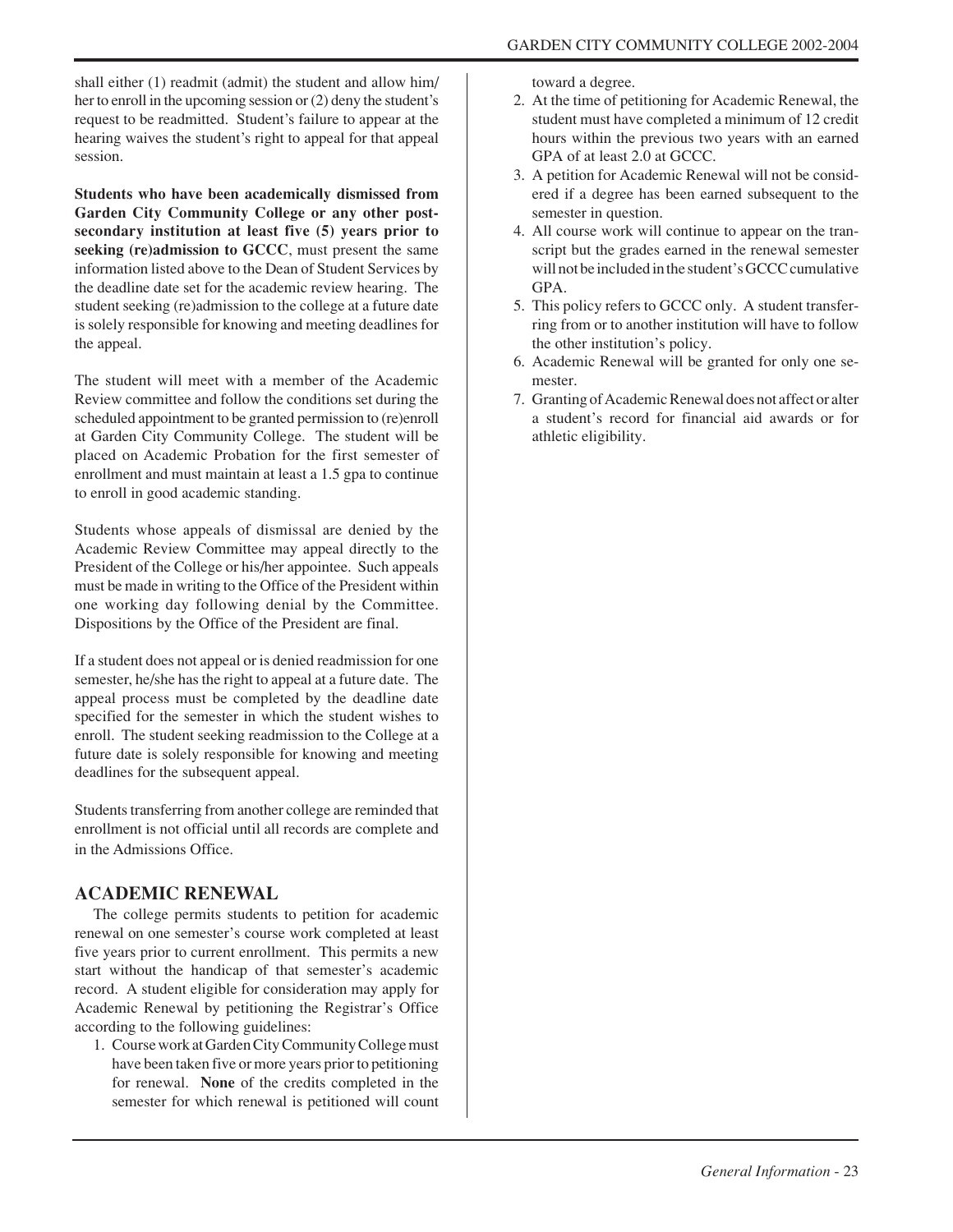shall either (1) readmit (admit) the student and allow him/ her to enroll in the upcoming session or (2) deny the student's request to be readmitted. Student's failure to appear at the hearing waives the student's right to appeal for that appeal session.

**Students who have been academically dismissed from Garden City Community College or any other postsecondary institution at least five (5) years prior to seeking (re)admission to GCCC**, must present the same information listed above to the Dean of Student Services by the deadline date set for the academic review hearing. The student seeking (re)admission to the college at a future date is solely responsible for knowing and meeting deadlines for the appeal.

The student will meet with a member of the Academic Review committee and follow the conditions set during the scheduled appointment to be granted permission to (re)enroll at Garden City Community College. The student will be placed on Academic Probation for the first semester of enrollment and must maintain at least a 1.5 gpa to continue to enroll in good academic standing.

Students whose appeals of dismissal are denied by the Academic Review Committee may appeal directly to the President of the College or his/her appointee. Such appeals must be made in writing to the Office of the President within one working day following denial by the Committee. Dispositions by the Office of the President are final.

If a student does not appeal or is denied readmission for one semester, he/she has the right to appeal at a future date. The appeal process must be completed by the deadline date specified for the semester in which the student wishes to enroll. The student seeking readmission to the College at a future date is solely responsible for knowing and meeting deadlines for the subsequent appeal.

Students transferring from another college are reminded that enrollment is not official until all records are complete and in the Admissions Office.

#### **ACADEMIC RENEWAL**

The college permits students to petition for academic renewal on one semester's course work completed at least five years prior to current enrollment. This permits a new start without the handicap of that semester's academic record. A student eligible for consideration may apply for Academic Renewal by petitioning the Registrar's Office according to the following guidelines:

1. Course work at Garden City Community College must have been taken five or more years prior to petitioning for renewal. **None** of the credits completed in the semester for which renewal is petitioned will count toward a degree.

- 2. At the time of petitioning for Academic Renewal, the student must have completed a minimum of 12 credit hours within the previous two years with an earned GPA of at least 2.0 at GCCC.
- 3. A petition for Academic Renewal will not be considered if a degree has been earned subsequent to the semester in question.
- 4. All course work will continue to appear on the transcript but the grades earned in the renewal semester will not be included in the student's GCCC cumulative GPA.
- 5. This policy refers to GCCC only. A student transferring from or to another institution will have to follow the other institution's policy.
- 6. Academic Renewal will be granted for only one semester.
- 7. Granting of Academic Renewal does not affect or alter a student's record for financial aid awards or for athletic eligibility.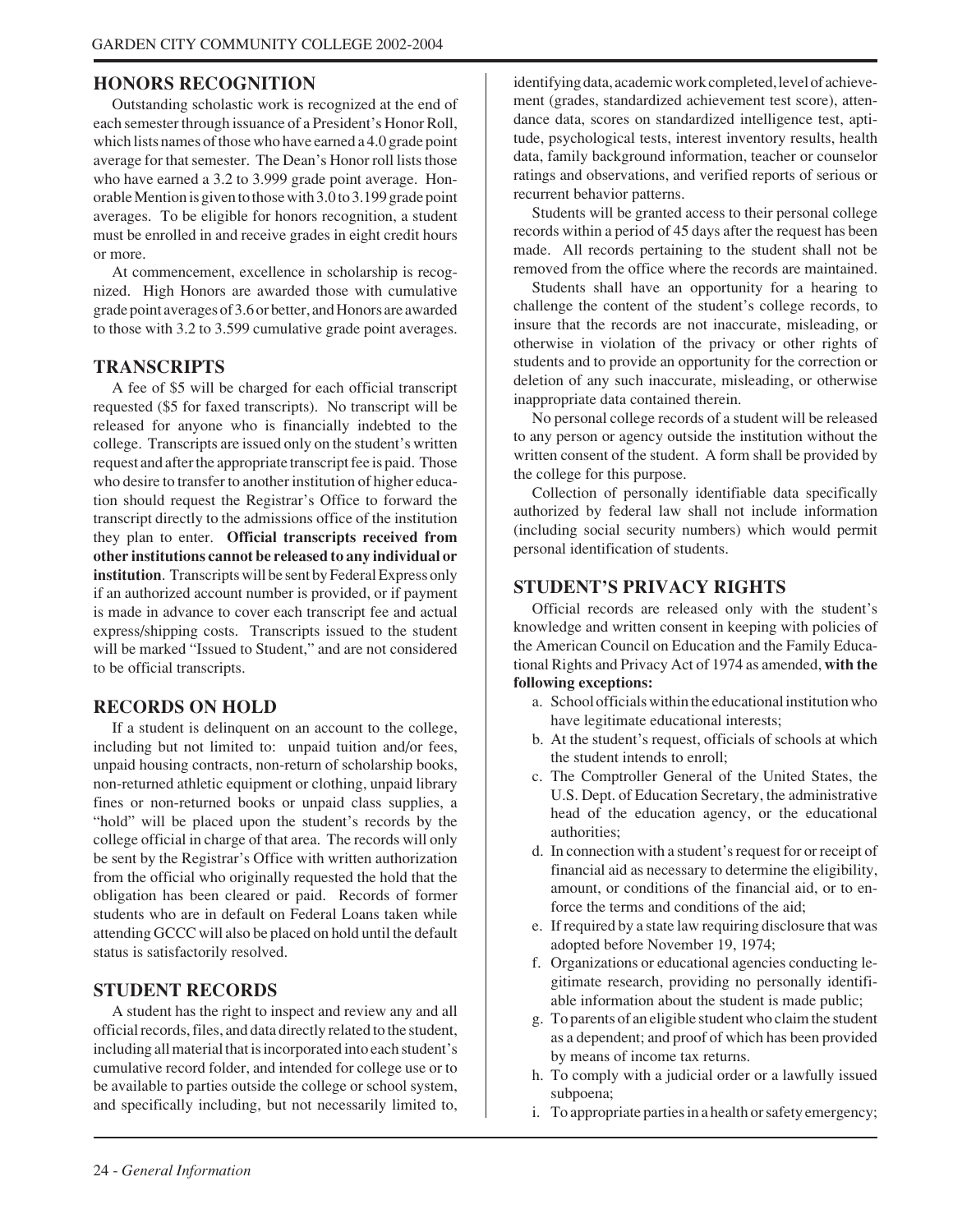#### **HONORS RECOGNITION**

Outstanding scholastic work is recognized at the end of each semester through issuance of a President's Honor Roll, which lists names of those who have earned a 4.0 grade point average for that semester. The Dean's Honor roll lists those who have earned a 3.2 to 3.999 grade point average. Honorable Mention is given to those with 3.0 to 3.199 grade point averages. To be eligible for honors recognition, a student must be enrolled in and receive grades in eight credit hours or more.

At commencement, excellence in scholarship is recognized. High Honors are awarded those with cumulative grade point averages of 3.6 or better, and Honors are awarded to those with 3.2 to 3.599 cumulative grade point averages.

#### **TRANSCRIPTS**

A fee of \$5 will be charged for each official transcript requested (\$5 for faxed transcripts). No transcript will be released for anyone who is financially indebted to the college. Transcripts are issued only on the student's written request and after the appropriate transcript fee is paid. Those who desire to transfer to another institution of higher education should request the Registrar's Office to forward the transcript directly to the admissions office of the institution they plan to enter. **Official transcripts received from other institutions cannot be released to any individual or institution**. Transcripts will be sent by Federal Express only if an authorized account number is provided, or if payment is made in advance to cover each transcript fee and actual express/shipping costs. Transcripts issued to the student will be marked "Issued to Student," and are not considered to be official transcripts.

#### **RECORDS ON HOLD**

If a student is delinquent on an account to the college, including but not limited to: unpaid tuition and/or fees, unpaid housing contracts, non-return of scholarship books, non-returned athletic equipment or clothing, unpaid library fines or non-returned books or unpaid class supplies, a "hold" will be placed upon the student's records by the college official in charge of that area. The records will only be sent by the Registrar's Office with written authorization from the official who originally requested the hold that the obligation has been cleared or paid. Records of former students who are in default on Federal Loans taken while attending GCCC will also be placed on hold until the default status is satisfactorily resolved.

#### **STUDENT RECORDS**

A student has the right to inspect and review any and all official records, files, and data directly related to the student, including all material that is incorporated into each student's cumulative record folder, and intended for college use or to be available to parties outside the college or school system, and specifically including, but not necessarily limited to,

identifying data, academic work completed, level of achievement (grades, standardized achievement test score), attendance data, scores on standardized intelligence test, aptitude, psychological tests, interest inventory results, health data, family background information, teacher or counselor ratings and observations, and verified reports of serious or recurrent behavior patterns.

Students will be granted access to their personal college records within a period of 45 days after the request has been made. All records pertaining to the student shall not be removed from the office where the records are maintained.

Students shall have an opportunity for a hearing to challenge the content of the student's college records, to insure that the records are not inaccurate, misleading, or otherwise in violation of the privacy or other rights of students and to provide an opportunity for the correction or deletion of any such inaccurate, misleading, or otherwise inappropriate data contained therein.

No personal college records of a student will be released to any person or agency outside the institution without the written consent of the student. A form shall be provided by the college for this purpose.

Collection of personally identifiable data specifically authorized by federal law shall not include information (including social security numbers) which would permit personal identification of students.

#### **STUDENT'S PRIVACY RIGHTS**

Official records are released only with the student's knowledge and written consent in keeping with policies of the American Council on Education and the Family Educational Rights and Privacy Act of 1974 as amended, **with the following exceptions:**

- a. School officials within the educational institution who have legitimate educational interests;
- b. At the student's request, officials of schools at which the student intends to enroll;
- c. The Comptroller General of the United States, the U.S. Dept. of Education Secretary, the administrative head of the education agency, or the educational authorities;
- d. In connection with a student's request for or receipt of financial aid as necessary to determine the eligibility, amount, or conditions of the financial aid, or to enforce the terms and conditions of the aid;
- e. If required by a state law requiring disclosure that was adopted before November 19, 1974;
- f. Organizations or educational agencies conducting legitimate research, providing no personally identifiable information about the student is made public;
- g. To parents of an eligible student who claim the student as a dependent; and proof of which has been provided by means of income tax returns.
- h. To comply with a judicial order or a lawfully issued subpoena;
- i. To appropriate parties in a health or safety emergency;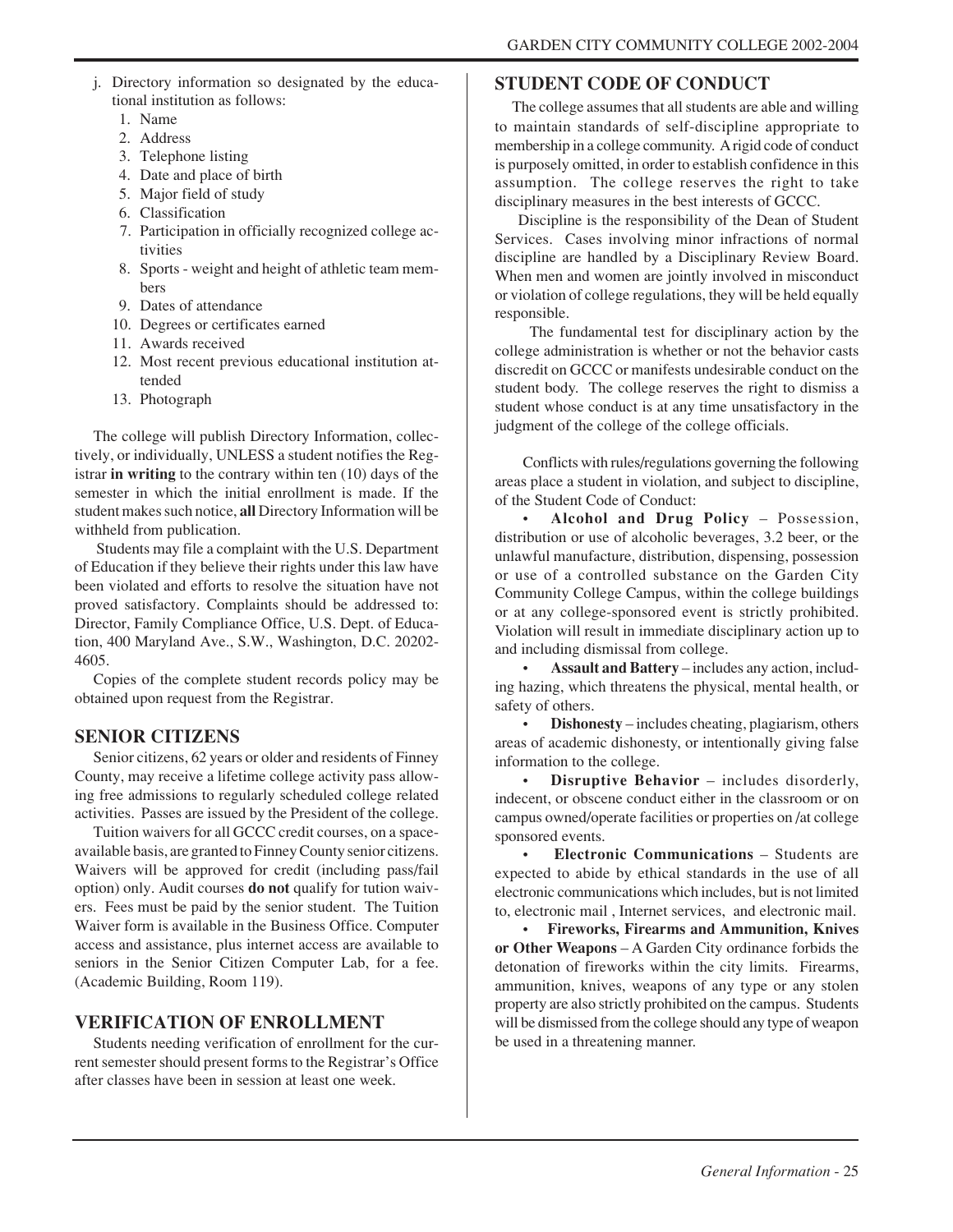- j. Directory information so designated by the educational institution as follows:
	- 1. Name
	- 2. Address
	- 3. Telephone listing
	- 4. Date and place of birth
	- 5. Major field of study
	- 6. Classification
	- 7. Participation in officially recognized college activities
	- 8. Sports weight and height of athletic team members
	- 9. Dates of attendance
	- 10. Degrees or certificates earned
	- 11. Awards received
	- 12. Most recent previous educational institution attended
	- 13. Photograph

The college will publish Directory Information, collectively, or individually, UNLESS a student notifies the Registrar **in writing** to the contrary within ten (10) days of the semester in which the initial enrollment is made. If the student makes such notice, **all** Directory Information will be withheld from publication.

 Students may file a complaint with the U.S. Department of Education if they believe their rights under this law have been violated and efforts to resolve the situation have not proved satisfactory. Complaints should be addressed to: Director, Family Compliance Office, U.S. Dept. of Education, 400 Maryland Ave., S.W., Washington, D.C. 20202- 4605.

Copies of the complete student records policy may be obtained upon request from the Registrar.

#### **SENIOR CITIZENS**

Senior citizens, 62 years or older and residents of Finney County, may receive a lifetime college activity pass allowing free admissions to regularly scheduled college related activities. Passes are issued by the President of the college.

Tuition waivers for all GCCC credit courses, on a spaceavailable basis, are granted to Finney County senior citizens. Waivers will be approved for credit (including pass/fail option) only. Audit courses **do not** qualify for tution waivers. Fees must be paid by the senior student. The Tuition Waiver form is available in the Business Office. Computer access and assistance, plus internet access are available to seniors in the Senior Citizen Computer Lab, for a fee. (Academic Building, Room 119).

#### **VERIFICATION OF ENROLLMENT**

Students needing verification of enrollment for the current semester should present forms to the Registrar's Office after classes have been in session at least one week.

#### **STUDENT CODE OF CONDUCT**

 The college assumes that all students are able and willing to maintain standards of self-discipline appropriate to membership in a college community. A rigid code of conduct is purposely omitted, in order to establish confidence in this assumption. The college reserves the right to take disciplinary measures in the best interests of GCCC.

 Discipline is the responsibility of the Dean of Student Services. Cases involving minor infractions of normal discipline are handled by a Disciplinary Review Board. When men and women are jointly involved in misconduct or violation of college regulations, they will be held equally responsible.

 The fundamental test for disciplinary action by the college administration is whether or not the behavior casts discredit on GCCC or manifests undesirable conduct on the student body. The college reserves the right to dismiss a student whose conduct is at any time unsatisfactory in the judgment of the college of the college officials.

Conflicts with rules/regulations governing the following areas place a student in violation, and subject to discipline, of the Student Code of Conduct:

• **Alcohol and Drug Policy** – Possession, distribution or use of alcoholic beverages, 3.2 beer, or the unlawful manufacture, distribution, dispensing, possession or use of a controlled substance on the Garden City Community College Campus, within the college buildings or at any college-sponsored event is strictly prohibited. Violation will result in immediate disciplinary action up to and including dismissal from college.

• **Assault and Battery** – includes any action, including hazing, which threatens the physical, mental health, or safety of others.

• **Dishonesty** – includes cheating, plagiarism, others areas of academic dishonesty, or intentionally giving false information to the college.

• **Disruptive Behavior** – includes disorderly, indecent, or obscene conduct either in the classroom or on campus owned/operate facilities or properties on /at college sponsored events.

• **Electronic Communications** – Students are expected to abide by ethical standards in the use of all electronic communications which includes, but is not limited to, electronic mail , Internet services, and electronic mail.

• **Fireworks, Firearms and Ammunition, Knives or Other Weapons** – A Garden City ordinance forbids the detonation of fireworks within the city limits. Firearms, ammunition, knives, weapons of any type or any stolen property are also strictly prohibited on the campus. Students will be dismissed from the college should any type of weapon be used in a threatening manner.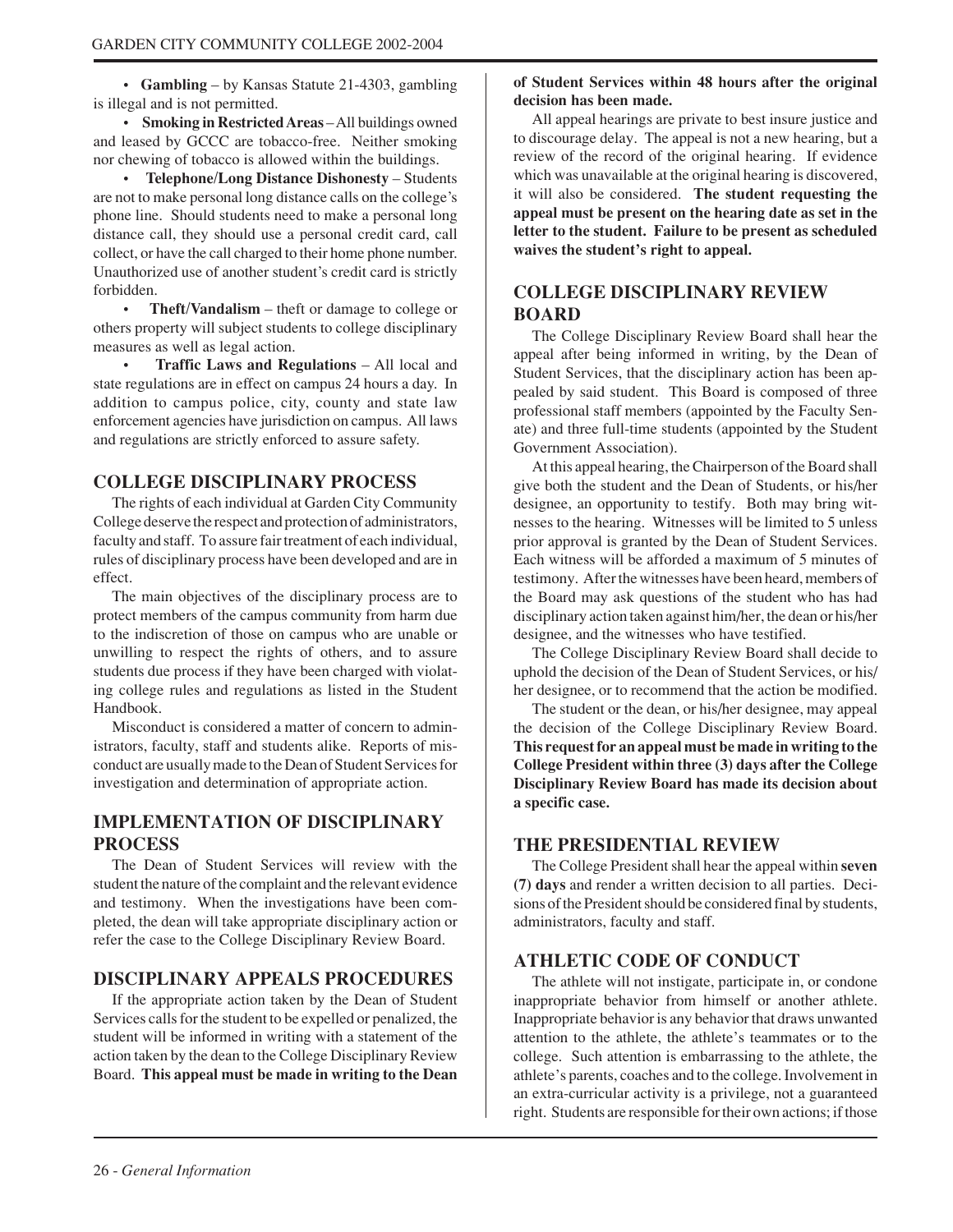• **Gambling** – by Kansas Statute 21-4303, gambling is illegal and is not permitted.

• **Smoking in Restricted Areas** – All buildings owned and leased by GCCC are tobacco-free. Neither smoking nor chewing of tobacco is allowed within the buildings.

• **Telephone/Long Distance Dishonesty** – Students are not to make personal long distance calls on the college's phone line. Should students need to make a personal long distance call, they should use a personal credit card, call collect, or have the call charged to their home phone number. Unauthorized use of another student's credit card is strictly forbidden.

• **Theft/Vandalism** – theft or damage to college or others property will subject students to college disciplinary measures as well as legal action.

• **Traffic Laws and Regulations** – All local and state regulations are in effect on campus 24 hours a day. In addition to campus police, city, county and state law enforcement agencies have jurisdiction on campus. All laws and regulations are strictly enforced to assure safety.

#### **COLLEGE DISCIPLINARY PROCESS**

The rights of each individual at Garden City Community College deserve the respect and protection of administrators, faculty and staff. To assure fair treatment of each individual, rules of disciplinary process have been developed and are in effect.

The main objectives of the disciplinary process are to protect members of the campus community from harm due to the indiscretion of those on campus who are unable or unwilling to respect the rights of others, and to assure students due process if they have been charged with violating college rules and regulations as listed in the Student Handbook.

Misconduct is considered a matter of concern to administrators, faculty, staff and students alike. Reports of misconduct are usually made to the Dean of Student Services for investigation and determination of appropriate action.

#### **IMPLEMENTATION OF DISCIPLINARY PROCESS**

The Dean of Student Services will review with the student the nature of the complaint and the relevant evidence and testimony. When the investigations have been completed, the dean will take appropriate disciplinary action or refer the case to the College Disciplinary Review Board.

#### **DISCIPLINARY APPEALS PROCEDURES**

If the appropriate action taken by the Dean of Student Services calls for the student to be expelled or penalized, the student will be informed in writing with a statement of the action taken by the dean to the College Disciplinary Review Board. **This appeal must be made in writing to the Dean**

#### **of Student Services within 48 hours after the original decision has been made.**

All appeal hearings are private to best insure justice and to discourage delay. The appeal is not a new hearing, but a review of the record of the original hearing. If evidence which was unavailable at the original hearing is discovered, it will also be considered. **The student requesting the appeal must be present on the hearing date as set in the letter to the student. Failure to be present as scheduled waives the student's right to appeal.**

#### **COLLEGE DISCIPLINARY REVIEW BOARD**

The College Disciplinary Review Board shall hear the appeal after being informed in writing, by the Dean of Student Services, that the disciplinary action has been appealed by said student. This Board is composed of three professional staff members (appointed by the Faculty Senate) and three full-time students (appointed by the Student Government Association).

At this appeal hearing, the Chairperson of the Board shall give both the student and the Dean of Students, or his/her designee, an opportunity to testify. Both may bring witnesses to the hearing. Witnesses will be limited to 5 unless prior approval is granted by the Dean of Student Services. Each witness will be afforded a maximum of 5 minutes of testimony. After the witnesses have been heard, members of the Board may ask questions of the student who has had disciplinary action taken against him/her, the dean or his/her designee, and the witnesses who have testified.

The College Disciplinary Review Board shall decide to uphold the decision of the Dean of Student Services, or his/ her designee, or to recommend that the action be modified.

The student or the dean, or his/her designee, may appeal the decision of the College Disciplinary Review Board. **This request for an appeal must be made in writing to the College President within three (3) days after the College Disciplinary Review Board has made its decision about a specific case.**

#### **THE PRESIDENTIAL REVIEW**

The College President shall hear the appeal within **seven (7) days** and render a written decision to all parties. Decisions of the President should be considered final by students, administrators, faculty and staff.

#### **ATHLETIC CODE OF CONDUCT**

The athlete will not instigate, participate in, or condone inappropriate behavior from himself or another athlete. Inappropriate behavior is any behavior that draws unwanted attention to the athlete, the athlete's teammates or to the college. Such attention is embarrassing to the athlete, the athlete's parents, coaches and to the college. Involvement in an extra-curricular activity is a privilege, not a guaranteed right. Students are responsible for their own actions; if those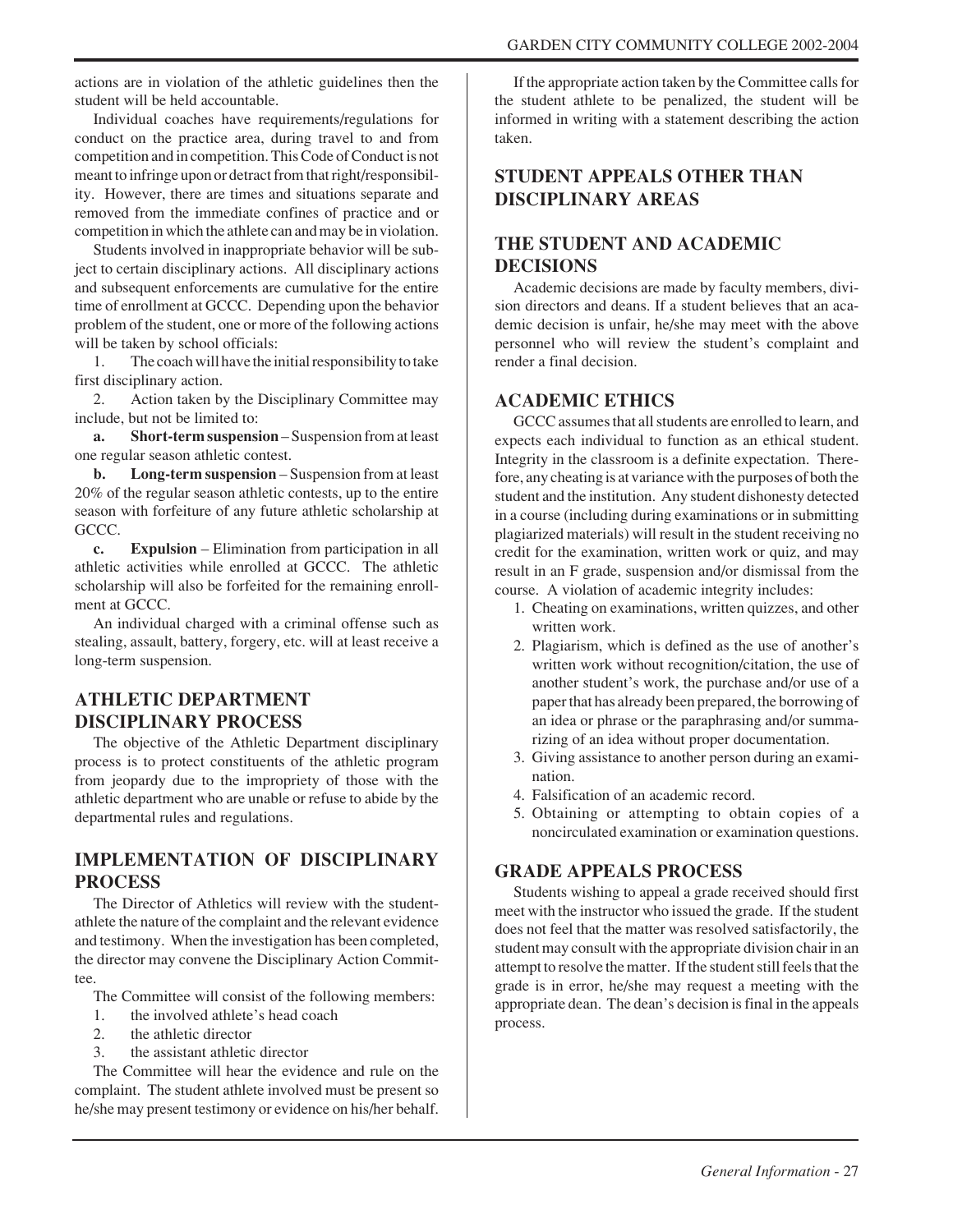actions are in violation of the athletic guidelines then the student will be held accountable.

Individual coaches have requirements/regulations for conduct on the practice area, during travel to and from competition and in competition. This Code of Conduct is not meant to infringe upon or detract from that right/responsibility. However, there are times and situations separate and removed from the immediate confines of practice and or competition in which the athlete can and may be in violation.

Students involved in inappropriate behavior will be subject to certain disciplinary actions. All disciplinary actions and subsequent enforcements are cumulative for the entire time of enrollment at GCCC. Depending upon the behavior problem of the student, one or more of the following actions will be taken by school officials:

1. The coach will have the initial responsibility to take first disciplinary action.

2. Action taken by the Disciplinary Committee may include, but not be limited to:

**a. Short-term suspension** – Suspension from at least one regular season athletic contest.

**b.** Long-term suspension – Suspension from at least 20% of the regular season athletic contests, up to the entire season with forfeiture of any future athletic scholarship at GCCC.

**c. Expulsion** – Elimination from participation in all athletic activities while enrolled at GCCC. The athletic scholarship will also be forfeited for the remaining enrollment at GCCC.

An individual charged with a criminal offense such as stealing, assault, battery, forgery, etc. will at least receive a long-term suspension.

#### **ATHLETIC DEPARTMENT DISCIPLINARY PROCESS**

The objective of the Athletic Department disciplinary process is to protect constituents of the athletic program from jeopardy due to the impropriety of those with the athletic department who are unable or refuse to abide by the departmental rules and regulations.

#### **IMPLEMENTATION OF DISCIPLINARY PROCESS**

The Director of Athletics will review with the studentathlete the nature of the complaint and the relevant evidence and testimony. When the investigation has been completed, the director may convene the Disciplinary Action Committee.

The Committee will consist of the following members:

- 1. the involved athlete's head coach
- 2. the athletic director
- 3. the assistant athletic director

The Committee will hear the evidence and rule on the complaint. The student athlete involved must be present so he/she may present testimony or evidence on his/her behalf.

If the appropriate action taken by the Committee calls for the student athlete to be penalized, the student will be informed in writing with a statement describing the action taken.

#### **STUDENT APPEALS OTHER THAN DISCIPLINARY AREAS**

#### **THE STUDENT AND ACADEMIC DECISIONS**

Academic decisions are made by faculty members, division directors and deans. If a student believes that an academic decision is unfair, he/she may meet with the above personnel who will review the student's complaint and render a final decision.

#### **ACADEMIC ETHICS**

GCCC assumes that all students are enrolled to learn, and expects each individual to function as an ethical student. Integrity in the classroom is a definite expectation. Therefore, any cheating is at variance with the purposes of both the student and the institution. Any student dishonesty detected in a course (including during examinations or in submitting plagiarized materials) will result in the student receiving no credit for the examination, written work or quiz, and may result in an F grade, suspension and/or dismissal from the course. A violation of academic integrity includes:

- 1. Cheating on examinations, written quizzes, and other written work.
- 2. Plagiarism, which is defined as the use of another's written work without recognition/citation, the use of another student's work, the purchase and/or use of a paper that has already been prepared, the borrowing of an idea or phrase or the paraphrasing and/or summarizing of an idea without proper documentation.
- 3. Giving assistance to another person during an examination.
- 4. Falsification of an academic record.
- 5. Obtaining or attempting to obtain copies of a noncirculated examination or examination questions.

#### **GRADE APPEALS PROCESS**

Students wishing to appeal a grade received should first meet with the instructor who issued the grade. If the student does not feel that the matter was resolved satisfactorily, the student may consult with the appropriate division chair in an attempt to resolve the matter. If the student still feels that the grade is in error, he/she may request a meeting with the appropriate dean. The dean's decision is final in the appeals process.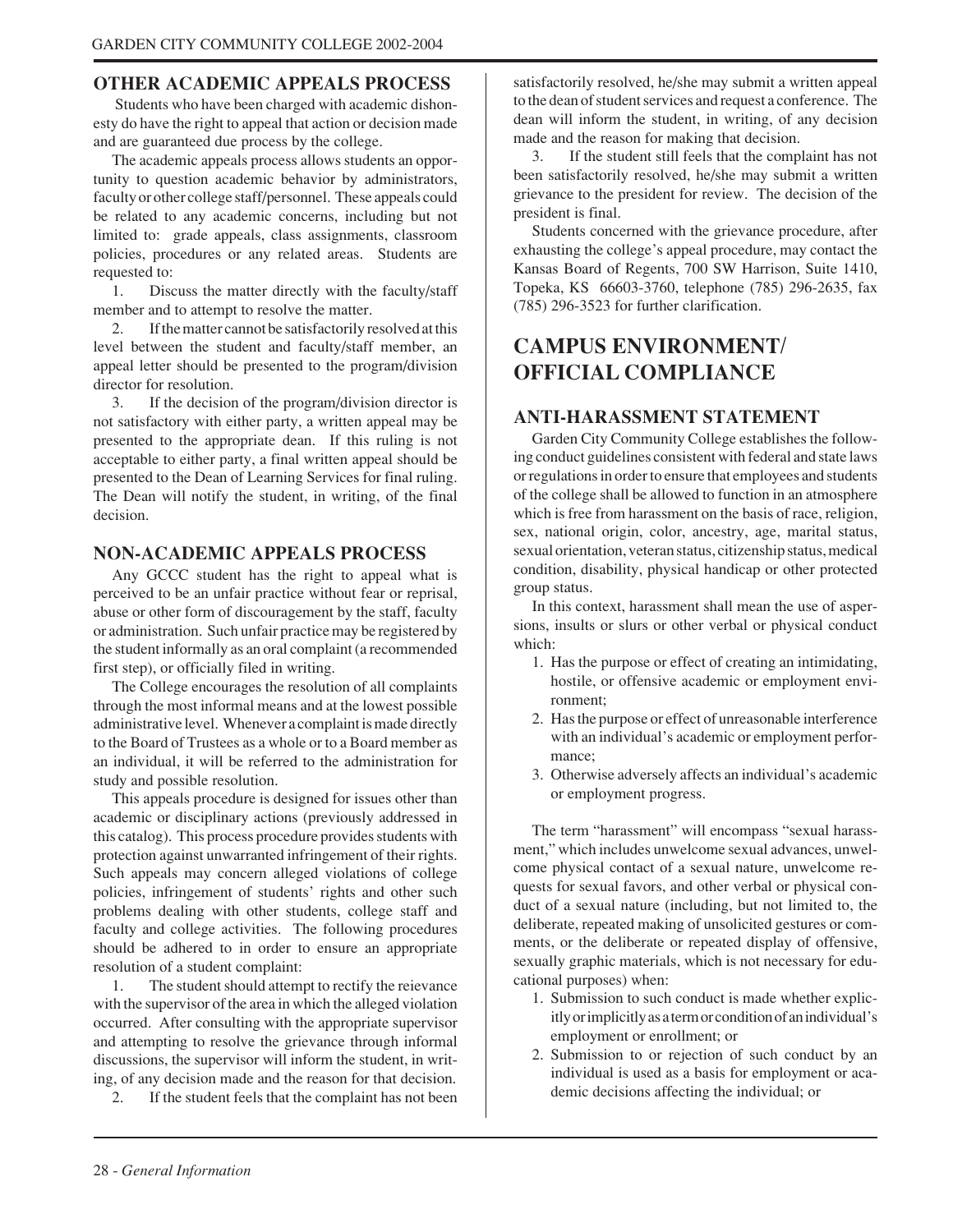#### **OTHER ACADEMIC APPEALS PROCESS**

 Students who have been charged with academic dishonesty do have the right to appeal that action or decision made and are guaranteed due process by the college.

The academic appeals process allows students an opportunity to question academic behavior by administrators, faculty or other college staff/personnel. These appeals could be related to any academic concerns, including but not limited to: grade appeals, class assignments, classroom policies, procedures or any related areas. Students are requested to:

1. Discuss the matter directly with the faculty/staff member and to attempt to resolve the matter.

2. If the matter cannot be satisfactorily resolved at this level between the student and faculty/staff member, an appeal letter should be presented to the program/division director for resolution.

3. If the decision of the program/division director is not satisfactory with either party, a written appeal may be presented to the appropriate dean. If this ruling is not acceptable to either party, a final written appeal should be presented to the Dean of Learning Services for final ruling. The Dean will notify the student, in writing, of the final decision.

#### **NON-ACADEMIC APPEALS PROCESS**

Any GCCC student has the right to appeal what is perceived to be an unfair practice without fear or reprisal, abuse or other form of discouragement by the staff, faculty or administration. Such unfair practice may be registered by the student informally as an oral complaint (a recommended first step), or officially filed in writing.

The College encourages the resolution of all complaints through the most informal means and at the lowest possible administrative level. Whenever a complaint is made directly to the Board of Trustees as a whole or to a Board member as an individual, it will be referred to the administration for study and possible resolution.

This appeals procedure is designed for issues other than academic or disciplinary actions (previously addressed in this catalog). This process procedure provides students with protection against unwarranted infringement of their rights. Such appeals may concern alleged violations of college policies, infringement of students' rights and other such problems dealing with other students, college staff and faculty and college activities. The following procedures should be adhered to in order to ensure an appropriate resolution of a student complaint:

1. The student should attempt to rectify the reievance with the supervisor of the area in which the alleged violation occurred. After consulting with the appropriate supervisor and attempting to resolve the grievance through informal discussions, the supervisor will inform the student, in writing, of any decision made and the reason for that decision.

2. If the student feels that the complaint has not been

satisfactorily resolved, he/she may submit a written appeal to the dean of student services and request a conference. The dean will inform the student, in writing, of any decision made and the reason for making that decision.

3. If the student still feels that the complaint has not been satisfactorily resolved, he/she may submit a written grievance to the president for review. The decision of the president is final.

Students concerned with the grievance procedure, after exhausting the college's appeal procedure, may contact the Kansas Board of Regents, 700 SW Harrison, Suite 1410, Topeka, KS 66603-3760, telephone (785) 296-2635, fax (785) 296-3523 for further clarification.

### **CAMPUS ENVIRONMENT/ OFFICIAL COMPLIANCE**

#### **ANTI-HARASSMENT STATEMENT**

Garden City Community College establishes the following conduct guidelines consistent with federal and state laws or regulations in order to ensure that employees and students of the college shall be allowed to function in an atmosphere which is free from harassment on the basis of race, religion, sex, national origin, color, ancestry, age, marital status, sexual orientation, veteran status, citizenship status, medical condition, disability, physical handicap or other protected group status.

In this context, harassment shall mean the use of aspersions, insults or slurs or other verbal or physical conduct which:

- 1. Has the purpose or effect of creating an intimidating, hostile, or offensive academic or employment environment;
- 2. Has the purpose or effect of unreasonable interference with an individual's academic or employment performance;
- 3. Otherwise adversely affects an individual's academic or employment progress.

The term "harassment" will encompass "sexual harassment," which includes unwelcome sexual advances, unwelcome physical contact of a sexual nature, unwelcome requests for sexual favors, and other verbal or physical conduct of a sexual nature (including, but not limited to, the deliberate, repeated making of unsolicited gestures or comments, or the deliberate or repeated display of offensive, sexually graphic materials, which is not necessary for educational purposes) when:

- 1. Submission to such conduct is made whether explicitly or implicitly as a term or condition of an individual's employment or enrollment; or
- 2. Submission to or rejection of such conduct by an individual is used as a basis for employment or academic decisions affecting the individual; or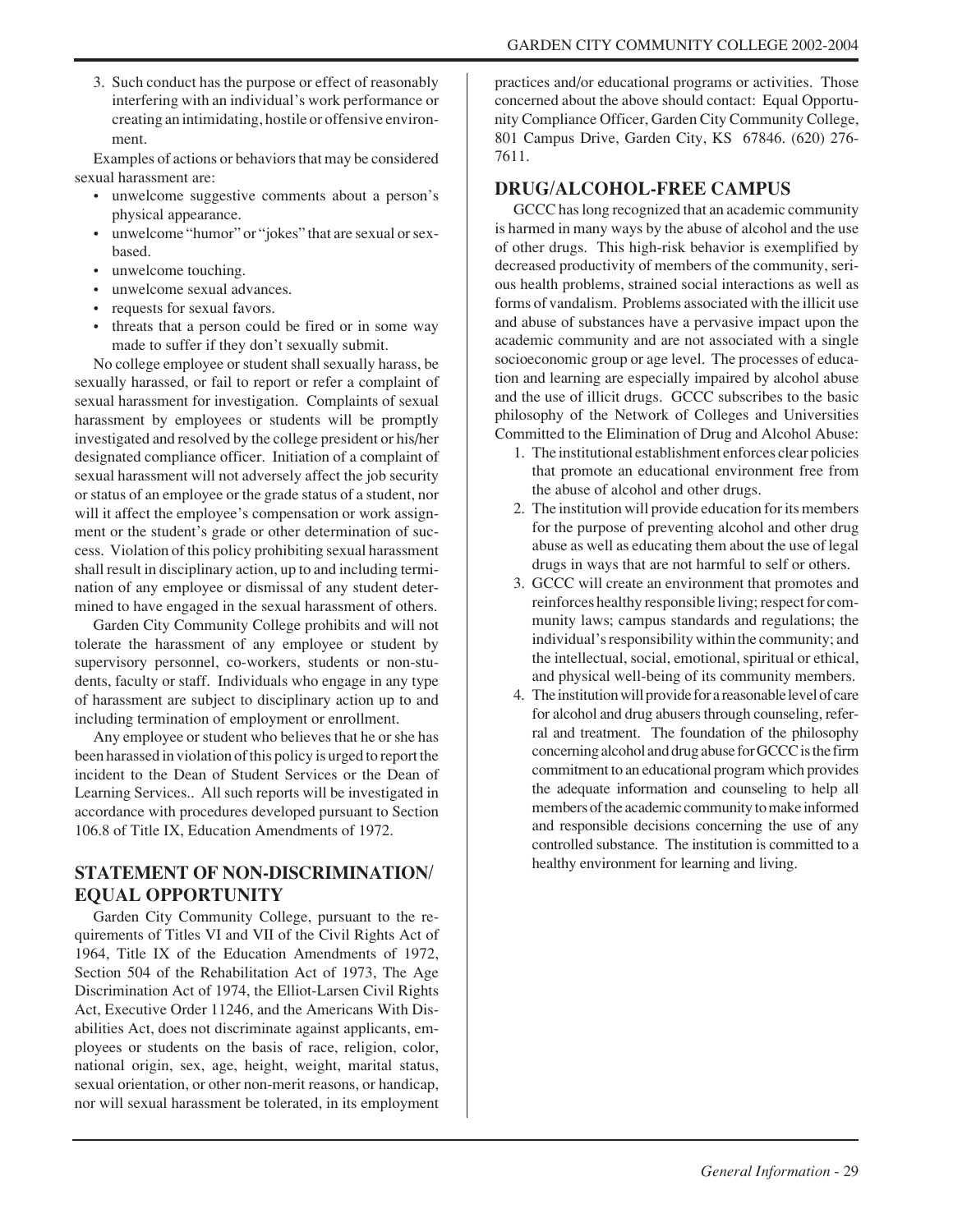3. Such conduct has the purpose or effect of reasonably interfering with an individual's work performance or creating an intimidating, hostile or offensive environment.

Examples of actions or behaviors that may be considered sexual harassment are:

- unwelcome suggestive comments about a person's physical appearance.
- unwelcome "humor" or "jokes" that are sexual or sexbased.
- unwelcome touching.
- unwelcome sexual advances.
- requests for sexual favors.
- threats that a person could be fired or in some way made to suffer if they don't sexually submit.

No college employee or student shall sexually harass, be sexually harassed, or fail to report or refer a complaint of sexual harassment for investigation. Complaints of sexual harassment by employees or students will be promptly investigated and resolved by the college president or his/her designated compliance officer. Initiation of a complaint of sexual harassment will not adversely affect the job security or status of an employee or the grade status of a student, nor will it affect the employee's compensation or work assignment or the student's grade or other determination of success. Violation of this policy prohibiting sexual harassment shall result in disciplinary action, up to and including termination of any employee or dismissal of any student determined to have engaged in the sexual harassment of others.

Garden City Community College prohibits and will not tolerate the harassment of any employee or student by supervisory personnel, co-workers, students or non-students, faculty or staff. Individuals who engage in any type of harassment are subject to disciplinary action up to and including termination of employment or enrollment.

Any employee or student who believes that he or she has been harassed in violation of this policy is urged to report the incident to the Dean of Student Services or the Dean of Learning Services.. All such reports will be investigated in accordance with procedures developed pursuant to Section 106.8 of Title IX, Education Amendments of 1972.

#### **STATEMENT OF NON-DISCRIMINATION/ EQUAL OPPORTUNITY**

Garden City Community College, pursuant to the requirements of Titles VI and VII of the Civil Rights Act of 1964, Title IX of the Education Amendments of 1972, Section 504 of the Rehabilitation Act of 1973, The Age Discrimination Act of 1974, the Elliot-Larsen Civil Rights Act, Executive Order 11246, and the Americans With Disabilities Act, does not discriminate against applicants, employees or students on the basis of race, religion, color, national origin, sex, age, height, weight, marital status, sexual orientation, or other non-merit reasons, or handicap, nor will sexual harassment be tolerated, in its employment practices and/or educational programs or activities. Those concerned about the above should contact: Equal Opportunity Compliance Officer, Garden City Community College, 801 Campus Drive, Garden City, KS 67846. (620) 276- 7611.

#### **DRUG/ALCOHOL-FREE CAMPUS**

GCCC has long recognized that an academic community is harmed in many ways by the abuse of alcohol and the use of other drugs. This high-risk behavior is exemplified by decreased productivity of members of the community, serious health problems, strained social interactions as well as forms of vandalism. Problems associated with the illicit use and abuse of substances have a pervasive impact upon the academic community and are not associated with a single socioeconomic group or age level. The processes of education and learning are especially impaired by alcohol abuse and the use of illicit drugs. GCCC subscribes to the basic philosophy of the Network of Colleges and Universities Committed to the Elimination of Drug and Alcohol Abuse:

- 1. The institutional establishment enforces clear policies that promote an educational environment free from the abuse of alcohol and other drugs.
- 2. The institution will provide education for its members for the purpose of preventing alcohol and other drug abuse as well as educating them about the use of legal drugs in ways that are not harmful to self or others.
- 3. GCCC will create an environment that promotes and reinforces healthy responsible living; respect for community laws; campus standards and regulations; the individual's responsibility within the community; and the intellectual, social, emotional, spiritual or ethical, and physical well-being of its community members.
- 4. The institution will provide for a reasonable level of care for alcohol and drug abusers through counseling, referral and treatment. The foundation of the philosophy concerning alcohol and drug abuse for GCCC is the firm commitment to an educational program which provides the adequate information and counseling to help all members of the academic community to make informed and responsible decisions concerning the use of any controlled substance. The institution is committed to a healthy environment for learning and living.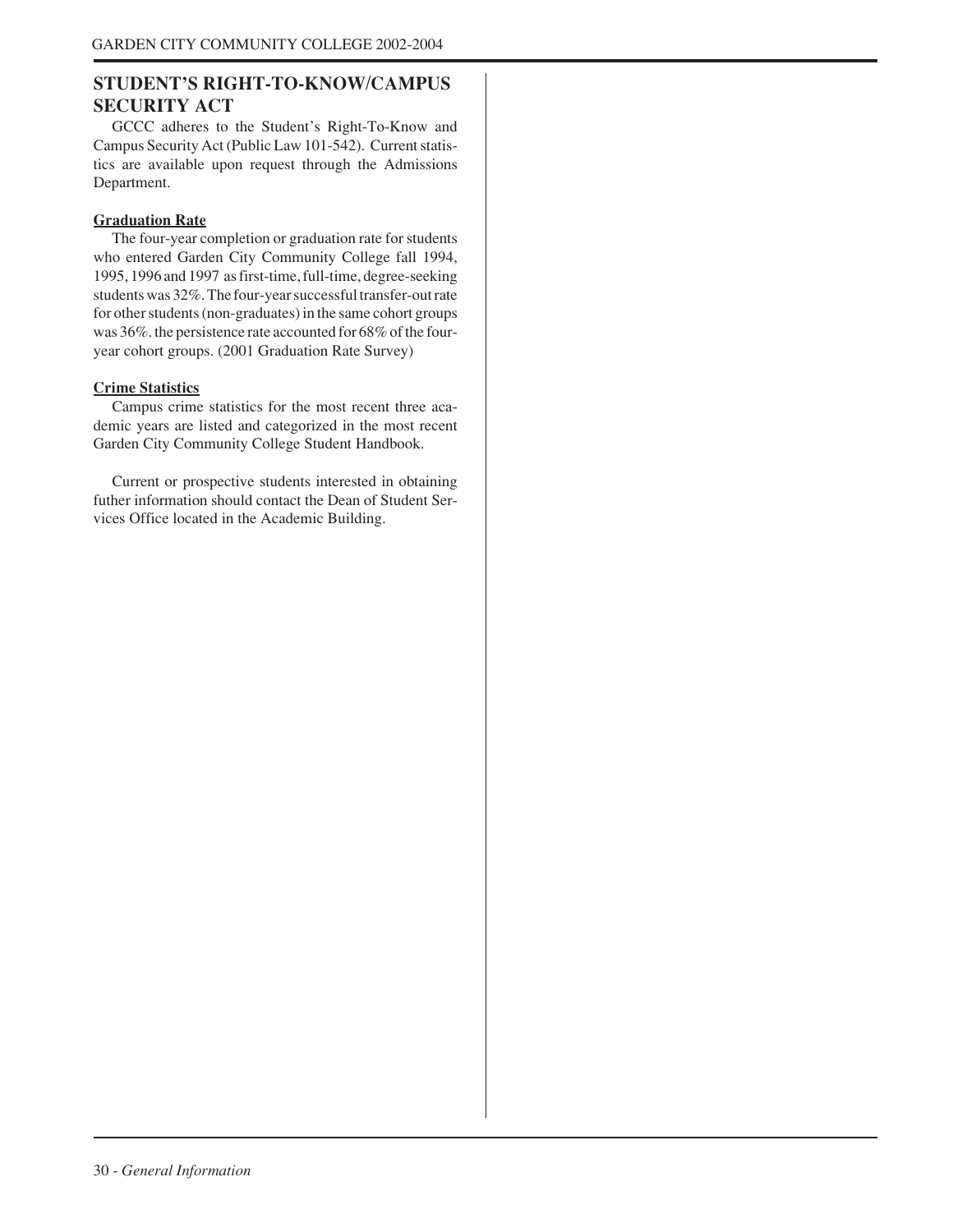#### **STUDENT'S RIGHT-TO-KNOW/CAMPUS SECURITY ACT**

GCCC adheres to the Student's Right-To-Know and Campus Security Act (Public Law 101-542). Current statistics are available upon request through the Admissions Department.

#### **Graduation Rate**

The four-year completion or graduation rate for students who entered Garden City Community College fall 1994, 1995, 1996 and 1997 as first-time, full-time, degree-seeking students was 32%. The four-year successful transfer-out rate for other students (non-graduates) in the same cohort groups was 36%. the persistence rate accounted for 68% of the fouryear cohort groups. (2001 Graduation Rate Survey)

#### **Crime Statistics**

Campus crime statistics for the most recent three academic years are listed and categorized in the most recent Garden City Community College Student Handbook.

Current or prospective students interested in obtaining futher information should contact the Dean of Student Services Office located in the Academic Building.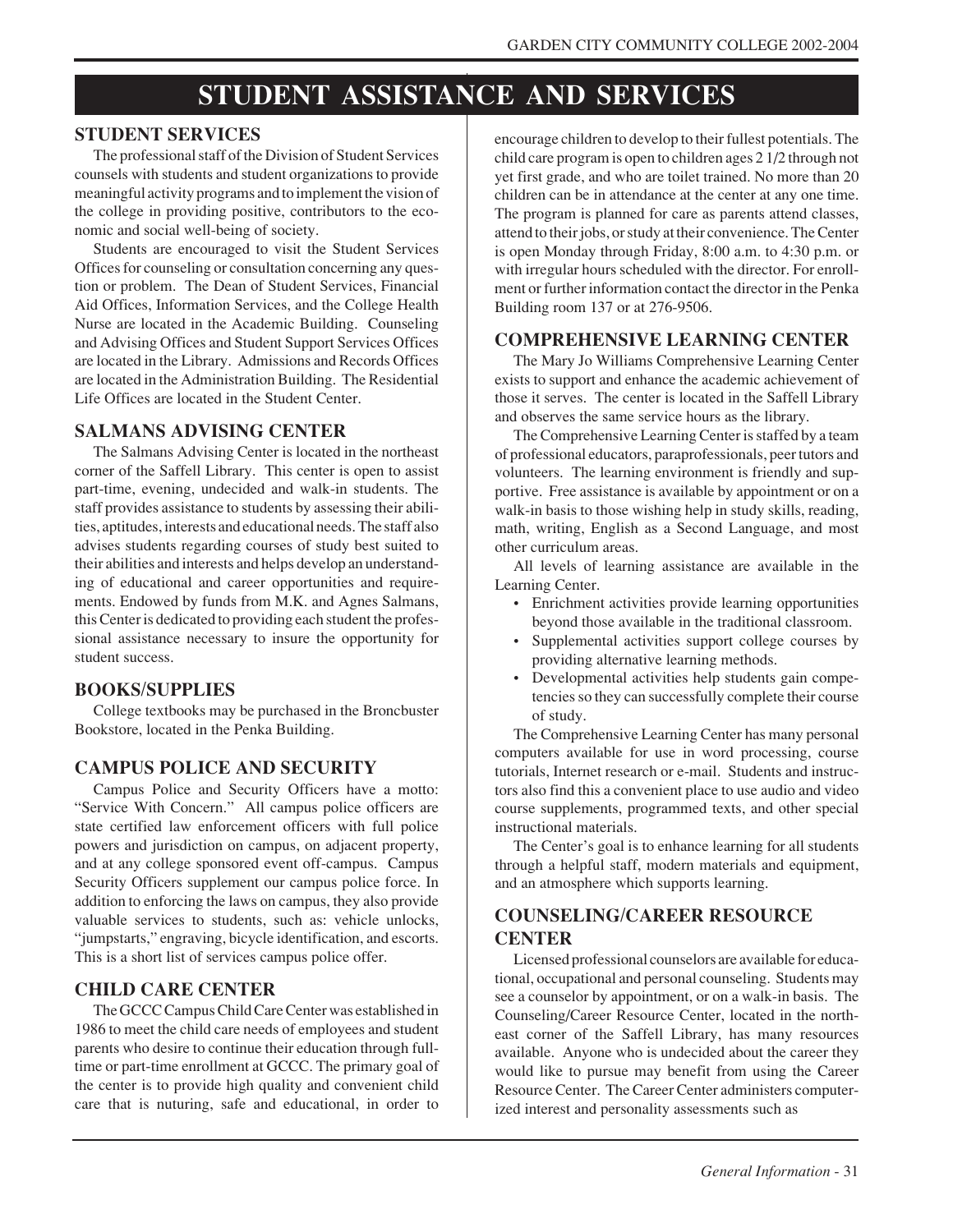## **STUDENT ASSISTANCE AND SERVICES**

#### **STUDENT SERVICES**

The professional staff of the Division of Student Services counsels with students and student organizations to provide meaningful activity programs and to implement the vision of the college in providing positive, contributors to the economic and social well-being of society.

Students are encouraged to visit the Student Services Offices for counseling or consultation concerning any question or problem. The Dean of Student Services, Financial Aid Offices, Information Services, and the College Health Nurse are located in the Academic Building. Counseling and Advising Offices and Student Support Services Offices are located in the Library. Admissions and Records Offices are located in the Administration Building. The Residential Life Offices are located in the Student Center.

#### **SALMANS ADVISING CENTER**

The Salmans Advising Center is located in the northeast corner of the Saffell Library. This center is open to assist part-time, evening, undecided and walk-in students. The staff provides assistance to students by assessing their abilities, aptitudes, interests and educational needs. The staff also advises students regarding courses of study best suited to their abilities and interests and helps develop an understanding of educational and career opportunities and requirements. Endowed by funds from M.K. and Agnes Salmans, this Center is dedicated to providing each student the professional assistance necessary to insure the opportunity for student success.

#### **BOOKS/SUPPLIES**

College textbooks may be purchased in the Broncbuster Bookstore, located in the Penka Building.

#### **CAMPUS POLICE AND SECURITY**

Campus Police and Security Officers have a motto: "Service With Concern." All campus police officers are state certified law enforcement officers with full police powers and jurisdiction on campus, on adjacent property, and at any college sponsored event off-campus. Campus Security Officers supplement our campus police force. In addition to enforcing the laws on campus, they also provide valuable services to students, such as: vehicle unlocks, "jumpstarts," engraving, bicycle identification, and escorts. This is a short list of services campus police offer.

#### **CHILD CARE CENTER**

The GCCC Campus Child Care Center was established in 1986 to meet the child care needs of employees and student parents who desire to continue their education through fulltime or part-time enrollment at GCCC. The primary goal of the center is to provide high quality and convenient child care that is nuturing, safe and educational, in order to encourage children to develop to their fullest potentials. The child care program is open to children ages 2 1/2 through not yet first grade, and who are toilet trained. No more than 20 children can be in attendance at the center at any one time. The program is planned for care as parents attend classes, attend to their jobs, or study at their convenience. The Center is open Monday through Friday, 8:00 a.m. to 4:30 p.m. or with irregular hours scheduled with the director. For enrollment or further information contact the director in the Penka Building room 137 or at 276-9506.

#### **COMPREHENSIVE LEARNING CENTER**

The Mary Jo Williams Comprehensive Learning Center exists to support and enhance the academic achievement of those it serves. The center is located in the Saffell Library and observes the same service hours as the library.

The Comprehensive Learning Center is staffed by a team of professional educators, paraprofessionals, peer tutors and volunteers. The learning environment is friendly and supportive. Free assistance is available by appointment or on a walk-in basis to those wishing help in study skills, reading, math, writing, English as a Second Language, and most other curriculum areas.

All levels of learning assistance are available in the Learning Center.

- Enrichment activities provide learning opportunities beyond those available in the traditional classroom.
- Supplemental activities support college courses by providing alternative learning methods.
- Developmental activities help students gain competencies so they can successfully complete their course of study.

The Comprehensive Learning Center has many personal computers available for use in word processing, course tutorials, Internet research or e-mail. Students and instructors also find this a convenient place to use audio and video course supplements, programmed texts, and other special instructional materials.

The Center's goal is to enhance learning for all students through a helpful staff, modern materials and equipment, and an atmosphere which supports learning.

#### **COUNSELING/CAREER RESOURCE CENTER**

Licensed professional counselors are available for educational, occupational and personal counseling. Students may see a counselor by appointment, or on a walk-in basis. The Counseling/Career Resource Center, located in the northeast corner of the Saffell Library, has many resources available. Anyone who is undecided about the career they would like to pursue may benefit from using the Career Resource Center. The Career Center administers computerized interest and personality assessments such as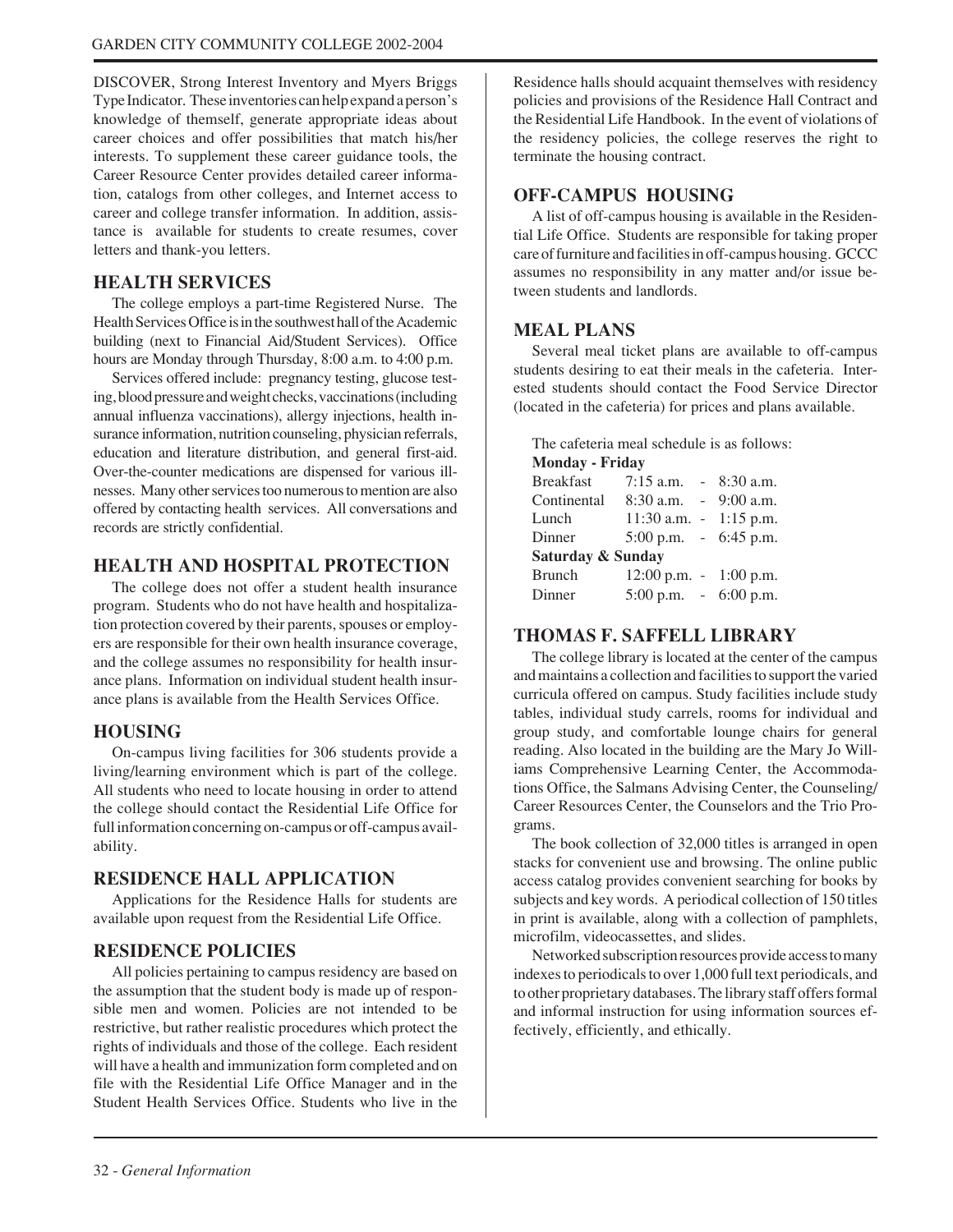DISCOVER, Strong Interest Inventory and Myers Briggs Type Indicator. These inventories can help expand a person's knowledge of themself, generate appropriate ideas about career choices and offer possibilities that match his/her interests. To supplement these career guidance tools, the Career Resource Center provides detailed career information, catalogs from other colleges, and Internet access to career and college transfer information. In addition, assistance is available for students to create resumes, cover letters and thank-you letters.

#### **HEALTH SERVICES**

The college employs a part-time Registered Nurse. The Health Services Office is in the southwest hall of the Academic building (next to Financial Aid/Student Services). Office hours are Monday through Thursday, 8:00 a.m. to 4:00 p.m.

Services offered include: pregnancy testing, glucose testing, blood pressure and weight checks, vaccinations (including annual influenza vaccinations), allergy injections, health insurance information, nutrition counseling, physician referrals, education and literature distribution, and general first-aid. Over-the-counter medications are dispensed for various illnesses. Many other services too numerous to mention are also offered by contacting health services. All conversations and records are strictly confidential.

#### **HEALTH AND HOSPITAL PROTECTION**

The college does not offer a student health insurance program. Students who do not have health and hospitalization protection covered by their parents, spouses or employers are responsible for their own health insurance coverage, and the college assumes no responsibility for health insurance plans. Information on individual student health insurance plans is available from the Health Services Office.

#### **HOUSING**

On-campus living facilities for 306 students provide a living/learning environment which is part of the college. All students who need to locate housing in order to attend the college should contact the Residential Life Office for full information concerning on-campus or off-campus availability.

#### **RESIDENCE HALL APPLICATION**

Applications for the Residence Halls for students are available upon request from the Residential Life Office.

#### **RESIDENCE POLICIES**

All policies pertaining to campus residency are based on the assumption that the student body is made up of responsible men and women. Policies are not intended to be restrictive, but rather realistic procedures which protect the rights of individuals and those of the college. Each resident will have a health and immunization form completed and on file with the Residential Life Office Manager and in the Student Health Services Office. Students who live in the Residence halls should acquaint themselves with residency policies and provisions of the Residence Hall Contract and the Residential Life Handbook. In the event of violations of the residency policies, the college reserves the right to terminate the housing contract.

#### **OFF-CAMPUS HOUSING**

A list of off-campus housing is available in the Residential Life Office. Students are responsible for taking proper care of furniture and facilities in off-campus housing. GCCC assumes no responsibility in any matter and/or issue between students and landlords.

#### **MEAL PLANS**

Several meal ticket plans are available to off-campus students desiring to eat their meals in the cafeteria. Interested students should contact the Food Service Director (located in the cafeteria) for prices and plans available.

The cafeteria meal schedule is as follows: **Monday - Friday**

| $7:15$ a.m.       |  | $-8:30$ a.m.                                                                                                                               |  |  |
|-------------------|--|--------------------------------------------------------------------------------------------------------------------------------------------|--|--|
|                   |  |                                                                                                                                            |  |  |
|                   |  |                                                                                                                                            |  |  |
|                   |  |                                                                                                                                            |  |  |
| Saturday & Sunday |  |                                                                                                                                            |  |  |
|                   |  |                                                                                                                                            |  |  |
|                   |  |                                                                                                                                            |  |  |
|                   |  | $8:30$ a.m. $-9:00$ a.m.<br>$11:30$ a.m. $-1:15$ p.m.<br>$5:00$ p.m. $-6:45$ p.m.<br>$12:00$ p.m. $-1:00$ p.m.<br>$5:00$ p.m. $-6:00$ p.m. |  |  |

#### **THOMAS F. SAFFELL LIBRARY**

The college library is located at the center of the campus and maintains a collection and facilities to support the varied curricula offered on campus. Study facilities include study tables, individual study carrels, rooms for individual and group study, and comfortable lounge chairs for general reading. Also located in the building are the Mary Jo Williams Comprehensive Learning Center, the Accommodations Office, the Salmans Advising Center, the Counseling/ Career Resources Center, the Counselors and the Trio Programs.

The book collection of 32,000 titles is arranged in open stacks for convenient use and browsing. The online public access catalog provides convenient searching for books by subjects and key words. A periodical collection of 150 titles in print is available, along with a collection of pamphlets, microfilm, videocassettes, and slides.

Networked subscription resources provide access to many indexes to periodicals to over 1,000 full text periodicals, and to other proprietary databases. The library staff offers formal and informal instruction for using information sources effectively, efficiently, and ethically.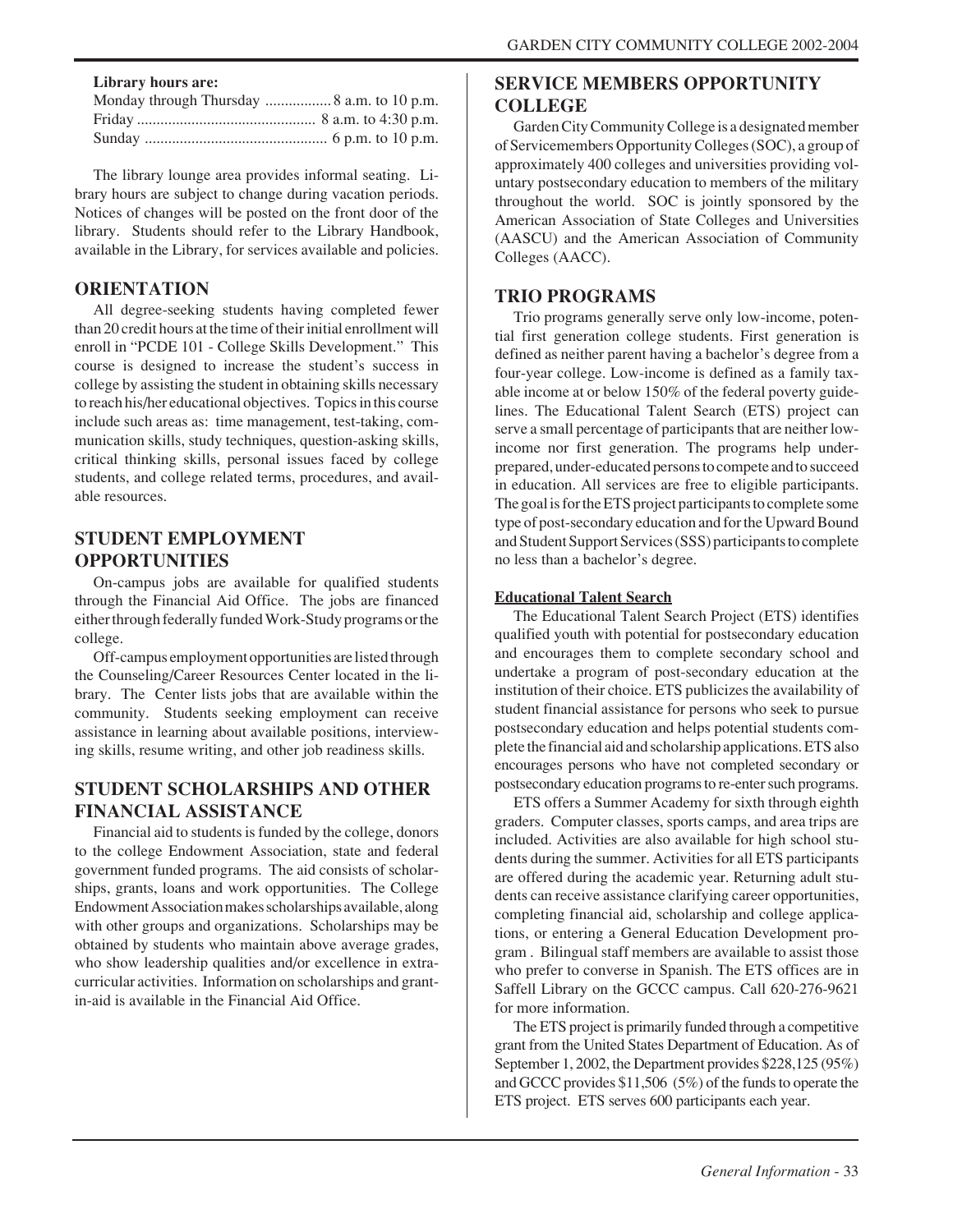#### **Library hours are:**

| Monday through Thursday  8 a.m. to 10 p.m. |  |
|--------------------------------------------|--|
|                                            |  |
|                                            |  |

The library lounge area provides informal seating. Library hours are subject to change during vacation periods. Notices of changes will be posted on the front door of the library. Students should refer to the Library Handbook, available in the Library, for services available and policies.

#### **ORIENTATION**

All degree-seeking students having completed fewer than 20 credit hours at the time of their initial enrollment will enroll in "PCDE 101 - College Skills Development." This course is designed to increase the student's success in college by assisting the student in obtaining skills necessary to reach his/her educational objectives. Topics in this course include such areas as: time management, test-taking, communication skills, study techniques, question-asking skills, critical thinking skills, personal issues faced by college students, and college related terms, procedures, and available resources.

#### **STUDENT EMPLOYMENT OPPORTUNITIES**

On-campus jobs are available for qualified students through the Financial Aid Office. The jobs are financed either through federally funded Work-Study programs or the college.

Off-campus employment opportunities are listed through the Counseling/Career Resources Center located in the library. The Center lists jobs that are available within the community. Students seeking employment can receive assistance in learning about available positions, interviewing skills, resume writing, and other job readiness skills.

#### **STUDENT SCHOLARSHIPS AND OTHER FINANCIAL ASSISTANCE**

Financial aid to students is funded by the college, donors to the college Endowment Association, state and federal government funded programs. The aid consists of scholarships, grants, loans and work opportunities. The College Endowment Association makes scholarships available, along with other groups and organizations. Scholarships may be obtained by students who maintain above average grades, who show leadership qualities and/or excellence in extracurricular activities. Information on scholarships and grantin-aid is available in the Financial Aid Office.

#### **SERVICE MEMBERS OPPORTUNITY COLLEGE**

Garden City Community College is a designated member of Servicemembers Opportunity Colleges (SOC), a group of approximately 400 colleges and universities providing voluntary postsecondary education to members of the military throughout the world. SOC is jointly sponsored by the American Association of State Colleges and Universities (AASCU) and the American Association of Community Colleges (AACC).

#### **TRIO PROGRAMS**

Trio programs generally serve only low-income, potential first generation college students. First generation is defined as neither parent having a bachelor's degree from a four-year college. Low-income is defined as a family taxable income at or below 150% of the federal poverty guidelines. The Educational Talent Search (ETS) project can serve a small percentage of participants that are neither lowincome nor first generation. The programs help underprepared, under-educated persons to compete and to succeed in education. All services are free to eligible participants. The goal is for the ETS project participants to complete some type of post-secondary education and for the Upward Bound and Student Support Services (SSS) participants to complete no less than a bachelor's degree.

#### **Educational Talent Search**

The Educational Talent Search Project (ETS) identifies qualified youth with potential for postsecondary education and encourages them to complete secondary school and undertake a program of post-secondary education at the institution of their choice. ETS publicizes the availability of student financial assistance for persons who seek to pursue postsecondary education and helps potential students complete the financial aid and scholarship applications. ETS also encourages persons who have not completed secondary or postsecondary education programs to re-enter such programs.

ETS offers a Summer Academy for sixth through eighth graders. Computer classes, sports camps, and area trips are included. Activities are also available for high school students during the summer. Activities for all ETS participants are offered during the academic year. Returning adult students can receive assistance clarifying career opportunities, completing financial aid, scholarship and college applications, or entering a General Education Development program . Bilingual staff members are available to assist those who prefer to converse in Spanish. The ETS offices are in Saffell Library on the GCCC campus. Call 620-276-9621 for more information.

The ETS project is primarily funded through a competitive grant from the United States Department of Education. As of September 1, 2002, the Department provides \$228,125 (95%) and GCCC provides \$11,506 (5%) of the funds to operate the ETS project. ETS serves 600 participants each year.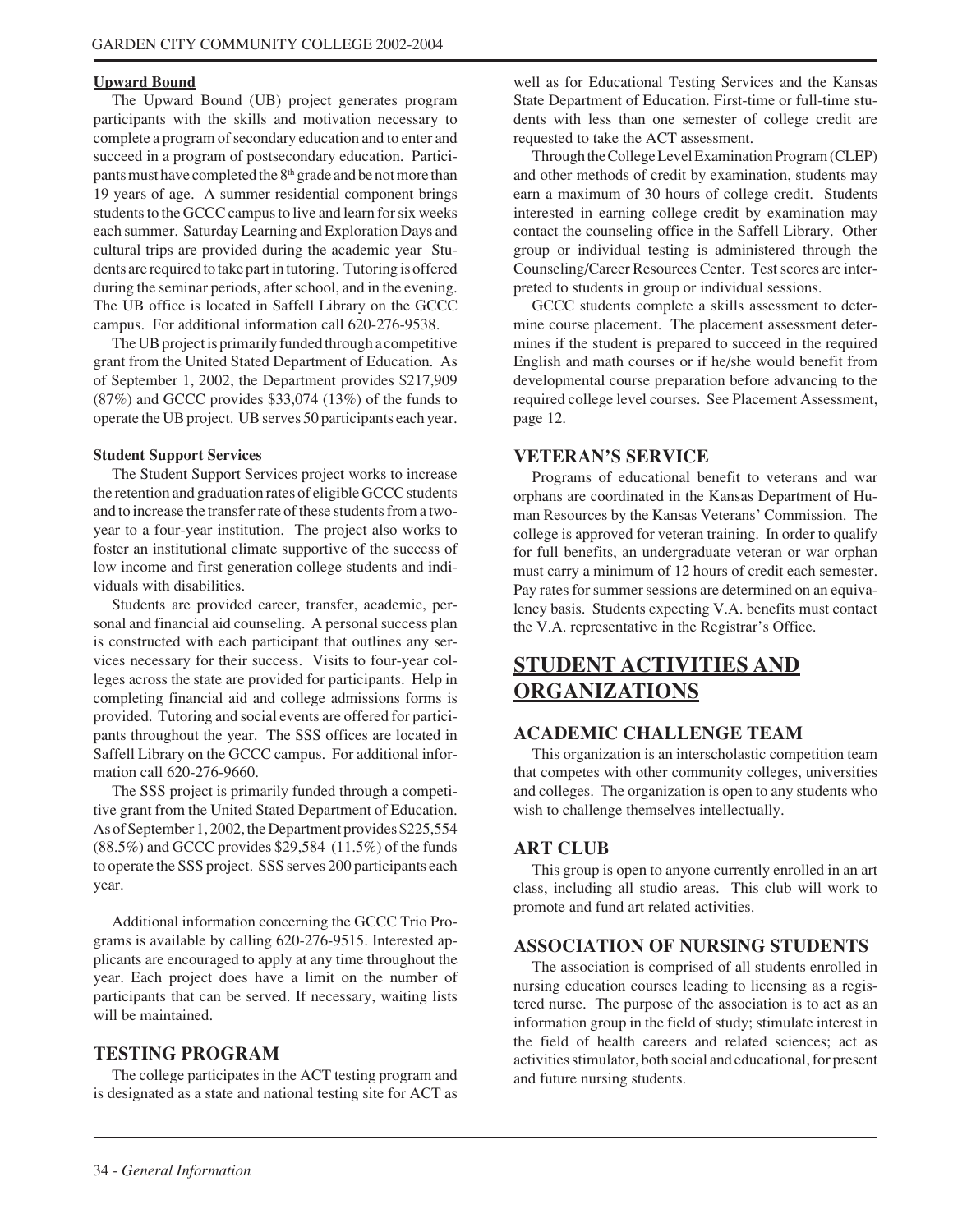#### **Upward Bound**

The Upward Bound (UB) project generates program participants with the skills and motivation necessary to complete a program of secondary education and to enter and succeed in a program of postsecondary education. Participants must have completed the 8<sup>th</sup> grade and be not more than 19 years of age. A summer residential component brings students to the GCCC campus to live and learn for six weeks each summer. Saturday Learning and Exploration Days and cultural trips are provided during the academic year Students are required to take part in tutoring. Tutoring is offered during the seminar periods, after school, and in the evening. The UB office is located in Saffell Library on the GCCC campus. For additional information call 620-276-9538.

The UB project is primarily funded through a competitive grant from the United Stated Department of Education. As of September 1, 2002, the Department provides \$217,909 (87%) and GCCC provides \$33,074 (13%) of the funds to operate the UB project. UB serves 50 participants each year.

#### **Student Support Services**

The Student Support Services project works to increase the retention and graduation rates of eligible GCCC students and to increase the transfer rate of these students from a twoyear to a four-year institution. The project also works to foster an institutional climate supportive of the success of low income and first generation college students and individuals with disabilities.

Students are provided career, transfer, academic, personal and financial aid counseling. A personal success plan is constructed with each participant that outlines any services necessary for their success. Visits to four-year colleges across the state are provided for participants. Help in completing financial aid and college admissions forms is provided. Tutoring and social events are offered for participants throughout the year. The SSS offices are located in Saffell Library on the GCCC campus. For additional information call 620-276-9660.

The SSS project is primarily funded through a competitive grant from the United Stated Department of Education. As of September 1, 2002, the Department provides \$225,554 (88.5%) and GCCC provides \$29,584 (11.5%) of the funds to operate the SSS project. SSS serves 200 participants each year.

Additional information concerning the GCCC Trio Programs is available by calling 620-276-9515. Interested applicants are encouraged to apply at any time throughout the year. Each project does have a limit on the number of participants that can be served. If necessary, waiting lists will be maintained.

#### **TESTING PROGRAM**

The college participates in the ACT testing program and is designated as a state and national testing site for ACT as

well as for Educational Testing Services and the Kansas State Department of Education. First-time or full-time students with less than one semester of college credit are requested to take the ACT assessment.

Through the College Level Examination Program (CLEP) and other methods of credit by examination, students may earn a maximum of 30 hours of college credit. Students interested in earning college credit by examination may contact the counseling office in the Saffell Library. Other group or individual testing is administered through the Counseling/Career Resources Center. Test scores are interpreted to students in group or individual sessions.

GCCC students complete a skills assessment to determine course placement. The placement assessment determines if the student is prepared to succeed in the required English and math courses or if he/she would benefit from developmental course preparation before advancing to the required college level courses. See Placement Assessment, page 12.

#### **VETERAN'S SERVICE**

Programs of educational benefit to veterans and war orphans are coordinated in the Kansas Department of Human Resources by the Kansas Veterans' Commission. The college is approved for veteran training. In order to qualify for full benefits, an undergraduate veteran or war orphan must carry a minimum of 12 hours of credit each semester. Pay rates for summer sessions are determined on an equivalency basis. Students expecting V.A. benefits must contact the V.A. representative in the Registrar's Office.

#### **STUDENT ACTIVITIES AND ORGANIZATIONS**

#### **ACADEMIC CHALLENGE TEAM**

This organization is an interscholastic competition team that competes with other community colleges, universities and colleges. The organization is open to any students who wish to challenge themselves intellectually.

#### **ART CLUB**

This group is open to anyone currently enrolled in an art class, including all studio areas. This club will work to promote and fund art related activities.

#### **ASSOCIATION OF NURSING STUDENTS**

The association is comprised of all students enrolled in nursing education courses leading to licensing as a registered nurse. The purpose of the association is to act as an information group in the field of study; stimulate interest in the field of health careers and related sciences; act as activities stimulator, both social and educational, for present and future nursing students.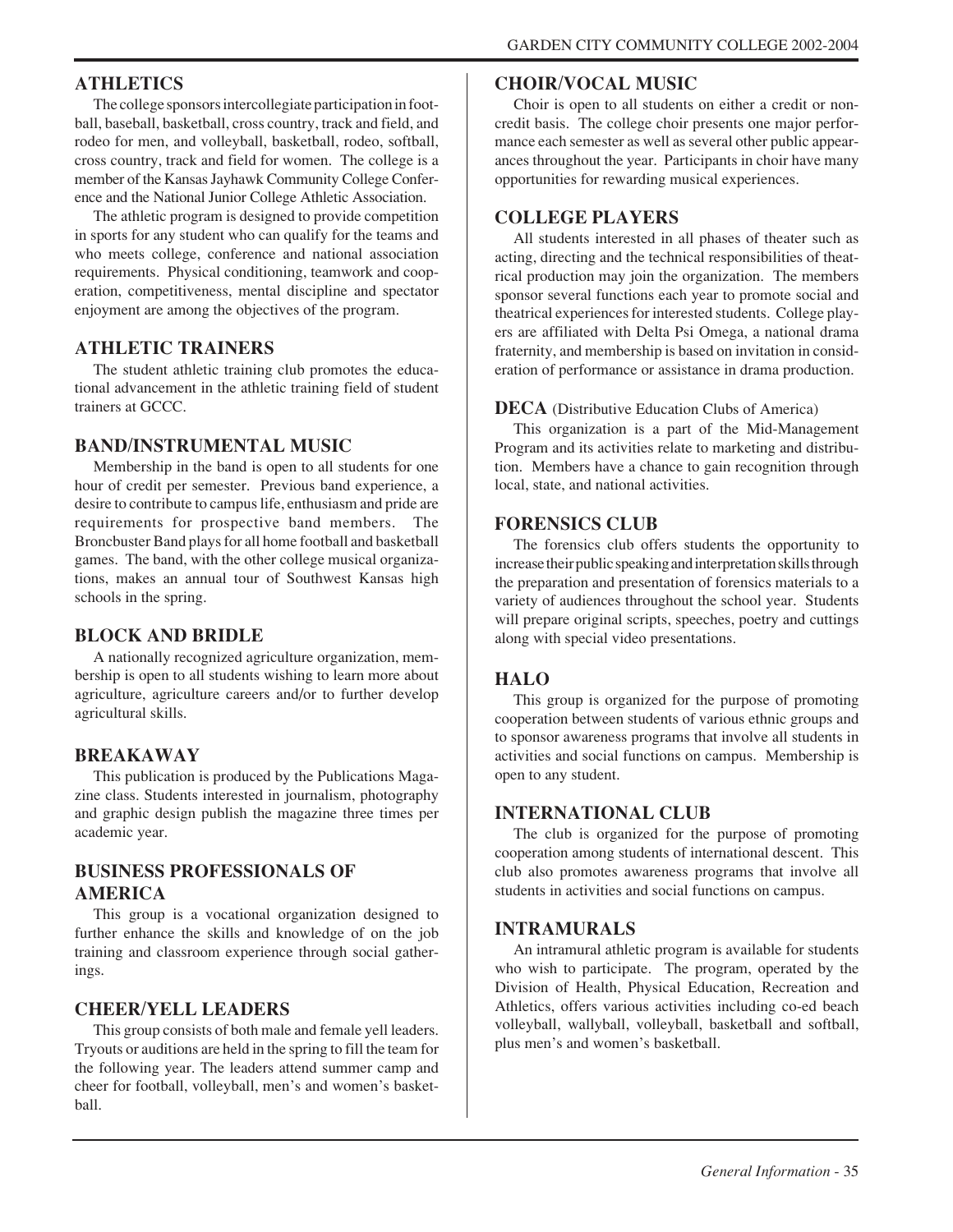#### **ATHLETICS**

The college sponsors intercollegiate participation in football, baseball, basketball, cross country, track and field, and rodeo for men, and volleyball, basketball, rodeo, softball, cross country, track and field for women. The college is a member of the Kansas Jayhawk Community College Conference and the National Junior College Athletic Association.

The athletic program is designed to provide competition in sports for any student who can qualify for the teams and who meets college, conference and national association requirements. Physical conditioning, teamwork and cooperation, competitiveness, mental discipline and spectator enjoyment are among the objectives of the program.

#### **ATHLETIC TRAINERS**

The student athletic training club promotes the educational advancement in the athletic training field of student trainers at GCCC.

#### **BAND/INSTRUMENTAL MUSIC**

Membership in the band is open to all students for one hour of credit per semester. Previous band experience, a desire to contribute to campus life, enthusiasm and pride are requirements for prospective band members. The Broncbuster Band plays for all home football and basketball games. The band, with the other college musical organizations, makes an annual tour of Southwest Kansas high schools in the spring.

#### **BLOCK AND BRIDLE**

A nationally recognized agriculture organization, membership is open to all students wishing to learn more about agriculture, agriculture careers and/or to further develop agricultural skills.

#### **BREAKAWAY**

This publication is produced by the Publications Magazine class. Students interested in journalism, photography and graphic design publish the magazine three times per academic year.

#### **BUSINESS PROFESSIONALS OF AMERICA**

This group is a vocational organization designed to further enhance the skills and knowledge of on the job training and classroom experience through social gatherings.

#### **CHEER/YELL LEADERS**

This group consists of both male and female yell leaders. Tryouts or auditions are held in the spring to fill the team for the following year. The leaders attend summer camp and cheer for football, volleyball, men's and women's basketball.

#### **CHOIR/VOCAL MUSIC**

Choir is open to all students on either a credit or noncredit basis. The college choir presents one major performance each semester as well as several other public appearances throughout the year. Participants in choir have many opportunities for rewarding musical experiences.

#### **COLLEGE PLAYERS**

All students interested in all phases of theater such as acting, directing and the technical responsibilities of theatrical production may join the organization. The members sponsor several functions each year to promote social and theatrical experiences for interested students. College players are affiliated with Delta Psi Omega, a national drama fraternity, and membership is based on invitation in consideration of performance or assistance in drama production.

#### **DECA** (Distributive Education Clubs of America)

This organization is a part of the Mid-Management Program and its activities relate to marketing and distribution. Members have a chance to gain recognition through local, state, and national activities.

#### **FORENSICS CLUB**

The forensics club offers students the opportunity to increase their public speaking and interpretation skills through the preparation and presentation of forensics materials to a variety of audiences throughout the school year. Students will prepare original scripts, speeches, poetry and cuttings along with special video presentations.

#### **HALO**

This group is organized for the purpose of promoting cooperation between students of various ethnic groups and to sponsor awareness programs that involve all students in activities and social functions on campus. Membership is open to any student.

#### **INTERNATIONAL CLUB**

The club is organized for the purpose of promoting cooperation among students of international descent. This club also promotes awareness programs that involve all students in activities and social functions on campus.

#### **INTRAMURALS**

An intramural athletic program is available for students who wish to participate. The program, operated by the Division of Health, Physical Education, Recreation and Athletics, offers various activities including co-ed beach volleyball, wallyball, volleyball, basketball and softball, plus men's and women's basketball.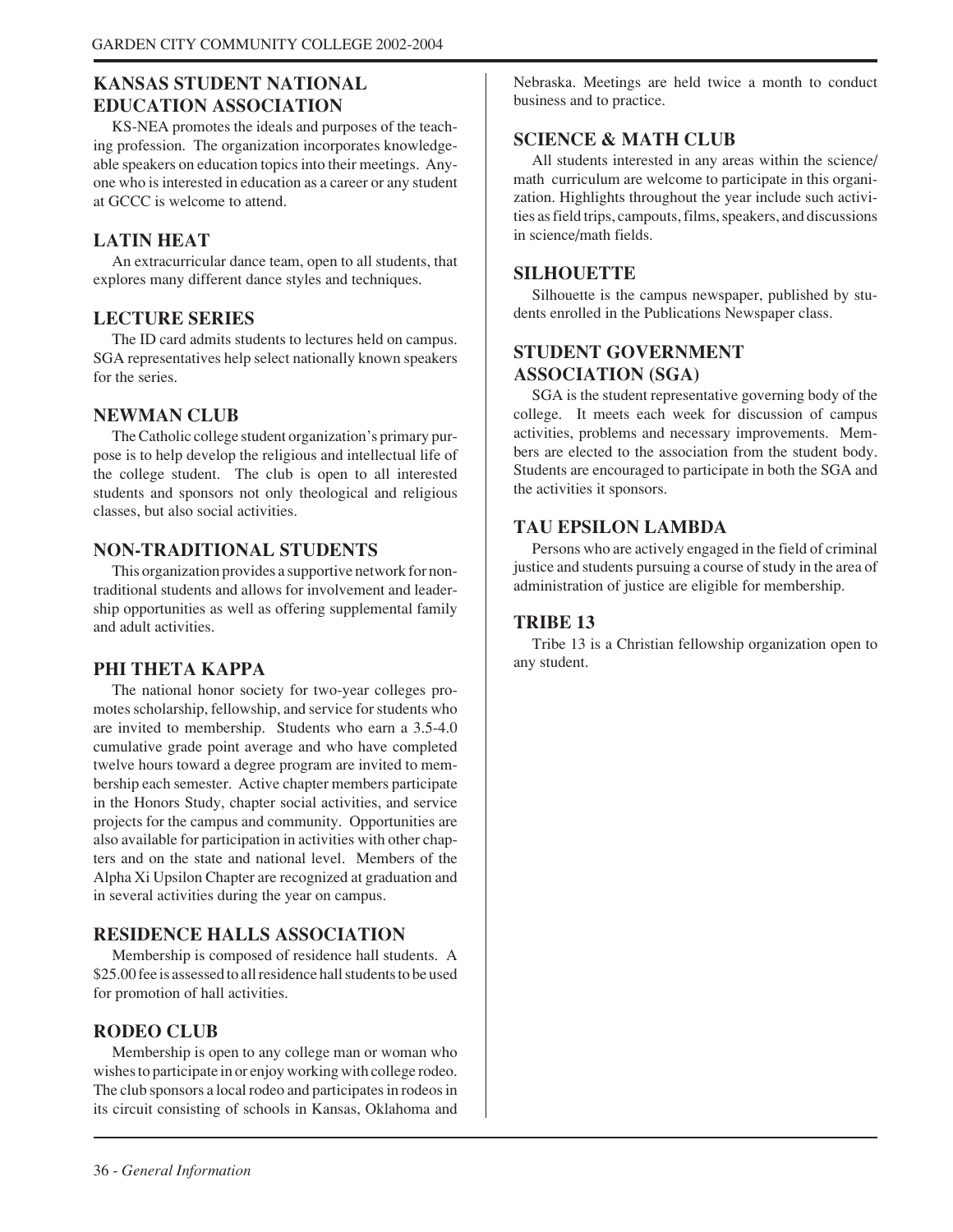#### **KANSAS STUDENT NATIONAL EDUCATION ASSOCIATION**

KS-NEA promotes the ideals and purposes of the teaching profession. The organization incorporates knowledgeable speakers on education topics into their meetings. Anyone who is interested in education as a career or any student at GCCC is welcome to attend.

#### **LATIN HEAT**

An extracurricular dance team, open to all students, that explores many different dance styles and techniques.

#### **LECTURE SERIES**

The ID card admits students to lectures held on campus. SGA representatives help select nationally known speakers for the series.

#### **NEWMAN CLUB**

The Catholic college student organization's primary purpose is to help develop the religious and intellectual life of the college student. The club is open to all interested students and sponsors not only theological and religious classes, but also social activities.

#### **NON-TRADITIONAL STUDENTS**

This organization provides a supportive network for nontraditional students and allows for involvement and leadership opportunities as well as offering supplemental family and adult activities.

#### **PHI THETA KAPPA**

The national honor society for two-year colleges promotes scholarship, fellowship, and service for students who are invited to membership. Students who earn a 3.5-4.0 cumulative grade point average and who have completed twelve hours toward a degree program are invited to membership each semester. Active chapter members participate in the Honors Study, chapter social activities, and service projects for the campus and community. Opportunities are also available for participation in activities with other chapters and on the state and national level. Members of the Alpha Xi Upsilon Chapter are recognized at graduation and in several activities during the year on campus.

#### **RESIDENCE HALLS ASSOCIATION**

Membership is composed of residence hall students. A \$25.00 fee is assessed to all residence hall students to be used for promotion of hall activities.

#### **RODEO CLUB**

Membership is open to any college man or woman who wishes to participate in or enjoy working with college rodeo. The club sponsors a local rodeo and participates in rodeos in its circuit consisting of schools in Kansas, Oklahoma and

Nebraska. Meetings are held twice a month to conduct business and to practice.

#### **SCIENCE & MATH CLUB**

All students interested in any areas within the science/ math curriculum are welcome to participate in this organization. Highlights throughout the year include such activities as field trips, campouts, films, speakers, and discussions in science/math fields.

#### **SILHOUETTE**

Silhouette is the campus newspaper, published by students enrolled in the Publications Newspaper class.

#### **STUDENT GOVERNMENT ASSOCIATION (SGA)**

SGA is the student representative governing body of the college. It meets each week for discussion of campus activities, problems and necessary improvements. Members are elected to the association from the student body. Students are encouraged to participate in both the SGA and the activities it sponsors.

#### **TAU EPSILON LAMBDA**

Persons who are actively engaged in the field of criminal justice and students pursuing a course of study in the area of administration of justice are eligible for membership.

#### **TRIBE 13**

Tribe 13 is a Christian fellowship organization open to any student.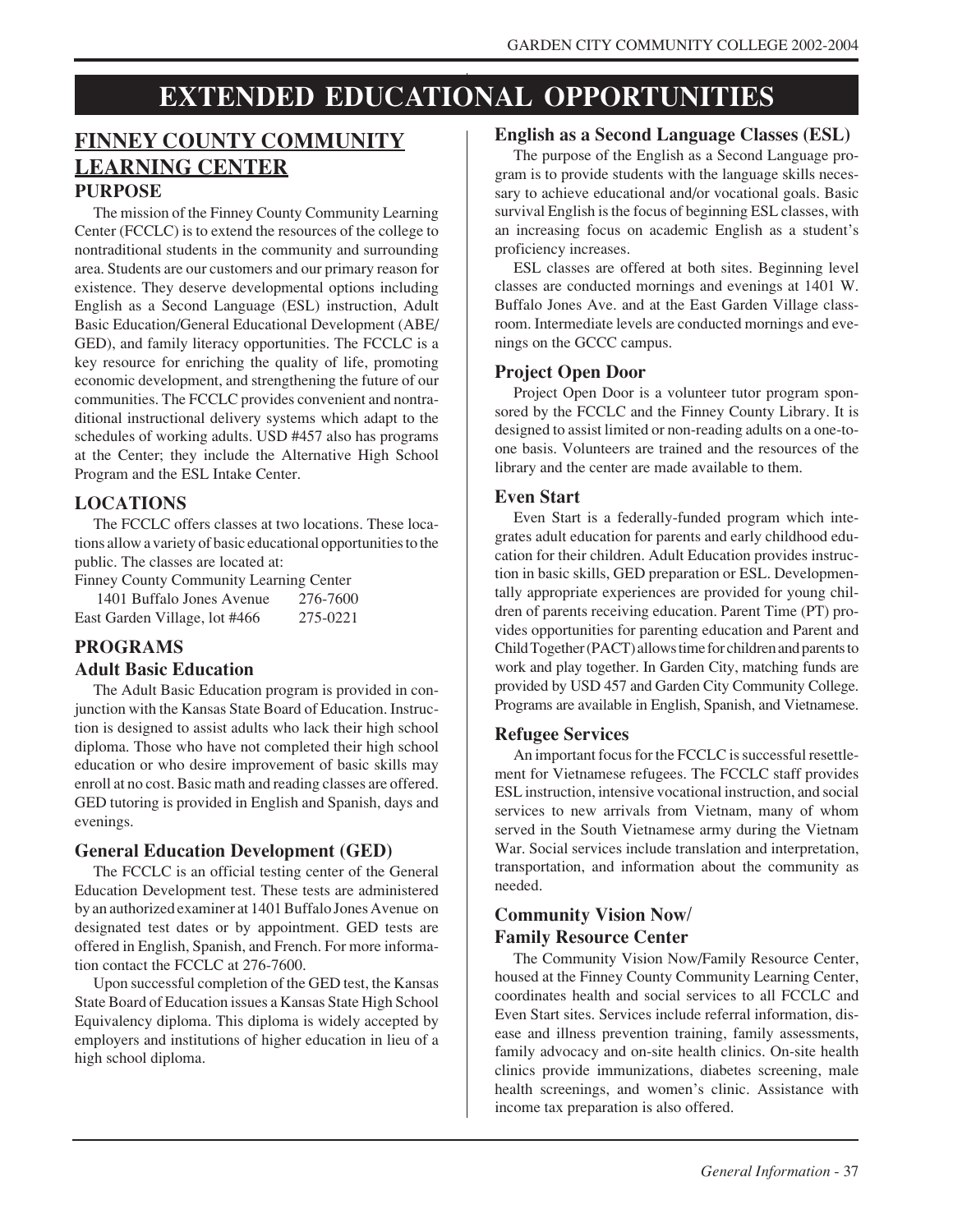### **EXTENDED EDUCATIONAL OPPORTUNITIES**

#### **FINNEY COUNTY COMMUNITY LEARNING CENTER PURPOSE**

The mission of the Finney County Community Learning Center (FCCLC) is to extend the resources of the college to nontraditional students in the community and surrounding area. Students are our customers and our primary reason for existence. They deserve developmental options including English as a Second Language (ESL) instruction, Adult Basic Education/General Educational Development (ABE/ GED), and family literacy opportunities. The FCCLC is a key resource for enriching the quality of life, promoting economic development, and strengthening the future of our communities. The FCCLC provides convenient and nontraditional instructional delivery systems which adapt to the schedules of working adults. USD #457 also has programs at the Center; they include the Alternative High School Program and the ESL Intake Center.

#### **LOCATIONS**

The FCCLC offers classes at two locations. These locations allow a variety of basic educational opportunities to the public. The classes are located at:

Finney County Community Learning Center 1401 Buffalo Jones Avenue 276-7600 East Garden Village, lot #466 275-0221

#### **PROGRAMS Adult Basic Education**

The Adult Basic Education program is provided in conjunction with the Kansas State Board of Education. Instruction is designed to assist adults who lack their high school diploma. Those who have not completed their high school education or who desire improvement of basic skills may enroll at no cost. Basic math and reading classes are offered. GED tutoring is provided in English and Spanish, days and evenings.

#### **General Education Development (GED)**

The FCCLC is an official testing center of the General Education Development test. These tests are administered by an authorized examiner at 1401 Buffalo Jones Avenue on designated test dates or by appointment. GED tests are offered in English, Spanish, and French. For more information contact the FCCLC at 276-7600.

Upon successful completion of the GED test, the Kansas State Board of Education issues a Kansas State High School Equivalency diploma. This diploma is widely accepted by employers and institutions of higher education in lieu of a high school diploma.

#### **English as a Second Language Classes (ESL)**

The purpose of the English as a Second Language program is to provide students with the language skills necessary to achieve educational and/or vocational goals. Basic survival English is the focus of beginning ESL classes, with an increasing focus on academic English as a student's proficiency increases.

ESL classes are offered at both sites. Beginning level classes are conducted mornings and evenings at 1401 W. Buffalo Jones Ave. and at the East Garden Village classroom. Intermediate levels are conducted mornings and evenings on the GCCC campus.

#### **Project Open Door**

Project Open Door is a volunteer tutor program sponsored by the FCCLC and the Finney County Library. It is designed to assist limited or non-reading adults on a one-toone basis. Volunteers are trained and the resources of the library and the center are made available to them.

#### **Even Start**

Even Start is a federally-funded program which integrates adult education for parents and early childhood education for their children. Adult Education provides instruction in basic skills, GED preparation or ESL. Developmentally appropriate experiences are provided for young children of parents receiving education. Parent Time (PT) provides opportunities for parenting education and Parent and Child Together (PACT) allows time for children and parents to work and play together. In Garden City, matching funds are provided by USD 457 and Garden City Community College. Programs are available in English, Spanish, and Vietnamese.

#### **Refugee Services**

An important focus for the FCCLC is successful resettlement for Vietnamese refugees. The FCCLC staff provides ESL instruction, intensive vocational instruction, and social services to new arrivals from Vietnam, many of whom served in the South Vietnamese army during the Vietnam War. Social services include translation and interpretation, transportation, and information about the community as needed.

#### **Community Vision Now/ Family Resource Center**

The Community Vision Now/Family Resource Center, housed at the Finney County Community Learning Center, coordinates health and social services to all FCCLC and Even Start sites. Services include referral information, disease and illness prevention training, family assessments, family advocacy and on-site health clinics. On-site health clinics provide immunizations, diabetes screening, male health screenings, and women's clinic. Assistance with income tax preparation is also offered.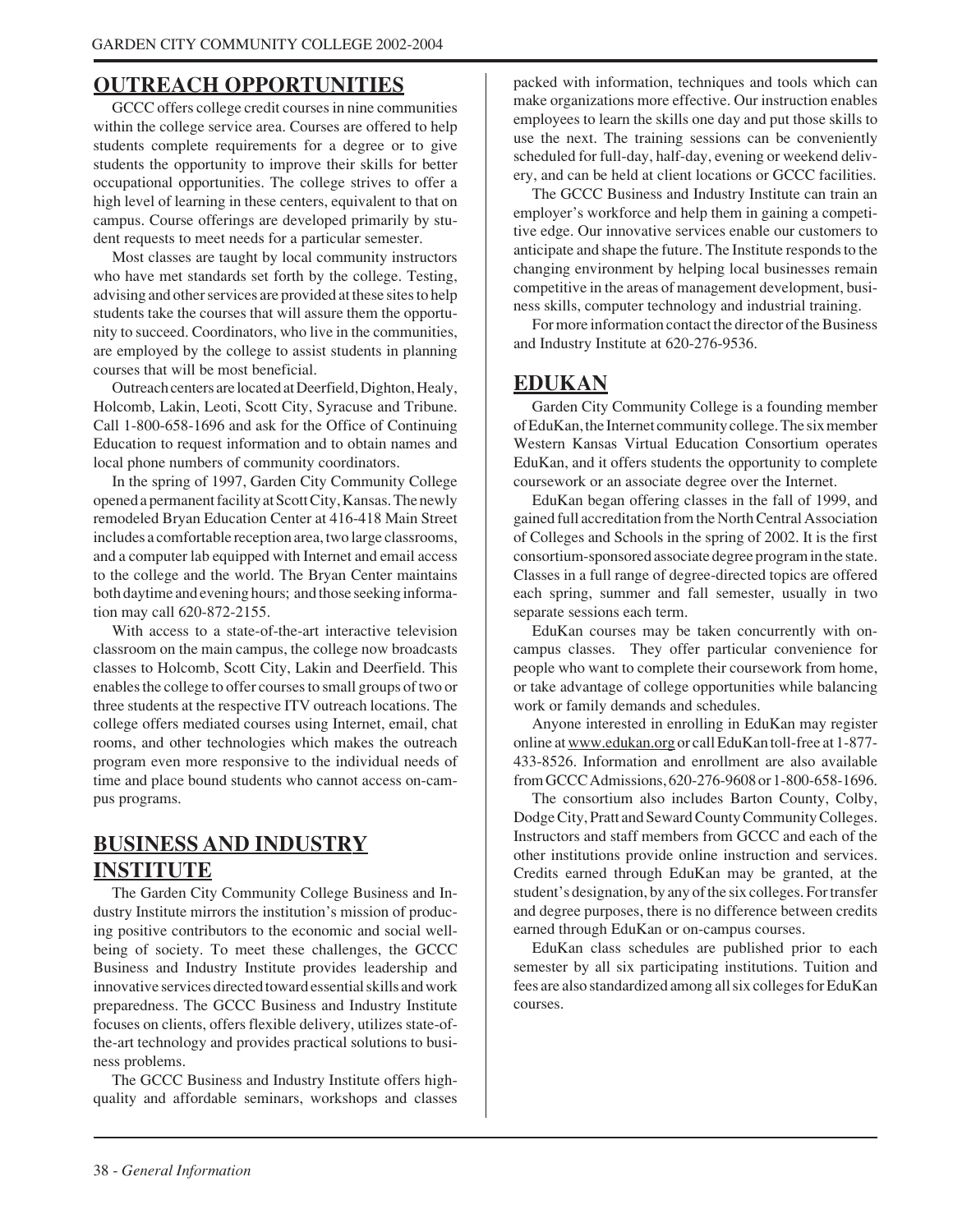## **OUTREACH OPPORTUNITIES**

GCCC offers college credit courses in nine communities within the college service area. Courses are offered to help students complete requirements for a degree or to give students the opportunity to improve their skills for better occupational opportunities. The college strives to offer a high level of learning in these centers, equivalent to that on campus. Course offerings are developed primarily by student requests to meet needs for a particular semester.

Most classes are taught by local community instructors who have met standards set forth by the college. Testing, advising and other services are provided at these sites to help students take the courses that will assure them the opportunity to succeed. Coordinators, who live in the communities, are employed by the college to assist students in planning courses that will be most beneficial.

Outreach centers are located at Deerfield, Dighton, Healy, Holcomb, Lakin, Leoti, Scott City, Syracuse and Tribune. Call 1-800-658-1696 and ask for the Office of Continuing Education to request information and to obtain names and local phone numbers of community coordinators.

In the spring of 1997, Garden City Community College opened a permanent facility at Scott City, Kansas. The newly remodeled Bryan Education Center at 416-418 Main Street includes a comfortable reception area, two large classrooms, and a computer lab equipped with Internet and email access to the college and the world. The Bryan Center maintains both daytime and evening hours; and those seeking information may call 620-872-2155.

With access to a state-of-the-art interactive television classroom on the main campus, the college now broadcasts classes to Holcomb, Scott City, Lakin and Deerfield. This enables the college to offer courses to small groups of two or three students at the respective ITV outreach locations. The college offers mediated courses using Internet, email, chat rooms, and other technologies which makes the outreach program even more responsive to the individual needs of time and place bound students who cannot access on-campus programs.

## **BUSINESS AND INDUSTRY INSTITUTE**

The Garden City Community College Business and Industry Institute mirrors the institution's mission of producing positive contributors to the economic and social wellbeing of society. To meet these challenges, the GCCC Business and Industry Institute provides leadership and innovative services directed toward essential skills and work preparedness. The GCCC Business and Industry Institute focuses on clients, offers flexible delivery, utilizes state-ofthe-art technology and provides practical solutions to business problems.

The GCCC Business and Industry Institute offers highquality and affordable seminars, workshops and classes packed with information, techniques and tools which can make organizations more effective. Our instruction enables employees to learn the skills one day and put those skills to use the next. The training sessions can be conveniently scheduled for full-day, half-day, evening or weekend delivery, and can be held at client locations or GCCC facilities.

The GCCC Business and Industry Institute can train an employer's workforce and help them in gaining a competitive edge. Our innovative services enable our customers to anticipate and shape the future. The Institute responds to the changing environment by helping local businesses remain competitive in the areas of management development, business skills, computer technology and industrial training.

For more information contact the director of the Business and Industry Institute at 620-276-9536.

## **EDUKAN**

Garden City Community College is a founding member of EduKan, the Internet community college. The six member Western Kansas Virtual Education Consortium operates EduKan, and it offers students the opportunity to complete coursework or an associate degree over the Internet.

EduKan began offering classes in the fall of 1999, and gained full accreditation from the North Central Association of Colleges and Schools in the spring of 2002. It is the first consortium-sponsored associate degree program in the state. Classes in a full range of degree-directed topics are offered each spring, summer and fall semester, usually in two separate sessions each term.

EduKan courses may be taken concurrently with oncampus classes. They offer particular convenience for people who want to complete their coursework from home, or take advantage of college opportunities while balancing work or family demands and schedules.

Anyone interested in enrolling in EduKan may register online at www.edukan.org or call EduKan toll-free at 1-877- 433-8526. Information and enrollment are also available from GCCC Admissions, 620-276-9608 or 1-800-658-1696.

The consortium also includes Barton County, Colby, Dodge City, Pratt and Seward County Community Colleges. Instructors and staff members from GCCC and each of the other institutions provide online instruction and services. Credits earned through EduKan may be granted, at the student's designation, by any of the six colleges. For transfer and degree purposes, there is no difference between credits earned through EduKan or on-campus courses.

EduKan class schedules are published prior to each semester by all six participating institutions. Tuition and fees are also standardized among all six colleges for EduKan courses.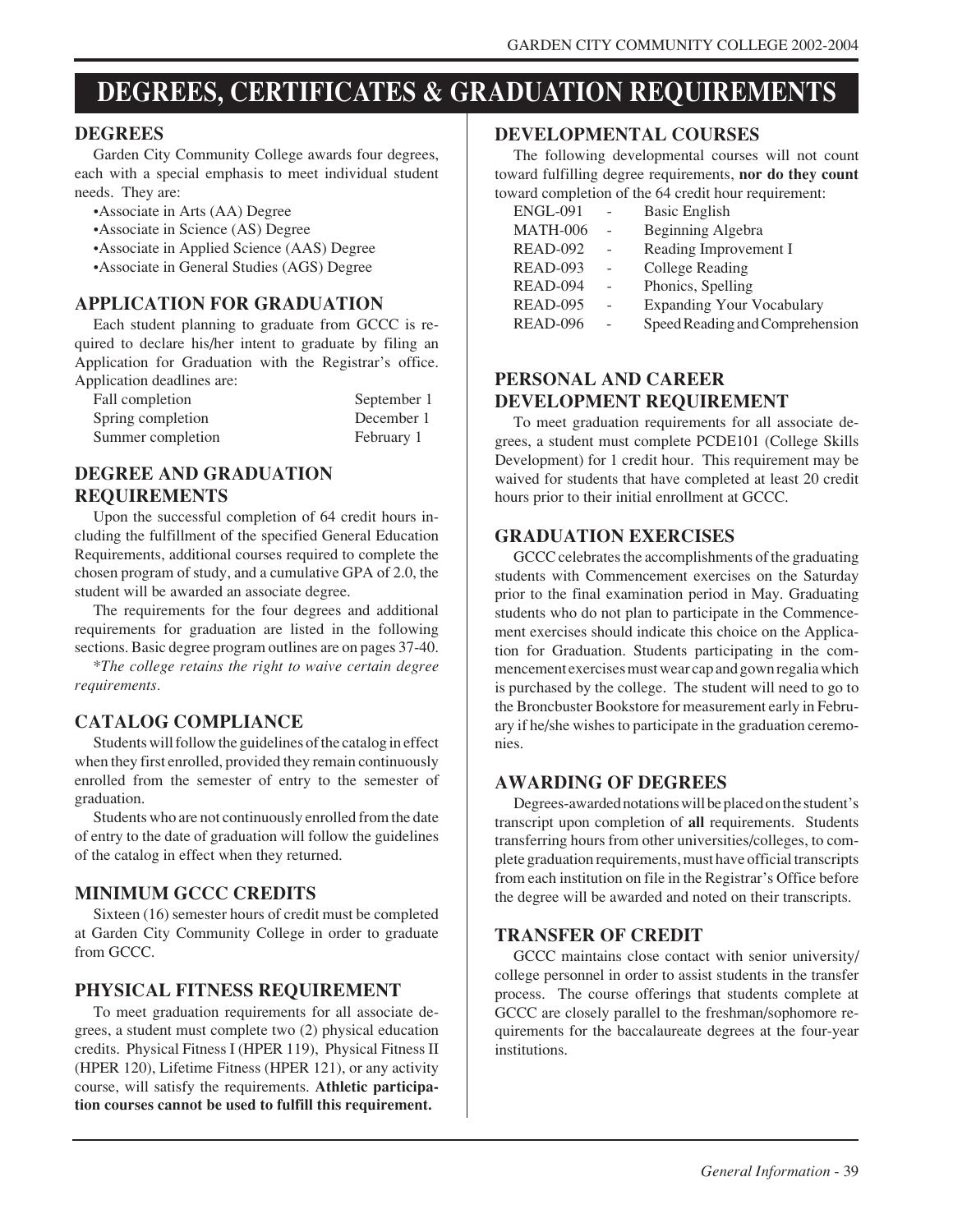## **DEGREES, CERTIFICATES & GRADUATION REQUIREMENTS**

#### **DEGREES**

Garden City Community College awards four degrees, each with a special emphasis to meet individual student needs. They are:

- •Associate in Arts (AA) Degree
- •Associate in Science (AS) Degree
- •Associate in Applied Science (AAS) Degree
- •Associate in General Studies (AGS) Degree

#### **APPLICATION FOR GRADUATION**

Each student planning to graduate from GCCC is required to declare his/her intent to graduate by filing an Application for Graduation with the Registrar's office. Application deadlines are:

| Fall completion   | September 1 |
|-------------------|-------------|
| Spring completion | December 1  |
| Summer completion | February 1  |

### **DEGREE AND GRADUATION REQUIREMENTS**

Upon the successful completion of 64 credit hours including the fulfillment of the specified General Education Requirements, additional courses required to complete the chosen program of study, and a cumulative GPA of 2.0, the student will be awarded an associate degree.

The requirements for the four degrees and additional requirements for graduation are listed in the following sections. Basic degree program outlines are on pages 37-40.

*\*The college retains the right to waive certain degree requirements.*

#### **CATALOG COMPLIANCE**

Students will follow the guidelines of the catalog in effect when they first enrolled, provided they remain continuously enrolled from the semester of entry to the semester of graduation.

Students who are not continuously enrolled from the date of entry to the date of graduation will follow the guidelines of the catalog in effect when they returned.

#### **MINIMUM GCCC CREDITS**

Sixteen (16) semester hours of credit must be completed at Garden City Community College in order to graduate from GCCC.

#### **PHYSICAL FITNESS REQUIREMENT**

To meet graduation requirements for all associate degrees, a student must complete two (2) physical education credits. Physical Fitness I (HPER 119), Physical Fitness II (HPER 120), Lifetime Fitness (HPER 121), or any activity course, will satisfy the requirements. **Athletic participation courses cannot be used to fulfill this requirement.**

#### **DEVELOPMENTAL COURSES**

The following developmental courses will not count toward fulfilling degree requirements, **nor do they count** toward completion of the 64 credit hour requirement:

| <b>ENGL-091</b> |           | <b>Basic English</b>             |
|-----------------|-----------|----------------------------------|
| <b>MATH-006</b> | $\bar{a}$ | Beginning Algebra                |
| <b>READ-092</b> |           | Reading Improvement I            |
| <b>READ-093</b> | $\sim$    | College Reading                  |
| READ-094        |           | Phonics, Spelling                |
| <b>READ-095</b> |           | <b>Expanding Your Vocabulary</b> |
| <b>READ-096</b> |           | Speed Reading and Comprehension  |
|                 |           |                                  |

#### **PERSONAL AND CAREER DEVELOPMENT REQUIREMENT**

To meet graduation requirements for all associate degrees, a student must complete PCDE101 (College Skills Development) for 1 credit hour. This requirement may be waived for students that have completed at least 20 credit hours prior to their initial enrollment at GCCC.

#### **GRADUATION EXERCISES**

GCCC celebrates the accomplishments of the graduating students with Commencement exercises on the Saturday prior to the final examination period in May. Graduating students who do not plan to participate in the Commencement exercises should indicate this choice on the Application for Graduation. Students participating in the commencement exercises must wear cap and gown regalia which is purchased by the college. The student will need to go to the Broncbuster Bookstore for measurement early in February if he/she wishes to participate in the graduation ceremonies.

#### **AWARDING OF DEGREES**

Degrees-awarded notations will be placed on the student's transcript upon completion of **all** requirements. Students transferring hours from other universities/colleges, to complete graduation requirements, must have official transcripts from each institution on file in the Registrar's Office before the degree will be awarded and noted on their transcripts.

#### **TRANSFER OF CREDIT**

GCCC maintains close contact with senior university/ college personnel in order to assist students in the transfer process. The course offerings that students complete at GCCC are closely parallel to the freshman/sophomore requirements for the baccalaureate degrees at the four-year institutions.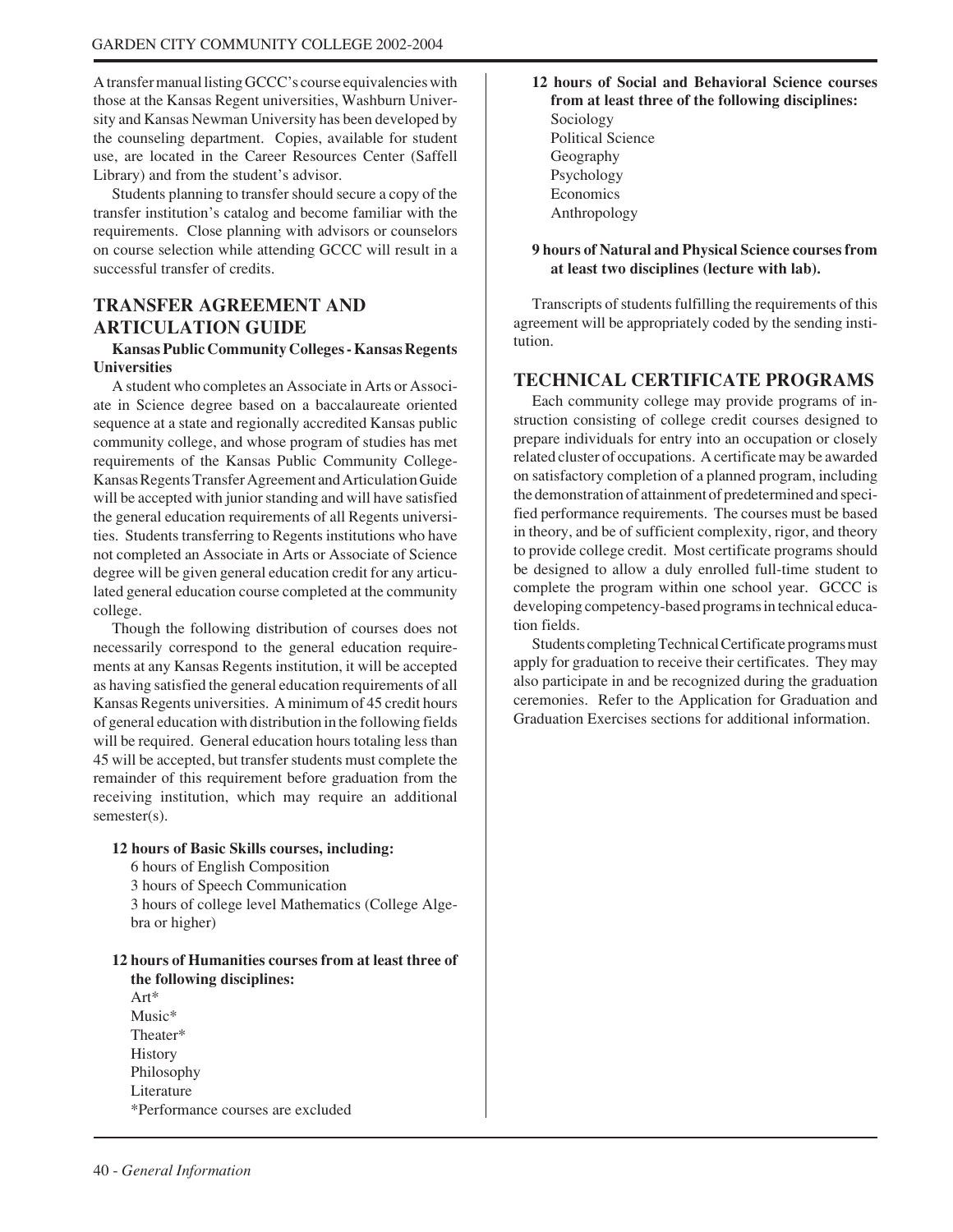A transfer manual listing GCCC's course equivalencies with those at the Kansas Regent universities, Washburn University and Kansas Newman University has been developed by the counseling department. Copies, available for student use, are located in the Career Resources Center (Saffell Library) and from the student's advisor.

Students planning to transfer should secure a copy of the transfer institution's catalog and become familiar with the requirements. Close planning with advisors or counselors on course selection while attending GCCC will result in a successful transfer of credits.

#### **TRANSFER AGREEMENT AND ARTICULATION GUIDE**

**Kansas Public Community Colleges - Kansas Regents Universities**

A student who completes an Associate in Arts or Associate in Science degree based on a baccalaureate oriented sequence at a state and regionally accredited Kansas public community college, and whose program of studies has met requirements of the Kansas Public Community College-Kansas Regents Transfer Agreement and Articulation Guide will be accepted with junior standing and will have satisfied the general education requirements of all Regents universities. Students transferring to Regents institutions who have not completed an Associate in Arts or Associate of Science degree will be given general education credit for any articulated general education course completed at the community college.

Though the following distribution of courses does not necessarily correspond to the general education requirements at any Kansas Regents institution, it will be accepted as having satisfied the general education requirements of all Kansas Regents universities. A minimum of 45 credit hours of general education with distribution in the following fields will be required. General education hours totaling less than 45 will be accepted, but transfer students must complete the remainder of this requirement before graduation from the receiving institution, which may require an additional semester(s).

- **12 hours of Basic Skills courses, including:**
	- 6 hours of English Composition
	- 3 hours of Speech Communication

3 hours of college level Mathematics (College Algebra or higher)

**12 hours of Humanities courses from at least three of the following disciplines:**

Art\* Music\* Theater\* History Philosophy Literature \*Performance courses are excluded **12 hours of Social and Behavioral Science courses from at least three of the following disciplines:** Sociology Political Science Geography Psychology Economics Anthropology

**9 hours of Natural and Physical Science courses from at least two disciplines (lecture with lab).**

Transcripts of students fulfilling the requirements of this agreement will be appropriately coded by the sending institution.

## **TECHNICAL CERTIFICATE PROGRAMS**

Each community college may provide programs of instruction consisting of college credit courses designed to prepare individuals for entry into an occupation or closely related cluster of occupations. A certificate may be awarded on satisfactory completion of a planned program, including the demonstration of attainment of predetermined and specified performance requirements. The courses must be based in theory, and be of sufficient complexity, rigor, and theory to provide college credit. Most certificate programs should be designed to allow a duly enrolled full-time student to complete the program within one school year. GCCC is developing competency-based programs in technical education fields.

Students completing Technical Certificate programs must apply for graduation to receive their certificates. They may also participate in and be recognized during the graduation ceremonies. Refer to the Application for Graduation and Graduation Exercises sections for additional information.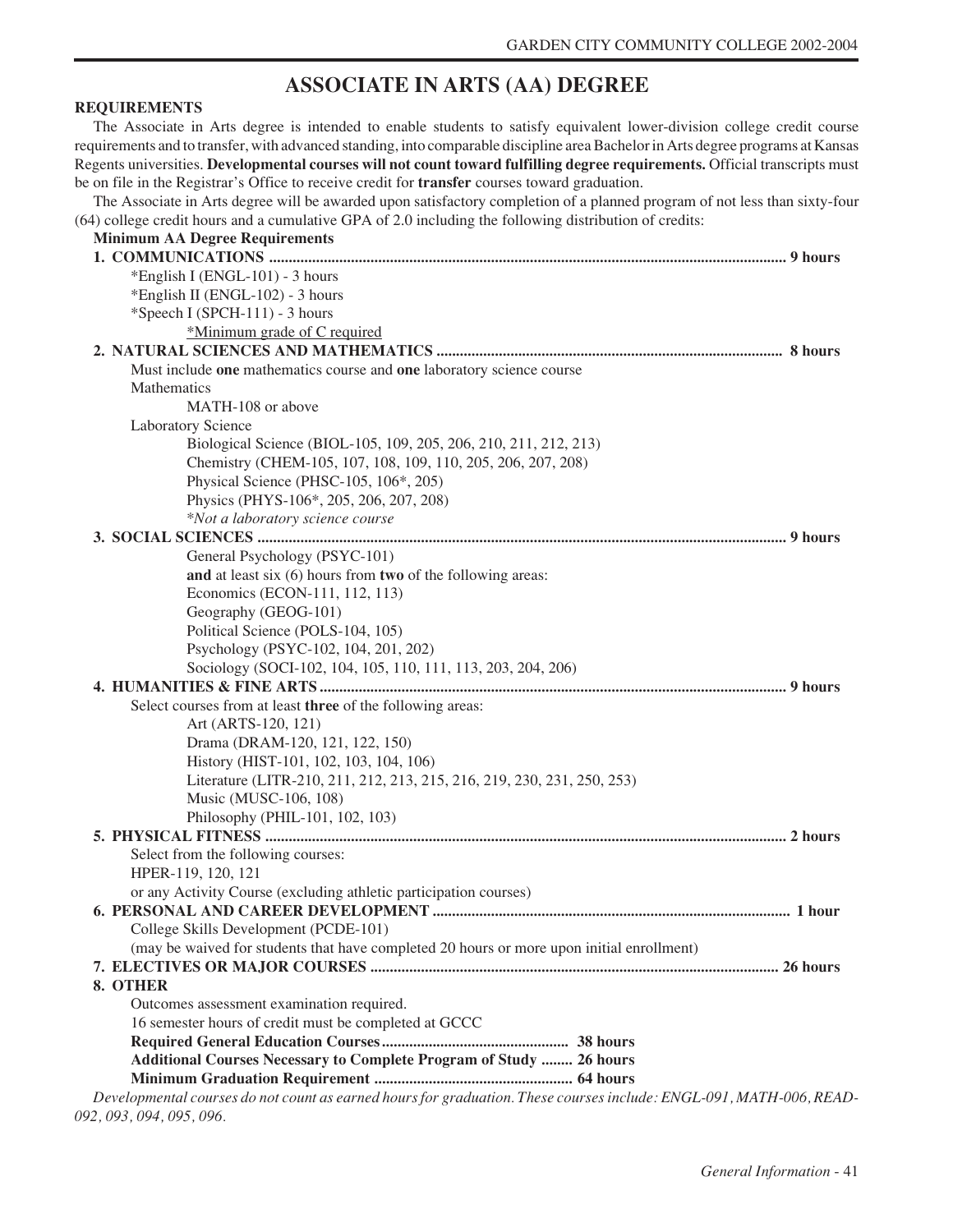## **ASSOCIATE IN ARTS (AA) DEGREE**

#### **REQUIREMENTS**

The Associate in Arts degree is intended to enable students to satisfy equivalent lower-division college credit course requirements and to transfer, with advanced standing, into comparable discipline area Bachelor in Arts degree programs at Kansas Regents universities. **Developmental courses will not count toward fulfilling degree requirements.** Official transcripts must be on file in the Registrar's Office to receive credit for **transfer** courses toward graduation.

The Associate in Arts degree will be awarded upon satisfactory completion of a planned program of not less than sixty-four (64) college credit hours and a cumulative GPA of 2.0 including the following distribution of credits:

| <b>Minimum AA Degree Requirements</b>                                                                               |  |
|---------------------------------------------------------------------------------------------------------------------|--|
|                                                                                                                     |  |
| *English I (ENGL-101) - 3 hours                                                                                     |  |
| *English II (ENGL-102) - 3 hours                                                                                    |  |
| *Speech I (SPCH-111) - 3 hours                                                                                      |  |
| *Minimum grade of C required                                                                                        |  |
|                                                                                                                     |  |
| Must include one mathematics course and one laboratory science course                                               |  |
| Mathematics<br>MATH-108 or above                                                                                    |  |
|                                                                                                                     |  |
| <b>Laboratory Science</b><br>Biological Science (BIOL-105, 109, 205, 206, 210, 211, 212, 213)                       |  |
| Chemistry (CHEM-105, 107, 108, 109, 110, 205, 206, 207, 208)                                                        |  |
| Physical Science (PHSC-105, 106*, 205)                                                                              |  |
| Physics (PHYS-106*, 205, 206, 207, 208)                                                                             |  |
|                                                                                                                     |  |
| *Not a laboratory science course                                                                                    |  |
| General Psychology (PSYC-101)                                                                                       |  |
| and at least six $(6)$ hours from two of the following areas:                                                       |  |
| Economics (ECON-111, 112, 113)                                                                                      |  |
| Geography (GEOG-101)                                                                                                |  |
| Political Science (POLS-104, 105)                                                                                   |  |
| Psychology (PSYC-102, 104, 201, 202)                                                                                |  |
| Sociology (SOCI-102, 104, 105, 110, 111, 113, 203, 204, 206)                                                        |  |
|                                                                                                                     |  |
| Select courses from at least three of the following areas:                                                          |  |
| Art (ARTS-120, 121)                                                                                                 |  |
| Drama (DRAM-120, 121, 122, 150)                                                                                     |  |
| History (HIST-101, 102, 103, 104, 106)                                                                              |  |
| Literature (LITR-210, 211, 212, 213, 215, 216, 219, 230, 231, 250, 253)                                             |  |
| Music (MUSC-106, 108)                                                                                               |  |
| Philosophy (PHIL-101, 102, 103)                                                                                     |  |
|                                                                                                                     |  |
| Select from the following courses:                                                                                  |  |
| HPER-119, 120, 121                                                                                                  |  |
| or any Activity Course (excluding athletic participation courses)                                                   |  |
|                                                                                                                     |  |
| College Skills Development (PCDE-101)                                                                               |  |
| (may be waived for students that have completed 20 hours or more upon initial enrollment)                           |  |
|                                                                                                                     |  |
| 8. OTHER                                                                                                            |  |
| Outcomes assessment examination required.                                                                           |  |
| 16 semester hours of credit must be completed at GCCC                                                               |  |
|                                                                                                                     |  |
| Additional Courses Necessary to Complete Program of Study  26 hours                                                 |  |
|                                                                                                                     |  |
| Developmental courses do not count as earned hours for graduation. These courses include: ENGL-091, MATH-006, READ- |  |
| 092, 093, 094, 095, 096.                                                                                            |  |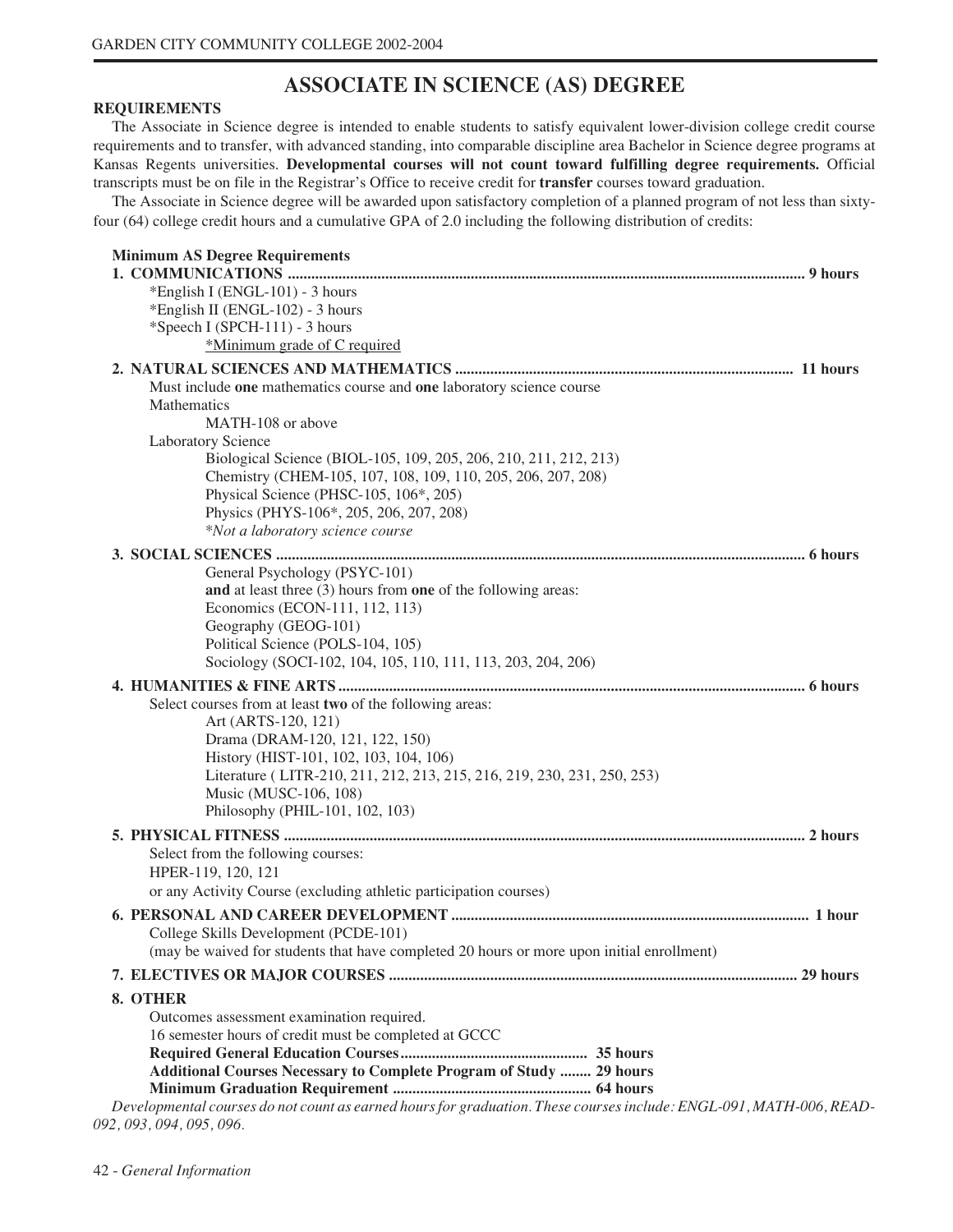## **ASSOCIATE IN SCIENCE (AS) DEGREE**

#### **REQUIREMENTS**

The Associate in Science degree is intended to enable students to satisfy equivalent lower-division college credit course requirements and to transfer, with advanced standing, into comparable discipline area Bachelor in Science degree programs at Kansas Regents universities. **Developmental courses will not count toward fulfilling degree requirements.** Official transcripts must be on file in the Registrar's Office to receive credit for **transfer** courses toward graduation.

The Associate in Science degree will be awarded upon satisfactory completion of a planned program of not less than sixtyfour (64) college credit hours and a cumulative GPA of 2.0 including the following distribution of credits:

| <b>Minimum AS Degree Requirements</b>                                                                                                           |  |
|-------------------------------------------------------------------------------------------------------------------------------------------------|--|
| *English I (ENGL-101) - 3 hours                                                                                                                 |  |
| *English II (ENGL-102) - 3 hours                                                                                                                |  |
| *Speech I (SPCH-111) - 3 hours                                                                                                                  |  |
| *Minimum grade of C required                                                                                                                    |  |
|                                                                                                                                                 |  |
| Must include one mathematics course and one laboratory science course                                                                           |  |
| Mathematics                                                                                                                                     |  |
| MATH-108 or above                                                                                                                               |  |
| <b>Laboratory Science</b>                                                                                                                       |  |
| Biological Science (BIOL-105, 109, 205, 206, 210, 211, 212, 213)                                                                                |  |
| Chemistry (CHEM-105, 107, 108, 109, 110, 205, 206, 207, 208)                                                                                    |  |
| Physical Science (PHSC-105, 106*, 205)<br>Physics (PHYS-106*, 205, 206, 207, 208)                                                               |  |
| *Not a laboratory science course                                                                                                                |  |
|                                                                                                                                                 |  |
| General Psychology (PSYC-101)                                                                                                                   |  |
| and at least three (3) hours from one of the following areas:                                                                                   |  |
| Economics (ECON-111, 112, 113)                                                                                                                  |  |
| Geography (GEOG-101)                                                                                                                            |  |
| Political Science (POLS-104, 105)                                                                                                               |  |
| Sociology (SOCI-102, 104, 105, 110, 111, 113, 203, 204, 206)                                                                                    |  |
|                                                                                                                                                 |  |
| Select courses from at least two of the following areas:                                                                                        |  |
| Art (ARTS-120, 121)                                                                                                                             |  |
| Drama (DRAM-120, 121, 122, 150)                                                                                                                 |  |
| History (HIST-101, 102, 103, 104, 106)                                                                                                          |  |
| Literature (LITR-210, 211, 212, 213, 215, 216, 219, 230, 231, 250, 253)                                                                         |  |
| Music (MUSC-106, 108)                                                                                                                           |  |
| Philosophy (PHIL-101, 102, 103)                                                                                                                 |  |
|                                                                                                                                                 |  |
| Select from the following courses:                                                                                                              |  |
| HPER-119, 120, 121                                                                                                                              |  |
| or any Activity Course (excluding athletic participation courses)                                                                               |  |
|                                                                                                                                                 |  |
| College Skills Development (PCDE-101)                                                                                                           |  |
| (may be waived for students that have completed 20 hours or more upon initial enrollment)                                                       |  |
|                                                                                                                                                 |  |
| 8. OTHER                                                                                                                                        |  |
| Outcomes assessment examination required.                                                                                                       |  |
| 16 semester hours of credit must be completed at GCCC                                                                                           |  |
|                                                                                                                                                 |  |
| Additional Courses Necessary to Complete Program of Study  29 hours                                                                             |  |
|                                                                                                                                                 |  |
| Developmental courses do not count as earned hours for graduation. These courses include: ENGL-091, MATH-006, READ-<br>092, 093, 094, 095, 096. |  |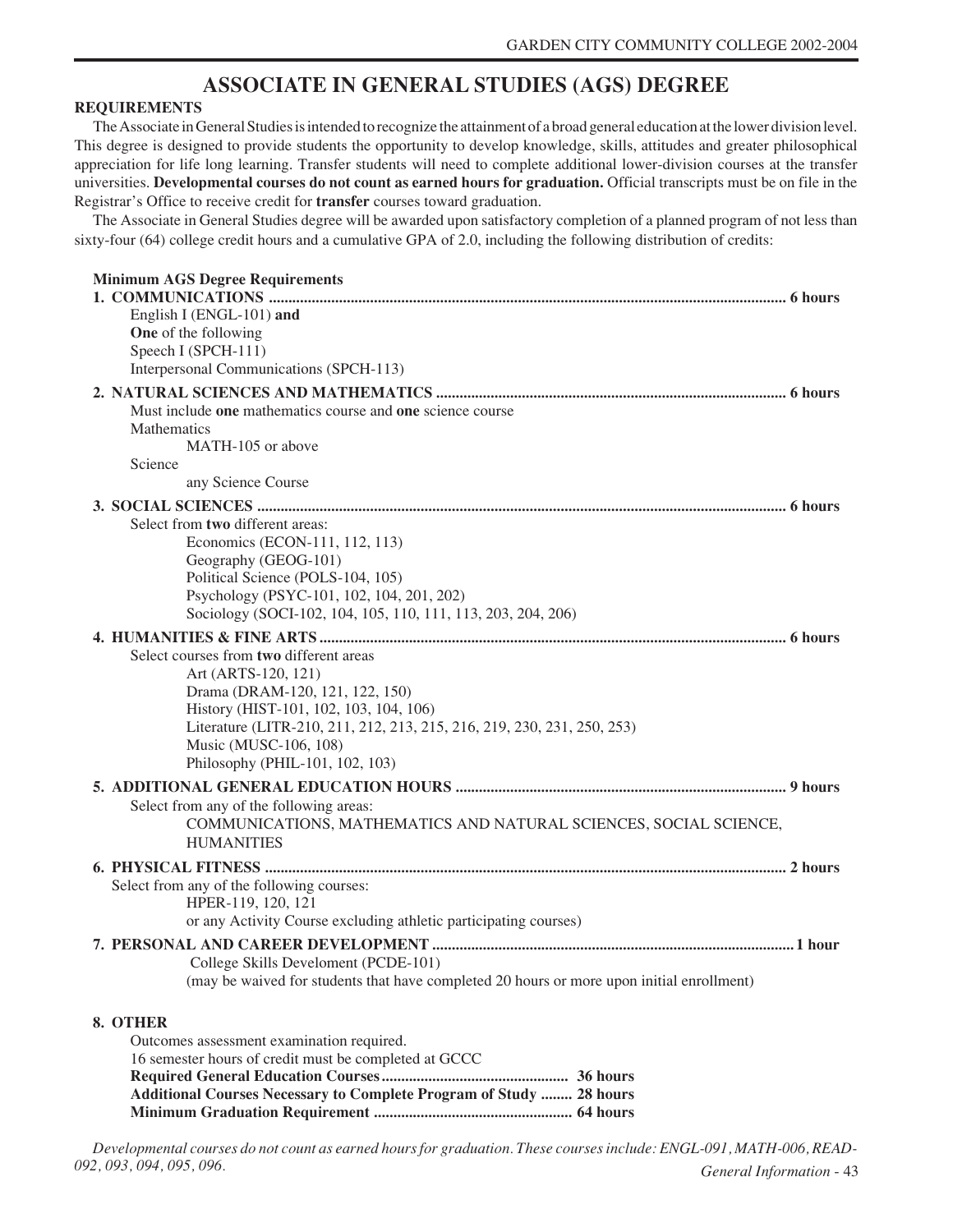## **ASSOCIATE IN GENERAL STUDIES (AGS) DEGREE**

#### **REQUIREMENTS**

The Associate in General Studies is intended to recognize the attainment of a broad general education at the lower division level. This degree is designed to provide students the opportunity to develop knowledge, skills, attitudes and greater philosophical appreciation for life long learning. Transfer students will need to complete additional lower-division courses at the transfer universities. **Developmental courses do not count as earned hours for graduation.** Official transcripts must be on file in the Registrar's Office to receive credit for **transfer** courses toward graduation.

The Associate in General Studies degree will be awarded upon satisfactory completion of a planned program of not less than sixty-four (64) college credit hours and a cumulative GPA of 2.0, including the following distribution of credits:

| One of the following<br>Speech I (SPCH-111)                                                               |
|-----------------------------------------------------------------------------------------------------------|
|                                                                                                           |
| Interpersonal Communications (SPCH-113)                                                                   |
|                                                                                                           |
| Must include one mathematics course and one science course                                                |
| Mathematics                                                                                               |
| MATH-105 or above<br>Science                                                                              |
| any Science Course                                                                                        |
|                                                                                                           |
| Select from two different areas:                                                                          |
| Economics (ECON-111, 112, 113)                                                                            |
| Geography (GEOG-101)                                                                                      |
| Political Science (POLS-104, 105)                                                                         |
| Psychology (PSYC-101, 102, 104, 201, 202)<br>Sociology (SOCI-102, 104, 105, 110, 111, 113, 203, 204, 206) |
|                                                                                                           |
| Select courses from two different areas                                                                   |
| Art (ARTS-120, 121)                                                                                       |
| Drama (DRAM-120, 121, 122, 150)                                                                           |
| History (HIST-101, 102, 103, 104, 106)                                                                    |
| Literature (LITR-210, 211, 212, 213, 215, 216, 219, 230, 231, 250, 253)<br>Music (MUSC-106, 108)          |
| Philosophy (PHIL-101, 102, 103)                                                                           |
|                                                                                                           |
| Select from any of the following areas:                                                                   |
| COMMUNICATIONS, MATHEMATICS AND NATURAL SCIENCES, SOCIAL SCIENCE,                                         |
| <b>HUMANITIES</b>                                                                                         |
|                                                                                                           |
| Select from any of the following courses:                                                                 |
| HPER-119, 120, 121<br>or any Activity Course excluding athletic participating courses)                    |
|                                                                                                           |
| College Skills Develoment (PCDE-101)                                                                      |
| (may be waived for students that have completed 20 hours or more upon initial enrollment)                 |
|                                                                                                           |
| 8. OTHER                                                                                                  |
| Outcomes assessment examination required.                                                                 |
| 16 semester hours of credit must be completed at GCCC                                                     |
| Additional Courses Necessary to Complete Program of Study  28 hours                                       |

**Minimum Graduation Requirement ................................................... 64 hours**

*General Information* - 43 *Developmental courses do not count as earned hours for graduation. These courses include: ENGL-091, MATH-006, READ-092, 093, 094, 095, 096.*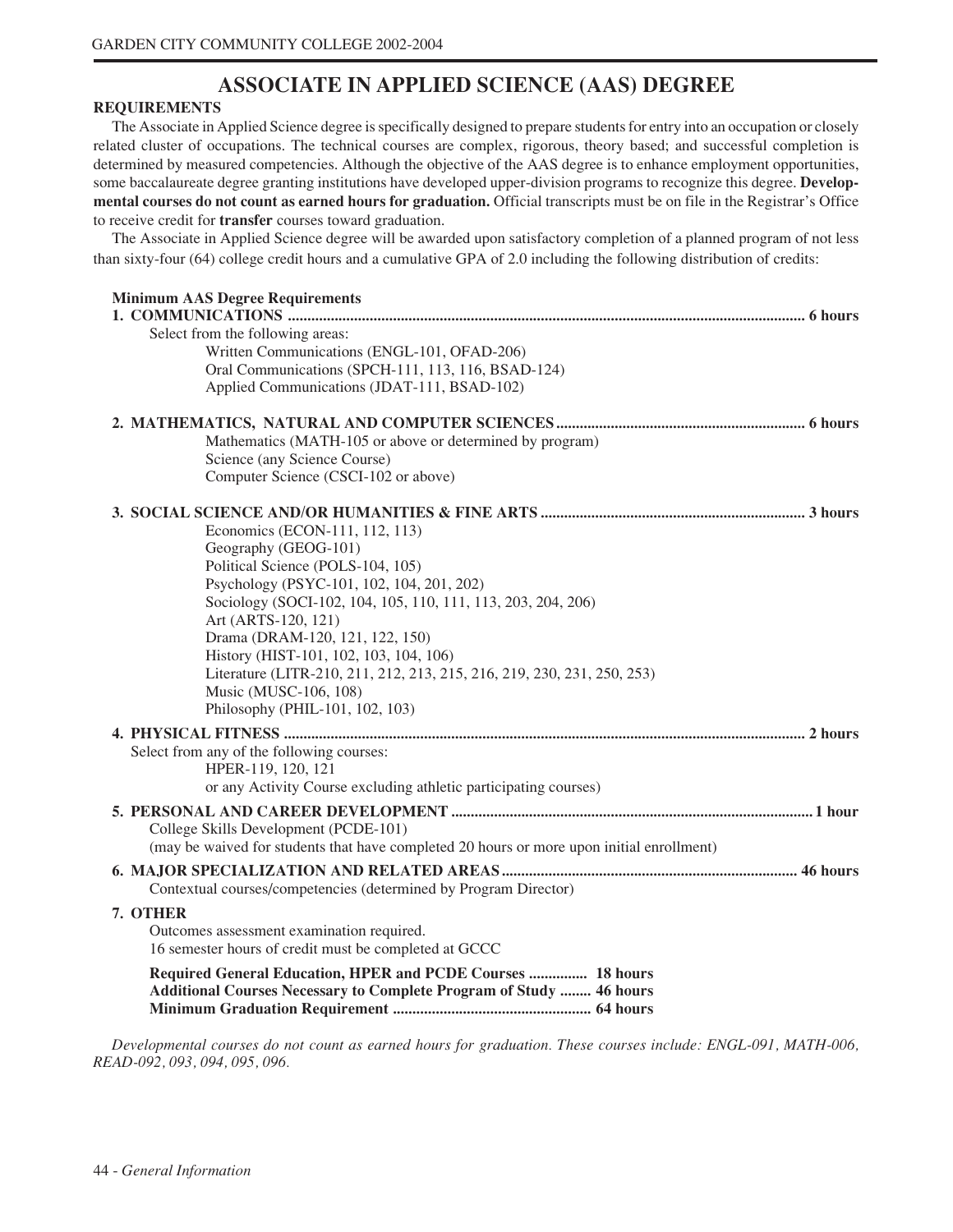## **ASSOCIATE IN APPLIED SCIENCE (AAS) DEGREE**

#### **REQUIREMENTS**

The Associate in Applied Science degree is specifically designed to prepare students for entry into an occupation or closely related cluster of occupations. The technical courses are complex, rigorous, theory based; and successful completion is determined by measured competencies. Although the objective of the AAS degree is to enhance employment opportunities, some baccalaureate degree granting institutions have developed upper-division programs to recognize this degree. **Developmental courses do not count as earned hours for graduation.** Official transcripts must be on file in the Registrar's Office to receive credit for **transfer** courses toward graduation.

The Associate in Applied Science degree will be awarded upon satisfactory completion of a planned program of not less than sixty-four (64) college credit hours and a cumulative GPA of 2.0 including the following distribution of credits:

| <b>Minimum AAS Degree Requirements</b>                                                                                             |
|------------------------------------------------------------------------------------------------------------------------------------|
| Select from the following areas:                                                                                                   |
| Written Communications (ENGL-101, OFAD-206)                                                                                        |
| Oral Communications (SPCH-111, 113, 116, BSAD-124)                                                                                 |
| Applied Communications (JDAT-111, BSAD-102)                                                                                        |
|                                                                                                                                    |
| Mathematics (MATH-105 or above or determined by program)                                                                           |
| Science (any Science Course)                                                                                                       |
| Computer Science (CSCI-102 or above)                                                                                               |
|                                                                                                                                    |
| Economics (ECON-111, 112, 113)                                                                                                     |
| Geography (GEOG-101)                                                                                                               |
| Political Science (POLS-104, 105)                                                                                                  |
| Psychology (PSYC-101, 102, 104, 201, 202)<br>Sociology (SOCI-102, 104, 105, 110, 111, 113, 203, 204, 206)                          |
| Art (ARTS-120, 121)                                                                                                                |
| Drama (DRAM-120, 121, 122, 150)                                                                                                    |
| History (HIST-101, 102, 103, 104, 106)                                                                                             |
| Literature (LITR-210, 211, 212, 213, 215, 216, 219, 230, 231, 250, 253)                                                            |
| Music (MUSC-106, 108)                                                                                                              |
| Philosophy (PHIL-101, 102, 103)                                                                                                    |
|                                                                                                                                    |
| Select from any of the following courses:                                                                                          |
| HPER-119, 120, 121                                                                                                                 |
| or any Activity Course excluding athletic participating courses)                                                                   |
|                                                                                                                                    |
| College Skills Development (PCDE-101)<br>(may be waived for students that have completed 20 hours or more upon initial enrollment) |
|                                                                                                                                    |
| Contextual courses/competencies (determined by Program Director)                                                                   |
| 7. OTHER                                                                                                                           |
| Outcomes assessment examination required.                                                                                          |
| 16 semester hours of credit must be completed at GCCC                                                                              |
| Required General Education, HPER and PCDE Courses  18 hours<br>Additional Courses Necessary to Complete Program of Study  46 hours |

*Developmental courses do not count as earned hours for graduation. These courses include: ENGL-091, MATH-006, READ-092, 093, 094, 095, 096.*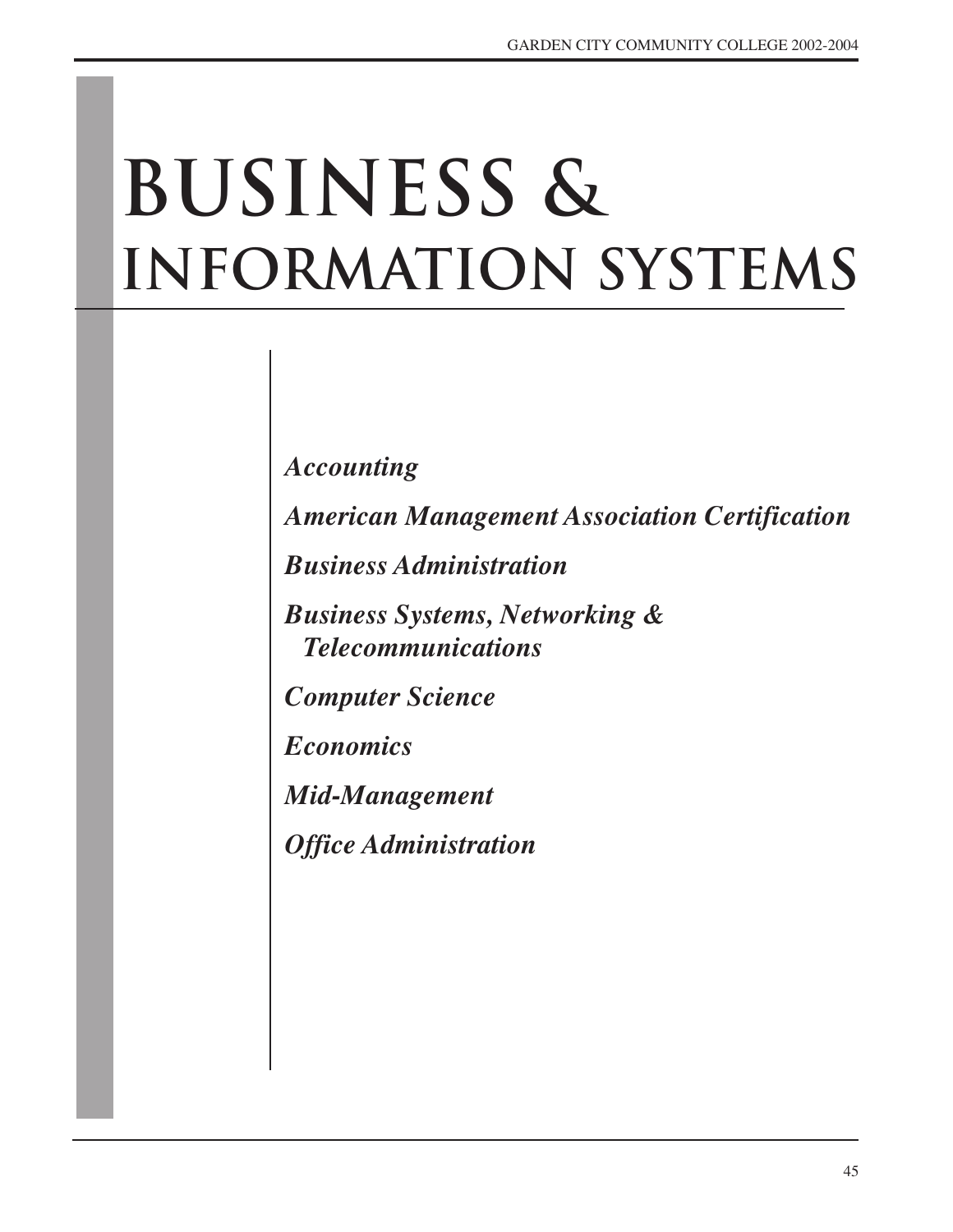# **Business & Information Systems**

*Accounting*

*American Management Association Certification*

*Business Administration*

*Business Systems, Networking & Telecommunications*

*Computer Science*

*Economics*

*Mid-Management*

*Office Administration*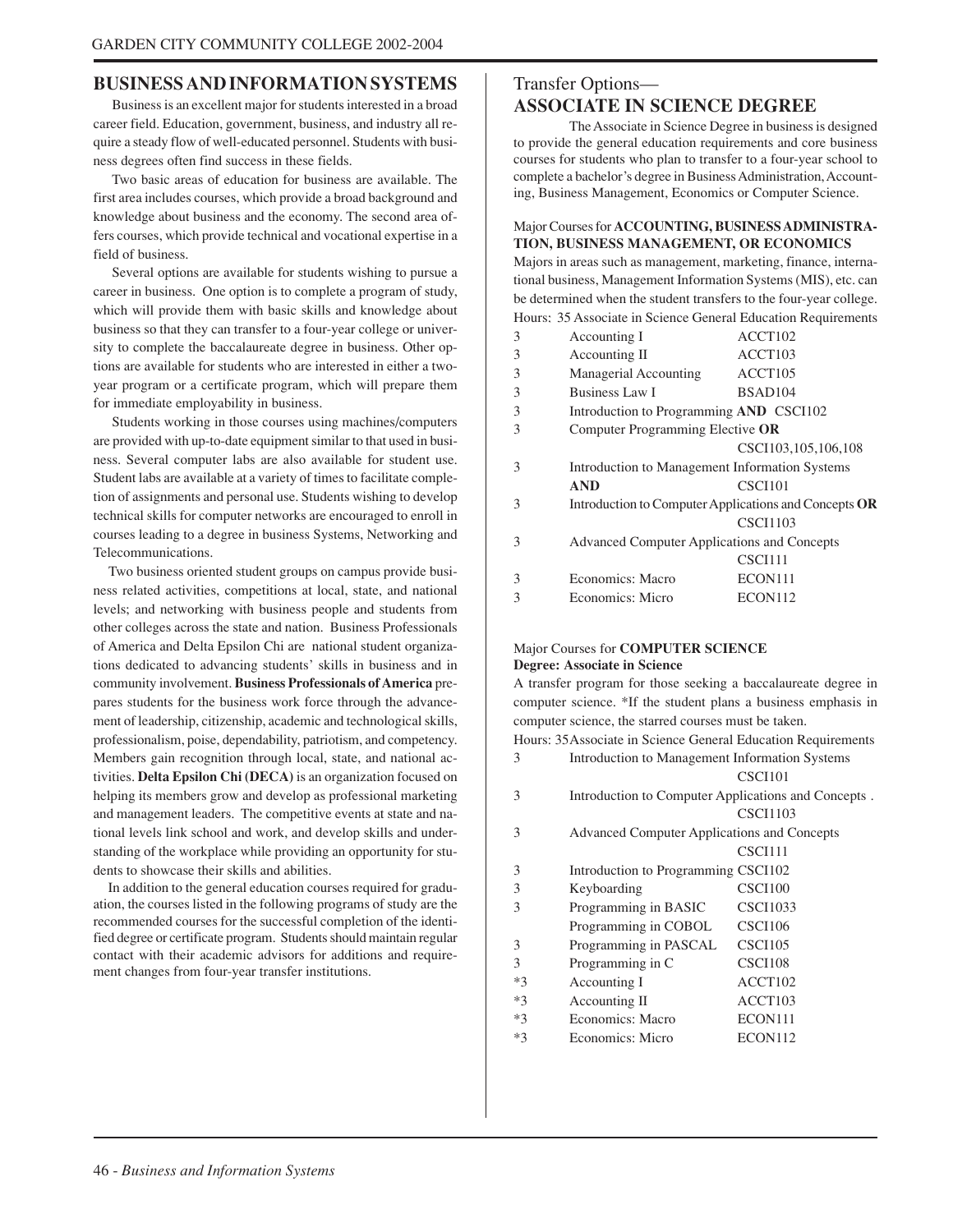#### **BUSINESS AND INFORMATION SYSTEMS**

Business is an excellent major for students interested in a broad career field. Education, government, business, and industry all require a steady flow of well-educated personnel. Students with business degrees often find success in these fields.

Two basic areas of education for business are available. The first area includes courses, which provide a broad background and knowledge about business and the economy. The second area offers courses, which provide technical and vocational expertise in a field of business.

Several options are available for students wishing to pursue a career in business. One option is to complete a program of study, which will provide them with basic skills and knowledge about business so that they can transfer to a four-year college or university to complete the baccalaureate degree in business. Other options are available for students who are interested in either a twoyear program or a certificate program, which will prepare them for immediate employability in business.

Students working in those courses using machines/computers are provided with up-to-date equipment similar to that used in business. Several computer labs are also available for student use. Student labs are available at a variety of times to facilitate completion of assignments and personal use. Students wishing to develop technical skills for computer networks are encouraged to enroll in courses leading to a degree in business Systems, Networking and Telecommunications.

 Two business oriented student groups on campus provide business related activities, competitions at local, state, and national levels; and networking with business people and students from other colleges across the state and nation. Business Professionals of America and Delta Epsilon Chi are national student organizations dedicated to advancing students' skills in business and in community involvement. **Business Professionals of America** prepares students for the business work force through the advancement of leadership, citizenship, academic and technological skills, professionalism, poise, dependability, patriotism, and competency. Members gain recognition through local, state, and national activities. **Delta Epsilon Chi (DECA)** is an organization focused on helping its members grow and develop as professional marketing and management leaders. The competitive events at state and national levels link school and work, and develop skills and understanding of the workplace while providing an opportunity for students to showcase their skills and abilities.

 In addition to the general education courses required for graduation, the courses listed in the following programs of study are the recommended courses for the successful completion of the identified degree or certificate program. Students should maintain regular contact with their academic advisors for additions and requirement changes from four-year transfer institutions.

#### Transfer Options— **ASSOCIATE IN SCIENCE DEGREE**

The Associate in Science Degree in business is designed to provide the general education requirements and core business courses for students who plan to transfer to a four-year school to complete a bachelor's degree in Business Administration, Accounting, Business Management, Economics or Computer Science.

#### Major Courses for **ACCOUNTING, BUSINESS ADMINISTRA-TION, BUSINESS MANAGEMENT, OR ECONOMICS**

Majors in areas such as management, marketing, finance, international business, Management Information Systems (MIS), etc. can be determined when the student transfers to the four-year college. Hours: 35 Associate in Science General Education Requirements :

| 3 | Accounting I                                          | ACCT102                |
|---|-------------------------------------------------------|------------------------|
| 3 | Accounting II                                         | ACCT103                |
| 3 | Managerial Accounting                                 | ACCT105                |
| 3 | Business Law I                                        | BSAD <sub>104</sub>    |
| 3 | Introduction to Programming AND CSCI102               |                        |
| 3 | Computer Programming Elective OR                      |                        |
|   |                                                       | CSCI103, 105, 106, 108 |
| 3 | Introduction to Management Information Systems        |                        |
|   | <b>AND</b>                                            | CSCI101                |
| 3 | Introduction to Computer Applications and Concepts OR |                        |
|   |                                                       | <b>CSCI1103</b>        |
| 3 | Advanced Computer Applications and Concepts           |                        |
|   |                                                       | CSCI111                |
| 3 | Economics: Macro                                      | ECON111                |
| 3 | <b>Economics: Micro</b>                               | ECON112                |
|   |                                                       |                        |

#### Major Courses for **COMPUTER SCIENCE Degree: Associate in Science**

A transfer program for those seeking a baccalaureate degree in computer science. \*If the student plans a business emphasis in computer science, the starred courses must be taken. Hours: 35Associate in Science General Education Requirements

Introduction to Management Information Systems

|      | muoduction to management information Systems        |                 |
|------|-----------------------------------------------------|-----------------|
|      |                                                     | CSCI101         |
| 3    | Introduction to Computer Applications and Concepts. |                 |
|      |                                                     | <b>CSCI1103</b> |
| 3    | <b>Advanced Computer Applications and Concepts</b>  |                 |
|      |                                                     | CSCI111         |
| 3    | Introduction to Programming CSCI102                 |                 |
| 3    | Keyboarding                                         | CSCI100         |
| 3    | Programming in BASIC                                | <b>CSCI1033</b> |
|      | Programming in COBOL                                | <b>CSCI106</b>  |
| 3    | Programming in PASCAL                               | <b>CSCI105</b>  |
| 3    | Programming in C                                    | CSCI108         |
| $*3$ | Accounting I                                        | ACCT102         |
| $*3$ | Accounting II                                       | ACCT103         |
| $*3$ | Economics: Macro                                    | ECON111         |
| $*3$ | Economics: Micro                                    | ECON112         |
|      |                                                     |                 |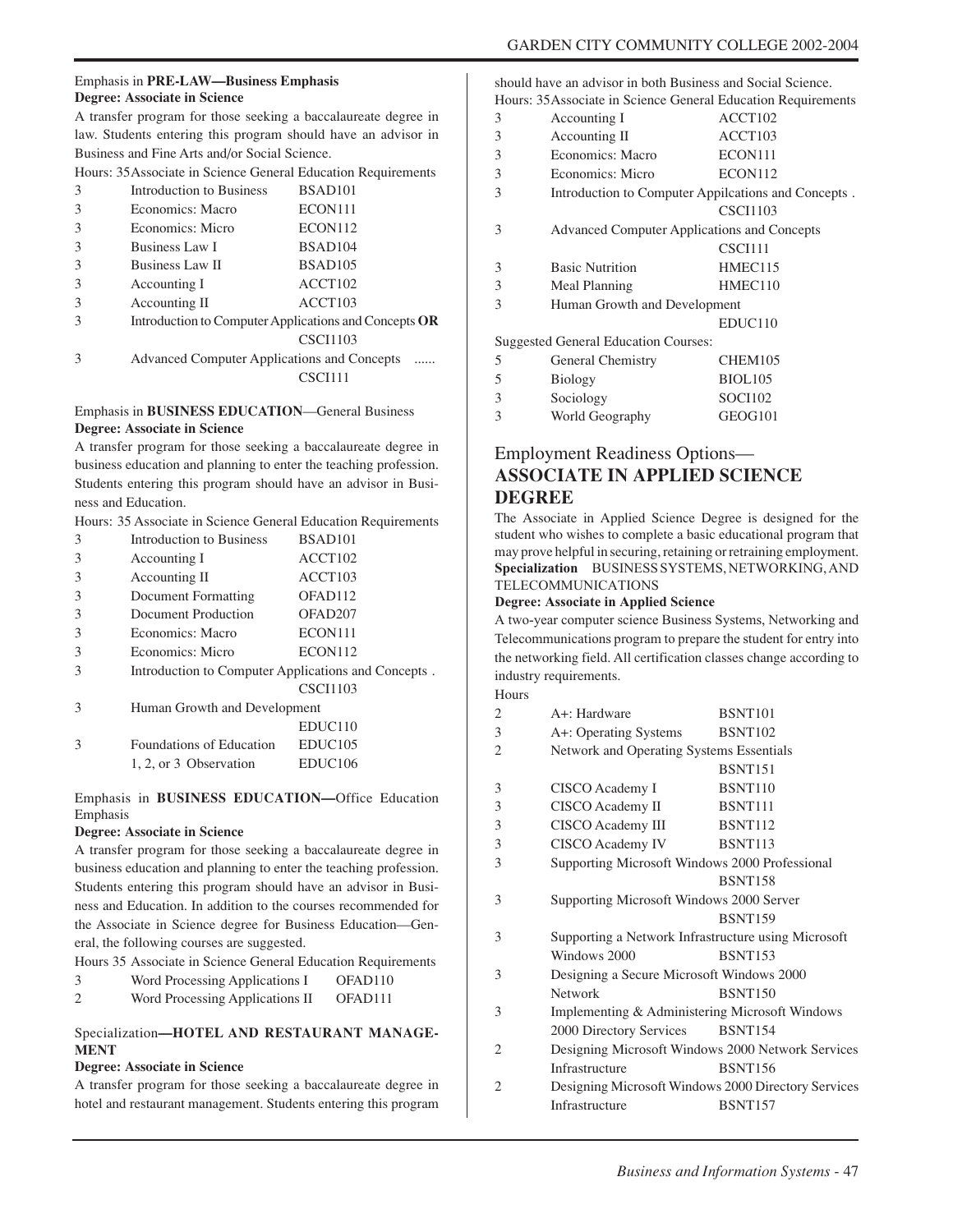#### GARDEN CITY COMMUNITY COLLEGE 2002-2004

#### Emphasis in **PRE-LAW—Business Emphasis Degree: Associate in Science**

A transfer program for those seeking a baccalaureate degree in law. Students entering this program should have an advisor in Business and Fine Arts and/or Social Science.

Hours: 35Associate in Science General Education Requirements

| 3             | Introduction to Business | BSAD <sub>101</sub>                                   |
|---------------|--------------------------|-------------------------------------------------------|
| 3             | Economics: Macro         | ECON111                                               |
| 3             | Economics: Micro         | ECON112                                               |
| 3             | Business Law I           | BSAD104                                               |
| 3             | Business Law II          | BSAD <sub>105</sub>                                   |
| 3             | Accounting I             | ACCT <sub>102</sub>                                   |
| 3             | Accounting II            | ACCT103                                               |
| $\mathcal{R}$ |                          | Introduction to Computer Applications and Concepts OR |
|               |                          |                                                       |

3 Advanced Computer Applications and Concepts ...... CSCI111

#### Emphasis in **BUSINESS EDUCATION**—General Business **Degree: Associate in Science**

A transfer program for those seeking a baccalaureate degree in business education and planning to enter the teaching profession. Students entering this program should have an advisor in Business and Education.

Hours: 35 Associate in Science General Education Requirements

| 3 | Introduction to Business                            | BSAD <sub>101</sub> |
|---|-----------------------------------------------------|---------------------|
| 3 | Accounting I                                        | ACCT102             |
| 3 | Accounting II                                       | ACCT103             |
| 3 | Document Formatting                                 | OFAD <sub>112</sub> |
| 3 | Document Production                                 | OFAD <sub>207</sub> |
| 3 | Economics: Macro                                    | ECON111             |
| 3 | Economics: Micro                                    | ECON112             |
| 3 | Introduction to Computer Applications and Concepts. |                     |
|   |                                                     | <b>CSCI1103</b>     |
| 3 | Human Growth and Development                        |                     |
|   |                                                     | EDUC <sub>110</sub> |
| 3 | Foundations of Education                            | EDUC <sub>105</sub> |
|   | 1, 2, or 3 Observation                              | EDUC106             |
|   |                                                     |                     |

Emphasis in **BUSINESS EDUCATION—**Office Education Emphasis

#### **Degree: Associate in Science**

A transfer program for those seeking a baccalaureate degree in business education and planning to enter the teaching profession. Students entering this program should have an advisor in Business and Education. In addition to the courses recommended for the Associate in Science degree for Business Education—General, the following courses are suggested.

Hours 35 Associate in Science General Education Requirements

- 3 Word Processing Applications I OFAD110
- 2 Word Processing Applications II OFAD111

#### Specialization**—HOTEL AND RESTAURANT MANAGE-MENT**

#### **Degree: Associate in Science**

A transfer program for those seeking a baccalaureate degree in hotel and restaurant management. Students entering this program should have an advisor in both Business and Social Science. Hours: 35Associate in Science General Education Requirements

| 3 | Accounting I                                        | ACCT102         |
|---|-----------------------------------------------------|-----------------|
| 3 | Accounting II                                       | ACCT103         |
| 3 | Economics: Macro                                    | ECON111         |
| 3 | Economics: Micro                                    | ECON112         |
| 3 | Introduction to Computer Appilcations and Concepts. |                 |
|   |                                                     | <b>CSCI1103</b> |
| 3 | <b>Advanced Computer Applications and Concepts</b>  |                 |
|   |                                                     | CSCI111         |
| 3 | <b>Basic Nutrition</b>                              | HMEC115         |
| 3 | Meal Planning                                       | HMEC110         |
| 3 | Human Growth and Development                        |                 |
|   |                                                     | EDUC110         |
|   | <b>Suggested General Education Courses:</b>         |                 |
| 5 | General Chemistry                                   | CHEM105         |
| 5 | <b>Biology</b>                                      | <b>BIOL105</b>  |
| 3 | Sociology                                           | <b>SOCI102</b>  |
| 3 | World Geography                                     | GEOG101         |
|   |                                                     |                 |

## Employment Readiness Options— **ASSOCIATE IN APPLIED SCIENCE DEGREE**

The Associate in Applied Science Degree is designed for the student who wishes to complete a basic educational program that may prove helpful in securing, retaining or retraining employment. **Specialization** BUSINESS SYSTEMS, NETWORKING, AND TELECOMMUNICATIONS

#### **Degree: Associate in Applied Science**

A two-year computer science Business Systems, Networking and Telecommunications program to prepare the student for entry into the networking field. All certification classes change according to industry requirements.

Hours

| 2              | A+: Hardware                                   | BSNT101                                             |
|----------------|------------------------------------------------|-----------------------------------------------------|
| 3              | A+: Operating Systems                          | <b>BSNT102</b>                                      |
| $\mathfrak{2}$ | Network and Operating Systems Essentials       |                                                     |
|                |                                                | <b>BSNT151</b>                                      |
| 3              | CISCO Academy I                                | <b>BSNT110</b>                                      |
| 3              | CISCO Academy II                               | BSNT111                                             |
| 3              | CISCO Academy III                              | <b>BSNT112</b>                                      |
| 3              | CISCO Academy IV                               | <b>BSNT113</b>                                      |
| 3              | Supporting Microsoft Windows 2000 Professional |                                                     |
|                |                                                | <b>BSNT158</b>                                      |
| 3              | Supporting Microsoft Windows 2000 Server       |                                                     |
|                |                                                | <b>BSNT159</b>                                      |
| 3              |                                                | Supporting a Network Infrastructure using Microsoft |
|                | Windows 2000                                   | <b>BSNT153</b>                                      |
| 3              | Designing a Secure Microsoft Windows 2000      |                                                     |
|                | <b>Network</b>                                 | <b>BSNT150</b>                                      |
| 3              | Implementing & Administering Microsoft Windows |                                                     |
|                | 2000 Directory Services BSNT154                |                                                     |
| 2              |                                                | Designing Microsoft Windows 2000 Network Services   |
|                | Infrastructure                                 | <b>BSNT156</b>                                      |
| 2              |                                                | Designing Microsoft Windows 2000 Directory Services |
|                | Infrastructure                                 | <b>BSNT157</b>                                      |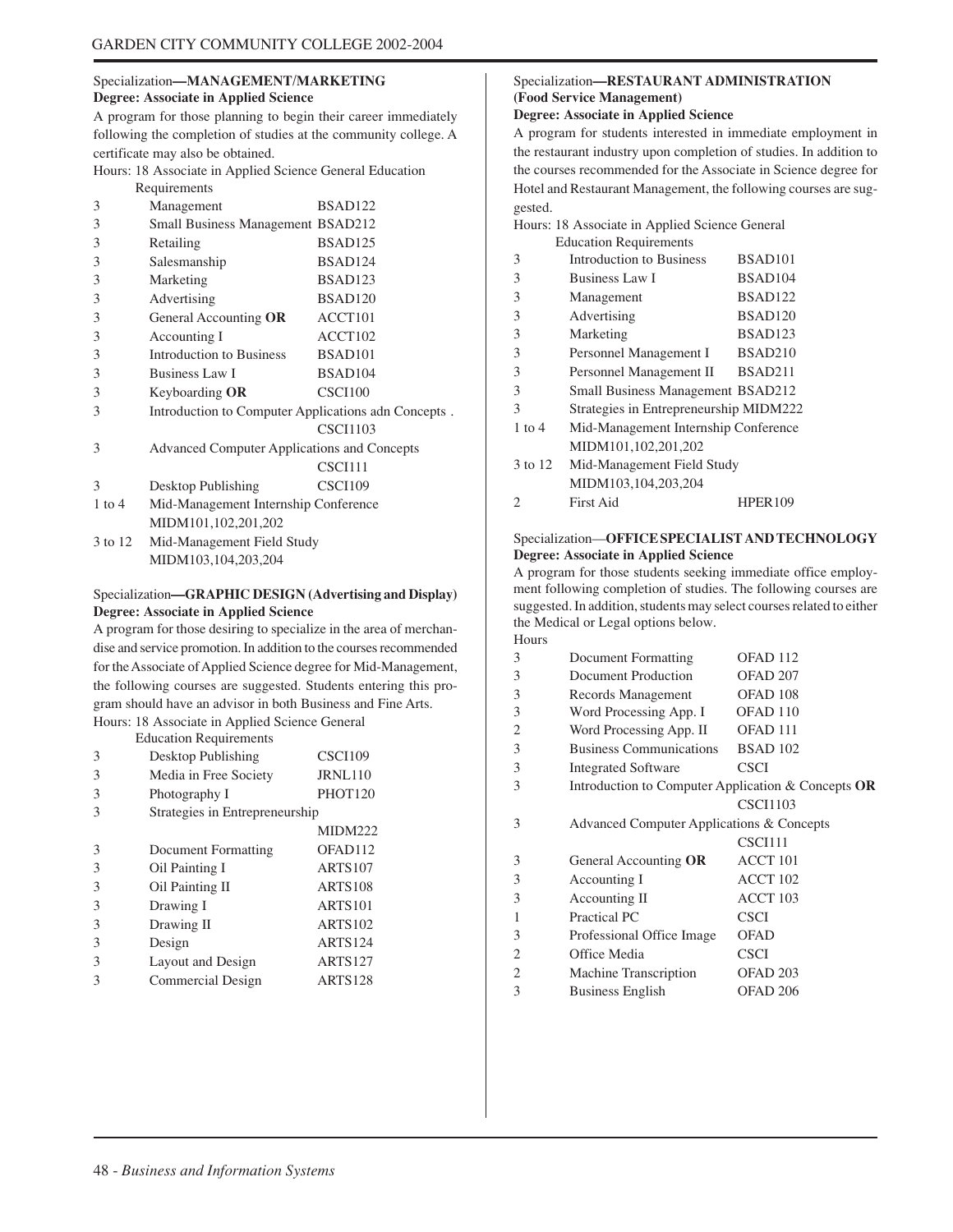#### Specialization**—MANAGEMENT/MARKETING Degree: Associate in Applied Science**

A program for those planning to begin their career immediately following the completion of studies at the community college. A certificate may also be obtained.

Hours: 18 Associate in Applied Science General Education

|                    | Requirements                                        |                     |
|--------------------|-----------------------------------------------------|---------------------|
| 3                  | Management                                          | BSAD122             |
| 3                  | Small Business Management BSAD212                   |                     |
| 3                  | Retailing                                           | BSAD <sub>125</sub> |
| 3                  | Salesmanship                                        | BSAD124             |
| 3                  | Marketing                                           | BSAD123             |
| 3                  | Advertising                                         | BSAD <sub>120</sub> |
| 3                  | General Accounting OR                               | ACCT <sub>101</sub> |
| 3                  | Accounting I                                        | ACCT102             |
| 3                  | Introduction to Business                            | BSAD <sub>101</sub> |
| 3                  | Business Law I                                      | BSAD104             |
| 3                  | Keyboarding OR                                      | CSCI100             |
| 3                  | Introduction to Computer Applications adn Concepts. |                     |
|                    |                                                     | <b>CSCI1103</b>     |
| 3                  | <b>Advanced Computer Applications and Concepts</b>  |                     |
|                    |                                                     | CSCI111             |
| 3                  | Desktop Publishing                                  | <b>CSCI109</b>      |
| $1$ to $4$         | Mid-Management Internship Conference                |                     |
|                    | MIDM101,102,201,202                                 |                     |
| $3 \text{ to } 12$ | Mid-Management Field Study                          |                     |

3 to 12 Mid-Management Field Study MIDM103,104,203,204

#### Specialization**—GRAPHIC DESIGN (Advertising and Display) Degree: Associate in Applied Science**

A program for those desiring to specialize in the area of merchandise and service promotion. In addition to the courses recommended for the Associate of Applied Science degree for Mid-Management, the following courses are suggested. Students entering this program should have an advisor in both Business and Fine Arts.

Hours: 18 Associate in Applied Science General

|   | <b>Education Requirements</b>  |                |
|---|--------------------------------|----------------|
| 3 | Desktop Publishing             | <b>CSCI109</b> |
| 3 | Media in Free Society          | <b>JRNL110</b> |
| 3 | Photography I                  | PHOT120        |
| 3 | Strategies in Entrepreneurship |                |
|   |                                | <b>MIDM222</b> |
| 3 | Document Formatting            | OFAD112        |
| 3 | Oil Painting I                 | <b>ARTS107</b> |
| 3 | Oil Painting II                | <b>ARTS108</b> |
| 3 | Drawing I                      | <b>ARTS101</b> |
| 3 | Drawing II                     | <b>ARTS102</b> |
| 3 | Design                         | <b>ARTS124</b> |
| 3 | Layout and Design              | <b>ARTS127</b> |
| 3 | Commercial Design              | ARTS128        |
|   |                                |                |

#### Specialization**—RESTAURANT ADMINISTRATION (Food Service Management)**

#### **Degree: Associate in Applied Science**

A program for students interested in immediate employment in the restaurant industry upon completion of studies. In addition to the courses recommended for the Associate in Science degree for Hotel and Restaurant Management, the following courses are suggested.

Hours: 18 Associate in Applied Science General Education Requirements

| 3          | Introduction to Business                 | BSAD <sub>101</sub> |
|------------|------------------------------------------|---------------------|
| 3          | Business Law I                           | BSAD104             |
| 3          | Management                               | BSAD122             |
| 3          | Advertising                              | BSAD <sub>120</sub> |
| 3          | Marketing                                | BSAD123             |
| 3          | Personnel Management I                   | BSAD <sub>210</sub> |
| 3          | Personnel Management II                  | BSAD211             |
| 3          | <b>Small Business Management BSAD212</b> |                     |
| 3          | Strategies in Entrepreneurship MIDM222   |                     |
| $1$ to $4$ | Mid-Management Internship Conference     |                     |
|            | MIDM101,102,201,202                      |                     |
| 3 to 12    | Mid-Management Field Study               |                     |
|            | MIDM103,104,203,204                      |                     |
|            | First Aid                                | HPER109             |

#### Specialization—**OFFICE SPECIALIST AND TECHNOLOGY Degree: Associate in Applied Science**

A program for those students seeking immediate office employment following completion of studies. The following courses are suggested. In addition, students may select courses related to either the Medical or Legal options below.

| 3 | Document Formatting                                | OFAD <sub>112</sub> |
|---|----------------------------------------------------|---------------------|
| 3 | Document Production                                | OFAD 207            |
| 3 | Records Management                                 | OFAD 108            |
| 3 | Word Processing App. I                             | OFAD <sub>110</sub> |
| 2 | Word Processing App. II                            | OFAD 111            |
| 3 | <b>Business Communications</b>                     | <b>BSAD 102</b>     |
| 3 | <b>Integrated Software</b>                         | <b>CSCI</b>         |
| 3 | Introduction to Computer Application & Concepts OR |                     |
|   |                                                    | <b>CSCI1103</b>     |
| 3 | Advanced Computer Applications & Concepts          |                     |
|   |                                                    | CSCI111             |
| 3 | General Accounting OR                              | <b>ACCT 101</b>     |
| 3 | Accounting I                                       | ACCT 102            |
| 3 | Accounting II                                      | ACCT 103            |
| 1 | Practical PC                                       | <b>CSCI</b>         |
| 3 | Professional Office Image                          | <b>OFAD</b>         |
| 2 | Office Media                                       | <b>CSCI</b>         |
| 2 | Machine Transcription                              | OFAD 203            |
| 3 | <b>Business English</b>                            | OFAD <sub>206</sub> |
|   |                                                    |                     |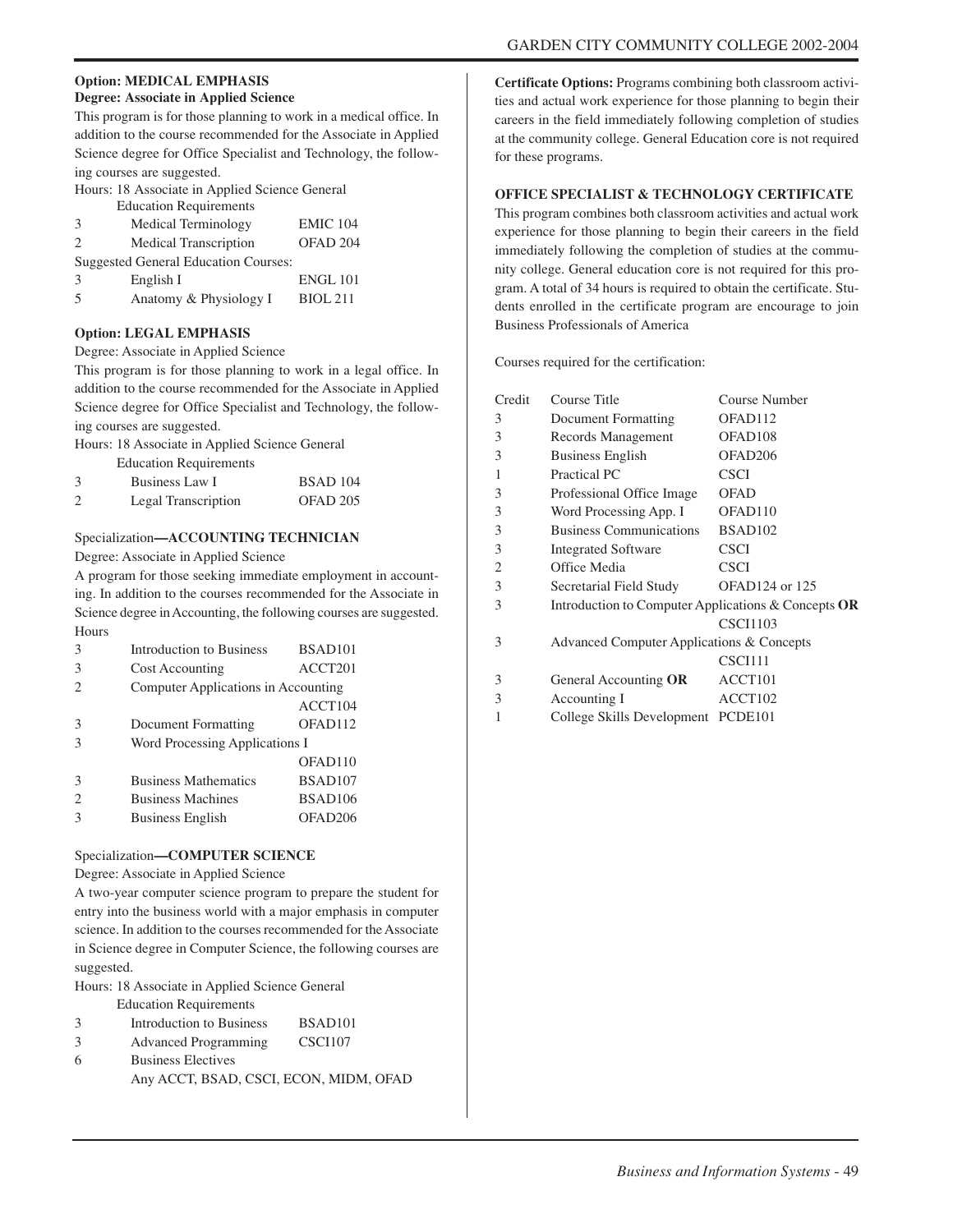#### **Option: MEDICAL EMPHASIS**

#### **Degree: Associate in Applied Science**

This program is for those planning to work in a medical office. In addition to the course recommended for the Associate in Applied Science degree for Office Specialist and Technology, the following courses are suggested.

| Hours: 18 Associate in Applied Science General |                        |                     |
|------------------------------------------------|------------------------|---------------------|
| <b>Education Requirements</b>                  |                        |                     |
| $\mathcal{R}$                                  | Medical Terminology    | <b>EMIC 104</b>     |
|                                                | Medical Transcription  | OFAD <sub>204</sub> |
| <b>Suggested General Education Courses:</b>    |                        |                     |
|                                                | English I              | <b>ENGL 101</b>     |
|                                                | Anatomy & Physiology I | <b>BIOL 211</b>     |
|                                                |                        |                     |

#### **Option: LEGAL EMPHASIS**

Degree: Associate in Applied Science

This program is for those planning to work in a legal office. In addition to the course recommended for the Associate in Applied Science degree for Office Specialist and Technology, the following courses are suggested.

Hours: 18 Associate in Applied Science General

|               | <b>Education Requirements</b> |                     |
|---------------|-------------------------------|---------------------|
|               | Business Law I                | <b>BSAD 104</b>     |
| $\mathcal{D}$ | Legal Transcription           | OFAD <sub>205</sub> |

#### Specialization**—ACCOUNTING TECHNICIAN**

Degree: Associate in Applied Science

A program for those seeking immediate employment in accounting. In addition to the courses recommended for the Associate in Science degree in Accounting, the following courses are suggested. Hours

|   | Introduction to Business            | BSAD <sub>101</sub> |
|---|-------------------------------------|---------------------|
| 3 | <b>Cost Accounting</b>              | ACCT <sub>201</sub> |
|   | Computer Applications in Accounting |                     |
|   |                                     | ACCT104             |
| 3 | Document Formatting                 | OFAD <sub>112</sub> |
| 3 | Word Processing Applications I      |                     |
|   |                                     | OFAD <sub>110</sub> |
| 3 | <b>Business Mathematics</b>         | BSAD <sub>107</sub> |
|   | <b>Business Machines</b>            | BSAD <sub>106</sub> |
|   | <b>Business English</b>             | OFAD <sub>206</sub> |
|   |                                     |                     |

#### Specialization**—COMPUTER SCIENCE**

Degree: Associate in Applied Science

A two-year computer science program to prepare the student for entry into the business world with a major emphasis in computer science. In addition to the courses recommended for the Associate in Science degree in Computer Science, the following courses are suggested.

Hours: 18 Associate in Applied Science General

Education Requirements

- 3 Introduction to Business BSAD101
- 3 Advanced Programming CSCI107

6 Business Electives

Any ACCT, BSAD, CSCI, ECON, MIDM, OFAD

**Certificate Options:** Programs combining both classroom activities and actual work experience for those planning to begin their careers in the field immediately following completion of studies at the community college. General Education core is not required for these programs.

#### **OFFICE SPECIALIST & TECHNOLOGY CERTIFICATE**

This program combines both classroom activities and actual work experience for those planning to begin their careers in the field immediately following the completion of studies at the community college. General education core is not required for this program. A total of 34 hours is required to obtain the certificate. Students enrolled in the certificate program are encourage to join Business Professionals of America

Courses required for the certification:

| Credit         | Course Title                              | Course Number                                         |  |
|----------------|-------------------------------------------|-------------------------------------------------------|--|
| 3              | Document Formatting                       | OFAD112                                               |  |
| 3              | Records Management                        | OFAD <sub>108</sub>                                   |  |
| 3              | <b>Business English</b>                   | OFAD206                                               |  |
| 1              | Practical PC                              | <b>CSCI</b>                                           |  |
| 3              | Professional Office Image                 | <b>OFAD</b>                                           |  |
| 3              | Word Processing App. I                    | OFAD110                                               |  |
| 3              | <b>Business Communications</b>            | BSAD <sub>102</sub>                                   |  |
| 3              | <b>Integrated Software</b>                | <b>CSCI</b>                                           |  |
| $\overline{2}$ | Office Media                              | <b>CSCI</b>                                           |  |
| 3              | Secretarial Field Study                   | OFAD124 or 125                                        |  |
| 3              |                                           | Introduction to Computer Applications & Concepts $OR$ |  |
|                |                                           | <b>CSCI1103</b>                                       |  |
| 3              | Advanced Computer Applications & Concepts |                                                       |  |
|                |                                           | CSCI111                                               |  |
| 3              | General Accounting OR                     | ACCT101                                               |  |
| 3              | Accounting I                              | ACCT102                                               |  |
| 1              | College Skills Development PCDE101        |                                                       |  |
|                |                                           |                                                       |  |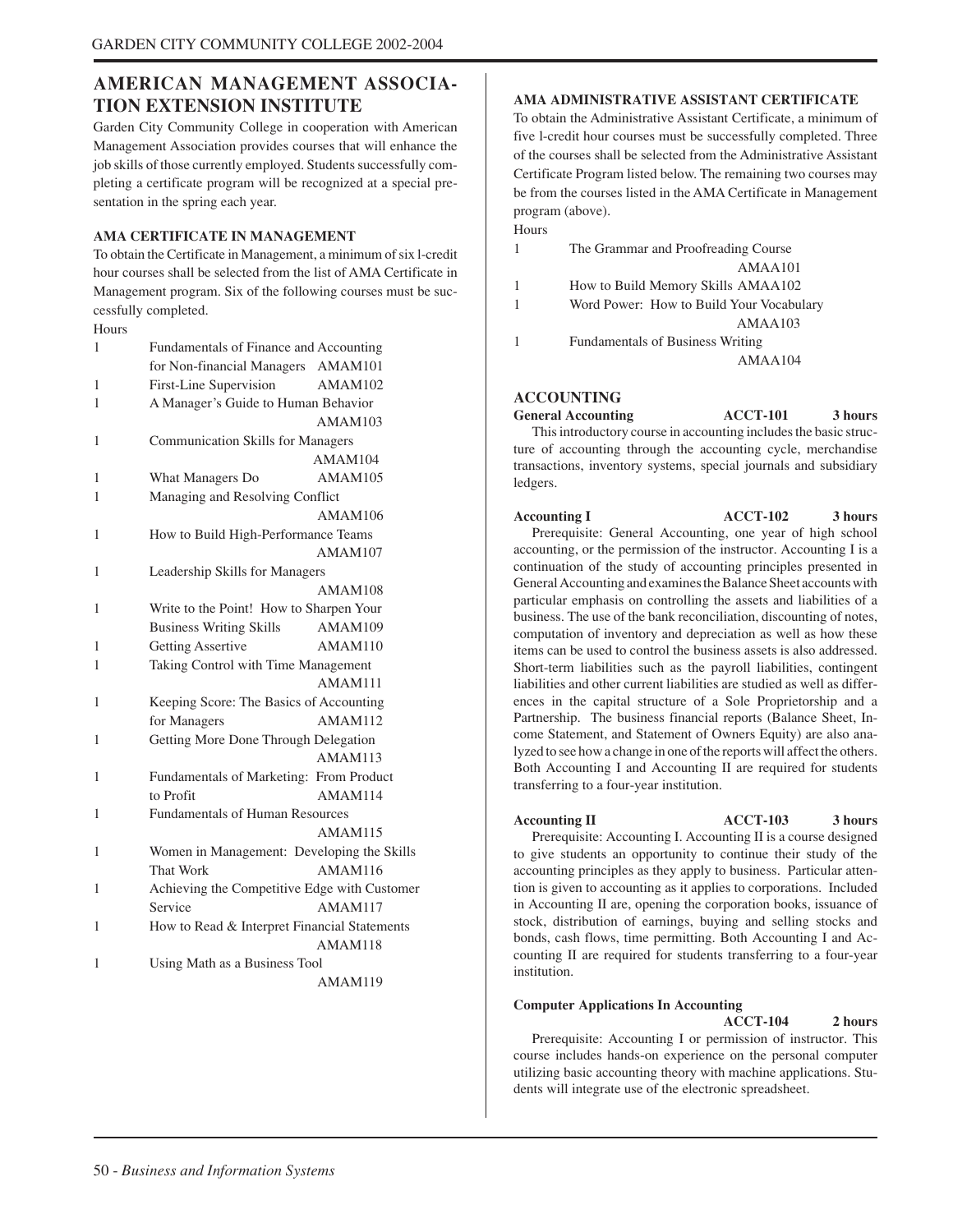## **AMERICAN MANAGEMENT ASSOCIA-TION EXTENSION INSTITUTE**

Garden City Community College in cooperation with American Management Association provides courses that will enhance the job skills of those currently employed. Students successfully completing a certificate program will be recognized at a special presentation in the spring each year.

#### **AMA CERTIFICATE IN MANAGEMENT**

To obtain the Certificate in Management, a minimum of six l-credit hour courses shall be selected from the list of AMA Certificate in Management program. Six of the following courses must be successfully completed.

Hours

| 1 | Fundamentals of Finance and Accounting       |         |
|---|----------------------------------------------|---------|
|   | for Non-financial Managers AMAM101           |         |
| 1 | First-Line Supervision                       | AMAM102 |
| 1 | A Manager's Guide to Human Behavior          |         |
|   |                                              | AMAM103 |
| 1 | <b>Communication Skills for Managers</b>     |         |
|   |                                              | AMAM104 |
| 1 | What Managers Do                             | AMAM105 |
| 1 | Managing and Resolving Conflict              |         |
|   |                                              | AMAM106 |
| 1 | How to Build High-Performance Teams          |         |
|   |                                              | AMAM107 |
| 1 | Leadership Skills for Managers               |         |
|   |                                              | AMAM108 |
| 1 | Write to the Point! How to Sharpen Your      |         |
|   | <b>Business Writing Skills</b>               | AMAM109 |
| 1 | <b>Getting Assertive</b>                     | AMAM110 |
| 1 | Taking Control with Time Management          |         |
|   |                                              | AMAM111 |
| 1 | Keeping Score: The Basics of Accounting      |         |
|   | for Managers                                 | AMAM112 |
| 1 | Getting More Done Through Delegation         |         |
|   |                                              | AMAM113 |
| 1 | Fundamentals of Marketing: From Product      |         |
|   | to Profit                                    | AMAM114 |
| 1 | <b>Fundamentals of Human Resources</b>       |         |
|   |                                              | AMAM115 |
| 1 | Women in Management: Developing the Skills   |         |
|   | That Work                                    | AMAM116 |
| 1 | Achieving the Competitive Edge with Customer |         |
|   | Service                                      | AMAM117 |
| 1 | How to Read & Interpret Financial Statements |         |
|   |                                              | AMAM118 |
| 1 | Using Math as a Business Tool                |         |
|   |                                              | AMAM119 |

#### **AMA ADMINISTRATIVE ASSISTANT CERTIFICATE**

To obtain the Administrative Assistant Certificate, a minimum of five l-credit hour courses must be successfully completed. Three of the courses shall be selected from the Administrative Assistant Certificate Program listed below. The remaining two courses may be from the courses listed in the AMA Certificate in Management program (above).

Hours

| 1            | The Grammar and Proofreading Course      |  |
|--------------|------------------------------------------|--|
|              | AMAA101                                  |  |
| -1           | How to Build Memory Skills AMAA102       |  |
| $\mathbf{1}$ | Word Power: How to Build Your Vocabulary |  |
|              | AMAA103                                  |  |
| $\mathbf{1}$ | <b>Fundamentals of Business Writing</b>  |  |
|              | AMAA104                                  |  |
|              |                                          |  |

#### **ACCOUNTING**

**General Accounting ACCT-101 3 hours** This introductory course in accounting includes the basic structure of accounting through the accounting cycle, merchandise transactions, inventory systems, special journals and subsidiary ledgers.

Accounting I **ACCT-102** 3 hours Prerequisite: General Accounting, one year of high school accounting, or the permission of the instructor. Accounting I is a continuation of the study of accounting principles presented in General Accounting and examines the Balance Sheet accounts with particular emphasis on controlling the assets and liabilities of a business. The use of the bank reconciliation, discounting of notes, computation of inventory and depreciation as well as how these items can be used to control the business assets is also addressed. Short-term liabilities such as the payroll liabilities, contingent liabilities and other current liabilities are studied as well as differences in the capital structure of a Sole Proprietorship and a Partnership. The business financial reports (Balance Sheet, Income Statement, and Statement of Owners Equity) are also analyzed to see how a change in one of the reports will affect the others. Both Accounting I and Accounting II are required for students transferring to a four-year institution.

#### Accounting II **ACCT-103** 3 hours

Prerequisite: Accounting I. Accounting II is a course designed to give students an opportunity to continue their study of the accounting principles as they apply to business. Particular attention is given to accounting as it applies to corporations. Included in Accounting II are, opening the corporation books, issuance of stock, distribution of earnings, buying and selling stocks and bonds, cash flows, time permitting. Both Accounting I and Accounting II are required for students transferring to a four-year institution.

#### **Computer Applications In Accounting**

**ACCT-104 2 hours**

Prerequisite: Accounting I or permission of instructor. This course includes hands-on experience on the personal computer utilizing basic accounting theory with machine applications. Students will integrate use of the electronic spreadsheet.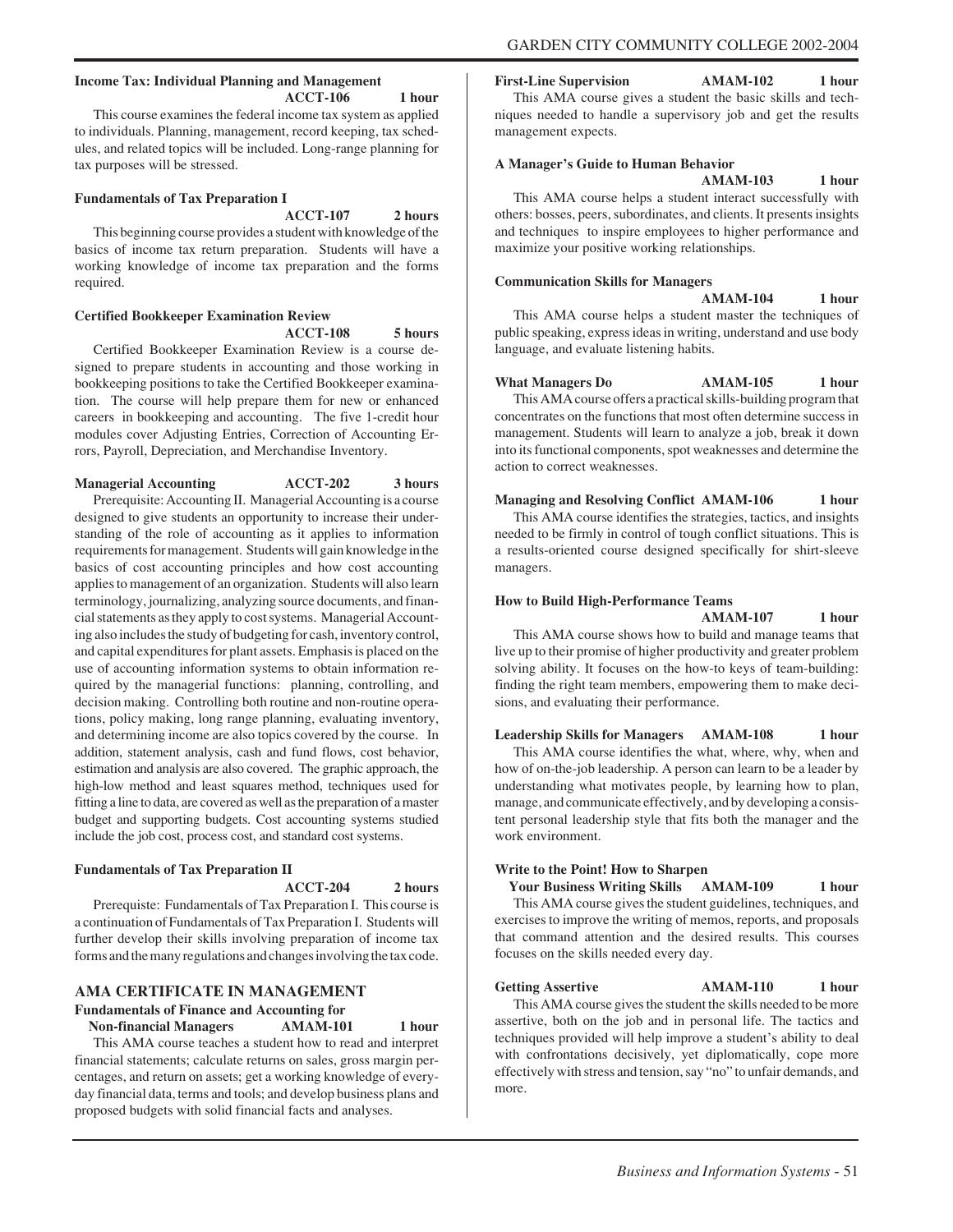#### **Income Tax: Individual Planning and Management ACCT-106 1 hour**

This course examines the federal income tax system as applied to individuals. Planning, management, record keeping, tax schedules, and related topics will be included. Long-range planning for tax purposes will be stressed.

#### **Fundamentals of Tax Preparation I**

**ACCT-107 2 hours**

This beginning course provides a student with knowledge of the basics of income tax return preparation. Students will have a working knowledge of income tax preparation and the forms required.

#### **Certified Bookkeeper Examination Review**

**ACCT-108 5 hours**

Certified Bookkeeper Examination Review is a course designed to prepare students in accounting and those working in bookkeeping positions to take the Certified Bookkeeper examination. The course will help prepare them for new or enhanced careers in bookkeeping and accounting. The five 1-credit hour modules cover Adjusting Entries, Correction of Accounting Errors, Payroll, Depreciation, and Merchandise Inventory.

#### **Managerial Accounting ACCT-202 3 hours**

Prerequisite: Accounting II. Managerial Accounting is a course designed to give students an opportunity to increase their understanding of the role of accounting as it applies to information requirements for management. Students will gain knowledge in the basics of cost accounting principles and how cost accounting applies to management of an organization. Students will also learn terminology, journalizing, analyzing source documents, and financial statements as they apply to cost systems. Managerial Accounting also includes the study of budgeting for cash, inventory control, and capital expenditures for plant assets. Emphasis is placed on the use of accounting information systems to obtain information required by the managerial functions: planning, controlling, and decision making. Controlling both routine and non-routine operations, policy making, long range planning, evaluating inventory, and determining income are also topics covered by the course. In addition, statement analysis, cash and fund flows, cost behavior, estimation and analysis are also covered. The graphic approach, the high-low method and least squares method, techniques used for fitting a line to data, are covered as well as the preparation of a master budget and supporting budgets. Cost accounting systems studied include the job cost, process cost, and standard cost systems.

#### **Fundamentals of Tax Preparation II**

**ACCT-204 2 hours**

Prerequiste: Fundamentals of Tax Preparation I. This course is a continuation of Fundamentals of Tax Preparation I. Students will further develop their skills involving preparation of income tax forms and the many regulations and changes involving the tax code.

#### **AMA CERTIFICATE IN MANAGEMENT Fundamentals of Finance and Accounting for**

#### **Non-financial Managers AMAM-101** 1 hour

This AMA course teaches a student how to read and interpret financial statements; calculate returns on sales, gross margin percentages, and return on assets; get a working knowledge of everyday financial data, terms and tools; and develop business plans and proposed budgets with solid financial facts and analyses.

#### **First-Line Supervision AMAM-102 1 hour**

This AMA course gives a student the basic skills and techniques needed to handle a supervisory job and get the results management expects.

#### **A Manager's Guide to Human Behavior**

**AMAM-103 1 hour**

This AMA course helps a student interact successfully with others: bosses, peers, subordinates, and clients. It presents insights and techniques to inspire employees to higher performance and maximize your positive working relationships.

#### **Communication Skills for Managers**

**AMAM-104 1 hour** This AMA course helps a student master the techniques of

public speaking, express ideas in writing, understand and use body language, and evaluate listening habits.

#### **What Managers Do AMAM-105 1 hour**

This AMA course offers a practical skills-building program that concentrates on the functions that most often determine success in management. Students will learn to analyze a job, break it down into its functional components, spot weaknesses and determine the action to correct weaknesses.

#### **Managing and Resolving Conflict AMAM-106 1 hour**

This AMA course identifies the strategies, tactics, and insights needed to be firmly in control of tough conflict situations. This is a results-oriented course designed specifically for shirt-sleeve managers.

#### **How to Build High-Performance Teams**

**AMAM-107 1 hour** This AMA course shows how to build and manage teams that live up to their promise of higher productivity and greater problem solving ability. It focuses on the how-to keys of team-building: finding the right team members, empowering them to make decisions, and evaluating their performance.

#### **Leadership Skills for Managers AMAM-108 1 hour**

This AMA course identifies the what, where, why, when and how of on-the-job leadership. A person can learn to be a leader by understanding what motivates people, by learning how to plan, manage, and communicate effectively, and by developing a consistent personal leadership style that fits both the manager and the work environment.

#### **Write to the Point! How to Sharpen**

#### Your Business Writing Skills AMAM-109 1 hour

This AMA course gives the student guidelines, techniques, and exercises to improve the writing of memos, reports, and proposals that command attention and the desired results. This courses focuses on the skills needed every day.

#### Getting Assertive **AMAM-110** 1 hour

This AMA course gives the student the skills needed to be more assertive, both on the job and in personal life. The tactics and techniques provided will help improve a student's ability to deal with confrontations decisively, yet diplomatically, cope more effectively with stress and tension, say "no" to unfair demands, and more.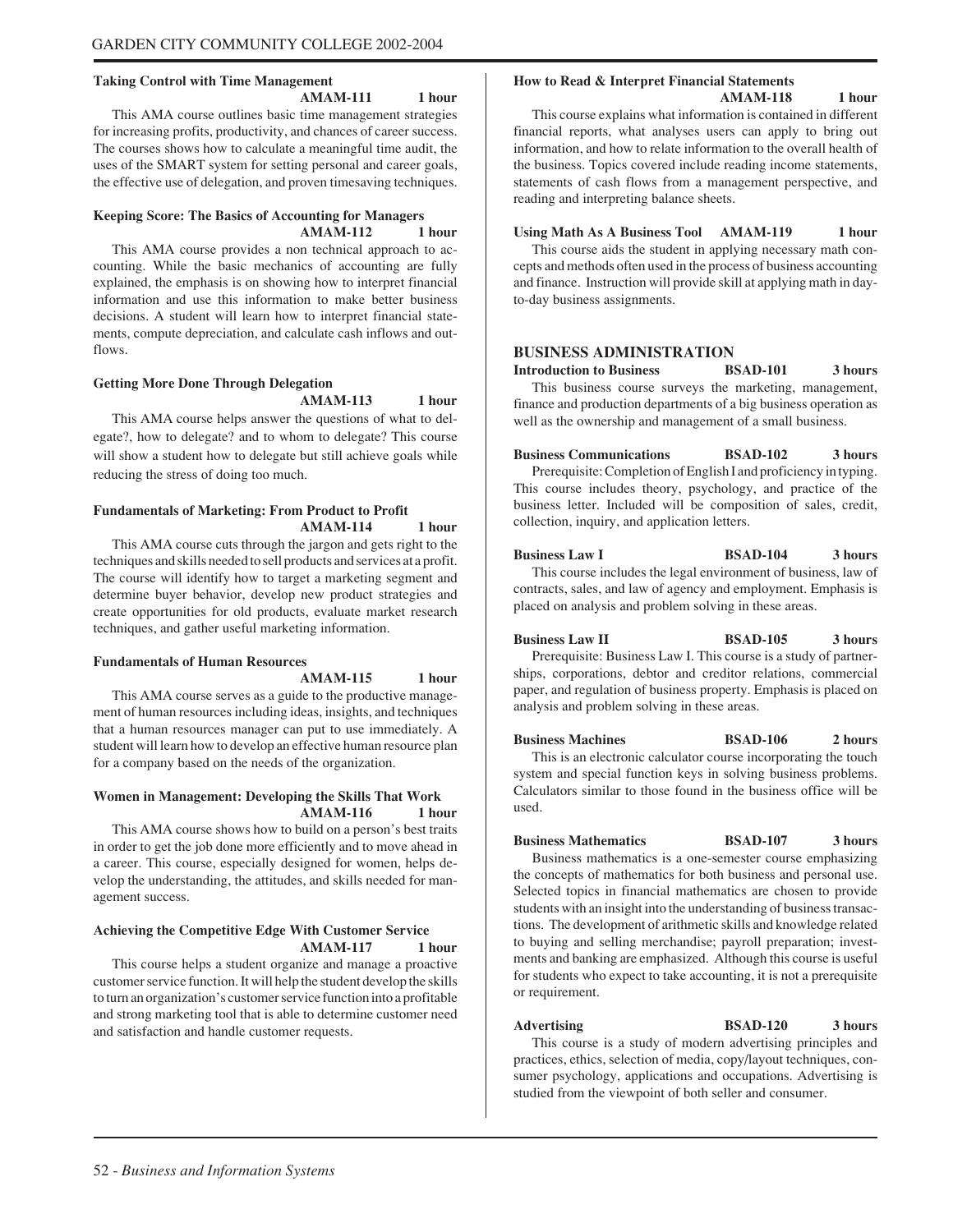#### **Taking Control with Time Management**

#### **AMAM-111 1 hour**

This AMA course outlines basic time management strategies for increasing profits, productivity, and chances of career success. The courses shows how to calculate a meaningful time audit, the uses of the SMART system for setting personal and career goals, the effective use of delegation, and proven timesaving techniques.

#### **Keeping Score: The Basics of Accounting for Managers AMAM-112 1 hour**

This AMA course provides a non technical approach to accounting. While the basic mechanics of accounting are fully explained, the emphasis is on showing how to interpret financial information and use this information to make better business decisions. A student will learn how to interpret financial statements, compute depreciation, and calculate cash inflows and outflows.

#### **Getting More Done Through Delegation**

**AMAM-113 1 hour**

This AMA course helps answer the questions of what to delegate?, how to delegate? and to whom to delegate? This course will show a student how to delegate but still achieve goals while reducing the stress of doing too much.

#### **Fundamentals of Marketing: From Product to Profit AMAM-114 1 hour**

This AMA course cuts through the jargon and gets right to the techniques and skills needed to sell products and services at a profit. The course will identify how to target a marketing segment and determine buyer behavior, develop new product strategies and create opportunities for old products, evaluate market research techniques, and gather useful marketing information.

#### **Fundamentals of Human Resources**

#### **AMAM-115 1 hour**

This AMA course serves as a guide to the productive management of human resources including ideas, insights, and techniques that a human resources manager can put to use immediately. A student will learn how to develop an effective human resource plan for a company based on the needs of the organization.

#### **Women in Management: Developing the Skills That Work AMAM-116 1 hour**

This AMA course shows how to build on a person's best traits in order to get the job done more efficiently and to move ahead in a career. This course, especially designed for women, helps develop the understanding, the attitudes, and skills needed for management success.

#### **Achieving the Competitive Edge With Customer Service AMAM-117 1 hour**

This course helps a student organize and manage a proactive customer service function. It will help the student develop the skills to turn an organization's customer service function into a profitable and strong marketing tool that is able to determine customer need and satisfaction and handle customer requests.

#### **How to Read & Interpret Financial Statements AMAM-118 1 hour**

This course explains what information is contained in different financial reports, what analyses users can apply to bring out information, and how to relate information to the overall health of the business. Topics covered include reading income statements, statements of cash flows from a management perspective, and reading and interpreting balance sheets.

#### **Using Math As A Business Tool AMAM-119 1 hour**

This course aids the student in applying necessary math concepts and methods often used in the process of business accounting and finance. Instruction will provide skill at applying math in dayto-day business assignments.

#### **BUSINESS ADMINISTRATION**

**Introduction to Business BSAD-101 3 hours** This business course surveys the marketing, management, finance and production departments of a big business operation as well as the ownership and management of a small business.

#### **Business Communications BSAD-102 3 hours**

Prerequisite: Completion of English I and proficiency in typing. This course includes theory, psychology, and practice of the business letter. Included will be composition of sales, credit, collection, inquiry, and application letters.

#### **Business Law I BSAD-104 3 hours**

This course includes the legal environment of business, law of contracts, sales, and law of agency and employment. Emphasis is placed on analysis and problem solving in these areas.

**Business Law II BSAD-105** 3 hours Prerequisite: Business Law I. This course is a study of partnerships, corporations, debtor and creditor relations, commercial paper, and regulation of business property. Emphasis is placed on analysis and problem solving in these areas.

#### **Business Machines BSAD-106 2 hours** This is an electronic calculator course incorporating the touch

system and special function keys in solving business problems. Calculators similar to those found in the business office will be used.

#### **Business Mathematics BSAD-107 3 hours**

Business mathematics is a one-semester course emphasizing the concepts of mathematics for both business and personal use. Selected topics in financial mathematics are chosen to provide students with an insight into the understanding of business transactions. The development of arithmetic skills and knowledge related to buying and selling merchandise; payroll preparation; investments and banking are emphasized. Although this course is useful for students who expect to take accounting, it is not a prerequisite or requirement.

#### **Advertising BSAD-120 3 hours**

This course is a study of modern advertising principles and practices, ethics, selection of media, copy/layout techniques, consumer psychology, applications and occupations. Advertising is studied from the viewpoint of both seller and consumer.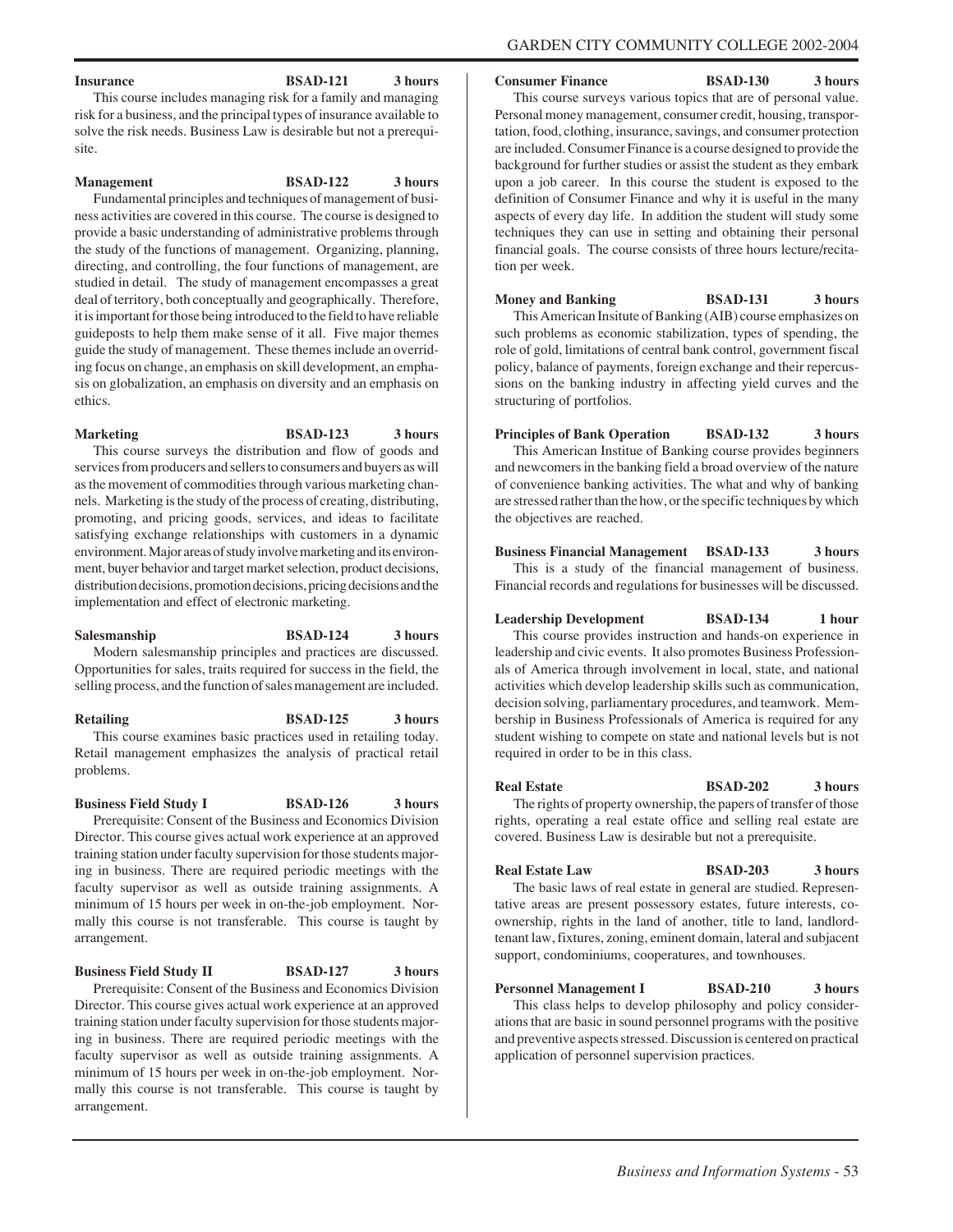#### **Insurance BSAD-121 3 hours**

This course includes managing risk for a family and managing risk for a business, and the principal types of insurance available to solve the risk needs. Business Law is desirable but not a prerequisite.

**Management BSAD-122** 3 hours

Fundamental principles and techniques of management of business activities are covered in this course. The course is designed to provide a basic understanding of administrative problems through the study of the functions of management. Organizing, planning, directing, and controlling, the four functions of management, are studied in detail. The study of management encompasses a great deal of territory, both conceptually and geographically. Therefore, it is important for those being introduced to the field to have reliable guideposts to help them make sense of it all. Five major themes guide the study of management. These themes include an overriding focus on change, an emphasis on skill development, an emphasis on globalization, an emphasis on diversity and an emphasis on ethics.

#### **Marketing BSAD-123 3 hours**

This course surveys the distribution and flow of goods and services from producers and sellers to consumers and buyers as will as the movement of commodities through various marketing channels. Marketing is the study of the process of creating, distributing, promoting, and pricing goods, services, and ideas to facilitate satisfying exchange relationships with customers in a dynamic environment. Major areas of study involve marketing and its environment, buyer behavior and target market selection, product decisions, distribution decisions, promotion decisions, pricing decisions and the implementation and effect of electronic marketing.

**Salesmanship BSAD-124 3 hours** Modern salesmanship principles and practices are discussed. Opportunities for sales, traits required for success in the field, the selling process, and the function of sales management are included.

Retailing BSAD-125 3 hours This course examines basic practices used in retailing today. Retail management emphasizes the analysis of practical retail problems.

#### **Business Field Study I BSAD-126 3 hours**

Prerequisite: Consent of the Business and Economics Division Director. This course gives actual work experience at an approved training station under faculty supervision for those students majoring in business. There are required periodic meetings with the faculty supervisor as well as outside training assignments. A minimum of 15 hours per week in on-the-job employment. Normally this course is not transferable. This course is taught by arrangement.

#### **Business Field Study II BSAD-127** 3 hours

Prerequisite: Consent of the Business and Economics Division Director. This course gives actual work experience at an approved training station under faculty supervision for those students majoring in business. There are required periodic meetings with the faculty supervisor as well as outside training assignments. A minimum of 15 hours per week in on-the-job employment. Normally this course is not transferable. This course is taught by arrangement.

#### **Consumer Finance BSAD-130 3 hours**

This course surveys various topics that are of personal value. Personal money management, consumer credit, housing, transportation, food, clothing, insurance, savings, and consumer protection are included. Consumer Finance is a course designed to provide the background for further studies or assist the student as they embark upon a job career. In this course the student is exposed to the definition of Consumer Finance and why it is useful in the many aspects of every day life. In addition the student will study some techniques they can use in setting and obtaining their personal financial goals. The course consists of three hours lecture/recitation per week.

**Money and Banking BSAD-131** 3 hours

This American Insitute of Banking (AIB) course emphasizes on such problems as economic stabilization, types of spending, the role of gold, limitations of central bank control, government fiscal policy, balance of payments, foreign exchange and their repercussions on the banking industry in affecting yield curves and the structuring of portfolios.

#### **Principles of Bank Operation BSAD-132 3 hours**

This American Institue of Banking course provides beginners and newcomers in the banking field a broad overview of the nature of convenience banking activities. The what and why of banking are stressed rather than the how, or the specific techniques by which the objectives are reached.

#### **Business Financial Management BSAD-133 3 hours**

This is a study of the financial management of business. Financial records and regulations for businesses will be discussed.

#### **Leadership Development BSAD-134 1 hour**

This course provides instruction and hands-on experience in leadership and civic events. It also promotes Business Professionals of America through involvement in local, state, and national activities which develop leadership skills such as communication, decision solving, parliamentary procedures, and teamwork. Membership in Business Professionals of America is required for any student wishing to compete on state and national levels but is not required in order to be in this class.

**Real Estate BSAD-202 3 hours** The rights of property ownership, the papers of transfer of those

rights, operating a real estate office and selling real estate are covered. Business Law is desirable but not a prerequisite.

**Real Estate Law BSAD-203 3 hours**

The basic laws of real estate in general are studied. Representative areas are present possessory estates, future interests, coownership, rights in the land of another, title to land, landlordtenant law, fixtures, zoning, eminent domain, lateral and subjacent support, condominiums, cooperatures, and townhouses.

#### **Personnel Management I BSAD-210 3 hours**

This class helps to develop philosophy and policy considerations that are basic in sound personnel programs with the positive and preventive aspects stressed. Discussion is centered on practical application of personnel supervision practices.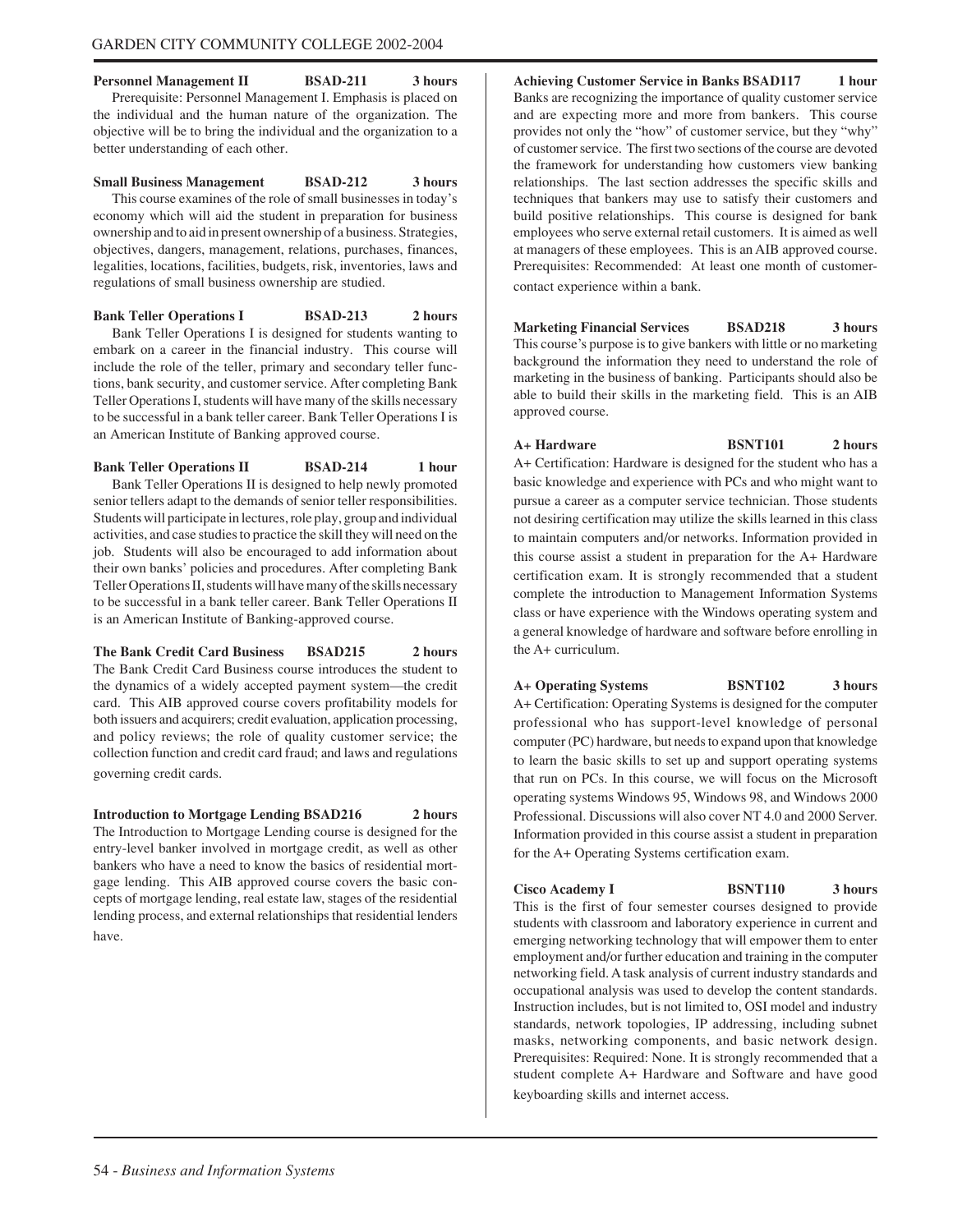**Personnel Management II BSAD-211 3 hours** Prerequisite: Personnel Management I. Emphasis is placed on the individual and the human nature of the organization. The objective will be to bring the individual and the organization to a better understanding of each other.

**Small Business Management BSAD-212 3 hours** This course examines of the role of small businesses in today's economy which will aid the student in preparation for business ownership and to aid in present ownership of a business. Strategies, objectives, dangers, management, relations, purchases, finances, legalities, locations, facilities, budgets, risk, inventories, laws and regulations of small business ownership are studied.

**Bank Teller Operations I BSAD-213** 2 hours Bank Teller Operations I is designed for students wanting to embark on a career in the financial industry. This course will include the role of the teller, primary and secondary teller functions, bank security, and customer service. After completing Bank Teller Operations I, students will have many of the skills necessary to be successful in a bank teller career. Bank Teller Operations I is an American Institute of Banking approved course.

**Bank Teller Operations II BSAD-214 1 hour** Bank Teller Operations II is designed to help newly promoted senior tellers adapt to the demands of senior teller responsibilities. Students will participate in lectures, role play, group and individual activities, and case studies to practice the skill they will need on the job. Students will also be encouraged to add information about their own banks' policies and procedures. After completing Bank Teller Operations II, students will have many of the skills necessary to be successful in a bank teller career. Bank Teller Operations II is an American Institute of Banking-approved course.

**The Bank Credit Card Business BSAD215 2 hours** The Bank Credit Card Business course introduces the student to the dynamics of a widely accepted payment system—the credit card. This AIB approved course covers profitability models for both issuers and acquirers; credit evaluation, application processing, and policy reviews; the role of quality customer service; the collection function and credit card fraud; and laws and regulations governing credit cards.

#### **Introduction to Mortgage Lending BSAD216 2 hours**

The Introduction to Mortgage Lending course is designed for the entry-level banker involved in mortgage credit, as well as other bankers who have a need to know the basics of residential mortgage lending. This AIB approved course covers the basic concepts of mortgage lending, real estate law, stages of the residential lending process, and external relationships that residential lenders have.

#### **Achieving Customer Service in Banks BSAD117 1 hour**

Banks are recognizing the importance of quality customer service and are expecting more and more from bankers. This course provides not only the "how" of customer service, but they "why" of customer service. The first two sections of the course are devoted the framework for understanding how customers view banking relationships. The last section addresses the specific skills and techniques that bankers may use to satisfy their customers and build positive relationships. This course is designed for bank employees who serve external retail customers. It is aimed as well at managers of these employees. This is an AIB approved course. Prerequisites: Recommended: At least one month of customercontact experience within a bank.

**Marketing Financial Services BSAD218 3 hours** This course's purpose is to give bankers with little or no marketing background the information they need to understand the role of marketing in the business of banking. Participants should also be able to build their skills in the marketing field. This is an AIB approved course.

**A+ Hardware BSNT101 2 hours** A+ Certification: Hardware is designed for the student who has a basic knowledge and experience with PCs and who might want to pursue a career as a computer service technician. Those students not desiring certification may utilize the skills learned in this class to maintain computers and/or networks. Information provided in this course assist a student in preparation for the A+ Hardware certification exam. It is strongly recommended that a student complete the introduction to Management Information Systems class or have experience with the Windows operating system and a general knowledge of hardware and software before enrolling in the A+ curriculum.

**A+ Operating Systems BSNT102 3 hours** A+ Certification: Operating Systems is designed for the computer professional who has support-level knowledge of personal computer (PC) hardware, but needs to expand upon that knowledge to learn the basic skills to set up and support operating systems that run on PCs. In this course, we will focus on the Microsoft operating systems Windows 95, Windows 98, and Windows 2000 Professional. Discussions will also cover NT 4.0 and 2000 Server. Information provided in this course assist a student in preparation for the A+ Operating Systems certification exam.

Cisco Academy I BSNT110 3 hours This is the first of four semester courses designed to provide students with classroom and laboratory experience in current and emerging networking technology that will empower them to enter employment and/or further education and training in the computer networking field. A task analysis of current industry standards and occupational analysis was used to develop the content standards. Instruction includes, but is not limited to, OSI model and industry standards, network topologies, IP addressing, including subnet masks, networking components, and basic network design. Prerequisites: Required: None. It is strongly recommended that a student complete A+ Hardware and Software and have good keyboarding skills and internet access.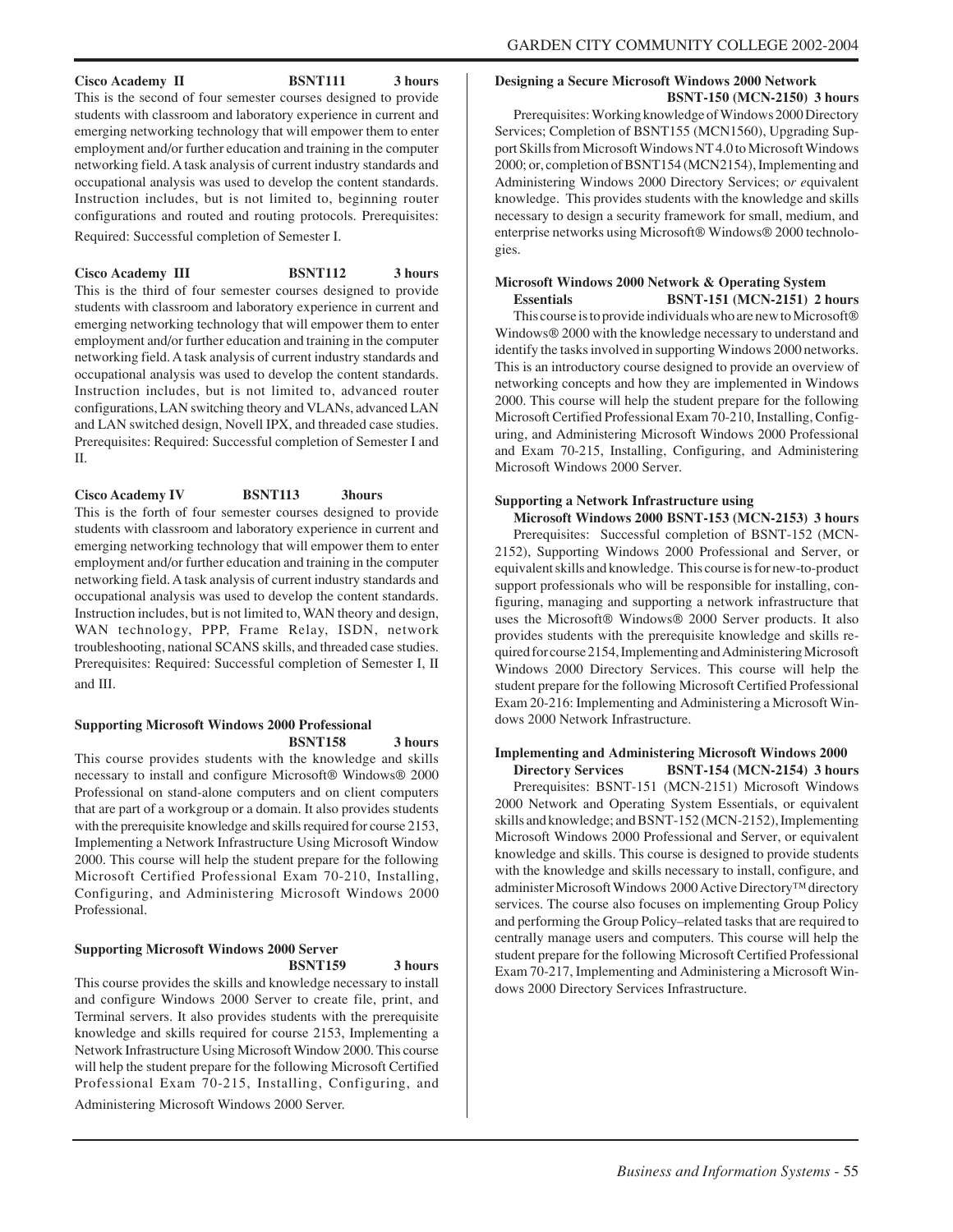#### Cisco Academy II BSNT111 3 hours

This is the second of four semester courses designed to provide students with classroom and laboratory experience in current and emerging networking technology that will empower them to enter employment and/or further education and training in the computer networking field. A task analysis of current industry standards and occupational analysis was used to develop the content standards. Instruction includes, but is not limited to, beginning router configurations and routed and routing protocols. Prerequisites: Required: Successful completion of Semester I.

Cisco Academy III BSNT112 3 hours

This is the third of four semester courses designed to provide students with classroom and laboratory experience in current and emerging networking technology that will empower them to enter employment and/or further education and training in the computer networking field. A task analysis of current industry standards and occupational analysis was used to develop the content standards. Instruction includes, but is not limited to, advanced router configurations, LAN switching theory and VLANs, advanced LAN and LAN switched design, Novell IPX, and threaded case studies. Prerequisites: Required: Successful completion of Semester I and II.

**Cisco Academy IV BSNT113 3hours**

This is the forth of four semester courses designed to provide students with classroom and laboratory experience in current and emerging networking technology that will empower them to enter employment and/or further education and training in the computer networking field. A task analysis of current industry standards and occupational analysis was used to develop the content standards. Instruction includes, but is not limited to, WAN theory and design, WAN technology, PPP, Frame Relay, ISDN, network troubleshooting, national SCANS skills, and threaded case studies. Prerequisites: Required: Successful completion of Semester I, II and III.

#### **Supporting Microsoft Windows 2000 Professional BSNT158 3 hours**

This course provides students with the knowledge and skills necessary to install and configure Microsoft® Windows® 2000 Professional on stand-alone computers and on client computers that are part of a workgroup or a domain. It also provides students with the prerequisite knowledge and skills required for course 2153, Implementing a Network Infrastructure Using Microsoft Window 2000. This course will help the student prepare for the following Microsoft Certified Professional Exam 70-210, Installing, Configuring, and Administering Microsoft Windows 2000 Professional.

### **Supporting Microsoft Windows 2000 Server BSNT159 3 hours**

This course provides the skills and knowledge necessary to install and configure Windows 2000 Server to create file, print, and Terminal servers. It also provides students with the prerequisite knowledge and skills required for course 2153, Implementing a Network Infrastructure Using Microsoft Window 2000. This course will help the student prepare for the following Microsoft Certified Professional Exam 70-215, Installing, Configuring, and Administering Microsoft Windows 2000 Server.

#### **Designing a Secure Microsoft Windows 2000 Network BSNT-150 (MCN-2150) 3 hours**

Prerequisites: Working knowledge of Windows 2000 Directory Services; Completion of BSNT155 (MCN1560), Upgrading Support Skills from Microsoft Windows NT 4.0 to Microsoft Windows 2000; or, completion of BSNT154 (MCN2154), Implementing and Administering Windows 2000 Directory Services; o*r e*quivalent knowledge. This provides students with the knowledge and skills necessary to design a security framework for small, medium, and enterprise networks using Microsoft® Windows® 2000 technologies.

#### **Microsoft Windows 2000 Network & Operating System Essentials BSNT-151 (MCN-2151) 2 hours**

This course is to provide individuals who are new to Microsoft® Windows® 2000 with the knowledge necessary to understand and identify the tasks involved in supporting Windows 2000 networks. This is an introductory course designed to provide an overview of networking concepts and how they are implemented in Windows 2000. This course will help the student prepare for the following Microsoft Certified Professional Exam 70-210, Installing, Configuring, and Administering Microsoft Windows 2000 Professional and Exam 70-215, Installing, Configuring, and Administering Microsoft Windows 2000 Server.

#### **Supporting a Network Infrastructure using**

**Microsoft Windows 2000 BSNT-153 (MCN-2153) 3 hours** Prerequisites: Successful completion of BSNT-152 (MCN-2152), Supporting Windows 2000 Professional and Server, or equivalent skills and knowledge. This course is for new-to-product support professionals who will be responsible for installing, configuring, managing and supporting a network infrastructure that uses the Microsoft® Windows® 2000 Server products. It also provides students with the prerequisite knowledge and skills required for course 2154, Implementing and Administering Microsoft Windows 2000 Directory Services. This course will help the student prepare for the following Microsoft Certified Professional Exam 20-216: Implementing and Administering a Microsoft Windows 2000 Network Infrastructure.

#### **Implementing and Administering Microsoft Windows 2000**

**Directory Services BSNT-154 (MCN-2154) 3 hours** Prerequisites: BSNT-151 (MCN-2151) Microsoft Windows 2000 Network and Operating System Essentials, or equivalent skills and knowledge; and BSNT-152 (MCN-2152), Implementing Microsoft Windows 2000 Professional and Server, or equivalent knowledge and skills. This course is designed to provide students with the knowledge and skills necessary to install, configure, and administer Microsoft Windows 2000 Active Directory™ directory services. The course also focuses on implementing Group Policy and performing the Group Policy–related tasks that are required to centrally manage users and computers. This course will help the student prepare for the following Microsoft Certified Professional Exam 70-217, Implementing and Administering a Microsoft Windows 2000 Directory Services Infrastructure.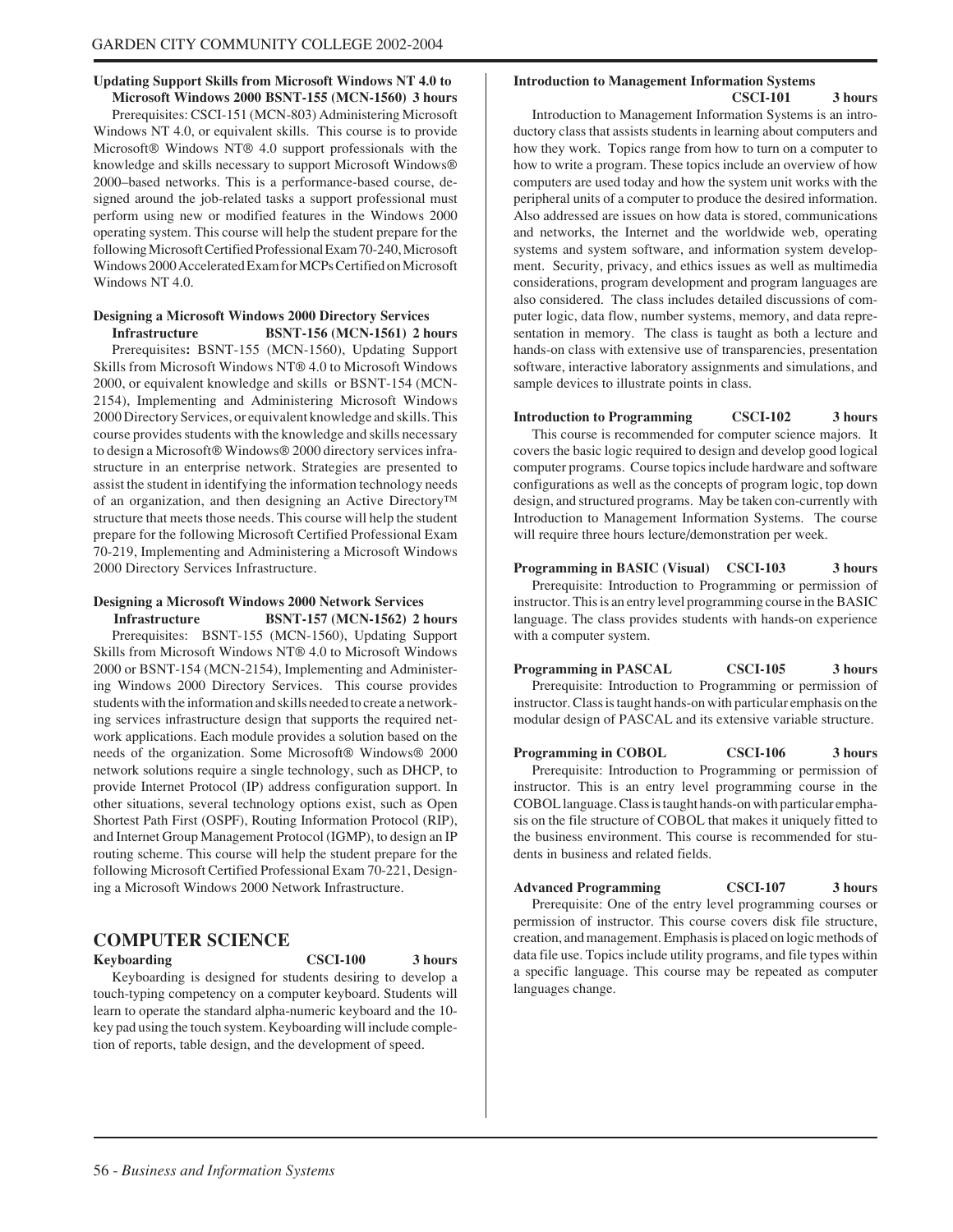**Updating Support Skills from Microsoft Windows NT 4.0 to Microsoft Windows 2000 BSNT-155 (MCN-1560) 3 hours**

Prerequisites: CSCI-151 (MCN-803) Administering Microsoft Windows NT 4.0, or equivalent skills. This course is to provide Microsoft® Windows NT® 4.0 support professionals with the knowledge and skills necessary to support Microsoft Windows® 2000–based networks. This is a performance-based course, designed around the job-related tasks a support professional must perform using new or modified features in the Windows 2000 operating system. This course will help the student prepare for the following Microsoft Certified Professional Exam 70-240, Microsoft Windows 2000 Accelerated Exam for MCPs Certified on Microsoft Windows NT 4.0.

#### **Designing a Microsoft Windows 2000 Directory Services Infrastructure BSNT-156 (MCN-1561) 2 hours**

Prerequisites**:** BSNT-155 (MCN-1560), Updating Support Skills from Microsoft Windows NT® 4.0 to Microsoft Windows 2000, or equivalent knowledge and skills or BSNT-154 (MCN-2154), Implementing and Administering Microsoft Windows 2000 Directory Services, or equivalent knowledge and skills. This course provides students with the knowledge and skills necessary to design a Microsoft® Windows® 2000 directory services infrastructure in an enterprise network. Strategies are presented to assist the student in identifying the information technology needs of an organization, and then designing an Active Directory™ structure that meets those needs. This course will help the student prepare for the following Microsoft Certified Professional Exam 70-219, Implementing and Administering a Microsoft Windows 2000 Directory Services Infrastructure.

#### **Designing a Microsoft Windows 2000 Network Services Infrastructure BSNT-157 (MCN-1562) 2 hours**

Prerequisites: BSNT-155 (MCN-1560), Updating Support Skills from Microsoft Windows NT® 4.0 to Microsoft Windows 2000 or BSNT-154 (MCN-2154), Implementing and Administering Windows 2000 Directory Services. This course provides students with the information and skills needed to create a networking services infrastructure design that supports the required network applications. Each module provides a solution based on the needs of the organization. Some Microsoft® Windows® 2000 network solutions require a single technology, such as DHCP, to provide Internet Protocol (IP) address configuration support. In other situations, several technology options exist, such as Open Shortest Path First (OSPF), Routing Information Protocol (RIP), and Internet Group Management Protocol (IGMP), to design an IP routing scheme. This course will help the student prepare for the following Microsoft Certified Professional Exam 70-221, Designing a Microsoft Windows 2000 Network Infrastructure.

#### **COMPUTER SCIENCE**

**Keyboarding CSCI-100 3 hours**

Keyboarding is designed for students desiring to develop a touch-typing competency on a computer keyboard. Students will learn to operate the standard alpha-numeric keyboard and the 10 key pad using the touch system. Keyboarding will include completion of reports, table design, and the development of speed.

#### **Introduction to Management Information Systems CSCI-101 3 hours**

Introduction to Management Information Systems is an introductory class that assists students in learning about computers and how they work. Topics range from how to turn on a computer to how to write a program. These topics include an overview of how computers are used today and how the system unit works with the peripheral units of a computer to produce the desired information. Also addressed are issues on how data is stored, communications and networks, the Internet and the worldwide web, operating systems and system software, and information system development. Security, privacy, and ethics issues as well as multimedia considerations, program development and program languages are also considered. The class includes detailed discussions of computer logic, data flow, number systems, memory, and data representation in memory. The class is taught as both a lecture and hands-on class with extensive use of transparencies, presentation software, interactive laboratory assignments and simulations, and sample devices to illustrate points in class.

#### **Introduction to Programming CSCI-102 3 hours**

This course is recommended for computer science majors. It covers the basic logic required to design and develop good logical computer programs. Course topics include hardware and software configurations as well as the concepts of program logic, top down design, and structured programs. May be taken con-currently with Introduction to Management Information Systems. The course will require three hours lecture/demonstration per week.

**Programming in BASIC (Visual) CSCI-103 3 hours** Prerequisite: Introduction to Programming or permission of instructor. This is an entry level programming course in the BASIC language. The class provides students with hands-on experience with a computer system.

**Programming in PASCAL CSCI-105 3 hours** Prerequisite: Introduction to Programming or permission of instructor. Class is taught hands-on with particular emphasis on the modular design of PASCAL and its extensive variable structure.

**Programming in COBOL CSCI-106 3 hours** Prerequisite: Introduction to Programming or permission of instructor. This is an entry level programming course in the COBOL language. Class is taught hands-on with particular emphasis on the file structure of COBOL that makes it uniquely fitted to the business environment. This course is recommended for students in business and related fields.

#### **Advanced Programming CSCI-107 3 hours**

Prerequisite: One of the entry level programming courses or permission of instructor. This course covers disk file structure, creation, and management. Emphasis is placed on logic methods of data file use. Topics include utility programs, and file types within a specific language. This course may be repeated as computer languages change.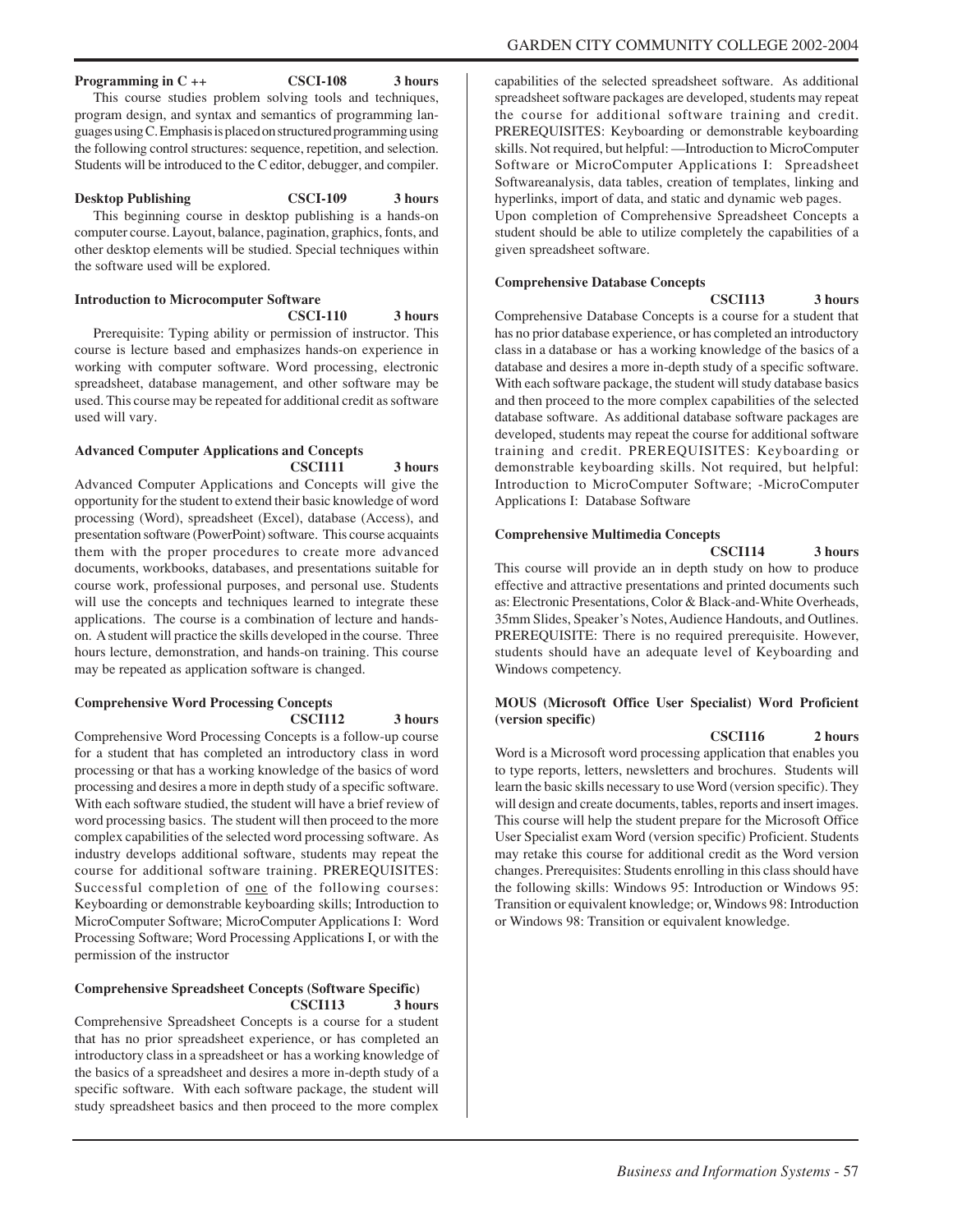#### **Programming in C ++ CSCI-108 3 hours**

This course studies problem solving tools and techniques, program design, and syntax and semantics of programming languages using C. Emphasis is placed on structured programming using the following control structures: sequence, repetition, and selection. Students will be introduced to the C editor, debugger, and compiler.

#### **Desktop Publishing CSCI-109 3 hours**

This beginning course in desktop publishing is a hands-on computer course. Layout, balance, pagination, graphics, fonts, and other desktop elements will be studied. Special techniques within the software used will be explored.

#### **Introduction to Microcomputer Software**

**CSCI-110 3 hours**

Prerequisite: Typing ability or permission of instructor. This course is lecture based and emphasizes hands-on experience in working with computer software. Word processing, electronic spreadsheet, database management, and other software may be used. This course may be repeated for additional credit as software used will vary.

#### **Advanced Computer Applications and Concepts CSCI111 3 hours**

Advanced Computer Applications and Concepts will give the opportunity for the student to extend their basic knowledge of word processing (Word), spreadsheet (Excel), database (Access), and presentation software (PowerPoint) software. This course acquaints them with the proper procedures to create more advanced documents, workbooks, databases, and presentations suitable for course work, professional purposes, and personal use. Students will use the concepts and techniques learned to integrate these applications. The course is a combination of lecture and handson. A student will practice the skills developed in the course. Three hours lecture, demonstration, and hands-on training. This course may be repeated as application software is changed.

#### **Comprehensive Word Processing Concepts CSCI112 3 hours**

Comprehensive Word Processing Concepts is a follow-up course for a student that has completed an introductory class in word processing or that has a working knowledge of the basics of word processing and desires a more in depth study of a specific software. With each software studied, the student will have a brief review of word processing basics. The student will then proceed to the more complex capabilities of the selected word processing software. As industry develops additional software, students may repeat the course for additional software training. PREREQUISITES: Successful completion of one of the following courses: Keyboarding or demonstrable keyboarding skills; Introduction to MicroComputer Software; MicroComputer Applications I: Word Processing Software; Word Processing Applications I, or with the permission of the instructor

#### **Comprehensive Spreadsheet Concepts (Software Specific) CSCI113 3 hours**

Comprehensive Spreadsheet Concepts is a course for a student that has no prior spreadsheet experience, or has completed an introductory class in a spreadsheet or has a working knowledge of the basics of a spreadsheet and desires a more in-depth study of a specific software. With each software package, the student will study spreadsheet basics and then proceed to the more complex

capabilities of the selected spreadsheet software. As additional spreadsheet software packages are developed, students may repeat the course for additional software training and credit. PREREQUISITES: Keyboarding or demonstrable keyboarding skills. Not required, but helpful: —Introduction to MicroComputer Software or MicroComputer Applications I: Spreadsheet Softwareanalysis, data tables, creation of templates, linking and hyperlinks, import of data, and static and dynamic web pages.

Upon completion of Comprehensive Spreadsheet Concepts a student should be able to utilize completely the capabilities of a given spreadsheet software.

#### **Comprehensive Database Concepts**

#### **CSCI113 3 hours**

Comprehensive Database Concepts is a course for a student that has no prior database experience, or has completed an introductory class in a database or has a working knowledge of the basics of a database and desires a more in-depth study of a specific software. With each software package, the student will study database basics and then proceed to the more complex capabilities of the selected database software. As additional database software packages are developed, students may repeat the course for additional software training and credit. PREREQUISITES: Keyboarding or demonstrable keyboarding skills. Not required, but helpful: Introduction to MicroComputer Software; -MicroComputer Applications I: Database Software

#### **Comprehensive Multimedia Concepts**

#### **CSCI114 3 hours**

This course will provide an in depth study on how to produce effective and attractive presentations and printed documents such as: Electronic Presentations, Color & Black-and-White Overheads, 35mm Slides, Speaker's Notes, Audience Handouts, and Outlines. PREREQUISITE: There is no required prerequisite. However, students should have an adequate level of Keyboarding and Windows competency.

#### **MOUS (Microsoft Office User Specialist) Word Proficient (version specific)**

#### **CSCI116 2 hours**

Word is a Microsoft word processing application that enables you to type reports, letters, newsletters and brochures. Students will learn the basic skills necessary to use Word (version specific). They will design and create documents, tables, reports and insert images. This course will help the student prepare for the Microsoft Office User Specialist exam Word (version specific) Proficient. Students may retake this course for additional credit as the Word version changes. Prerequisites: Students enrolling in this class should have the following skills: Windows 95: Introduction or Windows 95: Transition or equivalent knowledge; or, Windows 98: Introduction or Windows 98: Transition or equivalent knowledge.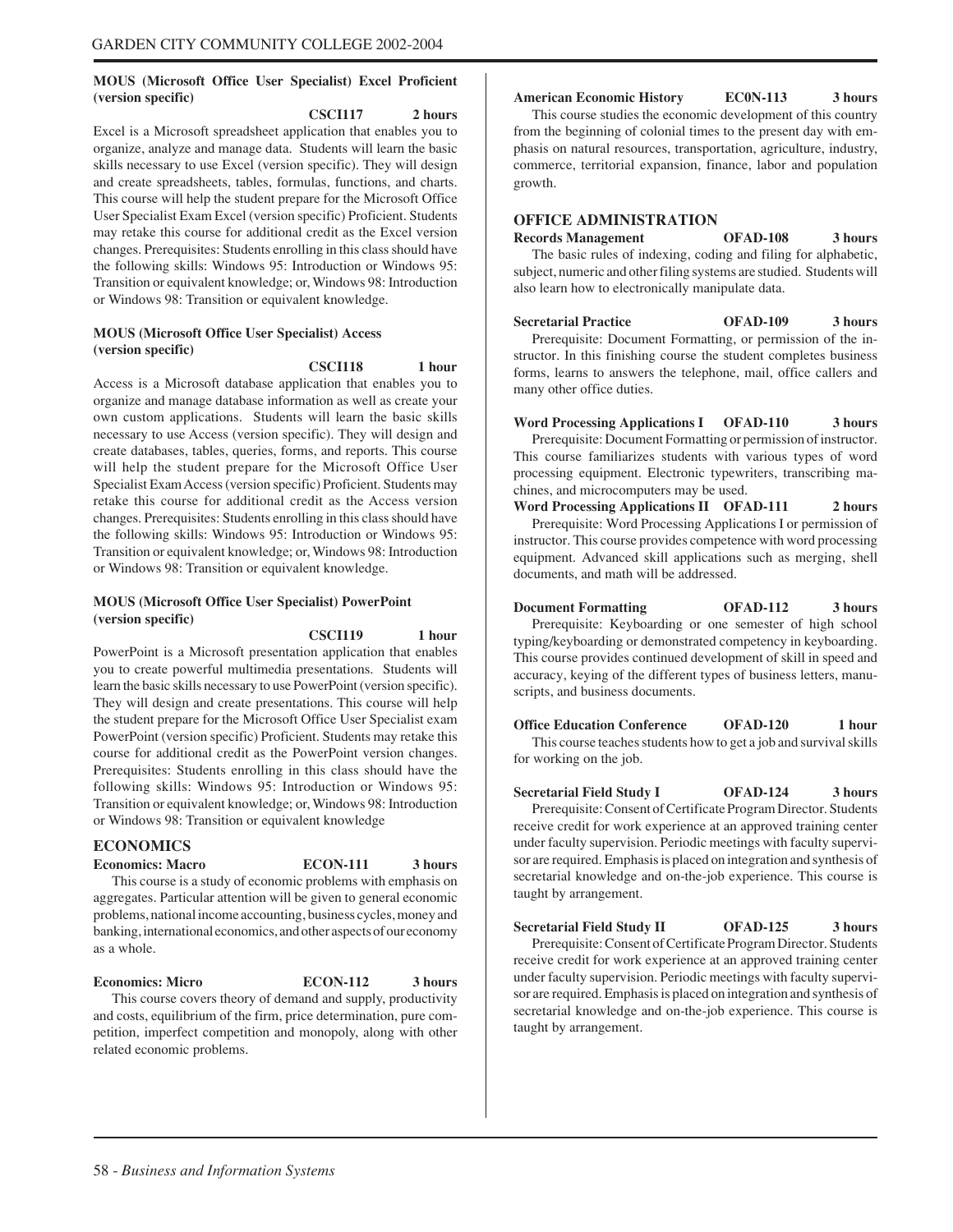#### **MOUS (Microsoft Office User Specialist) Excel Proficient (version specific)**

Excel is a Microsoft spreadsheet application that enables you to organize, analyze and manage data. Students will learn the basic skills necessary to use Excel (version specific). They will design and create spreadsheets, tables, formulas, functions, and charts. This course will help the student prepare for the Microsoft Office User Specialist Exam Excel (version specific) Proficient. Students may retake this course for additional credit as the Excel version changes. Prerequisites: Students enrolling in this class should have the following skills: Windows 95: Introduction or Windows 95: Transition or equivalent knowledge; or, Windows 98: Introduction or Windows 98: Transition or equivalent knowledge.

#### **MOUS (Microsoft Office User Specialist) Access (version specific)**

**CSCI118 1 hour**

**CSCI117 2 hours**

Access is a Microsoft database application that enables you to organize and manage database information as well as create your own custom applications. Students will learn the basic skills necessary to use Access (version specific). They will design and create databases, tables, queries, forms, and reports. This course will help the student prepare for the Microsoft Office User Specialist Exam Access (version specific) Proficient. Students may retake this course for additional credit as the Access version changes. Prerequisites: Students enrolling in this class should have the following skills: Windows 95: Introduction or Windows 95: Transition or equivalent knowledge; or, Windows 98: Introduction or Windows 98: Transition or equivalent knowledge.

#### **MOUS (Microsoft Office User Specialist) PowerPoint (version specific)**

**CSCI119 1 hour**

PowerPoint is a Microsoft presentation application that enables you to create powerful multimedia presentations. Students will learn the basic skills necessary to use PowerPoint (version specific). They will design and create presentations. This course will help the student prepare for the Microsoft Office User Specialist exam PowerPoint (version specific) Proficient. Students may retake this course for additional credit as the PowerPoint version changes. Prerequisites: Students enrolling in this class should have the following skills: Windows 95: Introduction or Windows 95: Transition or equivalent knowledge; or, Windows 98: Introduction or Windows 98: Transition or equivalent knowledge

#### **ECONOMICS**

#### **Economics: Macro ECON-111 3 hours**

This course is a study of economic problems with emphasis on aggregates. Particular attention will be given to general economic problems, national income accounting, business cycles, money and banking, international economics, and other aspects of our economy as a whole.

**Economics: Micro ECON-112 3 hours** This course covers theory of demand and supply, productivity and costs, equilibrium of the firm, price determination, pure competition, imperfect competition and monopoly, along with other related economic problems.

#### **American Economic History EC0N-113 3 hours**

This course studies the economic development of this country from the beginning of colonial times to the present day with emphasis on natural resources, transportation, agriculture, industry, commerce, territorial expansion, finance, labor and population growth.

#### **OFFICE ADMINISTRATION**

**Records Management OFAD-108 3 hours** The basic rules of indexing, coding and filing for alphabetic, subject, numeric and other filing systems are studied. Students will also learn how to electronically manipulate data.

#### **Secretarial Practice OFAD-109 3 hours**

Prerequisite: Document Formatting, or permission of the instructor. In this finishing course the student completes business forms, learns to answers the telephone, mail, office callers and many other office duties.

#### **Word Processing Applications I OFAD-110 3 hours**

Prerequisite: Document Formatting or permission of instructor. This course familiarizes students with various types of word processing equipment. Electronic typewriters, transcribing machines, and microcomputers may be used.

#### **Word Processing Applications II OFAD-111 2 hours** Prerequisite: Word Processing Applications I or permission of instructor. This course provides competence with word processing equipment. Advanced skill applications such as merging, shell documents, and math will be addressed.

**Document Formatting COFAD-112** 3 hours Prerequisite: Keyboarding or one semester of high school typing/keyboarding or demonstrated competency in keyboarding. This course provides continued development of skill in speed and accuracy, keying of the different types of business letters, manuscripts, and business documents.

#### **Office Education Conference OFAD-120 1 hour** This course teaches students how to get a job and survival skills for working on the job.

**Secretarial Field Study I OFAD-124 3 hours** Prerequisite: Consent of Certificate Program Director. Students receive credit for work experience at an approved training center

under faculty supervision. Periodic meetings with faculty supervisor are required. Emphasis is placed on integration and synthesis of secretarial knowledge and on-the-job experience. This course is taught by arrangement.

#### **Secretarial Field Study II OFAD-125 3 hours**

Prerequisite: Consent of Certificate Program Director. Students receive credit for work experience at an approved training center under faculty supervision. Periodic meetings with faculty supervisor are required. Emphasis is placed on integration and synthesis of secretarial knowledge and on-the-job experience. This course is taught by arrangement.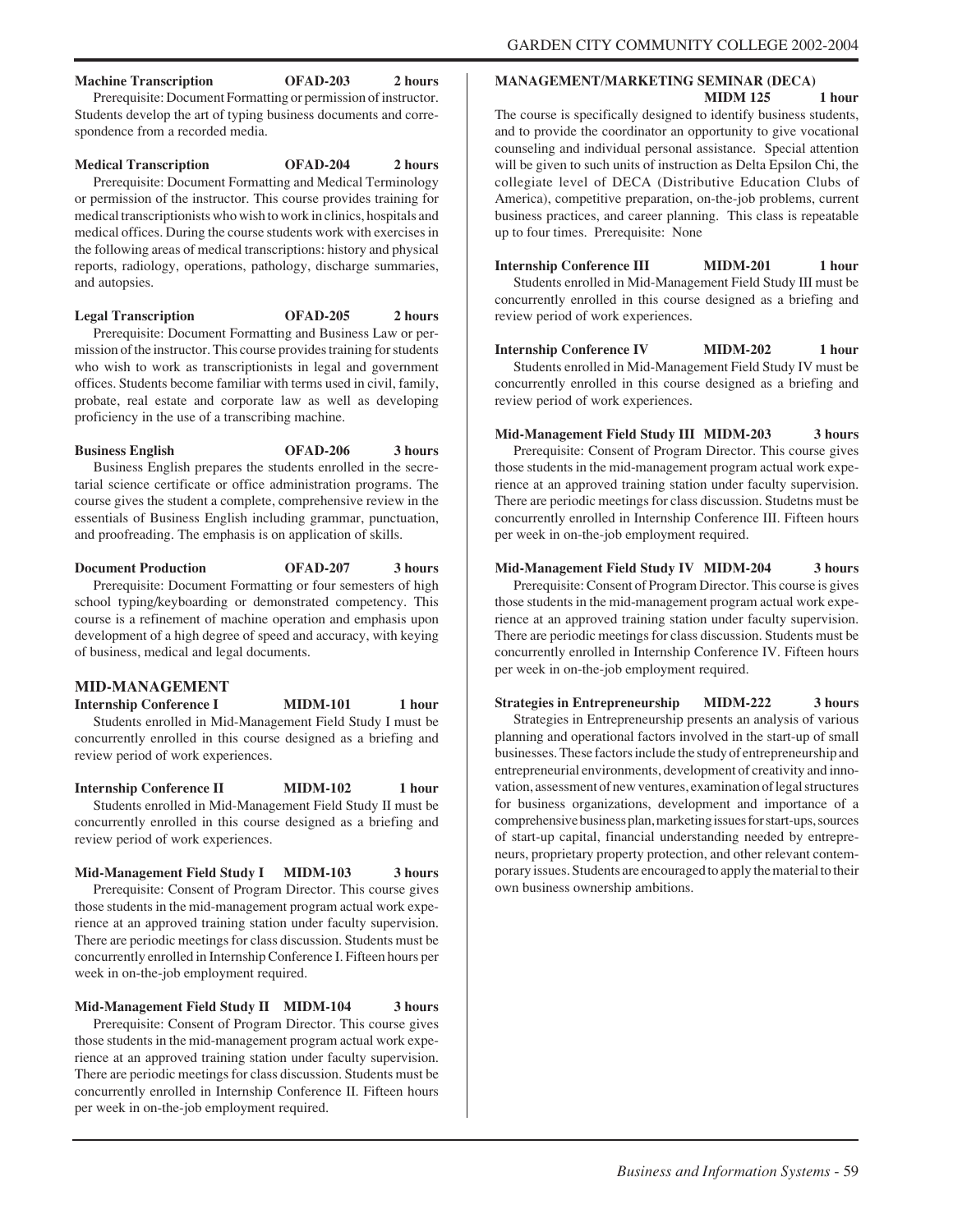**Machine Transcription OFAD-203 2 hours** Prerequisite: Document Formatting or permission of instructor. Students develop the art of typing business documents and correspondence from a recorded media.

**Medical Transcription OFAD-204 2 hours**

Prerequisite: Document Formatting and Medical Terminology or permission of the instructor. This course provides training for medical transcriptionists who wish to work in clinics, hospitals and medical offices. During the course students work with exercises in the following areas of medical transcriptions: history and physical reports, radiology, operations, pathology, discharge summaries, and autopsies.

**Legal Transcription OFAD-205 2 hours** Prerequisite: Document Formatting and Business Law or permission of the instructor. This course provides training for students

who wish to work as transcriptionists in legal and government offices. Students become familiar with terms used in civil, family, probate, real estate and corporate law as well as developing proficiency in the use of a transcribing machine.

**Business English OFAD-206 3 hours** Business English prepares the students enrolled in the secretarial science certificate or office administration programs. The course gives the student a complete, comprehensive review in the essentials of Business English including grammar, punctuation, and proofreading. The emphasis is on application of skills.

**Document Production OFAD-207 3 hours** Prerequisite: Document Formatting or four semesters of high school typing/keyboarding or demonstrated competency. This course is a refinement of machine operation and emphasis upon development of a high degree of speed and accuracy, with keying of business, medical and legal documents.

#### **MID-MANAGEMENT**

**Internship Conference I MIDM-101 1 hour** Students enrolled in Mid-Management Field Study I must be concurrently enrolled in this course designed as a briefing and review period of work experiences.

**Internship Conference II MIDM-102** 1 hour Students enrolled in Mid-Management Field Study II must be concurrently enrolled in this course designed as a briefing and review period of work experiences.

**Mid-Management Field Study I MIDM-103 3 hours** Prerequisite: Consent of Program Director. This course gives those students in the mid-management program actual work experience at an approved training station under faculty supervision. There are periodic meetings for class discussion. Students must be concurrently enrolled in Internship Conference I. Fifteen hours per week in on-the-job employment required.

**Mid-Management Field Study II MIDM-104 3 hours**

Prerequisite: Consent of Program Director. This course gives those students in the mid-management program actual work experience at an approved training station under faculty supervision. There are periodic meetings for class discussion. Students must be concurrently enrolled in Internship Conference II. Fifteen hours per week in on-the-job employment required.

#### **MANAGEMENT/MARKETING SEMINAR (DECA) MIDM 125** 1 hour

The course is specifically designed to identify business students, and to provide the coordinator an opportunity to give vocational counseling and individual personal assistance. Special attention will be given to such units of instruction as Delta Epsilon Chi, the collegiate level of DECA (Distributive Education Clubs of America), competitive preparation, on-the-job problems, current business practices, and career planning. This class is repeatable up to four times. Prerequisite: None

**Internship Conference III MIDM-201 1 hour** Students enrolled in Mid-Management Field Study III must be concurrently enrolled in this course designed as a briefing and review period of work experiences.

**Internship Conference IV MIDM-202 1 hour** Students enrolled in Mid-Management Field Study IV must be concurrently enrolled in this course designed as a briefing and review period of work experiences.

**Mid-Management Field Study III MIDM-203 3 hours** Prerequisite: Consent of Program Director. This course gives those students in the mid-management program actual work experience at an approved training station under faculty supervision. There are periodic meetings for class discussion. Studetns must be concurrently enrolled in Internship Conference III. Fifteen hours per week in on-the-job employment required.

**Mid-Management Field Study IV MIDM-204 3 hours** Prerequisite: Consent of Program Director. This course is gives those students in the mid-management program actual work experience at an approved training station under faculty supervision. There are periodic meetings for class discussion. Students must be concurrently enrolled in Internship Conference IV. Fifteen hours per week in on-the-job employment required.

#### **Strategies in Entrepreneurship MIDM-222 3 hours**

Strategies in Entrepreneurship presents an analysis of various planning and operational factors involved in the start-up of small businesses. These factors include the study of entrepreneurship and entrepreneurial environments, development of creativity and innovation, assessment of new ventures, examination of legal structures for business organizations, development and importance of a comprehensive business plan, marketing issues for start-ups, sources of start-up capital, financial understanding needed by entrepreneurs, proprietary property protection, and other relevant contemporary issues. Students are encouraged to apply the material to their own business ownership ambitions.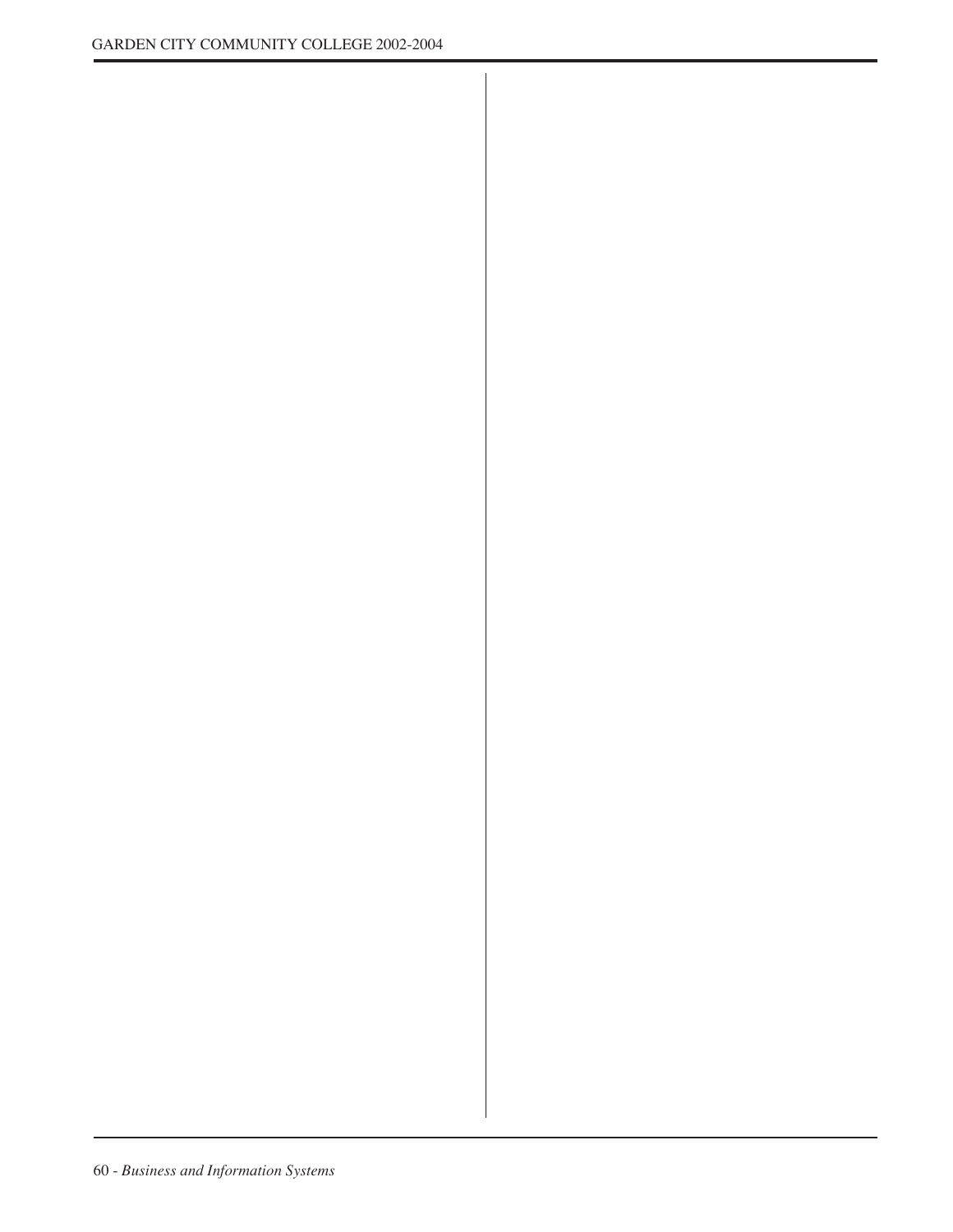60 - *Business and Information Systems*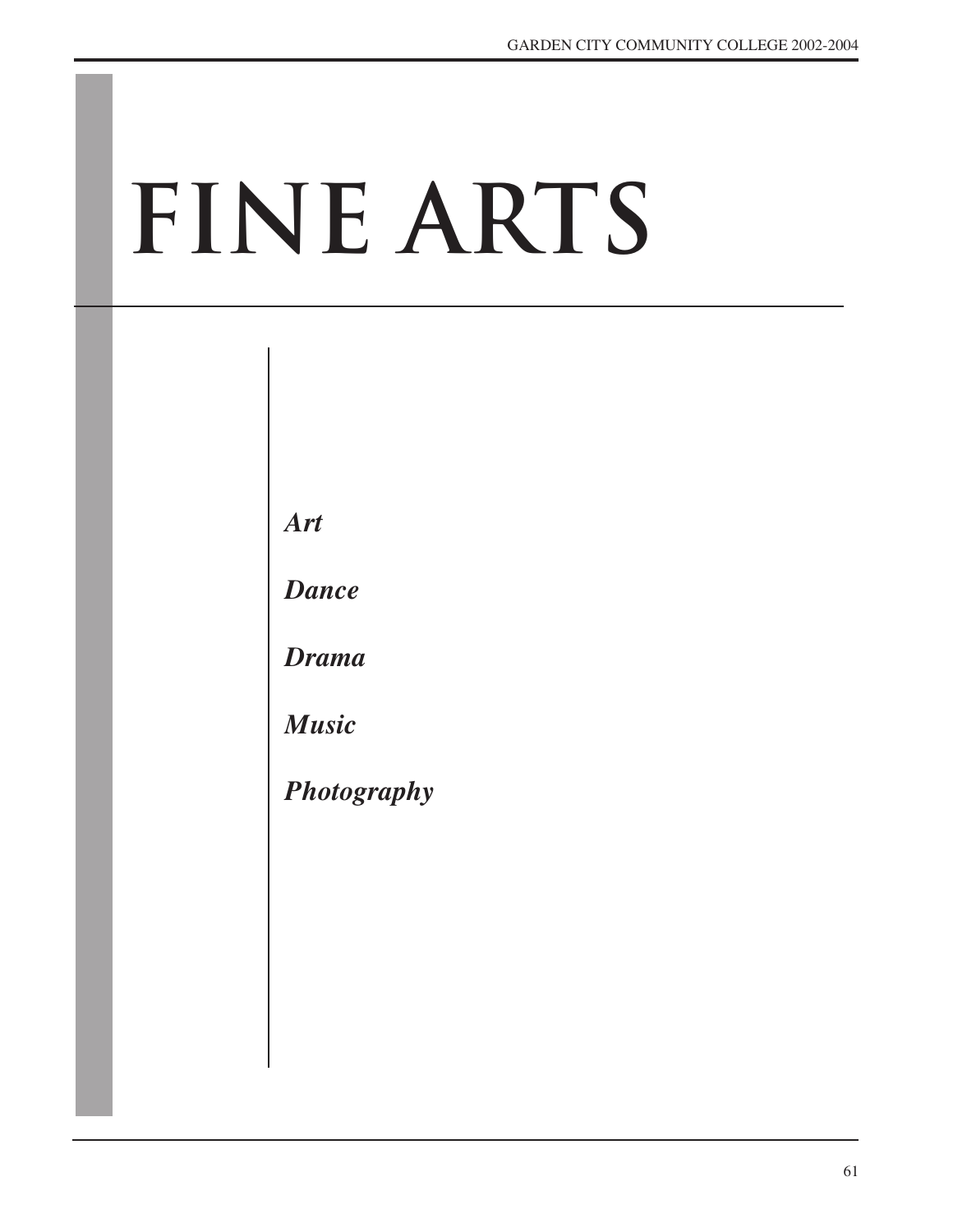# FINE ARTS

*Art*

*Dance*

*Drama*

*Music*

*Photography*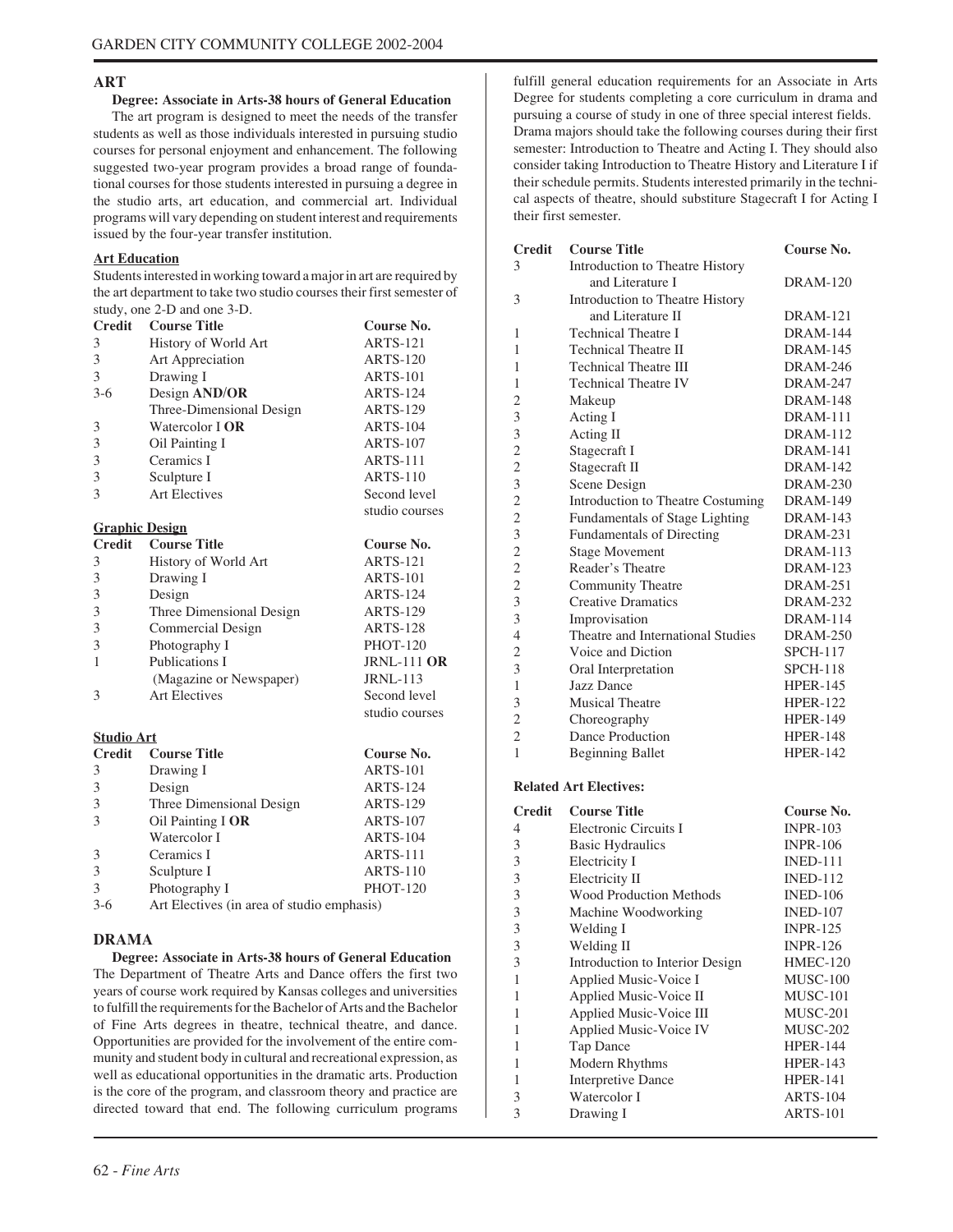#### **ART**

#### **Degree: Associate in Arts-38 hours of General Education**

The art program is designed to meet the needs of the transfer students as well as those individuals interested in pursuing studio courses for personal enjoyment and enhancement. The following suggested two-year program provides a broad range of foundational courses for those students interested in pursuing a degree in the studio arts, art education, and commercial art. Individual programs will vary depending on student interest and requirements issued by the four-year transfer institution.

#### **Art Education**

Students interested in working toward a major in art are required by the art department to take two studio courses their first semester of study, one 2-D and one 3-D.

| <b>Credit</b> | $\frac{1}{2}$<br><b>Course Title</b> | Course No.      |  |
|---------------|--------------------------------------|-----------------|--|
| 3             | History of World Art                 | <b>ARTS-121</b> |  |
| 3             | Art Appreciation                     | <b>ARTS-120</b> |  |
| 3             | Drawing I                            | <b>ARTS-101</b> |  |
| $3-6$         | Design AND/OR                        | <b>ARTS-124</b> |  |
|               | Three-Dimensional Design             | <b>ARTS-129</b> |  |
| 3             | Watercolor I OR                      | <b>ARTS-104</b> |  |
| 3             | Oil Painting I                       | <b>ARTS-107</b> |  |
| 3             | Ceramics I                           | <b>ARTS-111</b> |  |
| 3             | Sculpture I                          | <b>ARTS-110</b> |  |
|               | <b>Art Electives</b>                 | Second level    |  |
|               |                                      | studio courses  |  |
|               | <b>Graphic Design</b>                |                 |  |

#### **Graphic Design**

| <b>Credit</b> | <b>Course Title</b>      | Course No.         |
|---------------|--------------------------|--------------------|
| 3             | History of World Art     | <b>ARTS-121</b>    |
| 3             | Drawing I                | <b>ARTS-101</b>    |
| $\mathcal{F}$ | Design                   | <b>ARTS-124</b>    |
| 3             | Three Dimensional Design | <b>ARTS-129</b>    |
| 3             | Commercial Design        | <b>ARTS-128</b>    |
| 3             | Photography I            | <b>PHOT-120</b>    |
|               | Publications I           | <b>JRNL-111 OR</b> |
|               | (Magazine or Newspaper)  | <b>JRNL-113</b>    |
|               | <b>Art Electives</b>     | Second level       |
|               |                          | studio courses     |

#### **Studio Art**

| <b>Credit</b> | <b>Course Title</b>                        | Course No.      |
|---------------|--------------------------------------------|-----------------|
| 3             | Drawing I                                  | <b>ARTS-101</b> |
| 3             | Design                                     | <b>ARTS-124</b> |
| 3             | Three Dimensional Design                   | <b>ARTS-129</b> |
| $\mathcal{F}$ | Oil Painting I OR                          | <b>ARTS-107</b> |
|               | Watercolor I                               | <b>ARTS-104</b> |
| $\mathcal{E}$ | Ceramics I                                 | <b>ARTS-111</b> |
| 3             | Sculpture I                                | <b>ARTS-110</b> |
| $\mathcal{F}$ | Photography I                              | <b>PHOT-120</b> |
| $3-6$         | Art Electives (in area of studio emphasis) |                 |

#### **DRAMA**

#### **Degree: Associate in Arts-38 hours of General Education**

The Department of Theatre Arts and Dance offers the first two years of course work required by Kansas colleges and universities to fulfill the requirements for the Bachelor of Arts and the Bachelor of Fine Arts degrees in theatre, technical theatre, and dance. Opportunities are provided for the involvement of the entire community and student body in cultural and recreational expression, as well as educational opportunities in the dramatic arts. Production is the core of the program, and classroom theory and practice are directed toward that end. The following curriculum programs

fulfill general education requirements for an Associate in Arts Degree for students completing a core curriculum in drama and pursuing a course of study in one of three special interest fields. Drama majors should take the following courses during their first semester: Introduction to Theatre and Acting I. They should also consider taking Introduction to Theatre History and Literature I if their schedule permits. Students interested primarily in the technical aspects of theatre, should substiture Stagecraft I for Acting I their first semester.

| <b>Credit</b>           | <b>Course Title</b>               | Course No.      |
|-------------------------|-----------------------------------|-----------------|
| 3                       | Introduction to Theatre History   |                 |
|                         | and Literature I                  | <b>DRAM-120</b> |
| 3                       | Introduction to Theatre History   |                 |
|                         | and Literature II                 | <b>DRAM-121</b> |
| 1                       | <b>Technical Theatre I</b>        | <b>DRAM-144</b> |
| 1                       | <b>Technical Theatre II</b>       | <b>DRAM-145</b> |
| 1                       | <b>Technical Theatre III</b>      | <b>DRAM-246</b> |
| 1                       | <b>Technical Theatre IV</b>       | <b>DRAM-247</b> |
| $\overline{2}$          | Makeup                            | <b>DRAM-148</b> |
| 3                       | Acting I                          | <b>DRAM-111</b> |
| 3                       | Acting II                         | <b>DRAM-112</b> |
| $\overline{\mathbf{c}}$ | Stagecraft I                      | <b>DRAM-141</b> |
| $\overline{c}$          | Stagecraft II                     | <b>DRAM-142</b> |
| 3                       | Scene Design                      | <b>DRAM-230</b> |
| $\overline{\mathbf{c}}$ | Introduction to Theatre Costuming | <b>DRAM-149</b> |
| $\overline{c}$          | Fundamentals of Stage Lighting    | <b>DRAM-143</b> |
| 3                       | <b>Fundamentals of Directing</b>  | <b>DRAM-231</b> |
| $\frac{2}{2}$           | <b>Stage Movement</b>             | <b>DRAM-113</b> |
|                         | Reader's Theatre                  | <b>DRAM-123</b> |
| $\overline{c}$          | <b>Community Theatre</b>          | <b>DRAM-251</b> |
| 3                       | <b>Creative Dramatics</b>         | <b>DRAM-232</b> |
| 3                       | Improvisation                     | <b>DRAM-114</b> |
| $\overline{4}$          | Theatre and International Studies | <b>DRAM-250</b> |
| $\overline{c}$          | Voice and Diction                 | <b>SPCH-117</b> |
| 3                       | Oral Interpretation               | <b>SPCH-118</b> |
| $\mathbf{1}$            | Jazz Dance                        | <b>HPER-145</b> |
| 3                       | <b>Musical Theatre</b>            | <b>HPER-122</b> |
| $\overline{c}$          | Choreography                      | <b>HPER-149</b> |
| $\overline{c}$          | Dance Production                  | <b>HPER-148</b> |
| $\mathbf{1}$            | <b>Beginning Ballet</b>           | <b>HPER-142</b> |
|                         | <b>Related Art Electives:</b>     |                 |
| <b>Credit</b>           | <b>Course Title</b>               | Course No.      |
| $\overline{4}$          | <b>Electronic Circuits I</b>      | <b>INPR-103</b> |

| Ur van | сош зе типе                     | VAHI SE POZ     |
|--------|---------------------------------|-----------------|
| 4      | Electronic Circuits I           | <b>INPR-103</b> |
| 3      | <b>Basic Hydraulics</b>         | <b>INPR-106</b> |
| 3      | Electricity I                   | <b>INED-111</b> |
| 3      | Electricity II                  | <b>INED-112</b> |
| 3      | <b>Wood Production Methods</b>  | <b>INED-106</b> |
| 3      | Machine Woodworking             | <b>INED-107</b> |
| 3      | Welding I                       | <b>INPR-125</b> |
| 3      | Welding II                      | <b>INPR-126</b> |
| 3      | Introduction to Interior Design | <b>HMEC-120</b> |
| 1      | Applied Music-Voice I           | $MUSC-100$      |
| 1      | Applied Music-Voice II          | <b>MUSC-101</b> |
| 1      | Applied Music-Voice III         | MUSC-201        |
|        | Applied Music-Voice IV          | MUSC-202        |
|        | Tap Dance                       | <b>HPER-144</b> |
| 1      | Modern Rhythms                  | <b>HPER-143</b> |
| 1      | <b>Interpretive Dance</b>       | <b>HPER-141</b> |
| 3      | Watercolor I                    | <b>ARTS-104</b> |
| 3      | Drawing I                       | <b>ARTS-101</b> |
|        |                                 |                 |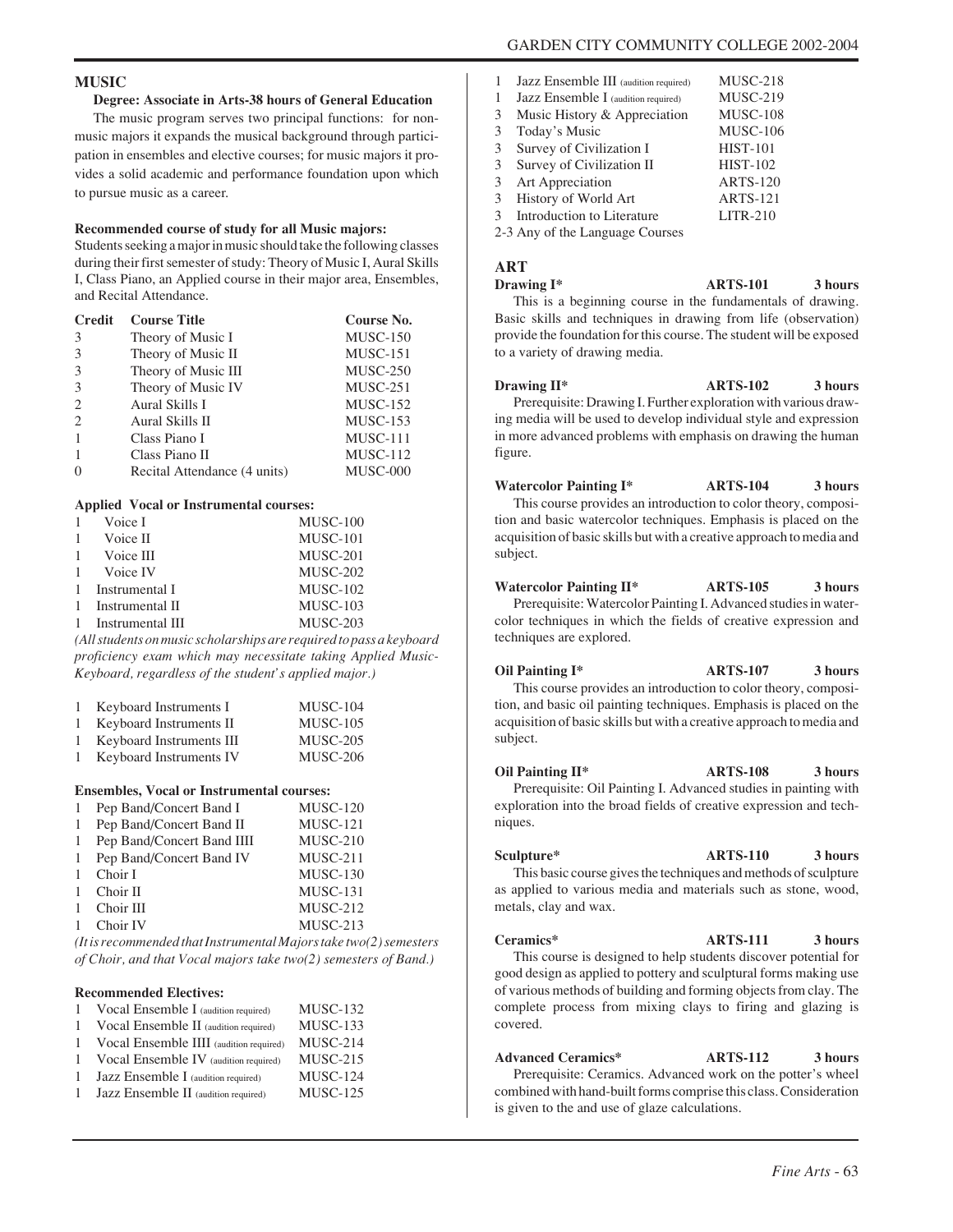#### GARDEN CITY COMMUNITY COLLEGE 2002-2004

#### **MUSIC**

#### **Degree: Associate in Arts-38 hours of General Education**

The music program serves two principal functions: for nonmusic majors it expands the musical background through participation in ensembles and elective courses; for music majors it provides a solid academic and performance foundation upon which to pursue music as a career.

#### **Recommended course of study for all Music majors:**

Students seeking a major in music should take the following classes during their first semester of study: Theory of Music I, Aural Skills I, Class Piano, an Applied course in their major area, Ensembles, and Recital Attendance.

| <b>Credit</b>               | <b>Course Title</b>          | Course No.      |
|-----------------------------|------------------------------|-----------------|
| 3                           | Theory of Music I            | <b>MUSC-150</b> |
| $\mathcal{E}$               | Theory of Music II           | <b>MUSC-151</b> |
| $\mathcal{F}$               | Theory of Music III          | MUSC-250        |
| $\mathcal{F}$               | Theory of Music IV           | MUSC-251        |
| 2                           | Aural Skills I               | <b>MUSC-152</b> |
| $\mathcal{D}_{\mathcal{L}}$ | Aural Skills II              | <b>MUSC-153</b> |
|                             | Class Piano I                | MUSC-111        |
|                             | Class Piano II               | $MUSC-112$      |
|                             | Recital Attendance (4 units) | MUSC-000        |

#### **Applied Vocal or Instrumental courses:**

| Voice I          | MUSC-100 |
|------------------|----------|
|                  |          |
| Voice II         | MUSC-101 |
| Voice III        | MUSC-201 |
| Voice IV         | MUSC-202 |
| Instrumental I   | MUSC-102 |
| Instrumental II  | MUSC-103 |
| Instrumental III | MUSC-203 |
|                  |          |

*(All students on music scholarships are required to pass a keyboard proficiency exam which may necessitate taking Applied Music-Keyboard, regardless of the student's applied major.)*

| 1            | Keyboard Instruments I   | <b>MUSC-104</b> |
|--------------|--------------------------|-----------------|
| $\mathbf{1}$ | Keyboard Instruments II  | <b>MUSC-105</b> |
| $\mathbf{1}$ | Keyboard Instruments III | <b>MUSC-205</b> |
| 1            | Keyboard Instruments IV  | <b>MUSC-206</b> |

#### **Ensembles, Vocal or Instrumental courses:**

| 1            | Pep Band/Concert Band I      | <b>MUSC-120</b> |
|--------------|------------------------------|-----------------|
| 1            | Pep Band/Concert Band II     | <b>MUSC-121</b> |
|              | 1 Pep Band/Concert Band IIII | $MUSC-210$      |
|              | 1 Pep Band/Concert Band IV   | MUSC-211        |
| $\mathbf{1}$ | Choir I                      | <b>MUSC-130</b> |
| $\mathbf{1}$ | Choir II                     | MUSC-131        |
| $\mathbf{1}$ | Choir III                    | MUSC-212        |
|              | 1 Choir IV                   | $MUSC-213$      |

*(It is recommended that Instrumental Majors take two(2) semesters of Choir, and that Vocal majors take two(2) semesters of Band.)*

#### **Recommended Electives:**

| Vocal Ensemble I (audition required)    | <b>MUSC-132</b> |
|-----------------------------------------|-----------------|
| Vocal Ensemble II (audition required)   | <b>MUSC-133</b> |
| Vocal Ensemble IIII (audition required) | MUSC-214        |
| Vocal Ensemble IV (audition required)   | <b>MUSC-215</b> |
| Jazz Ensemble I (audition required)     | <b>MUSC-124</b> |
| Jazz Ensemble II (audition required)    | <b>MUSC-125</b> |
|                                         |                 |

| MUSC-218<br>Jazz Ensemble III (audition required) |  |
|---------------------------------------------------|--|
|---------------------------------------------------|--|

1 Jazz Ensemble I (audition required) MUSC-219 3 Music History & Appreciation MUSC-108 3 Today's Music MUSC-106 3 Survey of Civilization I HIST-101 3 Survey of Civilization II HIST-102<br>3 Art Appreciation ARTS-120 Art Appreciation ARTS-120 3 History of World Art ARTS-121 3 Introduction to Literature LITR-210

2-3 Any of the Language Courses

#### **ART Drawing I\* ARTS-101** 3 hours This is a beginning course in the fundamentals of drawing.

Basic skills and techniques in drawing from life (observation) provide the foundation for this course. The student will be exposed to a variety of drawing media.

**Drawing II\*** ARTS-102 3 hours Prerequisite: Drawing I. Further exploration with various drawing media will be used to develop individual style and expression in more advanced problems with emphasis on drawing the human figure.

**Watercolor Painting I\* ARTS-104 3 hours** This course provides an introduction to color theory, composition and basic watercolor techniques. Emphasis is placed on the acquisition of basic skills but with a creative approach to media and subject.

**Watercolor Painting II\* ARTS-105 3 hours** Prerequisite: Watercolor Painting I. Advanced studies in water-

color techniques in which the fields of creative expression and techniques are explored.

**Oil Painting I\* ARTS-107 3 hours** This course provides an introduction to color theory, composition, and basic oil painting techniques. Emphasis is placed on the acquisition of basic skills but with a creative approach to media and subject.

**Oil Painting II\* ARTS-108 3 hours** Prerequisite: Oil Painting I. Advanced studies in painting with exploration into the broad fields of creative expression and techniques.

**Sculpture\* ARTS-110 3 hours** This basic course gives the techniques and methods of sculpture as applied to various media and materials such as stone, wood, metals, clay and wax.

**Ceramics\* ARTS-111 3 hours** This course is designed to help students discover potential for good design as applied to pottery and sculptural forms making use of various methods of building and forming objects from clay. The complete process from mixing clays to firing and glazing is covered.

**Advanced Ceramics\* ARTS-112 3 hours** Prerequisite: Ceramics. Advanced work on the potter's wheel combined with hand-built forms comprise this class. Consideration is given to the and use of glaze calculations.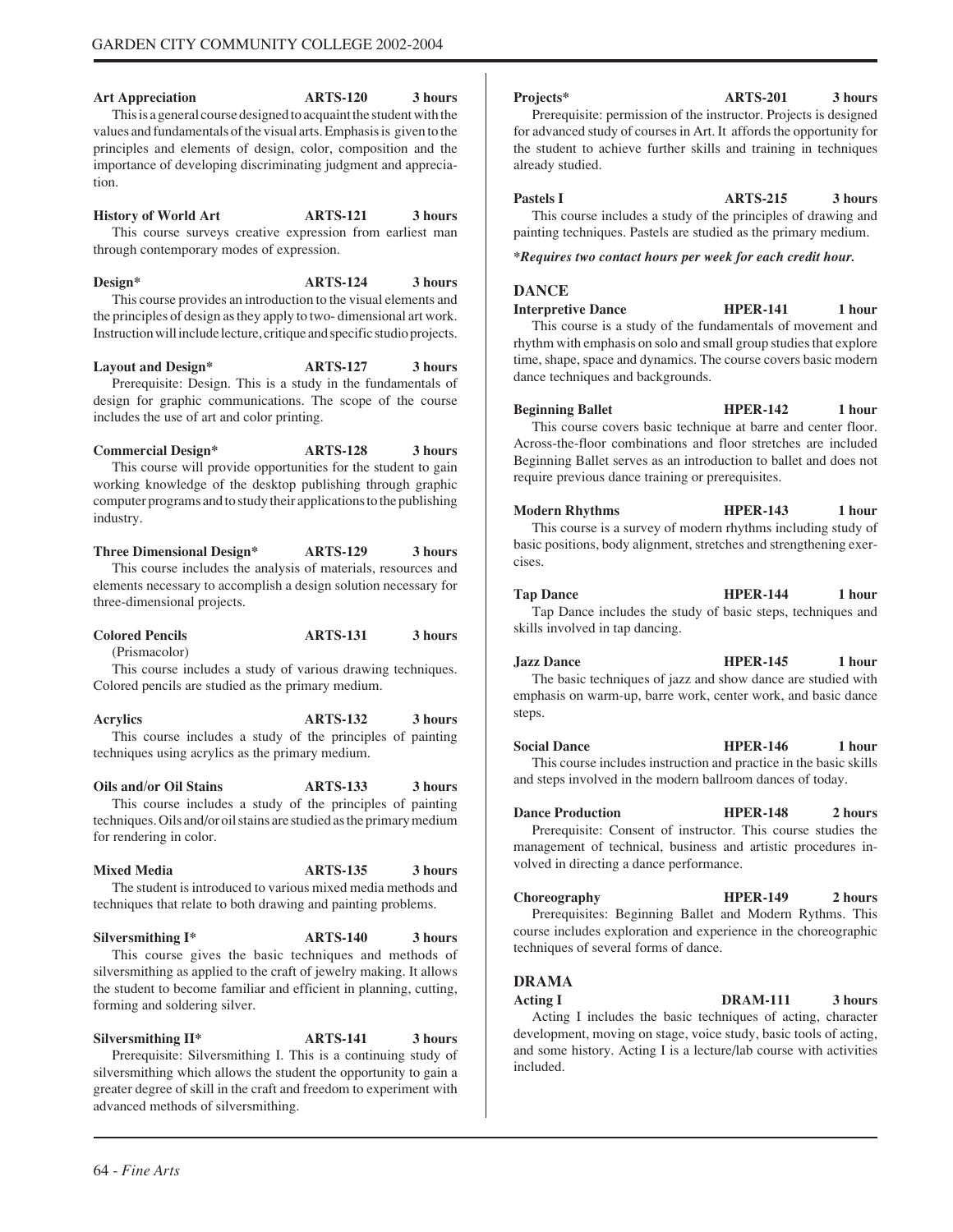**Art Appreciation ARTS-120 3 hours** This is a general course designed to acquaint the student with the values and fundamentals of the visual arts. Emphasis is given to the principles and elements of design, color, composition and the importance of developing discriminating judgment and appreciation.

**History of World Art ARTS-121 3 hours** This course surveys creative expression from earliest man through contemporary modes of expression.

**Design\* ARTS-124 3 hours** This course provides an introduction to the visual elements and the principles of design as they apply to two- dimensional art work. Instruction will include lecture, critique and specific studio projects.

**Layout and Design\* ARTS-127 3 hours** Prerequisite: Design. This is a study in the fundamentals of design for graphic communications. The scope of the course includes the use of art and color printing.

**Commercial Design\* ARTS-128 3 hours** This course will provide opportunities for the student to gain working knowledge of the desktop publishing through graphic computer programs and to study their applications to the publishing industry.

**Three Dimensional Design\* ARTS-129 3 hours** This course includes the analysis of materials, resources and elements necessary to accomplish a design solution necessary for three-dimensional projects.

#### **Colored Pencils ARTS-131 3 hours** (Prismacolor)

This course includes a study of various drawing techniques. Colored pencils are studied as the primary medium.

**Acrylics ARTS-132 3 hours** This course includes a study of the principles of painting techniques using acrylics as the primary medium.

**Oils and/or Oil Stains ARTS-133** 3 hours This course includes a study of the principles of painting techniques. Oils and/or oil stains are studied as the primary medium for rendering in color.

**Mixed Media ARTS-135 3 hours** The student is introduced to various mixed media methods and techniques that relate to both drawing and painting problems.

**Silversmithing I\* ARTS-140 3 hours** This course gives the basic techniques and methods of silversmithing as applied to the craft of jewelry making. It allows the student to become familiar and efficient in planning, cutting, forming and soldering silver.

**Silversmithing II\* ARTS-141 3 hours** Prerequisite: Silversmithing I. This is a continuing study of silversmithing which allows the student the opportunity to gain a greater degree of skill in the craft and freedom to experiment with advanced methods of silversmithing.

**Projects\* ARTS-201 3 hours**

Prerequisite: permission of the instructor. Projects is designed for advanced study of courses in Art. It affords the opportunity for the student to achieve further skills and training in techniques already studied.

**Pastels I ARTS-215 3 hours** This course includes a study of the principles of drawing and painting techniques. Pastels are studied as the primary medium.

*\*Requires two contact hours per week for each credit hour.*

#### **DANCE**

**Interpretive Dance HPER-141** 1 hour This course is a study of the fundamentals of movement and rhythm with emphasis on solo and small group studies that explore time, shape, space and dynamics. The course covers basic modern dance techniques and backgrounds.

#### **Beginning Ballet HPER-142** 1 hour

This course covers basic technique at barre and center floor. Across-the-floor combinations and floor stretches are included Beginning Ballet serves as an introduction to ballet and does not require previous dance training or prerequisites.

#### **Modern Rhythms HPER-143** 1 hour This course is a survey of modern rhythms including study of

basic positions, body alignment, stretches and strengthening exercises.

**Tap Dance HPER-144 1 hour** Tap Dance includes the study of basic steps, techniques and skills involved in tap dancing.

#### **Jazz Dance HPER-145 1 hour** The basic techniques of jazz and show dance are studied with

emphasis on warm-up, barre work, center work, and basic dance steps.

**Social Dance HPER-146** 1 hour This course includes instruction and practice in the basic skills and steps involved in the modern ballroom dances of today.

#### **Dance Production HPER-148** 2 hours

Prerequisite: Consent of instructor. This course studies the management of technical, business and artistic procedures involved in directing a dance performance.

#### **Choreography HPER-149 2 hours** Prerequisites: Beginning Ballet and Modern Rythms. This course includes exploration and experience in the choreographic techniques of several forms of dance.

#### **DRAMA**

Acting I DRAM-111 3 hours

Acting I includes the basic techniques of acting, character development, moving on stage, voice study, basic tools of acting, and some history. Acting I is a lecture/lab course with activities included.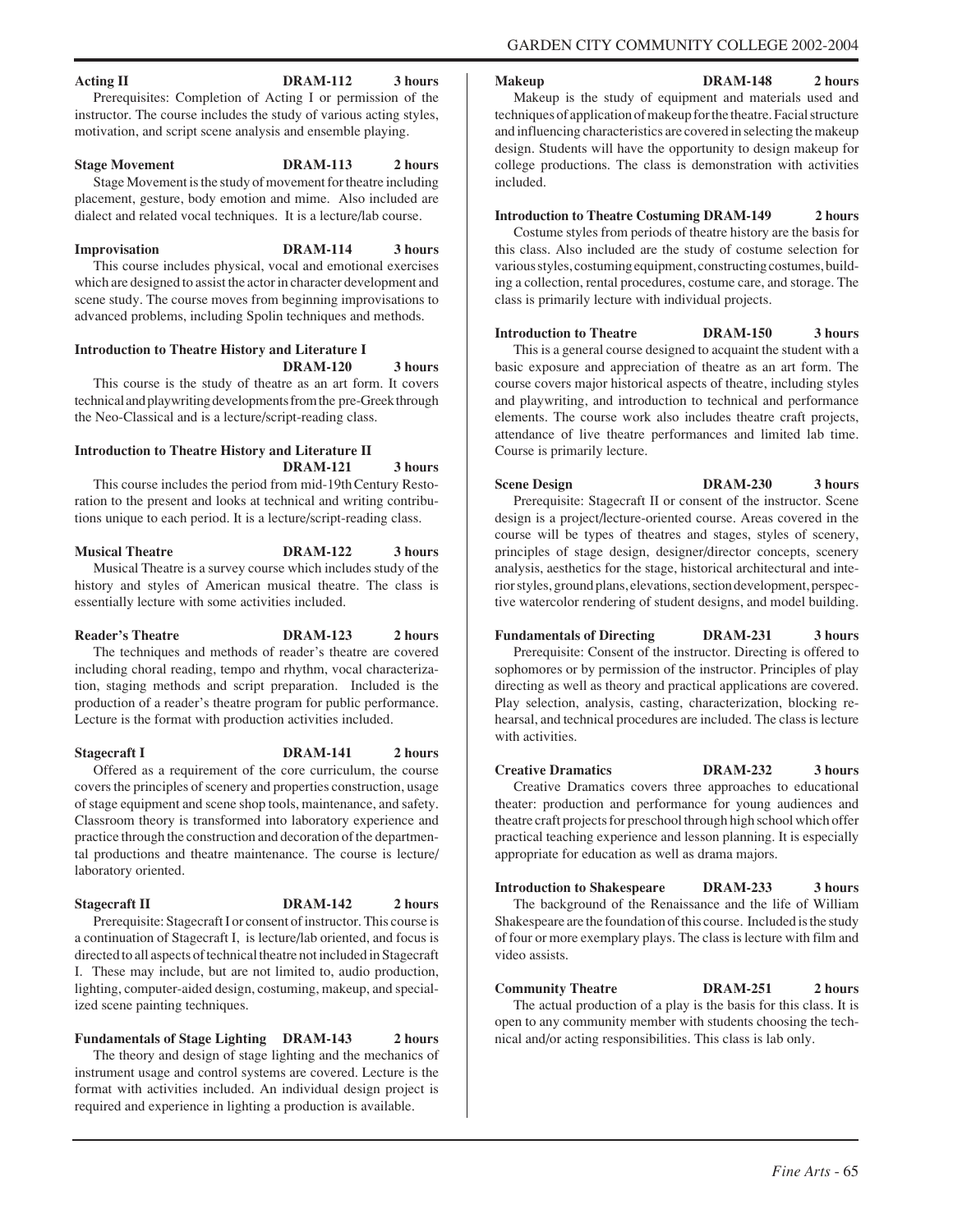#### GARDEN CITY COMMUNITY COLLEGE 2002-2004

#### Acting II DRAM-112 3 hours Prerequisites: Completion of Acting I or permission of the instructor. The course includes the study of various acting styles, motivation, and script scene analysis and ensemble playing.

#### **Stage Movement DRAM-113 2 hours**

Stage Movement is the study of movement for theatre including placement, gesture, body emotion and mime. Also included are dialect and related vocal techniques. It is a lecture/lab course.

#### **Improvisation DRAM-114 3 hours**

This course includes physical, vocal and emotional exercises which are designed to assist the actor in character development and scene study. The course moves from beginning improvisations to advanced problems, including Spolin techniques and methods.

#### **Introduction to Theatre History and Literature I DRAM-120 3 hours**

This course is the study of theatre as an art form. It covers technical and playwriting developments from the pre-Greek through the Neo-Classical and is a lecture/script-reading class.

#### **Introduction to Theatre History and Literature II DRAM-121 3 hours**

This course includes the period from mid-19thCentury Restoration to the present and looks at technical and writing contributions unique to each period. It is a lecture/script-reading class.

#### **Musical Theatre DRAM-122 3 hours**

Musical Theatre is a survey course which includes study of the history and styles of American musical theatre. The class is essentially lecture with some activities included.

#### **Reader's Theatre DRAM-123 2 hours**

The techniques and methods of reader's theatre are covered including choral reading, tempo and rhythm, vocal characterization, staging methods and script preparation. Included is the production of a reader's theatre program for public performance. Lecture is the format with production activities included.

**Stagecraft I BRAM-141** 2 hours

Offered as a requirement of the core curriculum, the course covers the principles of scenery and properties construction, usage of stage equipment and scene shop tools, maintenance, and safety. Classroom theory is transformed into laboratory experience and practice through the construction and decoration of the departmental productions and theatre maintenance. The course is lecture/ laboratory oriented.

#### **Stagecraft II DRAM-142 2 hours**

Prerequisite: Stagecraft I or consent of instructor. This course is a continuation of Stagecraft I, is lecture/lab oriented, and focus is directed to all aspects of technical theatre not included in Stagecraft I. These may include, but are not limited to, audio production, lighting, computer-aided design, costuming, makeup, and specialized scene painting techniques.

**Fundamentals of Stage Lighting DRAM-143 2 hours** The theory and design of stage lighting and the mechanics of instrument usage and control systems are covered. Lecture is the format with activities included. An individual design project is required and experience in lighting a production is available.

**Makeup DRAM-148 2 hours** Makeup is the study of equipment and materials used and techniques of application of makeup for the theatre. Facial structure and influencing characteristics are covered in selecting the makeup design. Students will have the opportunity to design makeup for college productions. The class is demonstration with activities included.

#### **Introduction to Theatre Costuming DRAM-149 2 hours**

Costume styles from periods of theatre history are the basis for this class. Also included are the study of costume selection for various styles, costuming equipment, constructing costumes, building a collection, rental procedures, costume care, and storage. The class is primarily lecture with individual projects.

#### **Introduction to Theatre DRAM-150 3 hours**

This is a general course designed to acquaint the student with a basic exposure and appreciation of theatre as an art form. The course covers major historical aspects of theatre, including styles and playwriting, and introduction to technical and performance elements. The course work also includes theatre craft projects, attendance of live theatre performances and limited lab time. Course is primarily lecture.

**Scene Design DRAM-230 3 hours** Prerequisite: Stagecraft II or consent of the instructor. Scene design is a project/lecture-oriented course. Areas covered in the course will be types of theatres and stages, styles of scenery, principles of stage design, designer/director concepts, scenery analysis, aesthetics for the stage, historical architectural and interior styles, ground plans, elevations, section development, perspective watercolor rendering of student designs, and model building.

#### **Fundamentals of Directing DRAM-231 3 hours**

Prerequisite: Consent of the instructor. Directing is offered to sophomores or by permission of the instructor. Principles of play directing as well as theory and practical applications are covered. Play selection, analysis, casting, characterization, blocking rehearsal, and technical procedures are included. The class is lecture with activities.

**Creative Dramatics DRAM-232 3 hours** Creative Dramatics covers three approaches to educational theater: production and performance for young audiences and theatre craft projects for preschool through high school which offer practical teaching experience and lesson planning. It is especially appropriate for education as well as drama majors.

## **Introduction to Shakespeare DRAM-233 3 hours** The background of the Renaissance and the life of William

Shakespeare are the foundation of this course. Included is the study of four or more exemplary plays. The class is lecture with film and video assists.

**Community Theatre DRAM-251 2 hours** The actual production of a play is the basis for this class. It is open to any community member with students choosing the technical and/or acting responsibilities. This class is lab only.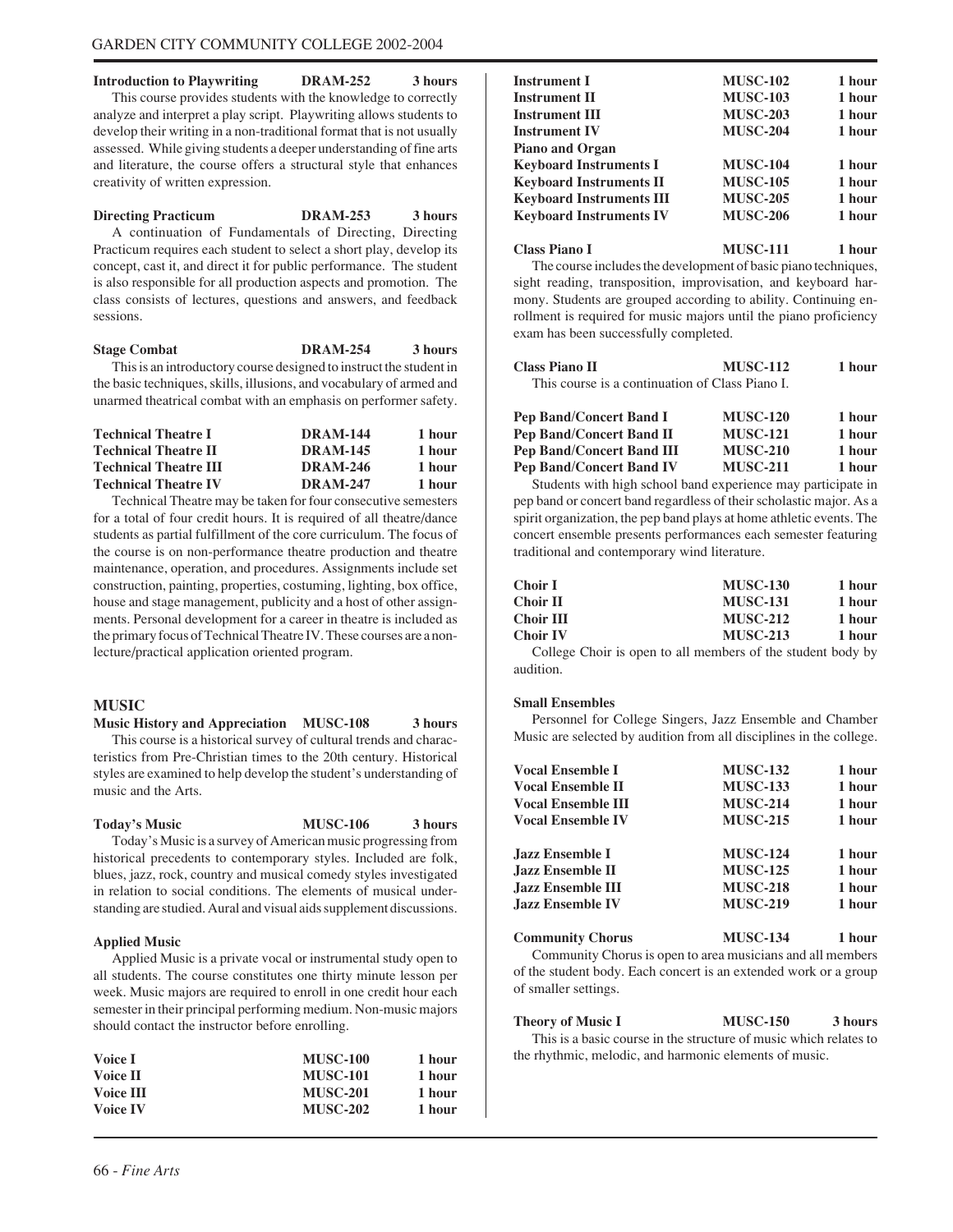#### **Introduction to Playwriting DRAM-252 3 hours**

This course provides students with the knowledge to correctly analyze and interpret a play script. Playwriting allows students to develop their writing in a non-traditional format that is not usually assessed. While giving students a deeper understanding of fine arts and literature, the course offers a structural style that enhances creativity of written expression.

#### **Directing Practicum DRAM-253** 3 hours

A continuation of Fundamentals of Directing, Directing Practicum requires each student to select a short play, develop its concept, cast it, and direct it for public performance. The student is also responsible for all production aspects and promotion. The class consists of lectures, questions and answers, and feedback sessions.

| <b>Stage Combat</b>                                                  | <b>DRAM-254</b> | 3 hours |
|----------------------------------------------------------------------|-----------------|---------|
| This is an introductory course designed to instruct the student in   |                 |         |
| the basic techniques, skills, illusions, and vocabulary of armed and |                 |         |
| unarmed theatrical combat with an emphasis on performer safety.      |                 |         |

| <b>Technical Theatre I</b>   | <b>DRAM-144</b> | 1 hour |
|------------------------------|-----------------|--------|
| <b>Technical Theatre II</b>  | <b>DRAM-145</b> | 1 hour |
| <b>Technical Theatre III</b> | <b>DRAM-246</b> | 1 hour |
| <b>Technical Theatre IV</b>  | <b>DRAM-247</b> | 1 hour |

Technical Theatre may be taken for four consecutive semesters for a total of four credit hours. It is required of all theatre/dance students as partial fulfillment of the core curriculum. The focus of the course is on non-performance theatre production and theatre maintenance, operation, and procedures. Assignments include set construction, painting, properties, costuming, lighting, box office, house and stage management, publicity and a host of other assignments. Personal development for a career in theatre is included as the primary focus of Technical Theatre IV. These courses are a nonlecture/practical application oriented program.

#### **MUSIC**

#### **Music History and Appreciation MUSC-108 3 hours**

This course is a historical survey of cultural trends and characteristics from Pre-Christian times to the 20th century. Historical styles are examined to help develop the student's understanding of music and the Arts.

#### **Today's Music MUSC-106 3 hours**

Today's Music is a survey of American music progressing from historical precedents to contemporary styles. Included are folk, blues, jazz, rock, country and musical comedy styles investigated in relation to social conditions. The elements of musical understanding are studied. Aural and visual aids supplement discussions.

#### **Applied Music**

Applied Music is a private vocal or instrumental study open to all students. The course constitutes one thirty minute lesson per week. Music majors are required to enroll in one credit hour each semester in their principal performing medium. Non-music majors should contact the instructor before enrolling.

| <b>Voice I</b>   | <b>MUSC-100</b> | 1 hour |
|------------------|-----------------|--------|
| <b>Voice II</b>  | <b>MUSC-101</b> | 1 hour |
| <b>Voice III</b> | <b>MUSC-201</b> | 1 hour |
| <b>Voice IV</b>  | <b>MUSC-202</b> | 1 hour |
|                  |                 |        |

| <b>Instrument I</b>             | <b>MUSC-102</b> | 1 hour |
|---------------------------------|-----------------|--------|
| <b>Instrument II</b>            | <b>MUSC-103</b> | 1 hour |
| <b>Instrument III</b>           | <b>MUSC-203</b> | 1 hour |
| <b>Instrument IV</b>            | <b>MUSC-204</b> | 1 hour |
| <b>Piano and Organ</b>          |                 |        |
| <b>Keyboard Instruments I</b>   | <b>MUSC-104</b> | 1 hour |
| <b>Keyboard Instruments II</b>  | <b>MUSC-105</b> | 1 hour |
| <b>Keyboard Instruments III</b> | <b>MUSC-205</b> | 1 hour |
| <b>Keyboard Instruments IV</b>  | <b>MUSC-206</b> | 1 hour |
|                                 |                 |        |

Class Piano I **MUSC-111** 1 hour

The course includes the development of basic piano techniques, sight reading, transposition, improvisation, and keyboard harmony. Students are grouped according to ability. Continuing enrollment is required for music majors until the piano proficiency exam has been successfully completed.

| <b>Class Piano II</b>                           | <b>MUSC-112</b> | 1 hour |
|-------------------------------------------------|-----------------|--------|
| This course is a continuation of Class Piano I. |                 |        |
| Pep Band/Concert Band I                         | <b>MUSC-120</b> | 1 hour |
| <b>Pep Band/Concert Band II</b>                 | <b>MUSC-121</b> | 1 hour |
| <b>Pep Band/Concert Band III</b>                | <b>MUSC-210</b> | 1 hour |
| <b>Pep Band/Concert Band IV</b>                 | <b>MUSC-211</b> | 1 hour |

Students with high school band experience may participate in pep band or concert band regardless of their scholastic major. As a spirit organization, the pep band plays at home athletic events. The concert ensemble presents performances each semester featuring traditional and contemporary wind literature.

| Choir I          | <b>MUSC-130</b> | 1 hour |
|------------------|-----------------|--------|
| <b>Choir II</b>  | <b>MUSC-131</b> | 1 hour |
| <b>Choir III</b> | <b>MUSC-212</b> | 1 hour |
| <b>Choir IV</b>  | <b>MUSC-213</b> | 1 hour |

College Choir is open to all members of the student body by audition.

#### **Small Ensembles**

Personnel for College Singers, Jazz Ensemble and Chamber Music are selected by audition from all disciplines in the college.

| <b>Vocal Ensemble I</b>   | <b>MUSC-132</b> | 1 hour |
|---------------------------|-----------------|--------|
| <b>Vocal Ensemble II</b>  | <b>MUSC-133</b> | 1 hour |
| <b>Vocal Ensemble III</b> | <b>MUSC-214</b> | 1 hour |
| <b>Vocal Ensemble IV</b>  | <b>MUSC-215</b> | 1 hour |
| <b>Jazz Ensemble I</b>    | <b>MUSC-124</b> | 1 hour |
| <b>Jazz Ensemble II</b>   | <b>MUSC-125</b> | 1 hour |
| <b>Jazz Ensemble III</b>  | <b>MUSC-218</b> | 1 hour |
| <b>Jazz Ensemble IV</b>   | <b>MUSC-219</b> | 1 hour |
| <b>Community Chorus</b>   | <b>MUSC-134</b> | 1 hour |

Community Chorus is open to area musicians and all members of the student body. Each concert is an extended work or a group of smaller settings.

#### **Theory of Music I** MUSC-150 3 hours This is a basic course in the structure of music which relates to

the rhythmic, melodic, and harmonic elements of music.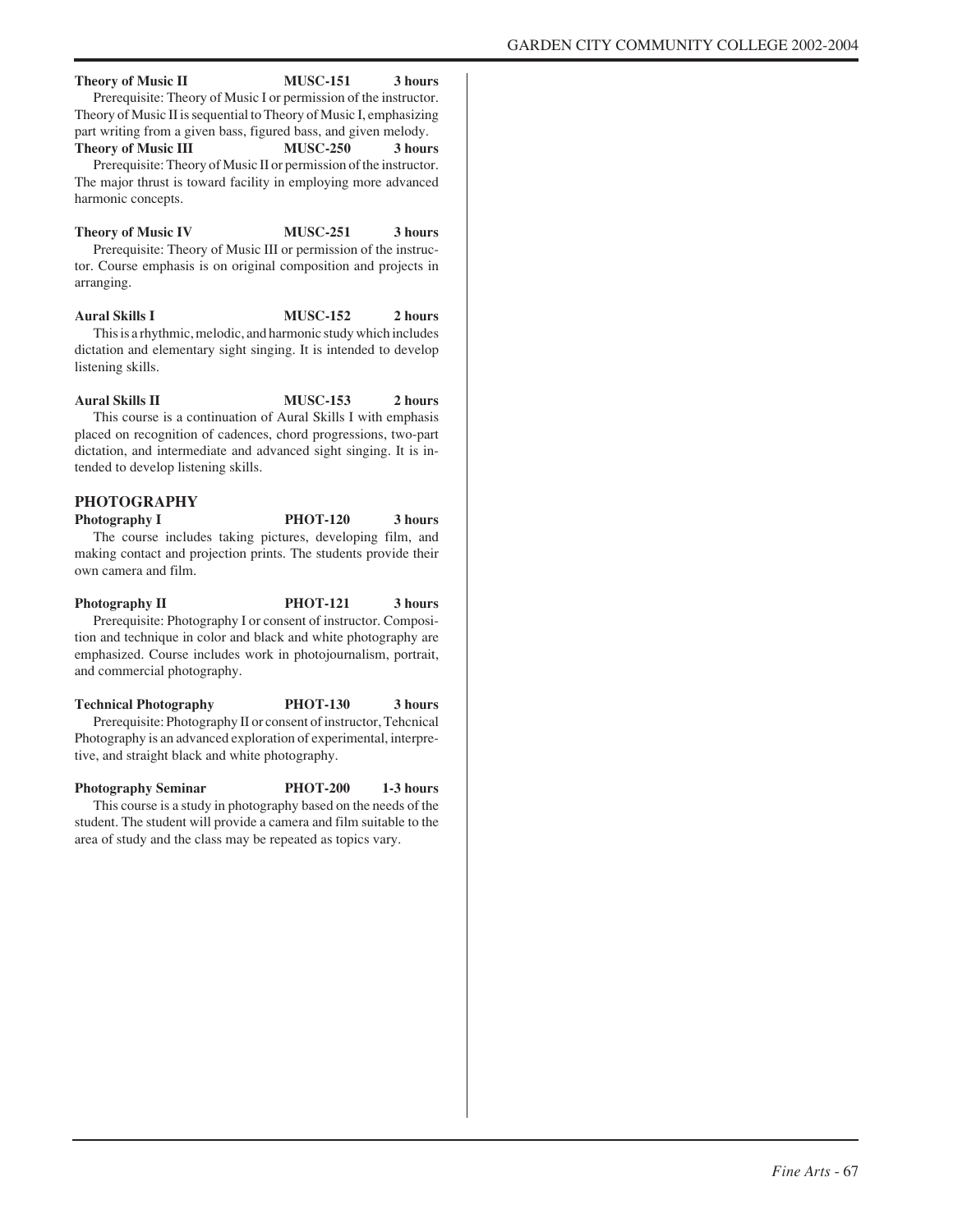## **Theory of Music II** MUSC-151 3 hours

Prerequisite: Theory of Music I or permission of the instructor. Theory of Music II is sequential to Theory of Music I, emphasizing part writing from a given bass, figured bass, and given melody.

**Theory of Music III MUSC-250** 3 hours Prerequisite: Theory of Music II or permission of the instructor. The major thrust is toward facility in employing more advanced harmonic concepts.

**Theory of Music IV MUSC-251** 3 hours Prerequisite: Theory of Music III or permission of the instructor. Course emphasis is on original composition and projects in arranging.

**Aural Skills I MUSC-152 2 hours** This is a rhythmic, melodic, and harmonic study which includes dictation and elementary sight singing. It is intended to develop listening skills.

**Aural Skills II MUSC-153 2 hours** This course is a continuation of Aural Skills I with emphasis placed on recognition of cadences, chord progressions, two-part dictation, and intermediate and advanced sight singing. It is intended to develop listening skills.

#### **PHOTOGRAPHY**

## Photography I PHOT-120 3 hours The course includes taking pictures, developing film, and

making contact and projection prints. The students provide their own camera and film.

#### **Photography II** PHOT-121 3 hours Prerequisite: Photography I or consent of instructor. Composition and technique in color and black and white photography are emphasized. Course includes work in photojournalism, portrait, and commercial photography.

**Technical Photography PHOT-130 3 hours** Prerequisite: Photography II or consent of instructor, Tehcnical Photography is an advanced exploration of experimental, interpretive, and straight black and white photography.

**Photography Seminar PHOT-200 1-3 hours** This course is a study in photography based on the needs of the student. The student will provide a camera and film suitable to the area of study and the class may be repeated as topics vary.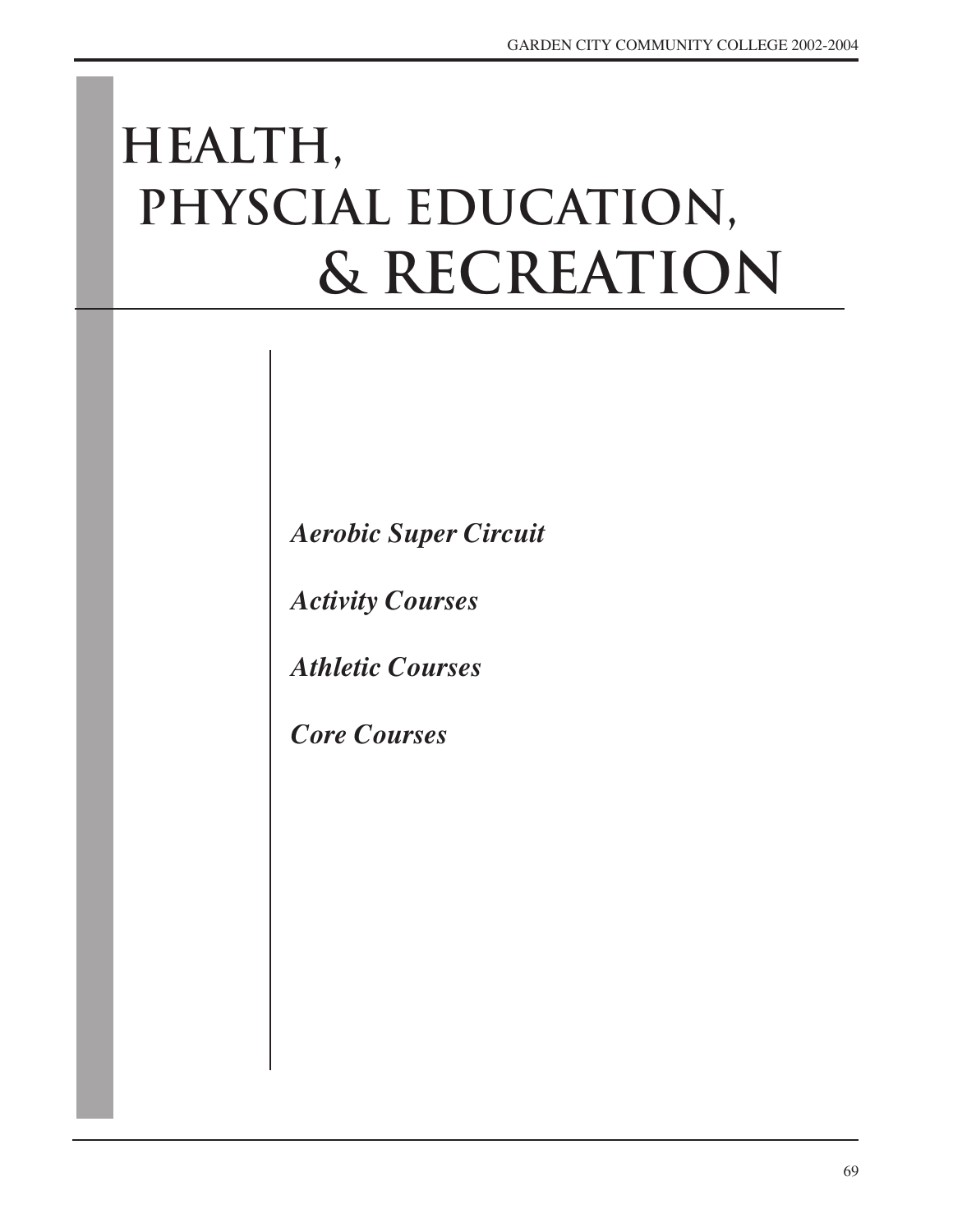## **Health, Physcial Education, & Recreation**

*Aerobic Super Circuit*

*Activity Courses*

*Athletic Courses*

*Core Courses*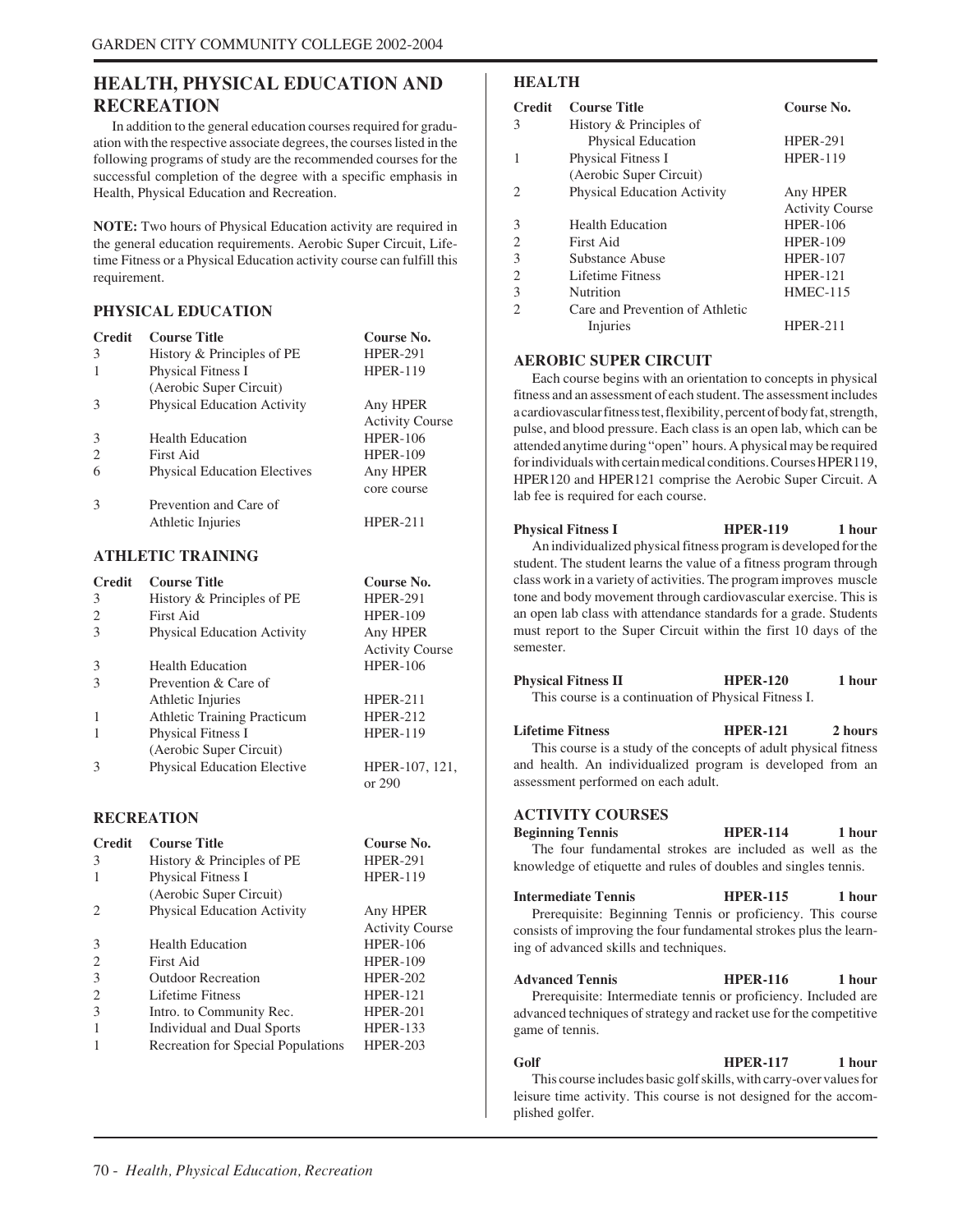### **HEALTH, PHYSICAL EDUCATION AND RECREATION**

In addition to the general education courses required for graduation with the respective associate degrees, the courses listed in the following programs of study are the recommended courses for the successful completion of the degree with a specific emphasis in Health, Physical Education and Recreation.

**NOTE:** Two hours of Physical Education activity are required in the general education requirements. Aerobic Super Circuit, Lifetime Fitness or a Physical Education activity course can fulfill this requirement.

#### **PHYSICAL EDUCATION**

| <b>Credit</b> | <b>Course Title</b>                 | Course No.             |
|---------------|-------------------------------------|------------------------|
| 3             | History & Principles of PE          | <b>HPER-291</b>        |
| $\mathbf{1}$  | Physical Fitness I                  | <b>HPER-119</b>        |
|               | (Aerobic Super Circuit)             |                        |
| $\mathcal{E}$ | <b>Physical Education Activity</b>  | Any HPER               |
|               |                                     | <b>Activity Course</b> |
| 3             | <b>Health Education</b>             | <b>HPER-106</b>        |
| 2             | First Aid                           | <b>HPER-109</b>        |
| 6             | <b>Physical Education Electives</b> | Any HPER               |
|               |                                     | core course            |
| $\mathcal{E}$ | Prevention and Care of              |                        |
|               | Athletic Injuries                   | <b>HPER-211</b>        |

#### **ATHLETIC TRAINING**

| <b>Credit</b> | <b>Course Title</b>                | Course No.             |
|---------------|------------------------------------|------------------------|
| 3             | History & Principles of PE         | <b>HPER-291</b>        |
| 2             | First Aid                          | <b>HPER-109</b>        |
| $\mathcal{E}$ | Physical Education Activity        | Any HPER               |
|               |                                    | <b>Activity Course</b> |
| 3             | <b>Health Education</b>            | <b>HPER-106</b>        |
| 3             | Prevention & Care of               |                        |
|               | Athletic Injuries                  | <b>HPER-211</b>        |
| 1             | <b>Athletic Training Practicum</b> | <b>HPER-212</b>        |
|               | <b>Physical Fitness I</b>          | <b>HPER-119</b>        |
|               | (Aerobic Super Circuit)            |                        |
|               | <b>Physical Education Elective</b> | HPER-107, 121,         |
|               |                                    | or $290$               |

#### **RECREATION**

| <b>Credit</b>                 | <b>Course Title</b>                | Course No.             |
|-------------------------------|------------------------------------|------------------------|
| 3                             | History & Principles of PE         | <b>HPER-291</b>        |
|                               | <b>Physical Fitness I</b>          | <b>HPER-119</b>        |
|                               | (Aerobic Super Circuit)            |                        |
| $\mathfrak{D}_{\mathfrak{p}}$ | <b>Physical Education Activity</b> | Any HPER               |
|                               |                                    | <b>Activity Course</b> |
| 3                             | <b>Health Education</b>            | <b>HPER-106</b>        |
| 2                             | First Aid                          | <b>HPER-109</b>        |
| $\mathcal{F}$                 | <b>Outdoor Recreation</b>          | <b>HPER-202</b>        |
| 2                             | Lifetime Fitness                   | <b>HPER-121</b>        |
| 3                             | Intro. to Community Rec.           | <b>HPER-201</b>        |
|                               | Individual and Dual Sports         | <b>HPER-133</b>        |
|                               | Recreation for Special Populations | <b>HPER-203</b>        |
|                               |                                    |                        |

#### **HEALTH**

| <b>Credit</b>               | <b>Course Title</b>                | Course No.             |
|-----------------------------|------------------------------------|------------------------|
| 3                           | History & Principles of            |                        |
|                             | Physical Education                 | <b>HPER-291</b>        |
| 1                           | Physical Fitness I                 | <b>HPER-119</b>        |
|                             | (Aerobic Super Circuit)            |                        |
| $\mathcal{D}_{\mathcal{L}}$ | <b>Physical Education Activity</b> | Any HPER               |
|                             |                                    | <b>Activity Course</b> |
| 3                           | <b>Health Education</b>            | <b>HPER-106</b>        |
| $\overline{c}$              | First Aid                          | <b>HPER-109</b>        |
| $\mathcal{E}$               | Substance Abuse                    | <b>HPER-107</b>        |
| 2                           | Lifetime Fitness                   | <b>HPER-121</b>        |
| 3                           | Nutrition                          | <b>HMEC-115</b>        |
| $\mathcal{D}_{\mathcal{L}}$ | Care and Prevention of Athletic    |                        |
|                             | Injuries                           | <b>HPER-211</b>        |
|                             |                                    |                        |

#### **AEROBIC SUPER CIRCUIT**

Each course begins with an orientation to concepts in physical fitness and an assessment of each student. The assessment includes a cardiovascular fitness test, flexibility, percent of body fat, strength, pulse, and blood pressure. Each class is an open lab, which can be attended anytime during "open" hours. A physical may be required for individuals with certain medical conditions. Courses HPER119, HPER120 and HPER121 comprise the Aerobic Super Circuit. A lab fee is required for each course.

| <b>Physical Fitness I</b>                                          | <b>HPER-119</b> | 1 hour |
|--------------------------------------------------------------------|-----------------|--------|
| An individualized physical fitness program is developed for the    |                 |        |
| student. The student learns the value of a fitness program through |                 |        |
| class work in a variety of activities. The program improves muscle |                 |        |
| tone and body movement through cardiovascular exercise. This is    |                 |        |
| an open lab class with attendance standards for a grade. Students  |                 |        |
| must report to the Super Circuit within the first 10 days of the   |                 |        |
| semester.                                                          |                 |        |
|                                                                    |                 |        |

| This course is a continuation of Physical Fitness I.             |                 |         |
|------------------------------------------------------------------|-----------------|---------|
| <b>Lifetime Fitness</b>                                          | <b>HPER-121</b> | 2 hours |
| This course is a study of the concepts of adult physical fitness |                 |         |
| and health. An individualized program is developed from an       |                 |         |
| assessment performed on each adult.                              |                 |         |

**Physical Fitness II HPER-120 1 hour** 

#### **ACTIVITY COURSES**

**Beginning Tennis HPER-114** 1 hour The four fundamental strokes are included as well as the knowledge of etiquette and rules of doubles and singles tennis.

| <b>Intermediate Tennis</b>                              | <b>HPER-115</b> | 1 hour |
|---------------------------------------------------------|-----------------|--------|
| Daramanistro Destautas Teaute en angliciano. This compo |                 |        |

Prerequisite: Beginning Tennis or proficiency. This course consists of improving the four fundamental strokes plus the learning of advanced skills and techniques.

**Advanced Tennis HPER-116 1 hour** Prerequisite: Intermediate tennis or proficiency. Included are advanced techniques of strategy and racket use for the competitive game of tennis.

Golf **HPER-117** 1 hour This course includes basic golf skills, with carry-over values for leisure time activity. This course is not designed for the accomplished golfer.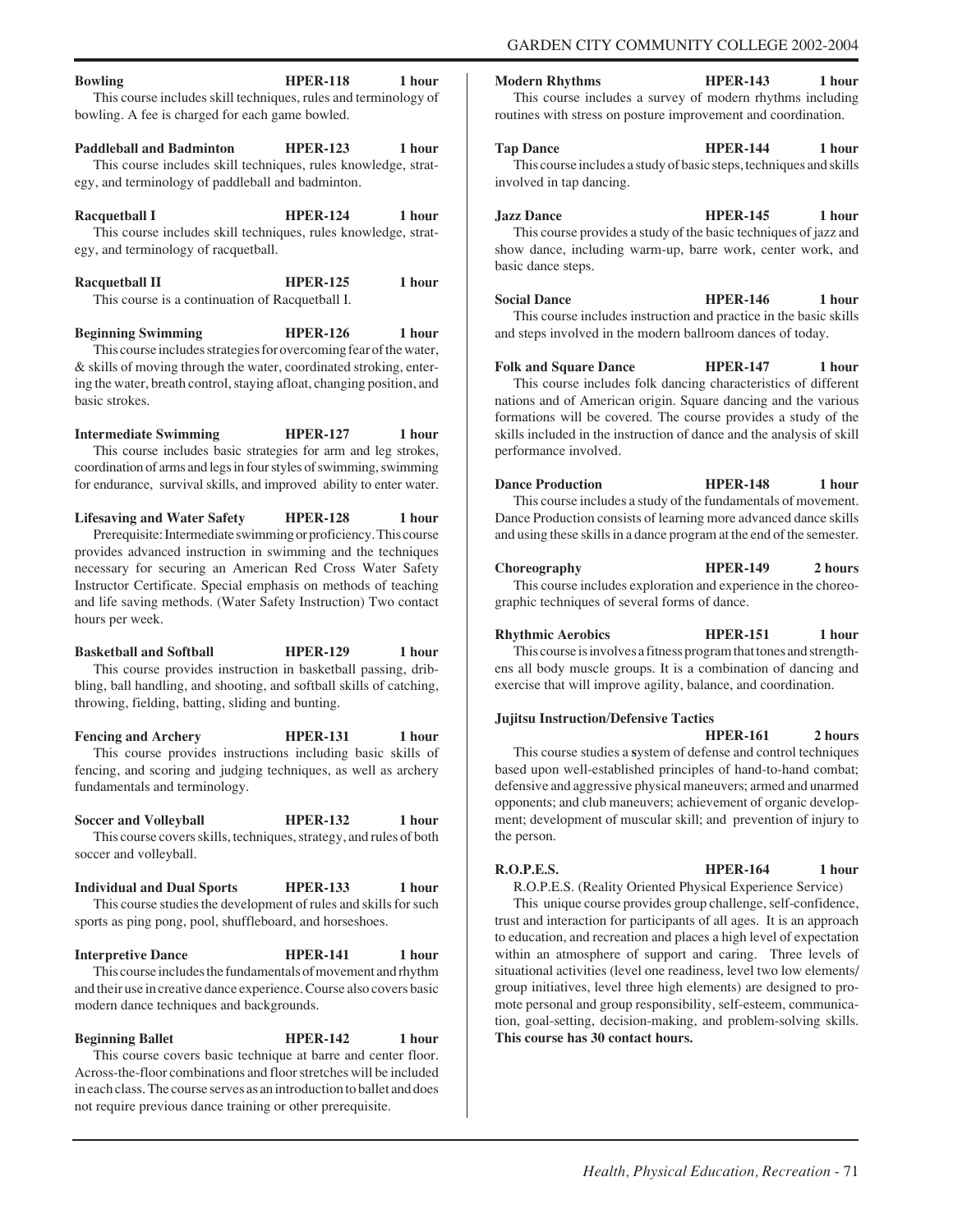#### **Bowling HPER-118** 1 hour

This course includes skill techniques, rules and terminology of bowling. A fee is charged for each game bowled.

#### Paddleball and Badminton **HPER-123** 1 hour

This course includes skill techniques, rules knowledge, strategy, and terminology of paddleball and badminton.

**Racquetball I HPER-124** 1 hour This course includes skill techniques, rules knowledge, strategy, and terminology of racquetball.

| <b>Racquetball II</b>                           | <b>HPER-125</b> | 1 hour |
|-------------------------------------------------|-----------------|--------|
| This course is a continuation of Racquetball I. |                 |        |

**Beginning Swimming HPER-126 1 hour** 

This course includes strategies for overcoming fear of the water, & skills of moving through the water, coordinated stroking, entering the water, breath control, staying afloat, changing position, and basic strokes.

**Intermediate Swimming HPER-127** 1 hour This course includes basic strategies for arm and leg strokes, coordination of arms and legs in four styles of swimming, swimming for endurance, survival skills, and improved ability to enter water.

**Lifesaving and Water Safety HPER-128 1 hour** Prerequisite: Intermediate swimming or proficiency. This course provides advanced instruction in swimming and the techniques necessary for securing an American Red Cross Water Safety Instructor Certificate. Special emphasis on methods of teaching and life saving methods. (Water Safety Instruction) Two contact hours per week.

**Basketball and Softball HPER-129 1 hour** This course provides instruction in basketball passing, dribbling, ball handling, and shooting, and softball skills of catching, throwing, fielding, batting, sliding and bunting.

**Fencing and Archery HPER-131** 1 hour This course provides instructions including basic skills of fencing, and scoring and judging techniques, as well as archery fundamentals and terminology.

**Soccer and Volleyball <b>HPER-132** 1 hour This course covers skills, techniques, strategy, and rules of both soccer and volleyball.

**Individual and Dual Sports HPER-133 1 hour** This course studies the development of rules and skills for such sports as ping pong, pool, shuffleboard, and horseshoes.

**Interpretive Dance HPER-141** 1 hour This course includes the fundamentals of movement and rhythm and their use in creative dance experience. Course also covers basic modern dance techniques and backgrounds.

**Beginning Ballet HPER-142** 1 hour This course covers basic technique at barre and center floor. Across-the-floor combinations and floor stretches will be included in each class. The course serves as an introduction to ballet and does not require previous dance training or other prerequisite.

#### **Modern Rhythms HPER-143** 1 hour

This course includes a survey of modern rhythms including routines with stress on posture improvement and coordination.

#### **Tap Dance HPER-144 1 hour**

This course includes a study of basic steps, techniques and skills involved in tap dancing.

#### **Jazz Dance HPER-145 1 hour**

This course provides a study of the basic techniques of jazz and show dance, including warm-up, barre work, center work, and basic dance steps.

## **Social Dance HPER-146 1 hour**

This course includes instruction and practice in the basic skills and steps involved in the modern ballroom dances of today.

Folk and Square Dance **HPER-147** 1 hour This course includes folk dancing characteristics of different nations and of American origin. Square dancing and the various formations will be covered. The course provides a study of the skills included in the instruction of dance and the analysis of skill performance involved.

**Dance Production HPER-148** 1 hour This course includes a study of the fundamentals of movement. Dance Production consists of learning more advanced dance skills and using these skills in a dance program at the end of the semester.

#### **Choreography HPER-149 2 hours** This course includes exploration and experience in the choreographic techniques of several forms of dance.

**Rhythmic Aerobics HPER-151** 1 hour

This course is involves a fitness program that tones and strengthens all body muscle groups. It is a combination of dancing and exercise that will improve agility, balance, and coordination.

#### **Jujitsu Instruction/Defensive Tactics**

**HPER-161 2 hours**

This course studies a **s**ystem of defense and control techniques based upon well-established principles of hand-to-hand combat; defensive and aggressive physical maneuvers; armed and unarmed opponents; and club maneuvers; achievement of organic development; development of muscular skill; and prevention of injury to the person.

**R.O.P.E.S. HPER-164 1 hour** R.O.P.E.S. (Reality Oriented Physical Experience Service)

This unique course provides group challenge, self-confidence, trust and interaction for participants of all ages. It is an approach to education, and recreation and places a high level of expectation within an atmosphere of support and caring. Three levels of situational activities (level one readiness, level two low elements/ group initiatives, level three high elements) are designed to promote personal and group responsibility, self-esteem, communication, goal-setting, decision-making, and problem-solving skills. **This course has 30 contact hours.**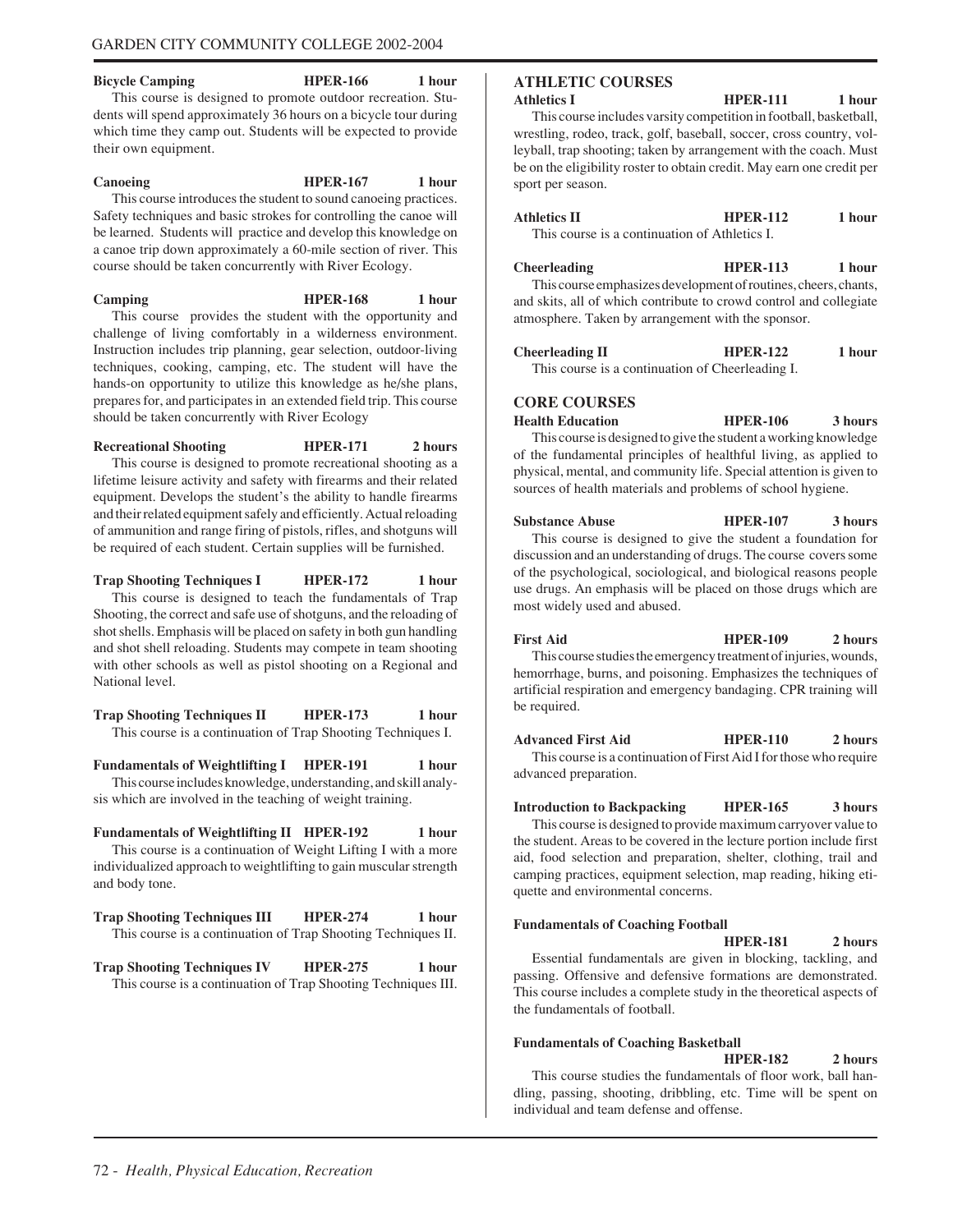#### **Bicycle Camping HPER-166** 1 hour

This course is designed to promote outdoor recreation. Students will spend approximately 36 hours on a bicycle tour during which time they camp out. Students will be expected to provide their own equipment.

**Canoeing HPER-167 1 hour**

This course introduces the student to sound canoeing practices. Safety techniques and basic strokes for controlling the canoe will be learned. Students will practice and develop this knowledge on a canoe trip down approximately a 60-mile section of river. This course should be taken concurrently with River Ecology.

#### Camping **HPER-168** 1 hour

This course provides the student with the opportunity and challenge of living comfortably in a wilderness environment. Instruction includes trip planning, gear selection, outdoor-living techniques, cooking, camping, etc. The student will have the hands-on opportunity to utilize this knowledge as he/she plans, prepares for, and participates in an extended field trip. This course should be taken concurrently with River Ecology

#### **Recreational Shooting HPER-171 2 hours**

This course is designed to promote recreational shooting as a lifetime leisure activity and safety with firearms and their related equipment. Develops the student's the ability to handle firearms and their related equipment safely and efficiently. Actual reloading of ammunition and range firing of pistols, rifles, and shotguns will be required of each student. Certain supplies will be furnished.

**Trap Shooting Techniques I HPER-172** 1 hour This course is designed to teach the fundamentals of Trap Shooting, the correct and safe use of shotguns, and the reloading of shot shells. Emphasis will be placed on safety in both gun handling and shot shell reloading. Students may compete in team shooting with other schools as well as pistol shooting on a Regional and National level.

**Trap Shooting Techniques II HPER-173 1 hour** This course is a continuation of Trap Shooting Techniques I.

Fundamentals of Weightlifting I HPER-191 1 hour This course includes knowledge, understanding, and skill analysis which are involved in the teaching of weight training.

**Fundamentals of Weightlifting II HPER-192 1 hour** This course is a continuation of Weight Lifting I with a more individualized approach to weightlifting to gain muscular strength and body tone.

**Trap Shooting Techniques III HPER-274 1 hour** This course is a continuation of Trap Shooting Techniques II.

**Trap Shooting Techniques IV HPER-275 1 hour** This course is a continuation of Trap Shooting Techniques III.

#### **ATHLETIC COURSES Athletics I Manufacture I HPER-111 1 hour**

This course includes varsity competition in football, basketball, wrestling, rodeo, track, golf, baseball, soccer, cross country, volleyball, trap shooting; taken by arrangement with the coach. Must be on the eligibility roster to obtain credit. May earn one credit per sport per season.

| <b>Athletics II</b>                          | <b>HPER-112</b> | 1 hour |
|----------------------------------------------|-----------------|--------|
| This course is a continuation of Athletics I |                 |        |

This course is a continuation of Athletics I.

| <b>Cheerleading</b>                                                | <b>HPER-113</b> | 1 hour |
|--------------------------------------------------------------------|-----------------|--------|
| This course emphasizes development of routines, cheers, chants,    |                 |        |
| and skits, all of which contribute to crowd control and collegiate |                 |        |
| atmosphere. Taken by arrangement with the sponsor.                 |                 |        |

**Cheerleading II HPER-122** 1 hour This course is a continuation of Cheerleading I.

#### **CORE COURSES**

**Health Education HPER-106 3 hours** This course is designed to give the student a working knowledge

of the fundamental principles of healthful living, as applied to physical, mental, and community life. Special attention is given to sources of health materials and problems of school hygiene.

## **Substance Abuse HPER-107 3 hours** This course is designed to give the student a foundation for

discussion and an understanding of drugs. The course covers some of the psychological, sociological, and biological reasons people use drugs. An emphasis will be placed on those drugs which are most widely used and abused.

First Aid **HPER-109** 2 hours This course studies the emergency treatment of injuries, wounds, hemorrhage, burns, and poisoning. Emphasizes the techniques of artificial respiration and emergency bandaging. CPR training will be required.

**Advanced First Aid HPER-110 2 hours** This course is a continuation of First Aid I for those who require advanced preparation.

#### **Introduction to Backpacking HPER-165 3 hours**

This course is designed to provide maximum carryover value to the student. Areas to be covered in the lecture portion include first aid, food selection and preparation, shelter, clothing, trail and camping practices, equipment selection, map reading, hiking etiquette and environmental concerns.

#### **Fundamentals of Coaching Football**

#### **HPER-181 2 hours**

Essential fundamentals are given in blocking, tackling, and passing. Offensive and defensive formations are demonstrated. This course includes a complete study in the theoretical aspects of the fundamentals of football.

#### **Fundamentals of Coaching Basketball**

**HPER-182 2 hours**

This course studies the fundamentals of floor work, ball handling, passing, shooting, dribbling, etc. Time will be spent on individual and team defense and offense.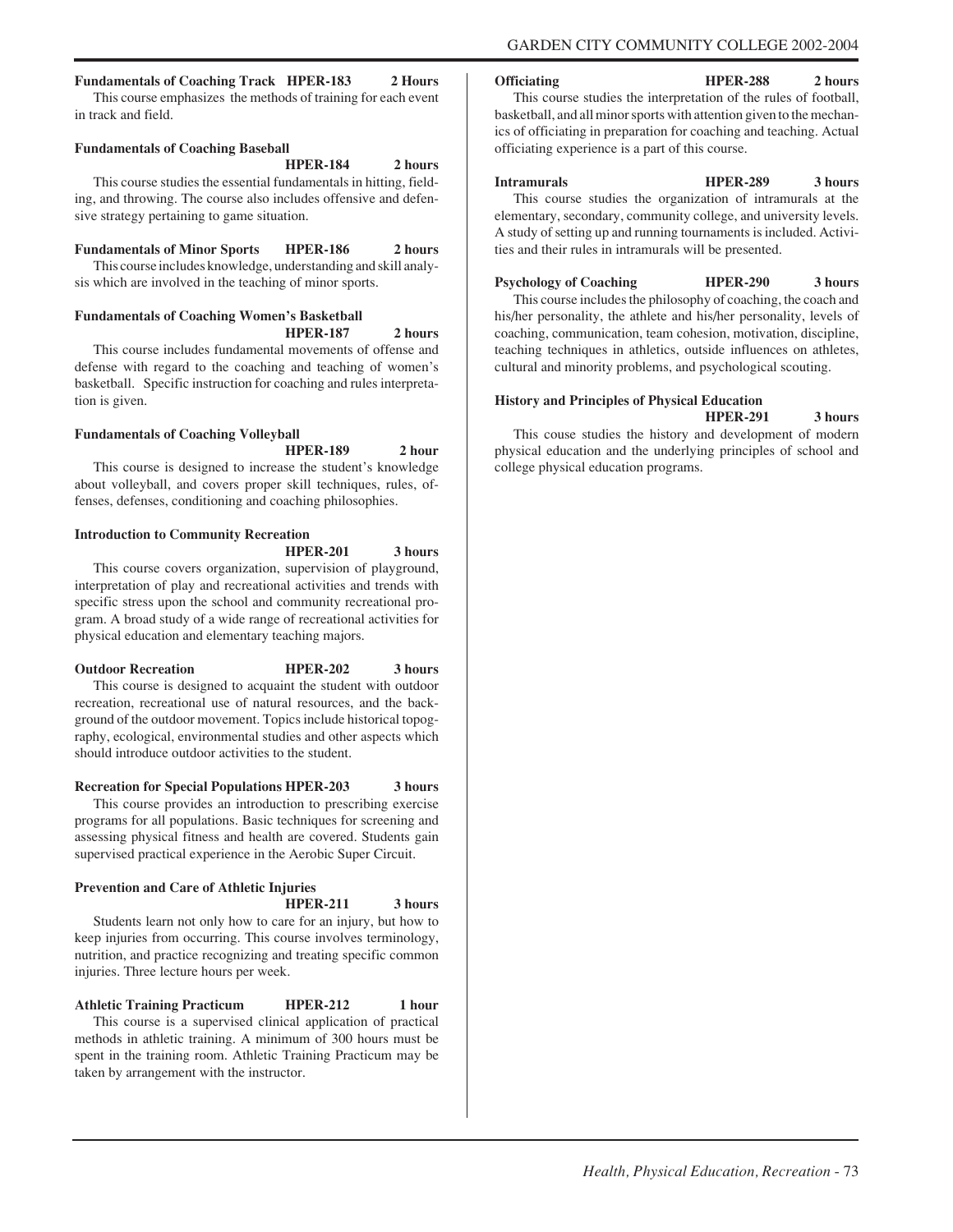#### **Fundamentals of Coaching Track HPER-183 2 Hours**

This course emphasizes the methods of training for each event in track and field.

#### **Fundamentals of Coaching Baseball**

**HPER-184 2 hours** This course studies the essential fundamentals in hitting, fielding, and throwing. The course also includes offensive and defensive strategy pertaining to game situation.

#### **Fundamentals of Minor Sports HPER-186 2 hours**

This course includes knowledge, understanding and skill analysis which are involved in the teaching of minor sports.

#### **Fundamentals of Coaching Women's Basketball HPER-187 2 hours**

This course includes fundamental movements of offense and defense with regard to the coaching and teaching of women's basketball. Specific instruction for coaching and rules interpretation is given.

#### **Fundamentals of Coaching Volleyball**

#### **HPER-189 2 hour**

This course is designed to increase the student's knowledge about volleyball, and covers proper skill techniques, rules, offenses, defenses, conditioning and coaching philosophies.

#### **Introduction to Community Recreation**

**HPER-201 3 hours**

This course covers organization, supervision of playground, interpretation of play and recreational activities and trends with specific stress upon the school and community recreational program. A broad study of a wide range of recreational activities for physical education and elementary teaching majors.

#### **Outdoor Recreation HPER-202 3 hours**

This course is designed to acquaint the student with outdoor recreation, recreational use of natural resources, and the background of the outdoor movement. Topics include historical topography, ecological, environmental studies and other aspects which should introduce outdoor activities to the student.

#### **Recreation for Special Populations HPER-203 3 hours**

This course provides an introduction to prescribing exercise programs for all populations. Basic techniques for screening and assessing physical fitness and health are covered. Students gain supervised practical experience in the Aerobic Super Circuit.

#### **Prevention and Care of Athletic Injuries**

#### **HPER-211 3 hours**

Students learn not only how to care for an injury, but how to keep injuries from occurring. This course involves terminology, nutrition, and practice recognizing and treating specific common injuries. Three lecture hours per week.

#### **Athletic Training Practicum HPER-212 1 hour**

This course is a supervised clinical application of practical methods in athletic training. A minimum of 300 hours must be spent in the training room. Athletic Training Practicum may be taken by arrangement with the instructor.

**Officiating HPER-288 2 hours** 

This course studies the interpretation of the rules of football, basketball, and all minor sports with attention given to the mechanics of officiating in preparation for coaching and teaching. Actual officiating experience is a part of this course.

#### **Intramurals HPER-289 3 hours**

This course studies the organization of intramurals at the elementary, secondary, community college, and university levels. A study of setting up and running tournaments is included. Activities and their rules in intramurals will be presented.

#### **Psychology of Coaching HPER-290 3 hours**

This course includes the philosophy of coaching, the coach and his/her personality, the athlete and his/her personality, levels of coaching, communication, team cohesion, motivation, discipline, teaching techniques in athletics, outside influences on athletes, cultural and minority problems, and psychological scouting.

#### **History and Principles of Physical Education**

**HPER-291 3 hours**

This couse studies the history and development of modern physical education and the underlying principles of school and college physical education programs.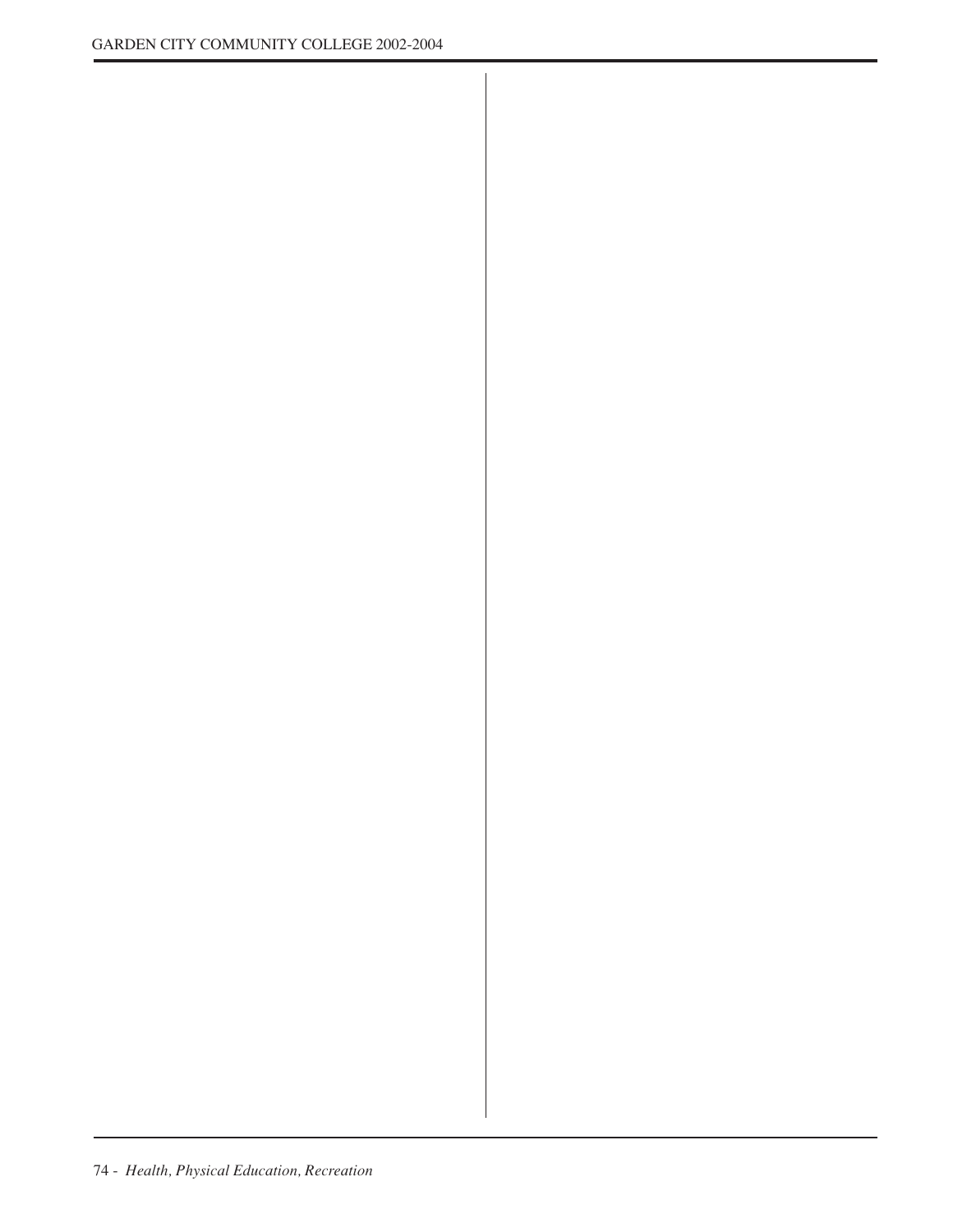74 - *Health, Physical Education, Recreation*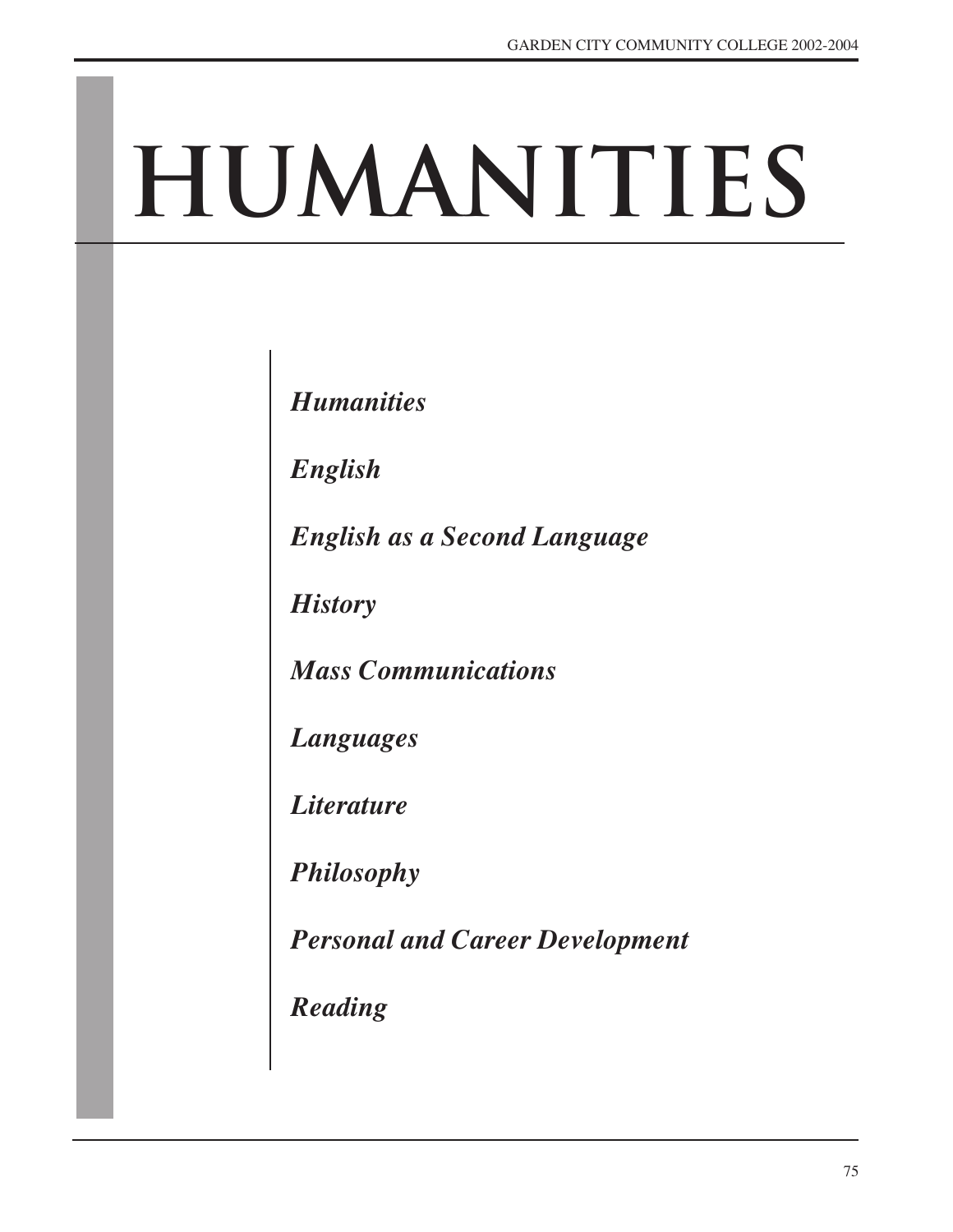# **Humanities**

*Humanities*

*English*

*English as a Second Language*

*History*

*Mass Communications*

*Languages*

*Literature*

*Philosophy*

*Personal and Career Development*

*Reading*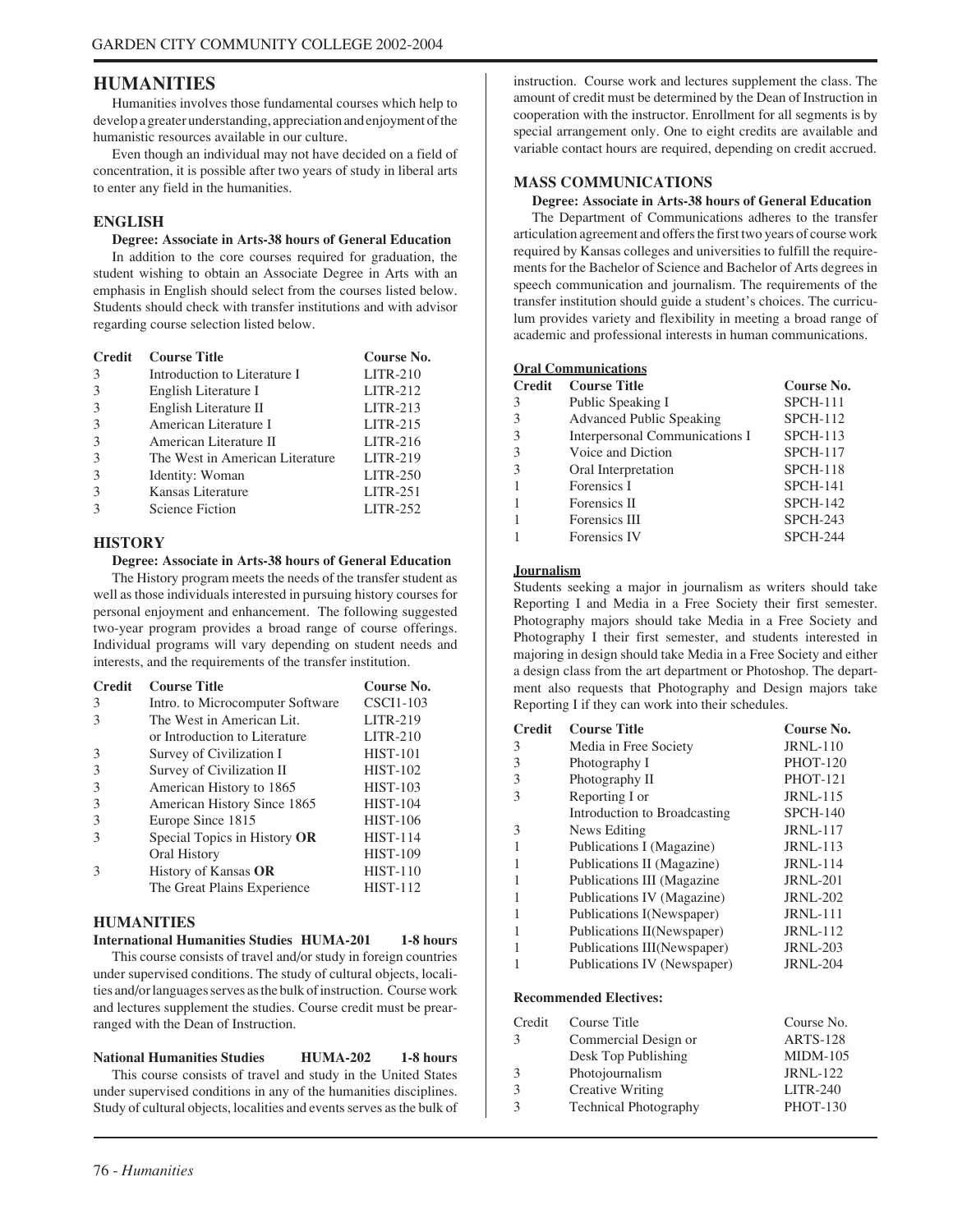# **HUMANITIES**

Humanities involves those fundamental courses which help to develop a greater understanding, appreciation and enjoyment of the humanistic resources available in our culture.

Even though an individual may not have decided on a field of concentration, it is possible after two years of study in liberal arts to enter any field in the humanities.

#### **ENGLISH**

#### **Degree: Associate in Arts-38 hours of General Education**

In addition to the core courses required for graduation, the student wishing to obtain an Associate Degree in Arts with an emphasis in English should select from the courses listed below. Students should check with transfer institutions and with advisor regarding course selection listed below.

| <b>Credit</b> | <b>Course Title</b>             | Course No. |
|---------------|---------------------------------|------------|
| 3             | Introduction to Literature I    | $LITR-210$ |
| $\mathcal{F}$ | English Literature I            | $LITR-212$ |
| 3             | English Literature II           | $LITR-213$ |
|               | American Literature I           | $LITR-215$ |
|               | American Literature II          | $LITR-216$ |
|               | The West in American Literature | $LITR-219$ |
|               | Identity: Woman                 | $LITR-250$ |
|               | Kansas Literature               | $LITR-251$ |
|               | Science Fiction                 | $LITR-252$ |

#### **HISTORY**

#### **Degree: Associate in Arts-38 hours of General Education**

The History program meets the needs of the transfer student as well as those individuals interested in pursuing history courses for personal enjoyment and enhancement. The following suggested two-year program provides a broad range of course offerings. Individual programs will vary depending on student needs and interests, and the requirements of the transfer institution.

| <b>Credit</b> | <b>Course Title</b>              | Course No.       |
|---------------|----------------------------------|------------------|
| 3             | Intro. to Microcomputer Software | <b>CSCI1-103</b> |
|               | The West in American Lit.        | $LITR-219$       |
|               | or Introduction to Literature    | $LITR-210$       |
| 3             | Survey of Civilization I         | <b>HIST-101</b>  |
| 3             | Survey of Civilization II        | <b>HIST-102</b>  |
|               | American History to 1865         | <b>HIST-103</b>  |
| 3             | American History Since 1865      | <b>HIST-104</b>  |
|               | Europe Since 1815                | <b>HIST-106</b>  |
|               | Special Topics in History OR     | <b>HIST-114</b>  |
|               | Oral History                     | <b>HIST-109</b>  |
|               | History of Kansas OR             | <b>HIST-110</b>  |
|               | The Great Plains Experience      | <b>HIST-112</b>  |

## **HUMANITIES**

#### **International Humanities Studies HUMA-201 1-8 hours**

This course consists of travel and/or study in foreign countries under supervised conditions. The study of cultural objects, localities and/or languages serves as the bulk of instruction. Course work and lectures supplement the studies. Course credit must be prearranged with the Dean of Instruction.

**National Humanities Studies HUMA-202 1-8 hours**

This course consists of travel and study in the United States under supervised conditions in any of the humanities disciplines. Study of cultural objects, localities and events serves as the bulk of instruction. Course work and lectures supplement the class. The amount of credit must be determined by the Dean of Instruction in cooperation with the instructor. Enrollment for all segments is by special arrangement only. One to eight credits are available and variable contact hours are required, depending on credit accrued.

#### **MASS COMMUNICATIONS**

#### **Degree: Associate in Arts-38 hours of General Education**

The Department of Communications adheres to the transfer articulation agreement and offers the first two years of course work required by Kansas colleges and universities to fulfill the requirements for the Bachelor of Science and Bachelor of Arts degrees in speech communication and journalism. The requirements of the transfer institution should guide a student's choices. The curriculum provides variety and flexibility in meeting a broad range of academic and professional interests in human communications.

#### **Oral Communications**

| <b>Credit</b> | <b>Course Title</b>             | Course No.      |
|---------------|---------------------------------|-----------------|
| 3             | Public Speaking I               | <b>SPCH-111</b> |
| 3             | <b>Advanced Public Speaking</b> | <b>SPCH-112</b> |
| 3             | Interpersonal Communications I  | $SPCH-113$      |
| $\mathcal{E}$ | Voice and Diction               | <b>SPCH-117</b> |
|               | Oral Interpretation             | <b>SPCH-118</b> |
|               | Forensics I                     | <b>SPCH-141</b> |
|               | Forensics II                    | <b>SPCH-142</b> |
|               | Forensics III                   | <b>SPCH-243</b> |
|               | Forensics IV                    | <b>SPCH-244</b> |

#### **Journalism**

Students seeking a major in journalism as writers should take Reporting I and Media in a Free Society their first semester. Photography majors should take Media in a Free Society and Photography I their first semester, and students interested in majoring in design should take Media in a Free Society and either a design class from the art department or Photoshop. The department also requests that Photography and Design majors take Reporting I if they can work into their schedules.

| <b>Credit</b> | <b>Course Title</b>           | Course No.      |
|---------------|-------------------------------|-----------------|
| 3             | Media in Free Society         | <b>JRNL-110</b> |
| 3             | Photography I                 | <b>PHOT-120</b> |
| 3             | Photography II                | <b>PHOT-121</b> |
| 3             | Reporting I or                | <b>JRNL-115</b> |
|               | Introduction to Broadcasting  | <b>SPCH-140</b> |
| 3             | News Editing                  | <b>JRNL-117</b> |
|               | Publications I (Magazine)     | <b>JRNL-113</b> |
|               | Publications II (Magazine)    | <b>JRNL-114</b> |
| 1             | Publications III (Magazine)   | <b>JRNL-201</b> |
|               | Publications IV (Magazine)    | <b>JRNL-202</b> |
|               | Publications I(Newspaper)     | <b>JRNL-111</b> |
|               | Publications II(Newspaper)    | <b>JRNL-112</b> |
|               | Publications III(Newspaper)   | <b>JRNL-203</b> |
|               | Publications IV (Newspaper)   | <b>JRNL-204</b> |
|               | <b>Recommended Electives:</b> |                 |

| Credit | Course Title                 | Course No.      |
|--------|------------------------------|-----------------|
| 3      | Commercial Design or         | <b>ARTS-128</b> |
|        | Desk Top Publishing          | $MIDM-105$      |
| 3      | Photojournalism              | <b>JRNL-122</b> |
| 3      | Creative Writing             | $LITR-240$      |
|        | <b>Technical Photography</b> | <b>PHOT-130</b> |
|        |                              |                 |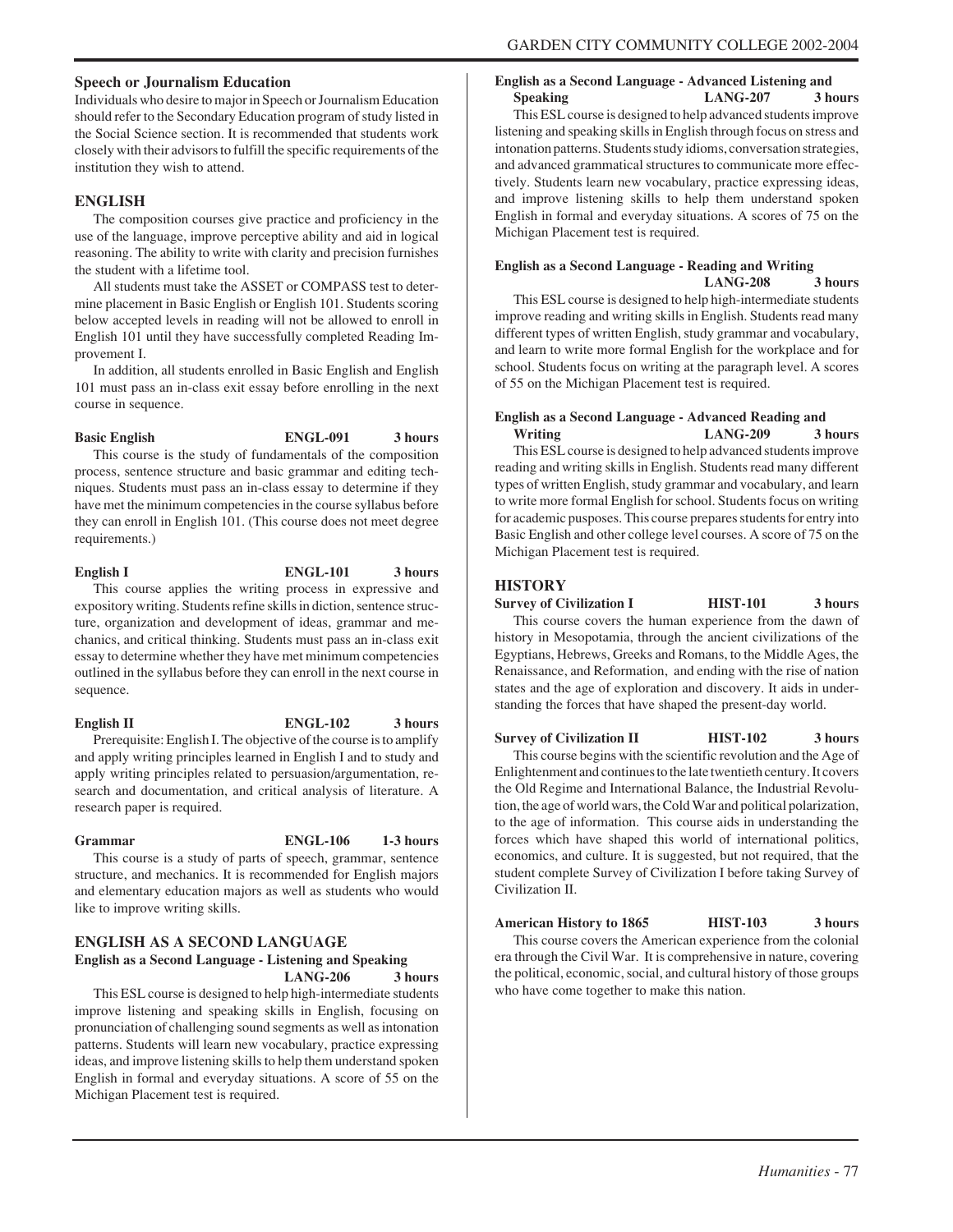#### **Speech or Journalism Education**

Individuals who desire to major in Speech or Journalism Education should refer to the Secondary Education program of study listed in the Social Science section. It is recommended that students work closely with their advisors to fulfill the specific requirements of the institution they wish to attend.

## **ENGLISH**

The composition courses give practice and proficiency in the use of the language, improve perceptive ability and aid in logical reasoning. The ability to write with clarity and precision furnishes the student with a lifetime tool.

All students must take the ASSET or COMPASS test to determine placement in Basic English or English 101. Students scoring below accepted levels in reading will not be allowed to enroll in English 101 until they have successfully completed Reading Improvement I.

In addition, all students enrolled in Basic English and English 101 must pass an in-class exit essay before enrolling in the next course in sequence.

**Basic English ENGL-091 3 hours**

This course is the study of fundamentals of the composition process, sentence structure and basic grammar and editing techniques. Students must pass an in-class essay to determine if they have met the minimum competencies in the course syllabus before they can enroll in English 101. (This course does not meet degree requirements.)

#### **English I** ENGL-101 3 hours

This course applies the writing process in expressive and expository writing. Students refine skills in diction, sentence structure, organization and development of ideas, grammar and mechanics, and critical thinking. Students must pass an in-class exit essay to determine whether they have met minimum competencies outlined in the syllabus before they can enroll in the next course in sequence.

#### **English II ENGL-102 3 hours**

Prerequisite: English I. The objective of the course is to amplify and apply writing principles learned in English I and to study and apply writing principles related to persuasion/argumentation, research and documentation, and critical analysis of literature. A research paper is required.

**Grammar ENGL-106 1-3 hours**

This course is a study of parts of speech, grammar, sentence structure, and mechanics. It is recommended for English majors and elementary education majors as well as students who would like to improve writing skills.

#### **ENGLISH AS A SECOND LANGUAGE English as a Second Language - Listening and Speaking LANG-206 3 hours**

This ESL course is designed to help high-intermediate students improve listening and speaking skills in English, focusing on pronunciation of challenging sound segments as well as intonation patterns. Students will learn new vocabulary, practice expressing ideas, and improve listening skills to help them understand spoken English in formal and everyday situations. A score of 55 on the Michigan Placement test is required.

#### **English as a Second Language - Advanced Listening and Speaking LANG-207 3 hours**

This ESL course is designed to help advanced students improve listening and speaking skills in English through focus on stress and intonation patterns. Students study idioms, conversation strategies, and advanced grammatical structures to communicate more effectively. Students learn new vocabulary, practice expressing ideas, and improve listening skills to help them understand spoken English in formal and everyday situations. A scores of 75 on the Michigan Placement test is required.

# **English as a Second Language - Reading and Writing LANG-208 3 hours**

This ESL course is designed to help high-intermediate students improve reading and writing skills in English. Students read many different types of written English, study grammar and vocabulary, and learn to write more formal English for the workplace and for school. Students focus on writing at the paragraph level. A scores of 55 on the Michigan Placement test is required.

## **English as a Second Language - Advanced Reading and Writing LANG-209 3 hours**

This ESL course is designed to help advanced students improve reading and writing skills in English. Students read many different types of written English, study grammar and vocabulary, and learn to write more formal English for school. Students focus on writing for academic pusposes. This course prepares students for entry into Basic English and other college level courses. A score of 75 on the Michigan Placement test is required.

#### **HISTORY**

**Survey of Civilization I HIST-101** 3 hours

This course covers the human experience from the dawn of history in Mesopotamia, through the ancient civilizations of the Egyptians, Hebrews, Greeks and Romans, to the Middle Ages, the Renaissance, and Reformation, and ending with the rise of nation states and the age of exploration and discovery. It aids in understanding the forces that have shaped the present-day world.

#### **Survey of Civilization II HIST-102** 3 hours

This course begins with the scientific revolution and the Age of Enlightenment and continues to the late twentieth century. It covers the Old Regime and International Balance, the Industrial Revolution, the age of world wars, the Cold War and political polarization, to the age of information. This course aids in understanding the forces which have shaped this world of international politics, economics, and culture. It is suggested, but not required, that the student complete Survey of Civilization I before taking Survey of Civilization II.

# **American History to 1865 HIST-103 3 hours**

This course covers the American experience from the colonial era through the Civil War. It is comprehensive in nature, covering the political, economic, social, and cultural history of those groups who have come together to make this nation.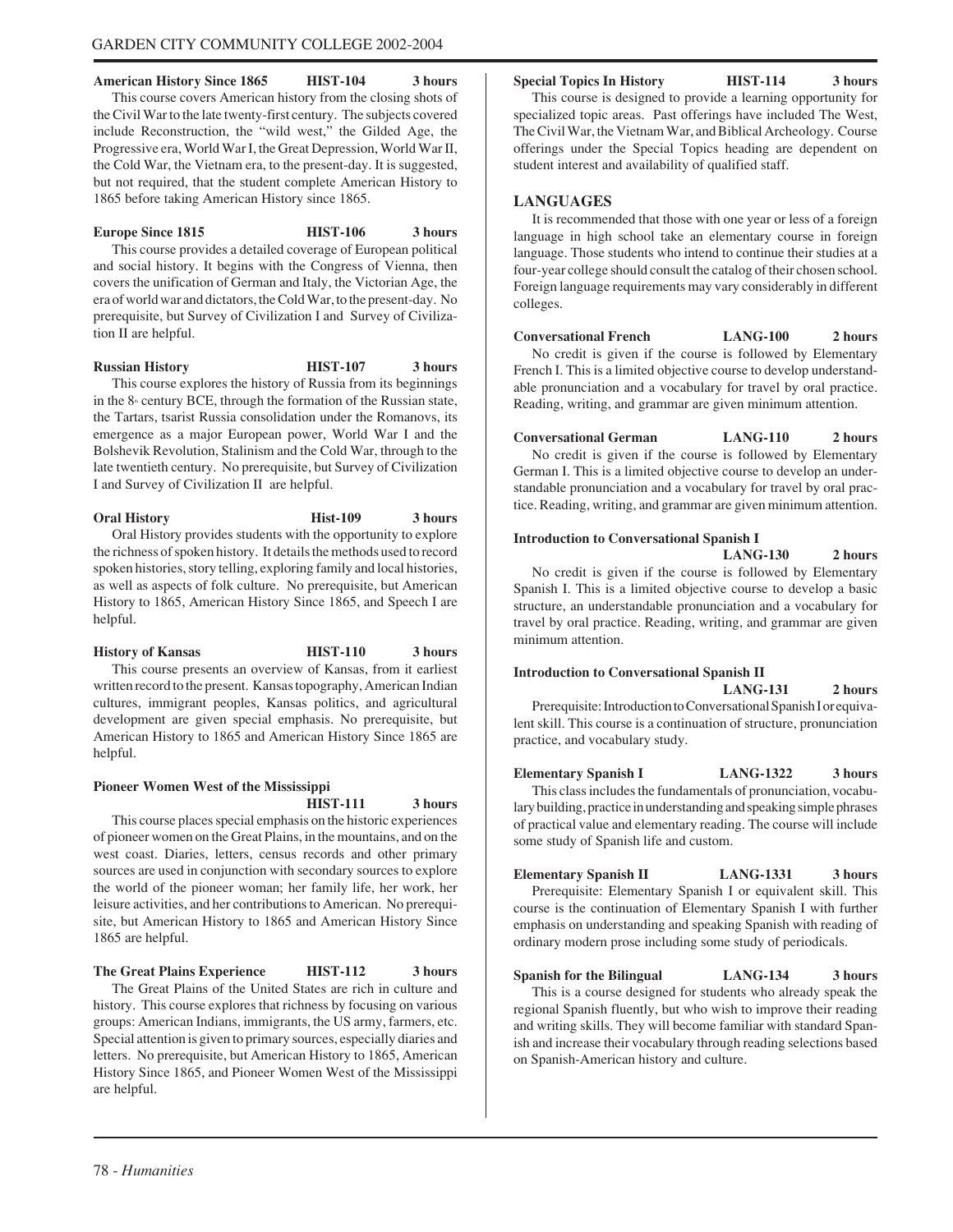**American History Since 1865 HIST-104 3 hours**

This course covers American history from the closing shots of the Civil War to the late twenty-first century. The subjects covered include Reconstruction, the "wild west," the Gilded Age, the Progressive era, World War I, the Great Depression, World War II, the Cold War, the Vietnam era, to the present-day. It is suggested, but not required, that the student complete American History to 1865 before taking American History since 1865.

## **Europe Since 1815 HIST-106** 3 hours

This course provides a detailed coverage of European political and social history. It begins with the Congress of Vienna, then covers the unification of German and Italy, the Victorian Age, the era of world war and dictators, the Cold War, to the present-day. No prerequisite, but Survey of Civilization I and Survey of Civilization II are helpful.

**Russian History HIST-107 3 hours** This course explores the history of Russia from its beginnings in the  $8<sup>*</sup>$  century BCE, through the formation of the Russian state, the Tartars, tsarist Russia consolidation under the Romanovs, its emergence as a major European power, World War I and the Bolshevik Revolution, Stalinism and the Cold War, through to the late twentieth century. No prerequisite, but Survey of Civilization I and Survey of Civilization II are helpful.

**Oral History Hist-109** 3 hours Oral History provides students with the opportunity to explore the richness of spoken history. It details the methods used to record spoken histories, story telling, exploring family and local histories, as well as aspects of folk culture. No prerequisite, but American History to 1865, American History Since 1865, and Speech I are helpful.

# **History of Kansas HIST-110 3 hours** This course presents an overview of Kansas, from it earliest written record to the present. Kansas topography, American Indian

cultures, immigrant peoples, Kansas politics, and agricultural development are given special emphasis. No prerequisite, but American History to 1865 and American History Since 1865 are helpful.

# **Pioneer Women West of the Mississippi**

**HIST-111 3 hours**

This course places special emphasis on the historic experiences of pioneer women on the Great Plains, in the mountains, and on the west coast. Diaries, letters, census records and other primary sources are used in conjunction with secondary sources to explore the world of the pioneer woman; her family life, her work, her leisure activities, and her contributions to American. No prerequisite, but American History to 1865 and American History Since 1865 are helpful.

**The Great Plains Experience HIST-112 3 hours** The Great Plains of the United States are rich in culture and history. This course explores that richness by focusing on various groups: American Indians, immigrants, the US army, farmers, etc. Special attention is given to primary sources, especially diaries and letters. No prerequisite, but American History to 1865, American History Since 1865, and Pioneer Women West of the Mississippi are helpful.

# **Special Topics In History HIST-114 3 hours**

This course is designed to provide a learning opportunity for specialized topic areas. Past offerings have included The West, The Civil War, the Vietnam War, and Biblical Archeology. Course offerings under the Special Topics heading are dependent on student interest and availability of qualified staff.

### **LANGUAGES**

It is recommended that those with one year or less of a foreign language in high school take an elementary course in foreign language. Those students who intend to continue their studies at a four-year college should consult the catalog of their chosen school. Foreign language requirements may vary considerably in different colleges.

**Conversational French LANG-100 2 hours**

No credit is given if the course is followed by Elementary French I. This is a limited objective course to develop understandable pronunciation and a vocabulary for travel by oral practice. Reading, writing, and grammar are given minimum attention.

**Conversational German LANG-110 2 hours** No credit is given if the course is followed by Elementary German I. This is a limited objective course to develop an understandable pronunciation and a vocabulary for travel by oral practice. Reading, writing, and grammar are given minimum attention.

# **Introduction to Conversational Spanish I**

**LANG-130 2 hours**

No credit is given if the course is followed by Elementary Spanish I. This is a limited objective course to develop a basic structure, an understandable pronunciation and a vocabulary for travel by oral practice. Reading, writing, and grammar are given minimum attention.

# **Introduction to Conversational Spanish II**

**LANG-131 2 hours**

Prerequisite: Introduction to Conversational Spanish I or equivalent skill. This course is a continuation of structure, pronunciation practice, and vocabulary study.

**Elementary Spanish I LANG-1322 3 hours** This class includes the fundamentals of pronunciation, vocabulary building, practice in understanding and speaking simple phrases of practical value and elementary reading. The course will include some study of Spanish life and custom.

**Elementary Spanish II LANG-1331 3 hours** Prerequisite: Elementary Spanish I or equivalent skill. This course is the continuation of Elementary Spanish I with further emphasis on understanding and speaking Spanish with reading of ordinary modern prose including some study of periodicals.

**Spanish for the Bilingual LANG-134 3 hours** This is a course designed for students who already speak the

regional Spanish fluently, but who wish to improve their reading and writing skills. They will become familiar with standard Spanish and increase their vocabulary through reading selections based on Spanish-American history and culture.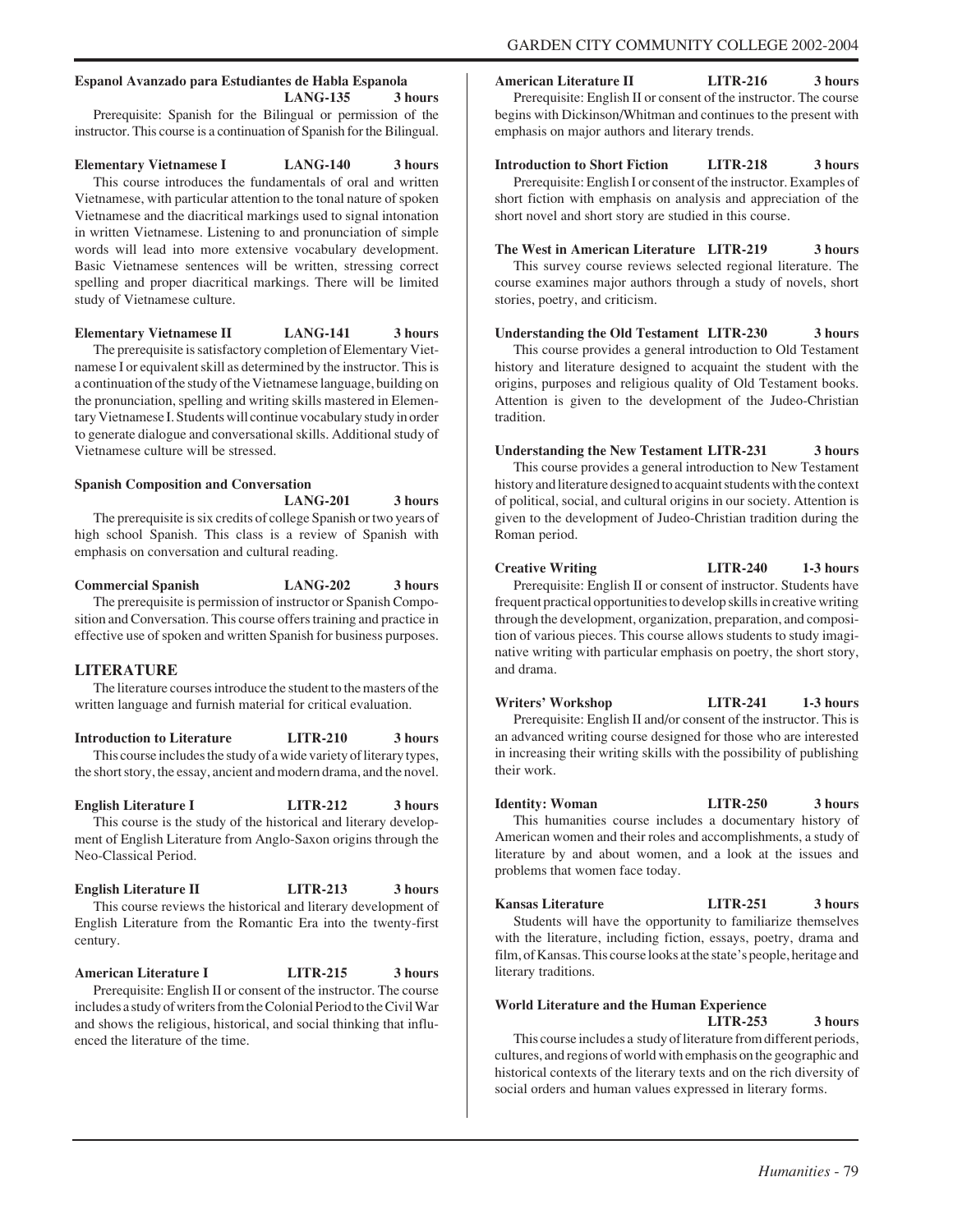#### **Espanol Avanzado para Estudiantes de Habla Espanola LANG-135 3 hours**

Prerequisite: Spanish for the Bilingual or permission of the instructor. This course is a continuation of Spanish for the Bilingual.

**Elementary Vietnamese I LANG-140 3 hours**

This course introduces the fundamentals of oral and written Vietnamese, with particular attention to the tonal nature of spoken Vietnamese and the diacritical markings used to signal intonation in written Vietnamese. Listening to and pronunciation of simple words will lead into more extensive vocabulary development. Basic Vietnamese sentences will be written, stressing correct spelling and proper diacritical markings. There will be limited study of Vietnamese culture.

**Elementary Vietnamese II LANG-141 3 hours**

The prerequisite is satisfactory completion of Elementary Vietnamese I or equivalent skill as determined by the instructor. This is a continuation of the study of the Vietnamese language, building on the pronunciation, spelling and writing skills mastered in Elementary Vietnamese I. Students will continue vocabulary study in order to generate dialogue and conversational skills. Additional study of Vietnamese culture will be stressed.

#### **Spanish Composition and Conversation**

**LANG-201 3 hours** The prerequisite is six credits of college Spanish or two years of high school Spanish. This class is a review of Spanish with emphasis on conversation and cultural reading.

**Commercial Spanish LANG-202 3 hours** The prerequisite is permission of instructor or Spanish Composition and Conversation. This course offers training and practice in effective use of spoken and written Spanish for business purposes.

# **LITERATURE**

The literature courses introduce the student to the masters of the written language and furnish material for critical evaluation.

**Introduction to Literature LITR-210 3 hours** This course includes the study of a wide variety of literary types, the short story, the essay, ancient and modern drama, and the novel.

#### **English Literature I LITR-212 3 hours**

This course is the study of the historical and literary development of English Literature from Anglo-Saxon origins through the Neo-Classical Period.

#### **English Literature II LITR-213 3 hours** This course reviews the historical and literary development of

English Literature from the Romantic Era into the twenty-first century.

**American Literature I LITR-215 3 hours** Prerequisite: English II or consent of the instructor. The course includes a study of writers from the Colonial Period to the Civil War and shows the religious, historical, and social thinking that influenced the literature of the time.

# **American Literature II LITR-216 3 hours**

Prerequisite: English II or consent of the instructor. The course begins with Dickinson/Whitman and continues to the present with emphasis on major authors and literary trends.

# **Introduction to Short Fiction LITR-218 3 hours**

Prerequisite: English I or consent of the instructor. Examples of short fiction with emphasis on analysis and appreciation of the short novel and short story are studied in this course.

# **The West in American Literature LITR-219 3 hours**

This survey course reviews selected regional literature. The course examines major authors through a study of novels, short stories, poetry, and criticism.

**Understanding the Old Testament LITR-230 3 hours**

This course provides a general introduction to Old Testament history and literature designed to acquaint the student with the origins, purposes and religious quality of Old Testament books. Attention is given to the development of the Judeo-Christian tradition.

# **Understanding the New Testament LITR-231 3 hours**

This course provides a general introduction to New Testament history and literature designed to acquaint students with the context of political, social, and cultural origins in our society. Attention is given to the development of Judeo-Christian tradition during the Roman period.

#### **Creative Writing LITR-240 1-3 hours** Prerequisite: English II or consent of instructor. Students have frequent practical opportunities to develop skills in creative writing through the development, organization, preparation, and composition of various pieces. This course allows students to study imaginative writing with particular emphasis on poetry, the short story, and drama.

**Writers' Workshop LITR-241 1-3 hours** Prerequisite: English II and/or consent of the instructor. This is an advanced writing course designed for those who are interested in increasing their writing skills with the possibility of publishing their work.

# **Identity: Woman LITR-250 3 hours**

This humanities course includes a documentary history of American women and their roles and accomplishments, a study of literature by and about women, and a look at the issues and problems that women face today.

# **Kansas Literature LITR-251 3 hours** Students will have the opportunity to familiarize themselves

with the literature, including fiction, essays, poetry, drama and film, of Kansas. This course looks at the state's people, heritage and literary traditions.

# **World Literature and the Human Experience**

**LITR-253 3 hours**

This course includes a study of literature from different periods, cultures, and regions of world with emphasis on the geographic and historical contexts of the literary texts and on the rich diversity of social orders and human values expressed in literary forms.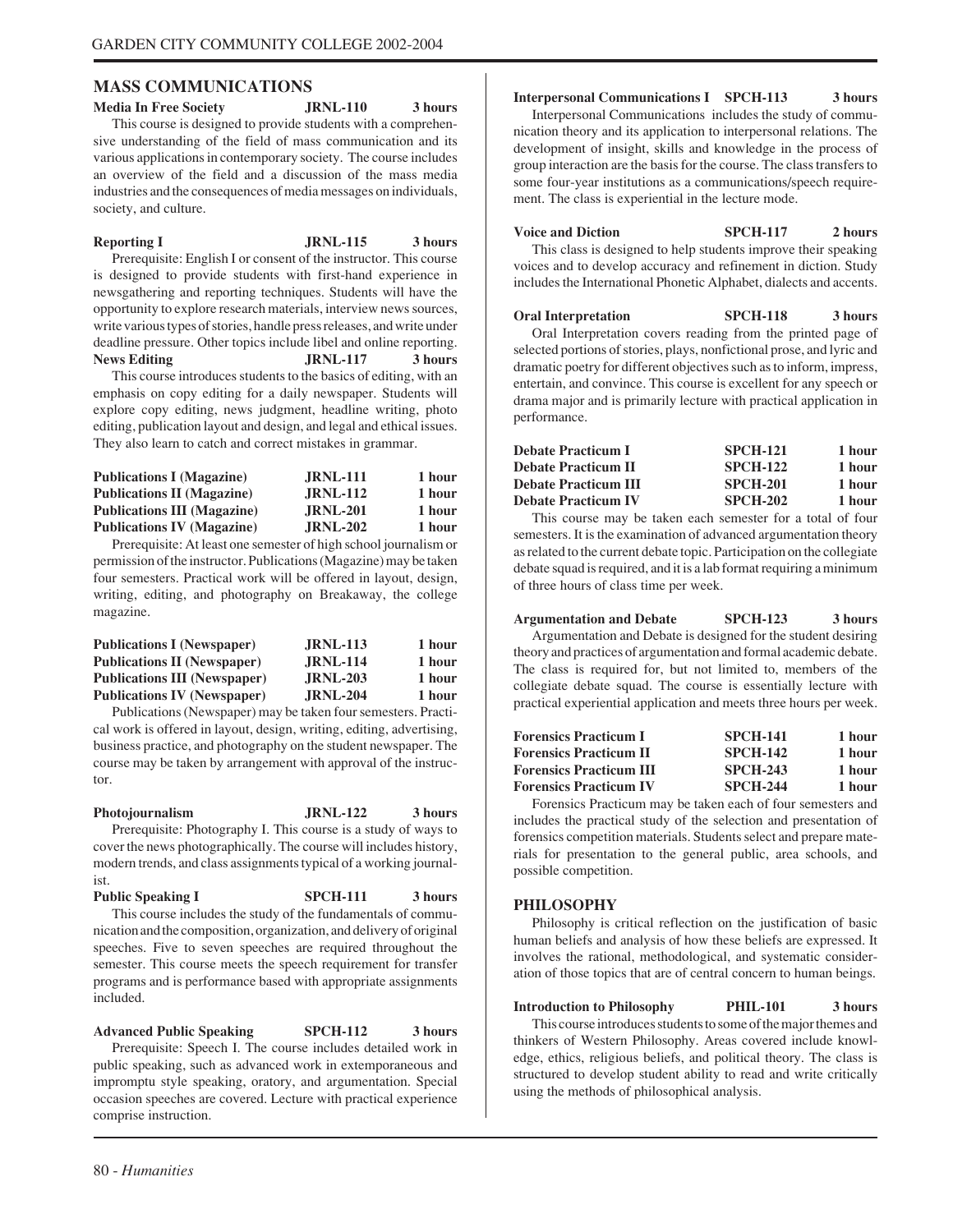## **MASS COMMUNICATIONS**

**Media In Free Society JRNL-110 3 hours** This course is designed to provide students with a comprehensive understanding of the field of mass communication and its various applications in contemporary society. The course includes an overview of the field and a discussion of the mass media industries and the consequences of media messages on individuals, society, and culture.

**Reporting I** JRNL-115 3 hours Prerequisite: English I or consent of the instructor. This course is designed to provide students with first-hand experience in newsgathering and reporting techniques. Students will have the opportunity to explore research materials, interview news sources, write various types of stories, handle press releases, and write under deadline pressure. Other topics include libel and online reporting. **News Editing 5 18 IRNL-117** 3 hours This course introduces students to the basics of editing, with an

emphasis on copy editing for a daily newspaper. Students will explore copy editing, news judgment, headline writing, photo editing, publication layout and design, and legal and ethical issues. They also learn to catch and correct mistakes in grammar.

| <b>Publications I (Magazine)</b>   | <b>JRNL-111</b> | 1 hour |
|------------------------------------|-----------------|--------|
| <b>Publications II (Magazine)</b>  | <b>JRNL-112</b> | 1 hour |
| <b>Publications III (Magazine)</b> | <b>JRNL-201</b> | 1 hour |
| <b>Publications IV (Magazine)</b>  | $JRNL-202$      | 1 hour |

Prerequisite: At least one semester of high school journalism or permission of the instructor. Publications (Magazine) may be taken four semesters. Practical work will be offered in layout, design, writing, editing, and photography on Breakaway, the college magazine.

| <b>Publications I (Newspaper)</b>   | <b>JRNL-113</b> | 1 hour |
|-------------------------------------|-----------------|--------|
| <b>Publications II (Newspaper)</b>  | <b>JRNL-114</b> | 1 hour |
| <b>Publications III (Newspaper)</b> | $JRNL-203$      | 1 hour |
| <b>Publications IV (Newspaper)</b>  | <b>JRNL-204</b> | 1 hour |

Publications (Newspaper) may be taken four semesters. Practical work is offered in layout, design, writing, editing, advertising, business practice, and photography on the student newspaper. The course may be taken by arrangement with approval of the instructor.

#### **Photojournalism JRNL-122 3 hours**

Prerequisite: Photography I. This course is a study of ways to cover the news photographically. The course will includes history, modern trends, and class assignments typical of a working journalist.

# Public Speaking I SPCH-111 3 hours

This course includes the study of the fundamentals of communication and the composition, organization, and delivery of original speeches. Five to seven speeches are required throughout the semester. This course meets the speech requirement for transfer programs and is performance based with appropriate assignments included.

**Advanced Public Speaking SPCH-112 3 hours** Prerequisite: Speech I. The course includes detailed work in public speaking, such as advanced work in extemporaneous and impromptu style speaking, oratory, and argumentation. Special occasion speeches are covered. Lecture with practical experience comprise instruction.

# **Interpersonal Communications I SPCH-113 3 hours**

Interpersonal Communications includes the study of communication theory and its application to interpersonal relations. The development of insight, skills and knowledge in the process of group interaction are the basis for the course. The class transfers to some four-year institutions as a communications/speech requirement. The class is experiential in the lecture mode.

**Voice and Diction SPCH-117 2 hours** This class is designed to help students improve their speaking

voices and to develop accuracy and refinement in diction. Study includes the International Phonetic Alphabet, dialects and accents.

**Oral Interpretation SPCH-118 3 hours** Oral Interpretation covers reading from the printed page of selected portions of stories, plays, nonfictional prose, and lyric and dramatic poetry for different objectives such as to inform, impress, entertain, and convince. This course is excellent for any speech or drama major and is primarily lecture with practical application in performance.

| <b>Debate Practicum I</b>   | <b>SPCH-121</b> | 1 hour |
|-----------------------------|-----------------|--------|
| <b>Debate Practicum II</b>  | <b>SPCH-122</b> | 1 hour |
| <b>Debate Practicum III</b> | <b>SPCH-201</b> | 1 hour |
| <b>Debate Practicum IV</b>  | <b>SPCH-202</b> | 1 hour |

This course may be taken each semester for a total of four semesters. It is the examination of advanced argumentation theory as related to the current debate topic. Participation on the collegiate debate squad is required, and it is a lab format requiring a minimum of three hours of class time per week.

**Argumentation and Debate SPCH-123 3 hours**

Argumentation and Debate is designed for the student desiring theory and practices of argumentation and formal academic debate. The class is required for, but not limited to, members of the collegiate debate squad. The course is essentially lecture with practical experiential application and meets three hours per week.

| <b>Forensics Practicum I</b>   | <b>SPCH-141</b> | 1 hour |
|--------------------------------|-----------------|--------|
| <b>Forensics Practicum II</b>  | <b>SPCH-142</b> | 1 hour |
| <b>Forensics Practicum III</b> | <b>SPCH-243</b> | 1 hour |
| <b>Forensics Practicum IV</b>  | <b>SPCH-244</b> | 1 hour |

Forensics Practicum may be taken each of four semesters and includes the practical study of the selection and presentation of forensics competition materials. Students select and prepare materials for presentation to the general public, area schools, and possible competition.

# **PHILOSOPHY**

Philosophy is critical reflection on the justification of basic human beliefs and analysis of how these beliefs are expressed. It involves the rational, methodological, and systematic consideration of those topics that are of central concern to human beings.

# **Introduction to Philosophy PHIL-101 3 hours**

This course introduces students to some of the major themes and thinkers of Western Philosophy. Areas covered include knowledge, ethics, religious beliefs, and political theory. The class is structured to develop student ability to read and write critically using the methods of philosophical analysis.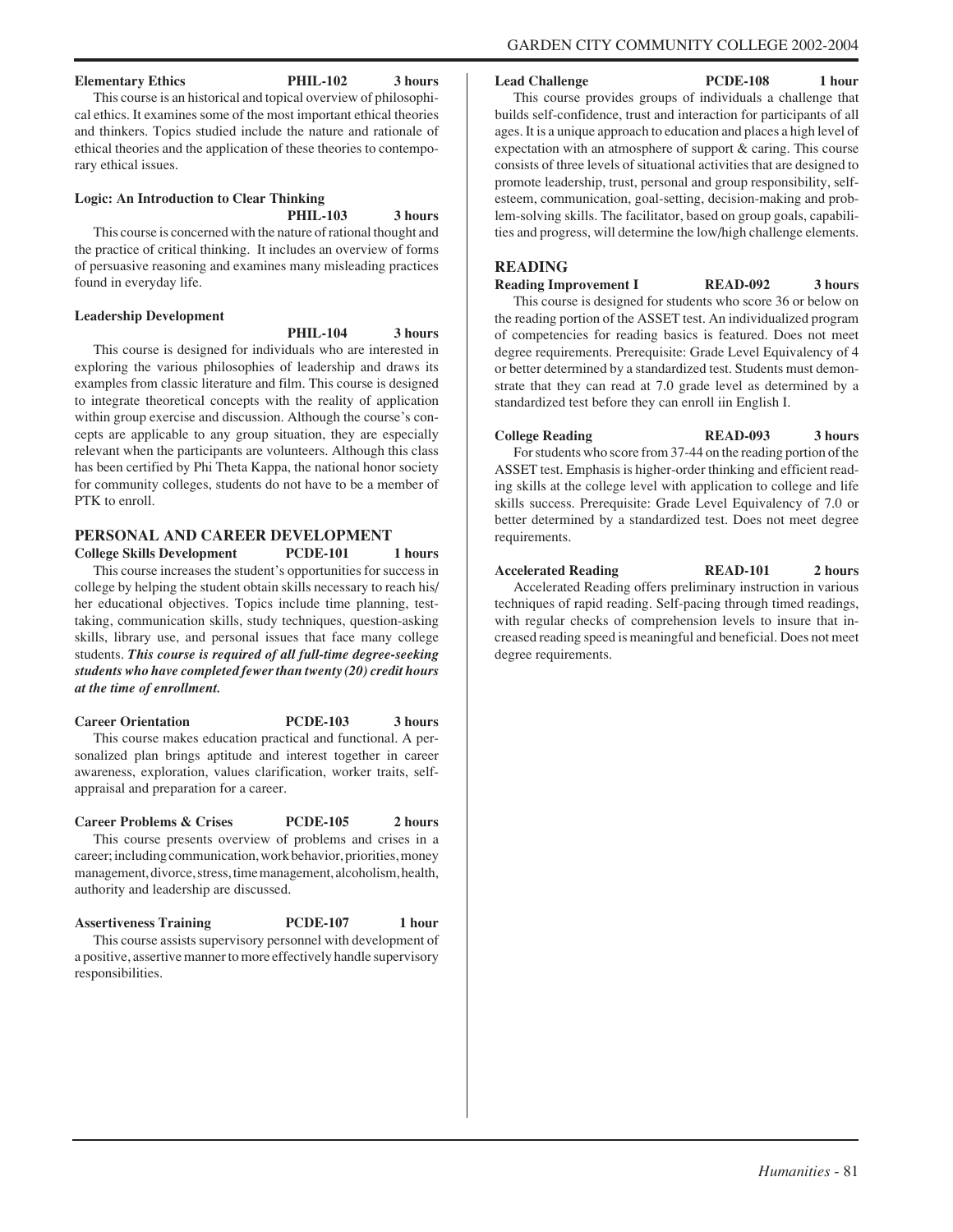#### **Elementary Ethics PHIL-102 3 hours**

This course is an historical and topical overview of philosophical ethics. It examines some of the most important ethical theories and thinkers. Topics studied include the nature and rationale of ethical theories and the application of these theories to contemporary ethical issues.

# **Logic: An Introduction to Clear Thinking**

**PHIL-103 3 hours**

This course is concerned with the nature of rational thought and the practice of critical thinking. It includes an overview of forms of persuasive reasoning and examines many misleading practices found in everyday life.

#### **Leadership Development**

**PHIL-104 3 hours**

This course is designed for individuals who are interested in exploring the various philosophies of leadership and draws its examples from classic literature and film. This course is designed to integrate theoretical concepts with the reality of application within group exercise and discussion. Although the course's concepts are applicable to any group situation, they are especially relevant when the participants are volunteers. Although this class has been certified by Phi Theta Kappa, the national honor society for community colleges, students do not have to be a member of PTK to enroll.

#### **PERSONAL AND CAREER DEVELOPMENT College Skills Development PCDE-101 1 hours**

This course increases the student's opportunities for success in college by helping the student obtain skills necessary to reach his/ her educational objectives. Topics include time planning, testtaking, communication skills, study techniques, question-asking skills, library use, and personal issues that face many college students. *This course is required of all full-time degree-seeking students who have completed fewer than twenty (20) credit hours at the time of enrollment.*

# **Career Orientation PCDE-103 3 hours**

This course makes education practical and functional. A personalized plan brings aptitude and interest together in career awareness, exploration, values clarification, worker traits, selfappraisal and preparation for a career.

#### **Career Problems & Crises PCDE-105 2 hours**

This course presents overview of problems and crises in a career; including communication, work behavior, priorities, money management, divorce, stress, time management, alcoholism, health, authority and leadership are discussed.

# **Assertiveness Training PCDE-107 1 hour**

This course assists supervisory personnel with development of a positive, assertive manner to more effectively handle supervisory responsibilities.

Lead Challenge **PCDE-108** 1 hour

This course provides groups of individuals a challenge that builds self-confidence, trust and interaction for participants of all ages. It is a unique approach to education and places a high level of expectation with an atmosphere of support & caring. This course consists of three levels of situational activities that are designed to promote leadership, trust, personal and group responsibility, selfesteem, communication, goal-setting, decision-making and problem-solving skills. The facilitator, based on group goals, capabilities and progress, will determine the low/high challenge elements.

#### **READING**

**Reading Improvement I READ-092** 3 hours

This course is designed for students who score 36 or below on the reading portion of the ASSET test. An individualized program of competencies for reading basics is featured. Does not meet degree requirements. Prerequisite: Grade Level Equivalency of 4 or better determined by a standardized test. Students must demonstrate that they can read at 7.0 grade level as determined by a standardized test before they can enroll iin English I.

#### **College Reading READ-093 3 hours**

For students who score from 37-44 on the reading portion of the ASSET test. Emphasis is higher-order thinking and efficient reading skills at the college level with application to college and life skills success. Prerequisite: Grade Level Equivalency of 7.0 or better determined by a standardized test. Does not meet degree requirements.

# **Accelerated Reading READ-101 2 hours**

Accelerated Reading offers preliminary instruction in various techniques of rapid reading. Self-pacing through timed readings, with regular checks of comprehension levels to insure that increased reading speed is meaningful and beneficial. Does not meet degree requirements.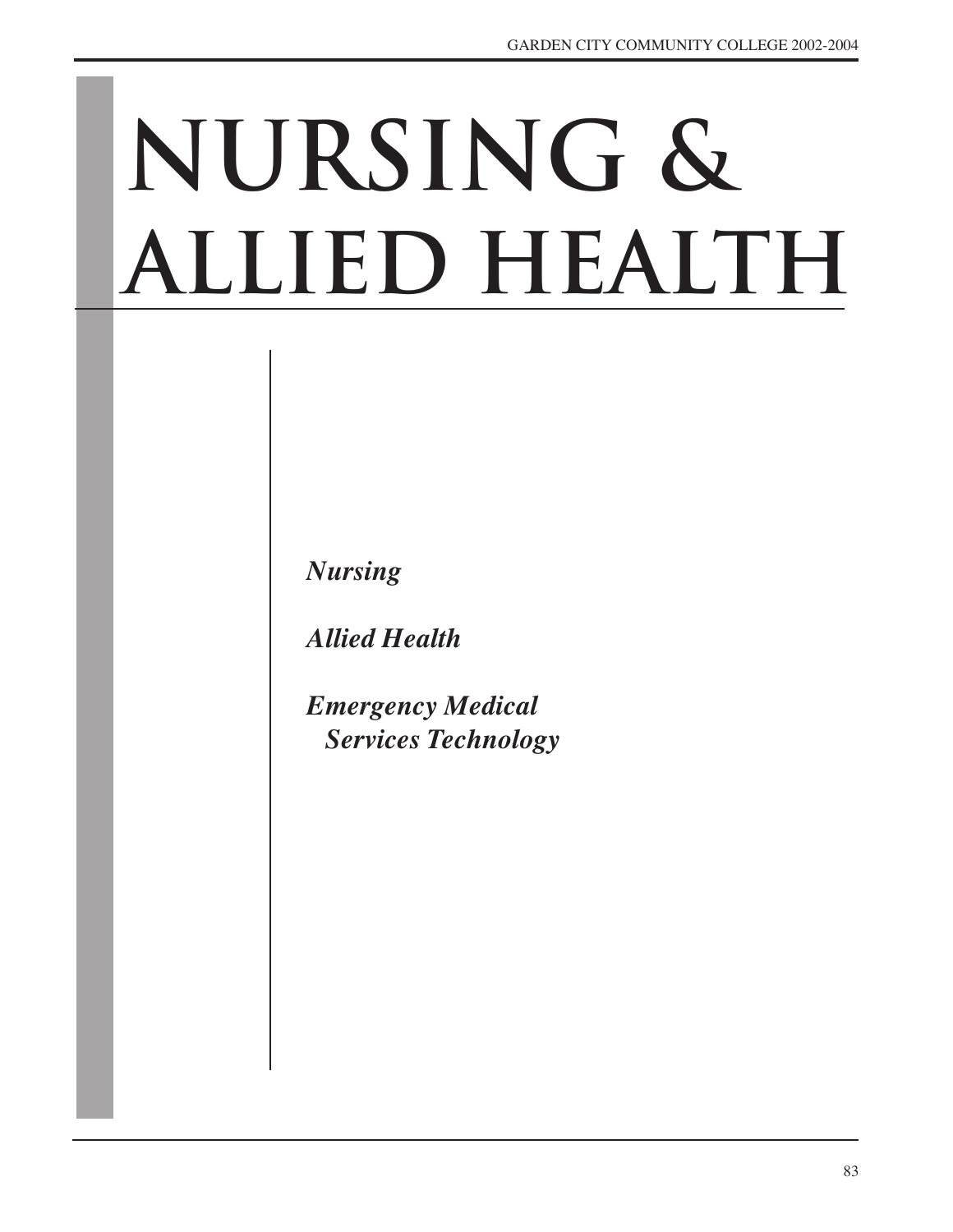# **Nursing & Allied Health**

*Nursing*

*Allied Health*

*Emergency Medical Services Technology*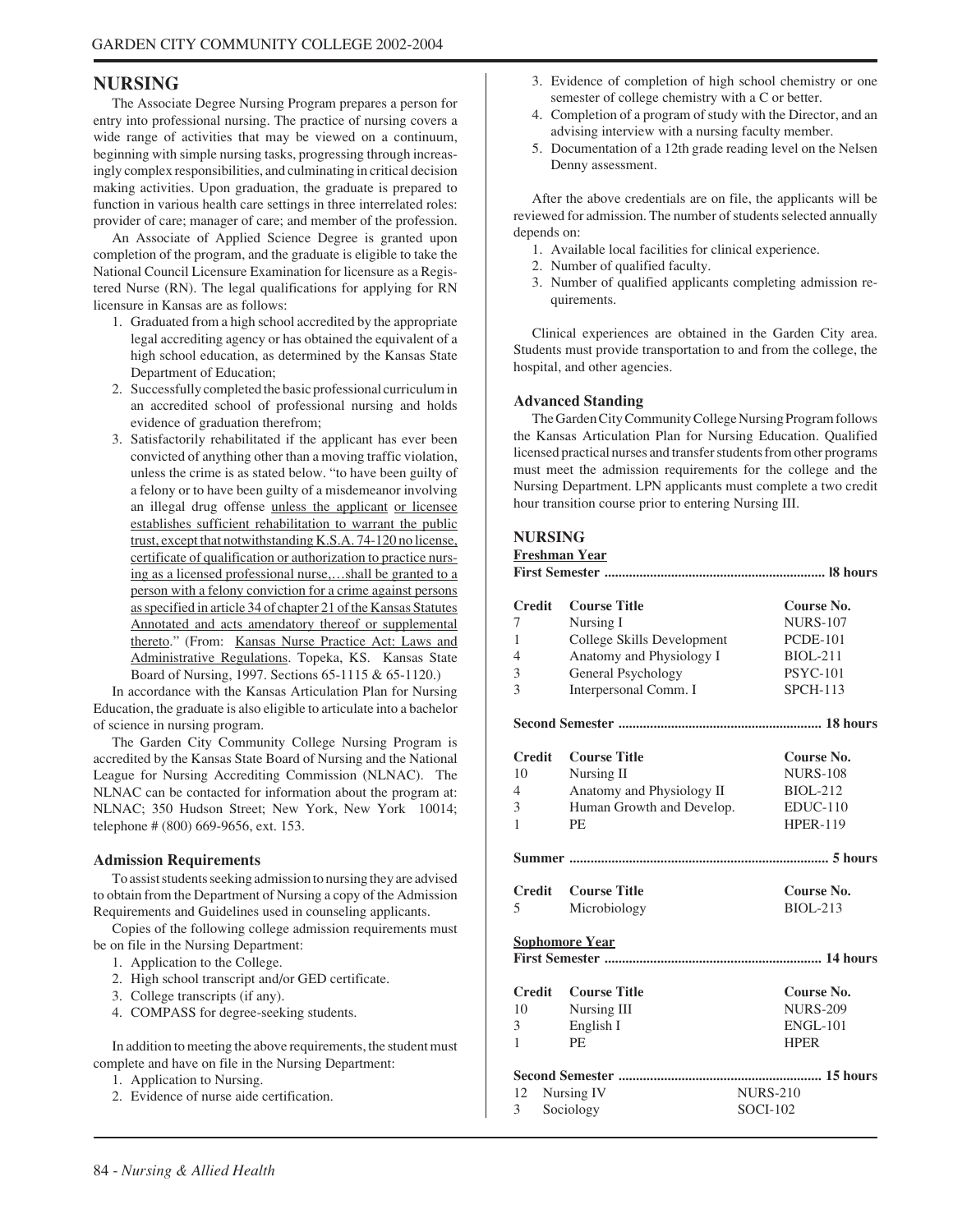# **NURSING**

The Associate Degree Nursing Program prepares a person for entry into professional nursing. The practice of nursing covers a wide range of activities that may be viewed on a continuum, beginning with simple nursing tasks, progressing through increasingly complex responsibilities, and culminating in critical decision making activities. Upon graduation, the graduate is prepared to function in various health care settings in three interrelated roles: provider of care; manager of care; and member of the profession.

An Associate of Applied Science Degree is granted upon completion of the program, and the graduate is eligible to take the National Council Licensure Examination for licensure as a Registered Nurse (RN). The legal qualifications for applying for RN licensure in Kansas are as follows:

- 1. Graduated from a high school accredited by the appropriate legal accrediting agency or has obtained the equivalent of a high school education, as determined by the Kansas State Department of Education;
- 2. Successfully completed the basic professional curriculum in an accredited school of professional nursing and holds evidence of graduation therefrom;
- 3. Satisfactorily rehabilitated if the applicant has ever been convicted of anything other than a moving traffic violation, unless the crime is as stated below. "to have been guilty of a felony or to have been guilty of a misdemeanor involving an illegal drug offense unless the applicant or licensee establishes sufficient rehabilitation to warrant the public trust, except that notwithstanding K.S.A. 74-120 no license, certificate of qualification or authorization to practice nursing as a licensed professional nurse,…shall be granted to a person with a felony conviction for a crime against persons as specified in article 34 of chapter 21 of the Kansas Statutes Annotated and acts amendatory thereof or supplemental thereto." (From: Kansas Nurse Practice Act: Laws and Administrative Regulations. Topeka, KS. Kansas State Board of Nursing, 1997. Sections 65-1115 & 65-1120.)

In accordance with the Kansas Articulation Plan for Nursing Education, the graduate is also eligible to articulate into a bachelor of science in nursing program.

The Garden City Community College Nursing Program is accredited by the Kansas State Board of Nursing and the National League for Nursing Accrediting Commission (NLNAC). The NLNAC can be contacted for information about the program at: NLNAC; 350 Hudson Street; New York, New York 10014; telephone # (800) 669-9656, ext. 153.

#### **Admission Requirements**

To assist students seeking admission to nursing they are advised to obtain from the Department of Nursing a copy of the Admission Requirements and Guidelines used in counseling applicants.

Copies of the following college admission requirements must be on file in the Nursing Department:

- 1. Application to the College.
- 2. High school transcript and/or GED certificate.
- 3. College transcripts (if any).
- 4. COMPASS for degree-seeking students.

In addition to meeting the above requirements, the student must complete and have on file in the Nursing Department:

- 1. Application to Nursing.
- 2. Evidence of nurse aide certification.
- 3. Evidence of completion of high school chemistry or one semester of college chemistry with a C or better.
- 4. Completion of a program of study with the Director, and an advising interview with a nursing faculty member.
- 5. Documentation of a 12th grade reading level on the Nelsen Denny assessment.

After the above credentials are on file, the applicants will be reviewed for admission. The number of students selected annually depends on:

- 1. Available local facilities for clinical experience.
- 2. Number of qualified faculty.
- 3. Number of qualified applicants completing admission requirements.

Clinical experiences are obtained in the Garden City area. Students must provide transportation to and from the college, the hospital, and other agencies.

#### **Advanced Standing**

The Garden City Community College Nursing Program follows the Kansas Articulation Plan for Nursing Education. Qualified licensed practical nurses and transfer students from other programs must meet the admission requirements for the college and the Nursing Department. LPN applicants must complete a two credit hour transition course prior to entering Nursing III.

# **NURSING**

| <b>Freshman Year</b>  |                            |                 |  |
|-----------------------|----------------------------|-----------------|--|
|                       |                            |                 |  |
|                       |                            |                 |  |
| <b>Credit</b>         | <b>Course Title</b>        | Course No.      |  |
| 7                     | Nursing I                  | <b>NURS-107</b> |  |
| 1                     | College Skills Development | <b>PCDE-101</b> |  |
| 4                     | Anatomy and Physiology I   | <b>BIOL-211</b> |  |
| 3                     | <b>General Psychology</b>  | <b>PSYC-101</b> |  |
| 3                     | Interpersonal Comm. I      | <b>SPCH-113</b> |  |
|                       |                            |                 |  |
| <b>Credit</b>         | <b>Course Title</b>        | Course No.      |  |
| 10                    | Nursing II                 | <b>NURS-108</b> |  |
| 4                     | Anatomy and Physiology II  | <b>BIOL-212</b> |  |
| 3                     | Human Growth and Develop.  | $EDUC-110$      |  |
| 1                     | <b>PE</b>                  | <b>HPER-119</b> |  |
|                       |                            |                 |  |
| <b>Credit</b>         | <b>Course Title</b>        | Course No.      |  |
| 5                     | Microbiology               | <b>BIOL-213</b> |  |
| <b>Sophomore Year</b> |                            |                 |  |
|                       |                            |                 |  |
| <b>Credit</b>         | <b>Course Title</b>        | Course No.      |  |
| 10                    | Nursing III                | <b>NURS-209</b> |  |
| 3                     | English I                  | <b>ENGL-101</b> |  |
| 1                     | <b>PE</b>                  | <b>HPER</b>     |  |
|                       |                            |                 |  |
| 12                    | Nursing IV                 | <b>NURS-210</b> |  |
| 3                     | Sociology                  | <b>SOCI-102</b> |  |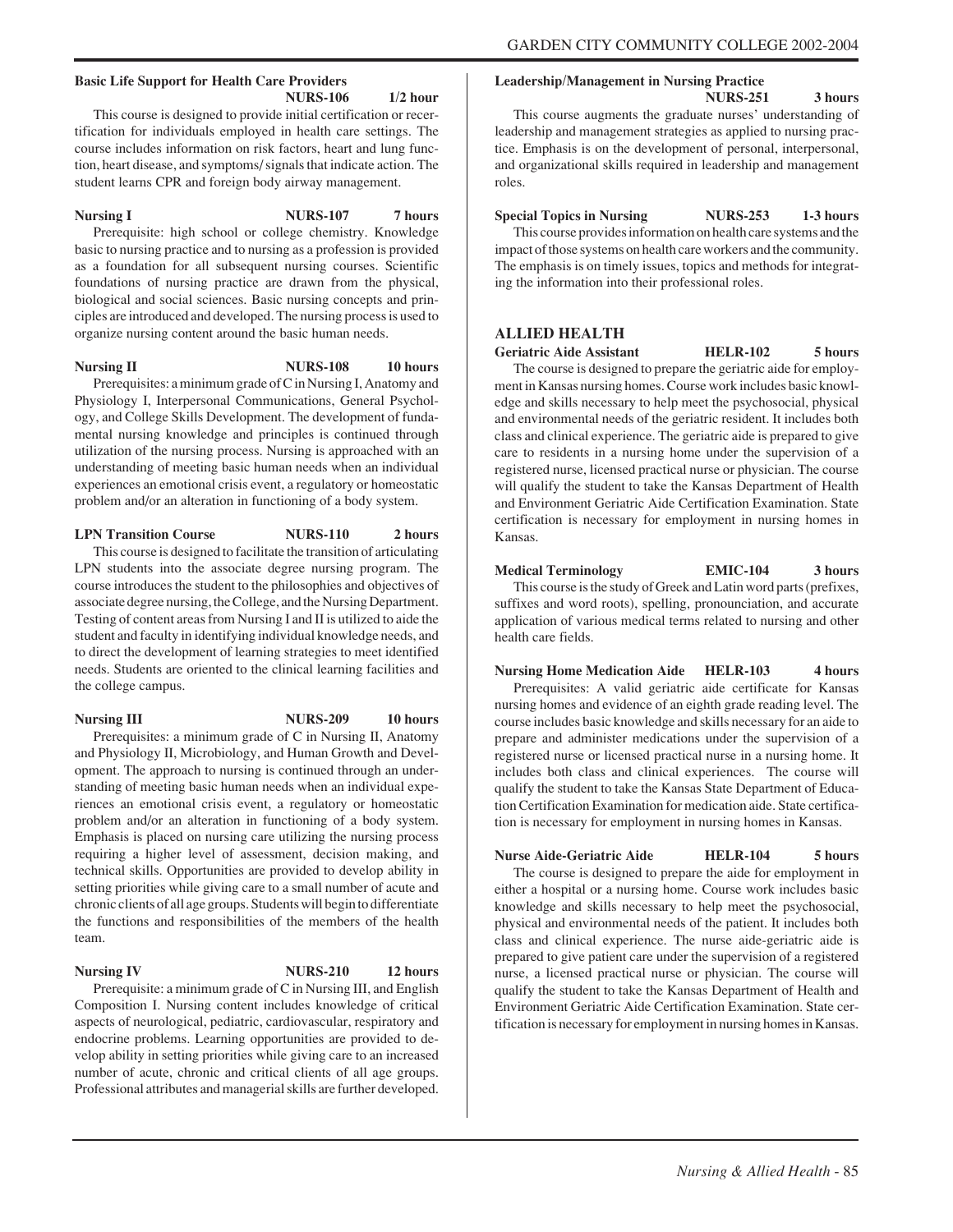#### **Basic Life Support for Health Care Providers NURS-106 1/2 hour**

This course is designed to provide initial certification or recertification for individuals employed in health care settings. The course includes information on risk factors, heart and lung function, heart disease, and symptoms/ signals that indicate action. The student learns CPR and foreign body airway management.

**Nursing I NURS-107** 7 hours

Prerequisite: high school or college chemistry. Knowledge basic to nursing practice and to nursing as a profession is provided as a foundation for all subsequent nursing courses. Scientific foundations of nursing practice are drawn from the physical, biological and social sciences. Basic nursing concepts and principles are introduced and developed. The nursing process is used to organize nursing content around the basic human needs.

**NURS-108** 10 hours

Prerequisites: a minimum grade of C in Nursing I, Anatomy and Physiology I, Interpersonal Communications, General Psychology, and College Skills Development. The development of fundamental nursing knowledge and principles is continued through utilization of the nursing process. Nursing is approached with an understanding of meeting basic human needs when an individual experiences an emotional crisis event, a regulatory or homeostatic problem and/or an alteration in functioning of a body system.

**LPN Transition Course NURS-110 2 hours** This course is designed to facilitate the transition of articulating LPN students into the associate degree nursing program. The course introduces the student to the philosophies and objectives of associate degree nursing, the College, and the Nursing Department. Testing of content areas from Nursing I and II is utilized to aide the student and faculty in identifying individual knowledge needs, and to direct the development of learning strategies to meet identified needs. Students are oriented to the clinical learning facilities and

the college campus. **Nursing III** NURS-209 10 hours

Prerequisites: a minimum grade of C in Nursing II, Anatomy and Physiology II, Microbiology, and Human Growth and Development. The approach to nursing is continued through an understanding of meeting basic human needs when an individual experiences an emotional crisis event, a regulatory or homeostatic problem and/or an alteration in functioning of a body system. Emphasis is placed on nursing care utilizing the nursing process requiring a higher level of assessment, decision making, and technical skills. Opportunities are provided to develop ability in setting priorities while giving care to a small number of acute and chronic clients of all age groups. Students will begin to differentiate the functions and responsibilities of the members of the health team.

#### **Nursing IV NURS-210 12 hours**

Prerequisite: a minimum grade of C in Nursing III, and English Composition I. Nursing content includes knowledge of critical aspects of neurological, pediatric, cardiovascular, respiratory and endocrine problems. Learning opportunities are provided to develop ability in setting priorities while giving care to an increased number of acute, chronic and critical clients of all age groups. Professional attributes and managerial skills are further developed.

#### **Leadership/Management in Nursing Practice NURS-251 3 hours**

This course augments the graduate nurses' understanding of leadership and management strategies as applied to nursing practice. Emphasis is on the development of personal, interpersonal, and organizational skills required in leadership and management roles.

**Special Topics in Nursing NURS-253 1-3 hours**

This course provides information on health care systems and the impact of those systems on health care workers and the community. The emphasis is on timely issues, topics and methods for integrating the information into their professional roles.

## **ALLIED HEALTH**

**Geriatric Aide Assistant HELR-102 5 hours**

The course is designed to prepare the geriatric aide for employment in Kansas nursing homes. Course work includes basic knowledge and skills necessary to help meet the psychosocial, physical and environmental needs of the geriatric resident. It includes both class and clinical experience. The geriatric aide is prepared to give care to residents in a nursing home under the supervision of a registered nurse, licensed practical nurse or physician. The course will qualify the student to take the Kansas Department of Health and Environment Geriatric Aide Certification Examination. State certification is necessary for employment in nursing homes in Kansas.

**Medical Terminology EMIC-104 3 hours** This course is the study of Greek and Latin word parts (prefixes, suffixes and word roots), spelling, pronounciation, and accurate application of various medical terms related to nursing and other health care fields.

**Nursing Home Medication Aide HELR-103 4 hours** Prerequisites: A valid geriatric aide certificate for Kansas nursing homes and evidence of an eighth grade reading level. The course includes basic knowledge and skills necessary for an aide to prepare and administer medications under the supervision of a registered nurse or licensed practical nurse in a nursing home. It includes both class and clinical experiences. The course will qualify the student to take the Kansas State Department of Education Certification Examination for medication aide. State certification is necessary for employment in nursing homes in Kansas.

**Nurse Aide-Geriatric Aide HELR-104 5 hours** The course is designed to prepare the aide for employment in either a hospital or a nursing home. Course work includes basic knowledge and skills necessary to help meet the psychosocial, physical and environmental needs of the patient. It includes both class and clinical experience. The nurse aide-geriatric aide is prepared to give patient care under the supervision of a registered nurse, a licensed practical nurse or physician. The course will qualify the student to take the Kansas Department of Health and Environment Geriatric Aide Certification Examination. State certification is necessary for employment in nursing homes in Kansas.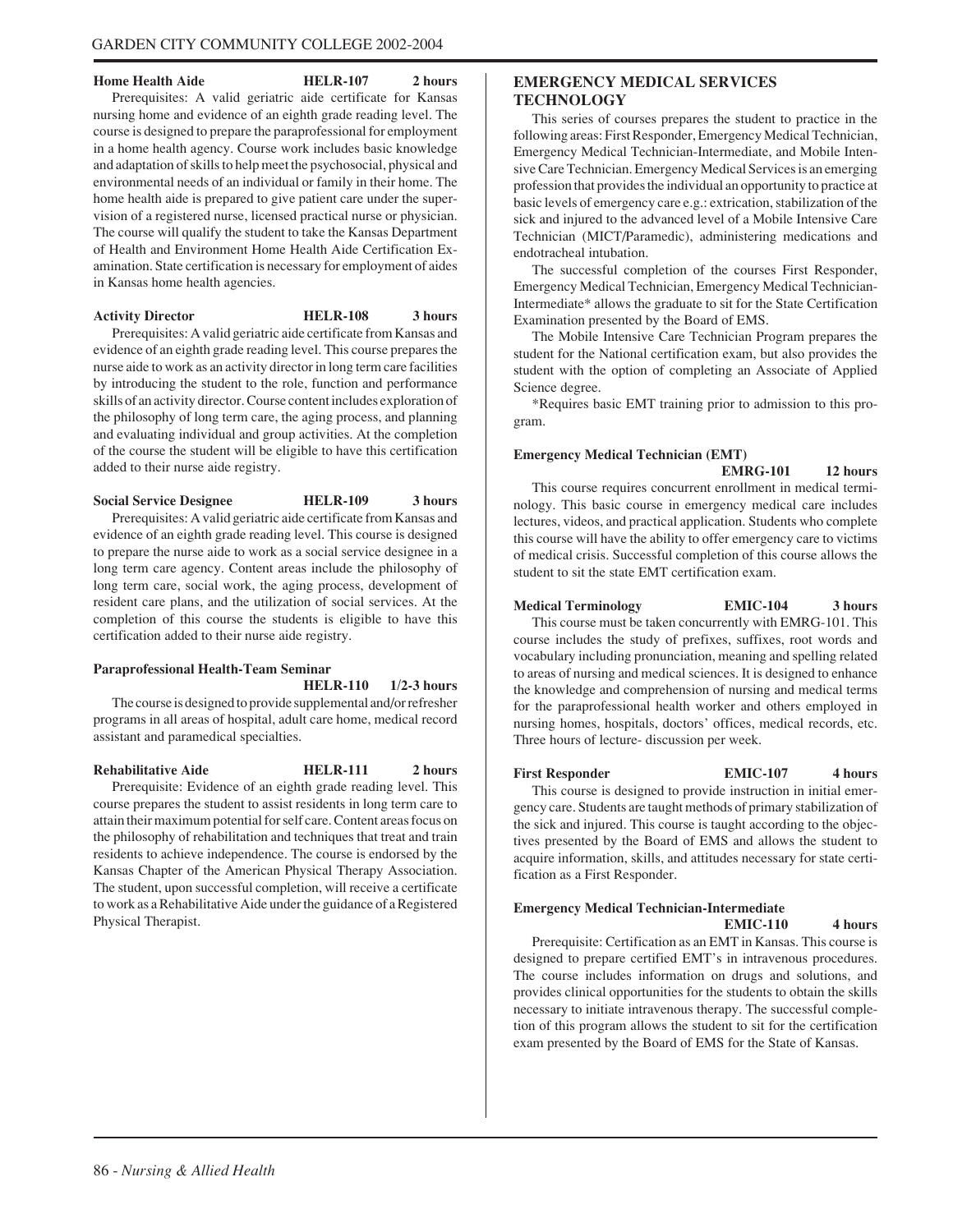#### **Home Health Aide HELR-107 2 hours**

Prerequisites: A valid geriatric aide certificate for Kansas nursing home and evidence of an eighth grade reading level. The course is designed to prepare the paraprofessional for employment in a home health agency. Course work includes basic knowledge and adaptation of skills to help meet the psychosocial, physical and environmental needs of an individual or family in their home. The home health aide is prepared to give patient care under the supervision of a registered nurse, licensed practical nurse or physician. The course will qualify the student to take the Kansas Department of Health and Environment Home Health Aide Certification Examination. State certification is necessary for employment of aides in Kansas home health agencies.

**Activity Director HELR-108 3 hours** Prerequisites: A valid geriatric aide certificate from Kansas and

evidence of an eighth grade reading level. This course prepares the nurse aide to work as an activity director in long term care facilities by introducing the student to the role, function and performance skills of an activity director. Course content includes exploration of the philosophy of long term care, the aging process, and planning and evaluating individual and group activities. At the completion of the course the student will be eligible to have this certification added to their nurse aide registry.

#### **Social Service Designee HELR-109 3 hours**

Prerequisites: A valid geriatric aide certificate from Kansas and evidence of an eighth grade reading level. This course is designed to prepare the nurse aide to work as a social service designee in a long term care agency. Content areas include the philosophy of long term care, social work, the aging process, development of resident care plans, and the utilization of social services. At the completion of this course the students is eligible to have this certification added to their nurse aide registry.

#### **Paraprofessional Health-Team Seminar**

**HELR-110 1/2-3 hours** The course is designed to provide supplemental and/or refresher programs in all areas of hospital, adult care home, medical record assistant and paramedical specialties.

#### **Rehabilitative Aide HELR-111 2 hours**

Prerequisite: Evidence of an eighth grade reading level. This

course prepares the student to assist residents in long term care to attain their maximum potential for self care. Content areas focus on the philosophy of rehabilitation and techniques that treat and train residents to achieve independence. The course is endorsed by the Kansas Chapter of the American Physical Therapy Association. The student, upon successful completion, will receive a certificate to work as a Rehabilitative Aide under the guidance of a Registered Physical Therapist.

# **EMERGENCY MEDICAL SERVICES TECHNOLOGY**

This series of courses prepares the student to practice in the following areas: First Responder, Emergency Medical Technician, Emergency Medical Technician-Intermediate, and Mobile Intensive Care Technician. Emergency Medical Services is an emerging profession that provides the individual an opportunity to practice at basic levels of emergency care e.g.: extrication, stabilization of the sick and injured to the advanced level of a Mobile Intensive Care Technician (MICT/Paramedic), administering medications and endotracheal intubation.

The successful completion of the courses First Responder, Emergency Medical Technician, Emergency Medical Technician-Intermediate\* allows the graduate to sit for the State Certification Examination presented by the Board of EMS.

The Mobile Intensive Care Technician Program prepares the student for the National certification exam, but also provides the student with the option of completing an Associate of Applied Science degree.

\*Requires basic EMT training prior to admission to this program.

## **Emergency Medical Technician (EMT)**

**EMRG-101 12 hours** This course requires concurrent enrollment in medical terminology. This basic course in emergency medical care includes lectures, videos, and practical application. Students who complete this course will have the ability to offer emergency care to victims of medical crisis. Successful completion of this course allows the student to sit the state EMT certification exam.

# **Medical Terminology EMIC-104 3 hours**

This course must be taken concurrently with EMRG-101. This course includes the study of prefixes, suffixes, root words and vocabulary including pronunciation, meaning and spelling related to areas of nursing and medical sciences. It is designed to enhance the knowledge and comprehension of nursing and medical terms for the paraprofessional health worker and others employed in nursing homes, hospitals, doctors' offices, medical records, etc. Three hours of lecture- discussion per week.

**First Responder EMIC-107 4 hours**

This course is designed to provide instruction in initial emergency care. Students are taught methods of primary stabilization of the sick and injured. This course is taught according to the objectives presented by the Board of EMS and allows the student to acquire information, skills, and attitudes necessary for state certification as a First Responder.

# **Emergency Medical Technician-Intermediate**

**EMIC-110 4 hours**

Prerequisite: Certification as an EMT in Kansas. This course is designed to prepare certified EMT's in intravenous procedures. The course includes information on drugs and solutions, and provides clinical opportunities for the students to obtain the skills necessary to initiate intravenous therapy. The successful completion of this program allows the student to sit for the certification exam presented by the Board of EMS for the State of Kansas.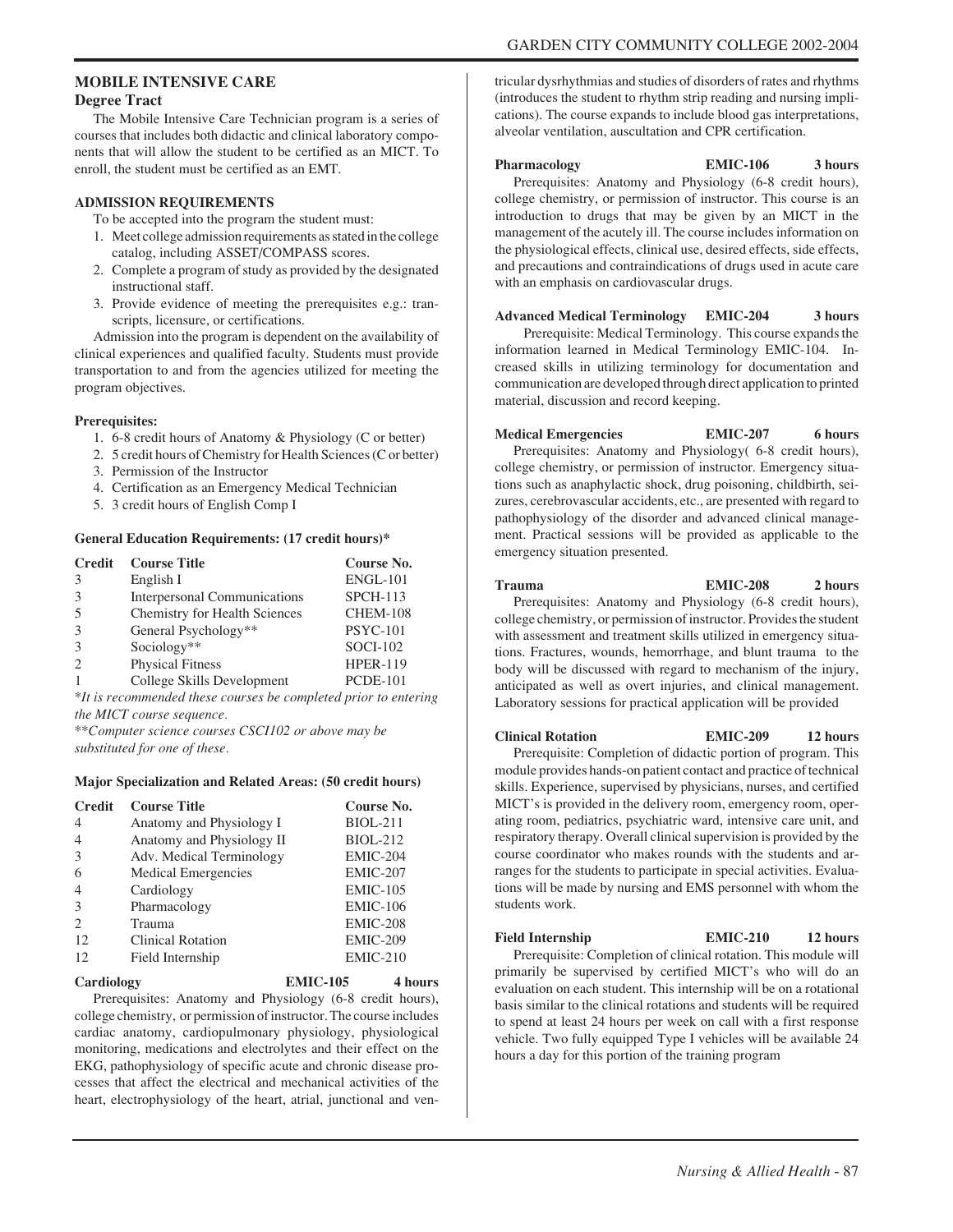#### **MOBILE INTENSIVE CARE Degree Tract**

The Mobile Intensive Care Technician program is a series of courses that includes both didactic and clinical laboratory components that will allow the student to be certified as an MICT. To enroll, the student must be certified as an EMT.

#### **ADMISSION REQUIREMENTS**

To be accepted into the program the student must:

- 1. Meet college admission requirements as stated in the college catalog, including ASSET/COMPASS scores.
- 2. Complete a program of study as provided by the designated instructional staff.
- 3. Provide evidence of meeting the prerequisites e.g.: transcripts, licensure, or certifications.

Admission into the program is dependent on the availability of clinical experiences and qualified faculty. Students must provide transportation to and from the agencies utilized for meeting the program objectives.

#### **Prerequisites:**

- 1. 6-8 credit hours of Anatomy & Physiology (C or better)
- 2. 5 credit hours of Chemistry for Health Sciences (C or better)
- 3. Permission of the Instructor
- 4. Certification as an Emergency Medical Technician
- 5. 3 credit hours of English Comp I

#### **General Education Requirements: (17 credit hours)\***

| Credit        | <b>Course Title</b>                 | Course No.      |
|---------------|-------------------------------------|-----------------|
| $\mathcal{F}$ | English I                           | $ENGL-101$      |
| $\mathbf{R}$  | <b>Interpersonal Communications</b> | $SPCH-113$      |
|               | Chemistry for Health Sciences       | CHEM-108        |
| 3             | General Psychology**                | <b>PSYC-101</b> |
| $\mathbf 3$   | Sociology**                         | <b>SOCI-102</b> |
|               | <b>Physical Fitness</b>             | <b>HPER-119</b> |
|               | College Skills Development          | <b>PCDE-101</b> |

*\*It is recommended these courses be completed prior to entering the MICT course sequence.*

*\*\*Computer science courses CSCI102 or above may be substituted for one of these.*

#### **Major Specialization and Related Areas: (50 credit hours)**

| <b>Credit</b> | <b>Course Title</b>       | Course No.      |
|---------------|---------------------------|-----------------|
| 4             | Anatomy and Physiology I  | <b>BIOL-211</b> |
|               | Anatomy and Physiology II | <b>BIOL-212</b> |
| 3             | Adv. Medical Terminology  | EMIC-204        |
| 6             | Medical Emergencies       | EMIC-207        |
|               | Cardiology                | <b>EMIC-105</b> |
|               | Pharmacology              | <b>EMIC-106</b> |
|               | Trauma                    | EMIC-208        |
| 12            | Clinical Rotation         | <b>EMIC-209</b> |
| 12            | Field Internship          | $EMIC-210$      |

**Cardiology EMIC-105 4 hours**

Prerequisites: Anatomy and Physiology (6-8 credit hours), college chemistry, or permission of instructor. The course includes cardiac anatomy, cardiopulmonary physiology, physiological monitoring, medications and electrolytes and their effect on the EKG, pathophysiology of specific acute and chronic disease processes that affect the electrical and mechanical activities of the heart, electrophysiology of the heart, atrial, junctional and ventricular dysrhythmias and studies of disorders of rates and rhythms (introduces the student to rhythm strip reading and nursing implications). The course expands to include blood gas interpretations, alveolar ventilation, auscultation and CPR certification.

#### **Pharmacology EMIC-106 3 hours**

Prerequisites: Anatomy and Physiology (6-8 credit hours), college chemistry, or permission of instructor. This course is an introduction to drugs that may be given by an MICT in the management of the acutely ill. The course includes information on the physiological effects, clinical use, desired effects, side effects, and precautions and contraindications of drugs used in acute care with an emphasis on cardiovascular drugs.

## **Advanced Medical Terminology EMIC-204 3 hours**

 Prerequisite: Medical Terminology. This course expands the information learned in Medical Terminology EMIC-104. Increased skills in utilizing terminology for documentation and communication are developed through direct application to printed material, discussion and record keeping.

# **Medical Emergencies EMIC-207 6 hours**

Prerequisites: Anatomy and Physiology( 6-8 credit hours), college chemistry, or permission of instructor. Emergency situations such as anaphylactic shock, drug poisoning, childbirth, seizures, cerebrovascular accidents, etc., are presented with regard to pathophysiology of the disorder and advanced clinical management. Practical sessions will be provided as applicable to the emergency situation presented.

**Trauma EMIC-208 2 hours**

Prerequisites: Anatomy and Physiology (6-8 credit hours), college chemistry, or permission of instructor. Provides the student with assessment and treatment skills utilized in emergency situations. Fractures, wounds, hemorrhage, and blunt trauma to the body will be discussed with regard to mechanism of the injury, anticipated as well as overt injuries, and clinical management. Laboratory sessions for practical application will be provided

**Clinical Rotation EMIC-209 12 hours** Prerequisite: Completion of didactic portion of program. This module provides hands-on patient contact and practice of technical skills. Experience, supervised by physicians, nurses, and certified MICT's is provided in the delivery room, emergency room, operating room, pediatrics, psychiatric ward, intensive care unit, and respiratory therapy. Overall clinical supervision is provided by the course coordinator who makes rounds with the students and arranges for the students to participate in special activities. Evaluations will be made by nursing and EMS personnel with whom the students work.

#### Field Internship **EMIC-210** 12 hours

Prerequisite: Completion of clinical rotation. This module will primarily be supervised by certified MICT's who will do an evaluation on each student. This internship will be on a rotational basis similar to the clinical rotations and students will be required to spend at least 24 hours per week on call with a first response vehicle. Two fully equipped Type I vehicles will be available 24 hours a day for this portion of the training program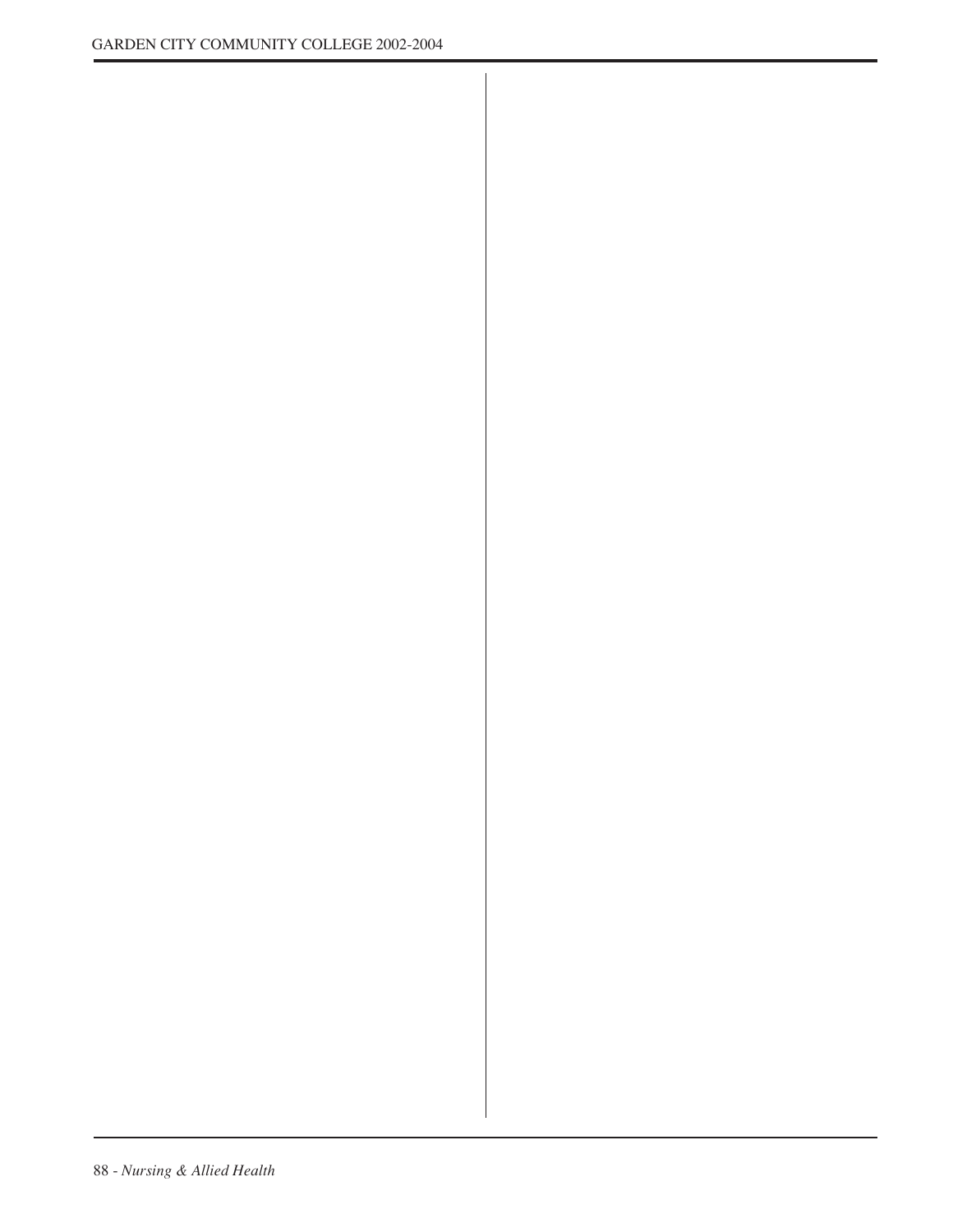88 - *Nursing & Allied Health*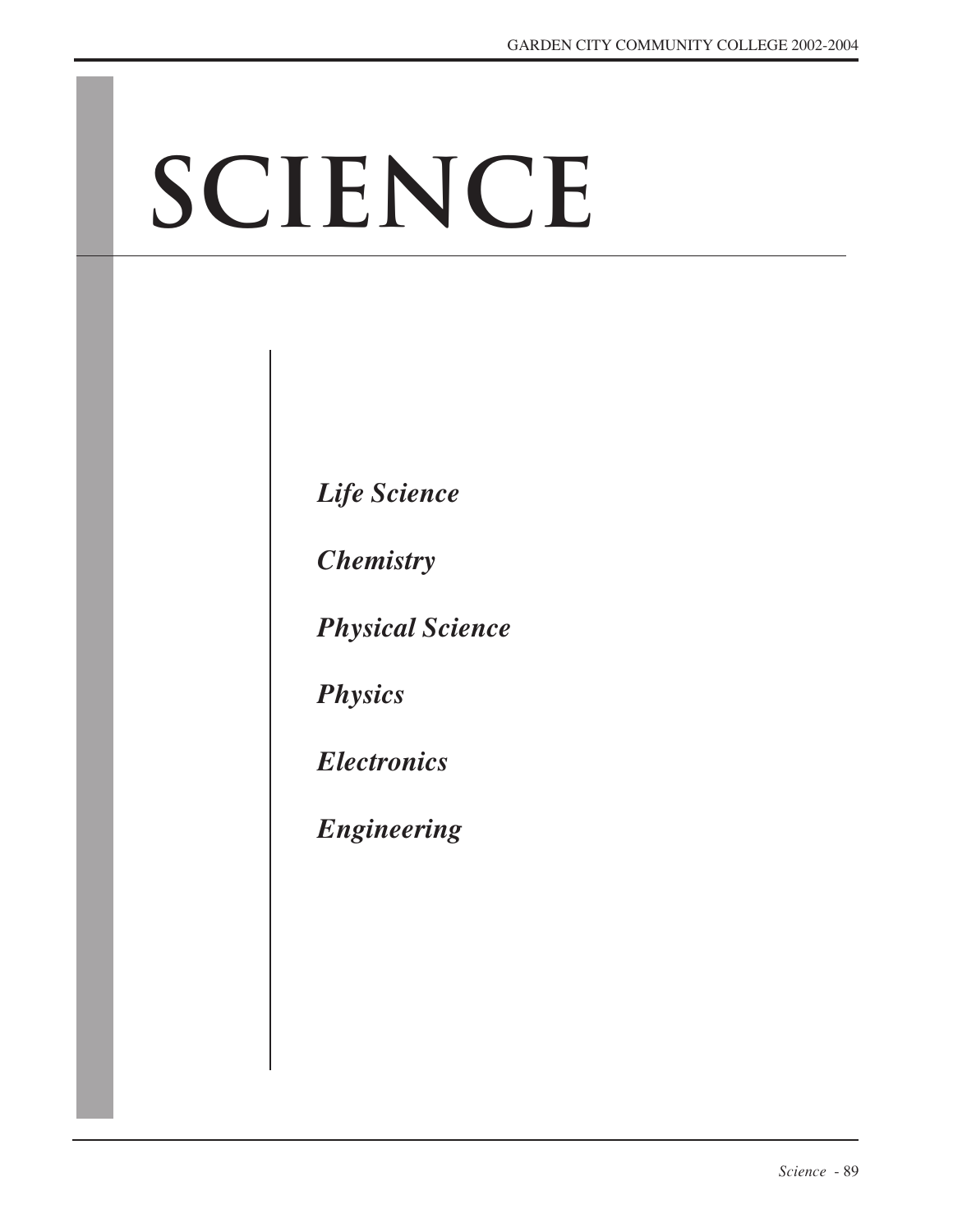# SCIENCE

*Life Science*

*Chemistry*

*Physical Science*

*Physics*

*Electronics*

*Engineering*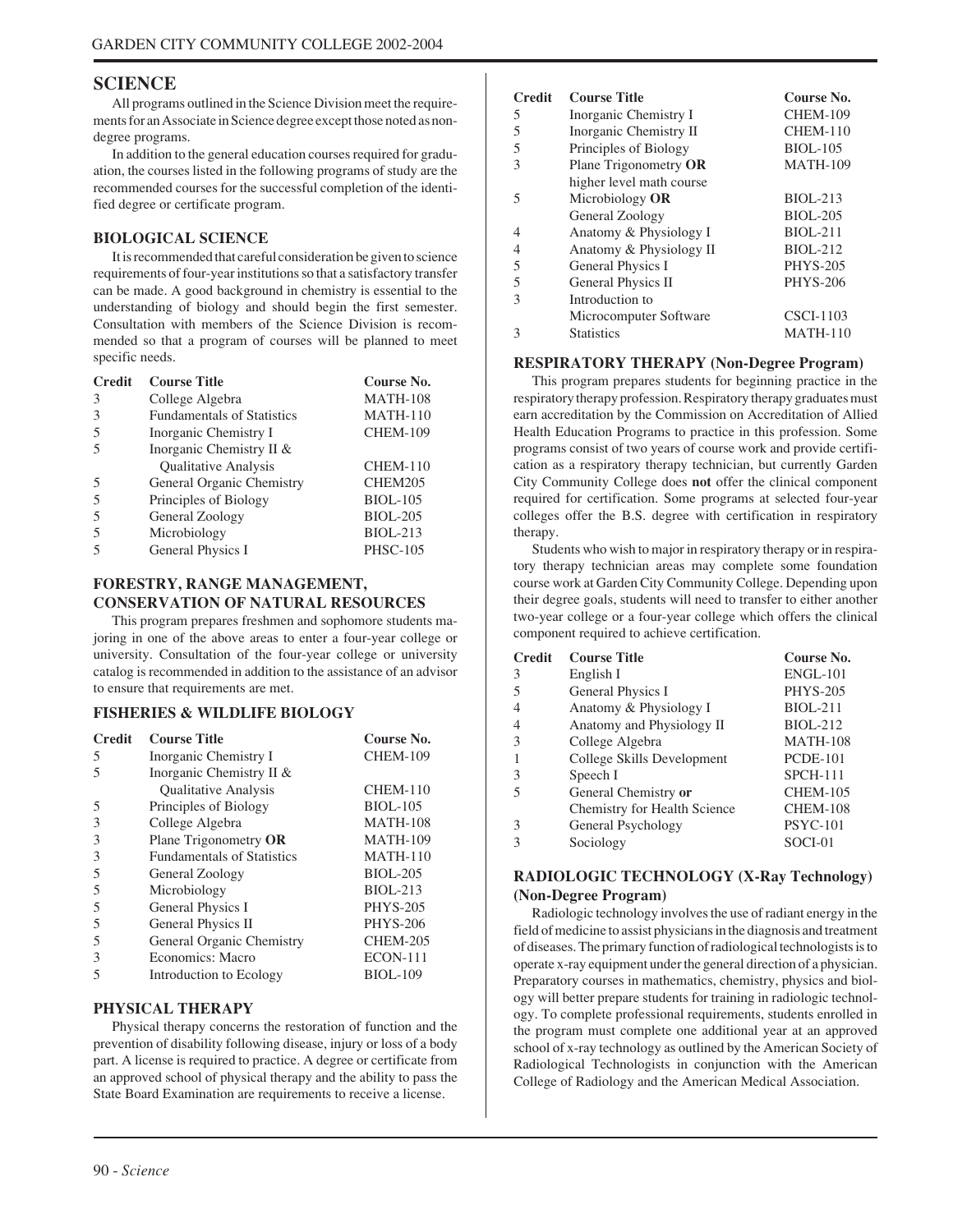# **SCIENCE**

All programs outlined in the Science Division meet the requirements for an Associate in Science degree except those noted as nondegree programs.

In addition to the general education courses required for graduation, the courses listed in the following programs of study are the recommended courses for the successful completion of the identified degree or certificate program.

#### **BIOLOGICAL SCIENCE**

It is recommended that careful consideration be given to science requirements of four-year institutions so that a satisfactory transfer can be made. A good background in chemistry is essential to the understanding of biology and should begin the first semester. Consultation with members of the Science Division is recommended so that a program of courses will be planned to meet specific needs.

| <b>Credit</b>            | <b>Course Title</b>               | Course No.      |
|--------------------------|-----------------------------------|-----------------|
| 3                        | College Algebra                   | <b>MATH-108</b> |
| $\mathcal{F}$            | <b>Fundamentals of Statistics</b> | <b>MATH-110</b> |
| 5                        | Inorganic Chemistry I             | <b>CHEM-109</b> |
| $\overline{\phantom{1}}$ | Inorganic Chemistry II &          |                 |
|                          | <b>Qualitative Analysis</b>       | <b>CHEM-110</b> |
| 5                        | General Organic Chemistry         | CHEM205         |
| $\overline{\phantom{1}}$ | Principles of Biology             | <b>BIOL-105</b> |
| 5                        | General Zoology                   | <b>BIOL-205</b> |
| 5                        | Microbiology                      | <b>BIOL-213</b> |
| 5                        | General Physics I                 | <b>PHSC-105</b> |

## **FORESTRY, RANGE MANAGEMENT, CONSERVATION OF NATURAL RESOURCES**

This program prepares freshmen and sophomore students majoring in one of the above areas to enter a four-year college or university. Consultation of the four-year college or university catalog is recommended in addition to the assistance of an advisor to ensure that requirements are met.

#### **FISHERIES & WILDLIFE BIOLOGY**

| <b>Credit</b> | <b>Course Title</b>               | Course No.      |
|---------------|-----------------------------------|-----------------|
| 5             | Inorganic Chemistry I             | <b>CHEM-109</b> |
| 5             | Inorganic Chemistry II &          |                 |
|               | <b>Oualitative Analysis</b>       | <b>CHEM-110</b> |
| 5             | Principles of Biology             | <b>BIOL-105</b> |
| 3             | College Algebra                   | <b>MATH-108</b> |
| 3             | Plane Trigonometry OR             | <b>MATH-109</b> |
| 3             | <b>Fundamentals of Statistics</b> | <b>MATH-110</b> |
| 5             | General Zoology                   | <b>BIOL-205</b> |
| 5             | Microbiology                      | <b>BIOL-213</b> |
| 5             | General Physics I                 | <b>PHYS-205</b> |
| 5             | General Physics II                | <b>PHYS-206</b> |
| 5             | General Organic Chemistry         | CHEM-205        |
| 3             | Economics: Macro                  | <b>ECON-111</b> |
|               | Introduction to Ecology           | <b>BIOL-109</b> |

#### **PHYSICAL THERAPY**

Physical therapy concerns the restoration of function and the prevention of disability following disease, injury or loss of a body part. A license is required to practice. A degree or certificate from an approved school of physical therapy and the ability to pass the State Board Examination are requirements to receive a license.

| <b>Credit</b> | <b>Course Title</b>      | Course No.      |
|---------------|--------------------------|-----------------|
| 5             | Inorganic Chemistry I    | <b>CHEM-109</b> |
| 5             | Inorganic Chemistry II   | <b>CHEM-110</b> |
| 5             | Principles of Biology    | <b>BIOL-105</b> |
| 3             | Plane Trigonometry OR    | <b>MATH-109</b> |
|               | higher level math course |                 |
| 5             | Microbiology OR          | <b>BIOL-213</b> |
|               | General Zoology          | <b>BIOL-205</b> |
| 4             | Anatomy & Physiology I   | <b>BIOL-211</b> |
| 4             | Anatomy & Physiology II  | <b>BIOL-212</b> |
| 5             | General Physics I        | <b>PHYS-205</b> |
| 5             | General Physics II       | <b>PHYS-206</b> |
| 3             | Introduction to          |                 |
|               | Microcomputer Software   | CSCI-1103       |
| 3             | <b>Statistics</b>        | <b>MATH-110</b> |

#### **RESPIRATORY THERAPY (Non-Degree Program)**

This program prepares students for beginning practice in the respiratory therapy profession. Respiratory therapy graduates must earn accreditation by the Commission on Accreditation of Allied Health Education Programs to practice in this profession. Some programs consist of two years of course work and provide certification as a respiratory therapy technician, but currently Garden City Community College does **not** offer the clinical component required for certification. Some programs at selected four-year colleges offer the B.S. degree with certification in respiratory therapy.

Students who wish to major in respiratory therapy or in respiratory therapy technician areas may complete some foundation course work at Garden City Community College. Depending upon their degree goals, students will need to transfer to either another two-year college or a four-year college which offers the clinical component required to achieve certification.

| <b>Credit</b> | <b>Course Title</b>          | Course No.      |
|---------------|------------------------------|-----------------|
| 3             | English I                    | <b>ENGL-101</b> |
| 5             | General Physics I            | <b>PHYS-205</b> |
|               | Anatomy & Physiology I       | <b>BIOL-211</b> |
|               | Anatomy and Physiology II    | BIOL-212        |
| 3             | College Algebra              | <b>MATH-108</b> |
|               | College Skills Development   | <b>PCDE-101</b> |
|               | Speech I                     | <b>SPCH-111</b> |
|               | General Chemistry or         | <b>CHEM-105</b> |
|               | Chemistry for Health Science | CHEM-108        |
| 3             | General Psychology           | <b>PSYC-101</b> |
|               | Sociology                    | SOCI-01         |

## **RADIOLOGIC TECHNOLOGY (X-Ray Technology) (Non-Degree Program)**

Radiologic technology involves the use of radiant energy in the field of medicine to assist physicians in the diagnosis and treatment of diseases. The primary function of radiological technologists is to operate x-ray equipment under the general direction of a physician. Preparatory courses in mathematics, chemistry, physics and biology will better prepare students for training in radiologic technology. To complete professional requirements, students enrolled in the program must complete one additional year at an approved school of x-ray technology as outlined by the American Society of Radiological Technologists in conjunction with the American College of Radiology and the American Medical Association.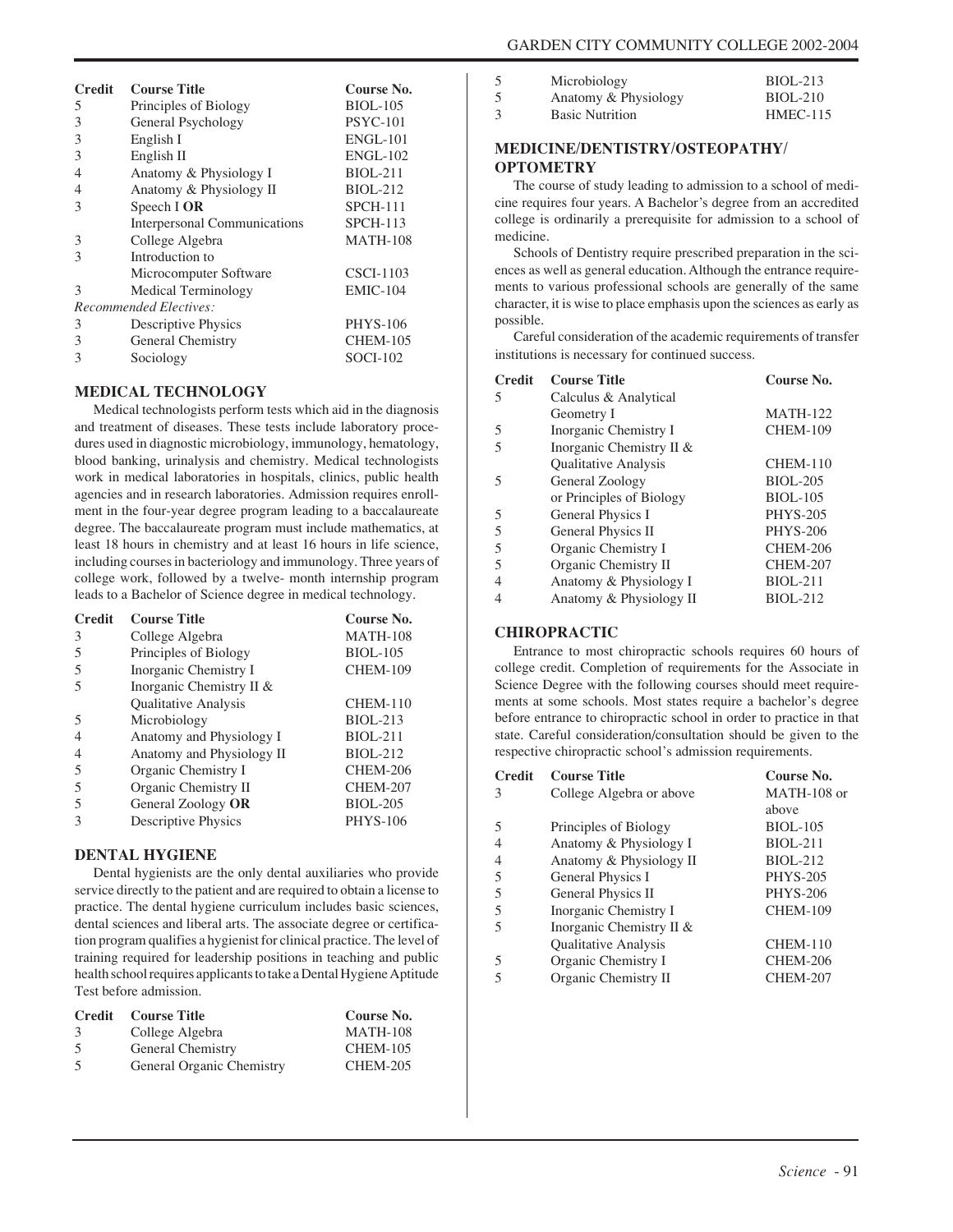| <b>Credit</b> | <b>Course Title</b>                 | Course No.      |
|---------------|-------------------------------------|-----------------|
| 5             | Principles of Biology               | <b>BIOL-105</b> |
| 3             | General Psychology                  | <b>PSYC-101</b> |
| 3             | English I                           | <b>ENGL-101</b> |
| 3             | English II                          | <b>ENGL-102</b> |
| 4             | Anatomy & Physiology I              | <b>BIOL-211</b> |
| 4             | Anatomy & Physiology II             | <b>BIOL-212</b> |
| 3             | Speech I OR                         | <b>SPCH-111</b> |
|               | <b>Interpersonal Communications</b> | <b>SPCH-113</b> |
| 3             | College Algebra                     | <b>MATH-108</b> |
| 3             | Introduction to                     |                 |
|               | Microcomputer Software              | CSCI-1103       |
| 3             | Medical Terminology                 | <b>EMIC-104</b> |
|               | <b>Recommended Electives:</b>       |                 |
| 3             | Descriptive Physics                 | <b>PHYS-106</b> |
| 3             | General Chemistry                   | CHEM-105        |
|               | Sociology                           | $SOCI-102$      |
|               |                                     |                 |

#### **MEDICAL TECHNOLOGY**

Medical technologists perform tests which aid in the diagnosis and treatment of diseases. These tests include laboratory procedures used in diagnostic microbiology, immunology, hematology, blood banking, urinalysis and chemistry. Medical technologists work in medical laboratories in hospitals, clinics, public health agencies and in research laboratories. Admission requires enrollment in the four-year degree program leading to a baccalaureate degree. The baccalaureate program must include mathematics, at least 18 hours in chemistry and at least 16 hours in life science, including courses in bacteriology and immunology. Three years of college work, followed by a twelve- month internship program leads to a Bachelor of Science degree in medical technology.

| <b>Credit</b> | <b>Course Title</b>         | Course No.      |
|---------------|-----------------------------|-----------------|
| 3             | College Algebra             | <b>MATH-108</b> |
|               | Principles of Biology       | <b>BIOL-105</b> |
|               | Inorganic Chemistry I       | <b>CHEM-109</b> |
|               | Inorganic Chemistry II &    |                 |
|               | <b>Qualitative Analysis</b> | <b>CHEM-110</b> |
|               | Microbiology                | <b>BIOL-213</b> |
|               | Anatomy and Physiology I    | <b>BIOL-211</b> |
|               | Anatomy and Physiology II   | <b>BIOL-212</b> |
|               | Organic Chemistry I         | <b>CHEM-206</b> |
|               | Organic Chemistry II        | <b>CHEM-207</b> |
|               | General Zoology OR          | <b>BIOL-205</b> |
|               | Descriptive Physics         | <b>PHYS-106</b> |

#### **DENTAL HYGIENE**

Dental hygienists are the only dental auxiliaries who provide service directly to the patient and are required to obtain a license to practice. The dental hygiene curriculum includes basic sciences, dental sciences and liberal arts. The associate degree or certification program qualifies a hygienist for clinical practice. The level of training required for leadership positions in teaching and public health school requires applicants to take a Dental Hygiene Aptitude Test before admission.

|    | <b>Credit</b> Course Title | Course No.      |
|----|----------------------------|-----------------|
| 3  | College Algebra            | <b>MATH-108</b> |
| .5 | General Chemistry          | <b>CHEM-105</b> |
| -5 | General Organic Chemistry  | <b>CHEM-205</b> |

| 5 | Microbiology           | <b>BIOL-213</b> |
|---|------------------------|-----------------|
| 5 | Anatomy & Physiology   | $BIOL-210$      |
| 3 | <b>Basic Nutrition</b> | <b>HMEC-115</b> |

## **MEDICINE/DENTISTRY/OSTEOPATHY/ OPTOMETRY**

The course of study leading to admission to a school of medicine requires four years. A Bachelor's degree from an accredited college is ordinarily a prerequisite for admission to a school of medicine.

Schools of Dentistry require prescribed preparation in the sciences as well as general education. Although the entrance requirements to various professional schools are generally of the same character, it is wise to place emphasis upon the sciences as early as possible.

Careful consideration of the academic requirements of transfer institutions is necessary for continued success.

| <b>Credit</b> | <b>Course Title</b>      | Course No.      |
|---------------|--------------------------|-----------------|
| 5             | Calculus & Analytical    |                 |
|               | Geometry I               | <b>MATH-122</b> |
| 5             | Inorganic Chemistry I    | <b>CHEM-109</b> |
| 5             | Inorganic Chemistry II & |                 |
|               | Qualitative Analysis     | <b>CHEM-110</b> |
| 5             | General Zoology          | <b>BIOL-205</b> |
|               | or Principles of Biology | <b>BIOL-105</b> |
| 5             | General Physics I        | <b>PHYS-205</b> |
| 5             | General Physics II       | <b>PHYS-206</b> |
| 5             | Organic Chemistry I      | <b>CHEM-206</b> |
| 5             | Organic Chemistry II     | <b>CHEM-207</b> |
|               | Anatomy & Physiology I   | <b>BIOL-211</b> |
|               | Anatomy & Physiology II  | BIOL-212        |

#### **CHIROPRACTIC**

Entrance to most chiropractic schools requires 60 hours of college credit. Completion of requirements for the Associate in Science Degree with the following courses should meet requirements at some schools. Most states require a bachelor's degree before entrance to chiropractic school in order to practice in that state. Careful consideration/consultation should be given to the respective chiropractic school's admission requirements.

| <b>Credit</b> | <b>Course Title</b>         | Course No.      |
|---------------|-----------------------------|-----------------|
| 3             | College Algebra or above    | MATH-108 or     |
|               |                             | above           |
| 5             | Principles of Biology       | <b>BIOL-105</b> |
|               | Anatomy & Physiology I      | <b>BIOL-211</b> |
|               | Anatomy & Physiology II     | <b>BIOL-212</b> |
| 5             | General Physics I           | <b>PHYS-205</b> |
| 5             | General Physics II          | <b>PHYS-206</b> |
| 5             | Inorganic Chemistry I       | <b>CHEM-109</b> |
|               | Inorganic Chemistry II &    |                 |
|               | <b>Qualitative Analysis</b> | <b>CHEM-110</b> |
|               | Organic Chemistry I         | <b>CHEM-206</b> |
|               | Organic Chemistry II        | <b>CHEM-207</b> |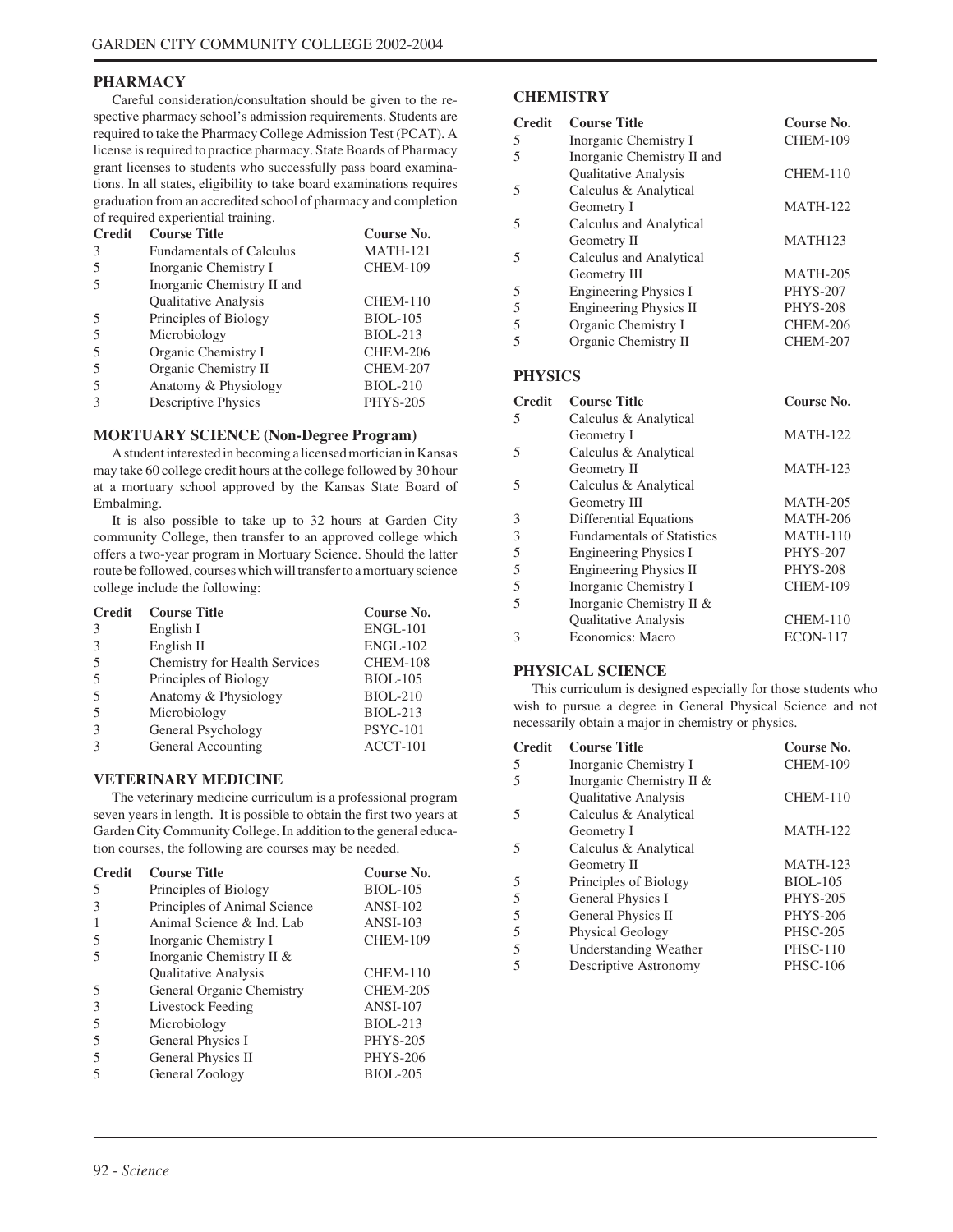#### **PHARMACY**

Careful consideration/consultation should be given to the respective pharmacy school's admission requirements. Students are required to take the Pharmacy College Admission Test (PCAT). A license is required to practice pharmacy. State Boards of Pharmacy grant licenses to students who successfully pass board examinations. In all states, eligibility to take board examinations requires graduation from an accredited school of pharmacy and completion of required experiential training.

| of required experiential training. |                 |  |
|------------------------------------|-----------------|--|
| <b>Course Title</b>                | Course No.      |  |
| <b>Fundamentals of Calculus</b>    | <b>MATH-121</b> |  |
| Inorganic Chemistry I              | <b>CHEM-109</b> |  |
| Inorganic Chemistry II and         |                 |  |
| <b>Qualitative Analysis</b>        | <b>CHEM-110</b> |  |
| Principles of Biology              | <b>BIOL-105</b> |  |
| Microbiology                       | <b>BIOL-213</b> |  |
| Organic Chemistry I                | <b>CHEM-206</b> |  |
| Organic Chemistry II               | <b>CHEM-207</b> |  |
| Anatomy & Physiology               | <b>BIOL-210</b> |  |
| Descriptive Physics                | <b>PHYS-205</b> |  |
|                                    |                 |  |

#### **MORTUARY SCIENCE (Non-Degree Program)**

A student interested in becoming a licensed mortician in Kansas may take 60 college credit hours at the college followed by 30 hour at a mortuary school approved by the Kansas State Board of Embalming.

It is also possible to take up to 32 hours at Garden City community College, then transfer to an approved college which offers a two-year program in Mortuary Science. Should the latter route be followed, courses which will transfer to a mortuary science college include the following:

| <b>Credit</b> | <b>Course Title</b>           | Course No.      |
|---------------|-------------------------------|-----------------|
| 3             | English I                     | <b>ENGL-101</b> |
| 3             | English II                    | $ENGL-102$      |
| 5             | Chemistry for Health Services | <b>CHEM-108</b> |
| 5             | Principles of Biology         | <b>BIOL-105</b> |
| 5             | Anatomy & Physiology          | <b>BIOL-210</b> |
| 5             | Microbiology                  | <b>BIOL-213</b> |
| 3             | General Psychology            | <b>PSYC-101</b> |
| 3             | General Accounting            | $ACCT-101$      |

#### **VETERINARY MEDICINE**

The veterinary medicine curriculum is a professional program seven years in length. It is possible to obtain the first two years at Garden City Community College. In addition to the general education courses, the following are courses may be needed.

| <b>Credit</b> | <b>Course Title</b>          | Course No.      |
|---------------|------------------------------|-----------------|
| 5             | Principles of Biology        | <b>BIOL-105</b> |
| 3             | Principles of Animal Science | $ANSI-102$      |
|               | Animal Science & Ind. Lab    | $ANSI-103$      |
|               | Inorganic Chemistry I        | <b>CHEM-109</b> |
|               | Inorganic Chemistry II &     |                 |
|               | Qualitative Analysis         | <b>CHEM-110</b> |
|               | General Organic Chemistry    | <b>CHEM-205</b> |
| 3             | Livestock Feeding            | <b>ANSI-107</b> |
| 5             | Microbiology                 | <b>BIOL-213</b> |
|               | General Physics I            | <b>PHYS-205</b> |
| 5             | General Physics II           | <b>PHYS-206</b> |
|               | General Zoology              | <b>BIOL-205</b> |

## **CHEMISTRY**

| <b>Credit</b> | <b>Course Title</b>          | Course No.          |
|---------------|------------------------------|---------------------|
| 5             | Inorganic Chemistry I        | <b>CHEM-109</b>     |
| 5             | Inorganic Chemistry II and   |                     |
|               | <b>Qualitative Analysis</b>  | <b>CHEM-110</b>     |
| 5             | Calculus & Analytical        |                     |
|               | Geometry I                   | <b>MATH-122</b>     |
| 5             | Calculus and Analytical      |                     |
|               | Geometry II                  | MATH <sub>123</sub> |
| 5             | Calculus and Analytical      |                     |
|               | Geometry III                 | <b>MATH-205</b>     |
| 5             | <b>Engineering Physics I</b> | <b>PHYS-207</b>     |
| 5             | Engineering Physics II       | <b>PHYS-208</b>     |
| 5             | Organic Chemistry I          | <b>CHEM-206</b>     |
| 5             | Organic Chemistry II         | <b>CHEM-207</b>     |

#### **PHYSICS**

| <b>Credit</b> | <b>Course Title</b>               | Course No.      |
|---------------|-----------------------------------|-----------------|
| 5             | Calculus & Analytical             |                 |
|               | Geometry I                        | <b>MATH-122</b> |
| 5             | Calculus & Analytical             |                 |
|               | Geometry II                       | <b>MATH-123</b> |
| 5             | Calculus & Analytical             |                 |
|               | Geometry III                      | <b>MATH-205</b> |
| 3             | Differential Equations            | <b>MATH-206</b> |
| 3             | <b>Fundamentals of Statistics</b> | <b>MATH-110</b> |
| 5             | Engineering Physics I             | <b>PHYS-207</b> |
| 5             | Engineering Physics II            | <b>PHYS-208</b> |
| 5             | Inorganic Chemistry I             | <b>CHEM-109</b> |
| 5             | Inorganic Chemistry II &          |                 |
|               | <b>Qualitative Analysis</b>       | <b>CHEM-110</b> |
| 3             | Economics: Macro                  | <b>ECON-117</b> |

#### **PHYSICAL SCIENCE**

This curriculum is designed especially for those students who wish to pursue a degree in General Physical Science and not necessarily obtain a major in chemistry or physics.

| <b>Credit</b> | <b>Course Title</b>          | Course No.      |
|---------------|------------------------------|-----------------|
| 5             | Inorganic Chemistry I        | <b>CHEM-109</b> |
| 5             | Inorganic Chemistry II &     |                 |
|               | <b>Qualitative Analysis</b>  | <b>CHEM-110</b> |
| 5             | Calculus & Analytical        |                 |
|               | Geometry I                   | <b>MATH-122</b> |
| 5             | Calculus & Analytical        |                 |
|               | Geometry II                  | <b>MATH-123</b> |
| 5             | Principles of Biology        | <b>BIOL-105</b> |
| 5             | General Physics I            | <b>PHYS-205</b> |
| 5             | General Physics II           | <b>PHYS-206</b> |
| 5             | Physical Geology             | <b>PHSC-205</b> |
| 5             | <b>Understanding Weather</b> | <b>PHSC-110</b> |
|               | Descriptive Astronomy        | <b>PHSC-106</b> |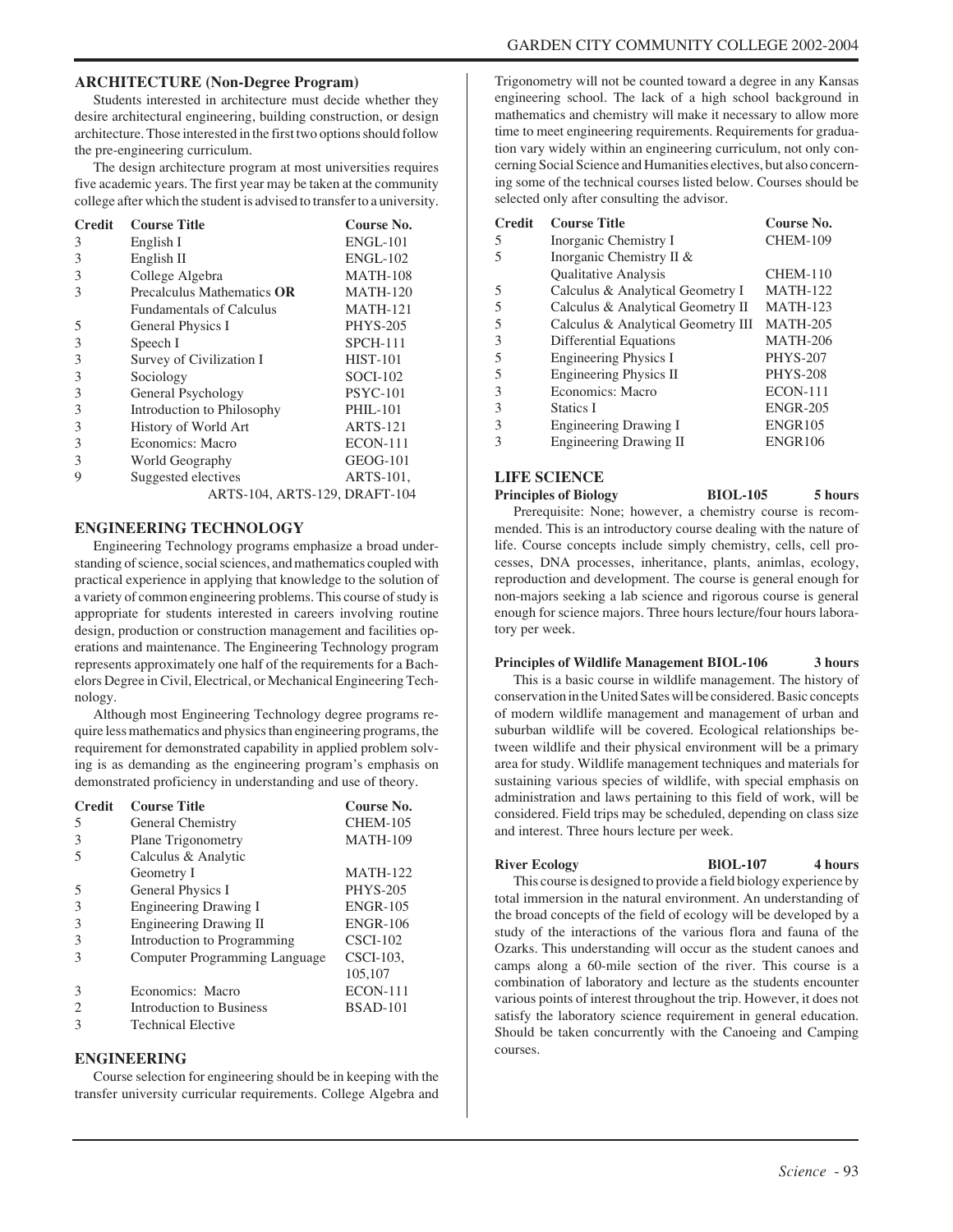#### **ARCHITECTURE (Non-Degree Program)**

Students interested in architecture must decide whether they desire architectural engineering, building construction, or design architecture. Those interested in the first two options should follow the pre-engineering curriculum.

The design architecture program at most universities requires five academic years. The first year may be taken at the community college after which the student is advised to transfer to a university.

| <b>Credit</b> | <b>Course Title</b>             | Course No.      |
|---------------|---------------------------------|-----------------|
| 3             | English I                       | $ENGL-101$      |
| 3             | English II                      | <b>ENGL-102</b> |
| 3             | College Algebra                 | <b>MATH-108</b> |
| 3             | Precalculus Mathematics OR      | <b>MATH-120</b> |
|               | <b>Fundamentals of Calculus</b> | <b>MATH-121</b> |
| 5             | General Physics I               | <b>PHYS-205</b> |
| 3             | Speech I                        | <b>SPCH-111</b> |
| 3             | Survey of Civilization I        | <b>HIST-101</b> |
| 3             | Sociology                       | $SOCI-102$      |
| 3             | General Psychology              | <b>PSYC-101</b> |
| 3             | Introduction to Philosophy      | <b>PHIL-101</b> |
| 3             | History of World Art            | <b>ARTS-121</b> |
| 3             | Economics: Macro                | <b>ECON-111</b> |
| 3             | World Geography                 | <b>GEOG-101</b> |
| 9             | Suggested electives             | ARTS-101,       |
|               | ARTS-104, ARTS-129, DRAFT-104   |                 |

#### **ENGINEERING TECHNOLOGY**

Engineering Technology programs emphasize a broad understanding of science, social sciences, and mathematics coupled with practical experience in applying that knowledge to the solution of a variety of common engineering problems. This course of study is appropriate for students interested in careers involving routine design, production or construction management and facilities operations and maintenance. The Engineering Technology program represents approximately one half of the requirements for a Bachelors Degree in Civil, Electrical, or Mechanical Engineering Technology.

Although most Engineering Technology degree programs require less mathematics and physics than engineering programs, the requirement for demonstrated capability in applied problem solving is as demanding as the engineering program's emphasis on demonstrated proficiency in understanding and use of theory.

| <b>Credit</b> | <b>Course Title</b>           | Course No.      |
|---------------|-------------------------------|-----------------|
| 5             | General Chemistry             | <b>CHEM-105</b> |
| 3             | Plane Trigonometry            | <b>MATH-109</b> |
|               | Calculus & Analytic           |                 |
|               | Geometry I                    | <b>MATH-122</b> |
|               | General Physics I             | <b>PHYS-205</b> |
| 3             | <b>Engineering Drawing I</b>  | <b>ENGR-105</b> |
| 3             | <b>Engineering Drawing II</b> | <b>ENGR-106</b> |
| 3             | Introduction to Programming   | $CSCI-102$      |
|               | Computer Programming Language | $CSCI-103$ ,    |
|               |                               | 105,107         |
| 3             | Economics: Macro              | <b>ECON-111</b> |
|               | Introduction to Business      | <b>BSAD-101</b> |
|               | <b>Technical Elective</b>     |                 |

#### **ENGINEERING**

Course selection for engineering should be in keeping with the transfer university curricular requirements. College Algebra and Trigonometry will not be counted toward a degree in any Kansas engineering school. The lack of a high school background in mathematics and chemistry will make it necessary to allow more time to meet engineering requirements. Requirements for graduation vary widely within an engineering curriculum, not only concerning Social Science and Humanities electives, but also concerning some of the technical courses listed below. Courses should be selected only after consulting the advisor.

| <b>Credit</b> | <b>Course Title</b>                | Course No.      |
|---------------|------------------------------------|-----------------|
| 5             | Inorganic Chemistry I              | <b>CHEM-109</b> |
|               | Inorganic Chemistry II &           |                 |
|               | <b>Qualitative Analysis</b>        | <b>CHEM-110</b> |
| 5             | Calculus & Analytical Geometry I   | <b>MATH-122</b> |
| 5             | Calculus & Analytical Geometry II  | <b>MATH-123</b> |
| 5             | Calculus & Analytical Geometry III | <b>MATH-205</b> |
| 3             | Differential Equations             | <b>MATH-206</b> |
| 5             | <b>Engineering Physics I</b>       | <b>PHYS-207</b> |
| 5             | Engineering Physics II             | <b>PHYS-208</b> |
| 3             | Economics: Macro                   | <b>ECON-111</b> |
| 3             | Statics I                          | <b>ENGR-205</b> |
| 3             | <b>Engineering Drawing I</b>       | <b>ENGR105</b>  |
|               | <b>Engineering Drawing II</b>      | <b>ENGR106</b>  |

## **LIFE SCIENCE**

**Principles of Biology BIOL-105 5 hours** Prerequisite: None; however, a chemistry course is recommended. This is an introductory course dealing with the nature of life. Course concepts include simply chemistry, cells, cell processes, DNA processes, inheritance, plants, animlas, ecology, reproduction and development. The course is general enough for non-majors seeking a lab science and rigorous course is general enough for science majors. Three hours lecture/four hours laboratory per week.

#### **Principles of Wildlife Management BIOL-106 3 hours**

This is a basic course in wildlife management. The history of conservation in the United Sates will be considered. Basic concepts of modern wildlife management and management of urban and suburban wildlife will be covered. Ecological relationships between wildlife and their physical environment will be a primary area for study. Wildlife management techniques and materials for sustaining various species of wildlife, with special emphasis on administration and laws pertaining to this field of work, will be considered. Field trips may be scheduled, depending on class size and interest. Three hours lecture per week.

**River Ecology BlOL-107 4 hours** This course is designed to provide a field biology experience by total immersion in the natural environment. An understanding of the broad concepts of the field of ecology will be developed by a study of the interactions of the various flora and fauna of the Ozarks. This understanding will occur as the student canoes and camps along a 60-mile section of the river. This course is a combination of laboratory and lecture as the students encounter various points of interest throughout the trip. However, it does not satisfy the laboratory science requirement in general education. Should be taken concurrently with the Canoeing and Camping courses.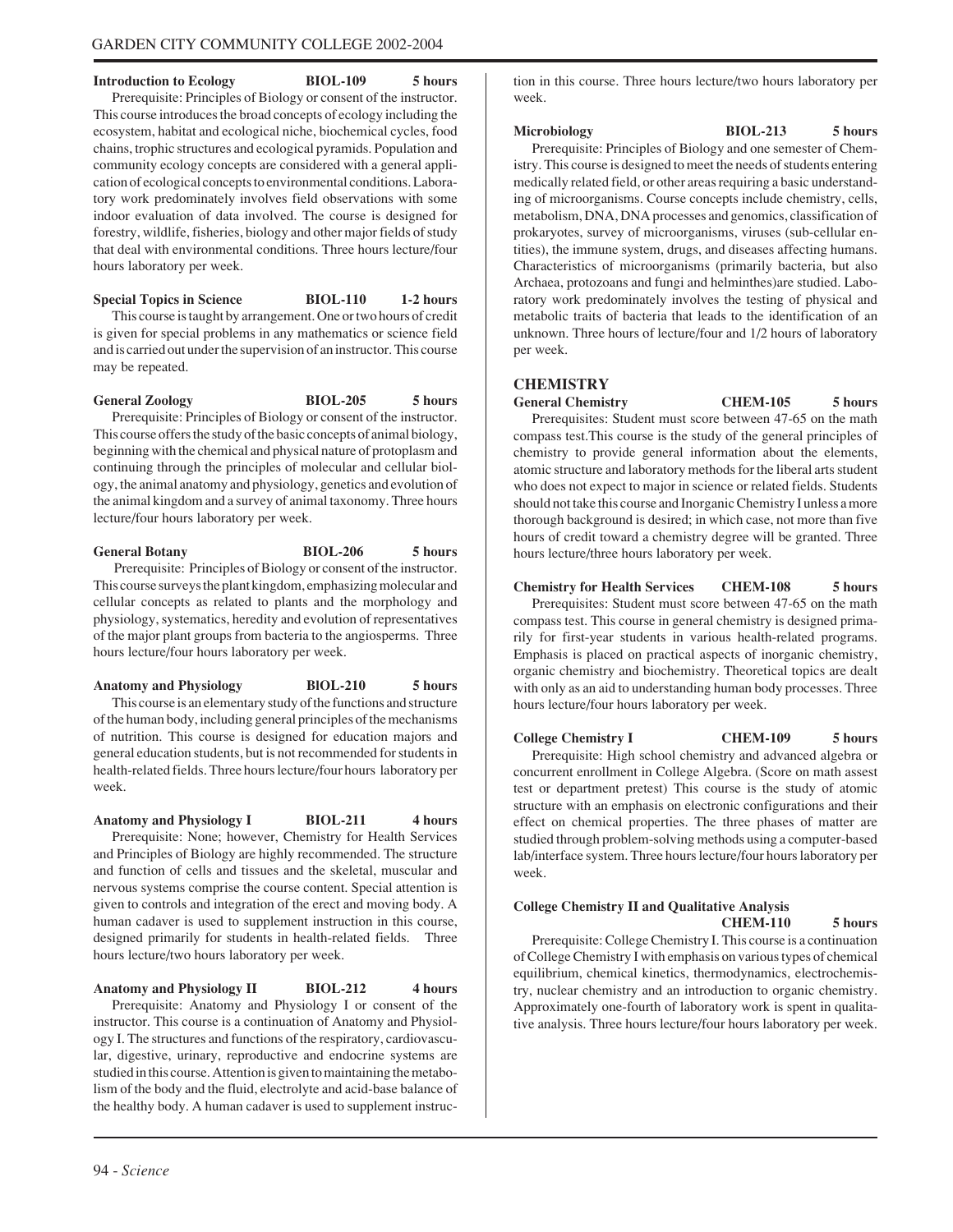#### **Introduction to Ecology BIOL-109 5 hours**

Prerequisite: Principles of Biology or consent of the instructor. This course introduces the broad concepts of ecology including the ecosystem, habitat and ecological niche, biochemical cycles, food chains, trophic structures and ecological pyramids. Population and community ecology concepts are considered with a general application of ecological concepts to environmental conditions. Laboratory work predominately involves field observations with some indoor evaluation of data involved. The course is designed for forestry, wildlife, fisheries, biology and other major fields of study that deal with environmental conditions. Three hours lecture/four hours laboratory per week.

## **Special Topics in Science BIOL-110 1-2 hours**

This course is taught by arrangement. One or two hours of credit is given for special problems in any mathematics or science field and is carried out under the supervision of an instructor. This course may be repeated.

# **General Zoology BIOL-205 5 hours**

Prerequisite: Principles of Biology or consent of the instructor. This course offers the study of the basic concepts of animal biology, beginning with the chemical and physical nature of protoplasm and continuing through the principles of molecular and cellular biology, the animal anatomy and physiology, genetics and evolution of the animal kingdom and a survey of animal taxonomy. Three hours lecture/four hours laboratory per week.

#### **General Botany BIOL-206 5 hours**

 Prerequisite: Principles of Biology or consent of the instructor. This course surveys the plant kingdom, emphasizing molecular and cellular concepts as related to plants and the morphology and physiology, systematics, heredity and evolution of representatives of the major plant groups from bacteria to the angiosperms. Three hours lecture/four hours laboratory per week.

**Anatomy and Physiology BlOL-210 5 hours**

This course is an elementary study of the functions and structure of the human body, including general principles of the mechanisms of nutrition. This course is designed for education majors and general education students, but is not recommended for students in health-related fields. Three hours lecture/four hours laboratory per week.

#### Anatomy and Physiology I BIOL-211 4 hours

Prerequisite: None; however, Chemistry for Health Services and Principles of Biology are highly recommended. The structure and function of cells and tissues and the skeletal, muscular and nervous systems comprise the course content. Special attention is given to controls and integration of the erect and moving body. A human cadaver is used to supplement instruction in this course, designed primarily for students in health-related fields. Three hours lecture/two hours laboratory per week.

**Anatomy and Physiology II BIOL-212 4 hours** Prerequisite: Anatomy and Physiology I or consent of the instructor. This course is a continuation of Anatomy and Physiology I. The structures and functions of the respiratory, cardiovascular, digestive, urinary, reproductive and endocrine systems are studied in this course. Attention is given to maintaining the metabolism of the body and the fluid, electrolyte and acid-base balance of the healthy body. A human cadaver is used to supplement instruction in this course. Three hours lecture/two hours laboratory per week.

**Microbiology BIOL-213 5 hours**

Prerequisite: Principles of Biology and one semester of Chemistry. This course is designed to meet the needs of students entering medically related field, or other areas requiring a basic understanding of microorganisms. Course concepts include chemistry, cells, metabolism, DNA, DNA processes and genomics, classification of prokaryotes, survey of microorganisms, viruses (sub-cellular entities), the immune system, drugs, and diseases affecting humans. Characteristics of microorganisms (primarily bacteria, but also Archaea, protozoans and fungi and helminthes)are studied. Laboratory work predominately involves the testing of physical and metabolic traits of bacteria that leads to the identification of an unknown. Three hours of lecture/four and 1/2 hours of laboratory per week.

#### **CHEMISTRY**

**General Chemistry CHEM-105 5 hours**

Prerequisites: Student must score between 47-65 on the math compass test.This course is the study of the general principles of chemistry to provide general information about the elements, atomic structure and laboratory methods for the liberal arts student who does not expect to major in science or related fields. Students should not take this course and Inorganic Chemistry I unless a more thorough background is desired; in which case, not more than five hours of credit toward a chemistry degree will be granted. Three hours lecture/three hours laboratory per week.

# **Chemistry for Health Services CHEM-108 5 hours**

Prerequisites: Student must score between 47-65 on the math compass test. This course in general chemistry is designed primarily for first-year students in various health-related programs. Emphasis is placed on practical aspects of inorganic chemistry, organic chemistry and biochemistry. Theoretical topics are dealt with only as an aid to understanding human body processes. Three hours lecture/four hours laboratory per week.

#### **College Chemistry I CHEM-109 5 hours**

Prerequisite: High school chemistry and advanced algebra or concurrent enrollment in College Algebra. (Score on math assest test or department pretest) This course is the study of atomic structure with an emphasis on electronic configurations and their effect on chemical properties. The three phases of matter are studied through problem-solving methods using a computer-based lab/interface system. Three hours lecture/four hours laboratory per week.

#### **College Chemistry II and Qualitative Analysis CHEM-110 5 hours**

Prerequisite: College Chemistry I. This course is a continuation of College Chemistry I with emphasis on various types of chemical equilibrium, chemical kinetics, thermodynamics, electrochemistry, nuclear chemistry and an introduction to organic chemistry. Approximately one-fourth of laboratory work is spent in qualitative analysis. Three hours lecture/four hours laboratory per week.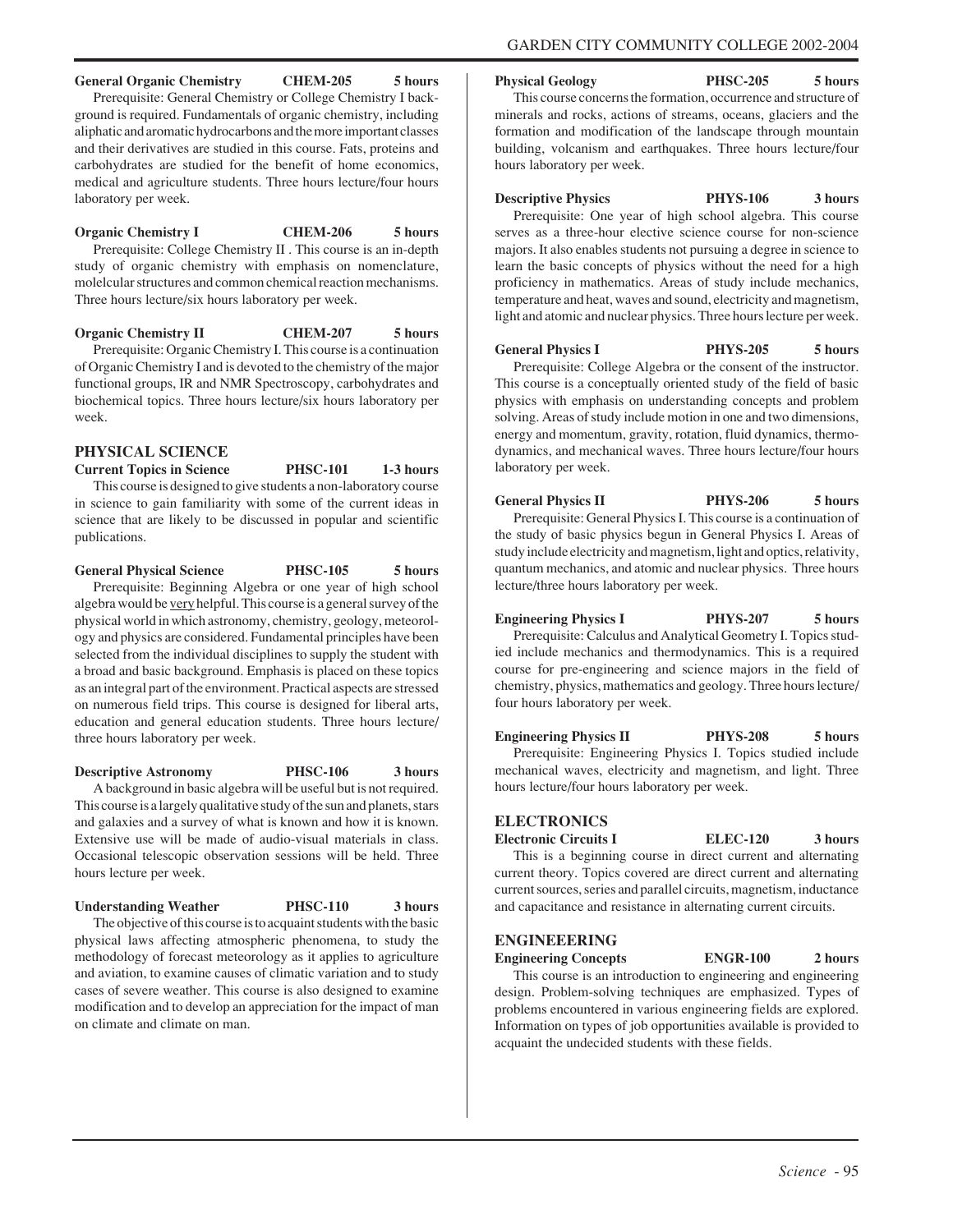## **General Organic Chemistry CHEM-205 5 hours**

Prerequisite: General Chemistry or College Chemistry I background is required. Fundamentals of organic chemistry, including aliphatic and aromatic hydrocarbons and the more important classes and their derivatives are studied in this course. Fats, proteins and carbohydrates are studied for the benefit of home economics, medical and agriculture students. Three hours lecture/four hours laboratory per week.

**Organic Chemistry I CHEM-206 5 hours** Prerequisite: College Chemistry II . This course is an in-depth study of organic chemistry with emphasis on nomenclature, molelcular structures and common chemical reaction mechanisms. Three hours lecture/six hours laboratory per week.

**Organic Chemistry II CHEM-207 5 hours**

Prerequisite: Organic Chemistry I. This course is a continuation of Organic Chemistry I and is devoted to the chemistry of the major functional groups, IR and NMR Spectroscopy, carbohydrates and biochemical topics. Three hours lecture/six hours laboratory per week.

# **PHYSICAL SCIENCE**

**Current Topics in Science PHSC-101 1-3 hours** This course is designed to give students a non-laboratory course in science to gain familiarity with some of the current ideas in science that are likely to be discussed in popular and scientific publications.

**General Physical Science PHSC-105 5 hours** Prerequisite: Beginning Algebra or one year of high school algebra would be very helpful. This course is a general survey of the physical world in which astronomy, chemistry, geology, meteorology and physics are considered. Fundamental principles have been selected from the individual disciplines to supply the student with a broad and basic background. Emphasis is placed on these topics as an integral part of the environment. Practical aspects are stressed on numerous field trips. This course is designed for liberal arts, education and general education students. Three hours lecture/ three hours laboratory per week.

#### **Descriptive Astronomy PHSC-106 3 hours**

A background in basic algebra will be useful but is not required. This course is a largely qualitative study of the sun and planets, stars and galaxies and a survey of what is known and how it is known. Extensive use will be made of audio-visual materials in class. Occasional telescopic observation sessions will be held. Three hours lecture per week.

# **Understanding Weather PHSC-110 3 hours**

The objective of this course is to acquaint students with the basic physical laws affecting atmospheric phenomena, to study the methodology of forecast meteorology as it applies to agriculture and aviation, to examine causes of climatic variation and to study cases of severe weather. This course is also designed to examine modification and to develop an appreciation for the impact of man on climate and climate on man.

#### **Physical Geology PHSC-205 5 hours**

This course concerns the formation, occurrence and structure of minerals and rocks, actions of streams, oceans, glaciers and the formation and modification of the landscape through mountain building, volcanism and earthquakes. Three hours lecture/four hours laboratory per week.

GARDEN CITY COMMUNITY COLLEGE 2002-2004

**Descriptive Physics PHYS-106 3 hours**

Prerequisite: One year of high school algebra. This course serves as a three-hour elective science course for non-science majors. It also enables students not pursuing a degree in science to learn the basic concepts of physics without the need for a high proficiency in mathematics. Areas of study include mechanics, temperature and heat, waves and sound, electricity and magnetism, light and atomic and nuclear physics. Three hours lecture per week.

# General Physics I PHYS-205 5 hours

Prerequisite: College Algebra or the consent of the instructor. This course is a conceptually oriented study of the field of basic physics with emphasis on understanding concepts and problem solving. Areas of study include motion in one and two dimensions, energy and momentum, gravity, rotation, fluid dynamics, thermodynamics, and mechanical waves. Three hours lecture/four hours laboratory per week.

**General Physics II PHYS-206 5 hours**

Prerequisite: General Physics I. This course is a continuation of the study of basic physics begun in General Physics I. Areas of study include electricity and magnetism, light and optics, relativity, quantum mechanics, and atomic and nuclear physics. Three hours lecture/three hours laboratory per week.

**Engineering Physics I PHYS-207 5 hours** Prerequisite: Calculus and Analytical Geometry I. Topics studied include mechanics and thermodynamics. This is a required course for pre-engineering and science majors in the field of chemistry, physics, mathematics and geology. Three hours lecture/ four hours laboratory per week.

**Engineering Physics II PHYS-208 5 hours** Prerequisite: Engineering Physics I. Topics studied include mechanical waves, electricity and magnetism, and light. Three hours lecture/four hours laboratory per week.

# **ELECTRONICS**

**Electronic Circuits I ELEC-120 3 hours** This is a beginning course in direct current and alternating current theory. Topics covered are direct current and alternating current sources, series and parallel circuits, magnetism, inductance and capacitance and resistance in alternating current circuits.

# **ENGINEEERING**

**Engineering Concepts ENGR-100 2 hours** This course is an introduction to engineering and engineering design. Problem-solving techniques are emphasized. Types of problems encountered in various engineering fields are explored. Information on types of job opportunities available is provided to

acquaint the undecided students with these fields.

*Science* - 95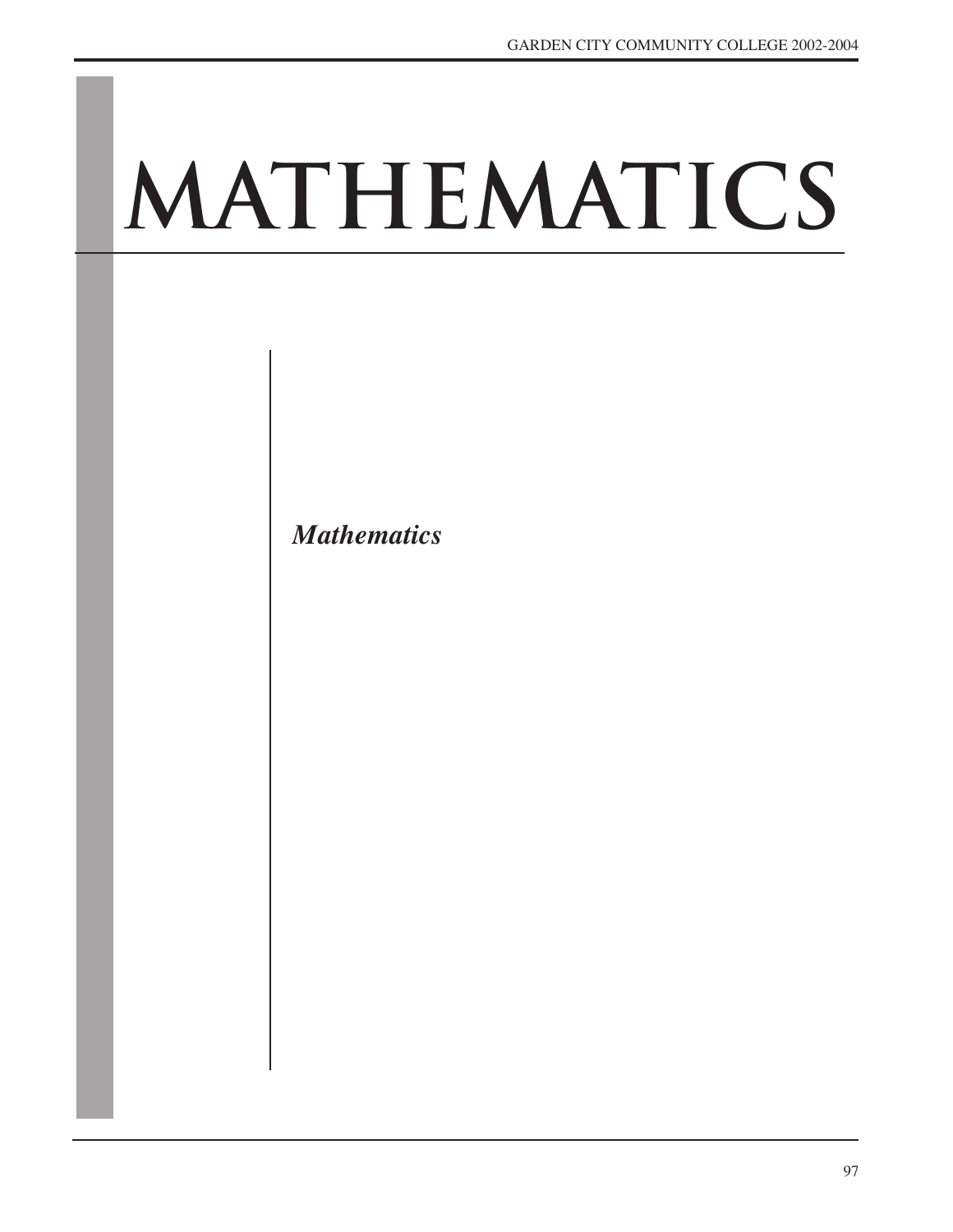# **MathEMATICS**

*Mathematics*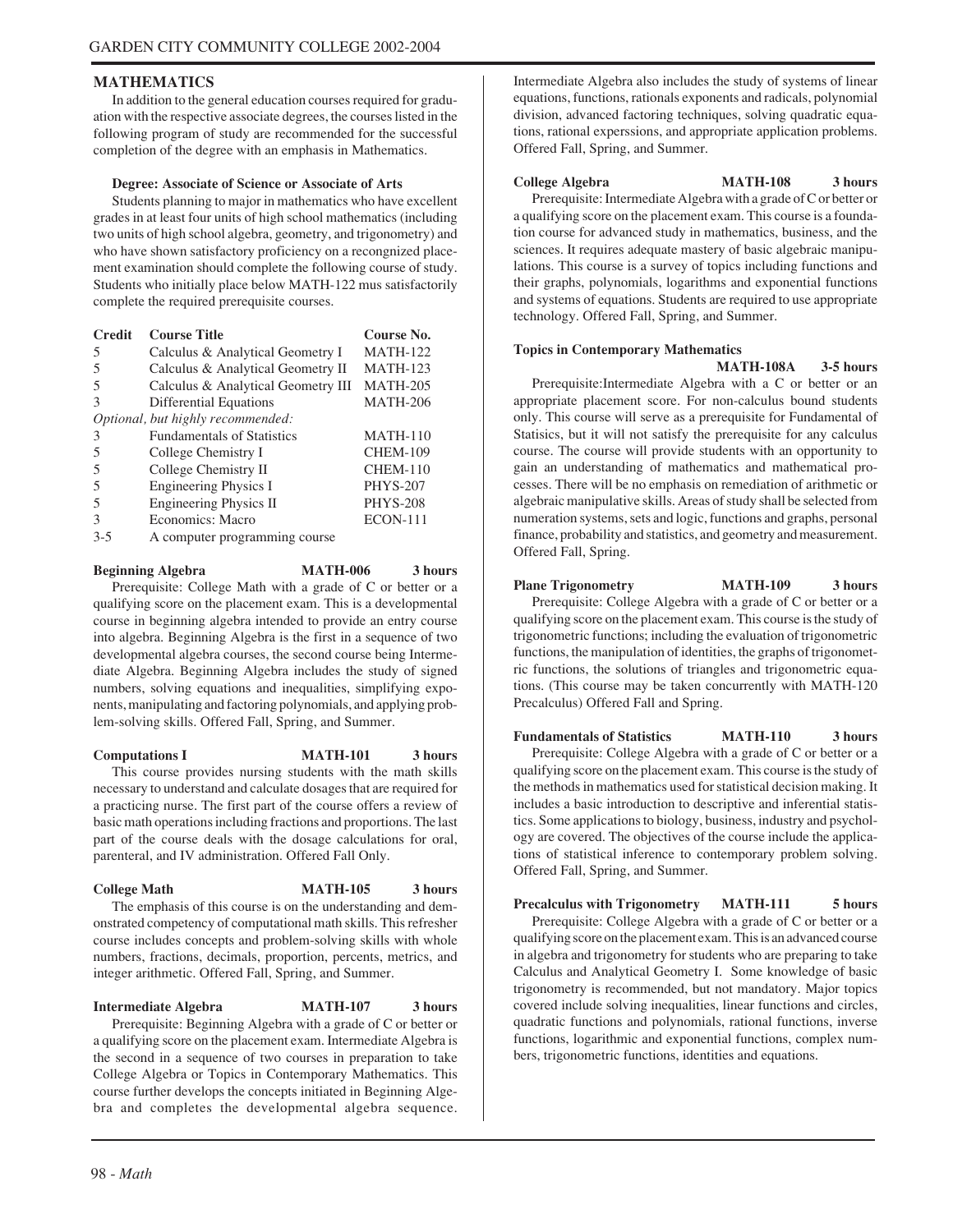#### **MATHEMATICS**

In addition to the general education courses required for graduation with the respective associate degrees, the courses listed in the following program of study are recommended for the successful completion of the degree with an emphasis in Mathematics.

#### **Degree: Associate of Science or Associate of Arts**

Students planning to major in mathematics who have excellent grades in at least four units of high school mathematics (including two units of high school algebra, geometry, and trigonometry) and who have shown satisfactory proficiency on a recongnized placement examination should complete the following course of study. Students who initially place below MATH-122 mus satisfactorily complete the required prerequisite courses.

| <b>Credit</b> | <b>Course Title</b>                | Course No.      |
|---------------|------------------------------------|-----------------|
| 5             | Calculus & Analytical Geometry I   | <b>MATH-122</b> |
|               | Calculus & Analytical Geometry II  | <b>MATH-123</b> |
|               | Calculus & Analytical Geometry III | <b>MATH-205</b> |
| 3             | Differential Equations             | <b>MATH-206</b> |
|               | Optional, but highly recommended:  |                 |
| 3             | <b>Fundamentals of Statistics</b>  | <b>MATH-110</b> |
|               | College Chemistry I                | <b>CHEM-109</b> |
|               | College Chemistry II               | <b>CHEM-110</b> |
|               | <b>Engineering Physics I</b>       | <b>PHYS-207</b> |
|               | Engineering Physics II             | <b>PHYS-208</b> |
|               | Economics: Macro                   | <b>ECON-111</b> |
| $3 - 5$       | A computer programming course      |                 |

**Beginning Algebra MATH-006 3 hours** Prerequisite: College Math with a grade of C or better or a qualifying score on the placement exam. This is a developmental course in beginning algebra intended to provide an entry course into algebra. Beginning Algebra is the first in a sequence of two developmental algebra courses, the second course being Intermediate Algebra. Beginning Algebra includes the study of signed numbers, solving equations and inequalities, simplifying exponents, manipulating and factoring polynomials, and applying problem-solving skills. Offered Fall, Spring, and Summer.

**Computations I MATH-101 3 hours**

This course provides nursing students with the math skills necessary to understand and calculate dosages that are required for a practicing nurse. The first part of the course offers a review of basic math operations including fractions and proportions. The last part of the course deals with the dosage calculations for oral, parenteral, and IV administration. Offered Fall Only.

#### **College Math MATH-105 3 hours**

The emphasis of this course is on the understanding and demonstrated competency of computational math skills. This refresher course includes concepts and problem-solving skills with whole numbers, fractions, decimals, proportion, percents, metrics, and integer arithmetic. Offered Fall, Spring, and Summer.

#### **Intermediate Algebra MATH-107 3 hours**

Prerequisite: Beginning Algebra with a grade of C or better or a qualifying score on the placement exam. Intermediate Algebra is the second in a sequence of two courses in preparation to take College Algebra or Topics in Contemporary Mathematics. This course further develops the concepts initiated in Beginning Algebra and completes the developmental algebra sequence.

Intermediate Algebra also includes the study of systems of linear equations, functions, rationals exponents and radicals, polynomial division, advanced factoring techniques, solving quadratic equations, rational experssions, and appropriate application problems. Offered Fall, Spring, and Summer.

**College Algebra MATH-108 3 hours**

Prerequisite: Intermediate Algebra with a grade of C or better or a qualifying score on the placement exam. This course is a foundation course for advanced study in mathematics, business, and the sciences. It requires adequate mastery of basic algebraic manipulations. This course is a survey of topics including functions and their graphs, polynomials, logarithms and exponential functions and systems of equations. Students are required to use appropriate technology. Offered Fall, Spring, and Summer.

#### **Topics in Contemporary Mathematics**

**MATH-108A 3-5 hours**

Prerequisite:Intermediate Algebra with a C or better or an appropriate placement score. For non-calculus bound students only. This course will serve as a prerequisite for Fundamental of Statisics, but it will not satisfy the prerequisite for any calculus course. The course will provide students with an opportunity to gain an understanding of mathematics and mathematical processes. There will be no emphasis on remediation of arithmetic or algebraic manipulative skills. Areas of study shall be selected from numeration systems, sets and logic, functions and graphs, personal finance, probability and statistics, and geometry and measurement. Offered Fall, Spring.

#### **Plane Trigonometry MATH-109** 3 hours

Prerequisite: College Algebra with a grade of C or better or a qualifying score on the placement exam. This course is the study of trigonometric functions; including the evaluation of trigonometric functions, the manipulation of identities, the graphs of trigonometric functions, the solutions of triangles and trigonometric equations. (This course may be taken concurrently with MATH-120 Precalculus) Offered Fall and Spring.

#### **Fundamentals of Statistics MATH-110 3 hours**

Prerequisite: College Algebra with a grade of C or better or a qualifying score on the placement exam. This course is the study of the methods in mathematics used for statistical decision making. It includes a basic introduction to descriptive and inferential statistics. Some applications to biology, business, industry and psychology are covered. The objectives of the course include the applications of statistical inference to contemporary problem solving. Offered Fall, Spring, and Summer.

#### **Precalculus with Trigonometry MATH-111 5 hours**

Prerequisite: College Algebra with a grade of C or better or a qualifying score on the placement exam. This is an advanced course in algebra and trigonometry for students who are preparing to take Calculus and Analytical Geometry I. Some knowledge of basic trigonometry is recommended, but not mandatory. Major topics covered include solving inequalities, linear functions and circles, quadratic functions and polynomials, rational functions, inverse functions, logarithmic and exponential functions, complex numbers, trigonometric functions, identities and equations.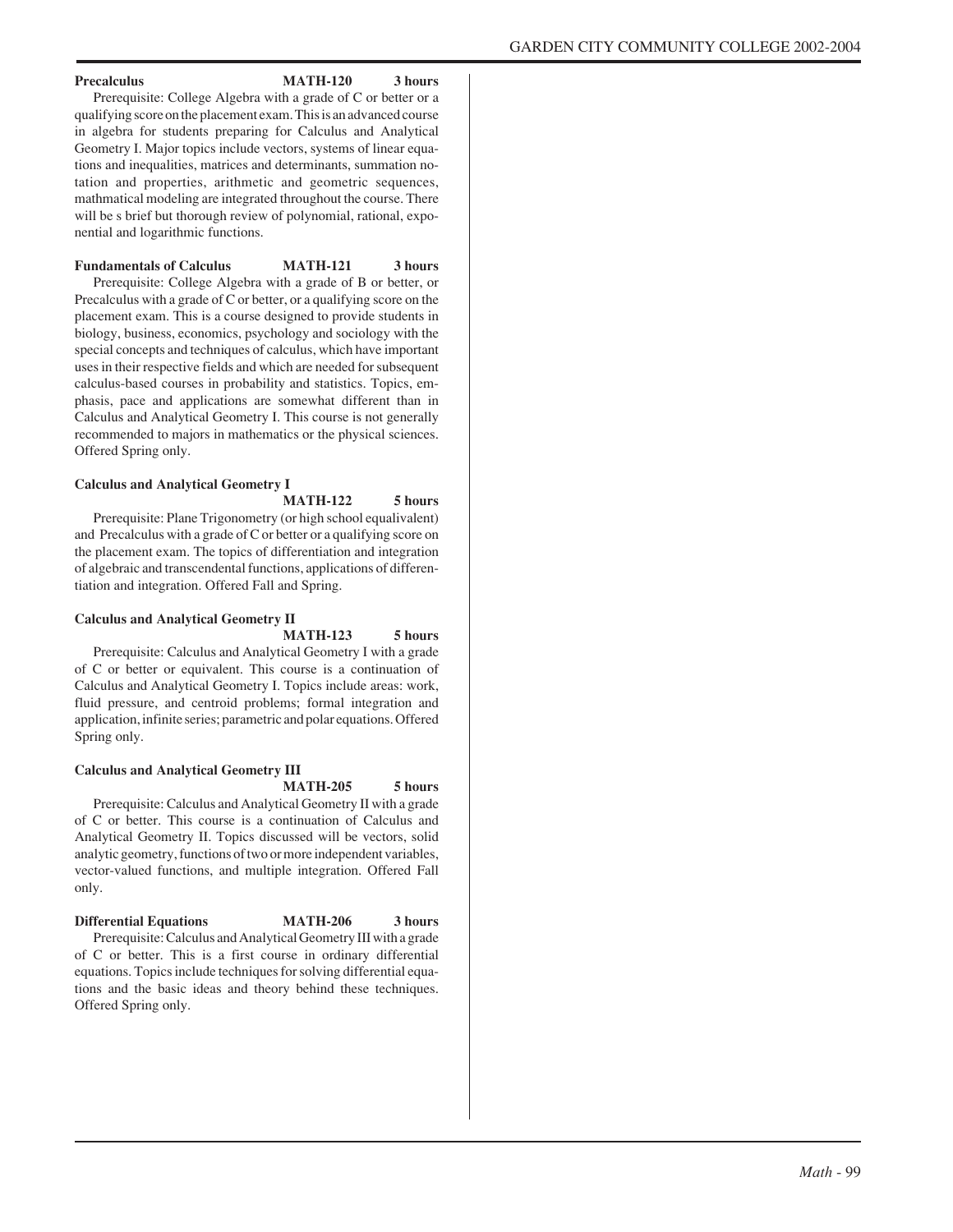#### **Precalculus MATH-120 3 hours**

Prerequisite: College Algebra with a grade of C or better or a qualifying score on the placement exam. This is an advanced course in algebra for students preparing for Calculus and Analytical Geometry I. Major topics include vectors, systems of linear equations and inequalities, matrices and determinants, summation notation and properties, arithmetic and geometric sequences, mathmatical modeling are integrated throughout the course. There will be s brief but thorough review of polynomial, rational, exponential and logarithmic functions.

## **Fundamentals of Calculus MATH-121 3 hours**

Prerequisite: College Algebra with a grade of B or better, or Precalculus with a grade of C or better, or a qualifying score on the placement exam. This is a course designed to provide students in biology, business, economics, psychology and sociology with the special concepts and techniques of calculus, which have important uses in their respective fields and which are needed for subsequent calculus-based courses in probability and statistics. Topics, emphasis, pace and applications are somewhat different than in Calculus and Analytical Geometry I. This course is not generally recommended to majors in mathematics or the physical sciences. Offered Spring only.

## **Calculus and Analytical Geometry I**

#### **MATH-122 5 hours**

Prerequisite: Plane Trigonometry (or high school equalivalent) and Precalculus with a grade of C or better or a qualifying score on the placement exam. The topics of differentiation and integration of algebraic and transcendental functions, applications of differentiation and integration. Offered Fall and Spring.

#### **Calculus and Analytical Geometry II**

#### **MATH-123 5 hours**

Prerequisite: Calculus and Analytical Geometry I with a grade of C or better or equivalent. This course is a continuation of Calculus and Analytical Geometry I. Topics include areas: work, fluid pressure, and centroid problems; formal integration and application, infinite series; parametric and polar equations. Offered Spring only.

# **Calculus and Analytical Geometry III**

# **MATH-205 5 hours**

Prerequisite: Calculus and Analytical Geometry II with a grade of C or better. This course is a continuation of Calculus and Analytical Geometry II. Topics discussed will be vectors, solid analytic geometry, functions of two or more independent variables, vector-valued functions, and multiple integration. Offered Fall only.

# **Differential Equations MATH-206 3 hours**

Prerequisite: Calculus and Analytical Geometry III with a grade of C or better. This is a first course in ordinary differential equations. Topics include techniques for solving differential equations and the basic ideas and theory behind these techniques. Offered Spring only.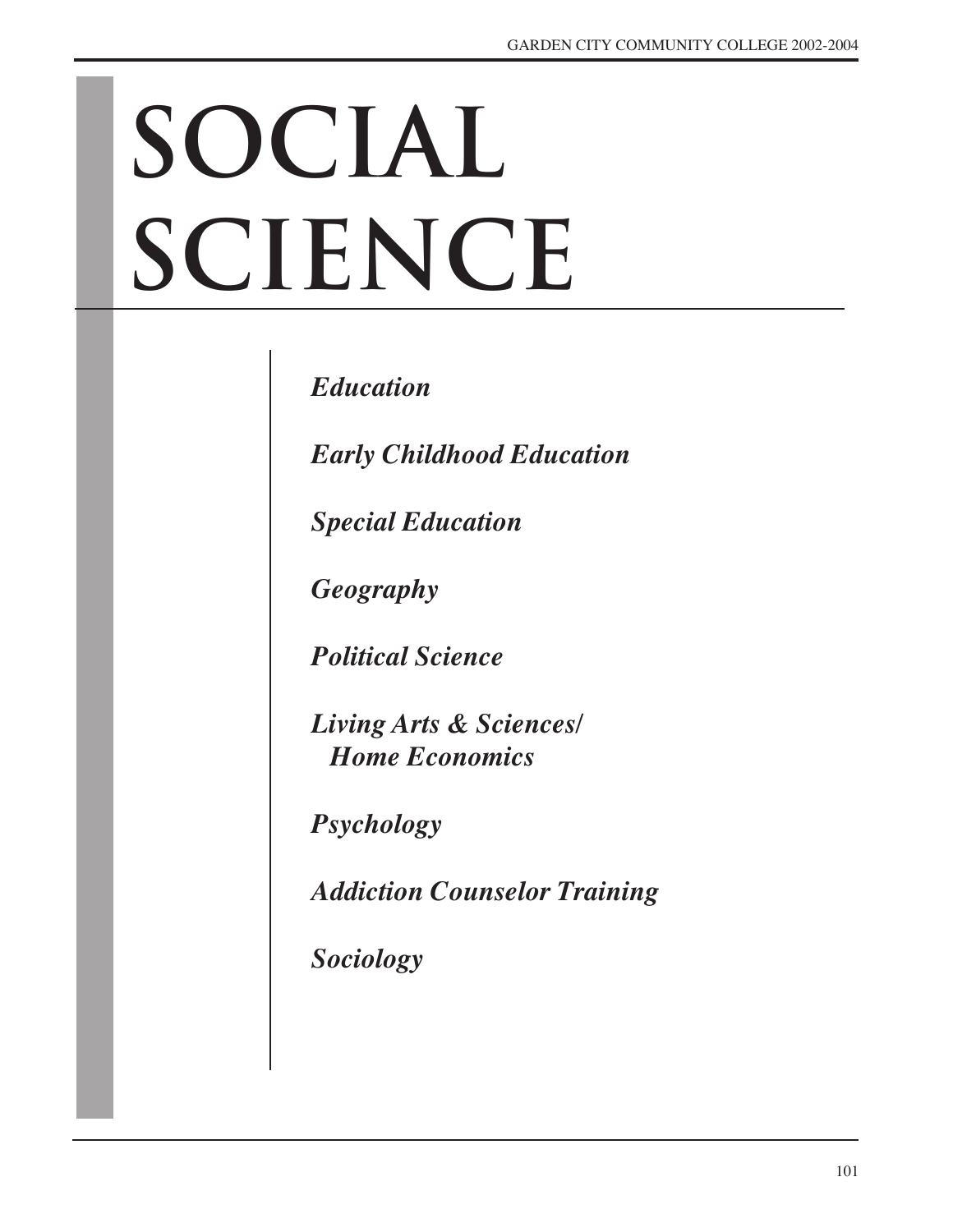# **Social SCIENCE**

*Education*

*Early Childhood Education*

*Special Education*

*Geography*

*Political Science*

*Living Arts & Sciences/ Home Economics*

*Psychology*

*Addiction Counselor Training*

*Sociology*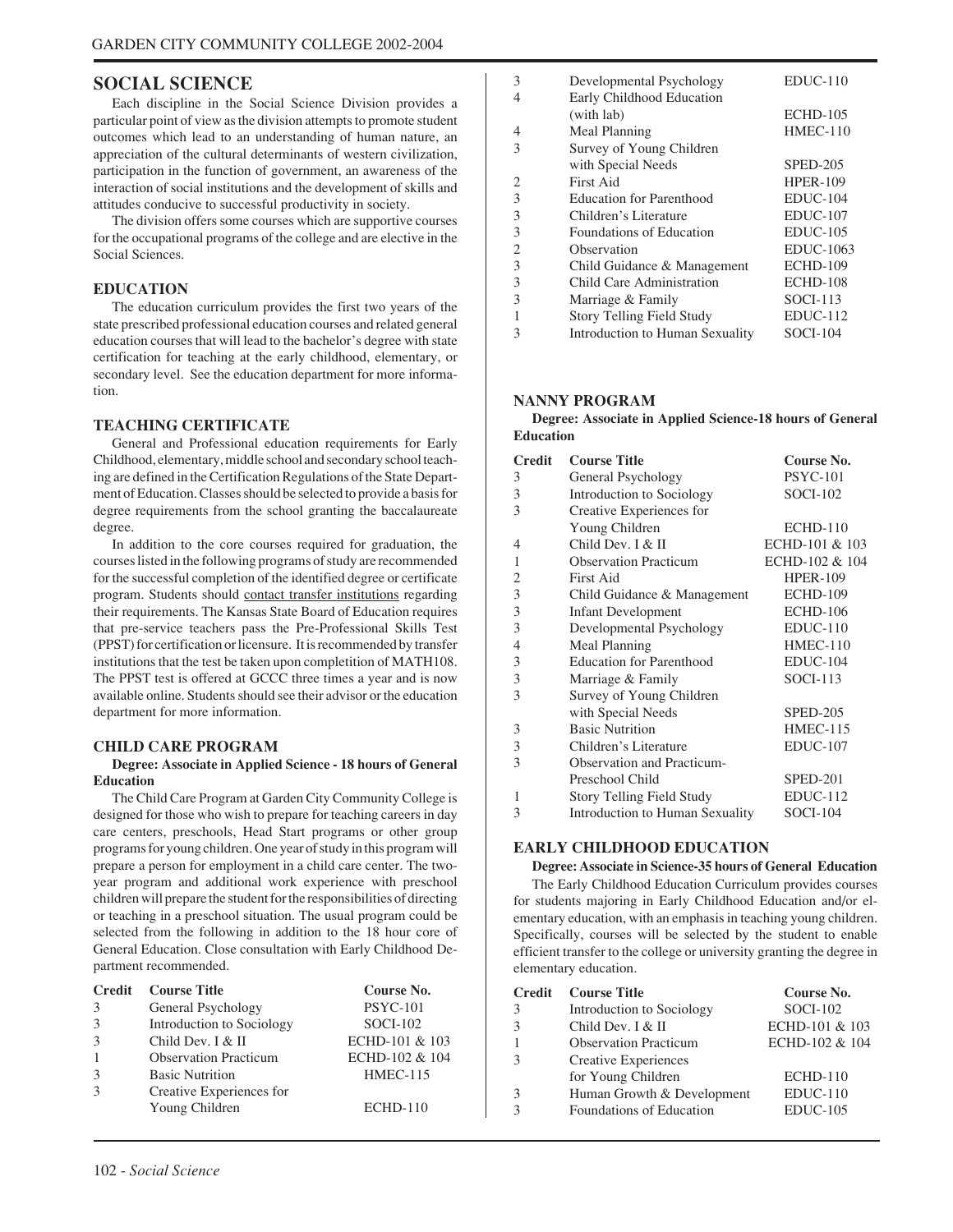# **SOCIAL SCIENCE**

Each discipline in the Social Science Division provides a particular point of view as the division attempts to promote student outcomes which lead to an understanding of human nature, an appreciation of the cultural determinants of western civilization, participation in the function of government, an awareness of the interaction of social institutions and the development of skills and attitudes conducive to successful productivity in society.

The division offers some courses which are supportive courses for the occupational programs of the college and are elective in the Social Sciences.

### **EDUCATION**

The education curriculum provides the first two years of the state prescribed professional education courses and related general education courses that will lead to the bachelor's degree with state certification for teaching at the early childhood, elementary, or secondary level. See the education department for more information.

#### **TEACHING CERTIFICATE**

General and Professional education requirements for Early Childhood, elementary, middle school and secondary school teaching are defined in the Certification Regulations of the State Department of Education. Classes should be selected to provide a basis for degree requirements from the school granting the baccalaureate degree.

In addition to the core courses required for graduation, the courses listed in the following programs of study are recommended for the successful completion of the identified degree or certificate program. Students should contact transfer institutions regarding their requirements. The Kansas State Board of Education requires that pre-service teachers pass the Pre-Professional Skills Test (PPST) for certification or licensure. It is recommended by transfer institutions that the test be taken upon completition of MATH108. The PPST test is offered at GCCC three times a year and is now available online. Students should see their advisor or the education department for more information.

#### **CHILD CARE PROGRAM**

#### **Degree: Associate in Applied Science - 18 hours of General Education**

The Child Care Program at Garden City Community College is designed for those who wish to prepare for teaching careers in day care centers, preschools, Head Start programs or other group programs for young children. One year of study in this program will prepare a person for employment in a child care center. The twoyear program and additional work experience with preschool children will prepare the student for the responsibilities of directing or teaching in a preschool situation. The usual program could be selected from the following in addition to the 18 hour core of General Education. Close consultation with Early Childhood Department recommended.

| Credit         | <b>Course Title</b>          | Course No.      |
|----------------|------------------------------|-----------------|
| 3              | General Psychology           | <b>PSYC-101</b> |
| 3              | Introduction to Sociology    | $SOCI-102$      |
| $\mathcal{F}$  | Child Dev. $I & H$           | ECHD-101 & 103  |
| $\overline{1}$ | <b>Observation Practicum</b> | ECHD-102 & 104  |
| $\mathcal{F}$  | <b>Basic Nutrition</b>       | $HMEC-115$      |
| $\mathcal{F}$  | Creative Experiences for     |                 |
|                | Young Children               | <b>ECHD-110</b> |

| 3 | Developmental Psychology               | $EDUC-110$       |
|---|----------------------------------------|------------------|
| 4 | Early Childhood Education              |                  |
|   | (with lab)                             | $ECHD-105$       |
| 4 | Meal Planning                          | $HMEC-110$       |
| 3 | Survey of Young Children               |                  |
|   | with Special Needs                     | <b>SPED-205</b>  |
| 2 | First Aid                              | <b>HPER-109</b>  |
| 3 | <b>Education for Parenthood</b>        | $EDUC-104$       |
| 3 | Children's Literature                  | $EDUC-107$       |
| 3 | Foundations of Education               | $EDUC-105$       |
| 2 | Observation                            | <b>EDUC-1063</b> |
| 3 | Child Guidance & Management            | <b>ECHD-109</b>  |
| 3 | Child Care Administration              | <b>ECHD-108</b>  |
| 3 | Marriage & Family                      | $SOCI-113$       |
|   | <b>Story Telling Field Study</b>       | $EDUC-112$       |
| 3 | <b>Introduction to Human Sexuality</b> | $SOCI-104$       |

#### **NANNY PROGRAM**

**Degree: Associate in Applied Science-18 hours of General Education**

| <b>Credit</b>  | <b>Course Title</b>               | Course No.      |
|----------------|-----------------------------------|-----------------|
| 3              | General Psychology                | <b>PSYC-101</b> |
| 3              | Introduction to Sociology         | <b>SOCI-102</b> |
| 3              | Creative Experiences for          |                 |
|                | Young Children                    | <b>ECHD-110</b> |
| 4              | Child Dev. I & II                 | ECHD-101 & 103  |
| 1              | <b>Observation Practicum</b>      | ECHD-102 & 104  |
| $\overline{c}$ | First Aid                         | <b>HPER-109</b> |
| 3              | Child Guidance & Management       | <b>ECHD-109</b> |
| 3              | <b>Infant Development</b>         | <b>ECHD-106</b> |
| 3              | Developmental Psychology          | <b>EDUC-110</b> |
| $\overline{4}$ | Meal Planning                     | $HMEC-110$      |
| 3              | <b>Education for Parenthood</b>   | EDUC-104        |
| 3              | Marriage & Family                 | $SOCI-113$      |
| 3              | Survey of Young Children          |                 |
|                | with Special Needs                | <b>SPED-205</b> |
| 3              | <b>Basic Nutrition</b>            | <b>HMEC-115</b> |
| 3              | Children's Literature             | <b>EDUC-107</b> |
| 3              | <b>Observation and Practicum-</b> |                 |
|                | Preschool Child                   | <b>SPED-201</b> |
| 1              | <b>Story Telling Field Study</b>  | $EDUC-112$      |
| 3              | Introduction to Human Sexuality   | <b>SOCI-104</b> |
|                |                                   |                 |

#### **EARLY CHILDHOOD EDUCATION**

**Degree: Associate in Science-35 hours of General Education**

The Early Childhood Education Curriculum provides courses for students majoring in Early Childhood Education and/or elementary education, with an emphasis in teaching young children. Specifically, courses will be selected by the student to enable efficient transfer to the college or university granting the degree in elementary education.

| <b>Credit</b> | <b>Course Title</b>          | Course No.      |
|---------------|------------------------------|-----------------|
| 3             | Introduction to Sociology    | <b>SOCI-102</b> |
|               | Child Dev. I & II            | ECHD-101 & 103  |
|               | <b>Observation Practicum</b> | ECHD-102 & 104  |
|               | Creative Experiences         |                 |
|               | for Young Children           | $ECHD-110$      |
|               | Human Growth & Development   | $EDUC-110$      |
|               | Foundations of Education     | $EDUC-105$      |
|               |                              |                 |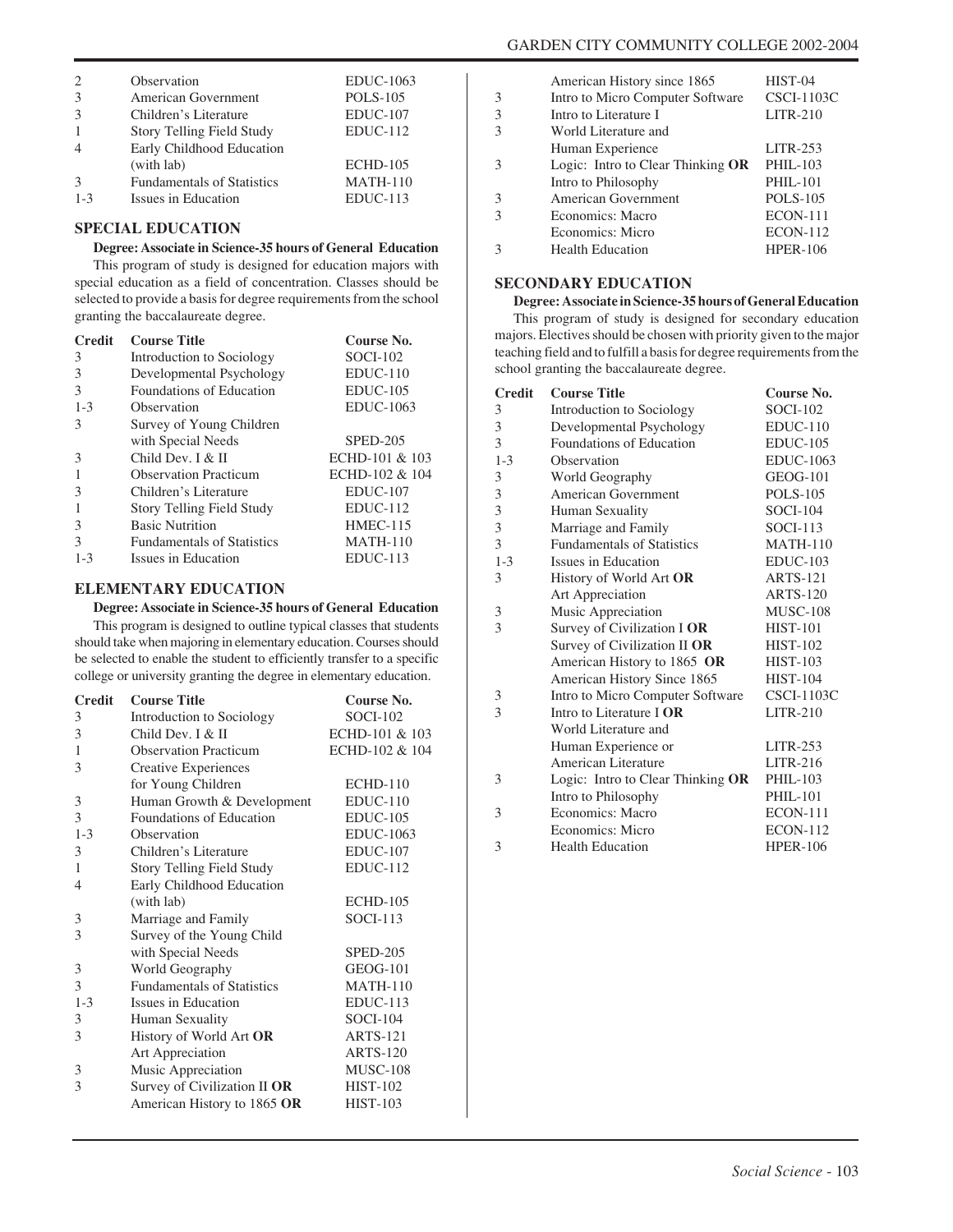#### GARDEN CITY COMMUNITY COLLEGE 2002-2004

| 2<br>3         | Observation<br>American Government | <b>EDUC-1063</b><br><b>POLS-105</b> |
|----------------|------------------------------------|-------------------------------------|
| 3              | Children's Literature              | $EDUC-107$                          |
| $\mathbf{1}$   | Story Telling Field Study          | $EDUC-112$                          |
| $\overline{4}$ | Early Childhood Education          |                                     |
|                | (with lab)                         | $ECHD-105$                          |
| $\mathcal{F}$  | <b>Fundamentals of Statistics</b>  | <b>MATH-110</b>                     |
| $1 - 3$        | Issues in Education                | $EDUC-113$                          |

# **SPECIAL EDUCATION**

# **Degree: Associate in Science-35 hours of General Education**

This program of study is designed for education majors with special education as a field of concentration. Classes should be selected to provide a basis for degree requirements from the school granting the baccalaureate degree.

| <b>Credit</b> | <b>Course Title</b>               | Course No.       |
|---------------|-----------------------------------|------------------|
| 3             | Introduction to Sociology         | <b>SOCI-102</b>  |
| 3             | Developmental Psychology          | $EDUC-110$       |
| 3             | Foundations of Education          | $EDUC-105$       |
| $1 - 3$       | Observation                       | <b>EDUC-1063</b> |
| 3             | Survey of Young Children          |                  |
|               | with Special Needs                | <b>SPED-205</b>  |
| 3             | Child Dev. I & II                 | ECHD-101 & 103   |
|               | <b>Observation Practicum</b>      | ECHD-102 & 104   |
|               | Children's Literature             | $EDUC-107$       |
|               | Story Telling Field Study         | $EDUC-112$       |
| 3             | <b>Basic Nutrition</b>            | <b>HMEC-115</b>  |
| 3             | <b>Fundamentals of Statistics</b> | <b>MATH-110</b>  |
| 1-3           | Issues in Education               | $EDUC-113$       |

#### **ELEMENTARY EDUCATION**

**Degree: Associate in Science-35 hours of General Education** This program is designed to outline typical classes that students should take when majoring in elementary education. Courses should be selected to enable the student to efficiently transfer to a specific college or university granting the degree in elementary education.

| <b>Credit</b> | <b>Course Title</b>               | Course No.       |
|---------------|-----------------------------------|------------------|
| 3             | Introduction to Sociology         | <b>SOCI-102</b>  |
| 3             | Child Dev. I & II                 | ECHD-101 & 103   |
| 1             | <b>Observation Practicum</b>      | ECHD-102 & 104   |
| 3             | Creative Experiences              |                  |
|               | for Young Children                | <b>ECHD-110</b>  |
| 3             | Human Growth & Development        | <b>EDUC-110</b>  |
| 3             | Foundations of Education          | <b>EDUC-105</b>  |
| $1 - 3$       | Observation                       | <b>EDUC-1063</b> |
| 3             | Children's Literature             | <b>EDUC-107</b>  |
| 1             | Story Telling Field Study         | $EDUC-112$       |
| 4             | Early Childhood Education         |                  |
|               | (with lab)                        | <b>ECHD-105</b>  |
| 3             | Marriage and Family               | <b>SOCI-113</b>  |
| 3             | Survey of the Young Child         |                  |
|               | with Special Needs                | <b>SPED-205</b>  |
| 3             | World Geography                   | <b>GEOG-101</b>  |
| 3             | <b>Fundamentals of Statistics</b> | <b>MATH-110</b>  |
| $1 - 3$       | Issues in Education               | <b>EDUC-113</b>  |
| 3             | Human Sexuality                   | <b>SOCI-104</b>  |
| 3             | History of World Art OR           | <b>ARTS-121</b>  |
|               | Art Appreciation                  | <b>ARTS-120</b>  |
| 3             | Music Appreciation                | <b>MUSC-108</b>  |
| 3             | Survey of Civilization II OR      | <b>HIST-102</b>  |
|               | American History to 1865 OR       | <b>HIST-103</b>  |

|               | American History since 1865       | HIST-04           |
|---------------|-----------------------------------|-------------------|
| 3             | Intro to Micro Computer Software  | <b>CSCI-1103C</b> |
| $\mathcal{F}$ | Intro to Literature I             | $LITR-210$        |
| $\mathcal{F}$ | World Literature and              |                   |
|               | Human Experience                  | $LITR-253$        |
|               | Logic: Intro to Clear Thinking OR | <b>PHIL-103</b>   |
|               | Intro to Philosophy               | <b>PHIL-101</b>   |
| $\mathcal{F}$ | American Government               | <b>POLS-105</b>   |
|               | Economics: Macro                  | <b>ECON-111</b>   |
|               | Economics: Micro                  | <b>ECON-112</b>   |
|               | <b>Health Education</b>           | <b>HPER-106</b>   |

#### **SECONDARY EDUCATION**

#### **Degree: Associate in Science-35 hours of General Education**

This program of study is designed for secondary education majors. Electives should be chosen with priority given to the major teaching field and to fulfill a basis for degree requirements from the school granting the baccalaureate degree.

| <b>Credit</b>  | <b>Course Title</b>               | Course No.        |
|----------------|-----------------------------------|-------------------|
| 3              | Introduction to Sociology         | <b>SOCI-102</b>   |
| 3              | Developmental Psychology          | $EDUC-110$        |
| 3              | Foundations of Education          | <b>EDUC-105</b>   |
| $1 - 3$        | Observation                       | <b>EDUC-1063</b>  |
| 3              | World Geography                   | <b>GEOG-101</b>   |
| $\mathfrak{Z}$ | American Government               | <b>POLS-105</b>   |
| $\mathfrak{Z}$ | Human Sexuality                   | <b>SOCI-104</b>   |
| 3              | Marriage and Family               | $SOCI-113$        |
| 3              | <b>Fundamentals of Statistics</b> | <b>MATH-110</b>   |
| $1 - 3$        | Issues in Education               | <b>EDUC-103</b>   |
| 3              | History of World Art OR           | <b>ARTS-121</b>   |
|                | Art Appreciation                  | <b>ARTS-120</b>   |
| 3              | Music Appreciation                | <b>MUSC-108</b>   |
| 3              | Survey of Civilization I OR       | <b>HIST-101</b>   |
|                | Survey of Civilization II OR      | <b>HIST-102</b>   |
|                | American History to 1865 OR       | <b>HIST-103</b>   |
|                | American History Since 1865       | <b>HIST-104</b>   |
| 3              | Intro to Micro Computer Software  | <b>CSCI-1103C</b> |
| 3              | Intro to Literature I OR          | <b>LITR-210</b>   |
|                | World Literature and              |                   |
|                | Human Experience or               | $LITR-253$        |
|                | American Literature               | $LITR-216$        |
| 3              | Logic: Intro to Clear Thinking OR | <b>PHIL-103</b>   |
|                | Intro to Philosophy               | <b>PHIL-101</b>   |
| 3              | <b>Economics: Macro</b>           | <b>ECON-111</b>   |
|                | Economics: Micro                  | <b>ECON-112</b>   |
| 3              | <b>Health Education</b>           | <b>HPER-106</b>   |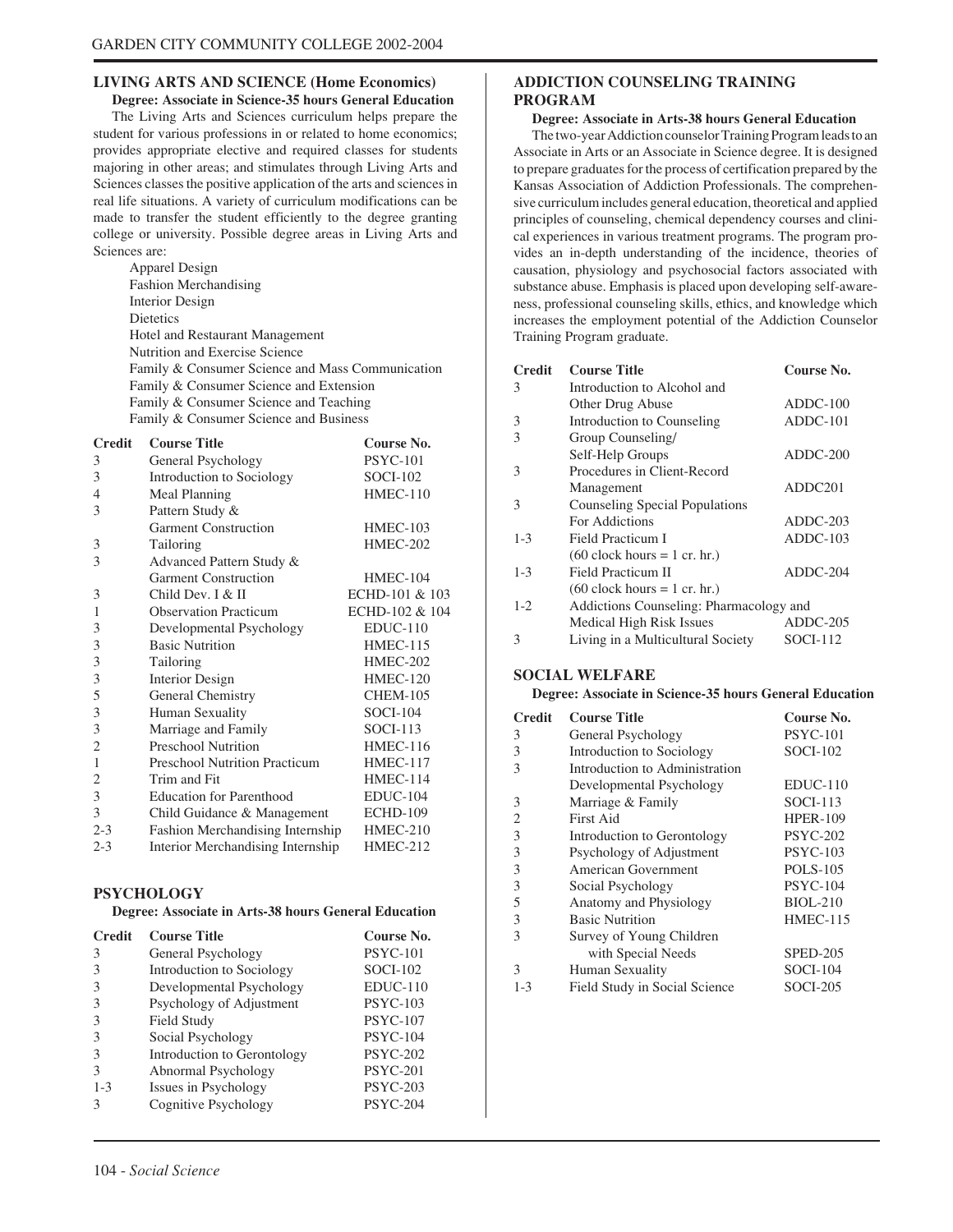# **LIVING ARTS AND SCIENCE (Home Economics)**

**Degree: Associate in Science-35 hours General Education** The Living Arts and Sciences curriculum helps prepare the student for various professions in or related to home economics; provides appropriate elective and required classes for students majoring in other areas; and stimulates through Living Arts and Sciences classes the positive application of the arts and sciences in real life situations. A variety of curriculum modifications can be made to transfer the student efficiently to the degree granting college or university. Possible degree areas in Living Arts and Sciences are:

 Apparel Design Fashion Merchandising Interior Design **Dietetics**  Hotel and Restaurant Management Nutrition and Exercise Science Family & Consumer Science and Mass Communication Family & Consumer Science and Extension Family & Consumer Science and Teaching Family & Consumer Science and Business

| <b>Credit</b> | <b>Course Title</b>                  | Course No.      |
|---------------|--------------------------------------|-----------------|
| 3             | General Psychology                   | <b>PSYC-101</b> |
| 3             | Introduction to Sociology            | <b>SOCI-102</b> |
| 4             | Meal Planning                        | <b>HMEC-110</b> |
| 3             | Pattern Study &                      |                 |
|               | <b>Garment Construction</b>          | <b>HMEC-103</b> |
| 3             | Tailoring                            | HMEC-202        |
| 3             | Advanced Pattern Study &             |                 |
|               | <b>Garment Construction</b>          | <b>HMEC-104</b> |
| 3             | Child Dev. I & II                    | ECHD-101 & 103  |
| 1             | <b>Observation Practicum</b>         | ECHD-102 & 104  |
| 3             | Developmental Psychology             | $EDUC-110$      |
| 3             | <b>Basic Nutrition</b>               | <b>HMEC-115</b> |
| 3             | Tailoring                            | HMEC-202        |
| 3             | <b>Interior Design</b>               | <b>HMEC-120</b> |
| 5             | General Chemistry                    | <b>CHEM-105</b> |
| 3             | Human Sexuality                      | <b>SOCI-104</b> |
| 3             | Marriage and Family                  | $SOCI-113$      |
| 2             | <b>Preschool Nutrition</b>           | <b>HMEC-116</b> |
| 1             | <b>Preschool Nutrition Practicum</b> | <b>HMEC-117</b> |
| 2             | Trim and Fit                         | HMEC-114        |
| 3             | <b>Education for Parenthood</b>      | $EDUC-104$      |
| 3             | Child Guidance & Management          | <b>ECHD-109</b> |
| $2 - 3$       | Fashion Merchandising Internship     | <b>HMEC-210</b> |
| $2 - 3$       | Interior Merchandising Internship    | <b>HMEC-212</b> |

# **PSYCHOLOGY**

**Degree: Associate in Arts-38 hours General Education**

| <b>Credit</b> | <b>Course Title</b>         | Course No.      |
|---------------|-----------------------------|-----------------|
| 3             | General Psychology          | <b>PSYC-101</b> |
|               | Introduction to Sociology   | <b>SOCI-102</b> |
|               | Developmental Psychology    | $EDUC-110$      |
|               | Psychology of Adjustment    | <b>PSYC-103</b> |
|               | Field Study                 | <b>PSYC-107</b> |
|               | Social Psychology           | <b>PSYC-104</b> |
|               | Introduction to Gerontology | <b>PSYC-202</b> |
|               | Abnormal Psychology         | <b>PSYC-201</b> |
| $1 - 3$       | Issues in Psychology        | <b>PSYC-203</b> |
|               | Cognitive Psychology        | <b>PSYC-204</b> |

# **ADDICTION COUNSELING TRAINING PROGRAM**

## **Degree: Associate in Arts-38 hours General Education**

The two-year Addiction counselor Training Program leads to an Associate in Arts or an Associate in Science degree. It is designed to prepare graduates for the process of certification prepared by the Kansas Association of Addiction Professionals. The comprehensive curriculum includes general education, theoretical and applied principles of counseling, chemical dependency courses and clinical experiences in various treatment programs. The program provides an in-depth understanding of the incidence, theories of causation, physiology and psychosocial factors associated with substance abuse. Emphasis is placed upon developing self-awareness, professional counseling skills, ethics, and knowledge which increases the employment potential of the Addiction Counselor Training Program graduate.

| <b>Credit</b> | <b>Course Title</b>                     | Course No.          |
|---------------|-----------------------------------------|---------------------|
| 3             | Introduction to Alcohol and             |                     |
|               | Other Drug Abuse                        | $ADDC-100$          |
| 3             | Introduction to Counseling              | ADDC-101            |
| 3             | Group Counseling/                       |                     |
|               | Self-Help Groups                        | $ADDC-200$          |
| 3             | Procedures in Client-Record             |                     |
|               | Management                              | ADDC <sub>201</sub> |
| 3             | Counseling Special Populations          |                     |
|               | For Addictions                          | $ADDC-203$          |
| $1 - 3$       | Field Practicum I                       | $ADDC-103$          |
|               | $(60$ clock hours = 1 cr. hr.)          |                     |
| $1 - 3$       | Field Practicum II                      | $ADDC-204$          |
|               | $(60$ clock hours = 1 cr. hr.)          |                     |
| $1-2$         | Addictions Counseling: Pharmacology and |                     |
|               | <b>Medical High Risk Issues</b>         | ADDC-205            |
| 3             | Living in a Multicultural Society       | $SOCI-112$          |

# **SOCIAL WELFARE**

#### **Degree: Associate in Science-35 hours General Education**

| Credit  | <b>Course Title</b>            | Course No.      |
|---------|--------------------------------|-----------------|
| 3       | General Psychology             | <b>PSYC-101</b> |
| 3       | Introduction to Sociology      | <b>SOCI-102</b> |
| 3       | Introduction to Administration |                 |
|         | Developmental Psychology       | $EDUC-110$      |
| 3       | Marriage & Family              | $SOCI-113$      |
| 2       | First Aid                      | <b>HPER-109</b> |
| 3       | Introduction to Gerontology    | <b>PSYC-202</b> |
| 3       | Psychology of Adjustment       | <b>PSYC-103</b> |
| 3       | American Government            | <b>POLS-105</b> |
| 3       | Social Psychology              | <b>PSYC-104</b> |
| 5       | Anatomy and Physiology         | <b>BIOL-210</b> |
| 3       | <b>Basic Nutrition</b>         | $HMEC-115$      |
| 3       | Survey of Young Children       |                 |
|         | with Special Needs             | <b>SPED-205</b> |
| 3       | Human Sexuality                | <b>SOCI-104</b> |
| $1 - 3$ | Field Study in Social Science  | <b>SOCI-205</b> |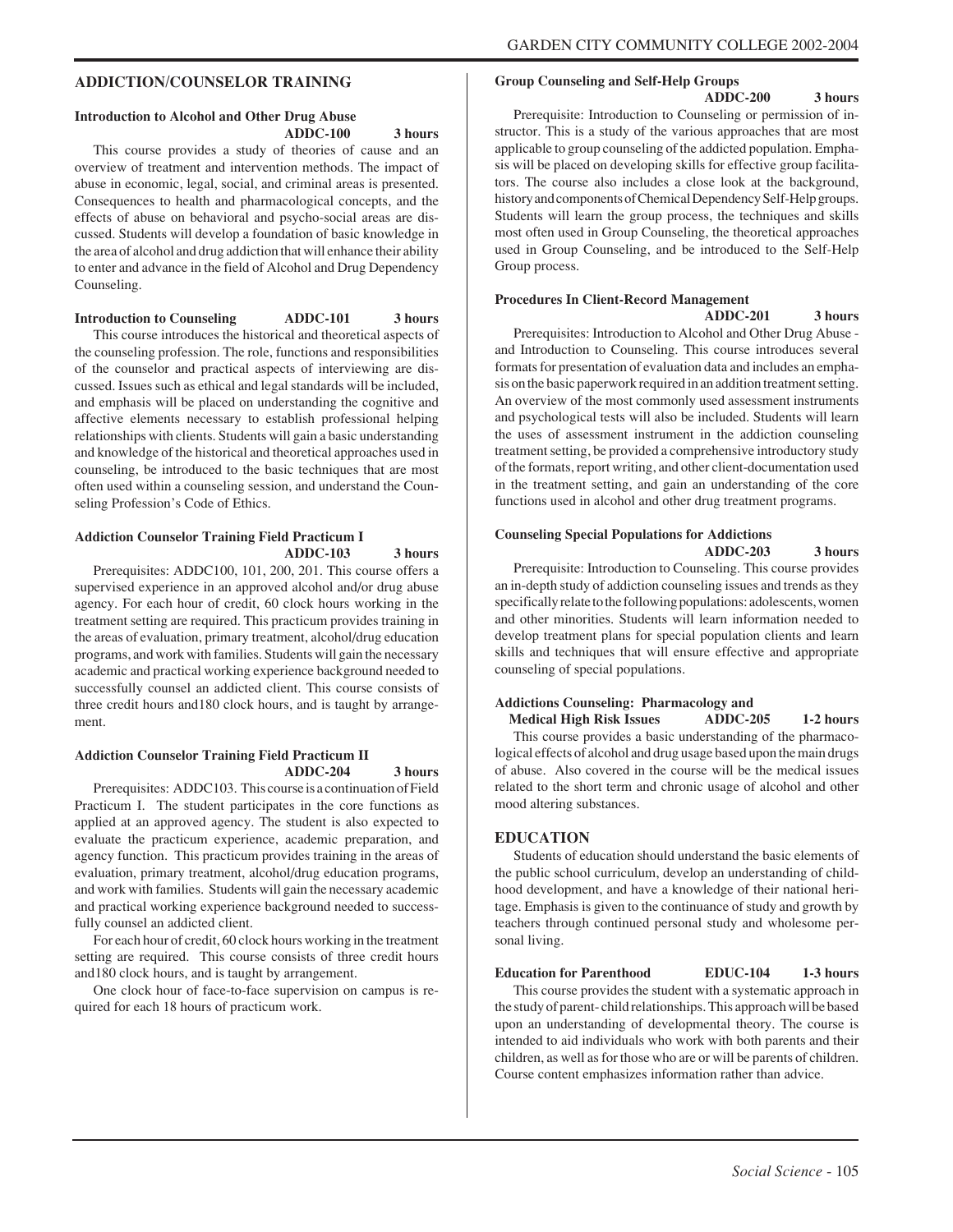#### **ADDICTION/COUNSELOR TRAINING**

#### **Introduction to Alcohol and Other Drug Abuse ADDC-100 3 hours**

This course provides a study of theories of cause and an overview of treatment and intervention methods. The impact of abuse in economic, legal, social, and criminal areas is presented. Consequences to health and pharmacological concepts, and the effects of abuse on behavioral and psycho-social areas are discussed. Students will develop a foundation of basic knowledge in the area of alcohol and drug addiction that will enhance their ability to enter and advance in the field of Alcohol and Drug Dependency Counseling.

### **Introduction to Counseling ADDC-101 3 hours**

This course introduces the historical and theoretical aspects of the counseling profession. The role, functions and responsibilities of the counselor and practical aspects of interviewing are discussed. Issues such as ethical and legal standards will be included, and emphasis will be placed on understanding the cognitive and affective elements necessary to establish professional helping relationships with clients. Students will gain a basic understanding and knowledge of the historical and theoretical approaches used in counseling, be introduced to the basic techniques that are most often used within a counseling session, and understand the Counseling Profession's Code of Ethics.

#### **Addiction Counselor Training Field Practicum I ADDC-103 3 hours**

Prerequisites: ADDC100, 101, 200, 201. This course offers a supervised experience in an approved alcohol and/or drug abuse agency. For each hour of credit, 60 clock hours working in the treatment setting are required. This practicum provides training in the areas of evaluation, primary treatment, alcohol/drug education programs, and work with families. Students will gain the necessary academic and practical working experience background needed to successfully counsel an addicted client. This course consists of three credit hours and180 clock hours, and is taught by arrangement.

#### **Addiction Counselor Training Field Practicum II ADDC-204 3 hours**

Prerequisites: ADDC103. This course is a continuation of Field Practicum I. The student participates in the core functions as applied at an approved agency. The student is also expected to evaluate the practicum experience, academic preparation, and agency function. This practicum provides training in the areas of evaluation, primary treatment, alcohol/drug education programs, and work with families. Students will gain the necessary academic and practical working experience background needed to successfully counsel an addicted client.

For each hour of credit, 60 clock hours working in the treatment setting are required. This course consists of three credit hours and180 clock hours, and is taught by arrangement.

One clock hour of face-to-face supervision on campus is required for each 18 hours of practicum work.

#### **Group Counseling and Self-Help Groups**

#### **ADDC-200 3 hours**

Prerequisite: Introduction to Counseling or permission of instructor. This is a study of the various approaches that are most applicable to group counseling of the addicted population. Emphasis will be placed on developing skills for effective group facilitators. The course also includes a close look at the background, history and components of Chemical Dependency Self-Help groups. Students will learn the group process, the techniques and skills most often used in Group Counseling, the theoretical approaches used in Group Counseling, and be introduced to the Self-Help Group process.

#### **Procedures In Client-Record Management**

#### **ADDC-201 3 hours**

Prerequisites: Introduction to Alcohol and Other Drug Abuse and Introduction to Counseling. This course introduces several formats for presentation of evaluation data and includes an emphasis on the basic paperwork required in an addition treatment setting. An overview of the most commonly used assessment instruments and psychological tests will also be included. Students will learn the uses of assessment instrument in the addiction counseling treatment setting, be provided a comprehensive introductory study of the formats, report writing, and other client-documentation used in the treatment setting, and gain an understanding of the core functions used in alcohol and other drug treatment programs.

#### **Counseling Special Populations for Addictions ADDC-203 3 hours**

Prerequisite: Introduction to Counseling. This course provides an in-depth study of addiction counseling issues and trends as they specifically relate to the following populations: adolescents, women and other minorities. Students will learn information needed to develop treatment plans for special population clients and learn skills and techniques that will ensure effective and appropriate counseling of special populations.

#### **Addictions Counseling: Pharmacology and Medical High Risk Issues ADDC-205 1-2 hours**

This course provides a basic understanding of the pharmacological effects of alcohol and drug usage based upon the main drugs of abuse. Also covered in the course will be the medical issues related to the short term and chronic usage of alcohol and other mood altering substances.

#### **EDUCATION**

Students of education should understand the basic elements of the public school curriculum, develop an understanding of childhood development, and have a knowledge of their national heritage. Emphasis is given to the continuance of study and growth by teachers through continued personal study and wholesome personal living.

#### **Education for Parenthood EDUC-104 1-3 hours**

This course provides the student with a systematic approach in the study of parent- child relationships. This approach will be based upon an understanding of developmental theory. The course is intended to aid individuals who work with both parents and their children, as well as for those who are or will be parents of children. Course content emphasizes information rather than advice.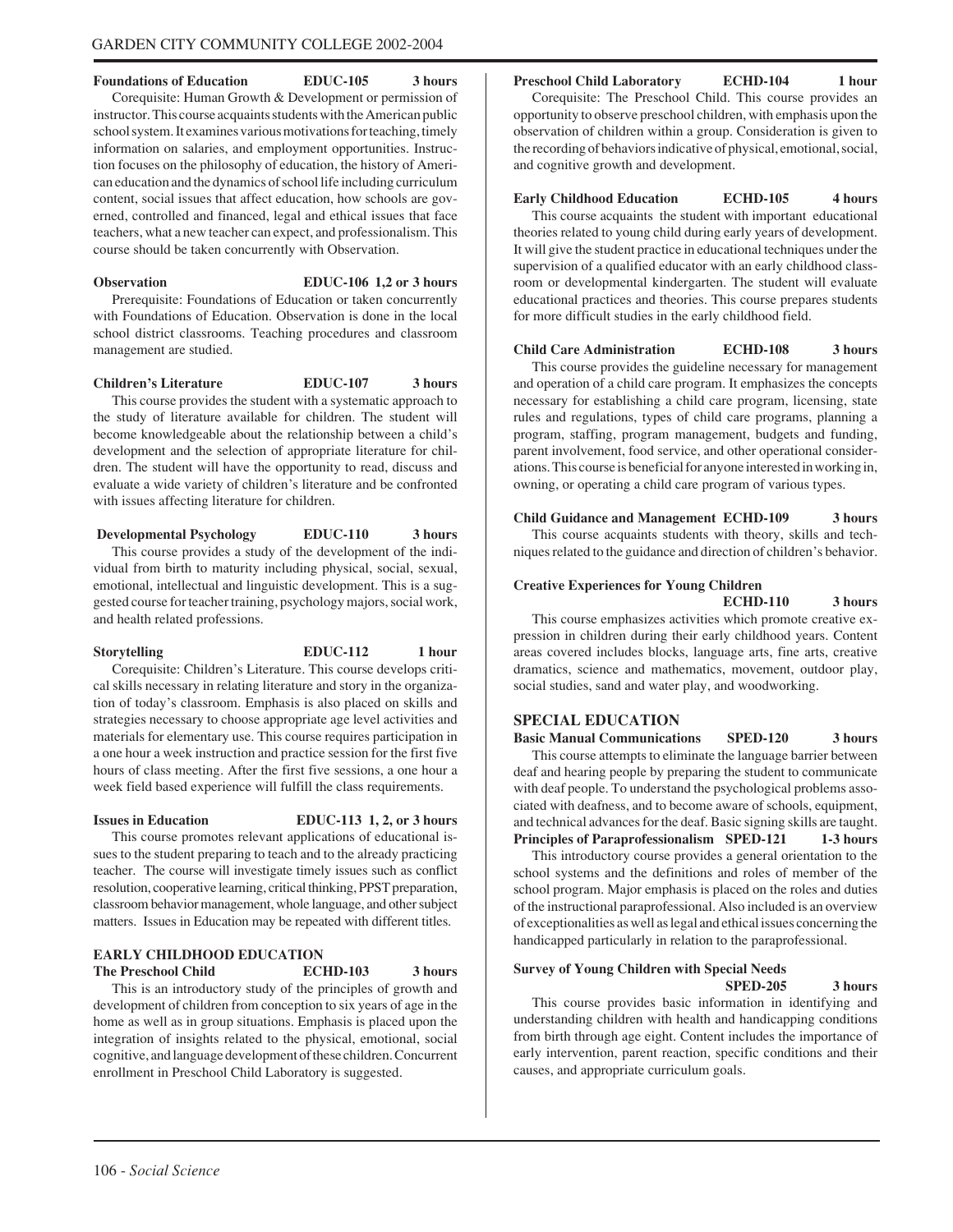#### **Foundations of Education EDUC-105 3 hours**

Corequisite: Human Growth & Development or permission of instructor. This course acquaints students with the American public school system. It examines various motivations for teaching, timely information on salaries, and employment opportunities. Instruction focuses on the philosophy of education, the history of American education and the dynamics of school life including curriculum content, social issues that affect education, how schools are governed, controlled and financed, legal and ethical issues that face teachers, what a new teacher can expect, and professionalism. This course should be taken concurrently with Observation.

#### **Observation EDUC-106 1,2 or 3 hours** Prerequisite: Foundations of Education or taken concurrently with Foundations of Education. Observation is done in the local school district classrooms. Teaching procedures and classroom management are studied.

**Children's Literature EDUC-107 3 hours**

This course provides the student with a systematic approach to the study of literature available for children. The student will become knowledgeable about the relationship between a child's development and the selection of appropriate literature for children. The student will have the opportunity to read, discuss and evaluate a wide variety of children's literature and be confronted with issues affecting literature for children.

 **Developmental Psychology EDUC-110 3 hours** This course provides a study of the development of the individual from birth to maturity including physical, social, sexual, emotional, intellectual and linguistic development. This is a suggested course for teacher training, psychology majors, social work, and health related professions.

# Storytelling EDUC-112 1 hour

Corequisite: Children's Literature. This course develops critical skills necessary in relating literature and story in the organization of today's classroom. Emphasis is also placed on skills and strategies necessary to choose appropriate age level activities and materials for elementary use. This course requires participation in a one hour a week instruction and practice session for the first five hours of class meeting. After the first five sessions, a one hour a week field based experience will fulfill the class requirements.

#### **Issues in Education EDUC-113 1, 2, or 3 hours**

This course promotes relevant applications of educational issues to the student preparing to teach and to the already practicing teacher. The course will investigate timely issues such as conflict resolution, cooperative learning, critical thinking, PPST preparation, classroom behavior management, whole language, and other subject matters. Issues in Education may be repeated with different titles.

# **EARLY CHILDHOOD EDUCATION**

#### **The Preschool Child ECHD-103 3 hours**

This is an introductory study of the principles of growth and development of children from conception to six years of age in the home as well as in group situations. Emphasis is placed upon the integration of insights related to the physical, emotional, social cognitive, and language development of these children. Concurrent enrollment in Preschool Child Laboratory is suggested.

#### **Preschool Child Laboratory ECHD-104 1 hour**

Corequisite: The Preschool Child. This course provides an opportunity to observe preschool children, with emphasis upon the observation of children within a group. Consideration is given to the recording of behaviors indicative of physical, emotional, social, and cognitive growth and development.

# **Early Childhood Education ECHD-105 4 hours**

This course acquaints the student with important educational theories related to young child during early years of development. It will give the student practice in educational techniques under the supervision of a qualified educator with an early childhood classroom or developmental kindergarten. The student will evaluate educational practices and theories. This course prepares students for more difficult studies in the early childhood field.

#### **Child Care Administration ECHD-108 3 hours**

This course provides the guideline necessary for management and operation of a child care program. It emphasizes the concepts necessary for establishing a child care program, licensing, state rules and regulations, types of child care programs, planning a program, staffing, program management, budgets and funding, parent involvement, food service, and other operational considerations. This course is beneficial for anyone interested in working in, owning, or operating a child care program of various types.

#### **Child Guidance and Management ECHD-109 3 hours**

This course acquaints students with theory, skills and techniques related to the guidance and direction of children's behavior.

#### **Creative Experiences for Young Children**

**ECHD-110 3 hours**

This course emphasizes activities which promote creative expression in children during their early childhood years. Content areas covered includes blocks, language arts, fine arts, creative dramatics, science and mathematics, movement, outdoor play, social studies, sand and water play, and woodworking.

#### **SPECIAL EDUCATION**

**Basic Manual Communications SPED-120 3 hours** This course attempts to eliminate the language barrier between deaf and hearing people by preparing the student to communicate with deaf people. To understand the psychological problems associated with deafness, and to become aware of schools, equipment, and technical advances for the deaf. Basic signing skills are taught. **Principles of Paraprofessionalism SPED-121 1-3 hours**

This introductory course provides a general orientation to the school systems and the definitions and roles of member of the school program. Major emphasis is placed on the roles and duties of the instructional paraprofessional. Also included is an overview of exceptionalities as well as legal and ethical issues concerning the handicapped particularly in relation to the paraprofessional.

#### **Survey of Young Children with Special Needs**

**SPED-205 3 hours**

This course provides basic information in identifying and understanding children with health and handicapping conditions from birth through age eight. Content includes the importance of early intervention, parent reaction, specific conditions and their causes, and appropriate curriculum goals.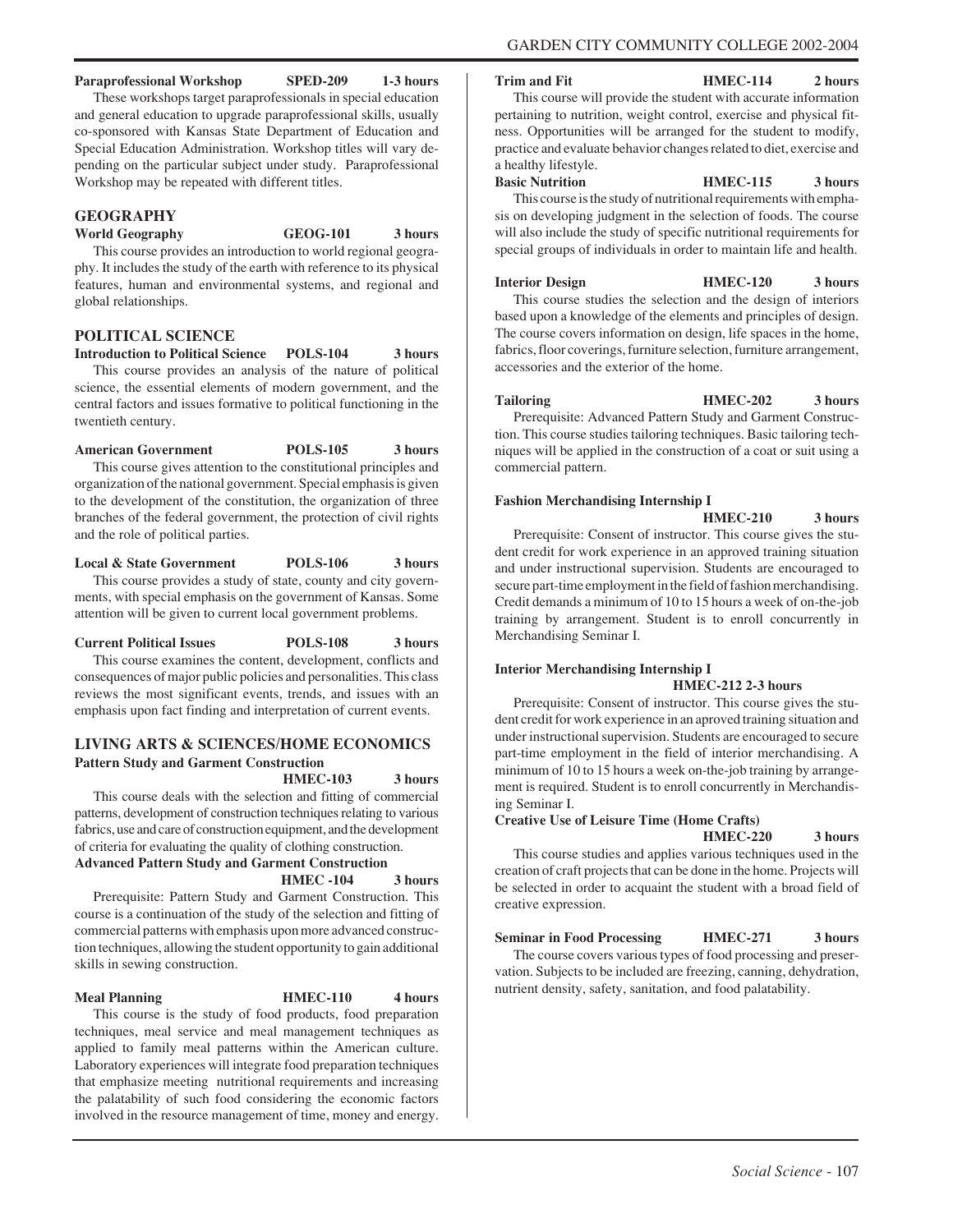#### **Paraprofessional Workshop SPED-209 1-3 hours**

These workshops target paraprofessionals in special education and general education to upgrade paraprofessional skills, usually co-sponsored with Kansas State Department of Education and Special Education Administration. Workshop titles will vary depending on the particular subject under study. Paraprofessional Workshop may be repeated with different titles.

## **GEOGRAPHY**

**World Geography GEOG-101 3 hours**

This course provides an introduction to world regional geography. It includes the study of the earth with reference to its physical features, human and environmental systems, and regional and global relationships.

#### **POLITICAL SCIENCE**

**Introduction to Political Science POLS-104 3 hours** This course provides an analysis of the nature of political science, the essential elements of modern government, and the central factors and issues formative to political functioning in the twentieth century.

**American Government POLS-105 3 hours** This course gives attention to the constitutional principles and organization of the national government. Special emphasis is given to the development of the constitution, the organization of three branches of the federal government, the protection of civil rights and the role of political parties.

**Local & State Government POLS-106 3 hours** This course provides a study of state, county and city governments, with special emphasis on the government of Kansas. Some attention will be given to current local government problems.

**Current Political Issues POLS-108 3 hours** This course examines the content, development, conflicts and consequences of major public policies and personalities. This class reviews the most significant events, trends, and issues with an emphasis upon fact finding and interpretation of current events.

## **LIVING ARTS & SCIENCES/HOME ECONOMICS Pattern Study and Garment Construction**

#### **HMEC-103 3 hours**

This course deals with the selection and fitting of commercial patterns, development of construction techniques relating to various fabrics, use and care of construction equipment, and the development of criteria for evaluating the quality of clothing construction. **Advanced Pattern Study and Garment Construction**

#### **HMEC -104 3 hours**

Prerequisite: Pattern Study and Garment Construction. This course is a continuation of the study of the selection and fitting of commercial patterns with emphasis upon more advanced construction techniques, allowing the student opportunity to gain additional skills in sewing construction.

# **Meal Planning HMEC-110 4 hours**

This course is the study of food products, food preparation techniques, meal service and meal management techniques as applied to family meal patterns within the American culture. Laboratory experiences will integrate food preparation techniques that emphasize meeting nutritional requirements and increasing the palatability of such food considering the economic factors involved in the resource management of time, money and energy.

**Trim and Fit HMEC-114** 2 hours

This course will provide the student with accurate information pertaining to nutrition, weight control, exercise and physical fitness. Opportunities will be arranged for the student to modify, practice and evaluate behavior changes related to diet, exercise and a healthy lifestyle.

**Basic Nutrition HMEC-115 3 hours** This course is the study of nutritional requirements with emphasis on developing judgment in the selection of foods. The course will also include the study of specific nutritional requirements for special groups of individuals in order to maintain life and health.

**Interior Design HMEC-120 3 hours** This course studies the selection and the design of interiors based upon a knowledge of the elements and principles of design. The course covers information on design, life spaces in the home, fabrics, floor coverings, furniture selection, furniture arrangement, accessories and the exterior of the home.

#### **Tailoring HMEC-202 3 hours**

Prerequisite: Advanced Pattern Study and Garment Construction. This course studies tailoring techniques. Basic tailoring techniques will be applied in the construction of a coat or suit using a commercial pattern.

#### **Fashion Merchandising Internship I**

**HMEC-210 3 hours** Prerequisite: Consent of instructor. This course gives the student credit for work experience in an approved training situation and under instructional supervision. Students are encouraged to secure part-time employment in the field of fashion merchandising. Credit demands a minimum of 10 to 15 hours a week of on-the-job training by arrangement. Student is to enroll concurrently in Merchandising Seminar I.

#### **Interior Merchandising Internship I**

#### **HMEC-212 2-3 hours**

Prerequisite: Consent of instructor. This course gives the student credit for work experience in an aproved training situation and under instructional supervision. Students are encouraged to secure part-time employment in the field of interior merchandising. A minimum of 10 to 15 hours a week on-the-job training by arrangement is required. Student is to enroll concurrently in Merchandising Seminar I.

#### **Creative Use of Leisure Time (Home Crafts)**

**HMEC-220 3 hours**

This course studies and applies various techniques used in the creation of craft projects that can be done in the home. Projects will be selected in order to acquaint the student with a broad field of creative expression.

#### **Seminar in Food Processing HMEC-271 3 hours**

The course covers various types of food processing and preservation. Subjects to be included are freezing, canning, dehydration, nutrient density, safety, sanitation, and food palatability.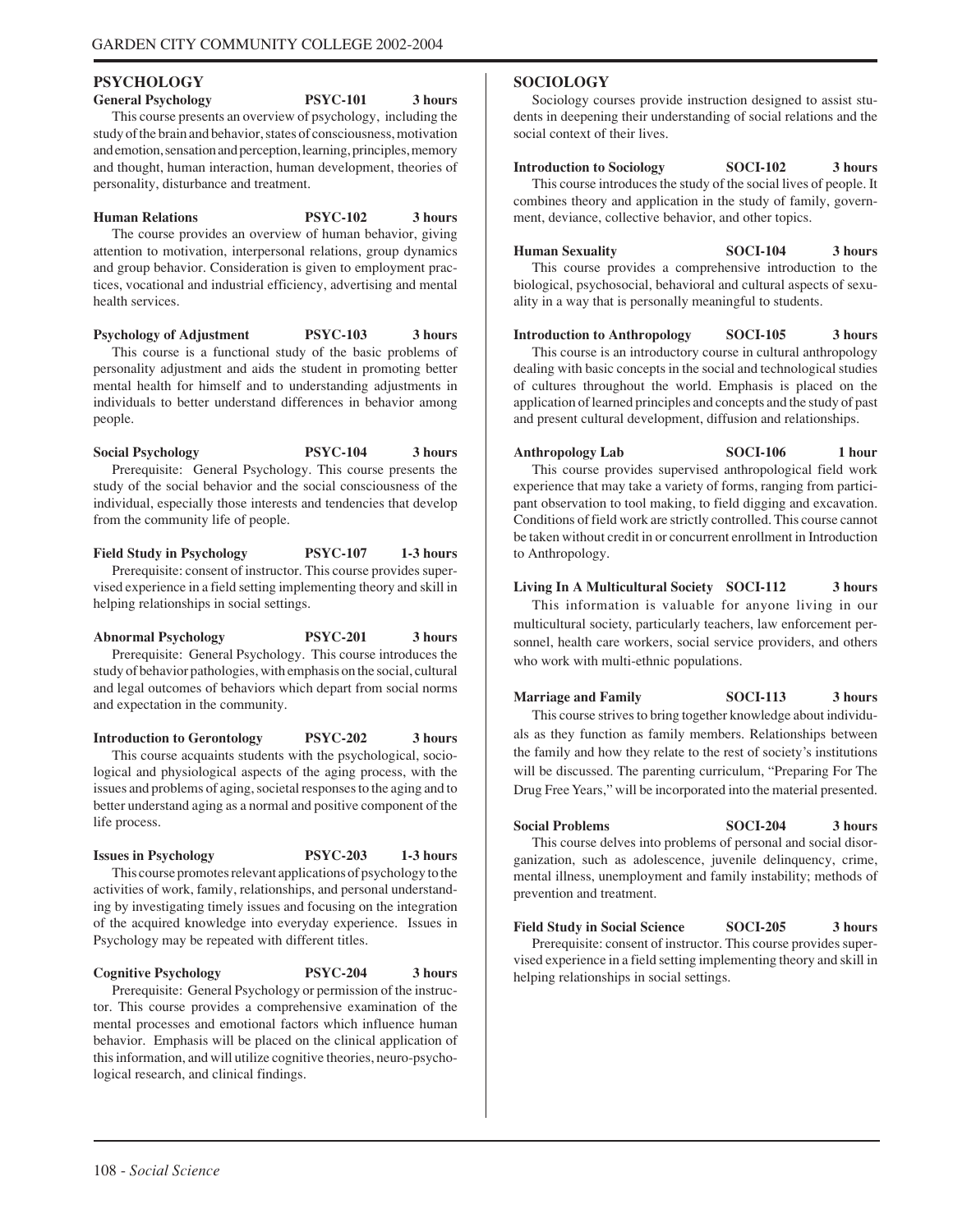# **PSYCHOLOGY**

**General Psychology PSYC-101 3 hours** This course presents an overview of psychology, including the study of the brain and behavior, states of consciousness, motivation and emotion, sensation and perception, learning, principles, memory and thought, human interaction, human development, theories of personality, disturbance and treatment.

#### **Human Relations PSYC-102 3 hours** The course provides an overview of human behavior, giving attention to motivation, interpersonal relations, group dynamics and group behavior. Consideration is given to employment practices, vocational and industrial efficiency, advertising and mental health services.

**Psychology of Adjustment PSYC-103 3 hours** This course is a functional study of the basic problems of personality adjustment and aids the student in promoting better mental health for himself and to understanding adjustments in individuals to better understand differences in behavior among people.

**Social Psychology PSYC-104 3 hours** Prerequisite: General Psychology. This course presents the study of the social behavior and the social consciousness of the individual, especially those interests and tendencies that develop from the community life of people.

**Field Study in Psychology PSYC-107 1-3 hours** Prerequisite: consent of instructor. This course provides supervised experience in a field setting implementing theory and skill in helping relationships in social settings.

**Abnormal Psychology PSYC-201 3 hours** Prerequisite: General Psychology. This course introduces the study of behavior pathologies, with emphasis on the social, cultural and legal outcomes of behaviors which depart from social norms and expectation in the community.

**Introduction to Gerontology PSYC-202 3 hours** This course acquaints students with the psychological, sociological and physiological aspects of the aging process, with the issues and problems of aging, societal responses to the aging and to better understand aging as a normal and positive component of the life process.

#### **Issues in Psychology PSYC-203 1-3 hours** This course promotes relevant applications of psychology to the activities of work, family, relationships, and personal understanding by investigating timely issues and focusing on the integration of the acquired knowledge into everyday experience. Issues in Psychology may be repeated with different titles.

# **Cognitive Psychology PSYC-204 3 hours** Prerequisite: General Psychology or permission of the instruc-

tor. This course provides a comprehensive examination of the mental processes and emotional factors which influence human behavior. Emphasis will be placed on the clinical application of this information, and will utilize cognitive theories, neuro-psychological research, and clinical findings.

#### **SOCIOLOGY**

Sociology courses provide instruction designed to assist students in deepening their understanding of social relations and the social context of their lives.

**Introduction to Sociology SOCI-102 3 hours** This course introduces the study of the social lives of people. It combines theory and application in the study of family, government, deviance, collective behavior, and other topics.

**Human Sexuality SOCI-104 3 hours** This course provides a comprehensive introduction to the biological, psychosocial, behavioral and cultural aspects of sexuality in a way that is personally meaningful to students.

**Introduction to Anthropology SOCI-105 3 hours** This course is an introductory course in cultural anthropology dealing with basic concepts in the social and technological studies of cultures throughout the world. Emphasis is placed on the application of learned principles and concepts and the study of past and present cultural development, diffusion and relationships.

**Anthropology Lab SOCI-106 1 hour** This course provides supervised anthropological field work experience that may take a variety of forms, ranging from participant observation to tool making, to field digging and excavation. Conditions of field work are strictly controlled. This course cannot be taken without credit in or concurrent enrollment in Introduction to Anthropology.

**Living In A Multicultural Society SOCI-112 3 hours**

This information is valuable for anyone living in our multicultural society, particularly teachers, law enforcement personnel, health care workers, social service providers, and others who work with multi-ethnic populations.

**Marriage and Family SOCI-113** 3 hours

This course strives to bring together knowledge about individuals as they function as family members. Relationships between the family and how they relate to the rest of society's institutions will be discussed. The parenting curriculum, "Preparing For The Drug Free Years," will be incorporated into the material presented.

**Social Problems SOCI-204 3 hours** This course delves into problems of personal and social disorganization, such as adolescence, juvenile delinquency, crime, mental illness, unemployment and family instability; methods of prevention and treatment.

**Field Study in Social Science SOCI-205 3 hours**

Prerequisite: consent of instructor. This course provides supervised experience in a field setting implementing theory and skill in helping relationships in social settings.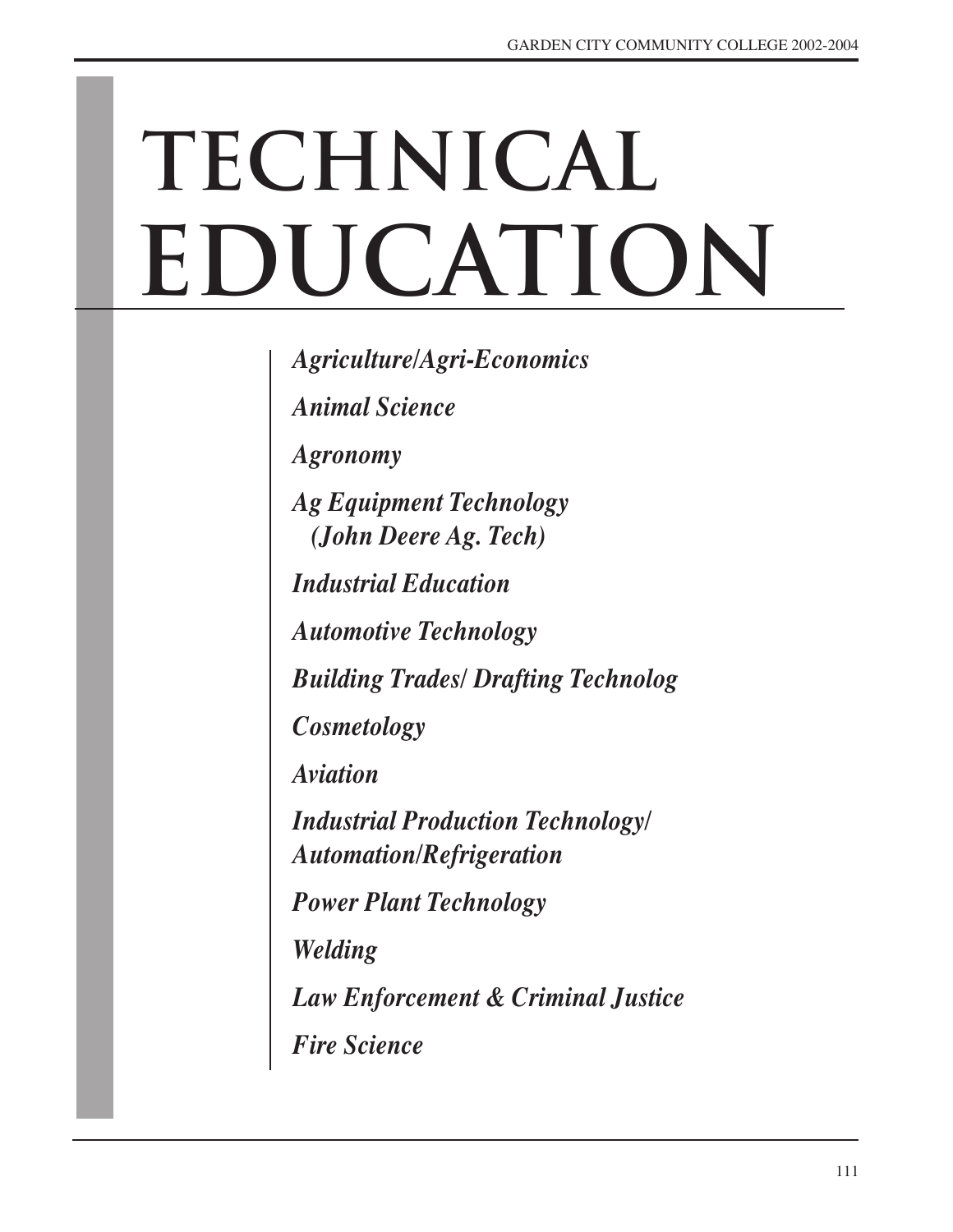# **EDUCATION Technical**

*Agriculture/Agri-Economics Animal Science Agronomy Ag Equipment Technology (John Deere Ag. Tech) Industrial Education Automotive Technology Building Trades/ Drafting Technolog Cosmetology Aviation Industrial Production Technology/ Automation/Refrigeration Power Plant Technology Welding Law Enforcement & Criminal Justice Fire Science*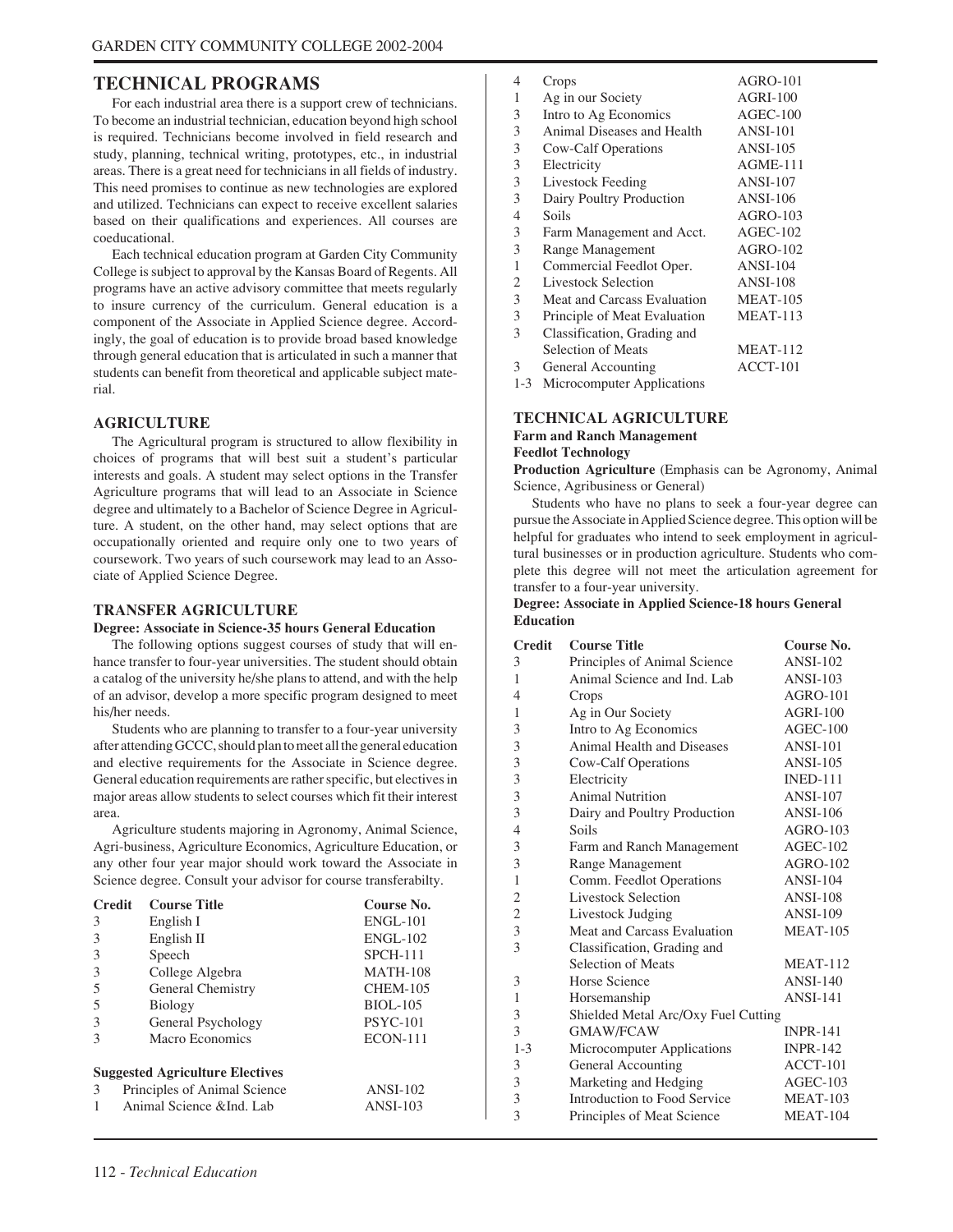#### **TECHNICAL PROGRAMS**

For each industrial area there is a support crew of technicians. To become an industrial technician, education beyond high school is required. Technicians become involved in field research and study, planning, technical writing, prototypes, etc., in industrial areas. There is a great need for technicians in all fields of industry. This need promises to continue as new technologies are explored and utilized. Technicians can expect to receive excellent salaries based on their qualifications and experiences. All courses are coeducational.

Each technical education program at Garden City Community College is subject to approval by the Kansas Board of Regents. All programs have an active advisory committee that meets regularly to insure currency of the curriculum. General education is a component of the Associate in Applied Science degree. Accordingly, the goal of education is to provide broad based knowledge through general education that is articulated in such a manner that students can benefit from theoretical and applicable subject material.

#### **AGRICULTURE**

The Agricultural program is structured to allow flexibility in choices of programs that will best suit a student's particular interests and goals. A student may select options in the Transfer Agriculture programs that will lead to an Associate in Science degree and ultimately to a Bachelor of Science Degree in Agriculture. A student, on the other hand, may select options that are occupationally oriented and require only one to two years of coursework. Two years of such coursework may lead to an Associate of Applied Science Degree.

#### **TRANSFER AGRICULTURE**

#### **Degree: Associate in Science-35 hours General Education**

The following options suggest courses of study that will enhance transfer to four-year universities. The student should obtain a catalog of the university he/she plans to attend, and with the help of an advisor, develop a more specific program designed to meet his/her needs.

Students who are planning to transfer to a four-year university after attending GCCC, should plan to meet all the general education and elective requirements for the Associate in Science degree. General education requirements are rather specific, but electives in major areas allow students to select courses which fit their interest area.

Agriculture students majoring in Agronomy, Animal Science, Agri-business, Agriculture Economics, Agriculture Education, or any other four year major should work toward the Associate in Science degree. Consult your advisor for course transferabilty.

| <b>Credit</b>                          | <b>Course Title</b>          | Course No.      |
|----------------------------------------|------------------------------|-----------------|
| 3                                      | English I                    | $ENGL-101$      |
| 3                                      | English II                   | <b>ENGL-102</b> |
| 3                                      | Speech                       | <b>SPCH-111</b> |
| 3                                      | College Algebra              | <b>MATH-108</b> |
| 5                                      | General Chemistry            | <b>CHEM-105</b> |
| 5                                      | <b>Biology</b>               | <b>BIOL-105</b> |
| 3                                      | General Psychology           | <b>PSYC-101</b> |
| 3                                      | Macro Economics              | <b>ECON-111</b> |
| <b>Suggested Agriculture Electives</b> |                              |                 |
| 3                                      | Principles of Animal Science | <b>ANSI-102</b> |
|                                        | Animal Science & Ind. Lab    | ANSI-103        |

| 4              | Crops                        | $AGRO-101$      |
|----------------|------------------------------|-----------------|
| 1              | Ag in our Society            | <b>AGRI-100</b> |
| 3              | Intro to Ag Economics        | $AGEC-100$      |
| 3              | Animal Diseases and Health   | <b>ANSI-101</b> |
| 3              | <b>Cow-Calf Operations</b>   | <b>ANSI-105</b> |
| 3              | Electricity                  | $AGME-111$      |
| 3              | Livestock Feeding            | $ANSI-107$      |
| 3              | Dairy Poultry Production     | $ANSI-106$      |
| $\overline{4}$ | Soils                        | $AGRO-103$      |
| 3              | Farm Management and Acct.    | $AGEC-102$      |
| 3              | Range Management             | <b>AGRO-102</b> |
| 1              | Commercial Feedlot Oper.     | $ANSI-104$      |
| 2              | <b>Livestock Selection</b>   | <b>ANSI-108</b> |
| 3              | Meat and Carcass Evaluation  | <b>MEAT-105</b> |
| 3              | Principle of Meat Evaluation | <b>MEAT-113</b> |
| 3              | Classification, Grading and  |                 |
|                | <b>Selection of Meats</b>    | <b>MEAT-112</b> |
| 3              | General Accounting           | $ACCT-101$      |
| $1-3$          | Microcomputer Applications   |                 |

#### **TECHNICAL AGRICULTURE**

#### **Farm and Ranch Management Feedlot Technology**

**Production Agriculture** (Emphasis can be Agronomy, Animal Science, Agribusiness or General)

Students who have no plans to seek a four-year degree can pursue the Associate in Applied Science degree. This option will be helpful for graduates who intend to seek employment in agricultural businesses or in production agriculture. Students who complete this degree will not meet the articulation agreement for transfer to a four-year university.

#### **Degree: Associate in Applied Science-18 hours General Education**

| <b>Credit</b>  | <b>Course Title</b>                 | Course No.      |
|----------------|-------------------------------------|-----------------|
| 3              | Principles of Animal Science        | $ANSI-102$      |
| 1              | Animal Science and Ind. Lab         | $ANSI-103$      |
| $\overline{4}$ | Crops                               | <b>AGRO-101</b> |
| 1              | Ag in Our Society                   | $AGRI-100$      |
| 3              | Intro to Ag Economics               | $AGEC-100$      |
| 3              | Animal Health and Diseases          | <b>ANSI-101</b> |
| 3              | Cow-Calf Operations                 | $ANSI-105$      |
| 3              | Electricity                         | $INED-111$      |
| 3              | <b>Animal Nutrition</b>             | <b>ANSI-107</b> |
| 3              | Dairy and Poultry Production        | <b>ANSI-106</b> |
| $\overline{4}$ | Soils                               | AGRO-103        |
| 3              | Farm and Ranch Management           | $AGEC-102$      |
| 3              | Range Management                    | <b>AGRO-102</b> |
| $\mathbf{1}$   | Comm. Feedlot Operations            | <b>ANSI-104</b> |
| $\overline{c}$ | <b>Livestock Selection</b>          | <b>ANSI-108</b> |
| $\overline{c}$ | Livestock Judging                   | <b>ANSI-109</b> |
| 3              | Meat and Carcass Evaluation         | MEAT-105        |
| 3              | Classification, Grading and         |                 |
|                | Selection of Meats                  | MEAT-112        |
| 3              | Horse Science                       | <b>ANSI-140</b> |
| 1              | Horsemanship                        | <b>ANSI-141</b> |
| 3              | Shielded Metal Arc/Oxy Fuel Cutting |                 |
| 3              | <b>GMAW/FCAW</b>                    | <b>INPR-141</b> |
| $1 - 3$        | Microcomputer Applications          | <b>INPR-142</b> |
| 3              | General Accounting                  | $ACCT-101$      |
| 3              | Marketing and Hedging               | $AGEC-103$      |
| 3              | <b>Introduction to Food Service</b> | MEAT-103        |
| 3              | Principles of Meat Science          | MEAT-104        |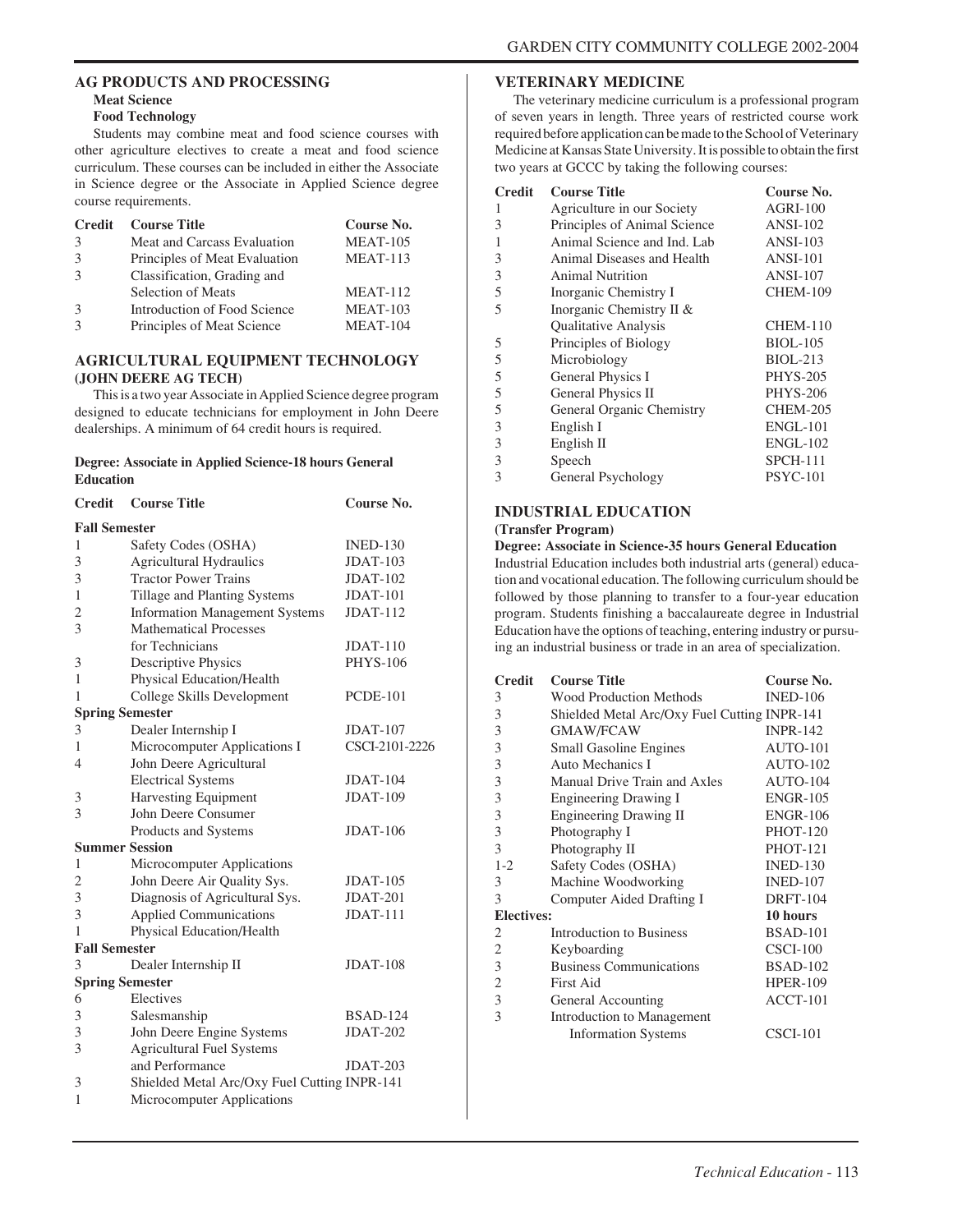#### **AG PRODUCTS AND PROCESSING**

### **Meat Science**

#### **Food Technology**

Students may combine meat and food science courses with other agriculture electives to create a meat and food science curriculum. These courses can be included in either the Associate in Science degree or the Associate in Applied Science degree course requirements.

| <b>Credit</b> | <b>Course Title</b>           | Course No.      |
|---------------|-------------------------------|-----------------|
| $\mathcal{R}$ | Meat and Carcass Evaluation   | <b>MEAT-105</b> |
| $\mathcal{E}$ | Principles of Meat Evaluation | <b>MEAT-113</b> |
|               | Classification, Grading and   |                 |
|               | Selection of Meats            | <b>MEAT-112</b> |
| $\mathcal{R}$ | Introduction of Food Science  | <b>MEAT-103</b> |
|               | Principles of Meat Science    | MEAT-104        |

#### **AGRICULTURAL EQUIPMENT TECHNOLOGY (JOHN DEERE AG TECH)**

This is a two year Associate in Applied Science degree program designed to educate technicians for employment in John Deere dealerships. A minimum of 64 credit hours is required.

#### **Degree: Associate in Applied Science-18 hours General Education**

| <b>Credit</b>        | <b>Course Title</b>                          | Course No.      |
|----------------------|----------------------------------------------|-----------------|
| <b>Fall Semester</b> |                                              |                 |
| 1                    | Safety Codes (OSHA)                          | <b>INED-130</b> |
| 3                    | <b>Agricultural Hydraulics</b>               | <b>JDAT-103</b> |
| 3                    | <b>Tractor Power Trains</b>                  | <b>JDAT-102</b> |
| $\mathbf{1}$         | Tillage and Planting Systems                 | <b>JDAT-101</b> |
| $\overline{2}$       | <b>Information Management Systems</b>        | $JDAT-112$      |
| 3                    | <b>Mathematical Processes</b>                |                 |
|                      | for Technicians                              | $JDAT-110$      |
| 3                    | <b>Descriptive Physics</b>                   | <b>PHYS-106</b> |
| 1                    | Physical Education/Health                    |                 |
| 1                    | College Skills Development                   | <b>PCDE-101</b> |
|                      | <b>Spring Semester</b>                       |                 |
| 3                    | Dealer Internship I                          | <b>JDAT-107</b> |
| 1                    | Microcomputer Applications I                 | CSCI-2101-2226  |
| 4                    | John Deere Agricultural                      |                 |
|                      | <b>Electrical Systems</b>                    | <b>JDAT-104</b> |
| 3                    | <b>Harvesting Equipment</b>                  | <b>JDAT-109</b> |
| 3                    | John Deere Consumer                          |                 |
|                      | Products and Systems                         | $JDAT-106$      |
|                      | <b>Summer Session</b>                        |                 |
| 1                    | Microcomputer Applications                   |                 |
| $\overline{2}$       | John Deere Air Quality Sys.                  | $JDAT-105$      |
| 3                    | Diagnosis of Agricultural Sys.               | $JDAT-201$      |
| 3                    | <b>Applied Communications</b>                | $JDATA-111$     |
| 1                    | Physical Education/Health                    |                 |
| <b>Fall Semester</b> |                                              |                 |
| 3                    | Dealer Internship II                         | <b>JDAT-108</b> |
|                      | <b>Spring Semester</b>                       |                 |
| 6                    | Electives                                    |                 |
| 3                    | Salesmanship                                 | <b>BSAD-124</b> |
| 3                    | John Deere Engine Systems                    | <b>JDAT-202</b> |
| 3                    | <b>Agricultural Fuel Systems</b>             |                 |
|                      | and Performance                              | <b>JDAT-203</b> |
| 3                    | Shielded Metal Arc/Oxy Fuel Cutting INPR-141 |                 |
| 1                    | Microcomputer Applications                   |                 |
|                      |                                              |                 |

#### **VETERINARY MEDICINE**

The veterinary medicine curriculum is a professional program of seven years in length. Three years of restricted course work required before application can be made to the School of Veterinary Medicine at Kansas State University. It is possible to obtain the first two years at GCCC by taking the following courses:

| <b>Credit</b> | <b>Course Title</b>          | Course No.      |
|---------------|------------------------------|-----------------|
| 1             | Agriculture in our Society   | $AGRI-100$      |
| 3             | Principles of Animal Science | $ANSI-102$      |
|               | Animal Science and Ind. Lab  | $ANSI-103$      |
| 3             | Animal Diseases and Health   | <b>ANSI-101</b> |
| 3             | <b>Animal Nutrition</b>      | <b>ANSI-107</b> |
| 5             | Inorganic Chemistry I        | <b>CHEM-109</b> |
| 5             | Inorganic Chemistry II &     |                 |
|               | <b>Qualitative Analysis</b>  | <b>CHEM-110</b> |
| 5             | Principles of Biology        | <b>BIOL-105</b> |
| 5             | Microbiology                 | <b>BIOL-213</b> |
| 5             | General Physics I            | <b>PHYS-205</b> |
| 5             | General Physics II           | <b>PHYS-206</b> |
| 5             | General Organic Chemistry    | <b>CHEM-205</b> |
| 3             | English I                    | <b>ENGL-101</b> |
| 3             | English II                   | $ENGL-102$      |
| 3             | Speech                       | <b>SPCH-111</b> |
| 3             | General Psychology           | <b>PSYC-101</b> |

#### **INDUSTRIAL EDUCATION (Transfer Program)**

**Degree: Associate in Science-35 hours General Education** Industrial Education includes both industrial arts (general) education and vocational education. The following curriculum should be followed by those planning to transfer to a four-year education program. Students finishing a baccalaureate degree in Industrial Education have the options of teaching, entering industry or pursuing an industrial business or trade in an area of specialization.

| <b>Credit</b>     | <b>Course Title</b>                          | Course No.      |
|-------------------|----------------------------------------------|-----------------|
| 3                 | <b>Wood Production Methods</b>               | <b>INED-106</b> |
| 3                 | Shielded Metal Arc/Oxy Fuel Cutting INPR-141 |                 |
| 3                 | <b>GMAW/FCAW</b>                             | <b>INPR-142</b> |
| 3                 | <b>Small Gasoline Engines</b>                | AUTO-101        |
| 3                 | Auto Mechanics I                             | AUTO-102        |
| 3                 | Manual Drive Train and Axles                 | AUTO-104        |
| 3                 | <b>Engineering Drawing I</b>                 | <b>ENGR-105</b> |
| 3                 | <b>Engineering Drawing II</b>                | <b>ENGR-106</b> |
| 3                 | Photography I                                | <b>PHOT-120</b> |
| 3                 | Photography II                               | <b>PHOT-121</b> |
| $1 - 2$           | Safety Codes (OSHA)                          | <b>INED-130</b> |
| 3                 | Machine Woodworking                          | <b>INED-107</b> |
| 3                 | Computer Aided Drafting I                    | <b>DRFT-104</b> |
| <b>Electives:</b> |                                              | 10 hours        |
| 2                 | <b>Introduction to Business</b>              | <b>BSAD-101</b> |
| 2                 | Keyboarding                                  | $CSCI-100$      |
| 3                 | <b>Business Communications</b>               | <b>BSAD-102</b> |
| $\mathfrak{2}$    | First Aid                                    | <b>HPER-109</b> |
| 3                 | General Accounting                           | $ACCT-101$      |
| 3                 | Introduction to Management                   |                 |
|                   | <b>Information Systems</b>                   | $CSCI-101$      |
|                   |                                              |                 |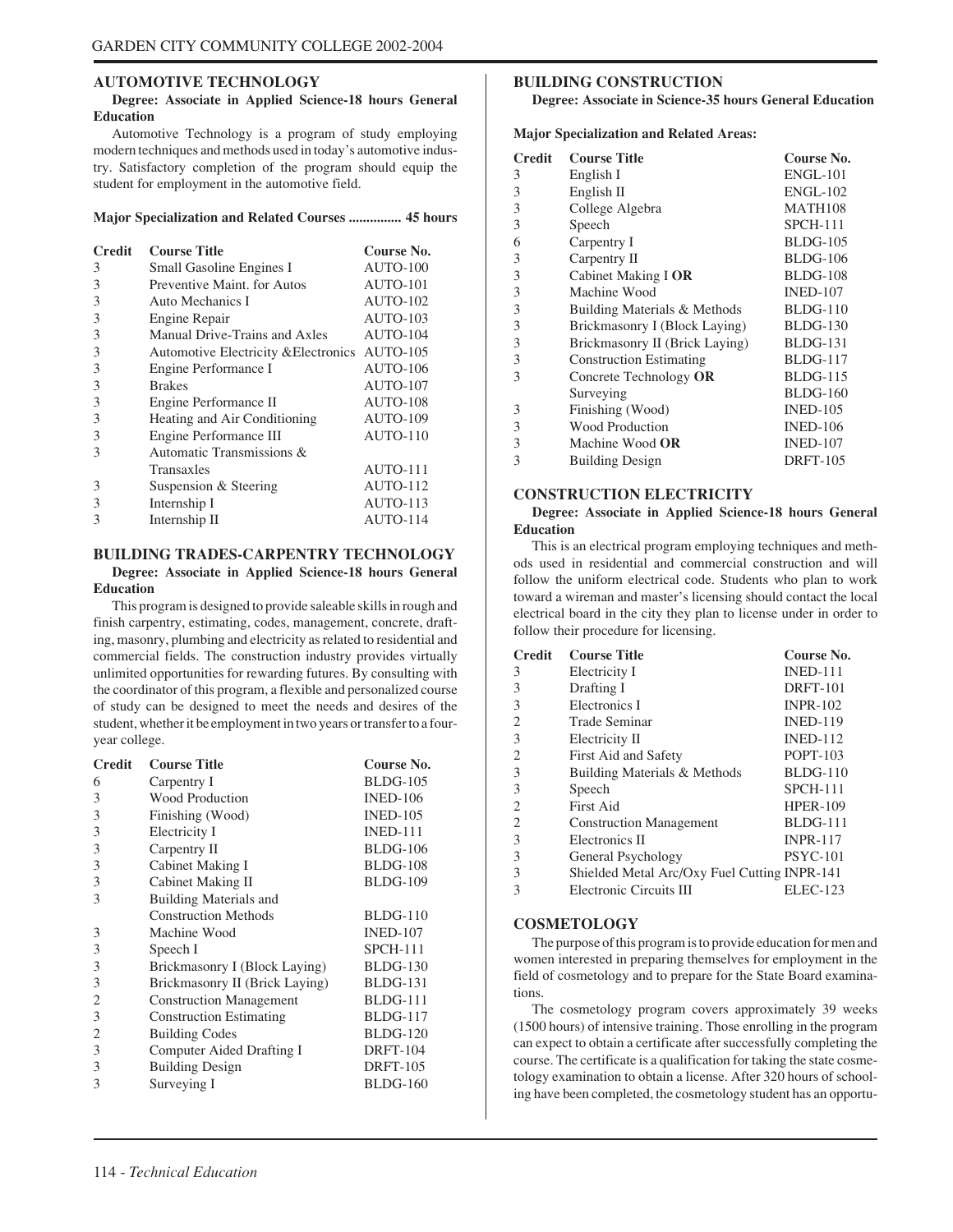#### **AUTOMOTIVE TECHNOLOGY**

#### **Degree: Associate in Applied Science-18 hours General Education**

Automotive Technology is a program of study employing modern techniques and methods used in today's automotive industry. Satisfactory completion of the program should equip the student for employment in the automotive field.

#### **Major Specialization and Related Courses ............... 45 hours**

| <b>Credit</b> | <b>Course Title</b>                           | Course No. |
|---------------|-----------------------------------------------|------------|
| 3             | Small Gasoline Engines I                      | AUTO-100   |
| 3             | Preventive Maint, for Autos                   | AUTO-101   |
| 3             | Auto Mechanics I                              | AUTO-102   |
| 3             | Engine Repair                                 | AUTO-103   |
| 3             | Manual Drive-Trains and Axles                 | AUTO-104   |
| 3             | Automotive Electricity & Electronics AUTO-105 |            |
| 3             | Engine Performance I                          | AUTO-106   |
| 3             | <b>Brakes</b>                                 | AUTO-107   |
| 3             | Engine Performance II                         | AUTO-108   |
| 3             | Heating and Air Conditioning                  | AUTO-109   |
| 3             | Engine Performance III                        | AUTO-110   |
| 3             | Automatic Transmissions &                     |            |
|               | Transaxles                                    | AUTO-111   |
| 3             | Suspension & Steering                         | AUTO-112   |
| 3             | Internship I                                  | AUTO-113   |
| 3             | Internship II                                 | AUTO-114   |

#### **BUILDING TRADES-CARPENTRY TECHNOLOGY**

#### **Degree: Associate in Applied Science-18 hours General Education**

This program is designed to provide saleable skills in rough and finish carpentry, estimating, codes, management, concrete, drafting, masonry, plumbing and electricity as related to residential and commercial fields. The construction industry provides virtually unlimited opportunities for rewarding futures. By consulting with the coordinator of this program, a flexible and personalized course of study can be designed to meet the needs and desires of the student, whether it be employment in two years or transfer to a fouryear college.

| <b>Credit</b> | <b>Course Title</b>            | Course No.      |
|---------------|--------------------------------|-----------------|
| 6             | Carpentry I                    | <b>BLDG-105</b> |
| 3             | Wood Production                | <b>INED-106</b> |
| 3             | Finishing (Wood)               | <b>INED-105</b> |
| 3             | Electricity I                  | <b>INED-111</b> |
| 3             | Carpentry II                   | <b>BLDG-106</b> |
| 3             | Cabinet Making I               | <b>BLDG-108</b> |
| 3             | Cabinet Making II              | <b>BLDG-109</b> |
| 3             | <b>Building Materials and</b>  |                 |
|               | <b>Construction Methods</b>    | $BLDG-110$      |
| 3             | Machine Wood                   | <b>INED-107</b> |
| 3             | Speech I                       | <b>SPCH-111</b> |
| 3             | Brickmasonry I (Block Laying)  | <b>BLDG-130</b> |
| 3             | Brickmasonry II (Brick Laying) | <b>BLDG-131</b> |
| 2             | <b>Construction Management</b> | <b>BLDG-111</b> |
| 3             | <b>Construction Estimating</b> | <b>BLDG-117</b> |
| 2             | <b>Building Codes</b>          | <b>BLDG-120</b> |
| 3             | Computer Aided Drafting I      | <b>DRFT-104</b> |
| 3             | <b>Building Design</b>         | <b>DRFT-105</b> |
| 3             | Surveying I                    | <b>BLDG-160</b> |
|               |                                |                 |

#### **BUILDING CONSTRUCTION**

#### **Degree: Associate in Science-35 hours General Education**

**Major Specialization and Related Areas:**

| <b>Credit</b> | <b>Course Title</b>            | Course No.      |
|---------------|--------------------------------|-----------------|
| 3             | English I                      | $ENGL-101$      |
| 3             | English II                     | <b>ENGL-102</b> |
| 3             | College Algebra                | <b>MATH108</b>  |
| 3             | Speech                         | <b>SPCH-111</b> |
| 6             | Carpentry I                    | <b>BLDG-105</b> |
| 3             | Carpentry II                   | <b>BLDG-106</b> |
| 3             | Cabinet Making I OR            | <b>BLDG-108</b> |
| 3             | Machine Wood                   | <b>INED-107</b> |
| 3             | Building Materials & Methods   | <b>BLDG-110</b> |
| 3             | Brickmasonry I (Block Laying)  | <b>BLDG-130</b> |
| 3             | Brickmasonry II (Brick Laying) | <b>BLDG-131</b> |
| 3             | <b>Construction Estimating</b> | <b>BLDG-117</b> |
| 3             | Concrete Technology OR         | <b>BLDG-115</b> |
|               | Surveying                      | <b>BLDG-160</b> |
| 3             | Finishing (Wood)               | <b>INED-105</b> |
| 3             | Wood Production                | <b>INED-106</b> |
| 3             | Machine Wood OR                | <b>INED-107</b> |
| 3             | <b>Building Design</b>         | <b>DRFT-105</b> |

#### **CONSTRUCTION ELECTRICITY**

#### **Degree: Associate in Applied Science-18 hours General Education**

This is an electrical program employing techniques and methods used in residential and commercial construction and will follow the uniform electrical code. Students who plan to work toward a wireman and master's licensing should contact the local electrical board in the city they plan to license under in order to follow their procedure for licensing.

| <b>Credit</b> | <b>Course Title</b>                          | Course No.      |
|---------------|----------------------------------------------|-----------------|
| 3             | Electricity I                                | <b>INED-111</b> |
| 3             | Drafting I                                   | <b>DRFT-101</b> |
| 3             | Electronics I                                | <b>INPR-102</b> |
| 2             | Trade Seminar                                | <b>INED-119</b> |
| 3             | Electricity II                               | <b>INED-112</b> |
| 2             | First Aid and Safety                         | <b>POPT-103</b> |
| 3             | Building Materials & Methods                 | <b>BLDG-110</b> |
| 3             | Speech                                       | <b>SPCH-111</b> |
| 2             | First Aid                                    | <b>HPER-109</b> |
| 2             | <b>Construction Management</b>               | <b>BLDG-111</b> |
| 3             | Electronics II                               | <b>INPR-117</b> |
| 3             | General Psychology                           | <b>PSYC-101</b> |
| 3             | Shielded Metal Arc/Oxy Fuel Cutting INPR-141 |                 |
| 3             | <b>Electronic Circuits III</b>               | ELEC-123        |

#### **COSMETOLOGY**

The purpose of this program is to provide education for men and women interested in preparing themselves for employment in the field of cosmetology and to prepare for the State Board examinations.

The cosmetology program covers approximately 39 weeks (1500 hours) of intensive training. Those enrolling in the program can expect to obtain a certificate after successfully completing the course. The certificate is a qualification for taking the state cosmetology examination to obtain a license. After 320 hours of schooling have been completed, the cosmetology student has an opportu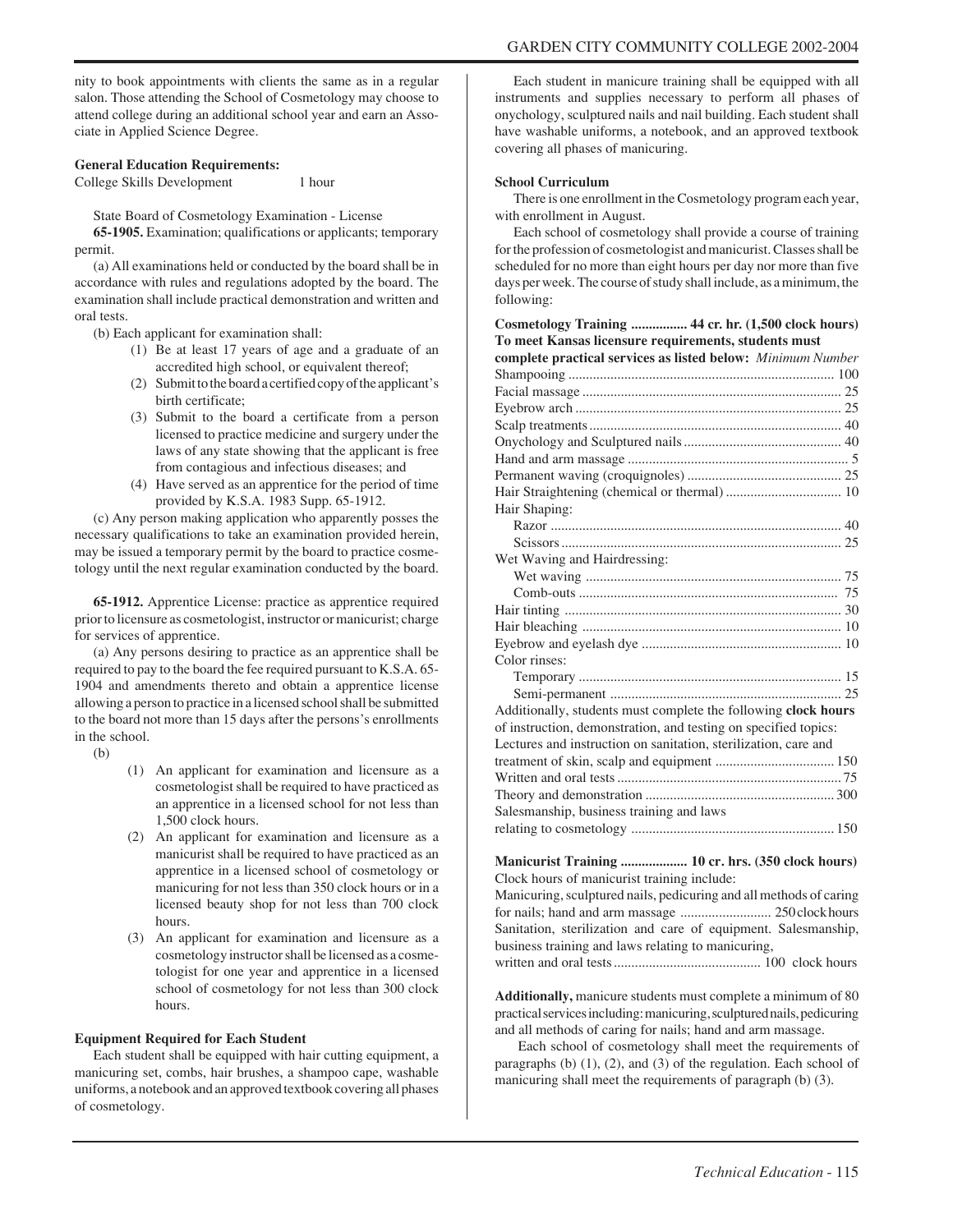nity to book appointments with clients the same as in a regular salon. Those attending the School of Cosmetology may choose to attend college during an additional school year and earn an Associate in Applied Science Degree.

#### **General Education Requirements:**

College Skills Development 1 hour

State Board of Cosmetology Examination - License

**65-1905.** Examination; qualifications or applicants; temporary permit.

(a) All examinations held or conducted by the board shall be in accordance with rules and regulations adopted by the board. The examination shall include practical demonstration and written and oral tests.

(b) Each applicant for examination shall:

- (1) Be at least 17 years of age and a graduate of an accredited high school, or equivalent thereof;
- (2) Submit to the board a certified copy of the applicant's birth certificate;
- (3) Submit to the board a certificate from a person licensed to practice medicine and surgery under the laws of any state showing that the applicant is free from contagious and infectious diseases; and
- (4) Have served as an apprentice for the period of time provided by K.S.A. 1983 Supp. 65-1912.

(c) Any person making application who apparently posses the necessary qualifications to take an examination provided herein, may be issued a temporary permit by the board to practice cosmetology until the next regular examination conducted by the board.

**65-1912.** Apprentice License: practice as apprentice required prior to licensure as cosmetologist, instructor or manicurist; charge for services of apprentice.

(a) Any persons desiring to practice as an apprentice shall be required to pay to the board the fee required pursuant to K.S.A. 65- 1904 and amendments thereto and obtain a apprentice license allowing a person to practice in a licensed school shall be submitted to the board not more than 15 days after the persons's enrollments in the school.

 $(h)$ 

- (1) An applicant for examination and licensure as a cosmetologist shall be required to have practiced as an apprentice in a licensed school for not less than 1,500 clock hours.
- (2) An applicant for examination and licensure as a manicurist shall be required to have practiced as an apprentice in a licensed school of cosmetology or manicuring for not less than 350 clock hours or in a licensed beauty shop for not less than 700 clock hours.
- (3) An applicant for examination and licensure as a cosmetology instructor shall be licensed as a cosmetologist for one year and apprentice in a licensed school of cosmetology for not less than 300 clock hours.

#### **Equipment Required for Each Student**

Each student shall be equipped with hair cutting equipment, a manicuring set, combs, hair brushes, a shampoo cape, washable uniforms, a notebook and an approved textbook covering all phases of cosmetology.

Each student in manicure training shall be equipped with all instruments and supplies necessary to perform all phases of onychology, sculptured nails and nail building. Each student shall have washable uniforms, a notebook, and an approved textbook covering all phases of manicuring.

#### **School Curriculum**

There is one enrollment in the Cosmetology program each year, with enrollment in August.

Each school of cosmetology shall provide a course of training for the profession of cosmetologist and manicurist. Classes shall be scheduled for no more than eight hours per day nor more than five days per week. The course of study shall include, as a minimum, the following:

| Cosmetology Training  44 cr. hr. (1,500 clock hours)            |  |
|-----------------------------------------------------------------|--|
| To meet Kansas licensure requirements, students must            |  |
| complete practical services as listed below: Minimum Number     |  |
|                                                                 |  |
|                                                                 |  |
|                                                                 |  |
|                                                                 |  |
|                                                                 |  |
|                                                                 |  |
|                                                                 |  |
|                                                                 |  |
| Hair Shaping:                                                   |  |
|                                                                 |  |
|                                                                 |  |
| Wet Waving and Hairdressing:                                    |  |
|                                                                 |  |
|                                                                 |  |
|                                                                 |  |
|                                                                 |  |
|                                                                 |  |
| Color rinses:                                                   |  |
|                                                                 |  |
|                                                                 |  |
| Additionally, students must complete the following clock hours  |  |
| of instruction, demonstration, and testing on specified topics: |  |
| Lectures and instruction on sanitation, sterilization, care and |  |
| treatment of skin, scalp and equipment  150                     |  |
|                                                                 |  |
|                                                                 |  |
| Salesmanship, business training and laws                        |  |
|                                                                 |  |
|                                                                 |  |

#### **Manicurist Training ................... 10 cr. hrs. (350 clock hours)** Clock hours of manicurist training include:

| Manicuring, sculptured nails, pedicuring and all methods of caring |  |
|--------------------------------------------------------------------|--|
|                                                                    |  |
| Sanitation, sterilization and care of equipment. Salesmanship,     |  |
| business training and laws relating to manicuring.                 |  |
|                                                                    |  |

**Additionally,** manicure students must complete a minimum of 80 practical services including: manicuring, sculptured nails, pedicuring and all methods of caring for nails; hand and arm massage.

 Each school of cosmetology shall meet the requirements of paragraphs (b) (1), (2), and (3) of the regulation. Each school of manicuring shall meet the requirements of paragraph (b) (3).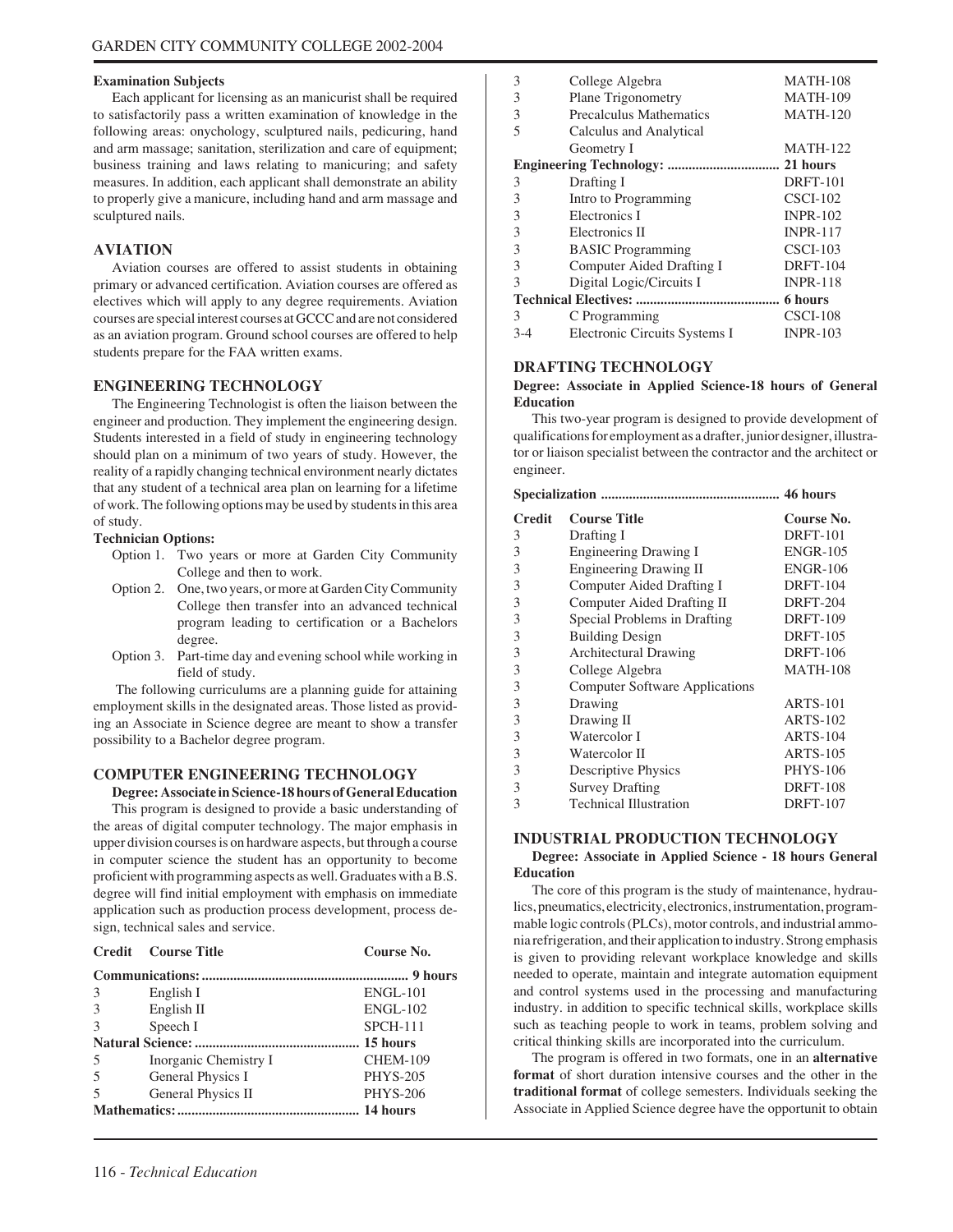#### **Examination Subjects**

Each applicant for licensing as an manicurist shall be required to satisfactorily pass a written examination of knowledge in the following areas: onychology, sculptured nails, pedicuring, hand and arm massage; sanitation, sterilization and care of equipment; business training and laws relating to manicuring; and safety measures. In addition, each applicant shall demonstrate an ability to properly give a manicure, including hand and arm massage and sculptured nails.

#### **AVIATION**

Aviation courses are offered to assist students in obtaining primary or advanced certification. Aviation courses are offered as electives which will apply to any degree requirements. Aviation courses are special interest courses at GCCC and are not considered as an aviation program. Ground school courses are offered to help students prepare for the FAA written exams.

#### **ENGINEERING TECHNOLOGY**

The Engineering Technologist is often the liaison between the engineer and production. They implement the engineering design. Students interested in a field of study in engineering technology should plan on a minimum of two years of study. However, the reality of a rapidly changing technical environment nearly dictates that any student of a technical area plan on learning for a lifetime of work. The following options may be used by students in this area of study.

#### **Technician Options:**

- Option 1. Two years or more at Garden City Community College and then to work.
- Option 2. One, two years, or more at Garden City Community College then transfer into an advanced technical program leading to certification or a Bachelors degree.
- Option 3. Part-time day and evening school while working in field of study.

 The following curriculums are a planning guide for attaining employment skills in the designated areas. Those listed as providing an Associate in Science degree are meant to show a transfer possibility to a Bachelor degree program.

#### **COMPUTER ENGINEERING TECHNOLOGY**

**Degree: Associate in Science-18 hours of General Education**

This program is designed to provide a basic understanding of the areas of digital computer technology. The major emphasis in upper division courses is on hardware aspects, but through a course in computer science the student has an opportunity to become proficient with programming aspects as well. Graduates with a B.S. degree will find initial employment with emphasis on immediate application such as production process development, process design, technical sales and service.

| <b>Credit</b> | <b>Course Title</b>   | Course No.      |
|---------------|-----------------------|-----------------|
|               |                       |                 |
| 3             | English I             | $ENGL-101$      |
| 3             | English II            | <b>ENGL-102</b> |
| $\mathcal{E}$ | Speech I              | SPCH-111        |
|               |                       |                 |
| 5             | Inorganic Chemistry I | <b>CHEM-109</b> |
| .5            | General Physics I     | <b>PHYS-205</b> |
| .5            | General Physics II    | <b>PHYS-206</b> |
|               |                       |                 |

| 3             | College Algebra               | <b>MATH-108</b> |
|---------------|-------------------------------|-----------------|
| 3             | Plane Trigonometry            | <b>MATH-109</b> |
| 3             | Precalculus Mathematics       | <b>MATH-120</b> |
| 5             | Calculus and Analytical       |                 |
|               | Geometry I                    | <b>MATH-122</b> |
|               |                               |                 |
| 3             | Drafting I                    | <b>DRFT-101</b> |
| 3             | Intro to Programming          | $CSCI-102$      |
| 3             | Electronics I                 | <b>INPR-102</b> |
| 3             | Electronics II                | <b>INPR-117</b> |
| 3             | <b>BASIC</b> Programming      | $CSCI-103$      |
| 3             | Computer Aided Drafting I     | <b>DRFT-104</b> |
| $\mathcal{R}$ | Digital Logic/Circuits I      | <b>INPR-118</b> |
|               |                               |                 |
| 3             | C Programming                 | $CSCI-108$      |
| $3-4$         | Electronic Circuits Systems I | <b>INPR-103</b> |

#### **DRAFTING TECHNOLOGY**

#### **Degree: Associate in Applied Science-18 hours of General Education**

This two-year program is designed to provide development of qualifications for employment as a drafter, junior designer, illustrator or liaison specialist between the contractor and the architect or engineer.

| Credit | <b>Course Title</b>                   | Course No.      |
|--------|---------------------------------------|-----------------|
| 3      | Drafting I                            | <b>DRFT-101</b> |
| 3      | <b>Engineering Drawing I</b>          | <b>ENGR-105</b> |
| 3      | <b>Engineering Drawing II</b>         | <b>ENGR-106</b> |
| 3      | Computer Aided Drafting I             | <b>DRFT-104</b> |
| 3      | Computer Aided Drafting II            | <b>DRFT-204</b> |
| 3      | Special Problems in Drafting          | <b>DRFT-109</b> |
| 3      | <b>Building Design</b>                | <b>DRFT-105</b> |
| 3      | Architectural Drawing                 | <b>DRFT-106</b> |
| 3      | College Algebra                       | <b>MATH-108</b> |
| 3      | <b>Computer Software Applications</b> |                 |
| 3      | Drawing                               | <b>ARTS-101</b> |
| 3      | Drawing II                            | <b>ARTS-102</b> |
| 3      | Watercolor I                          | <b>ARTS-104</b> |
| 3      | Watercolor II                         | <b>ARTS-105</b> |
| 3      | Descriptive Physics                   | <b>PHYS-106</b> |
| 3      | <b>Survey Drafting</b>                | <b>DRFT-108</b> |
| 3      | <b>Technical Illustration</b>         | <b>DRFT-107</b> |

#### **INDUSTRIAL PRODUCTION TECHNOLOGY**

#### **Degree: Associate in Applied Science - 18 hours General Education**

The core of this program is the study of maintenance, hydraulics, pneumatics, electricity, electronics, instrumentation, programmable logic controls (PLCs), motor controls, and industrial ammonia refrigeration, and their application to industry. Strong emphasis is given to providing relevant workplace knowledge and skills needed to operate, maintain and integrate automation equipment and control systems used in the processing and manufacturing industry. in addition to specific technical skills, workplace skills such as teaching people to work in teams, problem solving and critical thinking skills are incorporated into the curriculum.

The program is offered in two formats, one in an **alternative format** of short duration intensive courses and the other in the **traditional format** of college semesters. Individuals seeking the Associate in Applied Science degree have the opportunit to obtain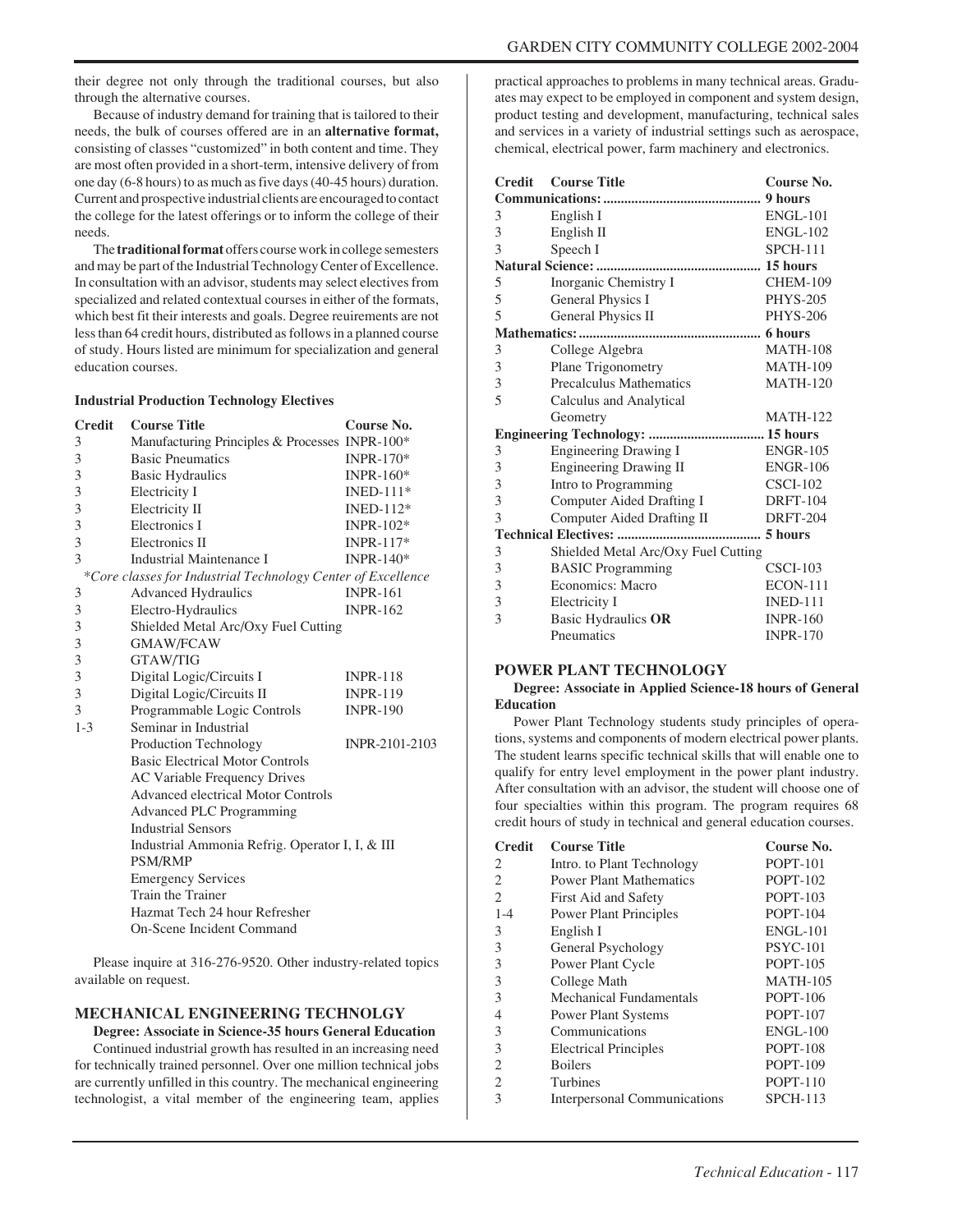their degree not only through the traditional courses, but also through the alternative courses.

Because of industry demand for training that is tailored to their needs, the bulk of courses offered are in an **alternative format,** consisting of classes "customized" in both content and time. They are most often provided in a short-term, intensive delivery of from one day (6-8 hours) to as much as five days (40-45 hours) duration. Current and prospective industrial clients are encouraged to contact the college for the latest offerings or to inform the college of their needs.

The **traditional format** offers course work in college semesters and may be part of the Industrial Technology Center of Excellence. In consultation with an advisor, students may select electives from specialized and related contextual courses in either of the formats, which best fit their interests and goals. Degree reuirements are not less than 64 credit hours, distributed as follows in a planned course of study. Hours listed are minimum for specialization and general education courses.

#### **Industrial Production Technology Electives**

| <b>Credit</b> | <b>Course Title</b>                                          | Course No.      |
|---------------|--------------------------------------------------------------|-----------------|
| 3             | Manufacturing Principles & Processes INPR-100*               |                 |
| 3             | <b>Basic Pneumatics</b>                                      | INPR- $170*$    |
| 3             | <b>Basic Hydraulics</b>                                      | INPR- $160*$    |
| 3             | Electricity I                                                | INED- $111*$    |
| 3             | Electricity II                                               | INED-112*       |
| 3             | Electronics I                                                | INPR- $102*$    |
| 3             | <b>Electronics II</b>                                        | INPR- $117*$    |
| 3             | Industrial Maintenance I                                     | INPR- $140*$    |
|               | *Core classes for Industrial Technology Center of Excellence |                 |
| 3             | <b>Advanced Hydraulics</b>                                   | <b>INPR-161</b> |
| 3             | Electro-Hydraulics                                           | <b>INPR-162</b> |
| 3             | Shielded Metal Arc/Oxy Fuel Cutting                          |                 |
| 3             | <b>GMAW/FCAW</b>                                             |                 |
| 3             | GTAW/TIG                                                     |                 |
| 3             | Digital Logic/Circuits I                                     | <b>INPR-118</b> |
| 3             | Digital Logic/Circuits II                                    | <b>INPR-119</b> |
| 3             | Programmable Logic Controls                                  | <b>INPR-190</b> |
| $1 - 3$       | Seminar in Industrial                                        |                 |
|               | Production Technology                                        | INPR-2101-2103  |
|               | <b>Basic Electrical Motor Controls</b>                       |                 |
|               | AC Variable Frequency Drives                                 |                 |
|               | Advanced electrical Motor Controls                           |                 |
|               | <b>Advanced PLC Programming</b>                              |                 |
|               | <b>Industrial Sensors</b>                                    |                 |
|               | Industrial Ammonia Refrig. Operator I, I, & III              |                 |
|               | <b>PSM/RMP</b>                                               |                 |
|               | <b>Emergency Services</b>                                    |                 |
|               | Train the Trainer                                            |                 |
|               | Hazmat Tech 24 hour Refresher                                |                 |
|               | On-Scene Incident Command                                    |                 |

Please inquire at 316-276-9520. Other industry-related topics available on request.

#### **MECHANICAL ENGINEERING TECHNOLGY**

**Degree: Associate in Science-35 hours General Education**

Continued industrial growth has resulted in an increasing need for technically trained personnel. Over one million technical jobs are currently unfilled in this country. The mechanical engineering technologist, a vital member of the engineering team, applies practical approaches to problems in many technical areas. Graduates may expect to be employed in component and system design, product testing and development, manufacturing, technical sales and services in a variety of industrial settings such as aerospace, chemical, electrical power, farm machinery and electronics.

| <b>Credit</b>            | <b>Course Title</b>                 | Course No.      |
|--------------------------|-------------------------------------|-----------------|
|                          |                                     |                 |
| 3                        | English I                           | <b>ENGL-101</b> |
| 3                        | English II                          | <b>ENGL-102</b> |
| 3                        | Speech I                            | <b>SPCH-111</b> |
|                          |                                     |                 |
| 5                        | Inorganic Chemistry I               | <b>CHEM-109</b> |
| 5                        | <b>General Physics I</b>            | <b>PHYS-205</b> |
| 5                        | General Physics II                  | <b>PHYS-206</b> |
|                          |                                     |                 |
| 3                        | College Algebra                     | <b>MATH-108</b> |
| 3                        | Plane Trigonometry                  | <b>MATH-109</b> |
| 3                        | <b>Precalculus Mathematics</b>      | <b>MATH-120</b> |
| $\overline{\phantom{0}}$ | Calculus and Analytical             |                 |
|                          | Geometry                            | <b>MATH-122</b> |
|                          | Engineering Technology:  15 hours   |                 |
| 3                        | <b>Engineering Drawing I</b>        | <b>ENGR-105</b> |
| 3                        | <b>Engineering Drawing II</b>       | <b>ENGR-106</b> |
| 3                        | Intro to Programming                | $CSCI-102$      |
| 3                        | Computer Aided Drafting I           | <b>DRFT-104</b> |
| 3                        | Computer Aided Drafting II          | <b>DRFT-204</b> |
|                          |                                     |                 |
| 3                        | Shielded Metal Arc/Oxy Fuel Cutting |                 |
| 3                        | <b>BASIC</b> Programming            | $CSCI-103$      |
| 3                        | Economics: Macro                    | <b>ECON-111</b> |
| 3                        | Electricity I                       | <b>INED-111</b> |
| 3                        | Basic Hydraulics OR                 | <b>INPR-160</b> |
|                          | Pneumatics                          | <b>INPR-170</b> |

#### **POWER PLANT TECHNOLOGY**

#### **Degree: Associate in Applied Science-18 hours of General Education**

Power Plant Technology students study principles of operations, systems and components of modern electrical power plants. The student learns specific technical skills that will enable one to qualify for entry level employment in the power plant industry. After consultation with an advisor, the student will choose one of four specialties within this program. The program requires 68 credit hours of study in technical and general education courses.

| <b>Credit</b>  | <b>Course Title</b>                 | Course No.      |
|----------------|-------------------------------------|-----------------|
| 2              | Intro. to Plant Technology          | <b>POPT-101</b> |
| 2              | <b>Power Plant Mathematics</b>      | <b>POPT-102</b> |
| $\overline{c}$ | First Aid and Safety                | <b>POPT-103</b> |
| $1 - 4$        | <b>Power Plant Principles</b>       | <b>POPT-104</b> |
| 3              | English I                           | <b>ENGL-101</b> |
| 3              | General Psychology                  | <b>PSYC-101</b> |
| 3              | Power Plant Cycle                   | <b>POPT-105</b> |
| 3              | College Math                        | <b>MATH-105</b> |
| 3              | <b>Mechanical Fundamentals</b>      | <b>POPT-106</b> |
| 4              | <b>Power Plant Systems</b>          | <b>POPT-107</b> |
| 3              | Communications                      | $ENGL-100$      |
| 3              | <b>Electrical Principles</b>        | <b>POPT-108</b> |
| 2              | <b>Boilers</b>                      | <b>POPT-109</b> |
| 2              | Turbines                            | <b>POPT-110</b> |
| 3              | <b>Interpersonal Communications</b> | <b>SPCH-113</b> |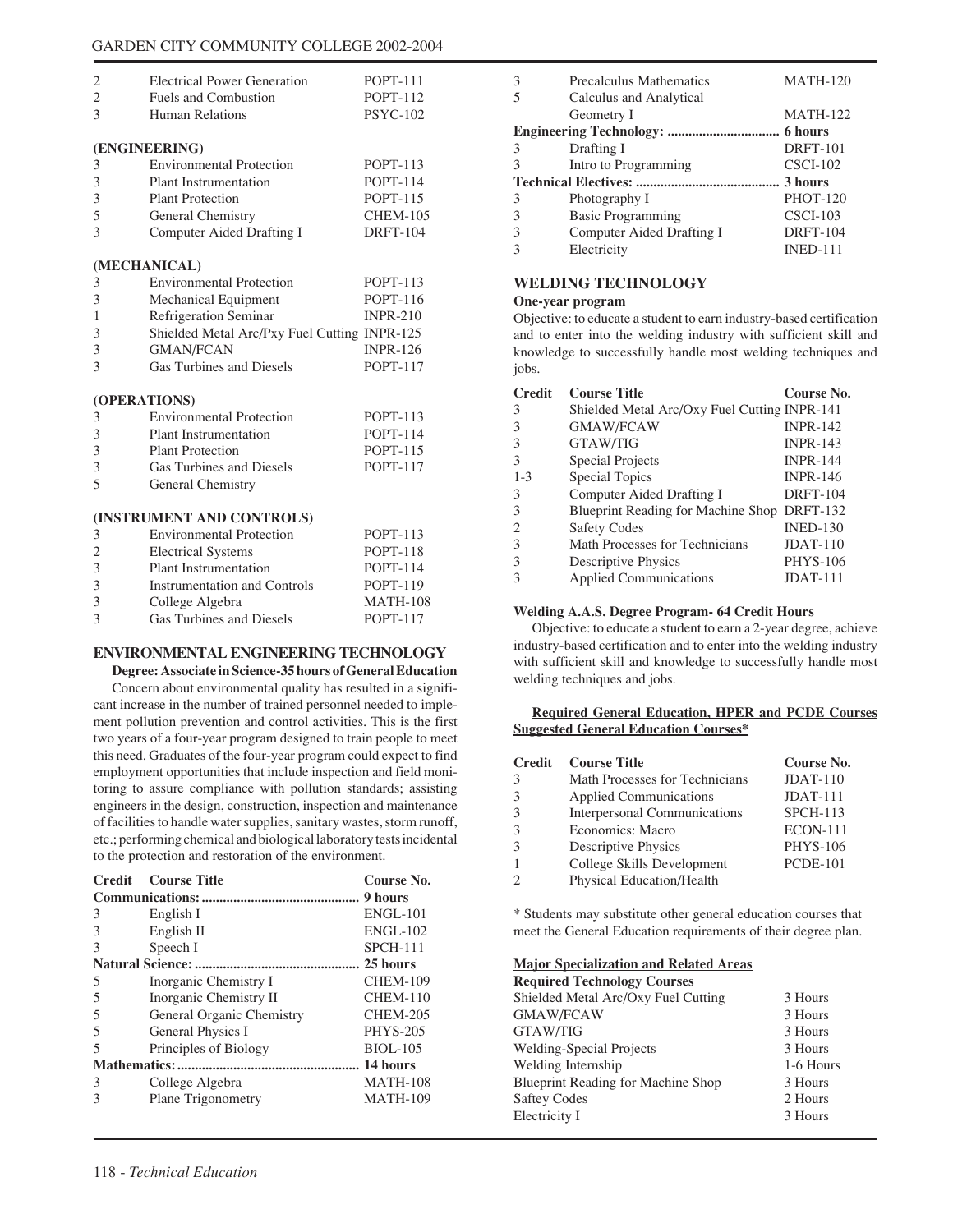#### GARDEN CITY COMMUNITY COLLEGE 2002-2004

| $\overline{c}$ | <b>Electrical Power Generation</b>           | <b>POPT-111</b> |
|----------------|----------------------------------------------|-----------------|
| $\overline{c}$ | Fuels and Combustion                         | <b>POPT-112</b> |
| $\overline{3}$ | Human Relations                              | <b>PSYC-102</b> |
|                |                                              |                 |
|                | (ENGINEERING)                                |                 |
| 3              | <b>Environmental Protection</b>              | <b>POPT-113</b> |
| 3              | <b>Plant Instrumentation</b>                 | <b>POPT-114</b> |
| 3              | <b>Plant Protection</b>                      | <b>POPT-115</b> |
| 5              | General Chemistry                            | <b>CHEM-105</b> |
| $\mathcal{E}$  | Computer Aided Drafting I                    | <b>DRFT-104</b> |
|                |                                              |                 |
|                | (MECHANICAL)                                 |                 |
| 3              | <b>Environmental Protection</b>              | <b>POPT-113</b> |
| 3              | Mechanical Equipment                         | <b>POPT-116</b> |
| 1              | Refrigeration Seminar                        | <b>INPR-210</b> |
| 3              | Shielded Metal Arc/Pxy Fuel Cutting INPR-125 |                 |
| 3              | <b>GMAN/FCAN</b>                             | <b>INPR-126</b> |
| 3              | <b>Gas Turbines and Diesels</b>              | <b>POPT-117</b> |
|                |                                              |                 |
|                | (OPERATIONS)                                 |                 |
| 3              | <b>Environmental Protection</b>              | <b>POPT-113</b> |
| 3              | <b>Plant Instrumentation</b>                 | <b>POPT-114</b> |
| 3              | <b>Plant Protection</b>                      | <b>POPT-115</b> |
| 3              | <b>Gas Turbines and Diesels</b>              | <b>POPT-117</b> |
| 5              | General Chemistry                            |                 |
|                |                                              |                 |
|                | (INSTRUMENT AND CONTROLS)                    |                 |
| 3              | <b>Environmental Protection</b>              | <b>POPT-113</b> |
| $\overline{2}$ | <b>Electrical Systems</b>                    | <b>POPT-118</b> |

| -2.           | Electrical Systems           | POPT-118        |
|---------------|------------------------------|-----------------|
| $\mathcal{F}$ | <b>Plant Instrumentation</b> | <b>POPT-114</b> |
| $\mathcal{R}$ | Instrumentation and Controls | <b>POPT-119</b> |
| $\mathcal{F}$ | College Algebra              | <b>MATH-108</b> |
| $\mathcal{R}$ | Gas Turbines and Diesels     | <b>POPT-117</b> |
|               |                              |                 |

#### **ENVIRONMENTAL ENGINEERING TECHNOLOGY**

**Degree: Associate in Science-35 hours of General Education**

Concern about environmental quality has resulted in a significant increase in the number of trained personnel needed to implement pollution prevention and control activities. This is the first two years of a four-year program designed to train people to meet this need. Graduates of the four-year program could expect to find employment opportunities that include inspection and field monitoring to assure compliance with pollution standards; assisting engineers in the design, construction, inspection and maintenance of facilities to handle water supplies, sanitary wastes, storm runoff, etc.; performing chemical and biological laboratory tests incidental to the protection and restoration of the environment.

| <b>Credit</b> | <b>Course Title</b>       | Course No.      |
|---------------|---------------------------|-----------------|
|               |                           |                 |
| 3             | English I                 | <b>ENGL-101</b> |
| 3             | English II                | <b>ENGL-102</b> |
| $\mathcal{F}$ | Speech I                  | <b>SPCH-111</b> |
|               |                           | 25 hours        |
| 5             | Inorganic Chemistry I     | <b>CHEM-109</b> |
| 5             | Inorganic Chemistry II    | <b>CHEM-110</b> |
| 5             | General Organic Chemistry | <b>CHEM-205</b> |
| 5             | General Physics I         | <b>PHYS-205</b> |
| 5             | Principles of Biology     | <b>BIOL-105</b> |
|               |                           |                 |
| 3             | College Algebra           | <b>MATH-108</b> |
|               | Plane Trigonometry        | <b>MATH-109</b> |

|               | Precalculus Mathematics<br>Calculus and Analytical | <b>MATH-120</b> |
|---------------|----------------------------------------------------|-----------------|
|               | Geometry I                                         | <b>MATH-122</b> |
|               |                                                    |                 |
| 3             | Drafting I                                         | <b>DRFT-101</b> |
| $\mathcal{R}$ | Intro to Programming                               | $CSCI-102$      |
|               |                                                    |                 |
| 3             | Photography I                                      | <b>PHOT-120</b> |
|               | <b>Basic Programming</b>                           | $CSCI-103$      |
|               | Computer Aided Drafting I                          | <b>DRFT-104</b> |
|               | Electricity                                        | <b>INED-111</b> |

#### **WELDING TECHNOLOGY**

#### **One-year program**

Objective: to educate a student to earn industry-based certification and to enter into the welding industry with sufficient skill and knowledge to successfully handle most welding techniques and jobs.

| <b>Credit</b> | <b>Course Title</b>                          | Course No.      |
|---------------|----------------------------------------------|-----------------|
| 3             | Shielded Metal Arc/Oxy Fuel Cutting INPR-141 |                 |
| 3             | <b>GMAW/FCAW</b>                             | <b>INPR-142</b> |
| 3             | GTAW/TIG                                     | <b>INPR-143</b> |
| 3             | Special Projects                             | <b>INPR-144</b> |
| $1 - 3$       | <b>Special Topics</b>                        | <b>INPR-146</b> |
| 3             | Computer Aided Drafting I                    | <b>DRFT-104</b> |
| 3             | Blueprint Reading for Machine Shop DRFT-132  |                 |
|               | <b>Safety Codes</b>                          | <b>INED-130</b> |
| 3             | Math Processes for Technicians               | $JDAT-110$      |
|               | Descriptive Physics                          | <b>PHYS-106</b> |
|               | <b>Applied Communications</b>                | $JDAT-111$      |

#### **Welding A.A.S. Degree Program- 64 Credit Hours**

Objective: to educate a student to earn a 2-year degree, achieve industry-based certification and to enter into the welding industry with sufficient skill and knowledge to successfully handle most welding techniques and jobs.

#### **Required General Education, HPER and PCDE Courses Suggested General Education Courses\***

| <b>Credit</b> | <b>Course Title</b>            | Course No.      |
|---------------|--------------------------------|-----------------|
| 3             | Math Processes for Technicians | $JDATA-110$     |
| 3             | <b>Applied Communications</b>  | $JDATA-111$     |
| 3             | Interpersonal Communications   | $SPCH-113$      |
| 3             | Economics: Macro               | <b>ECON-111</b> |
| $\mathcal{R}$ | Descriptive Physics            | <b>PHYS-106</b> |
|               | College Skills Development     | <b>PCDE-101</b> |
|               | Physical Education/Health      |                 |

\* Students may substitute other general education courses that meet the General Education requirements of their degree plan.

#### **Major Specialization and Related Areas**

| <b>Required Technology Courses</b>  |           |
|-------------------------------------|-----------|
| Shielded Metal Arc/Oxy Fuel Cutting | 3 Hours   |
| <b>GMAW/FCAW</b>                    | 3 Hours   |
| GTAW/TIG                            | 3 Hours   |
| <b>Welding-Special Projects</b>     | 3 Hours   |
| Welding Internship                  | 1-6 Hours |
| Blueprint Reading for Machine Shop  | 3 Hours   |
| <b>Saftey Codes</b>                 | 2 Hours   |
| Electricity I                       | 3 Hours   |
|                                     |           |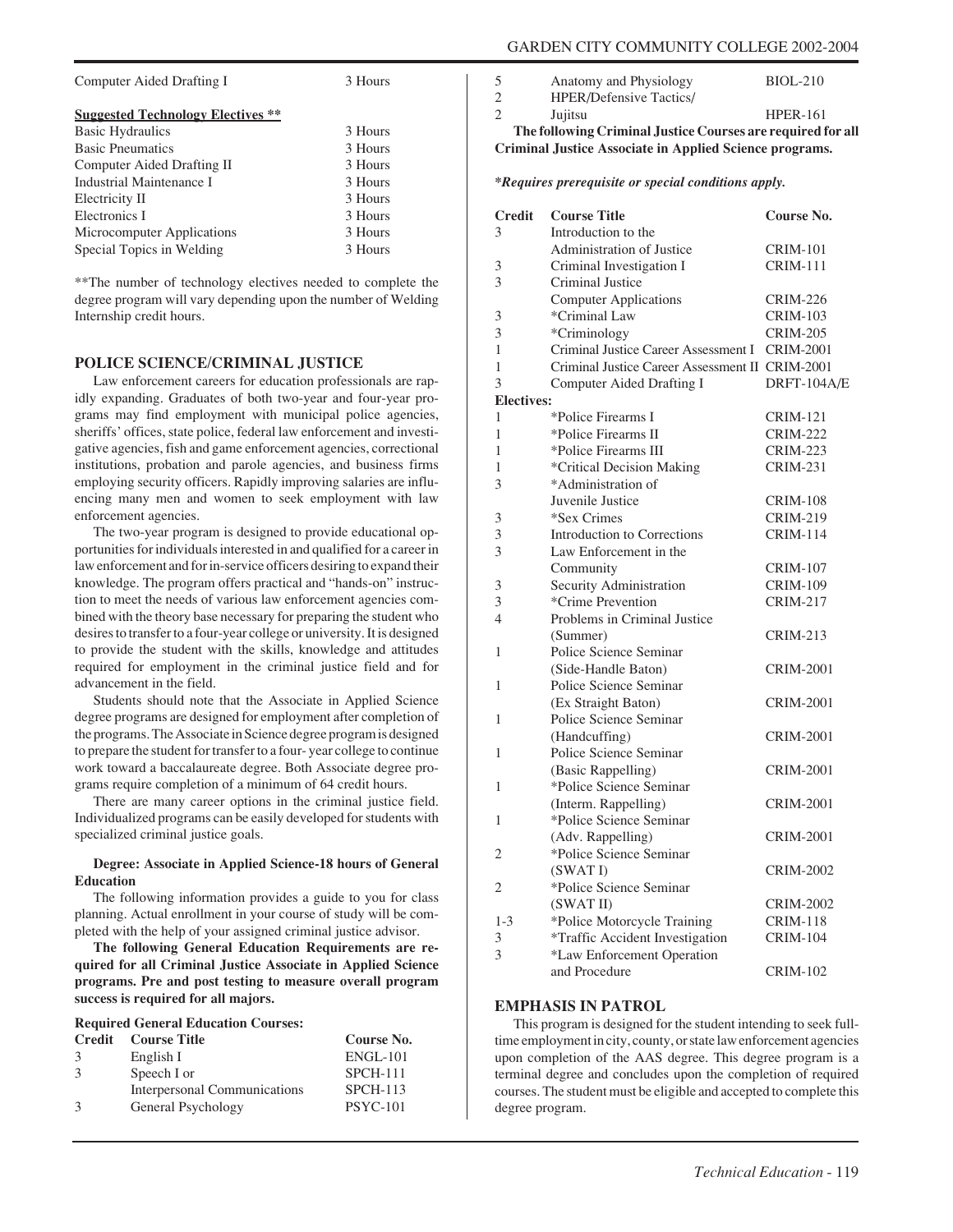| 3 Hours |
|---------|
|         |
| 3 Hours |
| 3 Hours |
| 3 Hours |
| 3 Hours |
| 3 Hours |
| 3 Hours |
| 3 Hours |
| 3 Hours |
|         |

\*\*The number of technology electives needed to complete the degree program will vary depending upon the number of Welding Internship credit hours.

#### **POLICE SCIENCE/CRIMINAL JUSTICE**

Law enforcement careers for education professionals are rapidly expanding. Graduates of both two-year and four-year programs may find employment with municipal police agencies, sheriffs' offices, state police, federal law enforcement and investigative agencies, fish and game enforcement agencies, correctional institutions, probation and parole agencies, and business firms employing security officers. Rapidly improving salaries are influencing many men and women to seek employment with law enforcement agencies.

The two-year program is designed to provide educational opportunities for individuals interested in and qualified for a career in law enforcement and for in-service officers desiring to expand their knowledge. The program offers practical and "hands-on" instruction to meet the needs of various law enforcement agencies combined with the theory base necessary for preparing the student who desires to transfer to a four-year college or university. It is designed to provide the student with the skills, knowledge and attitudes required for employment in the criminal justice field and for advancement in the field.

Students should note that the Associate in Applied Science degree programs are designed for employment after completion of the programs. The Associate in Science degree program is designed to prepare the student for transfer to a four- year college to continue work toward a baccalaureate degree. Both Associate degree programs require completion of a minimum of 64 credit hours.

There are many career options in the criminal justice field. Individualized programs can be easily developed for students with specialized criminal justice goals.

#### **Degree: Associate in Applied Science-18 hours of General Education**

The following information provides a guide to you for class planning. Actual enrollment in your course of study will be completed with the help of your assigned criminal justice advisor.

**The following General Education Requirements are required for all Criminal Justice Associate in Applied Science programs. Pre and post testing to measure overall program success is required for all majors.**

#### **Required General Education Courses:**

| Credit        | <b>Course Title</b>          | Course No.      |
|---------------|------------------------------|-----------------|
| 3             | English I                    | <b>ENGL-101</b> |
| $\mathcal{E}$ | Speech I or                  | <b>SPCH-111</b> |
|               | Interpersonal Communications | $SPCH-113$      |
| $\mathcal{E}$ | General Psychology           | $PSYC-101$      |

| 5 | Anatomy and Physiology  | $BIOL-210$ |
|---|-------------------------|------------|
|   | HPER/Defensive Tactics/ |            |

2 Jujitsu HPER-161

**The following Criminal Justice Courses are required for all Criminal Justice Associate in Applied Science programs.**

*\*Requires prerequisite or special conditions apply.*

| <b>Credit</b>     | <b>Course Title</b>                             | Course No.       |
|-------------------|-------------------------------------------------|------------------|
| 3                 | Introduction to the                             |                  |
|                   | <b>Administration of Justice</b>                | <b>CRIM-101</b>  |
| 3                 | Criminal Investigation I                        | <b>CRIM-111</b>  |
| 3                 | Criminal Justice                                |                  |
|                   | <b>Computer Applications</b>                    | CRIM-226         |
| 3                 | *Criminal Law                                   | <b>CRIM-103</b>  |
| 3                 | *Criminology                                    | <b>CRIM-205</b>  |
| 1                 | Criminal Justice Career Assessment I            | <b>CRIM-2001</b> |
| 1                 | Criminal Justice Career Assessment II CRIM-2001 |                  |
| 3                 | Computer Aided Drafting I                       | DRFT-104A/E      |
| <b>Electives:</b> |                                                 |                  |
| 1                 | *Police Firearms I                              | <b>CRIM-121</b>  |
| 1                 | *Police Firearms II                             | <b>CRIM-222</b>  |
| 1                 | *Police Firearms III                            | <b>CRIM-223</b>  |
| 1                 | *Critical Decision Making                       | <b>CRIM-231</b>  |
| 3                 | *Administration of                              |                  |
|                   | Juvenile Justice                                | <b>CRIM-108</b>  |
| 3                 | *Sex Crimes                                     | CRIM-219         |
| 3                 | Introduction to Corrections                     | <b>CRIM-114</b>  |
| 3                 | Law Enforcement in the                          |                  |
|                   | Community                                       | CRIM-107         |
| 3                 | Security Administration                         | <b>CRIM-109</b>  |
| 3                 | *Crime Prevention                               | <b>CRIM-217</b>  |
| 4                 | Problems in Criminal Justice                    |                  |
|                   | (Summer)                                        | <b>CRIM-213</b>  |
| 1                 | Police Science Seminar                          |                  |
|                   | (Side-Handle Baton)                             | CRIM-2001        |
| 1                 | Police Science Seminar                          |                  |
|                   | (Ex Straight Baton)                             | CRIM-2001        |
| 1                 | Police Science Seminar                          |                  |
|                   | (Handcuffing)                                   | <b>CRIM-2001</b> |
| 1                 | Police Science Seminar                          |                  |
|                   | (Basic Rappelling)                              | <b>CRIM-2001</b> |
| 1                 | *Police Science Seminar                         |                  |
|                   | (Interm. Rappelling)                            | <b>CRIM-2001</b> |
| 1                 | *Police Science Seminar                         |                  |
|                   | (Adv. Rappelling)                               | <b>CRIM-2001</b> |
| 2                 | *Police Science Seminar                         |                  |
|                   | (SWATI)                                         | <b>CRIM-2002</b> |
| $\overline{c}$    | *Police Science Seminar                         |                  |
|                   | (SWATII)                                        | <b>CRIM-2002</b> |
| $1 - 3$           | *Police Motorcycle Training                     | <b>CRIM-118</b>  |
| 3                 | *Traffic Accident Investigation                 | <b>CRIM-104</b>  |
| 3                 | *Law Enforcement Operation                      |                  |
|                   | and Procedure                                   | <b>CRIM-102</b>  |

#### **EMPHASIS IN PATROL**

This program is designed for the student intending to seek fulltime employment in city, county, or state law enforcement agencies upon completion of the AAS degree. This degree program is a terminal degree and concludes upon the completion of required courses. The student must be eligible and accepted to complete this degree program.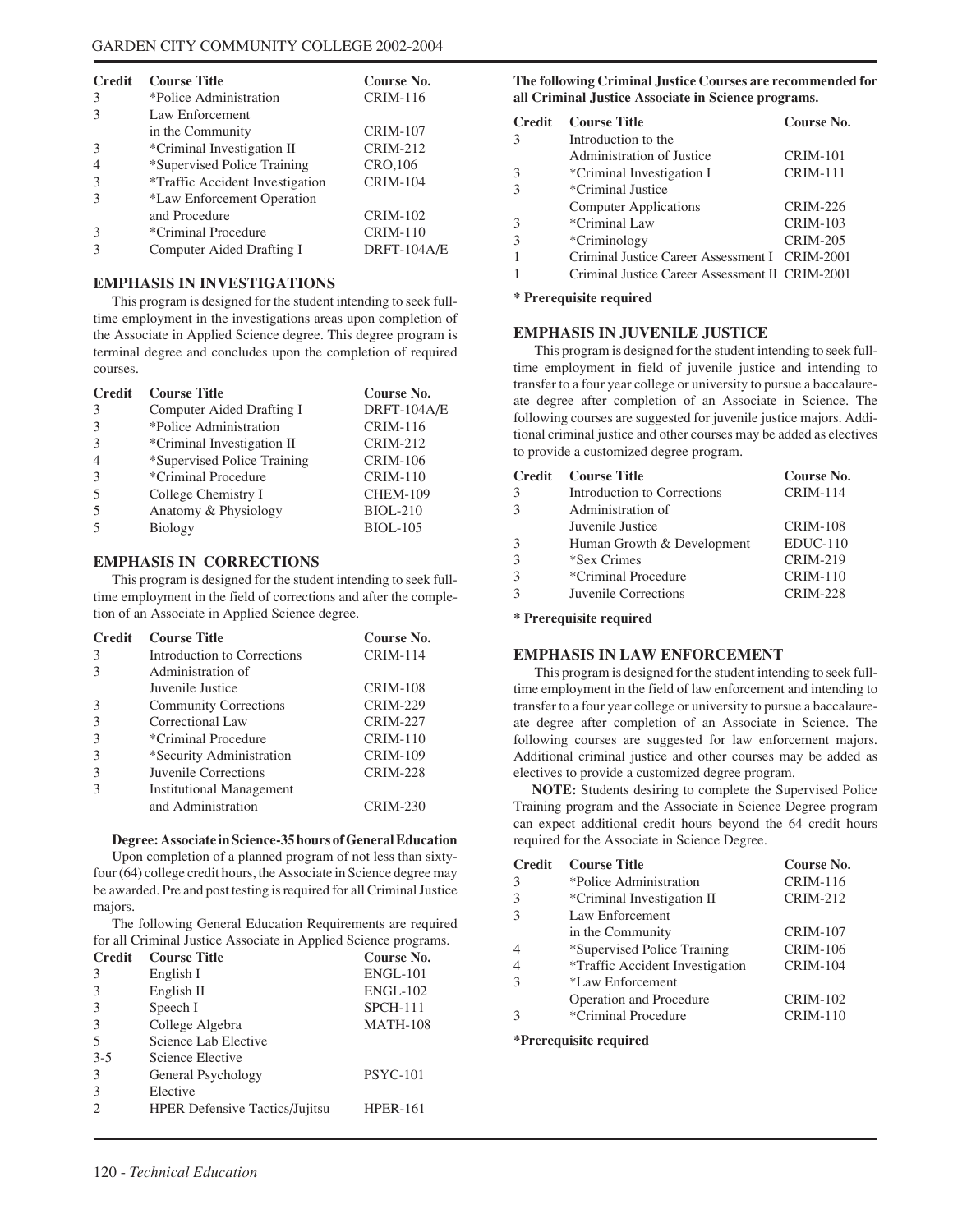| <b>Credit</b>  | <b>Course Title</b>                           | Course No.      |
|----------------|-----------------------------------------------|-----------------|
| 3              | *Police Administration                        | <b>CRIM-116</b> |
|                | Law Enforcement                               |                 |
|                | in the Community                              | <b>CRIM-107</b> |
| $\mathcal{F}$  | *Criminal Investigation II                    | <b>CRIM-212</b> |
| $\overline{4}$ | *Supervised Police Training                   | CRO, 106        |
| $\mathcal{R}$  | <i><b>*Traffic Accident Investigation</b></i> | <b>CRIM-104</b> |
|                | *Law Enforcement Operation                    |                 |
|                | and Procedure                                 | <b>CRIM-102</b> |
| 3              | *Criminal Procedure                           | <b>CRIM-110</b> |
|                | Computer Aided Drafting I                     | DRFT-104A/E     |

#### **EMPHASIS IN INVESTIGATIONS**

This program is designed for the student intending to seek fulltime employment in the investigations areas upon completion of the Associate in Applied Science degree. This degree program is terminal degree and concludes upon the completion of required courses.

| <b>Credit</b>  | <b>Course Title</b>         | Course No.      |
|----------------|-----------------------------|-----------------|
| 3              | Computer Aided Drafting I   | DRFT-104A/E     |
| $\mathcal{F}$  | *Police Administration      | <b>CRIM-116</b> |
| 3              | *Criminal Investigation II  | <b>CRIM-212</b> |
| $\overline{4}$ | *Supervised Police Training | <b>CRIM-106</b> |
| 3              | *Criminal Procedure         | <b>CRIM-110</b> |
| .5             | College Chemistry I         | <b>CHEM-109</b> |
| 5              | Anatomy & Physiology        | <b>BIOL-210</b> |
| 5              | Biology                     | <b>BIOL-105</b> |

#### **EMPHASIS IN CORRECTIONS**

This program is designed for the student intending to seek fulltime employment in the field of corrections and after the completion of an Associate in Applied Science degree.

| <b>Credit</b> | <b>Course Title</b>             | Course No.      |
|---------------|---------------------------------|-----------------|
| 3             | Introduction to Corrections     | <b>CRIM-114</b> |
| $\mathcal{F}$ | Administration of               |                 |
|               | Juvenile Justice                | <b>CRIM-108</b> |
| 3             | <b>Community Corrections</b>    | <b>CRIM-229</b> |
| 3             | Correctional Law                | <b>CRIM-227</b> |
| 3             | *Criminal Procedure             | <b>CRIM-110</b> |
| 3             | *Security Administration        | <b>CRIM-109</b> |
| 3             | Juvenile Corrections            | <b>CRIM-228</b> |
|               | <b>Institutional Management</b> |                 |
|               | and Administration              | <b>CRIM-230</b> |

#### **Degree: Associate in Science-35 hours of General Education**

Upon completion of a planned program of not less than sixtyfour (64) college credit hours, the Associate in Science degree may be awarded. Pre and post testing is required for all Criminal Justice majors.

The following General Education Requirements are required for all Criminal Justice Associate in Applied Science programs.

| <b>Credit</b> | <b>Course Title</b>                   | Course No.      |
|---------------|---------------------------------------|-----------------|
| 3             | English I                             | <b>ENGL-101</b> |
| 3             | English II                            | $ENGL-102$      |
| 3             | Speech I                              | <b>SPCH-111</b> |
| 3             | College Algebra                       | <b>MATH-108</b> |
|               | Science Lab Elective                  |                 |
| $3 - 5$       | Science Elective                      |                 |
| 3             | General Psychology                    | <b>PSYC-101</b> |
|               | Elective                              |                 |
|               | <b>HPER Defensive Tactics/Jujitsu</b> | <b>HPER-161</b> |

#### **The following Criminal Justice Courses are recommended for all Criminal Justice Associate in Science programs.**

| <b>Credit</b> | <b>Course Title</b>                             | Course No.      |
|---------------|-------------------------------------------------|-----------------|
| 3             | Introduction to the                             |                 |
|               | Administration of Justice                       | <b>CRIM-101</b> |
|               | *Criminal Investigation I                       | <b>CRIM-111</b> |
| 3             | *Criminal Justice                               |                 |
|               | <b>Computer Applications</b>                    | <b>CRIM-226</b> |
| 3             | *Criminal Law                                   | <b>CRIM-103</b> |
| 3             | *Criminology                                    | <b>CRIM-205</b> |
|               | Criminal Justice Career Assessment I CRIM-2001  |                 |
|               | Criminal Justice Career Assessment II CRIM-2001 |                 |

#### **\* Prerequisite required**

#### **EMPHASIS IN JUVENILE JUSTICE**

 This program is designed for the student intending to seek fulltime employment in field of juvenile justice and intending to transfer to a four year college or university to pursue a baccalaureate degree after completion of an Associate in Science. The following courses are suggested for juvenile justice majors. Additional criminal justice and other courses may be added as electives to provide a customized degree program.

| <b>Credit</b> | <b>Course Title</b>         | Course No.      |
|---------------|-----------------------------|-----------------|
| 3             | Introduction to Corrections | <b>CRIM-114</b> |
|               | Administration of           |                 |
|               | Juvenile Justice            | <b>CRIM-108</b> |
|               | Human Growth & Development  | $EDUC-110$      |
|               | *Sex Crimes                 | <b>CRIM-219</b> |
|               | *Criminal Procedure         | <b>CRIM-110</b> |
|               | Juvenile Corrections        | <b>CRIM-228</b> |
|               |                             |                 |

**\* Prerequisite required**

#### **EMPHASIS IN LAW ENFORCEMENT**

 This program is designed for the student intending to seek fulltime employment in the field of law enforcement and intending to transfer to a four year college or university to pursue a baccalaureate degree after completion of an Associate in Science. The following courses are suggested for law enforcement majors. Additional criminal justice and other courses may be added as electives to provide a customized degree program.

**NOTE:** Students desiring to complete the Supervised Police Training program and the Associate in Science Degree program can expect additional credit hours beyond the 64 credit hours required for the Associate in Science Degree.

| <b>Credit</b> | <b>Course Title</b>                    | Course No.      |
|---------------|----------------------------------------|-----------------|
| 3             | *Police Administration                 | <b>CRIM-116</b> |
|               | *Criminal Investigation II             | <b>CRIM-212</b> |
|               | Law Enforcement                        |                 |
|               | in the Community                       | <b>CRIM-107</b> |
|               | *Supervised Police Training            | <b>CRIM-106</b> |
|               | <i>*Traffic Accident Investigation</i> | <b>CRIM-104</b> |
|               | *Law Enforcement                       |                 |
|               | Operation and Procedure                | <b>CRIM-102</b> |
|               | *Criminal Procedure                    | <b>CRIM-110</b> |

**\*Prerequisite required**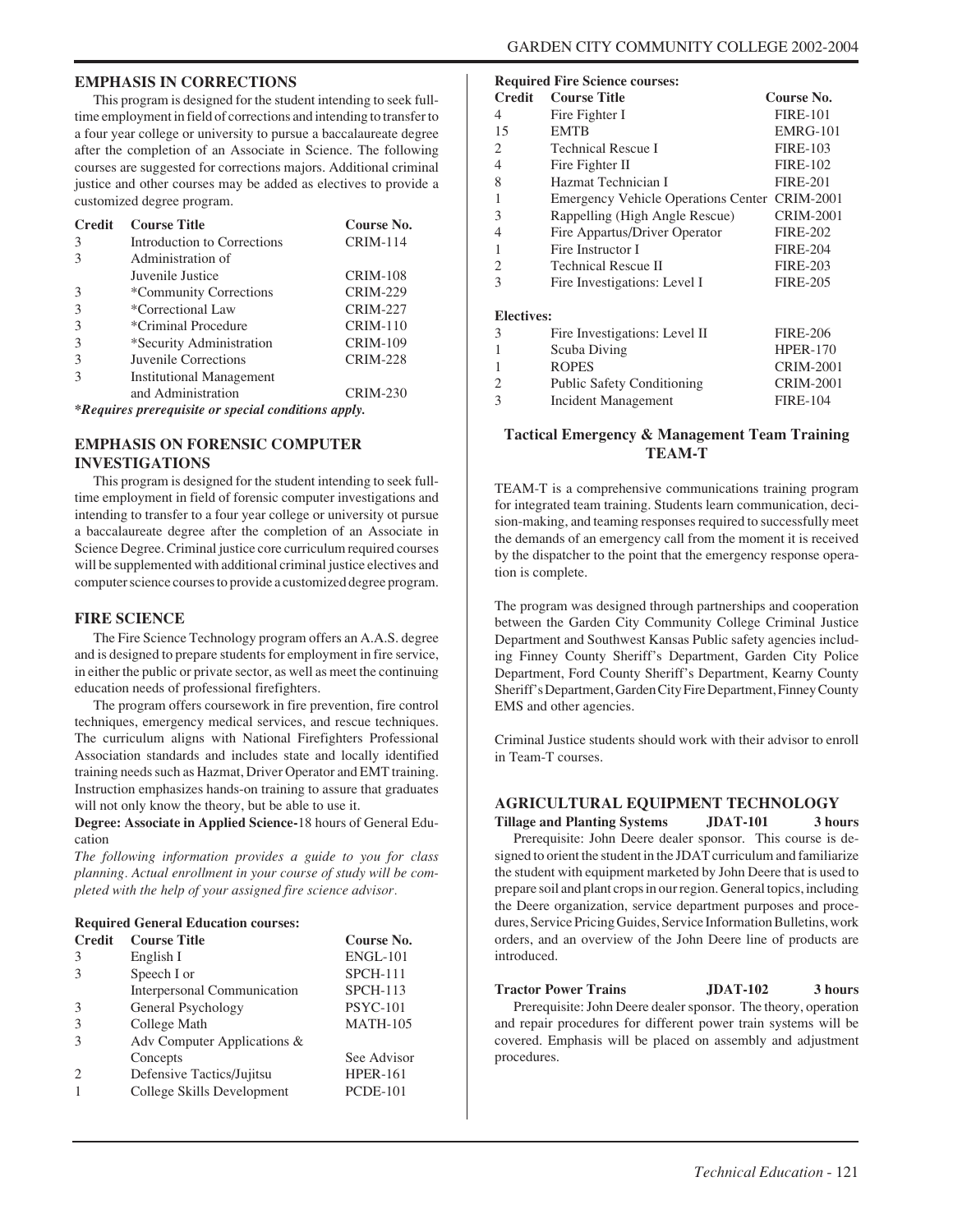#### **EMPHASIS IN CORRECTIONS**

This program is designed for the student intending to seek fulltime employment in field of corrections and intending to transfer to a four year college or university to pursue a baccalaureate degree after the completion of an Associate in Science. The following courses are suggested for corrections majors. Additional criminal justice and other courses may be added as electives to provide a customized degree program.

| <b>Credit</b> | <b>Course Title</b>                | Course No.      |
|---------------|------------------------------------|-----------------|
| $\mathcal{F}$ | <b>Introduction to Corrections</b> | <b>CRIM-114</b> |
| $\mathcal{R}$ | Administration of                  |                 |
|               | Juvenile Justice                   | <b>CRIM-108</b> |
| 3             | *Community Corrections             | <b>CRIM-229</b> |
| 3             | *Correctional Law                  | <b>CRIM-227</b> |
| $\mathcal{F}$ | *Criminal Procedure                | <b>CRIM-110</b> |
| 3             | *Security Administration           | <b>CRIM-109</b> |
| $\mathcal{F}$ | Juvenile Corrections               | <b>CRIM-228</b> |
|               | <b>Institutional Management</b>    |                 |
|               | and Administration                 | <b>CRIM-230</b> |
|               |                                    |                 |

*\*Requires prerequisite or special conditions apply.*

#### **EMPHASIS ON FORENSIC COMPUTER INVESTIGATIONS**

This program is designed for the student intending to seek fulltime employment in field of forensic computer investigations and intending to transfer to a four year college or university ot pursue a baccalaureate degree after the completion of an Associate in Science Degree. Criminal justice core curriculum required courses will be supplemented with additional criminal justice electives and computer science courses to provide a customized degree program.

#### **FIRE SCIENCE**

The Fire Science Technology program offers an A.A.S. degree and is designed to prepare students for employment in fire service, in either the public or private sector, as well as meet the continuing education needs of professional firefighters.

The program offers coursework in fire prevention, fire control techniques, emergency medical services, and rescue techniques. The curriculum aligns with National Firefighters Professional Association standards and includes state and locally identified training needs such as Hazmat, Driver Operator and EMT training. Instruction emphasizes hands-on training to assure that graduates will not only know the theory, but be able to use it.

**Degree: Associate in Applied Science-**18 hours of General Education

*The following information provides a guide to you for class planning. Actual enrollment in your course of study will be completed with the help of your assigned fire science advisor.*

#### **Required General Education courses:**

| <b>Credit</b> | <b>Course Title</b>         | Course No.      |
|---------------|-----------------------------|-----------------|
| 3             | English I                   | <b>ENGL-101</b> |
| $\mathcal{F}$ | Speech I or                 | <b>SPCH-111</b> |
|               | Interpersonal Communication | <b>SPCH-113</b> |
| 3             | General Psychology          | <b>PSYC-101</b> |
| 3             | College Math                | <b>MATH-105</b> |
| $\mathcal{F}$ | Adv Computer Applications & |                 |
|               | Concepts                    | See Advisor     |
| 2             | Defensive Tactics/Jujitsu   | <b>HPER-161</b> |
|               | College Skills Development  | <b>PCDE-101</b> |

#### **Required Fire Science courses:**

| <b>Credit</b> | <b>Course Title</b>                        | Course No.       |
|---------------|--------------------------------------------|------------------|
| 4             | Fire Fighter I                             | <b>FIRE-101</b>  |
| 15            | <b>EMTB</b>                                | $EMRG-101$       |
| 2             | Technical Rescue I                         | <b>FIRE-103</b>  |
| 4             | Fire Fighter II                            | <b>FIRE-102</b>  |
| 8             | Hazmat Technician I                        | <b>FIRE-201</b>  |
| 1             | <b>Emergency Vehicle Operations Center</b> | <b>CRIM-2001</b> |
| 3             | Rappelling (High Angle Rescue)             | <b>CRIM-2001</b> |
| 4             | Fire Appartus/Driver Operator              | <b>FIRE-202</b>  |
|               | Fire Instructor I                          | <b>FIRE-204</b>  |
| 2             | Technical Rescue II                        | <b>FIRE-203</b>  |
| 3             | Fire Investigations: Level I               | <b>FIRE-205</b>  |
| Electives:    |                                            |                  |
| 3             | Fire Investigations: Level II              | <b>FIRE-206</b>  |
|               | Scuba Diving                               | <b>HPER-170</b>  |
|               | <b>ROPES</b>                               | <b>CRIM-2001</b> |

#### **Tactical Emergency & Management Team Training TEAM-T**

2 Public Safety Conditioning CRIM-2001 3 Incident Management FIRE-104

TEAM-T is a comprehensive communications training program for integrated team training. Students learn communication, decision-making, and teaming responses required to successfully meet the demands of an emergency call from the moment it is received by the dispatcher to the point that the emergency response operation is complete.

The program was designed through partnerships and cooperation between the Garden City Community College Criminal Justice Department and Southwest Kansas Public safety agencies including Finney County Sheriff's Department, Garden City Police Department, Ford County Sheriff's Department, Kearny County Sheriff's Department, Garden City Fire Department, Finney County EMS and other agencies.

Criminal Justice students should work with their advisor to enroll in Team-T courses.

#### **AGRICULTURAL EQUIPMENT TECHNOLOGY**

**Tillage and Planting Systems JDAT-101 3 hours** Prerequisite: John Deere dealer sponsor. This course is designed to orient the student in the JDAT curriculum and familiarize the student with equipment marketed by John Deere that is used to prepare soil and plant crops in our region. General topics, including the Deere organization, service department purposes and procedures, Service Pricing Guides, Service Information Bulletins, work orders, and an overview of the John Deere line of products are introduced.

**Tractor Power Trains JDAT-102 3 hours** Prerequisite: John Deere dealer sponsor. The theory, operation and repair procedures for different power train systems will be covered. Emphasis will be placed on assembly and adjustment procedures.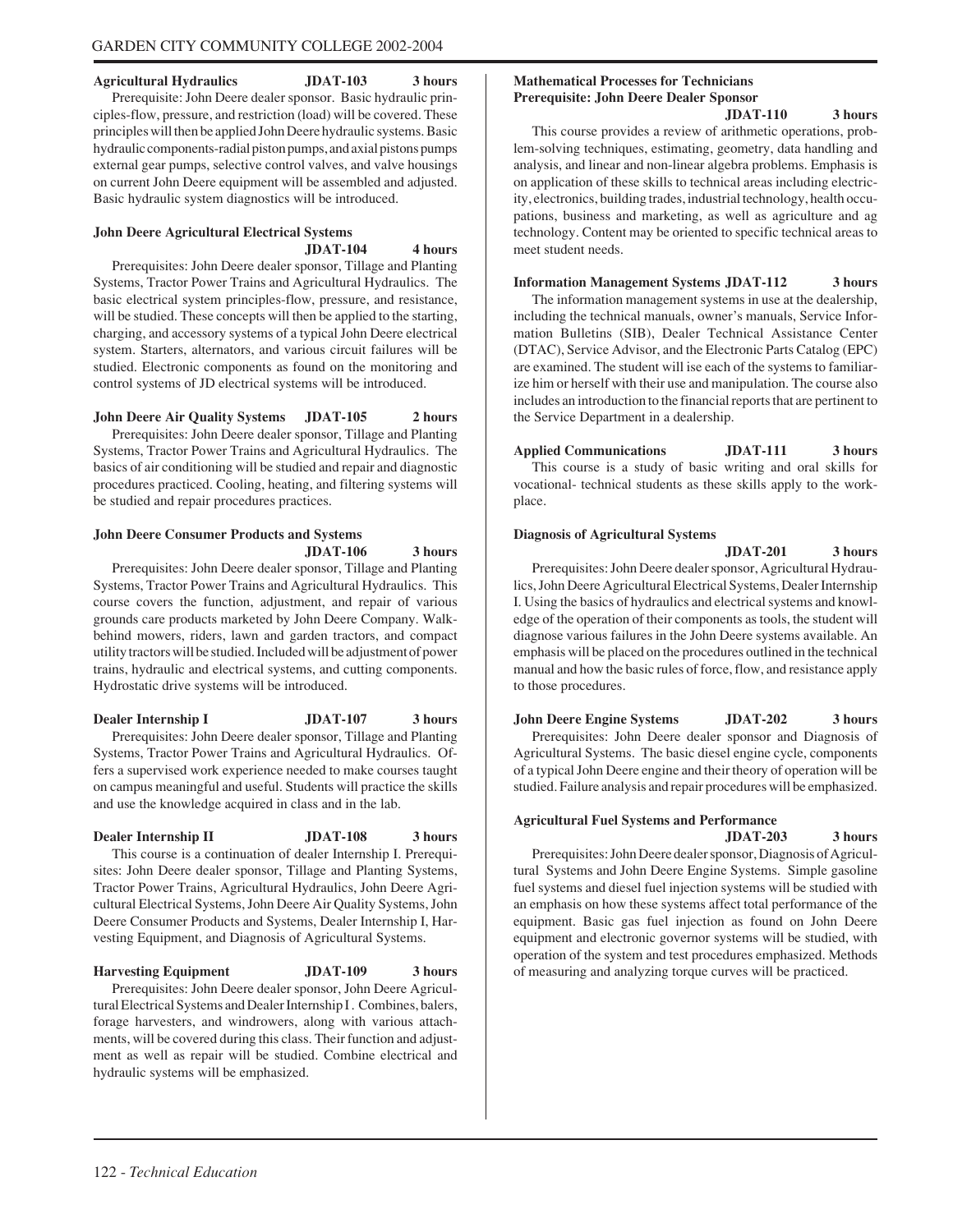#### **Agricultural Hydraulics JDAT-103 3 hours**

Prerequisite: John Deere dealer sponsor. Basic hydraulic principles-flow, pressure, and restriction (load) will be covered. These principles will then be applied John Deere hydraulic systems. Basic hydraulic components-radial piston pumps, and axial pistons pumps external gear pumps, selective control valves, and valve housings on current John Deere equipment will be assembled and adjusted. Basic hydraulic system diagnostics will be introduced.

#### **John Deere Agricultural Electrical Systems JDAT-104 4 hours**

Prerequisites: John Deere dealer sponsor, Tillage and Planting Systems, Tractor Power Trains and Agricultural Hydraulics. The basic electrical system principles-flow, pressure, and resistance, will be studied. These concepts will then be applied to the starting, charging, and accessory systems of a typical John Deere electrical system. Starters, alternators, and various circuit failures will be studied. Electronic components as found on the monitoring and control systems of JD electrical systems will be introduced.

#### **John Deere Air Quality Systems JDAT-105 2 hours**

Prerequisites: John Deere dealer sponsor, Tillage and Planting Systems, Tractor Power Trains and Agricultural Hydraulics. The basics of air conditioning will be studied and repair and diagnostic procedures practiced. Cooling, heating, and filtering systems will be studied and repair procedures practices.

### **John Deere Consumer Products and Systems**

**JDAT-106 3 hours**

Prerequisites: John Deere dealer sponsor, Tillage and Planting Systems, Tractor Power Trains and Agricultural Hydraulics. This course covers the function, adjustment, and repair of various grounds care products marketed by John Deere Company. Walkbehind mowers, riders, lawn and garden tractors, and compact utility tractors will be studied. Included will be adjustment of power trains, hydraulic and electrical systems, and cutting components. Hydrostatic drive systems will be introduced.

**Dealer Internship I JDAT-107** 3 hours Prerequisites: John Deere dealer sponsor, Tillage and Planting Systems, Tractor Power Trains and Agricultural Hydraulics. Offers a supervised work experience needed to make courses taught on campus meaningful and useful. Students will practice the skills and use the knowledge acquired in class and in the lab.

**Dealer Internship II JDAT-108 3 hours** This course is a continuation of dealer Internship I. Prerequisites: John Deere dealer sponsor, Tillage and Planting Systems, Tractor Power Trains, Agricultural Hydraulics, John Deere Agricultural Electrical Systems, John Deere Air Quality Systems, John Deere Consumer Products and Systems, Dealer Internship I, Harvesting Equipment, and Diagnosis of Agricultural Systems.

**Harvesting Equipment JDAT-109 3 hours** Prerequisites: John Deere dealer sponsor, John Deere Agricultural Electrical Systems and Dealer Internship I . Combines, balers, forage harvesters, and windrowers, along with various attachments, will be covered during this class. Their function and adjustment as well as repair will be studied. Combine electrical and hydraulic systems will be emphasized.

#### **Mathematical Processes for Technicians Prerequisite: John Deere Dealer Sponsor**

#### **JDAT-110 3 hours**

This course provides a review of arithmetic operations, problem-solving techniques, estimating, geometry, data handling and analysis, and linear and non-linear algebra problems. Emphasis is on application of these skills to technical areas including electricity, electronics, building trades, industrial technology, health occupations, business and marketing, as well as agriculture and ag technology. Content may be oriented to specific technical areas to meet student needs.

#### **Information Management Systems JDAT-112 3 hours**

The information management systems in use at the dealership, including the technical manuals, owner's manuals, Service Information Bulletins (SIB), Dealer Technical Assistance Center (DTAC), Service Advisor, and the Electronic Parts Catalog (EPC) are examined. The student will ise each of the systems to familiarize him or herself with their use and manipulation. The course also includes an introduction to the financial reports that are pertinent to the Service Department in a dealership.

**Applied Communications JDAT-111 3 hours** This course is a study of basic writing and oral skills for vocational- technical students as these skills apply to the workplace.

#### **Diagnosis of Agricultural Systems**

**JDAT-201 3 hours** Prerequisites: John Deere dealer sponsor, Agricultural Hydraulics, John Deere Agricultural Electrical Systems, Dealer Internship I. Using the basics of hydraulics and electrical systems and knowledge of the operation of their components as tools, the student will diagnose various failures in the John Deere systems available. An emphasis will be placed on the procedures outlined in the technical manual and how the basic rules of force, flow, and resistance apply to those procedures.

**John Deere Engine Systems JDAT-202 3 hours** Prerequisites: John Deere dealer sponsor and Diagnosis of Agricultural Systems. The basic diesel engine cycle, components of a typical John Deere engine and their theory of operation will be studied. Failure analysis and repair procedures will be emphasized.

#### **Agricultural Fuel Systems and Performance**

**JDAT-203 3 hours** Prerequisites: John Deere dealer sponsor, Diagnosis of Agricul-

tural Systems and John Deere Engine Systems. Simple gasoline fuel systems and diesel fuel injection systems will be studied with an emphasis on how these systems affect total performance of the equipment. Basic gas fuel injection as found on John Deere equipment and electronic governor systems will be studied, with operation of the system and test procedures emphasized. Methods of measuring and analyzing torque curves will be practiced.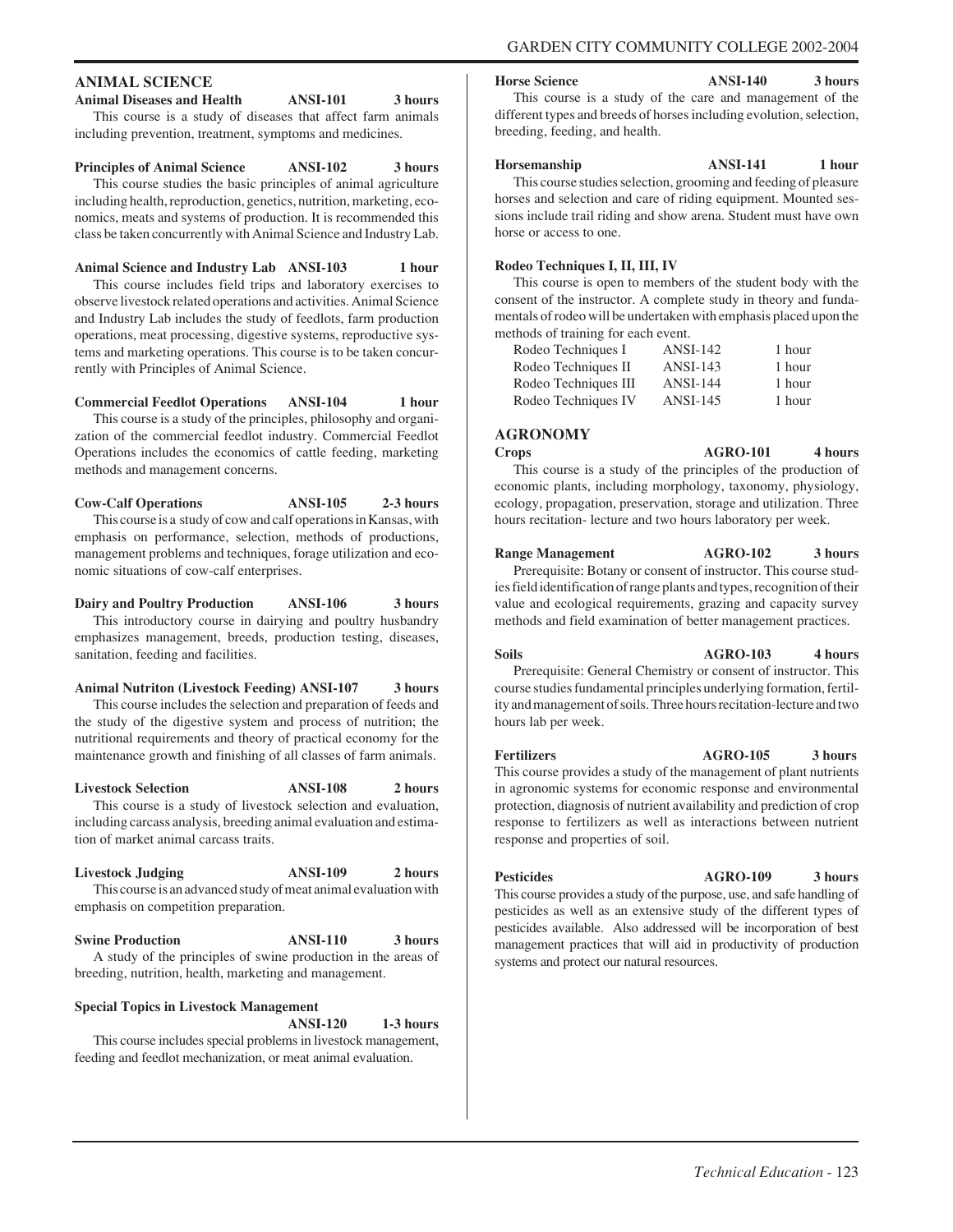### **ANIMAL SCIENCE**

### **Animal Diseases and Health ANSI-101 3 hours**

This course is a study of diseases that affect farm animals including prevention, treatment, symptoms and medicines.

**Principles of Animal Science ANSI-102 3 hours** This course studies the basic principles of animal agriculture including health, reproduction, genetics, nutrition, marketing, economics, meats and systems of production. It is recommended this class be taken concurrently with Animal Science and Industry Lab.

#### **Animal Science and Industry Lab ANSI-103 1 hour**

This course includes field trips and laboratory exercises to observe livestock related operations and activities. Animal Science and Industry Lab includes the study of feedlots, farm production operations, meat processing, digestive systems, reproductive systems and marketing operations. This course is to be taken concurrently with Principles of Animal Science.

#### **Commercial Feedlot Operations ANSI-104 1 hour**

This course is a study of the principles, philosophy and organization of the commercial feedlot industry. Commercial Feedlot Operations includes the economics of cattle feeding, marketing methods and management concerns.

**Cow-Calf Operations ANSI-105 2-3 hours** This course is a study of cow and calf operations in Kansas, with emphasis on performance, selection, methods of productions, management problems and techniques, forage utilization and economic situations of cow-calf enterprises.

**Dairy and Poultry Production ANSI-106 3 hours** This introductory course in dairying and poultry husbandry emphasizes management, breeds, production testing, diseases, sanitation, feeding and facilities.

#### **Animal Nutriton (Livestock Feeding) ANSI-107 3 hours**

This course includes the selection and preparation of feeds and the study of the digestive system and process of nutrition; the nutritional requirements and theory of practical economy for the maintenance growth and finishing of all classes of farm animals.

**Livestock Selection ANSI-108 2 hours** This course is a study of livestock selection and evaluation, including carcass analysis, breeding animal evaluation and estimation of market animal carcass traits.

#### **Livestock Judging ANSI-109 2 hours** This course is an advanced study of meat animal evaluation with emphasis on competition preparation.

**Swine Production ANSI-110 3 hours** A study of the principles of swine production in the areas of breeding, nutrition, health, marketing and management.

#### **Special Topics in Livestock Management**

**ANSI-120 1-3 hours** This course includes special problems in livestock management, feeding and feedlot mechanization, or meat animal evaluation.

**Horse Science ANSI-140 3 hours**

This course is a study of the care and management of the different types and breeds of horses including evolution, selection, breeding, feeding, and health.

**Horsemanship ANSI-141** 1 hour This course studies selection, grooming and feeding of pleasure horses and selection and care of riding equipment. Mounted sessions include trail riding and show arena. Student must have own horse or access to one.

#### **Rodeo Techniques I, II, III, IV**

This course is open to members of the student body with the consent of the instructor. A complete study in theory and fundamentals of rodeo will be undertaken with emphasis placed upon the methods of training for each event.

| Rodeo Techniques I   | <b>ANSI-142</b> | 1 hour |
|----------------------|-----------------|--------|
| Rodeo Techniques II  | <b>ANSI-143</b> | 1 hour |
| Rodeo Techniques III | <b>ANSI-144</b> | 1 hour |
| Rodeo Techniques IV  | <b>ANSI-145</b> | 1 hour |

#### **AGRONOMY**

**Crops AGRO-101 4 hours** This course is a study of the principles of the production of economic plants, including morphology, taxonomy, physiology, ecology, propagation, preservation, storage and utilization. Three hours recitation- lecture and two hours laboratory per week.

#### **Range Management AGRO-102** 3 hours

Prerequisite: Botany or consent of instructor. This course studies field identification of range plants and types, recognition of their value and ecological requirements, grazing and capacity survey methods and field examination of better management practices.

**Soils AGRO-103 4 hours** Prerequisite: General Chemistry or consent of instructor. This course studies fundamental principles underlying formation, fertility and management of soils. Three hours recitation-lecture and two hours lab per week.

**Fertilizers AGRO-105 3 hours** This course provides a study of the management of plant nutrients in agronomic systems for economic response and environmental protection, diagnosis of nutrient availability and prediction of crop response to fertilizers as well as interactions between nutrient response and properties of soil.

**Pesticides AGRO-109 3 hours** This course provides a study of the purpose, use, and safe handling of pesticides as well as an extensive study of the different types of pesticides available. Also addressed will be incorporation of best management practices that will aid in productivity of production systems and protect our natural resources.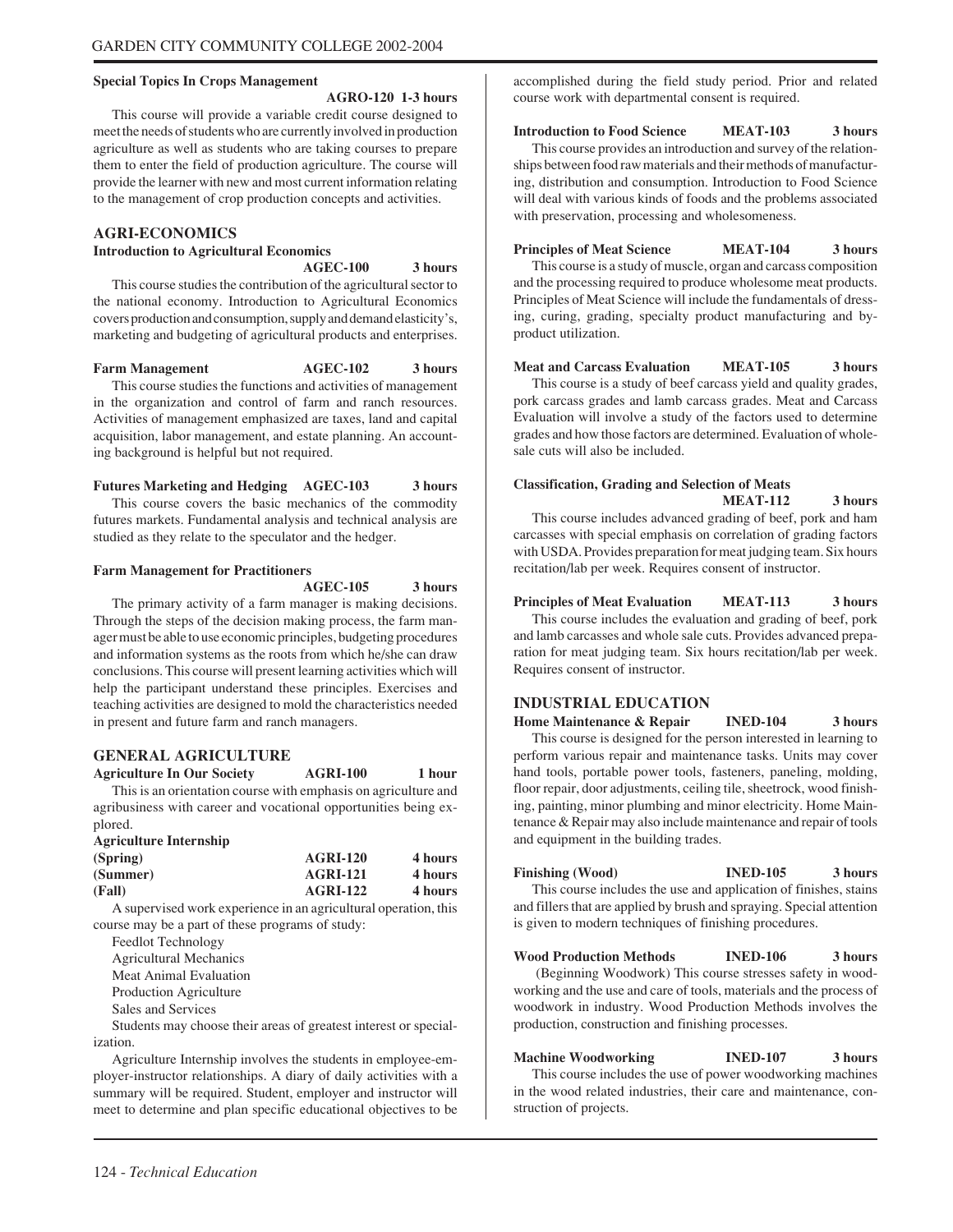#### **Special Topics In Crops Management**

#### **AGRO-120 1-3 hours**

This course will provide a variable credit course designed to meet the needs of students who are currently involved in production agriculture as well as students who are taking courses to prepare them to enter the field of production agriculture. The course will provide the learner with new and most current information relating to the management of crop production concepts and activities.

#### **AGRI-ECONOMICS**

#### **Introduction to Agricultural Economics**

**AGEC-100 3 hours**

This course studies the contribution of the agricultural sector to the national economy. Introduction to Agricultural Economics covers production and consumption, supply and demand elasticity's, marketing and budgeting of agricultural products and enterprises.

Farm Management **AGEC-102** 3 hours This course studies the functions and activities of management in the organization and control of farm and ranch resources. Activities of management emphasized are taxes, land and capital acquisition, labor management, and estate planning. An accounting background is helpful but not required.

#### **Futures Marketing and Hedging AGEC-103 3 hours**

This course covers the basic mechanics of the commodity futures markets. Fundamental analysis and technical analysis are studied as they relate to the speculator and the hedger.

#### **Farm Management for Practitioners**

**AGEC-105 3 hours** The primary activity of a farm manager is making decisions. Through the steps of the decision making process, the farm manager must be able to use economic principles, budgeting procedures and information systems as the roots from which he/she can draw conclusions. This course will present learning activities which will help the participant understand these principles. Exercises and teaching activities are designed to mold the characteristics needed in present and future farm and ranch managers.

#### **GENERAL AGRICULTURE**

**Agriculture In Our Society AGRI-100 1 hour** This is an orientation course with emphasis on agriculture and agribusiness with career and vocational opportunities being explored.

### **Agriculture Internship**

| (Spring) | <b>AGRI-120</b> | 4 hours |
|----------|-----------------|---------|
| (Summer) | <b>AGRI-121</b> | 4 hours |
| (Fall)   | <b>AGRI-122</b> | 4 hours |
|          |                 |         |

A supervised work experience in an agricultural operation, this course may be a part of these programs of study:

Feedlot Technology

Agricultural Mechanics

Meat Animal Evaluation

Production Agriculture

Sales and Services

Students may choose their areas of greatest interest or specialization.

Agriculture Internship involves the students in employee-employer-instructor relationships. A diary of daily activities with a summary will be required. Student, employer and instructor will meet to determine and plan specific educational objectives to be

accomplished during the field study period. Prior and related course work with departmental consent is required.

#### **Introduction to Food Science MEAT-103 3 hours**

This course provides an introduction and survey of the relationships between food raw materials and their methods of manufacturing, distribution and consumption. Introduction to Food Science will deal with various kinds of foods and the problems associated with preservation, processing and wholesomeness.

#### **Principles of Meat Science MEAT-104 3 hours**

This course is a study of muscle, organ and carcass composition and the processing required to produce wholesome meat products. Principles of Meat Science will include the fundamentals of dressing, curing, grading, specialty product manufacturing and byproduct utilization.

#### **Meat and Carcass Evaluation MEAT-105 3 hours**

This course is a study of beef carcass yield and quality grades, pork carcass grades and lamb carcass grades. Meat and Carcass Evaluation will involve a study of the factors used to determine grades and how those factors are determined. Evaluation of wholesale cuts will also be included.

#### **Classification, Grading and Selection of Meats MEAT-112 3 hours**

This course includes advanced grading of beef, pork and ham carcasses with special emphasis on correlation of grading factors with USDA. Provides preparation for meat judging team. Six hours recitation/lab per week. Requires consent of instructor.

#### **Principles of Meat Evaluation MEAT-113 3 hours**

This course includes the evaluation and grading of beef, pork and lamb carcasses and whole sale cuts. Provides advanced preparation for meat judging team. Six hours recitation/lab per week. Requires consent of instructor.

#### **INDUSTRIAL EDUCATION**

#### **Home Maintenance & Repair INED-104 3 hours**

This course is designed for the person interested in learning to perform various repair and maintenance tasks. Units may cover hand tools, portable power tools, fasteners, paneling, molding, floor repair, door adjustments, ceiling tile, sheetrock, wood finishing, painting, minor plumbing and minor electricity. Home Maintenance & Repair may also include maintenance and repair of tools and equipment in the building trades.

#### Finishing (Wood) **INED-105** 3 hours

This course includes the use and application of finishes, stains and fillers that are applied by brush and spraying. Special attention is given to modern techniques of finishing procedures.

#### **Wood Production Methods INED-106 3 hours**

 (Beginning Woodwork) This course stresses safety in woodworking and the use and care of tools, materials and the process of woodwork in industry. Wood Production Methods involves the production, construction and finishing processes.

#### **Machine Woodworking INED-107 3 hours**

This course includes the use of power woodworking machines in the wood related industries, their care and maintenance, construction of projects.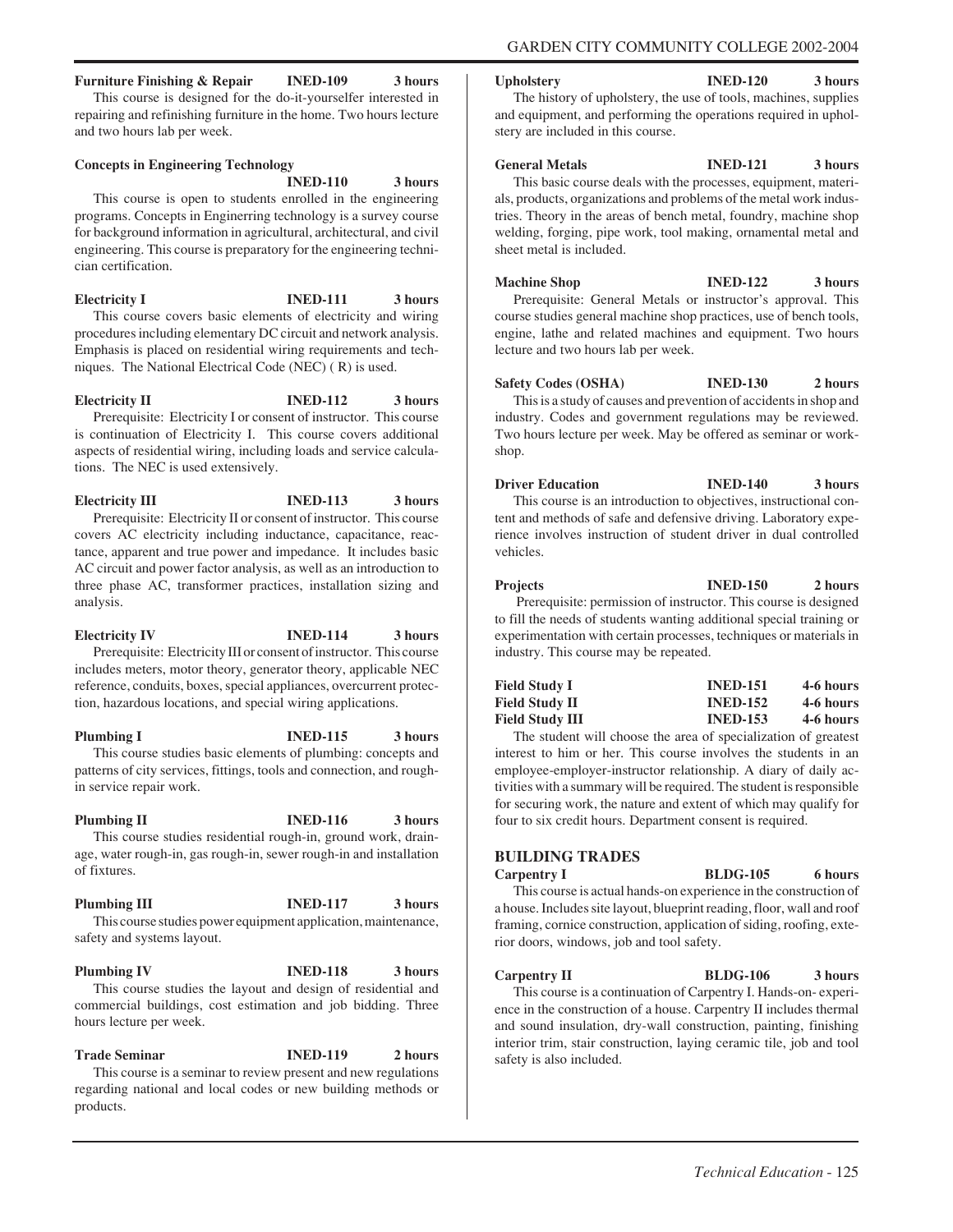#### **Furniture Finishing & Repair INED-109 3 hours**

This course is designed for the do-it-yourselfer interested in repairing and refinishing furniture in the home. Two hours lecture and two hours lab per week.

#### **Concepts in Engineering Technology**

**INED-110 3 hours**

This course is open to students enrolled in the engineering programs. Concepts in Enginerring technology is a survey course for background information in agricultural, architectural, and civil engineering. This course is preparatory for the engineering technician certification.

#### **Electricity I INED-111** 3 hours

This course covers basic elements of electricity and wiring procedures including elementary DC circuit and network analysis. Emphasis is placed on residential wiring requirements and techniques. The National Electrical Code (NEC) ( R) is used.

#### **Electricity II INED-112** 3 hours

Prerequisite: Electricity I or consent of instructor. This course is continuation of Electricity I. This course covers additional aspects of residential wiring, including loads and service calculations. The NEC is used extensively.

#### **Electricity III INED-113** 3 hours

Prerequisite: Electricity II or consent of instructor. This course covers AC electricity including inductance, capacitance, reactance, apparent and true power and impedance. It includes basic AC circuit and power factor analysis, as well as an introduction to three phase AC, transformer practices, installation sizing and analysis.

#### **Electricity IV INED-114** 3 hours Prerequisite: Electricity III or consent of instructor. This course

includes meters, motor theory, generator theory, applicable NEC reference, conduits, boxes, special appliances, overcurrent protection, hazardous locations, and special wiring applications.

**Plumbing I INED-115** 3 hours This course studies basic elements of plumbing: concepts and patterns of city services, fittings, tools and connection, and roughin service repair work.

#### **Plumbing II INED-116** 3 hours

This course studies residential rough-in, ground work, drainage, water rough-in, gas rough-in, sewer rough-in and installation of fixtures.

#### **Plumbing III INED-117** 3 hours This course studies power equipment application, maintenance, safety and systems layout.

**Plumbing IV INED-118** 3 hours This course studies the layout and design of residential and commercial buildings, cost estimation and job bidding. Three hours lecture per week.

**Trade Seminar INED-119 2 hours** This course is a seminar to review present and new regulations regarding national and local codes or new building methods or products.

#### GARDEN CITY COMMUNITY COLLEGE 2002-2004

**Upholstery INED-120 3 hours**

The history of upholstery, the use of tools, machines, supplies and equipment, and performing the operations required in upholstery are included in this course.

**General Metals INED-121 3 hours** This basic course deals with the processes, equipment, materials, products, organizations and problems of the metal work industries. Theory in the areas of bench metal, foundry, machine shop welding, forging, pipe work, tool making, ornamental metal and sheet metal is included.

**Machine Shop INED-122** 3 hours Prerequisite: General Metals or instructor's approval. This course studies general machine shop practices, use of bench tools, engine, lathe and related machines and equipment. Two hours lecture and two hours lab per week.

**Safety Codes (OSHA) INED-130 2 hours** This is a study of causes and prevention of accidents in shop and industry. Codes and government regulations may be reviewed. Two hours lecture per week. May be offered as seminar or workshop.

**Driver Education INED-140** 3 hours This course is an introduction to objectives, instructional content and methods of safe and defensive driving. Laboratory experience involves instruction of student driver in dual controlled vehicles.

**Projects INED-150 2 hours** Prerequisite: permission of instructor. This course is designed to fill the needs of students wanting additional special training or experimentation with certain processes, techniques or materials in industry. This course may be repeated.

| Field Study I   | <b>INED-151</b> | 4-6 hours |
|-----------------|-----------------|-----------|
| Field Study II  | <b>INED-152</b> | 4-6 hours |
| Field Study III | <b>INED-153</b> | 4-6 hours |

The student will choose the area of specialization of greatest interest to him or her. This course involves the students in an employee-employer-instructor relationship. A diary of daily activities with a summary will be required. The student is responsible for securing work, the nature and extent of which may qualify for four to six credit hours. Department consent is required.

#### **BUILDING TRADES**

Carpentry I BLDG-105 6 hours

This course is actual hands-on experience in the construction of a house. Includes site layout, blueprint reading, floor, wall and roof framing, cornice construction, application of siding, roofing, exterior doors, windows, job and tool safety.

#### Carpentry II BLDG-106 3 hours

This course is a continuation of Carpentry I. Hands-on- experience in the construction of a house. Carpentry II includes thermal and sound insulation, dry-wall construction, painting, finishing interior trim, stair construction, laying ceramic tile, job and tool safety is also included.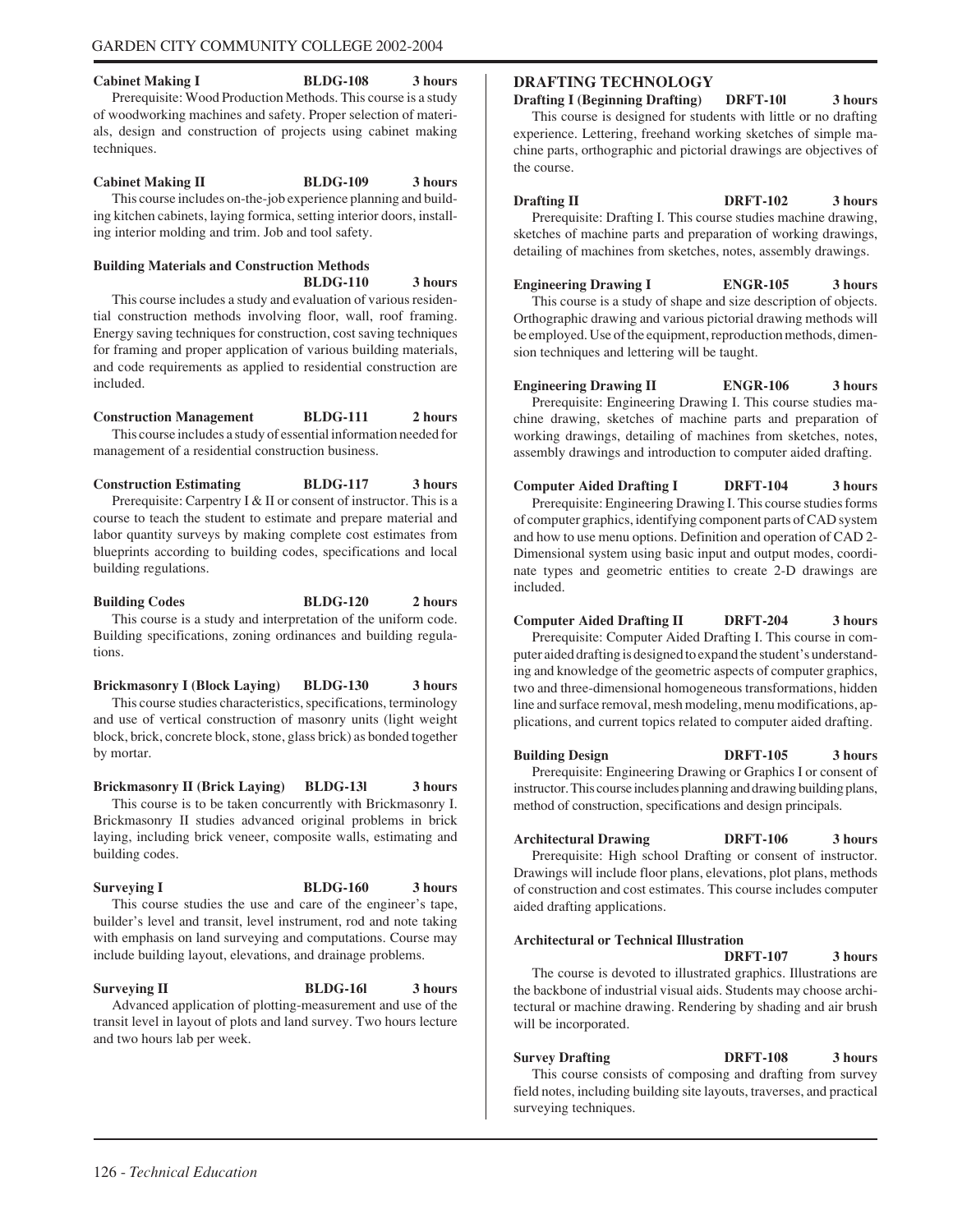**Cabinet Making I BLDG-108 3 hours** Prerequisite: Wood Production Methods. This course is a study of woodworking machines and safety. Proper selection of materials, design and construction of projects using cabinet making techniques.

#### **Cabinet Making II BLDG-109 3 hours** This course includes on-the-job experience planning and build-

ing kitchen cabinets, laying formica, setting interior doors, installing interior molding and trim. Job and tool safety.

#### **Building Materials and Construction Methods BLDG-110 3 hours**

This course includes a study and evaluation of various residential construction methods involving floor, wall, roof framing. Energy saving techniques for construction, cost saving techniques for framing and proper application of various building materials, and code requirements as applied to residential construction are included.

**Construction Management BLDG-111 2 hours** This course includes a study of essential information needed for management of a residential construction business.

**Construction Estimating BLDG-117 3 hours** Prerequisite: Carpentry I & II or consent of instructor. This is a course to teach the student to estimate and prepare material and labor quantity surveys by making complete cost estimates from blueprints according to building codes, specifications and local building regulations.

**Building Codes BLDG-120 2 hours** This course is a study and interpretation of the uniform code. Building specifications, zoning ordinances and building regulations.

**Brickmasonry I (Block Laying) BLDG-130 3 hours** This course studies characteristics, specifications, terminology and use of vertical construction of masonry units (light weight block, brick, concrete block, stone, glass brick) as bonded together by mortar.

**Brickmasonry II (Brick Laying) BLDG-13l 3 hours** This course is to be taken concurrently with Brickmasonry I. Brickmasonry II studies advanced original problems in brick laying, including brick veneer, composite walls, estimating and building codes.

**Surveying I** BLDG-160 3 hours This course studies the use and care of the engineer's tape, builder's level and transit, level instrument, rod and note taking with emphasis on land surveying and computations. Course may include building layout, elevations, and drainage problems.

Surveying II BLDG-16l 3 hours Advanced application of plotting-measurement and use of the transit level in layout of plots and land survey. Two hours lecture and two hours lab per week.

#### **DRAFTING TECHNOLOGY**

#### **Drafting I (Beginning Drafting) DRFT-10l 3 hours**

This course is designed for students with little or no drafting experience. Lettering, freehand working sketches of simple machine parts, orthographic and pictorial drawings are objectives of the course.

**Drafting II** DRFT-102 3 hours Prerequisite: Drafting I. This course studies machine drawing, sketches of machine parts and preparation of working drawings, detailing of machines from sketches, notes, assembly drawings.

**Engineering Drawing I ENGR-105 3 hours** This course is a study of shape and size description of objects. Orthographic drawing and various pictorial drawing methods will be employed. Use of the equipment, reproduction methods, dimen-

sion techniques and lettering will be taught.

**Engineering Drawing II ENGR-106 3 hours** Prerequisite: Engineering Drawing I. This course studies machine drawing, sketches of machine parts and preparation of working drawings, detailing of machines from sketches, notes, assembly drawings and introduction to computer aided drafting.

**Computer Aided Drafting I DRFT-104 3 hours** Prerequisite: Engineering Drawing I. This course studies forms of computer graphics, identifying component parts of CAD system and how to use menu options. Definition and operation of CAD 2- Dimensional system using basic input and output modes, coordinate types and geometric entities to create 2-D drawings are included.

**Computer Aided Drafting II DRFT-204 3 hours** Prerequisite: Computer Aided Drafting I. This course in computer aided drafting is designed to expand the student's understanding and knowledge of the geometric aspects of computer graphics, two and three-dimensional homogeneous transformations, hidden line and surface removal, mesh modeling, menu modifications, applications, and current topics related to computer aided drafting.

**Building Design DRFT-105 3 hours** Prerequisite: Engineering Drawing or Graphics I or consent of instructor. This course includes planning and drawing building plans, method of construction, specifications and design principals.

**Architectural Drawing DRFT-106 3 hours** Prerequisite: High school Drafting or consent of instructor. Drawings will include floor plans, elevations, plot plans, methods of construction and cost estimates. This course includes computer aided drafting applications.

#### **Architectural or Technical Illustration**

**DRFT-107 3 hours** The course is devoted to illustrated graphics. Illustrations are the backbone of industrial visual aids. Students may choose architectural or machine drawing. Rendering by shading and air brush will be incorporated.

**Survey Drafting DRFT-108 3 hours** This course consists of composing and drafting from survey field notes, including building site layouts, traverses, and practical surveying techniques.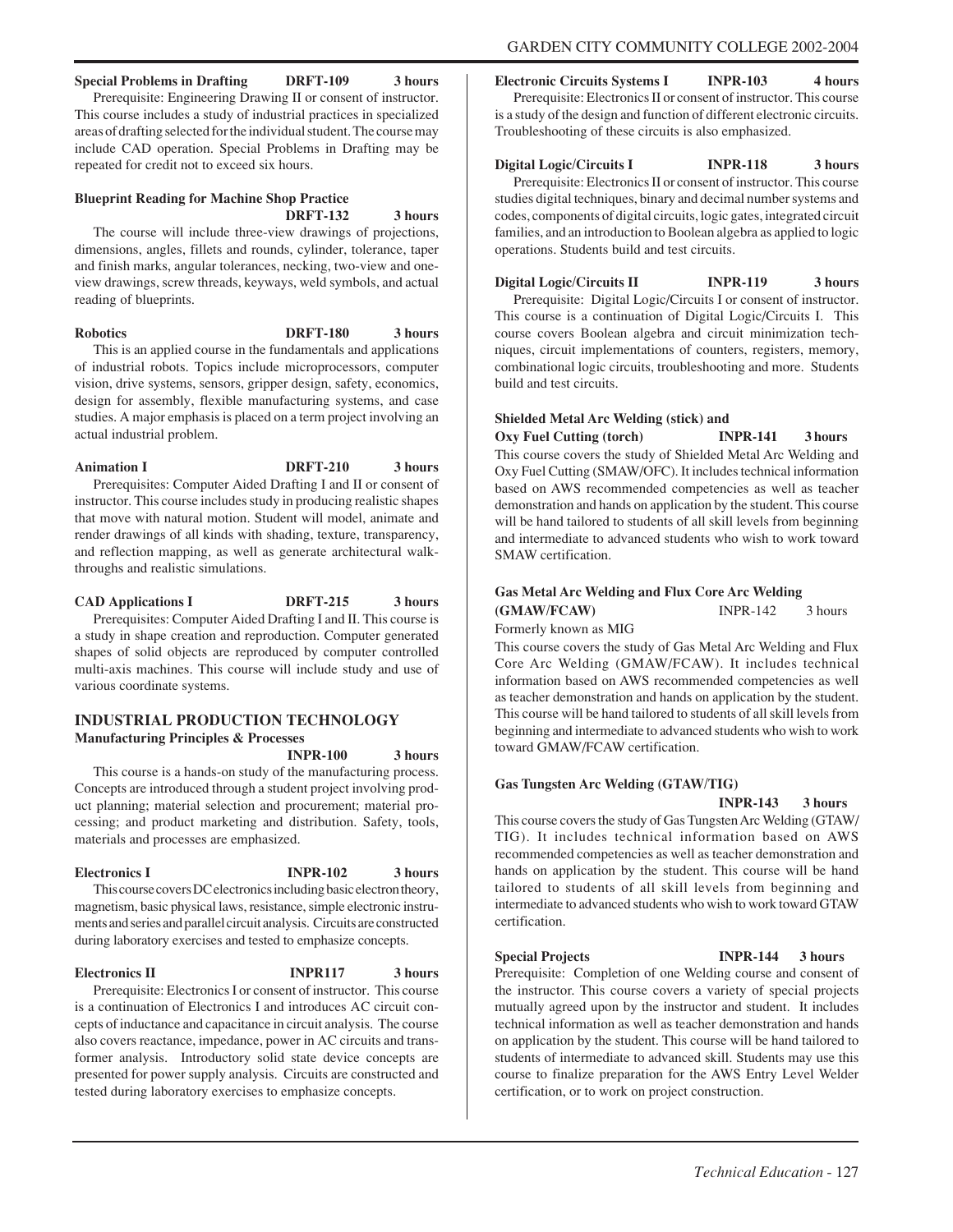#### **Special Problems in Drafting DRFT-109 3 hours**

Prerequisite: Engineering Drawing II or consent of instructor. This course includes a study of industrial practices in specialized areas of drafting selected for the individual student. The course may include CAD operation. Special Problems in Drafting may be repeated for credit not to exceed six hours.

#### **Blueprint Reading for Machine Shop Practice DRFT-132 3 hours**

The course will include three-view drawings of projections, dimensions, angles, fillets and rounds, cylinder, tolerance, taper and finish marks, angular tolerances, necking, two-view and oneview drawings, screw threads, keyways, weld symbols, and actual reading of blueprints.

#### **Robotics DRFT-180 3 hours**

This is an applied course in the fundamentals and applications of industrial robots. Topics include microprocessors, computer vision, drive systems, sensors, gripper design, safety, economics, design for assembly, flexible manufacturing systems, and case studies. A major emphasis is placed on a term project involving an actual industrial problem.

#### **Animation I DRFT-210 3 hours**

Prerequisites: Computer Aided Drafting I and II or consent of instructor. This course includes study in producing realistic shapes that move with natural motion. Student will model, animate and render drawings of all kinds with shading, texture, transparency, and reflection mapping, as well as generate architectural walkthroughs and realistic simulations.

#### **CAD Applications I DRFT-215 3 hours**

Prerequisites: Computer Aided Drafting I and II. This course is a study in shape creation and reproduction. Computer generated shapes of solid objects are reproduced by computer controlled multi-axis machines. This course will include study and use of various coordinate systems.

#### **INDUSTRIAL PRODUCTION TECHNOLOGY Manufacturing Principles & Processes**

**INPR-100 3 hours**

This course is a hands-on study of the manufacturing process. Concepts are introduced through a student project involving product planning; material selection and procurement; material processing; and product marketing and distribution. Safety, tools, materials and processes are emphasized.

#### **Electronics I INPR-102 3 hours** This course covers DC electronics including basic electron theory,

magnetism, basic physical laws, resistance, simple electronic instruments and series and parallel circuit analysis. Circuits are constructed during laboratory exercises and tested to emphasize concepts.

#### **Electronics II INPR117** 3 hours

Prerequisite: Electronics I or consent of instructor. This course is a continuation of Electronics I and introduces AC circuit concepts of inductance and capacitance in circuit analysis. The course also covers reactance, impedance, power in AC circuits and transformer analysis. Introductory solid state device concepts are presented for power supply analysis. Circuits are constructed and tested during laboratory exercises to emphasize concepts.

#### **Electronic Circuits Systems I INPR-103 4 hours**

Prerequisite: Electronics II or consent of instructor. This course is a study of the design and function of different electronic circuits. Troubleshooting of these circuits is also emphasized.

#### **Digital Logic/Circuits I INPR-118 3 hours**

Prerequisite: Electronics II or consent of instructor. This course studies digital techniques, binary and decimal number systems and codes, components of digital circuits, logic gates, integrated circuit families, and an introduction to Boolean algebra as applied to logic operations. Students build and test circuits.

#### **Digital Logic/Circuits II INPR-119** 3 hours

Prerequisite: Digital Logic/Circuits I or consent of instructor. This course is a continuation of Digital Logic/Circuits I. This course covers Boolean algebra and circuit minimization techniques, circuit implementations of counters, registers, memory, combinational logic circuits, troubleshooting and more. Students build and test circuits.

### **Shielded Metal Arc Welding (stick) and**

**Oxy Fuel Cutting (torch) INPR-141 3 hours** This course covers the study of Shielded Metal Arc Welding and Oxy Fuel Cutting (SMAW/OFC). It includes technical information based on AWS recommended competencies as well as teacher demonstration and hands on application by the student. This course will be hand tailored to students of all skill levels from beginning and intermediate to advanced students who wish to work toward SMAW certification.

#### **Gas Metal Arc Welding and Flux Core Arc Welding (GMAW/FCAW)** INPR-142 3 hours

Formerly known as MIG

This course covers the study of Gas Metal Arc Welding and Flux Core Arc Welding (GMAW/FCAW). It includes technical information based on AWS recommended competencies as well as teacher demonstration and hands on application by the student. This course will be hand tailored to students of all skill levels from beginning and intermediate to advanced students who wish to work toward GMAW/FCAW certification.

#### **Gas Tungsten Arc Welding (GTAW/TIG)**

#### **INPR-143 3 hours**

This course covers the study of Gas Tungsten Arc Welding (GTAW/ TIG). It includes technical information based on AWS recommended competencies as well as teacher demonstration and hands on application by the student. This course will be hand tailored to students of all skill levels from beginning and intermediate to advanced students who wish to work toward GTAW certification.

#### **Special Projects INPR-144 3 hours**

Prerequisite: Completion of one Welding course and consent of the instructor. This course covers a variety of special projects mutually agreed upon by the instructor and student. It includes technical information as well as teacher demonstration and hands on application by the student. This course will be hand tailored to students of intermediate to advanced skill. Students may use this course to finalize preparation for the AWS Entry Level Welder certification, or to work on project construction.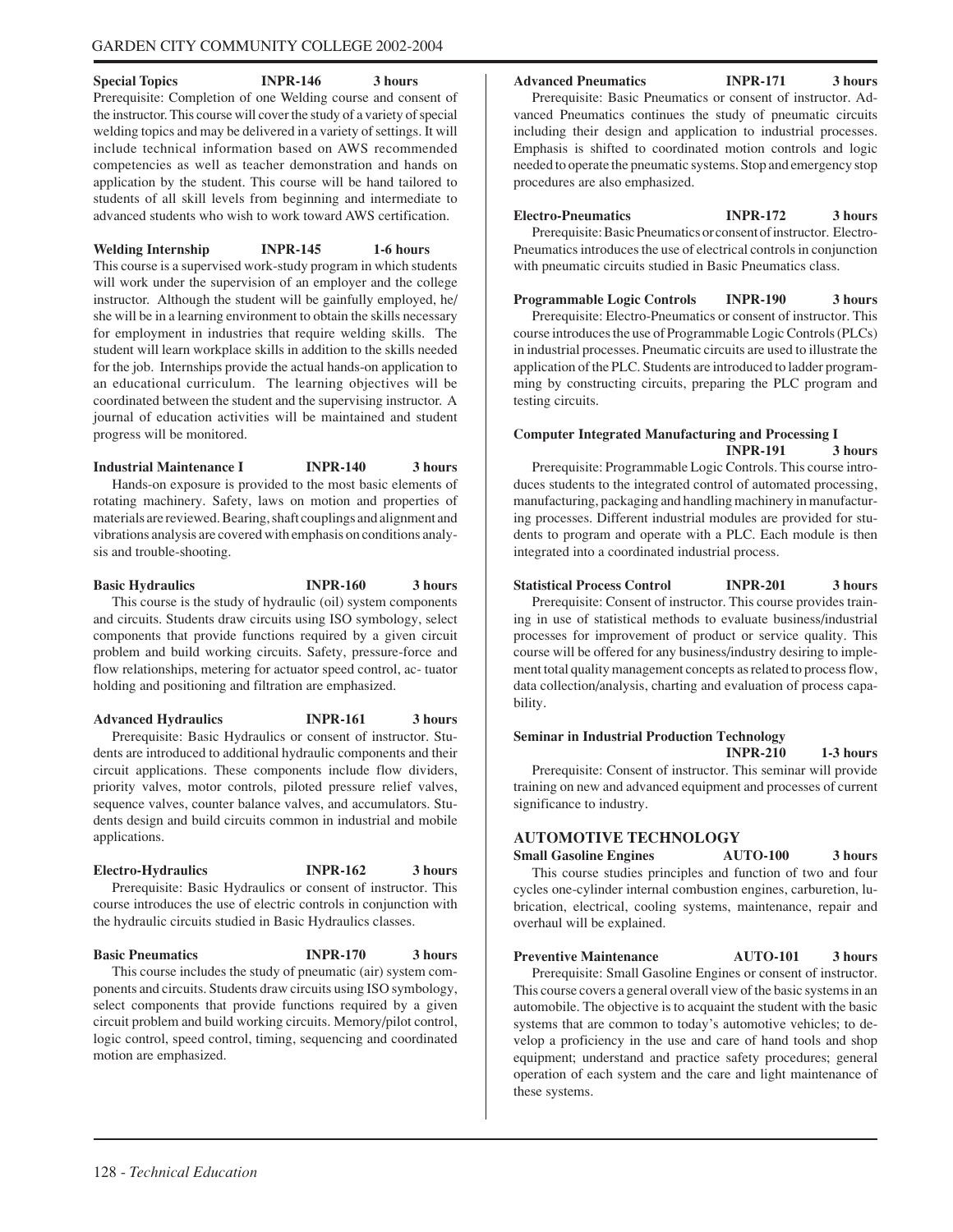#### GARDEN CITY COMMUNITY COLLEGE 2002-2004

**Special Topics INPR-146 3 hours**

Prerequisite: Completion of one Welding course and consent of the instructor. This course will cover the study of a variety of special welding topics and may be delivered in a variety of settings. It will include technical information based on AWS recommended competencies as well as teacher demonstration and hands on application by the student. This course will be hand tailored to students of all skill levels from beginning and intermediate to advanced students who wish to work toward AWS certification.

#### **Welding Internship INPR-145 1-6 hours**

This course is a supervised work-study program in which students will work under the supervision of an employer and the college instructor. Although the student will be gainfully employed, he/ she will be in a learning environment to obtain the skills necessary for employment in industries that require welding skills. The student will learn workplace skills in addition to the skills needed for the job. Internships provide the actual hands-on application to an educational curriculum. The learning objectives will be coordinated between the student and the supervising instructor. A journal of education activities will be maintained and student progress will be monitored.

**Industrial Maintenance I INPR-140 3 hours** Hands-on exposure is provided to the most basic elements of rotating machinery. Safety, laws on motion and properties of materials are reviewed. Bearing, shaft couplings and alignment and vibrations analysis are covered with emphasis on conditions analysis and trouble-shooting.

**Basic Hydraulics INPR-160** 3 hours This course is the study of hydraulic (oil) system components and circuits. Students draw circuits using ISO symbology, select components that provide functions required by a given circuit problem and build working circuits. Safety, pressure-force and flow relationships, metering for actuator speed control, ac- tuator

holding and positioning and filtration are emphasized.

**Advanced Hydraulics INPR-161 3 hours** Prerequisite: Basic Hydraulics or consent of instructor. Students are introduced to additional hydraulic components and their circuit applications. These components include flow dividers, priority valves, motor controls, piloted pressure relief valves, sequence valves, counter balance valves, and accumulators. Students design and build circuits common in industrial and mobile applications.

#### **Electro-Hydraulics INPR-162 3 hours**

Prerequisite: Basic Hydraulics or consent of instructor. This course introduces the use of electric controls in conjunction with the hydraulic circuits studied in Basic Hydraulics classes.

#### **Basic Pneumatics INPR-170** 3 hours

This course includes the study of pneumatic (air) system components and circuits. Students draw circuits using ISO symbology, select components that provide functions required by a given circuit problem and build working circuits. Memory/pilot control, logic control, speed control, timing, sequencing and coordinated motion are emphasized.

#### **Advanced Pneumatics INPR-171 3 hours**

Prerequisite: Basic Pneumatics or consent of instructor. Advanced Pneumatics continues the study of pneumatic circuits including their design and application to industrial processes. Emphasis is shifted to coordinated motion controls and logic needed to operate the pneumatic systems. Stop and emergency stop procedures are also emphasized.

#### **Electro-Pneumatics INPR-172 3 hours**

Prerequisite: Basic Pneumatics or consent of instructor. Electro-Pneumatics introduces the use of electrical controls in conjunction with pneumatic circuits studied in Basic Pneumatics class.

**Programmable Logic Controls INPR-190 3 hours** Prerequisite: Electro-Pneumatics or consent of instructor. This course introduces the use of Programmable Logic Controls (PLCs) in industrial processes. Pneumatic circuits are used to illustrate the application of the PLC. Students are introduced to ladder programming by constructing circuits, preparing the PLC program and

#### **Computer Integrated Manufacturing and Processing I INPR-191 3 hours**

testing circuits.

Prerequisite: Programmable Logic Controls. This course introduces students to the integrated control of automated processing, manufacturing, packaging and handling machinery in manufacturing processes. Different industrial modules are provided for students to program and operate with a PLC. Each module is then integrated into a coordinated industrial process.

#### **Statistical Process Control INPR-201 3 hours**

Prerequisite: Consent of instructor. This course provides training in use of statistical methods to evaluate business/industrial processes for improvement of product or service quality. This course will be offered for any business/industry desiring to implement total quality management concepts as related to process flow, data collection/analysis, charting and evaluation of process capability.

#### **Seminar in Industrial Production Technology INPR-210 1-3 hours**

Prerequisite: Consent of instructor. This seminar will provide training on new and advanced equipment and processes of current significance to industry.

#### **AUTOMOTIVE TECHNOLOGY**

**Small Gasoline Engines AUTO-100 3 hours** This course studies principles and function of two and four cycles one-cylinder internal combustion engines, carburetion, lubrication, electrical, cooling systems, maintenance, repair and overhaul will be explained.

**Preventive Maintenance AUTO-101 3 hours**

Prerequisite: Small Gasoline Engines or consent of instructor. This course covers a general overall view of the basic systems in an automobile. The objective is to acquaint the student with the basic systems that are common to today's automotive vehicles; to develop a proficiency in the use and care of hand tools and shop equipment; understand and practice safety procedures; general operation of each system and the care and light maintenance of these systems.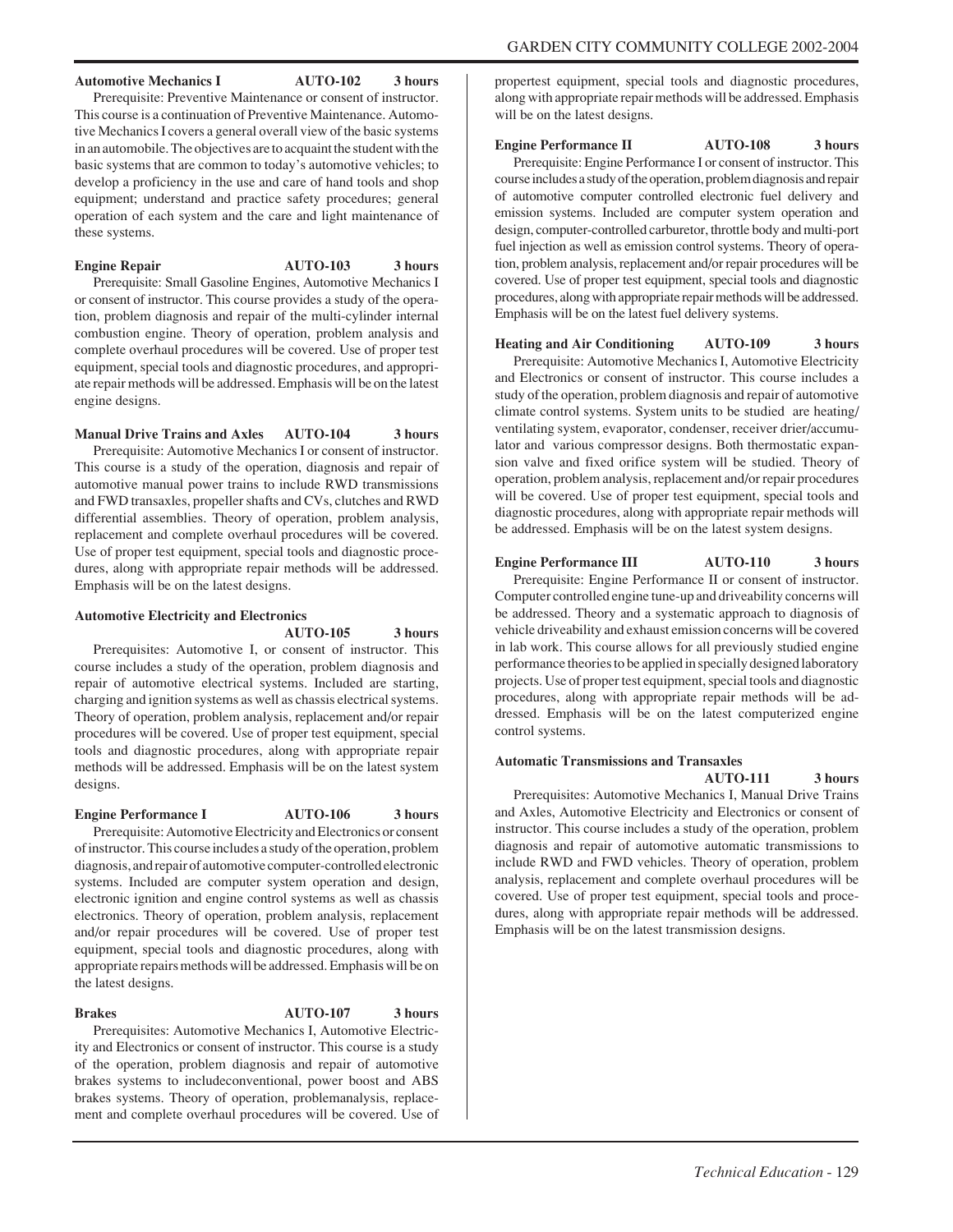#### **Automotive Mechanics I AUTO-102 3 hours**

Prerequisite: Preventive Maintenance or consent of instructor. This course is a continuation of Preventive Maintenance. Automotive Mechanics I covers a general overall view of the basic systems in an automobile. The objectives are to acquaint the student with the basic systems that are common to today's automotive vehicles; to develop a proficiency in the use and care of hand tools and shop equipment; understand and practice safety procedures; general operation of each system and the care and light maintenance of these systems.

#### **Engine Repair AUTO-103 3 hours**

Prerequisite: Small Gasoline Engines, Automotive Mechanics I or consent of instructor. This course provides a study of the operation, problem diagnosis and repair of the multi-cylinder internal combustion engine. Theory of operation, problem analysis and complete overhaul procedures will be covered. Use of proper test equipment, special tools and diagnostic procedures, and appropriate repair methods will be addressed. Emphasis will be on the latest engine designs.

**Manual Drive Trains and Axles AUTO-104 3 hours**

Prerequisite: Automotive Mechanics I or consent of instructor. This course is a study of the operation, diagnosis and repair of automotive manual power trains to include RWD transmissions and FWD transaxles, propeller shafts and CVs, clutches and RWD differential assemblies. Theory of operation, problem analysis, replacement and complete overhaul procedures will be covered. Use of proper test equipment, special tools and diagnostic procedures, along with appropriate repair methods will be addressed. Emphasis will be on the latest designs.

#### **Automotive Electricity and Electronics**

#### **AUTO-105 3 hours**

Prerequisites: Automotive I, or consent of instructor. This course includes a study of the operation, problem diagnosis and repair of automotive electrical systems. Included are starting, charging and ignition systems as well as chassis electrical systems. Theory of operation, problem analysis, replacement and/or repair procedures will be covered. Use of proper test equipment, special tools and diagnostic procedures, along with appropriate repair methods will be addressed. Emphasis will be on the latest system designs.

#### **Engine Performance I AUTO-106 3 hours**

Prerequisite: Automotive Electricity and Electronics or consent of instructor. This course includes a study of the operation, problem diagnosis, and repair of automotive computer-controlled electronic systems. Included are computer system operation and design, electronic ignition and engine control systems as well as chassis electronics. Theory of operation, problem analysis, replacement and/or repair procedures will be covered. Use of proper test equipment, special tools and diagnostic procedures, along with appropriate repairs methods will be addressed. Emphasis will be on the latest designs.

**Brakes AUTO-107 3 hours**

Prerequisites: Automotive Mechanics I, Automotive Electricity and Electronics or consent of instructor. This course is a study of the operation, problem diagnosis and repair of automotive brakes systems to includeconventional, power boost and ABS brakes systems. Theory of operation, problemanalysis, replacement and complete overhaul procedures will be covered. Use of propertest equipment, special tools and diagnostic procedures, along with appropriate repair methods will be addressed. Emphasis will be on the latest designs.

#### **Engine Performance II AUTO-108 3 hours**

Prerequisite: Engine Performance I or consent of instructor. This course includes a study of the operation, problem diagnosis and repair of automotive computer controlled electronic fuel delivery and emission systems. Included are computer system operation and design, computer-controlled carburetor, throttle body and multi-port fuel injection as well as emission control systems. Theory of operation, problem analysis, replacement and/or repair procedures will be covered. Use of proper test equipment, special tools and diagnostic procedures, along with appropriate repair methods will be addressed. Emphasis will be on the latest fuel delivery systems.

#### **Heating and Air Conditioning AUTO-109 3 hours**

Prerequisite: Automotive Mechanics I, Automotive Electricity and Electronics or consent of instructor. This course includes a study of the operation, problem diagnosis and repair of automotive climate control systems. System units to be studied are heating/ ventilating system, evaporator, condenser, receiver drier/accumulator and various compressor designs. Both thermostatic expansion valve and fixed orifice system will be studied. Theory of operation, problem analysis, replacement and/or repair procedures will be covered. Use of proper test equipment, special tools and diagnostic procedures, along with appropriate repair methods will be addressed. Emphasis will be on the latest system designs.

#### **Engine Performance III AUTO-110 3 hours**

Prerequisite: Engine Performance II or consent of instructor. Computer controlled engine tune-up and driveability concerns will be addressed. Theory and a systematic approach to diagnosis of vehicle driveability and exhaust emission concerns will be covered in lab work. This course allows for all previously studied engine performance theories to be applied in specially designed laboratory projects. Use of proper test equipment, special tools and diagnostic procedures, along with appropriate repair methods will be addressed. Emphasis will be on the latest computerized engine control systems.

#### **Automatic Transmissions and Transaxles**

**AUTO-111 3 hours**

Prerequisites: Automotive Mechanics I, Manual Drive Trains and Axles, Automotive Electricity and Electronics or consent of instructor. This course includes a study of the operation, problem diagnosis and repair of automotive automatic transmissions to include RWD and FWD vehicles. Theory of operation, problem analysis, replacement and complete overhaul procedures will be covered. Use of proper test equipment, special tools and procedures, along with appropriate repair methods will be addressed. Emphasis will be on the latest transmission designs.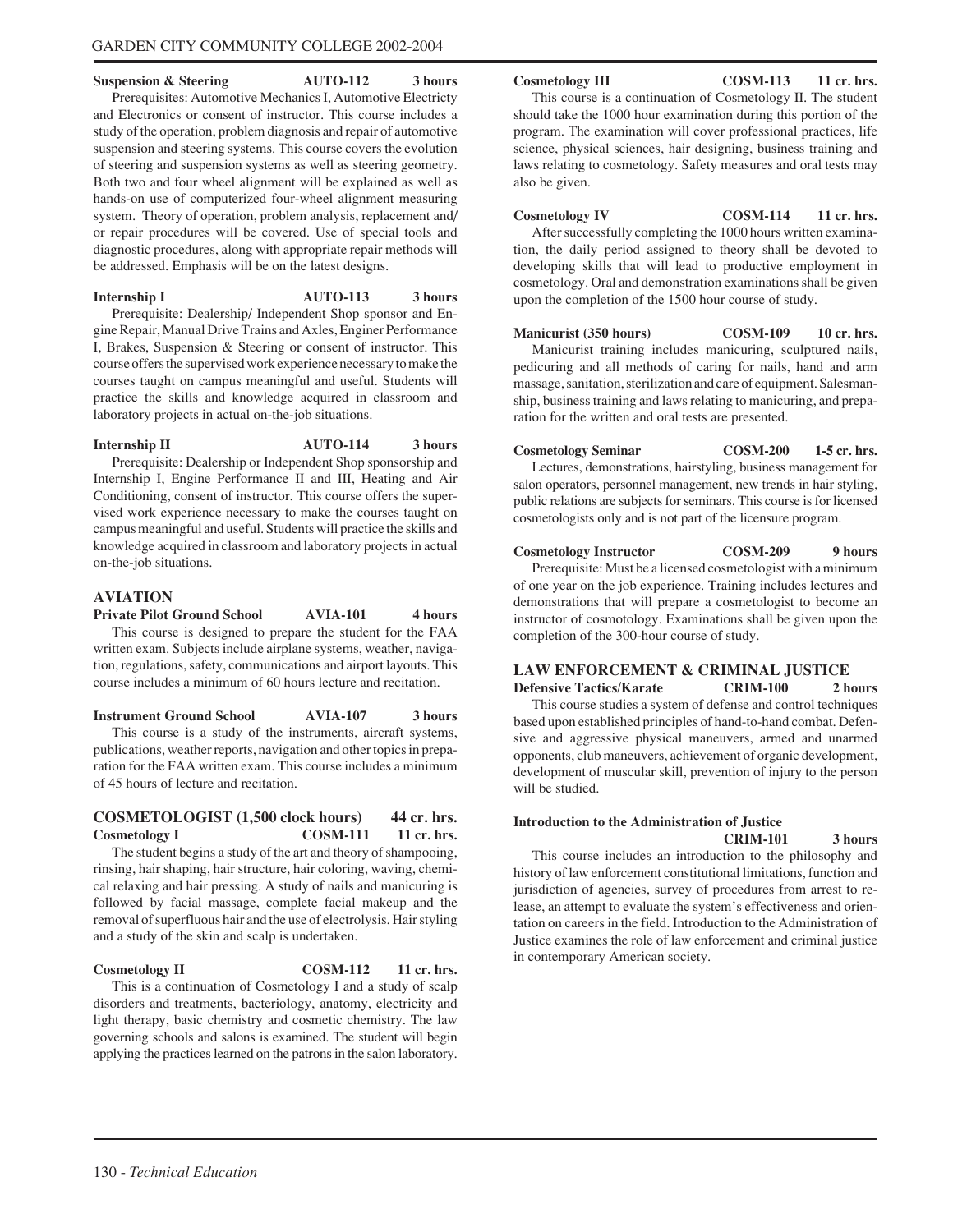#### **Suspension & Steering AUTO-112 3 hours**

Prerequisites: Automotive Mechanics I, Automotive Electricty and Electronics or consent of instructor. This course includes a study of the operation, problem diagnosis and repair of automotive suspension and steering systems. This course covers the evolution of steering and suspension systems as well as steering geometry. Both two and four wheel alignment will be explained as well as hands-on use of computerized four-wheel alignment measuring system. Theory of operation, problem analysis, replacement and/ or repair procedures will be covered. Use of special tools and diagnostic procedures, along with appropriate repair methods will be addressed. Emphasis will be on the latest designs.

#### **Internship I AUTO-113** 3 hours

Prerequisite: Dealership/ Independent Shop sponsor and Engine Repair, Manual Drive Trains and Axles, Enginer Performance I, Brakes, Suspension & Steering or consent of instructor. This course offers the supervised work experience necessary to make the courses taught on campus meaningful and useful. Students will practice the skills and knowledge acquired in classroom and laboratory projects in actual on-the-job situations.

**Internship II AUTO-114 3 hours**

Prerequisite: Dealership or Independent Shop sponsorship and Internship I, Engine Performance II and III, Heating and Air Conditioning, consent of instructor. This course offers the supervised work experience necessary to make the courses taught on campus meaningful and useful. Students will practice the skills and knowledge acquired in classroom and laboratory projects in actual on-the-job situations.

#### **AVIATION**

**Private Pilot Ground School AVIA-101 4 hours** This course is designed to prepare the student for the FAA written exam. Subjects include airplane systems, weather, navigation, regulations, safety, communications and airport layouts. This course includes a minimum of 60 hours lecture and recitation.

**Instrument Ground School AVIA-107 3 hours** This course is a study of the instruments, aircraft systems, publications, weather reports, navigation and other topics in preparation for the FAA written exam. This course includes a minimum of 45 hours of lecture and recitation.

#### **COSMETOLOGIST (1,500 clock hours) 44 cr. hrs.** Cosmetology I COSM-111 11 cr. hrs.

The student begins a study of the art and theory of shampooing, rinsing, hair shaping, hair structure, hair coloring, waving, chemical relaxing and hair pressing. A study of nails and manicuring is followed by facial massage, complete facial makeup and the removal of superfluous hair and the use of electrolysis. Hair styling and a study of the skin and scalp is undertaken.

#### Cosmetology II COSM-112 11 cr. hrs.

This is a continuation of Cosmetology I and a study of scalp disorders and treatments, bacteriology, anatomy, electricity and light therapy, basic chemistry and cosmetic chemistry. The law governing schools and salons is examined. The student will begin applying the practices learned on the patrons in the salon laboratory.

#### Cosmetology III COSM-113 11 cr. hrs.

This course is a continuation of Cosmetology II. The student should take the 1000 hour examination during this portion of the program. The examination will cover professional practices, life science, physical sciences, hair designing, business training and laws relating to cosmetology. Safety measures and oral tests may also be given.

Cosmetology IV COSM-114 11 cr. hrs. After successfully completing the 1000 hours written examination, the daily period assigned to theory shall be devoted to developing skills that will lead to productive employment in cosmetology. Oral and demonstration examinations shall be given upon the completion of the 1500 hour course of study.

**Manicurist (350 hours) COSM-109 10 cr. hrs.** Manicurist training includes manicuring, sculptured nails, pedicuring and all methods of caring for nails, hand and arm massage, sanitation, sterilization and care of equipment. Salesmanship, business training and laws relating to manicuring, and preparation for the written and oral tests are presented.

Cosmetology Seminar COSM-200 1-5 cr. hrs. Lectures, demonstrations, hairstyling, business management for salon operators, personnel management, new trends in hair styling, public relations are subjects for seminars. This course is for licensed cosmetologists only and is not part of the licensure program.

**Cosmetology Instructor COSM-209 9 hours**

Prerequisite: Must be a licensed cosmetologist with a minimum of one year on the job experience. Training includes lectures and demonstrations that will prepare a cosmetologist to become an instructor of cosmotology. Examinations shall be given upon the completion of the 300-hour course of study.

#### **LAW ENFORCEMENT & CRIMINAL JUSTICE Defensive Tactics/Karate CRIM-100 2 hours**

This course studies a system of defense and control techniques based upon established principles of hand-to-hand combat. Defensive and aggressive physical maneuvers, armed and unarmed opponents, club maneuvers, achievement of organic development, development of muscular skill, prevention of injury to the person will be studied.

### **Introduction to the Administration of Justice**

in contemporary American society.

**CRIM-101 3 hours** This course includes an introduction to the philosophy and history of law enforcement constitutional limitations, function and jurisdiction of agencies, survey of procedures from arrest to release, an attempt to evaluate the system's effectiveness and orientation on careers in the field. Introduction to the Administration of Justice examines the role of law enforcement and criminal justice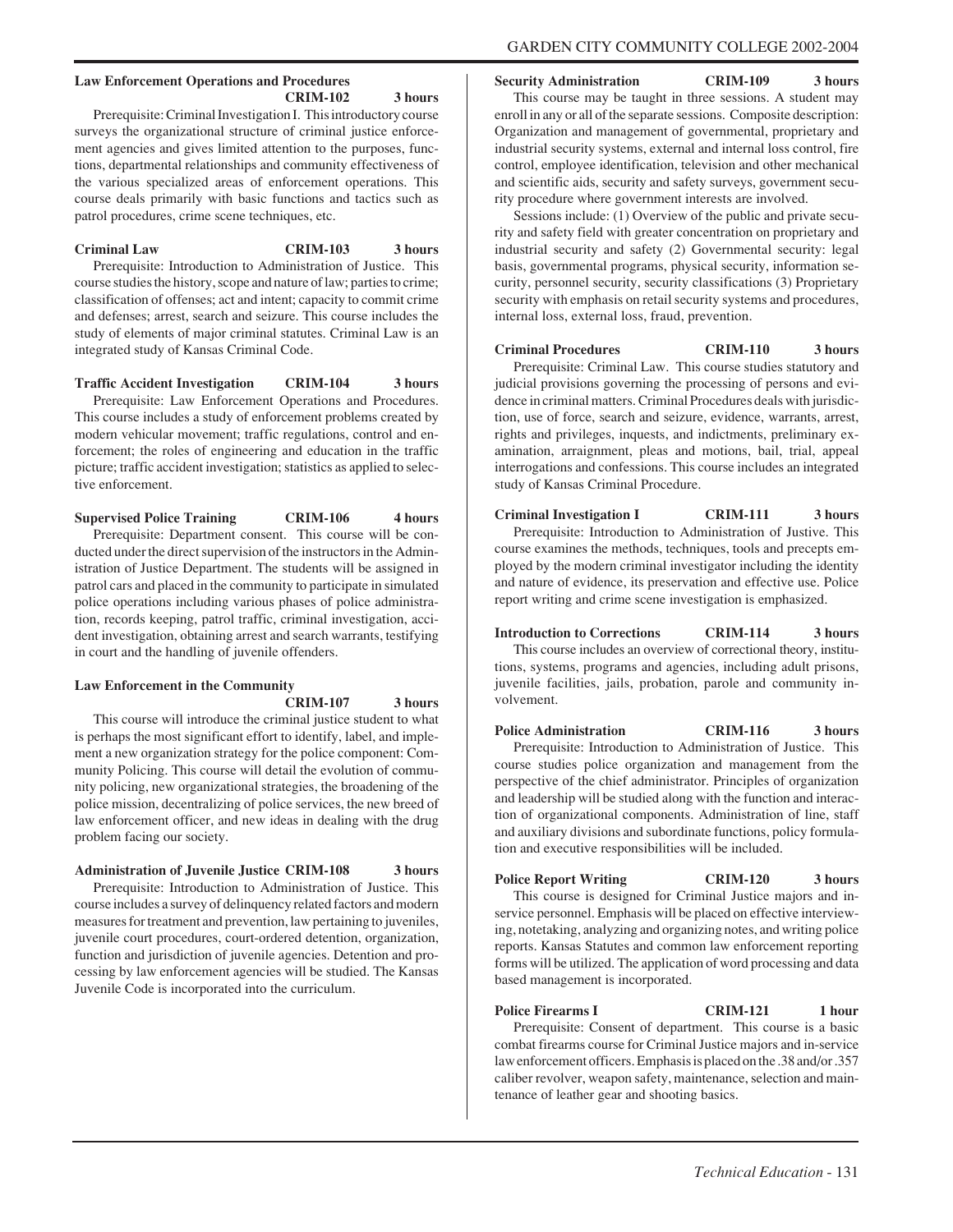#### **Law Enforcement Operations and Procedures CRIM-102 3 hours**

Prerequisite: Criminal Investigation I. This introductory course surveys the organizational structure of criminal justice enforcement agencies and gives limited attention to the purposes, functions, departmental relationships and community effectiveness of the various specialized areas of enforcement operations. This course deals primarily with basic functions and tactics such as patrol procedures, crime scene techniques, etc.

**Criminal Law CRIM-103 3 hours** Prerequisite: Introduction to Administration of Justice. This course studies the history, scope and nature of law; parties to crime; classification of offenses; act and intent; capacity to commit crime and defenses; arrest, search and seizure. This course includes the study of elements of major criminal statutes. Criminal Law is an integrated study of Kansas Criminal Code.

**Traffic Accident Investigation CRIM-104 3 hours** Prerequisite: Law Enforcement Operations and Procedures. This course includes a study of enforcement problems created by modern vehicular movement; traffic regulations, control and enforcement; the roles of engineering and education in the traffic picture; traffic accident investigation; statistics as applied to selective enforcement.

**Supervised Police Training CRIM-106 4 hours** Prerequisite: Department consent. This course will be conducted under the direct supervision of the instructors in the Administration of Justice Department. The students will be assigned in patrol cars and placed in the community to participate in simulated police operations including various phases of police administration, records keeping, patrol traffic, criminal investigation, accident investigation, obtaining arrest and search warrants, testifying in court and the handling of juvenile offenders.

#### **Law Enforcement in the Community**

**CRIM-107 3 hours**

This course will introduce the criminal justice student to what is perhaps the most significant effort to identify, label, and implement a new organization strategy for the police component: Community Policing. This course will detail the evolution of community policing, new organizational strategies, the broadening of the police mission, decentralizing of police services, the new breed of law enforcement officer, and new ideas in dealing with the drug problem facing our society.

#### **Administration of Juvenile Justice CRIM-108 3 hours**

Prerequisite: Introduction to Administration of Justice. This course includes a survey of delinquency related factors and modern measures for treatment and prevention, law pertaining to juveniles, juvenile court procedures, court-ordered detention, organization, function and jurisdiction of juvenile agencies. Detention and processing by law enforcement agencies will be studied. The Kansas Juvenile Code is incorporated into the curriculum.

#### **Security Administration CRIM-109 3 hours**

This course may be taught in three sessions. A student may enroll in any or all of the separate sessions. Composite description: Organization and management of governmental, proprietary and industrial security systems, external and internal loss control, fire control, employee identification, television and other mechanical and scientific aids, security and safety surveys, government security procedure where government interests are involved.

Sessions include: (1) Overview of the public and private security and safety field with greater concentration on proprietary and industrial security and safety (2) Governmental security: legal basis, governmental programs, physical security, information security, personnel security, security classifications (3) Proprietary security with emphasis on retail security systems and procedures, internal loss, external loss, fraud, prevention.

#### **Criminal Procedures CRIM-110 3 hours**

Prerequisite: Criminal Law. This course studies statutory and judicial provisions governing the processing of persons and evidence in criminal matters. Criminal Procedures deals with jurisdiction, use of force, search and seizure, evidence, warrants, arrest, rights and privileges, inquests, and indictments, preliminary examination, arraignment, pleas and motions, bail, trial, appeal interrogations and confessions. This course includes an integrated study of Kansas Criminal Procedure.

#### **Criminal Investigation I CRIM-111 3 hours**

Prerequisite: Introduction to Administration of Justive. This course examines the methods, techniques, tools and precepts employed by the modern criminal investigator including the identity and nature of evidence, its preservation and effective use. Police report writing and crime scene investigation is emphasized.

#### **Introduction to Corrections CRIM-114 3 hours**

This course includes an overview of correctional theory, institutions, systems, programs and agencies, including adult prisons, juvenile facilities, jails, probation, parole and community involvement.

**Police Administration** CRIM-116 3 hours Prerequisite: Introduction to Administration of Justice. This course studies police organization and management from the perspective of the chief administrator. Principles of organization and leadership will be studied along with the function and interaction of organizational components. Administration of line, staff and auxiliary divisions and subordinate functions, policy formulation and executive responsibilities will be included.

#### **Police Report Writing CRIM-120 3 hours** This course is designed for Criminal Justice majors and inservice personnel. Emphasis will be placed on effective interviewing, notetaking, analyzing and organizing notes, and writing police reports. Kansas Statutes and common law enforcement reporting forms will be utilized. The application of word processing and data based management is incorporated.

#### **Police Firearms I CRIM-121** 1 hour

Prerequisite: Consent of department. This course is a basic combat firearms course for Criminal Justice majors and in-service law enforcement officers. Emphasis is placed on the .38 and/or .357 caliber revolver, weapon safety, maintenance, selection and maintenance of leather gear and shooting basics.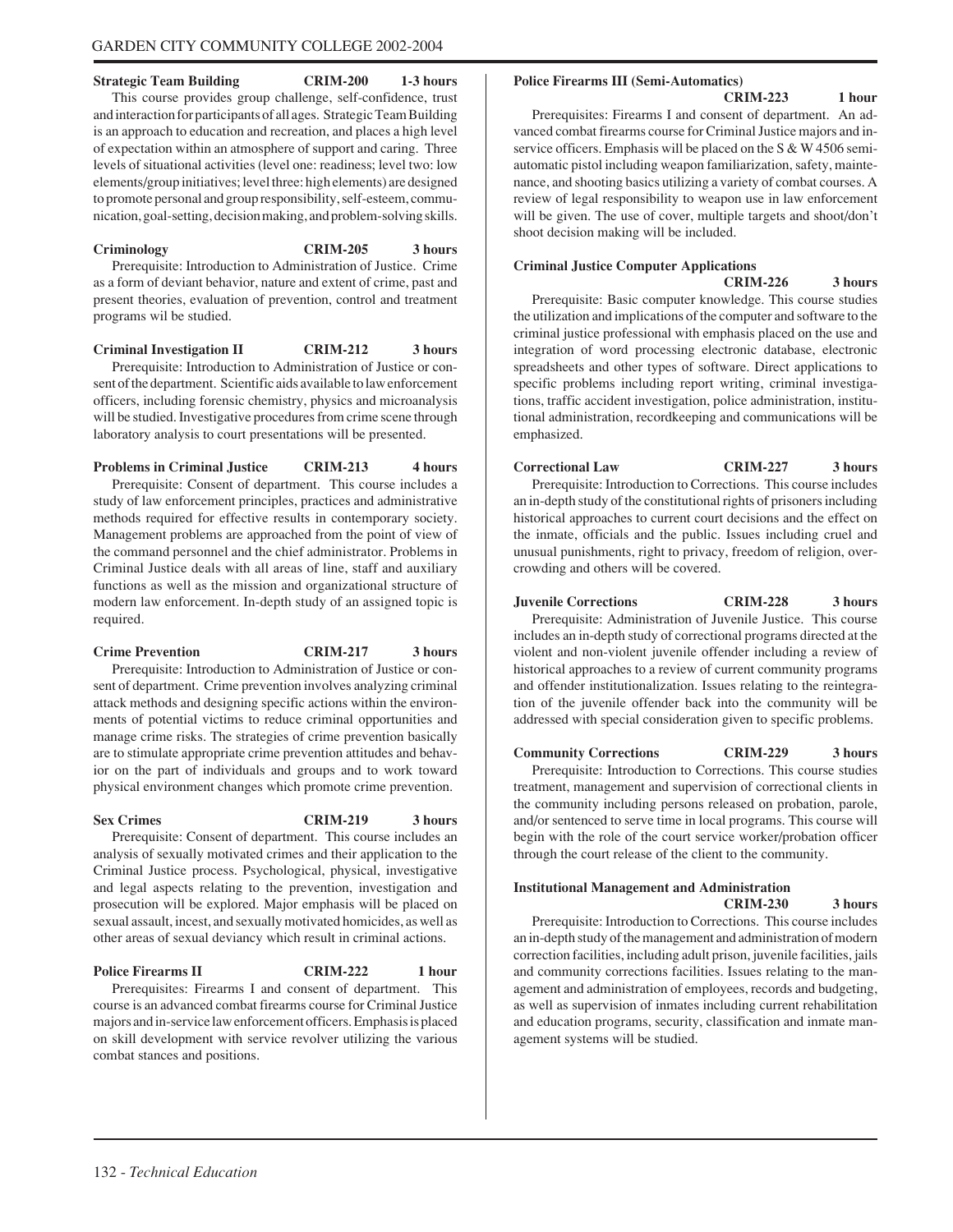#### **Strategic Team Building CRIM-200 1-3 hours**

This course provides group challenge, self-confidence, trust and interaction for participants of all ages. Strategic Team Building is an approach to education and recreation, and places a high level of expectation within an atmosphere of support and caring. Three levels of situational activities (level one: readiness; level two: low elements/group initiatives; level three: high elements) are designed to promote personal and group responsibility, self-esteem, communication, goal-setting, decision making, and problem-solving skills.

#### **Criminology CRIM-205 3 hours**

Prerequisite: Introduction to Administration of Justice. Crime as a form of deviant behavior, nature and extent of crime, past and present theories, evaluation of prevention, control and treatment programs wil be studied.

#### **Criminal Investigation II CRIM-212 3 hours**

Prerequisite: Introduction to Administration of Justice or consent of the department. Scientific aids available to law enforcement officers, including forensic chemistry, physics and microanalysis will be studied. Investigative procedures from crime scene through laboratory analysis to court presentations will be presented.

### **Problems in Criminal Justice CRIM-213 4 hours**

Prerequisite: Consent of department. This course includes a study of law enforcement principles, practices and administrative methods required for effective results in contemporary society. Management problems are approached from the point of view of the command personnel and the chief administrator. Problems in Criminal Justice deals with all areas of line, staff and auxiliary functions as well as the mission and organizational structure of modern law enforcement. In-depth study of an assigned topic is required.

#### **Crime Prevention CRIM-217 3 hours**

Prerequisite: Introduction to Administration of Justice or consent of department. Crime prevention involves analyzing criminal attack methods and designing specific actions within the environments of potential victims to reduce criminal opportunities and manage crime risks. The strategies of crime prevention basically are to stimulate appropriate crime prevention attitudes and behavior on the part of individuals and groups and to work toward physical environment changes which promote crime prevention.

**Sex Crimes CRIM-219 3 hours**

Prerequisite: Consent of department. This course includes an analysis of sexually motivated crimes and their application to the Criminal Justice process. Psychological, physical, investigative and legal aspects relating to the prevention, investigation and prosecution will be explored. Major emphasis will be placed on sexual assault, incest, and sexually motivated homicides, as well as other areas of sexual deviancy which result in criminal actions.

#### **Police Firearms II CRIM-222** 1 hour

Prerequisites: Firearms I and consent of department. This course is an advanced combat firearms course for Criminal Justice majors and in-service law enforcement officers. Emphasis is placed on skill development with service revolver utilizing the various combat stances and positions.

#### **Police Firearms III (Semi-Automatics)**

#### **CRIM-223 1 hour**

Prerequisites: Firearms I and consent of department. An advanced combat firearms course for Criminal Justice majors and inservice officers. Emphasis will be placed on the S & W 4506 semiautomatic pistol including weapon familiarization, safety, maintenance, and shooting basics utilizing a variety of combat courses. A review of legal responsibility to weapon use in law enforcement will be given. The use of cover, multiple targets and shoot/don't shoot decision making will be included.

#### **Criminal Justice Computer Applications**

**CRIM-226 3 hours**

Prerequisite: Basic computer knowledge. This course studies the utilization and implications of the computer and software to the criminal justice professional with emphasis placed on the use and integration of word processing electronic database, electronic spreadsheets and other types of software. Direct applications to specific problems including report writing, criminal investigations, traffic accident investigation, police administration, institutional administration, recordkeeping and communications will be emphasized.

**Correctional Law CRIM-227 3 hours** Prerequisite: Introduction to Corrections. This course includes an in-depth study of the constitutional rights of prisoners including historical approaches to current court decisions and the effect on the inmate, officials and the public. Issues including cruel and unusual punishments, right to privacy, freedom of religion, overcrowding and others will be covered.

#### **Juvenile Corrections CRIM-228 3 hours** Prerequisite: Administration of Juvenile Justice. This course

includes an in-depth study of correctional programs directed at the violent and non-violent juvenile offender including a review of historical approaches to a review of current community programs and offender institutionalization. Issues relating to the reintegration of the juvenile offender back into the community will be addressed with special consideration given to specific problems.

#### **Community Corrections CRIM-229 3 hours**

Prerequisite: Introduction to Corrections. This course studies treatment, management and supervision of correctional clients in the community including persons released on probation, parole, and/or sentenced to serve time in local programs. This course will begin with the role of the court service worker/probation officer through the court release of the client to the community.

#### **Institutional Management and Administration**

#### **CRIM-230 3 hours**

Prerequisite: Introduction to Corrections. This course includes an in-depth study of the management and administration of modern correction facilities, including adult prison, juvenile facilities, jails and community corrections facilities. Issues relating to the management and administration of employees, records and budgeting, as well as supervision of inmates including current rehabilitation and education programs, security, classification and inmate management systems will be studied.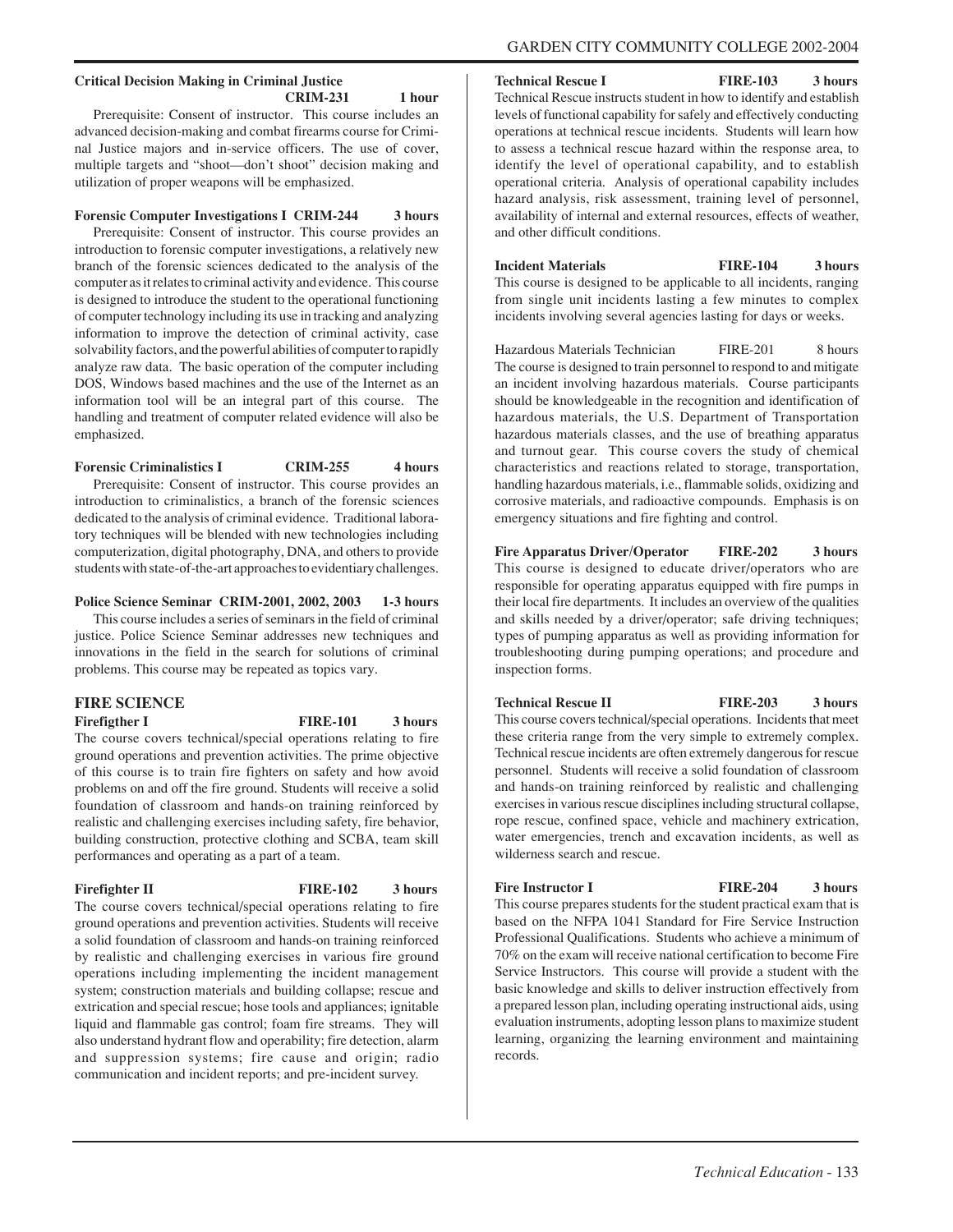#### **Critical Decision Making in Criminal Justice CRIM-231 1 hour**

Prerequisite: Consent of instructor. This course includes an advanced decision-making and combat firearms course for Criminal Justice majors and in-service officers. The use of cover, multiple targets and "shoot—don't shoot" decision making and utilization of proper weapons will be emphasized.

#### **Forensic Computer Investigations I CRIM-244 3 hours**

Prerequisite: Consent of instructor. This course provides an introduction to forensic computer investigations, a relatively new branch of the forensic sciences dedicated to the analysis of the computer as it relates to criminal activity and evidence. This course is designed to introduce the student to the operational functioning of computer technology including its use in tracking and analyzing information to improve the detection of criminal activity, case solvability factors, and the powerful abilities of computer to rapidly analyze raw data. The basic operation of the computer including DOS, Windows based machines and the use of the Internet as an information tool will be an integral part of this course. The handling and treatment of computer related evidence will also be emphasized.

#### **Forensic Criminalistics I CRIM-255 4 hours**

Prerequisite: Consent of instructor. This course provides an introduction to criminalistics, a branch of the forensic sciences dedicated to the analysis of criminal evidence. Traditional laboratory techniques will be blended with new technologies including computerization, digital photography, DNA, and others to provide students with state-of-the-art approaches to evidentiary challenges.

#### **Police Science Seminar CRIM-2001, 2002, 2003 1-3 hours**

This course includes a series of seminars in the field of criminal justice. Police Science Seminar addresses new techniques and innovations in the field in the search for solutions of criminal problems. This course may be repeated as topics vary.

### **FIRE SCIENCE**

#### Firefigther I FIRE-101 3 hours

The course covers technical/special operations relating to fire ground operations and prevention activities. The prime objective of this course is to train fire fighters on safety and how avoid problems on and off the fire ground. Students will receive a solid foundation of classroom and hands-on training reinforced by realistic and challenging exercises including safety, fire behavior, building construction, protective clothing and SCBA, team skill performances and operating as a part of a team.

#### **Firefighter II** FIRE-102 3 hours

The course covers technical/special operations relating to fire ground operations and prevention activities. Students will receive a solid foundation of classroom and hands-on training reinforced by realistic and challenging exercises in various fire ground operations including implementing the incident management system; construction materials and building collapse; rescue and extrication and special rescue; hose tools and appliances; ignitable liquid and flammable gas control; foam fire streams. They will also understand hydrant flow and operability; fire detection, alarm and suppression systems; fire cause and origin; radio communication and incident reports; and pre-incident survey.

#### **Technical Rescue I FIRE-103** 3 hours

Technical Rescue instructs student in how to identify and establish levels of functional capability for safely and effectively conducting operations at technical rescue incidents. Students will learn how to assess a technical rescue hazard within the response area, to identify the level of operational capability, and to establish operational criteria. Analysis of operational capability includes hazard analysis, risk assessment, training level of personnel, availability of internal and external resources, effects of weather, and other difficult conditions.

**Incident Materials FIRE-104 3 hours** This course is designed to be applicable to all incidents, ranging from single unit incidents lasting a few minutes to complex incidents involving several agencies lasting for days or weeks.

Hazardous Materials Technician FIRE-201 8 hours The course is designed to train personnel to respond to and mitigate an incident involving hazardous materials. Course participants should be knowledgeable in the recognition and identification of hazardous materials, the U.S. Department of Transportation hazardous materials classes, and the use of breathing apparatus and turnout gear. This course covers the study of chemical characteristics and reactions related to storage, transportation, handling hazardous materials, i.e., flammable solids, oxidizing and corrosive materials, and radioactive compounds. Emphasis is on emergency situations and fire fighting and control.

#### **Fire Apparatus Driver/Operator FIRE-202 3 hours**

This course is designed to educate driver/operators who are responsible for operating apparatus equipped with fire pumps in their local fire departments. It includes an overview of the qualities and skills needed by a driver/operator; safe driving techniques; types of pumping apparatus as well as providing information for troubleshooting during pumping operations; and procedure and inspection forms.

#### **Technical Rescue II** FIRE-203 3 hours

This course covers technical/special operations. Incidents that meet these criteria range from the very simple to extremely complex. Technical rescue incidents are often extremely dangerous for rescue personnel. Students will receive a solid foundation of classroom and hands-on training reinforced by realistic and challenging exercises in various rescue disciplines including structural collapse, rope rescue, confined space, vehicle and machinery extrication, water emergencies, trench and excavation incidents, as well as wilderness search and rescue.

Fire Instructor I FIRE-204 3 hours

This course prepares students for the student practical exam that is based on the NFPA 1041 Standard for Fire Service Instruction Professional Qualifications. Students who achieve a minimum of 70% on the exam will receive national certification to become Fire Service Instructors. This course will provide a student with the basic knowledge and skills to deliver instruction effectively from a prepared lesson plan, including operating instructional aids, using evaluation instruments, adopting lesson plans to maximize student learning, organizing the learning environment and maintaining records.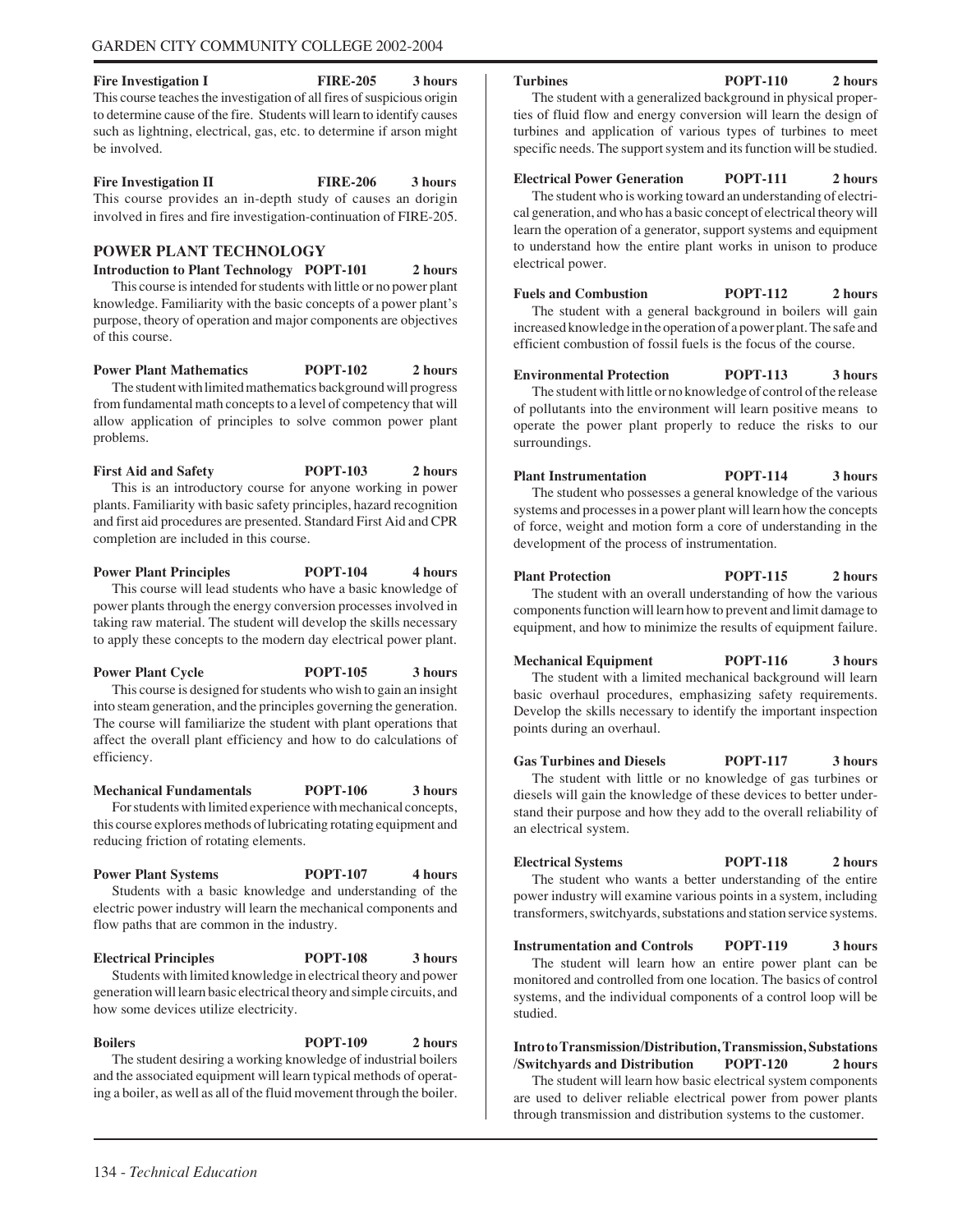Fire Investigation I FIRE-205 3 hours This course teaches the investigation of all fires of suspicious origin to determine cause of the fire. Students will learn to identify causes such as lightning, electrical, gas, etc. to determine if arson might be involved.

**Fire Investigation II** FIRE-206 3 hours This course provides an in-depth study of causes an dorigin involved in fires and fire investigation-continuation of FIRE-205.

#### **POWER PLANT TECHNOLOGY**

**Introduction to Plant Technology POPT-101 2 hours** This course is intended for students with little or no power plant knowledge. Familiarity with the basic concepts of a power plant's purpose, theory of operation and major components are objectives of this course.

**Power Plant Mathematics POPT-102** 2 hours The student with limited mathematics background will progress from fundamental math concepts to a level of competency that will allow application of principles to solve common power plant problems.

**First Aid and Safety POPT-103 2 hours** This is an introductory course for anyone working in power plants. Familiarity with basic safety principles, hazard recognition and first aid procedures are presented. Standard First Aid and CPR completion are included in this course.

**Power Plant Principles** POPT-104 4 hours This course will lead students who have a basic knowledge of power plants through the energy conversion processes involved in taking raw material. The student will develop the skills necessary to apply these concepts to the modern day electrical power plant.

**Power Plant Cycle** POPT-105 3 hours This course is designed for students who wish to gain an insight into steam generation, and the principles governing the generation. The course will familiarize the student with plant operations that affect the overall plant efficiency and how to do calculations of efficiency.

**Mechanical Fundamentals POPT-106 3 hours** For students with limited experience with mechanical concepts, this course explores methods of lubricating rotating equipment and reducing friction of rotating elements.

**Power Plant Systems POPT-107** 4 hours Students with a basic knowledge and understanding of the electric power industry will learn the mechanical components and flow paths that are common in the industry.

**Electrical Principles POPT-108 3 hours** Students with limited knowledge in electrical theory and power generation will learn basic electrical theory and simple circuits, and how some devices utilize electricity.

**Boilers POPT-109 2 hours** The student desiring a working knowledge of industrial boilers and the associated equipment will learn typical methods of operating a boiler, as well as all of the fluid movement through the boiler.

**Turbines POPT-110 2 hours**

The student with a generalized background in physical properties of fluid flow and energy conversion will learn the design of turbines and application of various types of turbines to meet specific needs. The support system and its function will be studied.

#### **Electrical Power Generation POPT-111 2 hours**

The student who is working toward an understanding of electrical generation, and who has a basic concept of electrical theory will learn the operation of a generator, support systems and equipment to understand how the entire plant works in unison to produce electrical power.

**Fuels and Combustion POPT-112 2 hours**

The student with a general background in boilers will gain increased knowledge in the operation of a power plant. The safe and efficient combustion of fossil fuels is the focus of the course.

**Environmental Protection POPT-113 3 hours** The student with little or no knowledge of control of the release of pollutants into the environment will learn positive means to operate the power plant properly to reduce the risks to our surroundings.

**Plant Instrumentation POPT-114 3 hours** The student who possesses a general knowledge of the various systems and processes in a power plant will learn how the concepts of force, weight and motion form a core of understanding in the development of the process of instrumentation.

**Plant Protection** POPT-115 2 hours The student with an overall understanding of how the various components function will learn how to prevent and limit damage to equipment, and how to minimize the results of equipment failure.

### **Mechanical Equipment POPT-116 3 hours**

The student with a limited mechanical background will learn basic overhaul procedures, emphasizing safety requirements. Develop the skills necessary to identify the important inspection points during an overhaul.

**Gas Turbines and Diesels POPT-117 3 hours** The student with little or no knowledge of gas turbines or diesels will gain the knowledge of these devices to better understand their purpose and how they add to the overall reliability of an electrical system.

**Electrical Systems POPT-118 2 hours** The student who wants a better understanding of the entire

power industry will examine various points in a system, including transformers, switchyards, substations and station service systems.

**Instrumentation and Controls POPT-119 3 hours**

The student will learn how an entire power plant can be monitored and controlled from one location. The basics of control systems, and the individual components of a control loop will be studied.

#### **Intro to Transmission/Distribution, Transmission, Substations /Switchyards and Distribution POPT-120 2 hours**

The student will learn how basic electrical system components are used to deliver reliable electrical power from power plants through transmission and distribution systems to the customer.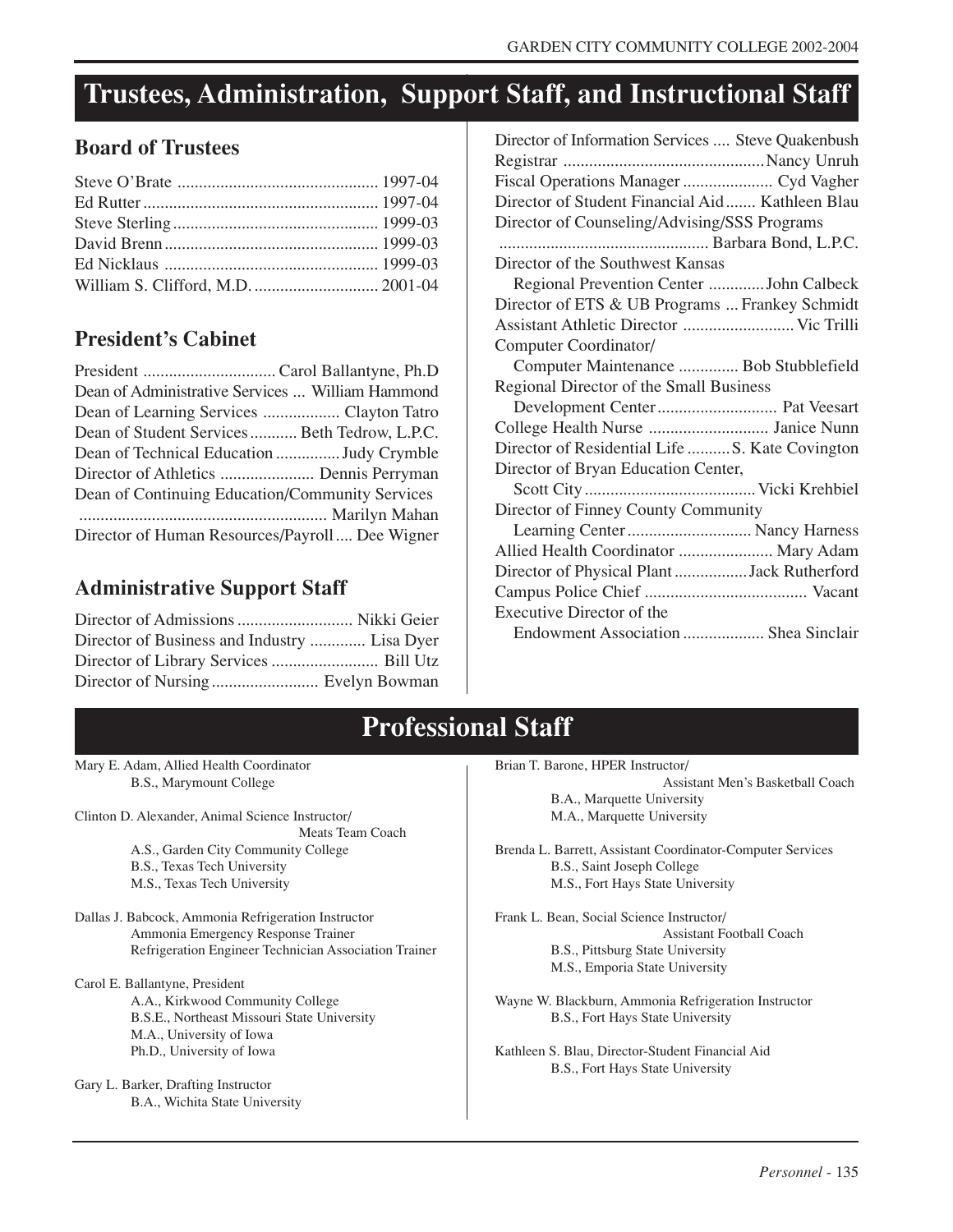### **Trustees, Administration, Support Staff, and Instructional Staff**

### **Board of Trustees**

### **President's Cabinet**

| Dean of Administrative Services  William Hammond |  |
|--------------------------------------------------|--|
| Dean of Learning Services  Clayton Tatro         |  |
| Dean of Student Services  Beth Tedrow, L.P.C.    |  |
| Dean of Technical Education  Judy Crymble        |  |
|                                                  |  |
| Dean of Continuing Education/Community Services  |  |
|                                                  |  |
| Director of Human Resources/Payroll  Dee Wigner  |  |

### **Administrative Support Staff**

| Director of Business and Industry  Lisa Dyer |  |
|----------------------------------------------|--|
|                                              |  |
|                                              |  |

| Director of Information Services  Steve Quakenbush |
|----------------------------------------------------|
|                                                    |
| Fiscal Operations Manager  Cyd Vagher              |
| Director of Student Financial Aid Kathleen Blau    |
| Director of Counseling/Advising/SSS Programs       |
|                                                    |
| Director of the Southwest Kansas                   |
| Regional Prevention Center John Calbeck            |
| Director of ETS & UB Programs  Frankey Schmidt     |
| Assistant Athletic Director  Vic Trilli            |
| Computer Coordinator/                              |
| Computer Maintenance  Bob Stubblefield             |
| Regional Director of the Small Business            |
| Development Center Pat Veesart                     |
| College Health Nurse  Janice Nunn                  |
| Director of Residential Life S. Kate Covington     |
| Director of Bryan Education Center,                |
|                                                    |
| Director of Finney County Community                |
| Learning Center  Nancy Harness                     |
| Allied Health Coordinator  Mary Adam               |
| Director of Physical Plant Jack Rutherford         |
|                                                    |
| Executive Director of the                          |
| Endowment Association  Shea Sinclair               |

### **Professional Staff**

Mary E. Adam, Allied Health Coordinator B.S., Marymount College

- Clinton D. Alexander, Animal Science Instructor/ Meats Team Coach A.S., Garden City Community College B.S., Texas Tech University M.S., Texas Tech University
- Dallas J. Babcock, Ammonia Refrigeration Instructor Ammonia Emergency Response Trainer Refrigeration Engineer Technician Association Trainer
- Carol E. Ballantyne, President A.A., Kirkwood Community College B.S.E., Northeast Missouri State University M.A., University of Iowa Ph.D., University of Iowa
- Gary L. Barker, Drafting Instructor B.A., Wichita State University

Brian T. Barone, HPER Instructor/

Assistant Men's Basketball Coach B.A., Marquette University M.A., Marquette University

Brenda L. Barrett, Assistant Coordinator-Computer Services B.S., Saint Joseph College M.S., Fort Hays State University

Frank L. Bean, Social Science Instructor/ Assistant Football Coach B.S., Pittsburg State University M.S., Emporia State University

Wayne W. Blackburn, Ammonia Refrigeration Instructor B.S., Fort Hays State University

Kathleen S. Blau, Director-Student Financial Aid B.S., Fort Hays State University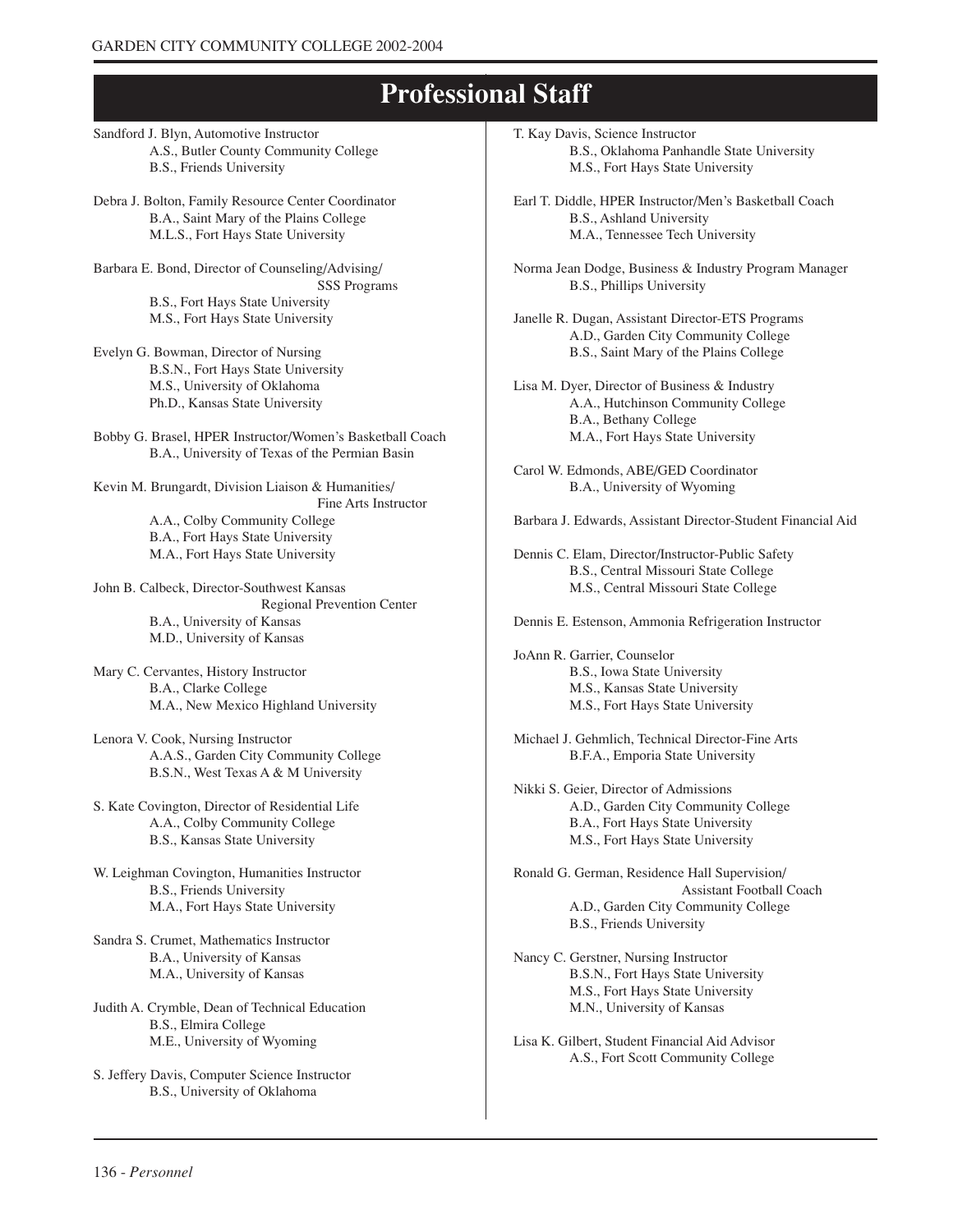Sandford J. Blyn, Automotive Instructor A.S., Butler County Community College B.S., Friends University

Debra J. Bolton, Family Resource Center Coordinator B.A., Saint Mary of the Plains College M.L.S., Fort Hays State University

Barbara E. Bond, Director of Counseling/Advising/ SSS Programs B.S., Fort Hays State University M.S., Fort Hays State University

Evelyn G. Bowman, Director of Nursing B.S.N., Fort Hays State University M.S., University of Oklahoma Ph.D., Kansas State University

Bobby G. Brasel, HPER Instructor/Women's Basketball Coach B.A., University of Texas of the Permian Basin

Kevin M. Brungardt, Division Liaison & Humanities/ Fine Arts Instructor A.A., Colby Community College B.A., Fort Hays State University M.A., Fort Hays State University

John B. Calbeck, Director-Southwest Kansas Regional Prevention Center B.A., University of Kansas M.D., University of Kansas

Mary C. Cervantes, History Instructor B.A., Clarke College M.A., New Mexico Highland University

Lenora V. Cook, Nursing Instructor A.A.S., Garden City Community College B.S.N., West Texas A & M University

S. Kate Covington, Director of Residential Life A.A., Colby Community College B.S., Kansas State University

W. Leighman Covington, Humanities Instructor B.S., Friends University M.A., Fort Hays State University

Sandra S. Crumet, Mathematics Instructor B.A., University of Kansas M.A., University of Kansas

Judith A. Crymble, Dean of Technical Education B.S., Elmira College M.E., University of Wyoming

S. Jeffery Davis, Computer Science Instructor B.S., University of Oklahoma

T. Kay Davis, Science Instructor B.S., Oklahoma Panhandle State University M.S., Fort Hays State University

Earl T. Diddle, HPER Instructor/Men's Basketball Coach B.S., Ashland University M.A., Tennessee Tech University

Norma Jean Dodge, Business & Industry Program Manager B.S., Phillips University

Janelle R. Dugan, Assistant Director-ETS Programs A.D., Garden City Community College B.S., Saint Mary of the Plains College

Lisa M. Dyer, Director of Business & Industry A.A., Hutchinson Community College B.A., Bethany College M.A., Fort Hays State University

Carol W. Edmonds, ABE/GED Coordinator B.A., University of Wyoming

Barbara J. Edwards, Assistant Director-Student Financial Aid

Dennis C. Elam, Director/Instructor-Public Safety B.S., Central Missouri State College M.S., Central Missouri State College

Dennis E. Estenson, Ammonia Refrigeration Instructor

JoAnn R. Garrier, Counselor B.S., Iowa State University M.S., Kansas State University M.S., Fort Hays State University

Michael J. Gehmlich, Technical Director-Fine Arts B.F.A., Emporia State University

Nikki S. Geier, Director of Admissions A.D., Garden City Community College B.A., Fort Hays State University M.S., Fort Hays State University

Ronald G. German, Residence Hall Supervision/ Assistant Football Coach A.D., Garden City Community College B.S., Friends University

Nancy C. Gerstner, Nursing Instructor B.S.N., Fort Hays State University M.S., Fort Hays State University M.N., University of Kansas

Lisa K. Gilbert, Student Financial Aid Advisor A.S., Fort Scott Community College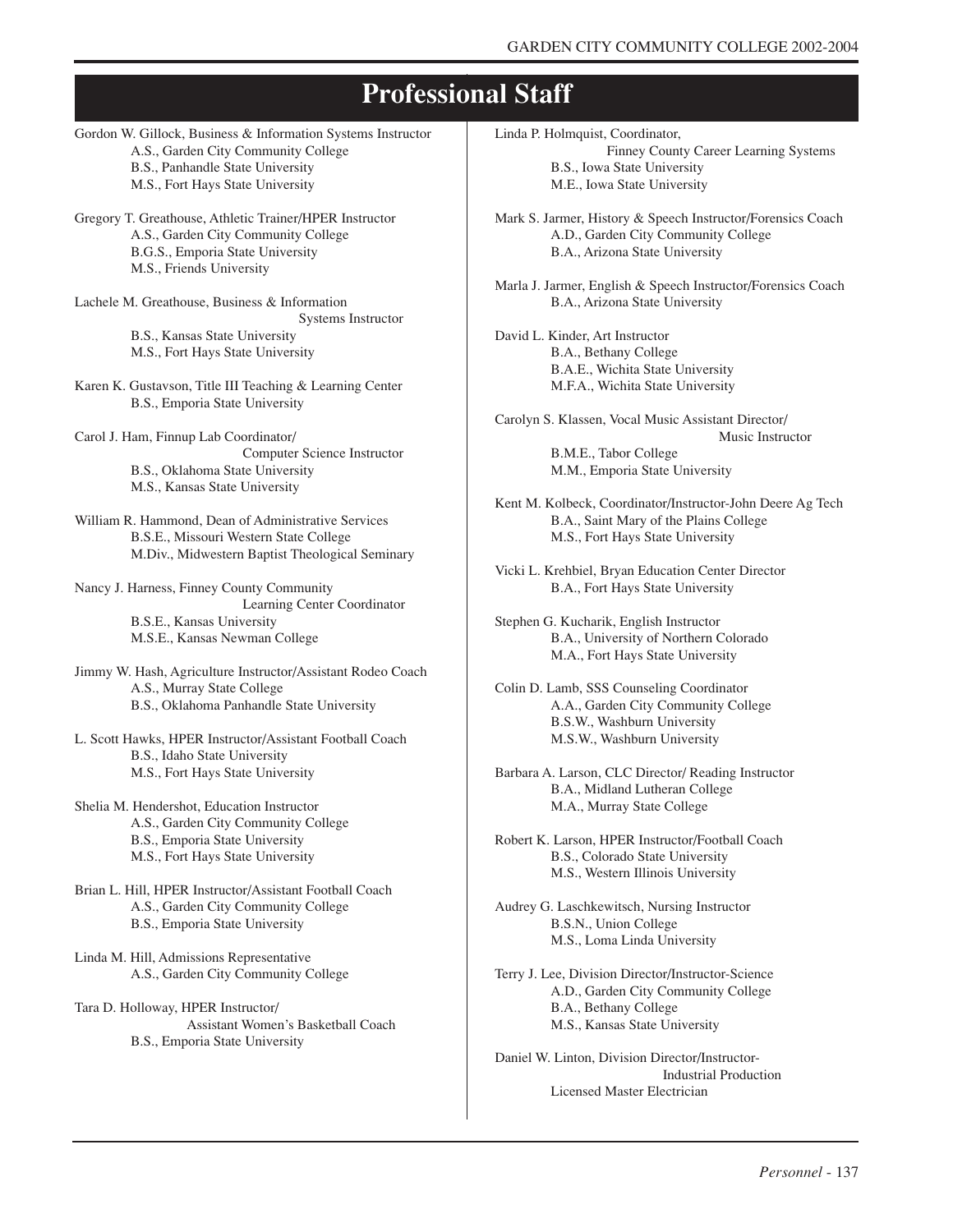Gordon W. Gillock, Business & Information Systems Instructor A.S., Garden City Community College B.S., Panhandle State University M.S., Fort Hays State University

Gregory T. Greathouse, Athletic Trainer/HPER Instructor A.S., Garden City Community College B.G.S., Emporia State University M.S., Friends University

Lachele M. Greathouse, Business & Information Systems Instructor B.S., Kansas State University M.S., Fort Hays State University

Karen K. Gustavson, Title III Teaching & Learning Center B.S., Emporia State University

- Carol J. Ham, Finnup Lab Coordinator/ Computer Science Instructor B.S., Oklahoma State University M.S., Kansas State University
- William R. Hammond, Dean of Administrative Services B.S.E., Missouri Western State College M.Div., Midwestern Baptist Theological Seminary
- Nancy J. Harness, Finney County Community Learning Center Coordinator B.S.E., Kansas University M.S.E., Kansas Newman College
- Jimmy W. Hash, Agriculture Instructor/Assistant Rodeo Coach A.S., Murray State College B.S., Oklahoma Panhandle State University
- L. Scott Hawks, HPER Instructor/Assistant Football Coach B.S., Idaho State University M.S., Fort Hays State University
- Shelia M. Hendershot, Education Instructor A.S., Garden City Community College B.S., Emporia State University M.S., Fort Hays State University
- Brian L. Hill, HPER Instructor/Assistant Football Coach A.S., Garden City Community College B.S., Emporia State University
- Linda M. Hill, Admissions Representative A.S., Garden City Community College

Tara D. Holloway, HPER Instructor/ Assistant Women's Basketball Coach B.S., Emporia State University

Linda P. Holmquist, Coordinator, Finney County Career Learning Systems B.S., Iowa State University M.E., Iowa State University

Mark S. Jarmer, History & Speech Instructor/Forensics Coach A.D., Garden City Community College B.A., Arizona State University

Marla J. Jarmer, English & Speech Instructor/Forensics Coach B.A., Arizona State University

David L. Kinder, Art Instructor B.A., Bethany College B.A.E., Wichita State University M.F.A., Wichita State University

Carolyn S. Klassen, Vocal Music Assistant Director/ Music Instructor B.M.E., Tabor College M.M., Emporia State University

Kent M. Kolbeck, Coordinator/Instructor-John Deere Ag Tech B.A., Saint Mary of the Plains College M.S., Fort Hays State University

Vicki L. Krehbiel, Bryan Education Center Director B.A., Fort Hays State University

Stephen G. Kucharik, English Instructor B.A., University of Northern Colorado M.A., Fort Hays State University

Colin D. Lamb, SSS Counseling Coordinator A.A., Garden City Community College B.S.W., Washburn University M.S.W., Washburn University

Barbara A. Larson, CLC Director/ Reading Instructor B.A., Midland Lutheran College M.A., Murray State College

Robert K. Larson, HPER Instructor/Football Coach B.S., Colorado State University M.S., Western Illinois University

Audrey G. Laschkewitsch, Nursing Instructor B.S.N., Union College M.S., Loma Linda University

Terry J. Lee, Division Director/Instructor-Science A.D., Garden City Community College B.A., Bethany College M.S., Kansas State University

Daniel W. Linton, Division Director/Instructor-Industrial Production Licensed Master Electrician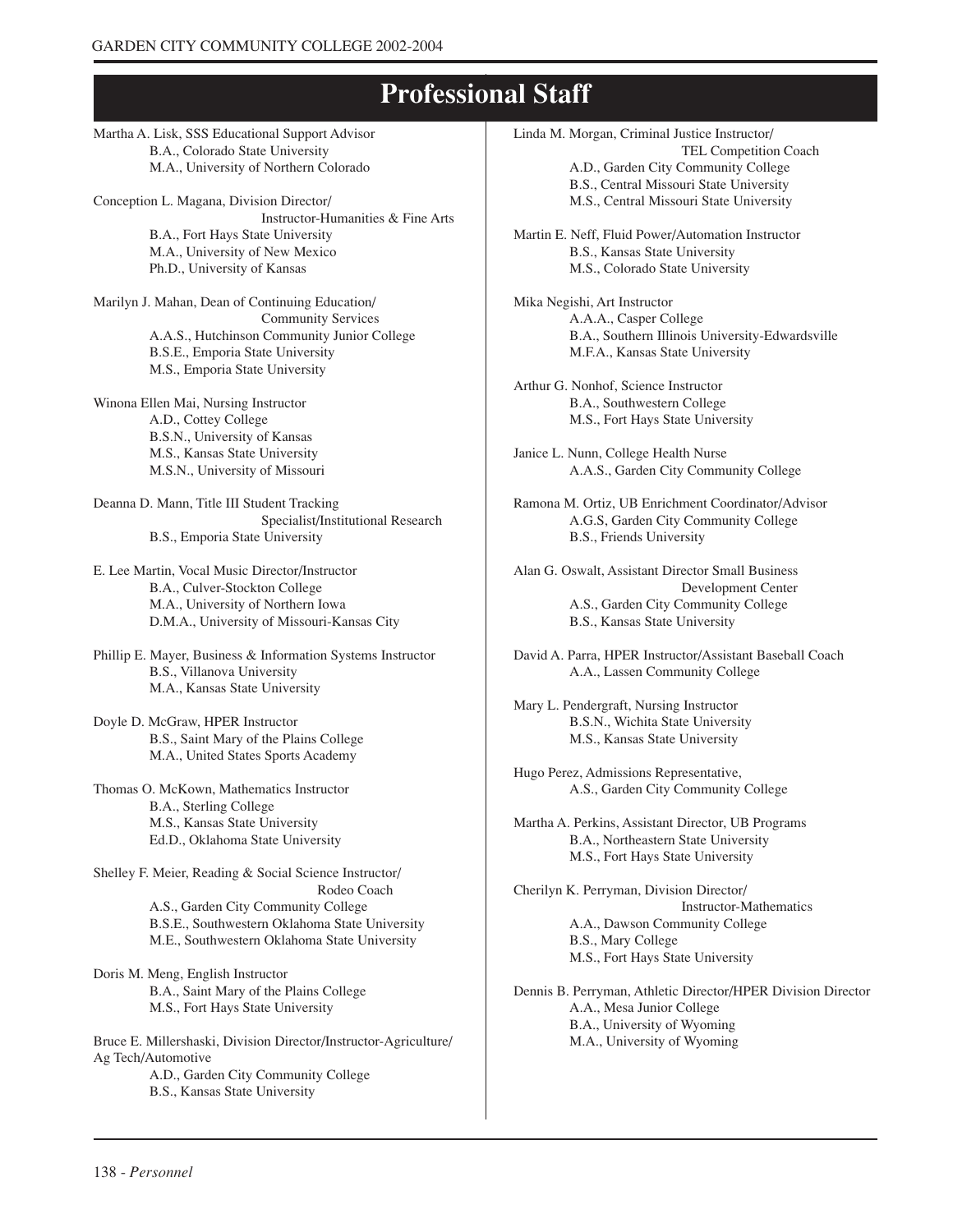Martha A. Lisk, SSS Educational Support Advisor B.A., Colorado State University M.A., University of Northern Colorado

Conception L. Magana, Division Director/ Instructor-Humanities & Fine Arts B.A., Fort Hays State University M.A., University of New Mexico Ph.D., University of Kansas

Marilyn J. Mahan, Dean of Continuing Education/ Community Services A.A.S., Hutchinson Community Junior College B.S.E., Emporia State University M.S., Emporia State University

Winona Ellen Mai, Nursing Instructor A.D., Cottey College B.S.N., University of Kansas M.S., Kansas State University M.S.N., University of Missouri

Deanna D. Mann, Title III Student Tracking Specialist/Institutional Research B.S., Emporia State University

E. Lee Martin, Vocal Music Director/Instructor B.A., Culver-Stockton College M.A., University of Northern Iowa D.M.A., University of Missouri-Kansas City

Phillip E. Mayer, Business & Information Systems Instructor B.S., Villanova University M.A., Kansas State University

Doyle D. McGraw, HPER Instructor B.S., Saint Mary of the Plains College M.A., United States Sports Academy

Thomas O. McKown, Mathematics Instructor B.A., Sterling College M.S., Kansas State University Ed.D., Oklahoma State University

Shelley F. Meier, Reading & Social Science Instructor/ Rodeo Coach A.S., Garden City Community College B.S.E., Southwestern Oklahoma State University M.E., Southwestern Oklahoma State University

Doris M. Meng, English Instructor B.A., Saint Mary of the Plains College M.S., Fort Hays State University

Bruce E. Millershaski, Division Director/Instructor-Agriculture/ Ag Tech/Automotive A.D., Garden City Community College B.S., Kansas State University

Linda M. Morgan, Criminal Justice Instructor/ TEL Competition Coach A.D., Garden City Community College B.S., Central Missouri State University M.S., Central Missouri State University Martin E. Neff, Fluid Power/Automation Instructor

B.S., Kansas State University M.S., Colorado State University

Mika Negishi, Art Instructor A.A.A., Casper College B.A., Southern Illinois University-Edwardsville M.F.A., Kansas State University

Arthur G. Nonhof, Science Instructor B.A., Southwestern College M.S., Fort Hays State University

Janice L. Nunn, College Health Nurse A.A.S., Garden City Community College

Ramona M. Ortiz, UB Enrichment Coordinator/Advisor A.G.S, Garden City Community College B.S., Friends University

Alan G. Oswalt, Assistant Director Small Business Development Center A.S., Garden City Community College B.S., Kansas State University

David A. Parra, HPER Instructor/Assistant Baseball Coach A.A., Lassen Community College

Mary L. Pendergraft, Nursing Instructor B.S.N., Wichita State University M.S., Kansas State University

Hugo Perez, Admissions Representative, A.S., Garden City Community College

Martha A. Perkins, Assistant Director, UB Programs B.A., Northeastern State University M.S., Fort Hays State University

Cherilyn K. Perryman, Division Director/ Instructor-Mathematics A.A., Dawson Community College B.S., Mary College M.S., Fort Hays State University

Dennis B. Perryman, Athletic Director/HPER Division Director A.A., Mesa Junior College B.A., University of Wyoming M.A., University of Wyoming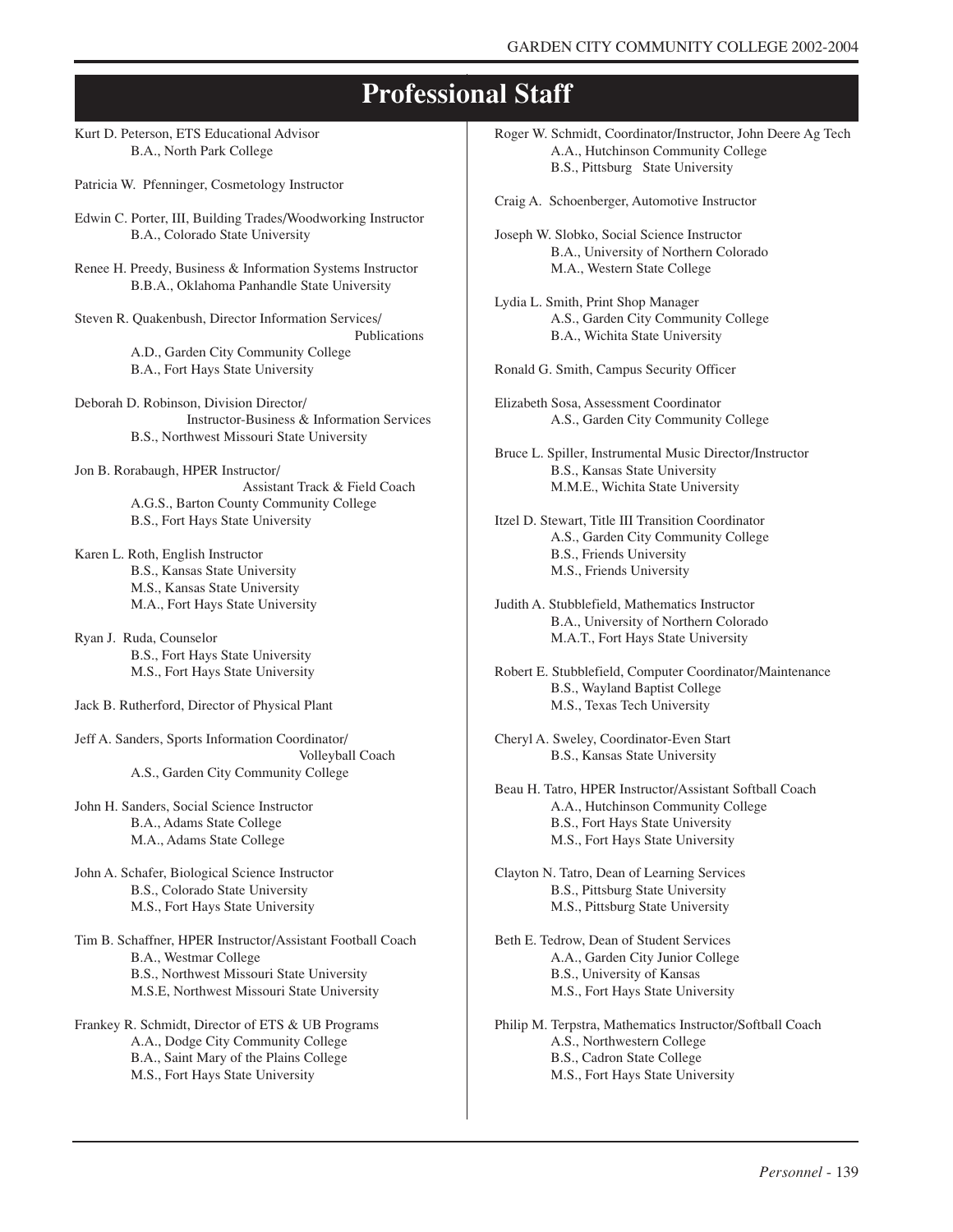Kurt D. Peterson, ETS Educational Advisor B.A., North Park College

Patricia W. Pfenninger, Cosmetology Instructor

Edwin C. Porter, III, Building Trades/Woodworking Instructor B.A., Colorado State University

Renee H. Preedy, Business & Information Systems Instructor B.B.A., Oklahoma Panhandle State University

Steven R. Quakenbush, Director Information Services/

Publications A.D., Garden City Community College B.A., Fort Hays State University

Deborah D. Robinson, Division Director/ Instructor-Business & Information Services B.S., Northwest Missouri State University

Jon B. Rorabaugh, HPER Instructor/ Assistant Track & Field Coach A.G.S., Barton County Community College B.S., Fort Hays State University

Karen L. Roth, English Instructor B.S., Kansas State University M.S., Kansas State University M.A., Fort Hays State University

Ryan J. Ruda, Counselor B.S., Fort Hays State University M.S., Fort Hays State University

Jack B. Rutherford, Director of Physical Plant

Jeff A. Sanders, Sports Information Coordinator/ Volleyball Coach A.S., Garden City Community College

John H. Sanders, Social Science Instructor B.A., Adams State College M.A., Adams State College

John A. Schafer, Biological Science Instructor B.S., Colorado State University M.S., Fort Hays State University

Tim B. Schaffner, HPER Instructor/Assistant Football Coach B.A., Westmar College B.S., Northwest Missouri State University M.S.E, Northwest Missouri State University

Frankey R. Schmidt, Director of ETS & UB Programs A.A., Dodge City Community College B.A., Saint Mary of the Plains College M.S., Fort Hays State University

Roger W. Schmidt, Coordinator/Instructor, John Deere Ag Tech A.A., Hutchinson Community College B.S., Pittsburg State University

Craig A. Schoenberger, Automotive Instructor

Joseph W. Slobko, Social Science Instructor B.A., University of Northern Colorado M.A., Western State College

Lydia L. Smith, Print Shop Manager A.S., Garden City Community College B.A., Wichita State University

Ronald G. Smith, Campus Security Officer

Elizabeth Sosa, Assessment Coordinator A.S., Garden City Community College

Bruce L. Spiller, Instrumental Music Director/Instructor B.S., Kansas State University M.M.E., Wichita State University

Itzel D. Stewart, Title III Transition Coordinator A.S., Garden City Community College B.S., Friends University M.S., Friends University

Judith A. Stubblefield, Mathematics Instructor B.A., University of Northern Colorado M.A.T., Fort Hays State University

Robert E. Stubblefield, Computer Coordinator/Maintenance B.S., Wayland Baptist College M.S., Texas Tech University

Cheryl A. Sweley, Coordinator-Even Start B.S., Kansas State University

Beau H. Tatro, HPER Instructor/Assistant Softball Coach A.A., Hutchinson Community College B.S., Fort Hays State University M.S., Fort Hays State University

Clayton N. Tatro, Dean of Learning Services B.S., Pittsburg State University M.S., Pittsburg State University

Beth E. Tedrow, Dean of Student Services A.A., Garden City Junior College B.S., University of Kansas M.S., Fort Hays State University

Philip M. Terpstra, Mathematics Instructor/Softball Coach A.S., Northwestern College B.S., Cadron State College M.S., Fort Hays State University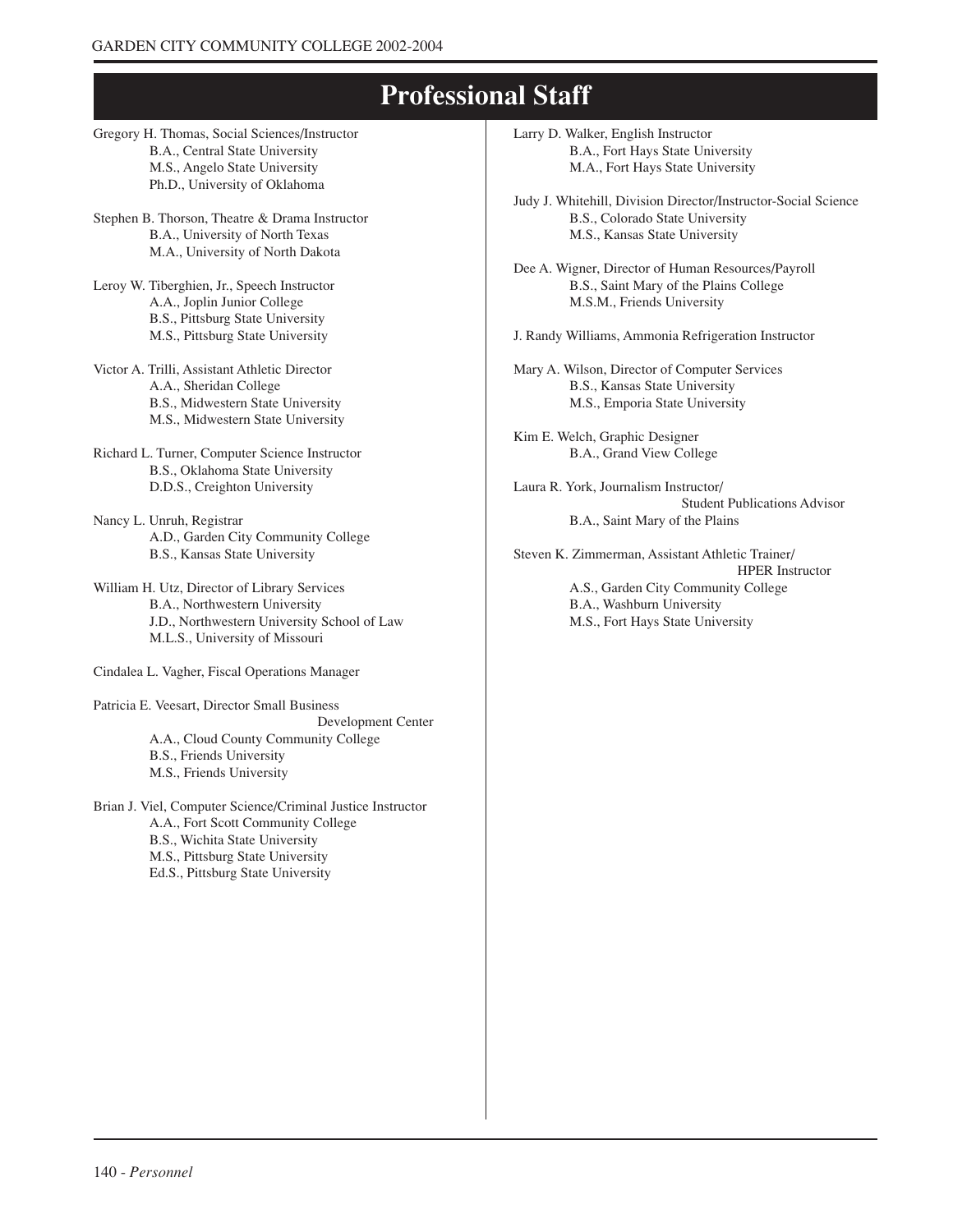- Gregory H. Thomas, Social Sciences/Instructor B.A., Central State University M.S., Angelo State University Ph.D., University of Oklahoma
- Stephen B. Thorson, Theatre & Drama Instructor B.A., University of North Texas M.A., University of North Dakota
- Leroy W. Tiberghien, Jr., Speech Instructor A.A., Joplin Junior College B.S., Pittsburg State University M.S., Pittsburg State University
- Victor A. Trilli, Assistant Athletic Director A.A., Sheridan College B.S., Midwestern State University M.S., Midwestern State University
- Richard L. Turner, Computer Science Instructor B.S., Oklahoma State University D.D.S., Creighton University
- Nancy L. Unruh, Registrar A.D., Garden City Community College B.S., Kansas State University
- William H. Utz, Director of Library Services B.A., Northwestern University J.D., Northwestern University School of Law M.L.S., University of Missouri

Cindalea L. Vagher, Fiscal Operations Manager

Patricia E. Veesart, Director Small Business Development Center A.A., Cloud County Community College B.S., Friends University M.S., Friends University

Brian J. Viel, Computer Science/Criminal Justice Instructor A.A., Fort Scott Community College B.S., Wichita State University M.S., Pittsburg State University Ed.S., Pittsburg State University

Larry D. Walker, English Instructor B.A., Fort Hays State University M.A., Fort Hays State University

Judy J. Whitehill, Division Director/Instructor-Social Science B.S., Colorado State University M.S., Kansas State University

Dee A. Wigner, Director of Human Resources/Payroll B.S., Saint Mary of the Plains College M.S.M., Friends University

J. Randy Williams, Ammonia Refrigeration Instructor

Mary A. Wilson, Director of Computer Services B.S., Kansas State University M.S., Emporia State University

Kim E. Welch, Graphic Designer B.A., Grand View College

Laura R. York, Journalism Instructor/ Student Publications Advisor B.A., Saint Mary of the Plains

Steven K. Zimmerman, Assistant Athletic Trainer/ HPER Instructor A.S., Garden City Community College B.A., Washburn University M.S., Fort Hays State University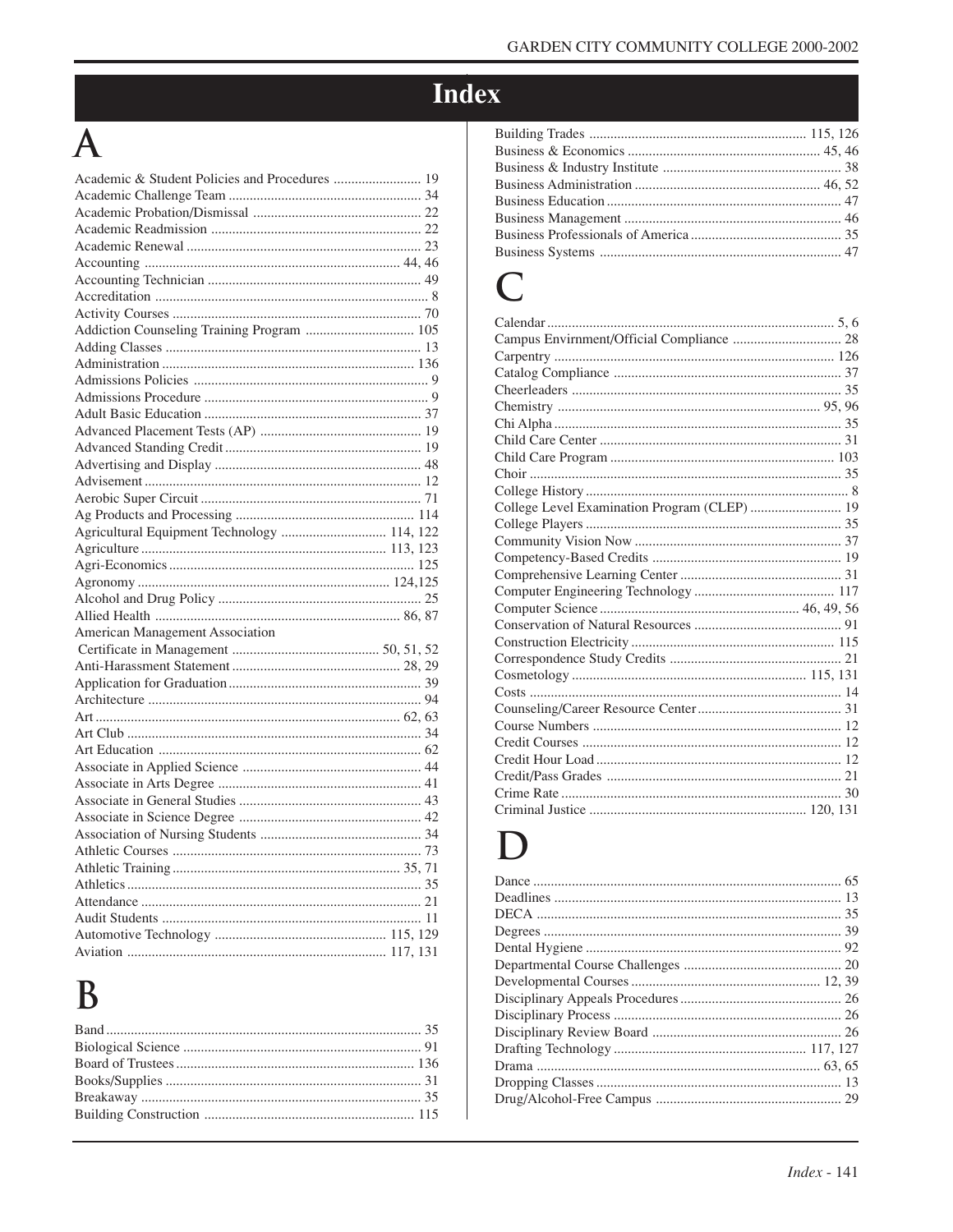### **Index**

## $\overline{A}$

| Academic & Student Policies and Procedures  19 |  |
|------------------------------------------------|--|
|                                                |  |
|                                                |  |
|                                                |  |
|                                                |  |
|                                                |  |
|                                                |  |
|                                                |  |
|                                                |  |
| Addiction Counseling Training Program  105     |  |
|                                                |  |
|                                                |  |
|                                                |  |
|                                                |  |
|                                                |  |
|                                                |  |
|                                                |  |
|                                                |  |
|                                                |  |
|                                                |  |
|                                                |  |
| Agricultural Equipment Technology  114, 122    |  |
|                                                |  |
|                                                |  |
|                                                |  |
|                                                |  |
|                                                |  |
| American Management Association                |  |
|                                                |  |
|                                                |  |
|                                                |  |
|                                                |  |
|                                                |  |
|                                                |  |
|                                                |  |
|                                                |  |
|                                                |  |
|                                                |  |
|                                                |  |
|                                                |  |
|                                                |  |
|                                                |  |
|                                                |  |
|                                                |  |
|                                                |  |
|                                                |  |
|                                                |  |
|                                                |  |

## $\mathbf{B}$

### $\overline{C}$

| College Level Examination Program (CLEP)  19 |  |
|----------------------------------------------|--|
|                                              |  |
|                                              |  |
|                                              |  |
|                                              |  |
|                                              |  |
|                                              |  |
|                                              |  |
|                                              |  |
|                                              |  |
|                                              |  |
|                                              |  |
|                                              |  |
|                                              |  |
|                                              |  |
|                                              |  |
|                                              |  |
|                                              |  |
|                                              |  |
|                                              |  |

## D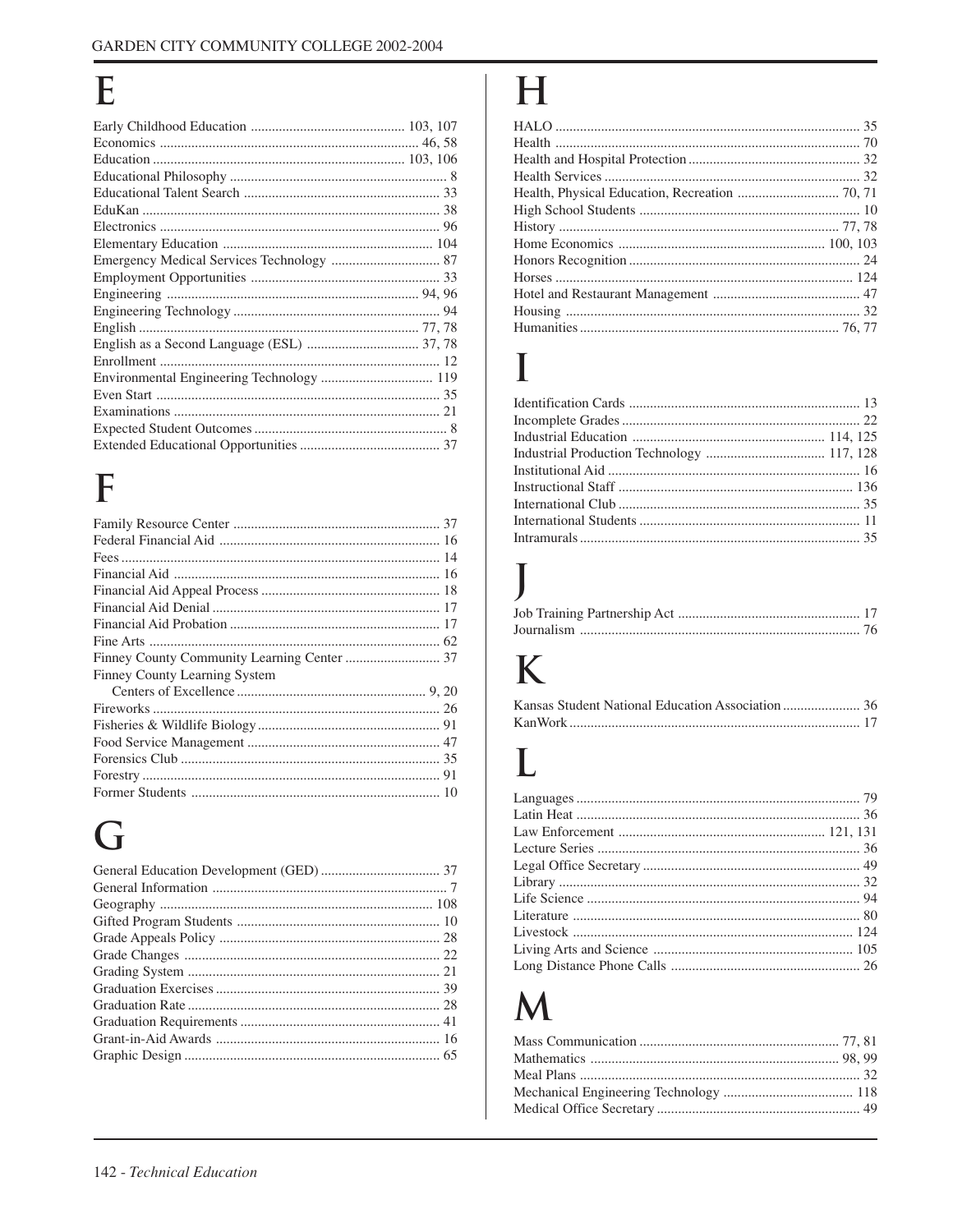## E

| Emergency Medical Services Technology  87 |  |
|-------------------------------------------|--|
|                                           |  |
|                                           |  |
|                                           |  |
|                                           |  |
|                                           |  |
|                                           |  |
|                                           |  |
|                                           |  |
| Environmental Engineering Technology  119 |  |
|                                           |  |
|                                           |  |

## $\mathbf F$

## G

## $H$

### $\bf I$

## J

## $\mathbf K$

## L

### M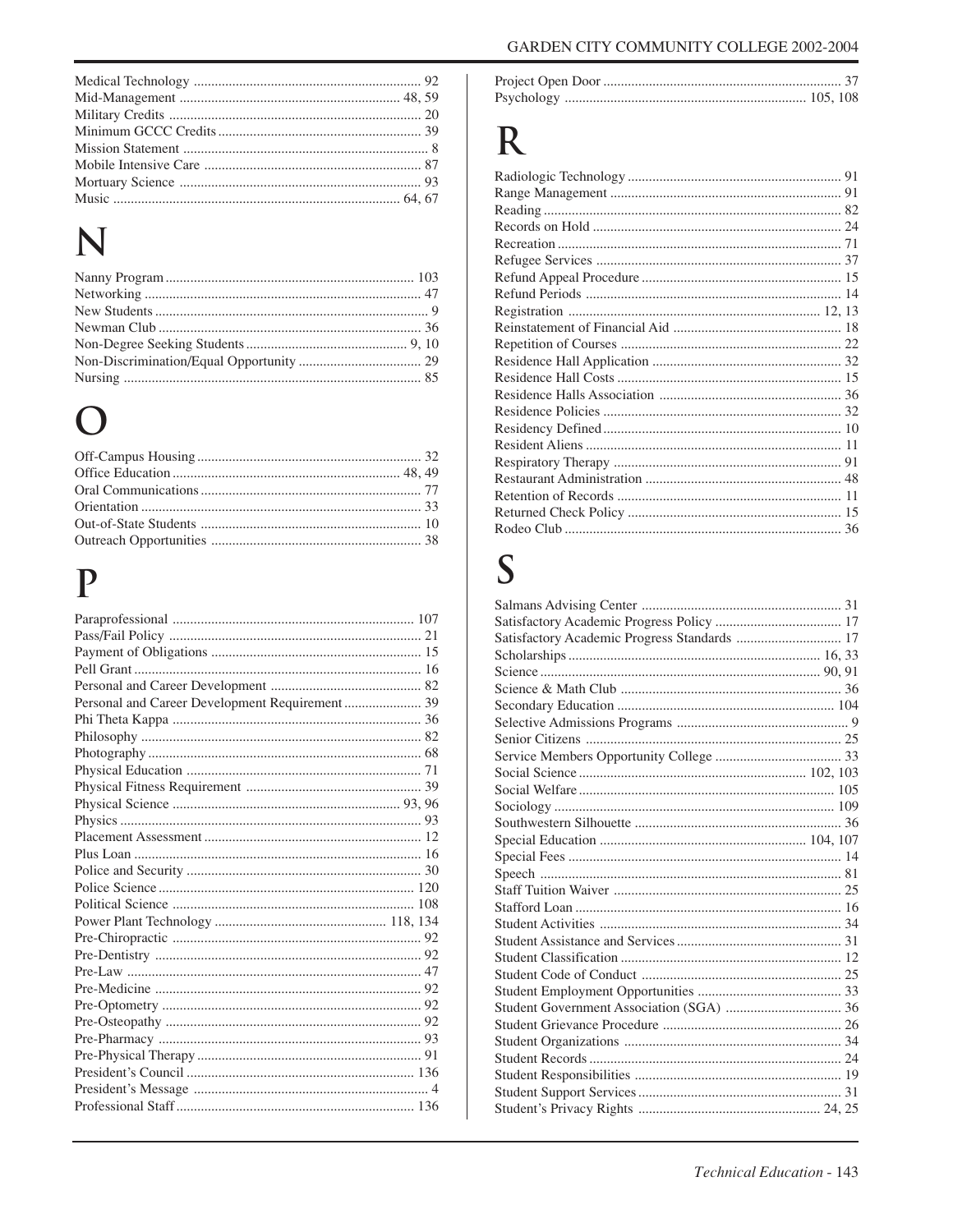#### GARDEN CITY COMMUNITY COLLEGE 2002-2004

## N

## $\mathbf P$

| Personal and Career Development Requirement  39 |  |
|-------------------------------------------------|--|
|                                                 |  |
|                                                 |  |
|                                                 |  |
|                                                 |  |
|                                                 |  |
|                                                 |  |
|                                                 |  |
|                                                 |  |
|                                                 |  |
|                                                 |  |
|                                                 |  |
|                                                 |  |
|                                                 |  |
|                                                 |  |
|                                                 |  |
|                                                 |  |
|                                                 |  |
|                                                 |  |
|                                                 |  |
|                                                 |  |
|                                                 |  |
|                                                 |  |
|                                                 |  |
|                                                 |  |
|                                                 |  |

## $\overline{R}$

### S

| Satisfactory Academic Progress Standards  17 |  |
|----------------------------------------------|--|
|                                              |  |
|                                              |  |
|                                              |  |
|                                              |  |
|                                              |  |
|                                              |  |
|                                              |  |
|                                              |  |
|                                              |  |
|                                              |  |
|                                              |  |
|                                              |  |
|                                              |  |
|                                              |  |
|                                              |  |
|                                              |  |
|                                              |  |
|                                              |  |
|                                              |  |
|                                              |  |
|                                              |  |
|                                              |  |
|                                              |  |
|                                              |  |
|                                              |  |
|                                              |  |
|                                              |  |
|                                              |  |
|                                              |  |